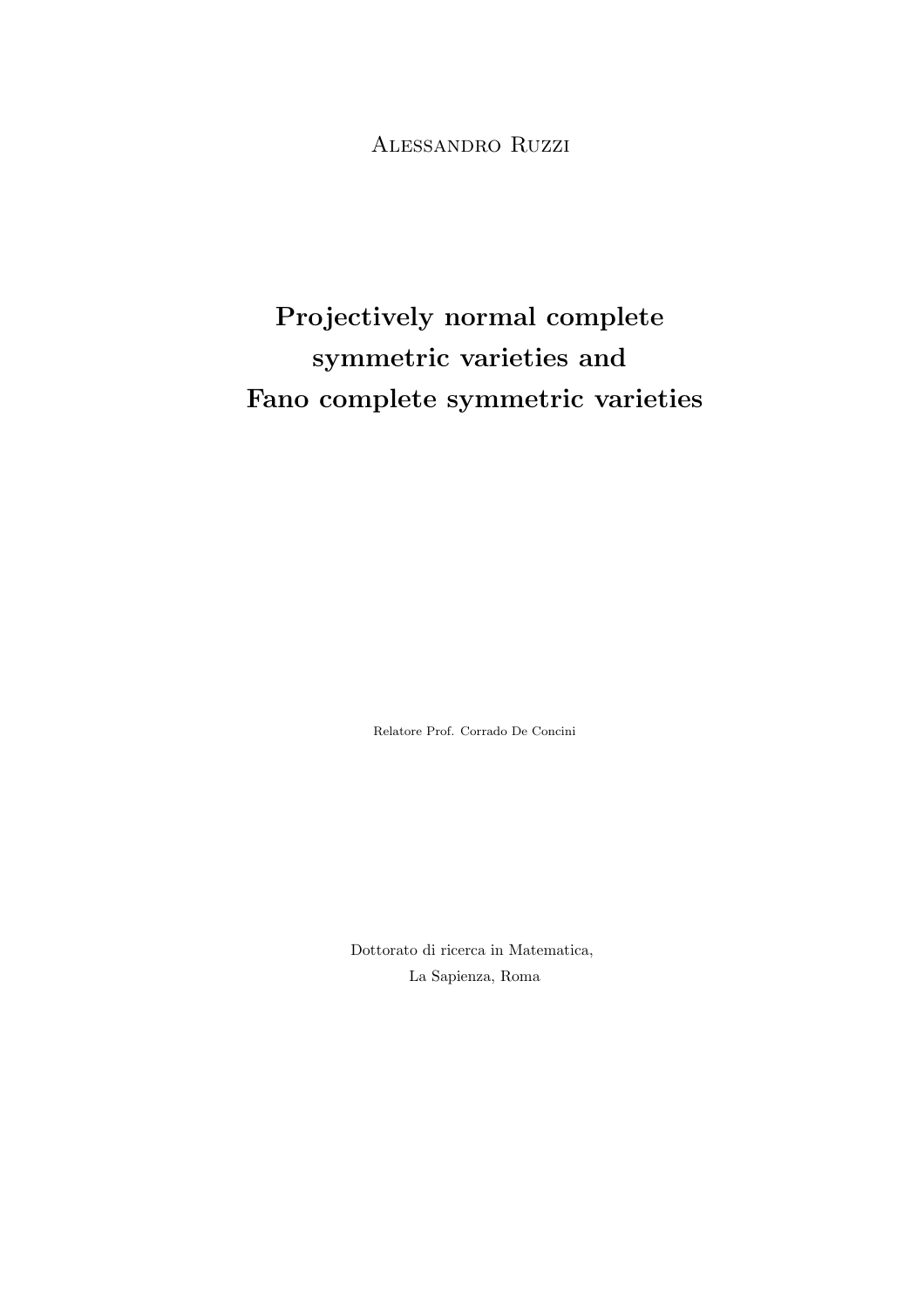## Alessandro Ruzzi

# Projectively normal complete symmetric varieties and Fano complete symmetric varieties

Relatore Prof. Corrado De Concini

Dottorato di ricerca in Matematica, La Sapienza, Roma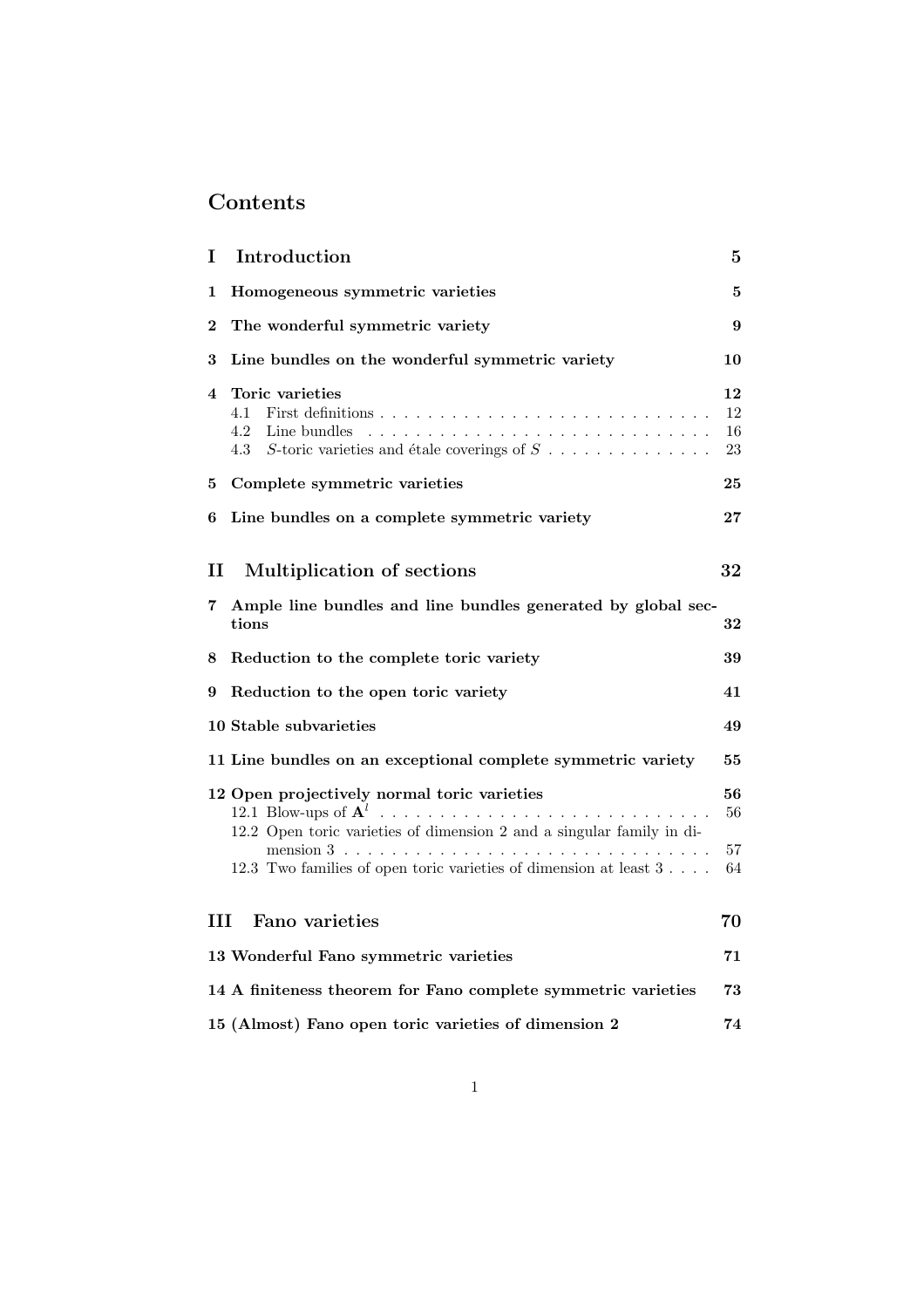## Contents

| I                          | Introduction                                                                                                                          | 5                    |
|----------------------------|---------------------------------------------------------------------------------------------------------------------------------------|----------------------|
| 1                          | Homogeneous symmetric varieties                                                                                                       | 5                    |
| $\bf{2}$                   | The wonderful symmetric variety                                                                                                       | 9                    |
| 3                          | Line bundles on the wonderful symmetric variety                                                                                       | 10                   |
| 4                          | Toric varieties<br>4.1<br>4.2<br>Line bundles<br>4.3<br>S-toric varieties and étale coverings of $S$                                  | 12<br>12<br>16<br>23 |
| 5.                         | Complete symmetric varieties                                                                                                          | 25                   |
| 6                          | Line bundles on a complete symmetric variety                                                                                          | $\bf{27}$            |
| $\mathbf H$<br>$7^{\circ}$ | Multiplication of sections<br>Ample line bundles and line bundles generated by global sec-                                            | 32                   |
|                            | tions                                                                                                                                 | 32                   |
| 8                          | Reduction to the complete toric variety                                                                                               | 39                   |
| 9                          | Reduction to the open toric variety                                                                                                   | 41                   |
|                            | 10 Stable subvarieties                                                                                                                | 49                   |
|                            | 11 Line bundles on an exceptional complete symmetric variety                                                                          | 55                   |
|                            | 12 Open projectively normal toric varieties<br>12.2 Open toric varieties of dimension 2 and a singular family in di-                  | 56<br>56             |
|                            | mension $3 \cdot \cdot \cdot \cdot \cdot \cdot \cdot$<br>12.3 Two families of open toric varieties of dimension at least $3 \ldots$ . | 57<br>64             |
| ш                          | Fano varieties                                                                                                                        | 70                   |
|                            | 13 Wonderful Fano symmetric varieties                                                                                                 | 71                   |
|                            | 14 A finiteness theorem for Fano complete symmetric varieties                                                                         | 73                   |
|                            | 15 (Almost) Fano open toric varieties of dimension 2                                                                                  | 74                   |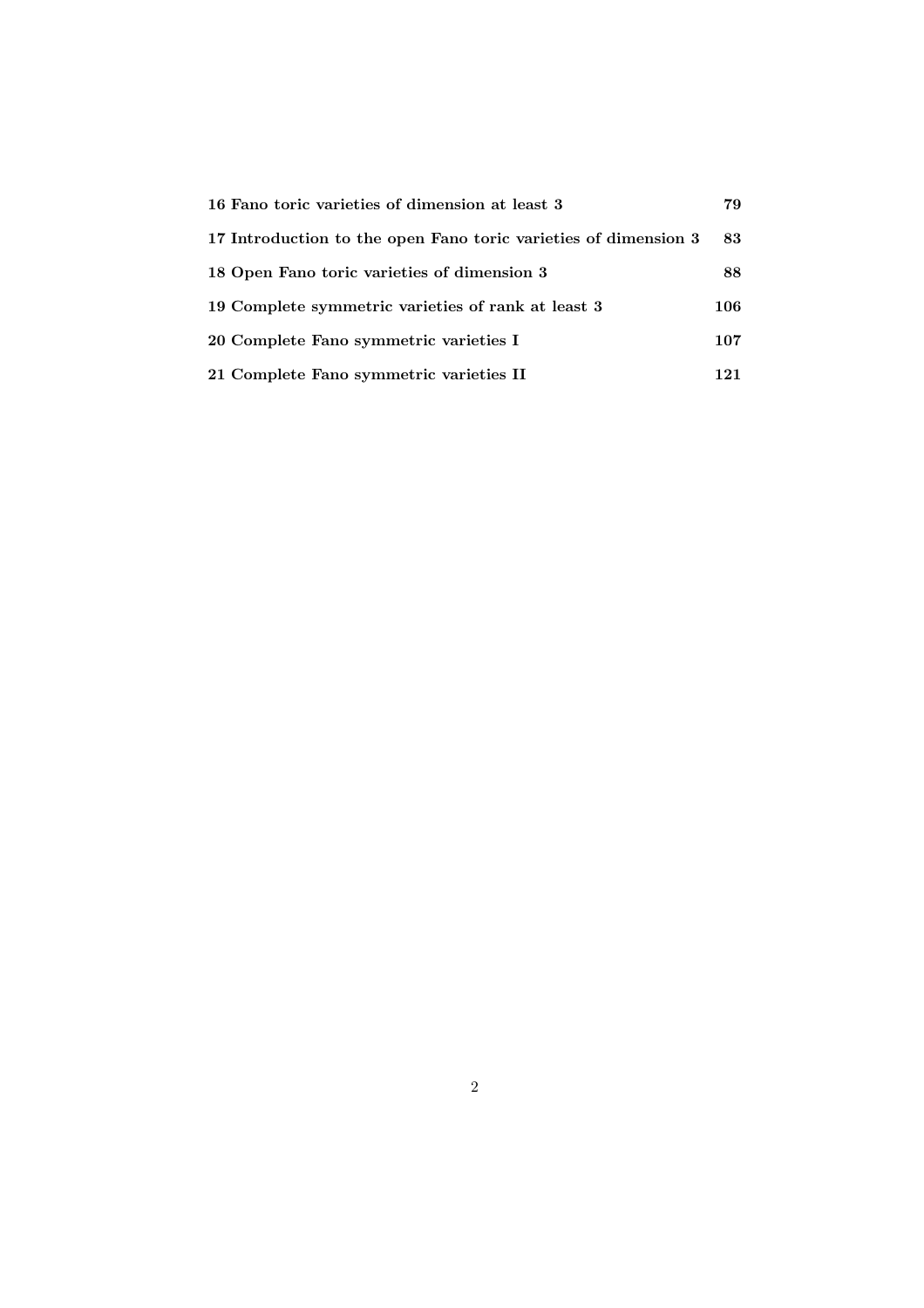| 16 Fano toric varieties of dimension at least 3                 |     |
|-----------------------------------------------------------------|-----|
| 17 Introduction to the open Fano toric varieties of dimension 3 | 83  |
| 18 Open Fano toric varieties of dimension 3                     | 88  |
| 19 Complete symmetric varieties of rank at least 3              | 106 |
| 20 Complete Fano symmetric varieties I                          | 107 |
| 21 Complete Fano symmetric varieties II                         | 121 |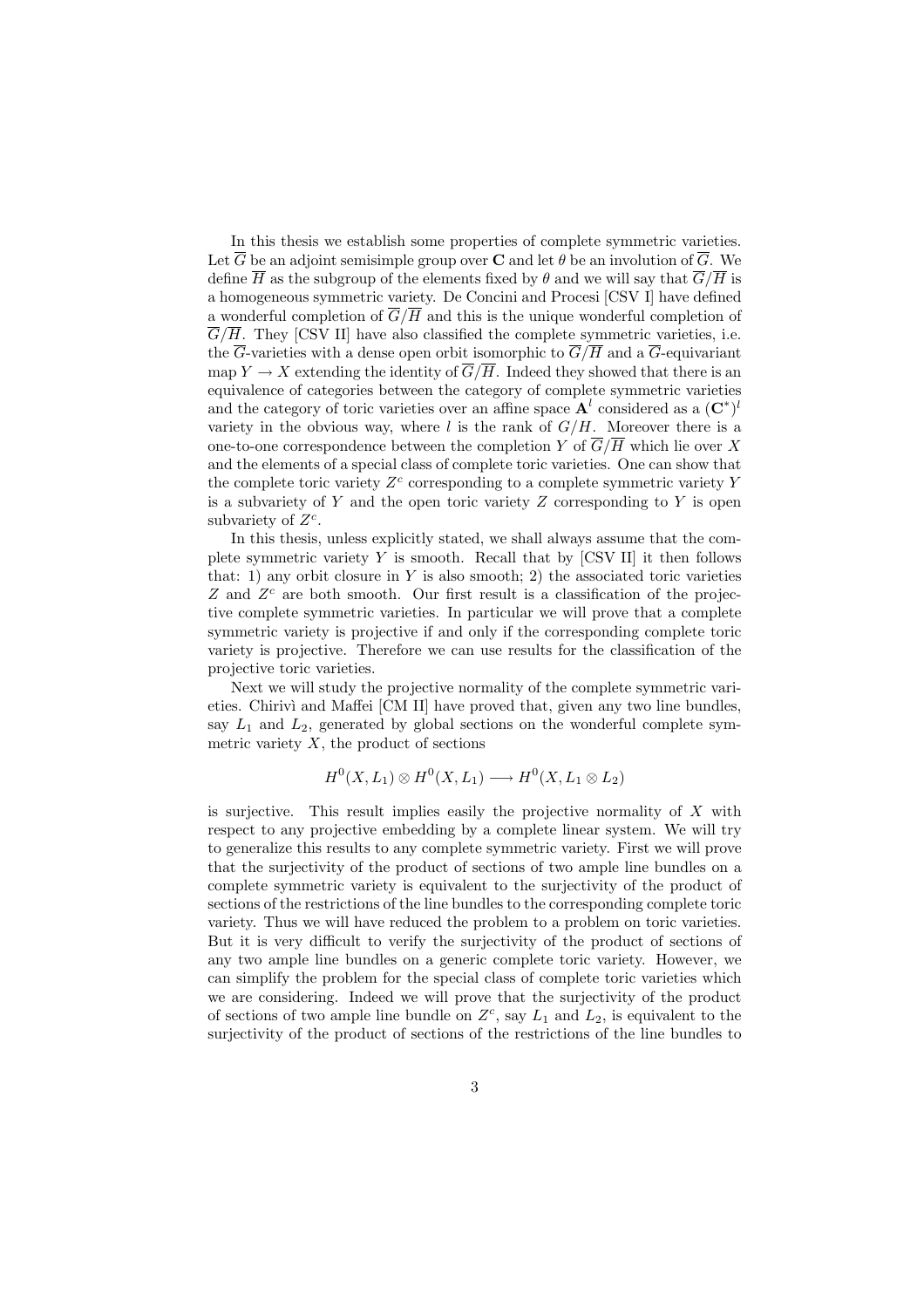In this thesis we establish some properties of complete symmetric varieties. Let  $\overline{G}$  be an adjoint semisimple group over **C** and let  $\theta$  be an involution of  $\overline{G}$ . We define  $\overline{H}$  as the subgroup of the elements fixed by  $\theta$  and we will say that  $\overline{G}/\overline{H}$  is a homogeneous symmetric variety. De Concini and Procesi [CSV I] have defined a wonderful completion of  $\overline{G}/\overline{H}$  and this is the unique wonderful completion of  $\overline{G}/\overline{H}$ . They [CSV II] have also classified the complete symmetric varieties, i.e. the  $\overline{G}$ -varieties with a dense open orbit isomorphic to  $\overline{G}/\overline{H}$  and a  $\overline{G}$ -equivariant map  $Y \to X$  extending the identity of  $\overline{G}/\overline{H}$ . Indeed they showed that there is an equivalence of categories between the category of complete symmetric varieties and the category of toric varieties over an affine space  $A<sup>l</sup>$  considered as a  $(C^*)<sup>l</sup>$ variety in the obvious way, where  $l$  is the rank of  $G/H$ . Moreover there is a one-to-one correspondence between the completion Y of  $\overline{G}/\overline{H}$  which lie over X and the elements of a special class of complete toric varieties. One can show that the complete toric variety  $Z<sup>c</sup>$  corresponding to a complete symmetric variety Y is a subvariety of  $Y$  and the open toric variety  $Z$  corresponding to  $Y$  is open subvariety of  $Z^c$ .

In this thesis, unless explicitly stated, we shall always assume that the complete symmetric variety Y is smooth. Recall that by  $\left[{\rm CSV~II}\right]$  it then follows that: 1) any orbit closure in  $Y$  is also smooth; 2) the associated toric varieties  $Z$  and  $Z<sup>c</sup>$  are both smooth. Our first result is a classification of the projective complete symmetric varieties. In particular we will prove that a complete symmetric variety is projective if and only if the corresponding complete toric variety is projective. Therefore we can use results for the classification of the projective toric varieties.

Next we will study the projective normality of the complete symmetric varieties. Chirivì and Maffei [CM II] have proved that, given any two line bundles. say  $L_1$  and  $L_2$ , generated by global sections on the wonderful complete symmetric variety  $X$ , the product of sections

$$
H^0(X, L_1) \otimes H^0(X, L_1) \longrightarrow H^0(X, L_1 \otimes L_2)
$$

is surjective. This result implies easily the projective normality of  $X$  with respect to any projective embedding by a complete linear system. We will try to generalize this results to any complete symmetric variety. First we will prove that the surjectivity of the product of sections of two ample line bundles on a complete symmetric variety is equivalent to the surjectivity of the product of sections of the restrictions of the line bundles to the corresponding complete toric variety. Thus we will have reduced the problem to a problem on toric varieties. But it is very difficult to verify the surjectivity of the product of sections of any two ample line bundles on a generic complete toric variety. However, we can simplify the problem for the special class of complete toric varieties which we are considering. Indeed we will prove that the surjectivity of the product of sections of two ample line bundle on  $Z<sup>c</sup>$ , say  $L_1$  and  $L_2$ , is equivalent to the surjectivity of the product of sections of the restrictions of the line bundles to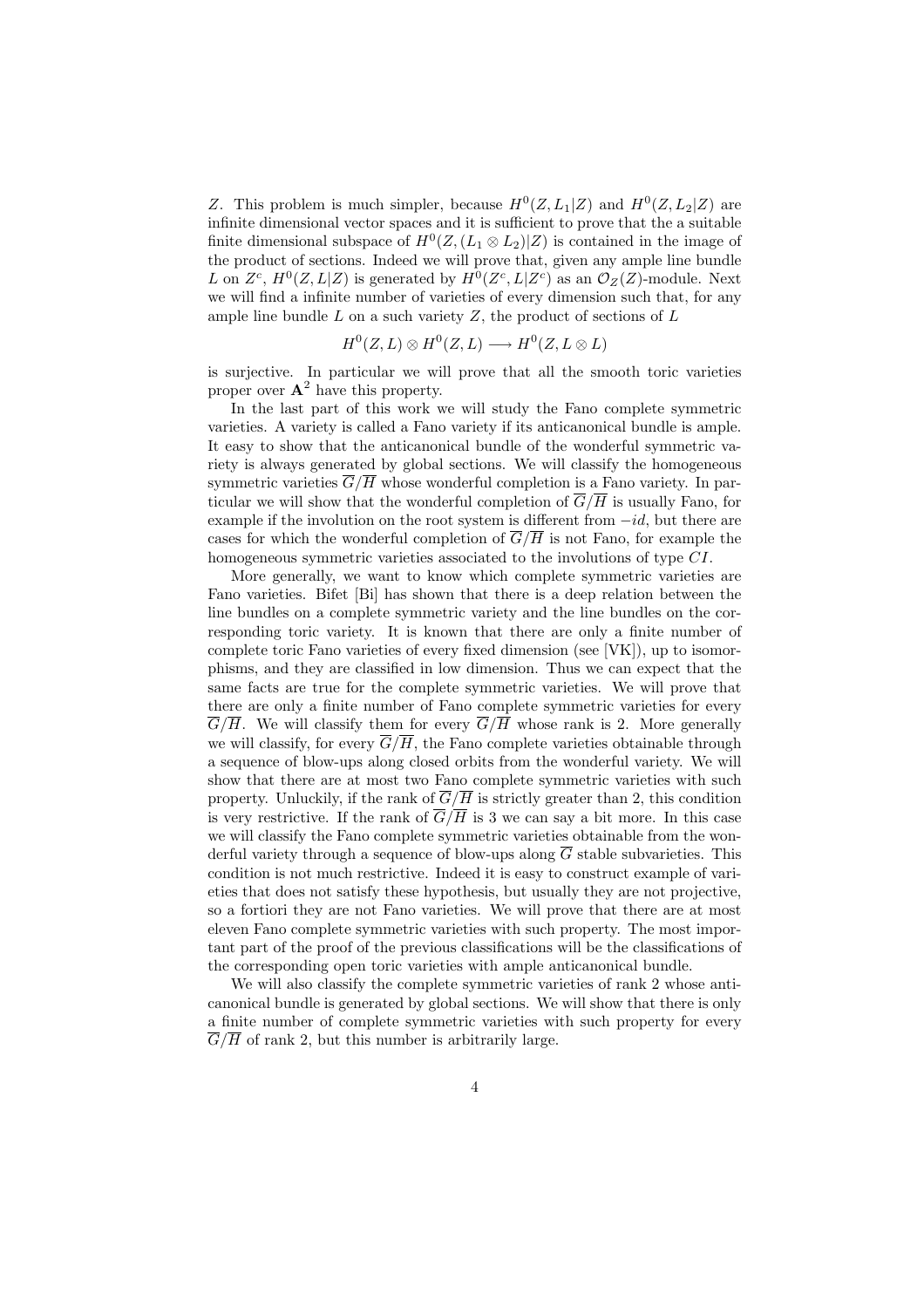Z. This problem is much simpler, because  $H^0(Z, L_1|Z)$  and  $H^0(Z, L_2|Z)$  are infinite dimensional vector spaces and it is sufficient to prove that the a suitable finite dimensional subspace of  $H^0(Z,(L_1 \otimes L_2)|Z)$  is contained in the image of the product of sections. Indeed we will prove that, given any ample line bundle L on  $Z^c$ ,  $H^0(Z, L|Z)$  is generated by  $H^0(Z^c, L|Z^c)$  as an  $\mathcal{O}_Z(Z)$ -module. Next we will find a infinite number of varieties of every dimension such that, for any ample line bundle  $L$  on a such variety  $Z$ , the product of sections of  $L$ 

$$
H^0(Z, L) \otimes H^0(Z, L) \longrightarrow H^0(Z, L \otimes L)
$$

is surjective. In particular we will prove that all the smooth toric varieties proper over  $\mathbf{A}^2$  have this property.

In the last part of this work we will study the Fano complete symmetric varieties. A variety is called a Fano variety if its anticanonical bundle is ample. It easy to show that the anticanonical bundle of the wonderful symmetric variety is always generated by global sections. We will classify the homogeneous symmetric varieties  $\overline{G}/\overline{H}$  whose wonderful completion is a Fano variety. In particular we will show that the wonderful completion of  $\overline{G}/\overline{H}$  is usually Fano, for example if the involution on the root system is different from  $-id$ , but there are cases for which the wonderful completion of  $\overline{G}/\overline{H}$  is not Fano, for example the homogeneous symmetric varieties associated to the involutions of type CI.

More generally, we want to know which complete symmetric varieties are Fano varieties. Bifet [Bi] has shown that there is a deep relation between the line bundles on a complete symmetric variety and the line bundles on the corresponding toric variety. It is known that there are only a finite number of complete toric Fano varieties of every fixed dimension (see [VK]), up to isomorphisms, and they are classified in low dimension. Thus we can expect that the same facts are true for the complete symmetric varieties. We will prove that there are only a finite number of Fano complete symmetric varieties for every  $\overline{G}/\overline{H}$ . We will classify them for every  $\overline{G}/\overline{H}$  whose rank is 2. More generally we will classify, for every  $\overline{G}/\overline{H}$ , the Fano complete varieties obtainable through a sequence of blow-ups along closed orbits from the wonderful variety. We will show that there are at most two Fano complete symmetric varieties with such property. Unluckily, if the rank of  $\overline{G}/\overline{H}$  is strictly greater than 2, this condition is very restrictive. If the rank of  $\overline{G}/\overline{H}$  is 3 we can say a bit more. In this case we will classify the Fano complete symmetric varieties obtainable from the wonderful variety through a sequence of blow-ups along  $\overline{G}$  stable subvarieties. This condition is not much restrictive. Indeed it is easy to construct example of varieties that does not satisfy these hypothesis, but usually they are not projective, so a fortiori they are not Fano varieties. We will prove that there are at most eleven Fano complete symmetric varieties with such property. The most important part of the proof of the previous classifications will be the classifications of the corresponding open toric varieties with ample anticanonical bundle.

We will also classify the complete symmetric varieties of rank 2 whose anticanonical bundle is generated by global sections. We will show that there is only a finite number of complete symmetric varieties with such property for every  $\overline{G}/\overline{H}$  of rank 2, but this number is arbitrarily large.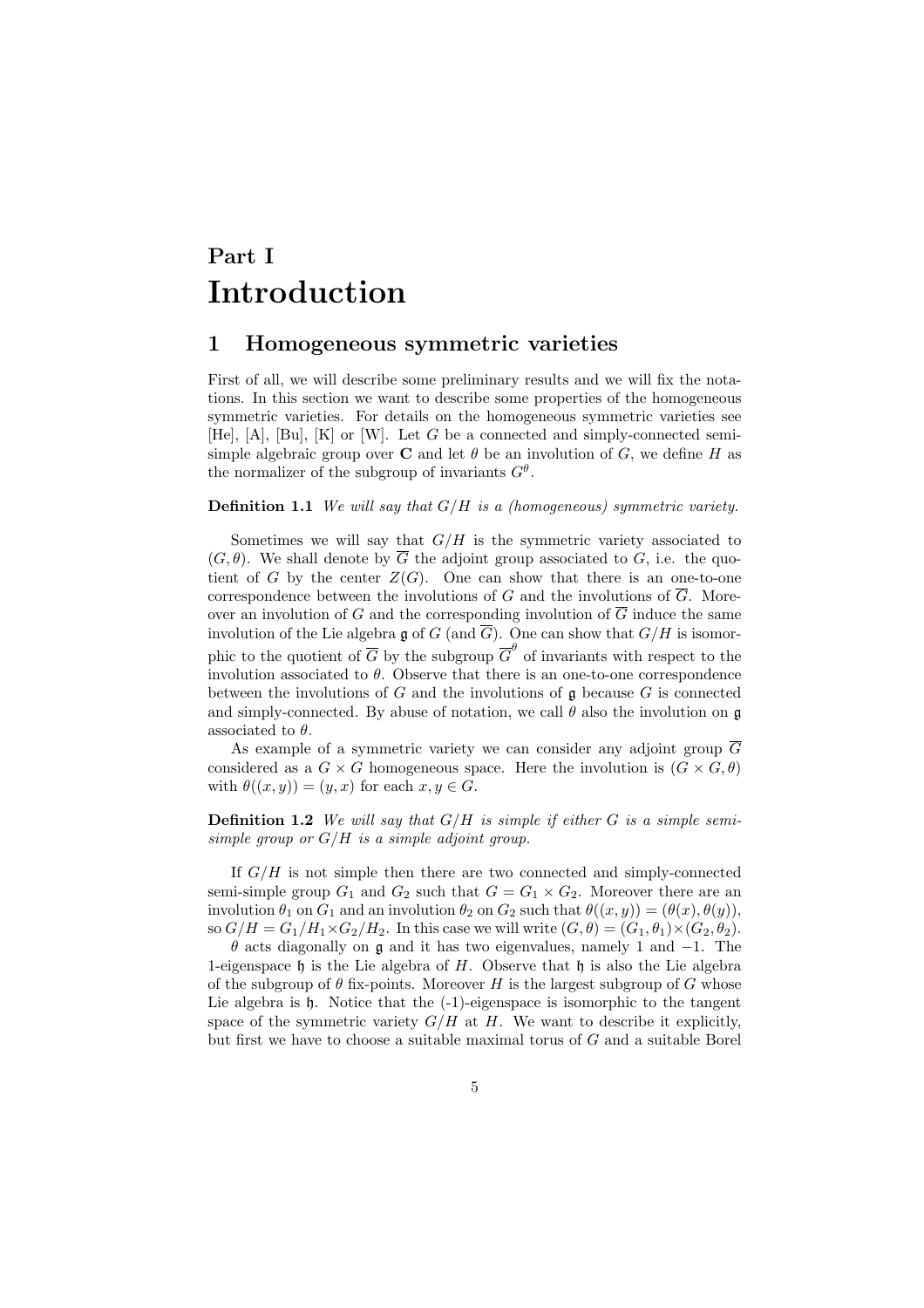## Part I Introduction

#### 1 Homogeneous symmetric varieties

First of all, we will describe some preliminary results and we will fix the notations. In this section we want to describe some properties of the homogeneous symmetric varieties. For details on the homogeneous symmetric varieties see [He],  $[A]$ ,  $[Bu]$ ,  $[K]$  or  $[W]$ . Let G be a connected and simply-connected semisimple algebraic group over **C** and let  $\theta$  be an involution of G, we define H as the normalizer of the subgroup of invariants  $G^{\theta}$ .

#### **Definition 1.1** We will say that  $G/H$  is a (homogeneous) symmetric variety.

Sometimes we will say that  $G/H$  is the symmetric variety associated to  $(G, \theta)$ . We shall denote by  $\overline{G}$  the adjoint group associated to G, i.e. the quotient of G by the center  $Z(G)$ . One can show that there is an one-to-one correspondence between the involutions of  $G$  and the involutions of  $G$ . Moreover an involution of G and the corresponding involution of  $\overline{G}$  induce the same involution of the Lie algebra g of G (and  $\overline{G}$ ). One can show that  $G/H$  is isomorphic to the quotient of  $\overline{G}$  by the subgroup  $\overline{G}^{\theta}$  of invariants with respect to the involution associated to  $\theta$ . Observe that there is an one-to-one correspondence between the involutions of  $G$  and the involutions of  $\mathfrak g$  because  $G$  is connected and simply-connected. By abuse of notation, we call  $\theta$  also the involution on  $\mathfrak g$ associated to  $\theta$ .

As example of a symmetric variety we can consider any adjoint group  $\overline{G}$ considered as a  $G \times G$  homogeneous space. Here the involution is  $(G \times G, \theta)$ with  $\theta((x, y)) = (y, x)$  for each  $x, y \in G$ .

**Definition 1.2** We will say that  $G/H$  is simple if either G is a simple semisimple group or  $G/H$  is a simple adjoint group.

If  $G/H$  is not simple then there are two connected and simply-connected semi-simple group  $G_1$  and  $G_2$  such that  $G = G_1 \times G_2$ . Moreover there are an involution  $\theta_1$  on  $G_1$  and an involution  $\theta_2$  on  $G_2$  such that  $\theta((x, y)) = (\theta(x), \theta(y)),$ so  $G/H = G_1/H_1 \times G_2/H_2$ . In this case we will write  $(G, \theta) = (G_1, \theta_1) \times (G_2, \theta_2)$ .

 $\theta$  acts diagonally on g and it has two eigenvalues, namely 1 and  $-1$ . The 1-eigenspace h is the Lie algebra of  $H$ . Observe that h is also the Lie algebra of the subgroup of  $\theta$  fix-points. Moreover H is the largest subgroup of G whose Lie algebra is h. Notice that the  $(-1)$ -eigenspace is isomorphic to the tangent space of the symmetric variety  $G/H$  at  $H$ . We want to describe it explicitly, but first we have to choose a suitable maximal torus of G and a suitable Borel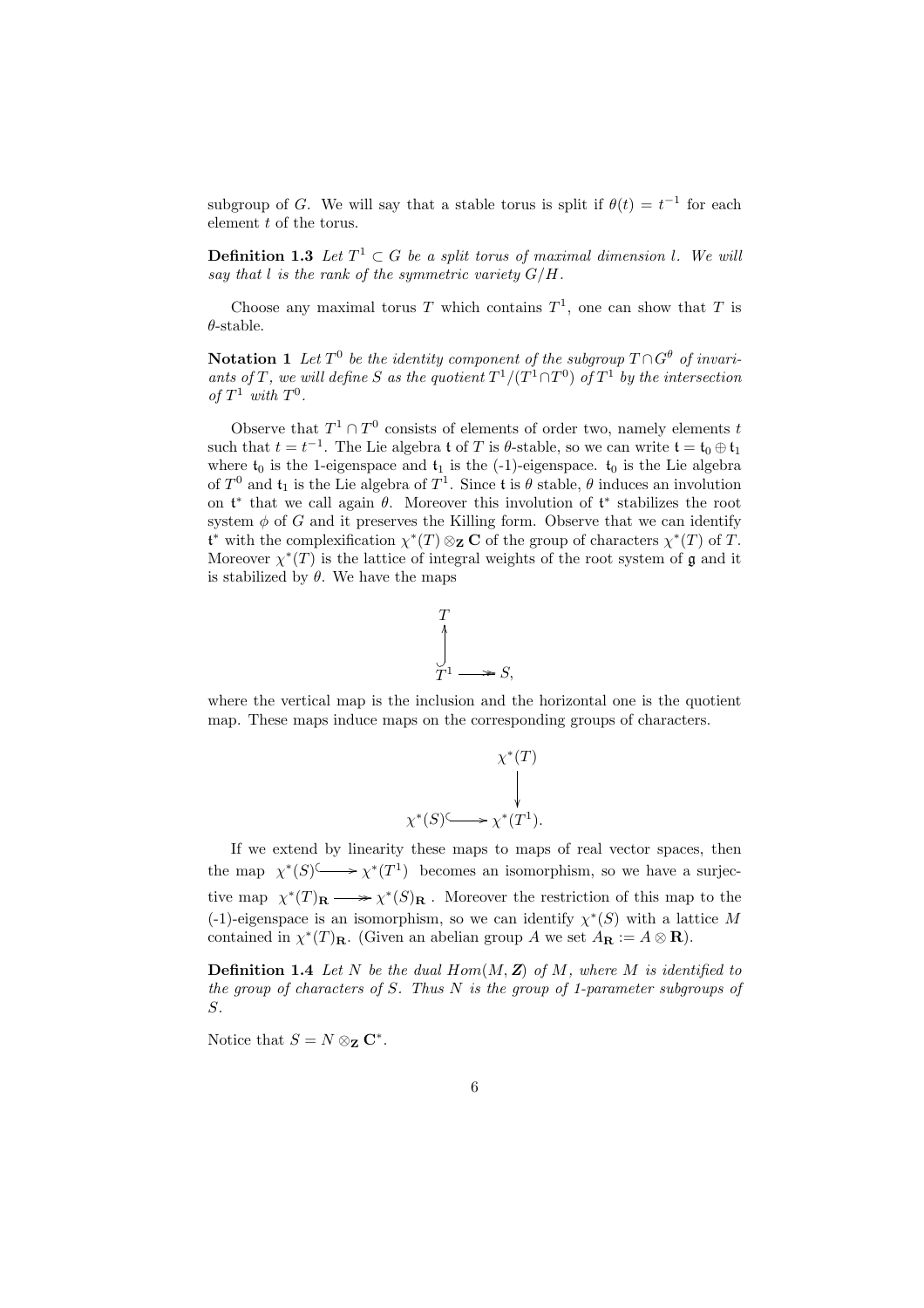subgroup of G. We will say that a stable torus is split if  $\theta(t) = t^{-1}$  for each element t of the torus.

**Definition 1.3** Let  $T^1 \subset G$  be a split torus of maximal dimension l. We will say that  $l$  is the rank of the symmetric variety  $G/H$ .

Choose any maximal torus T which contains  $T^1$ , one can show that T is  $\theta$ -stable.

**Notation 1** Let  $T^0$  be the identity component of the subgroup  $T \cap G^{\theta}$  of invariants of T, we will define S as the quotient  $T^1/(T^1 \cap T^0)$  of  $T^1$  by the intersection of  $T^1$  with  $T^0$ .

Observe that  $T^1 \cap T^0$  consists of elements of order two, namely elements t such that  $t = t^{-1}$ . The Lie algebra t of T is  $\theta$ -stable, so we can write  $\mathfrak{t} = \mathfrak{t}_0 \oplus \mathfrak{t}_1$ where  $t_0$  is the 1-eigenspace and  $t_1$  is the (-1)-eigenspace.  $t_0$  is the Lie algebra of  $T^0$  and  $\mathfrak{t}_1$  is the Lie algebra of  $T^1$ . Since t is  $\theta$  stable,  $\theta$  induces an involution on  $\mathfrak{t}^*$  that we call again  $\theta$ . Moreover this involution of  $\mathfrak{t}^*$  stabilizes the root system  $\phi$  of G and it preserves the Killing form. Observe that we can identify  $\mathfrak{t}^*$  with the complexification  $\chi^*(T) \otimes_{\mathbf{Z}} \mathbf{C}$  of the group of characters  $\chi^*(T)$  of T. Moreover  $\chi^*(T)$  is the lattice of integral weights of the root system of g and it is stabilized by  $\theta$ . We have the maps



where the vertical map is the inclusion and the horizontal one is the quotient map. These maps induce maps on the corresponding groups of characters.



If we extend by linearity these maps to maps of real vector spaces, then The extend by indicative independent map of real vector spaces, then<br>the map  $\chi^*(S) \longrightarrow \chi^*(T^1)$  becomes an isomorphism, so we have a surjective map  $\chi^*(T)_{\mathbf{R}} \longrightarrow \chi^*(S)_{\mathbf{R}}$ . Moreover the restriction of this map to the (-1)-eigenspace is an isomorphism, so we can identify  $\chi^*(S)$  with a lattice M contained in  $\chi^*(T)_{\mathbf{R}}$ . (Given an abelian group A we set  $A_{\mathbf{R}} := A \otimes \mathbf{R}$ ).

**Definition 1.4** Let N be the dual  $Hom(M, Z)$  of M, where M is identified to the group of characters of S. Thus  $N$  is the group of 1-parameter subgroups of S.

Notice that  $S = N \otimes_{\mathbf{Z}} \mathbf{C}^*$ .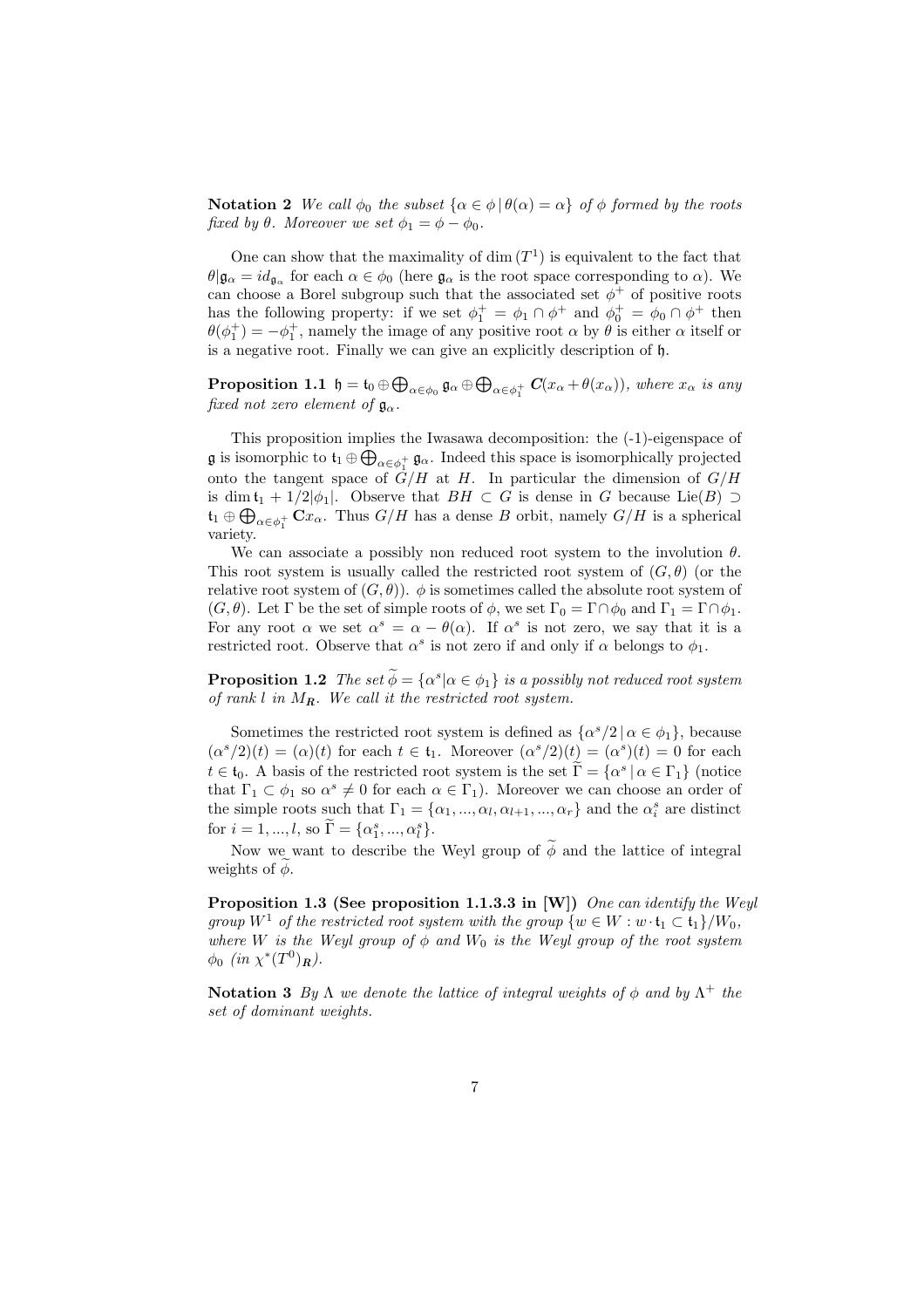**Notation 2** We call  $\phi_0$  the subset  $\{\alpha \in \phi | \theta(\alpha) = \alpha\}$  of  $\phi$  formed by the roots fixed by  $\theta$ . Moreover we set  $\phi_1 = \phi - \phi_0$ .

One can show that the maximality of  $\dim(T^1)$  is equivalent to the fact that  $\theta | \mathfrak{g}_{\alpha} = id_{\mathfrak{g}_{\alpha}}$  for each  $\alpha \in \phi_0$  (here  $\mathfrak{g}_{\alpha}$  is the root space corresponding to  $\alpha$ ). We can choose a Borel subgroup such that the associated set  $\phi^+$  of positive roots has the following property: if we set  $\phi_1^+ = \phi_1 \cap \phi^+$  and  $\phi_0^+ = \phi_0 \cap \phi^+$  then  $\theta(\phi_1^+) = -\phi_1^+$ , namely the image of any positive root  $\alpha$  by  $\theta$  is either  $\alpha$  itself or is a negative root. Finally we can give an explicitly description of h.

Proposition 1.1  $\mathfrak{h} = \mathfrak{t}_0 \oplus \bigoplus$  $_{\alpha\in\phi_0}\mathfrak{g}_\alpha\oplus\bigoplus$  $\alpha \in \phi_1^+$   $C(x_\alpha + \theta(x_\alpha))$ , where  $x_\alpha$  is any fixed not zero element of  $\mathfrak{g}_{\alpha}$ .

This proposition implies the Iwasawa decomposition: the (-1)-eigenspace of L **g** is isomorphic to  $\mathfrak{t}_1 \oplus \bigoplus_{\alpha \in \phi_1^+} \mathfrak{g}_\alpha$ . Indeed this space is isomorphically projected onto the tangent space of  $G/H$  at H. In particular the dimension of  $G/H$ is dim  $t_1 + 1/2|\phi_1|$ . Observe that  $BH \subset G$  is dense in G because Lie $(B) \supset$  $\mathfrak{t}_1 \oplus \bigoplus_{\alpha \in \phi_1^+} \mathbf{C} x_{\alpha}$ . Thus  $G/H$  has a dense B orbit, namely  $G/H$  is a spherical variety.

We can associate a possibly non reduced root system to the involution  $\theta$ . This root system is usually called the restricted root system of  $(G, \theta)$  (or the relative root system of  $(G, \theta)$ ).  $\phi$  is sometimes called the absolute root system of  $(G, \theta)$ . Let  $\Gamma$  be the set of simple roots of  $\phi$ , we set  $\Gamma_0 = \Gamma \cap \phi_0$  and  $\Gamma_1 = \Gamma \cap \phi_1$ . For any root  $\alpha$  we set  $\alpha^s = \alpha - \theta(\alpha)$ . If  $\alpha^s$  is not zero, we say that it is a restricted root. Observe that  $\alpha^s$  is not zero if and only if  $\alpha$  belongs to  $\phi_1$ .

**Proposition 1.2** The set  $\widetilde{\phi} = {\alpha^s | \alpha \in \phi_1}$  is a possibly not reduced root system of rank l in  $M_R$ . We call it the restricted root system.

Sometimes the restricted root system is defined as  $\{\alpha^s/2 \mid \alpha \in \phi_1\}$ , because  $(\alpha^{s}/2)(t) = (\alpha)(t)$  for each  $t \in \mathfrak{t}_{1}$ . Moreover  $(\alpha^{s}/2)(t) = (\alpha^{s})(t) = 0$  for each  $t \in \mathfrak{t}_0$ . A basis of the restricted root system is the set  $\widetilde{\Gamma} = \{ \alpha^s \mid \alpha \in \Gamma_1 \}$  (notice that  $\Gamma_1 \subset \phi_1$  so  $\alpha^s \neq 0$  for each  $\alpha \in \Gamma_1$ ). Moreover we can choose an order of the simple roots such that  $\Gamma_1 = \{\alpha_1, ..., \alpha_l, \alpha_{l+1}, ..., \alpha_r\}$  and the  $\alpha_i^s$  are distinct for  $i = 1, ..., l$ , so  $\widetilde{\Gamma} = {\alpha_1^s, ..., \alpha_l^s}.$ 

Now we want to describe the Weyl group of  $\widetilde{\phi}$  and the lattice of integral weights of  $\phi$ .

Proposition 1.3 (See proposition 1.1.3.3 in [W]) One can identify the Weyl group  $W^1$  of the restricted root system with the group  $\{w \in W : w \cdot \mathfrak{t}_1 \subset \mathfrak{t}_1\}/W_0$ , where W is the Weyl group of  $\phi$  and  $W_0$  is the Weyl group of the root system  $\phi_0$  (in  $\chi^*(T^0)_R$ ).

**Notation 3** By  $\Lambda$  we denote the lattice of integral weights of  $\phi$  and by  $\Lambda^+$  the set of dominant weights.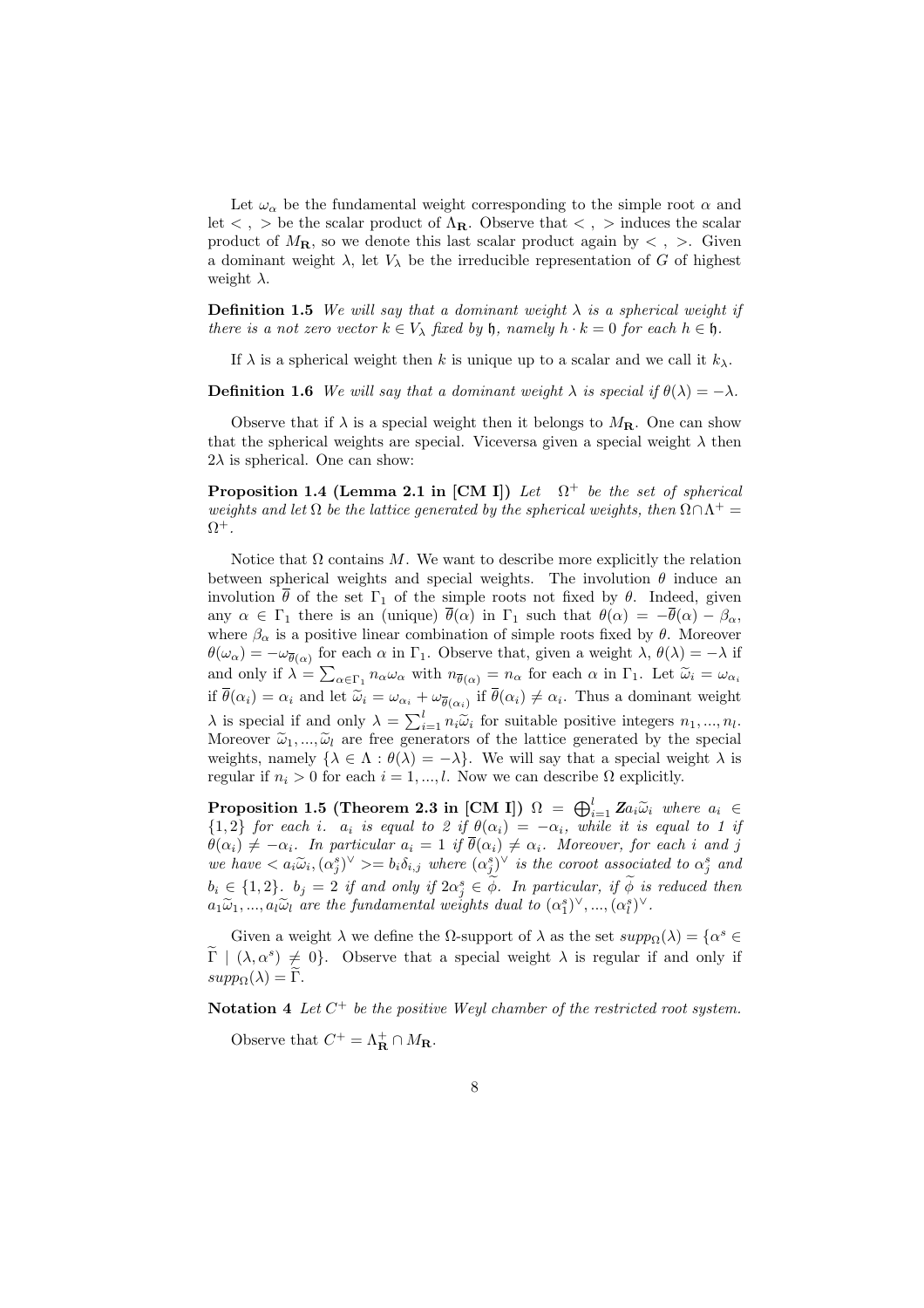Let  $\omega_{\alpha}$  be the fundamental weight corresponding to the simple root  $\alpha$  and let  $\langle , \rangle$  be the scalar product of  $\Lambda_{\mathbf{R}}$ . Observe that  $\langle , \rangle$  induces the scalar product of  $M_{\rm R}$ , so we denote this last scalar product again by  $\langle , \rangle$ . Given a dominant weight  $\lambda$ , let  $V_{\lambda}$  be the irreducible representation of G of highest weight  $\lambda$ .

**Definition 1.5** We will say that a dominant weight  $\lambda$  is a spherical weight if there is a not zero vector  $k \in V_{\lambda}$  fixed by h, namely  $h \cdot k = 0$  for each  $h \in \mathfrak{h}$ .

If  $\lambda$  is a spherical weight then k is unique up to a scalar and we call it  $k_{\lambda}$ .

**Definition 1.6** We will say that a dominant weight  $\lambda$  is special if  $\theta(\lambda) = -\lambda$ .

Observe that if  $\lambda$  is a special weight then it belongs to  $M_{\rm R}$ . One can show that the spherical weights are special. Viceversa given a special weight  $\lambda$  then  $2\lambda$  is spherical. One can show:

**Proposition 1.4 (Lemma 2.1 in [CM I])** Let  $\Omega^+$  be the set of spherical weights and let  $\Omega$  be the lattice generated by the spherical weights, then  $\Omega \cap \Lambda^+$  $\Omega^+$ .

Notice that  $\Omega$  contains M. We want to describe more explicitly the relation between spherical weights and special weights. The involution  $\theta$  induce an involution  $\bar{\theta}$  of the set  $\Gamma_1$  of the simple roots not fixed by  $\theta$ . Indeed, given any  $\alpha \in \Gamma_1$  there is an (unique)  $\overline{\theta}(\alpha)$  in  $\Gamma_1$  such that  $\theta(\alpha) = -\overline{\theta}(\alpha) - \beta_\alpha$ , where  $\beta_{\alpha}$  is a positive linear combination of simple roots fixed by  $\theta$ . Moreover  $\theta(\omega_{\alpha}) = -\omega_{\overline{\theta}(\alpha)}$  for each  $\alpha$  in  $\Gamma_1$ . Observe that, given a weight  $\lambda$ ,  $\theta(\lambda) = -\lambda$  if and only if  $\lambda = \sum_{\alpha \in \Gamma_1} n_{\alpha} \omega_{\alpha}$  with  $n_{\overline{\theta}(\alpha)} = n_{\alpha}$  for each  $\alpha$  in  $\Gamma_1$ . Let  $\widetilde{\omega}_i = \omega_{\alpha_i}$ if  $\theta(\alpha_i) = \alpha_i$  and let  $\tilde{\omega}_i = \omega_{\alpha_i} + \omega_{\overline{\theta}(\alpha_i)}$  if  $\theta(\alpha_i) \neq \alpha_i$ . Thus a dominant weight  $\lambda$  is special if and only  $\lambda = \sum_{i=1}^{l} n_i \tilde{\omega}_i$  for suitable positive integers  $n_1, ..., n_l$ . Moreover  $\tilde{\omega}_1, ..., \tilde{\omega}_l$  are free generators of the lattice generated by the special weights, namely  $\{\lambda \in \Lambda : \theta(\lambda) = -\lambda\}$ . We will say that a special weight  $\lambda$  is regular if  $n_i > 0$  for each  $i = 1, ..., l$ . Now we can describe  $\Omega$  explicitly.

Proposition 1.5 (Theorem 2.3 in [CM I])  $\Omega = \bigoplus_{i=1}^{l} \mathbf{Z} a_i \widetilde{\omega}_i$  where  $a_i \in$  ${1,2}$  for each i.  $a_i$  is equal to 2 if  $\theta(\alpha_i) = -\alpha_i$ , while it is equal to 1 if  $\theta(\alpha_i) \neq -\alpha_i$ . In particular  $a_i = 1$  if  $\overline{\theta}(\alpha_i) \neq \alpha_i$ . Moreover, for each i and j we have  $\langle a_i\tilde{\omega}_i, (\alpha_j^s)^\vee \rangle = b_i\delta_{i,j}$  where  $(\alpha_j^s)^\vee$  is the coroot associated to  $\alpha_j^s$  and  $b_i \in \{1,2\}$ .  $b_j = 2$  if and only if  $2\alpha_j^s \in \widetilde{\phi}$ . In particular, if  $\widetilde{\phi}$  is reduced then  $a_1\widetilde{\omega}_1,...,a_l\widetilde{\omega}_l$  are the fundamental weights dual to  $(\alpha_1^s)^\vee,...,(\alpha_l^s)^\vee$ .

Given a weight  $\lambda$  we define the  $\Omega$ -support of  $\lambda$  as the set  $supp_{\Omega}(\lambda) = {\alpha^s \in \Omega}$  $\widetilde{\Gamma}$  |  $(\lambda, \alpha^s) \neq 0$ . Observe that a special weight  $\lambda$  is regular if and only if  $supp_{\Omega}(\lambda) = \widetilde{\Gamma}.$ 

Notation 4 Let  $C^+$  be the positive Weyl chamber of the restricted root system.

Observe that  $C^+ = \Lambda_{\mathbf{R}}^+ \cap M_{\mathbf{R}}$ .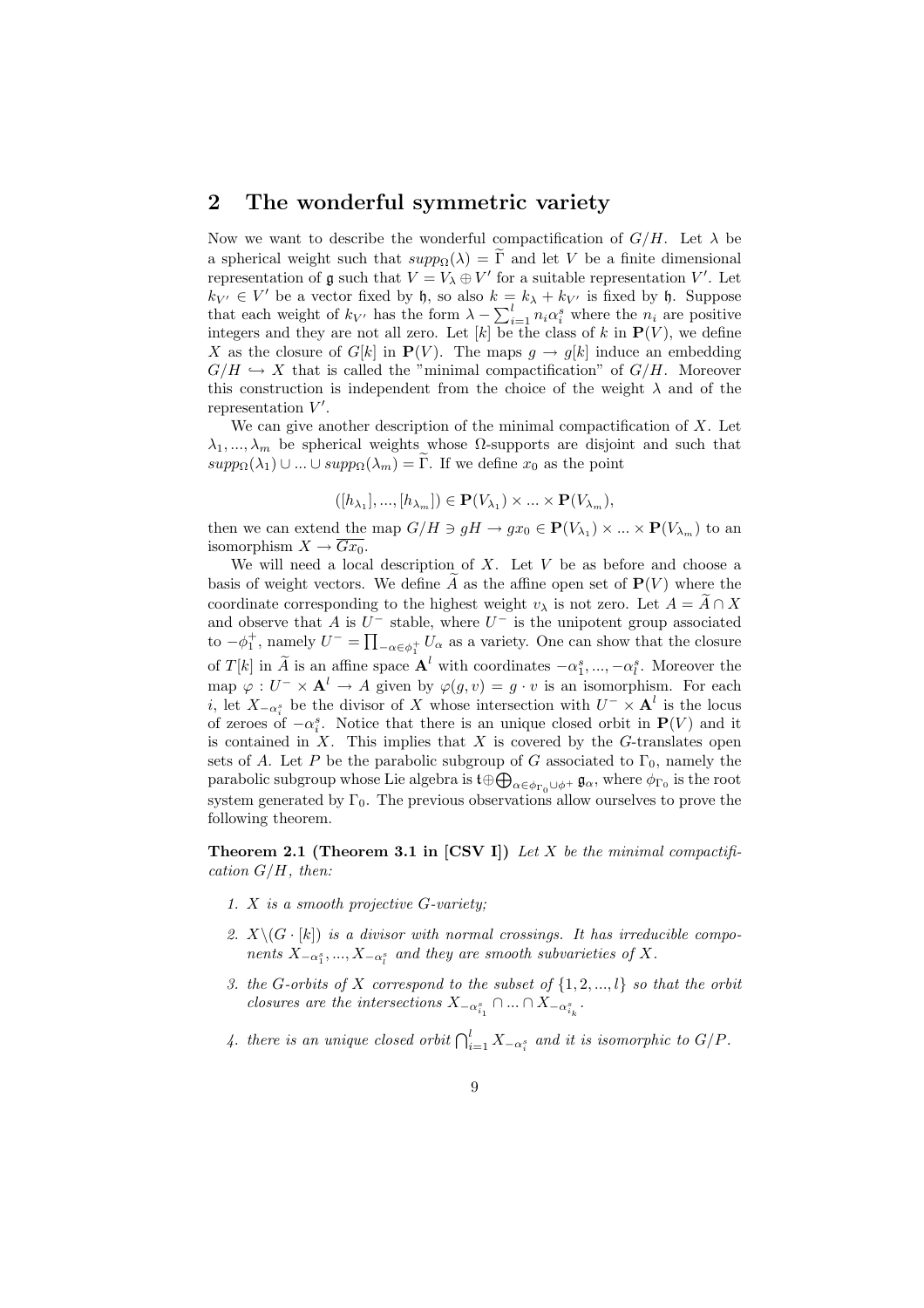### 2 The wonderful symmetric variety

Now we want to describe the wonderful compactification of  $G/H$ . Let  $\lambda$  be a spherical weight such that  $supp_{\Omega}(\lambda) = \tilde{\Gamma}$  and let V be a finite dimensional representation of  $\mathfrak g$  such that  $V = V_\lambda \oplus V'$  for a suitable representation V'. Let  $k_{V'} \in V'$  be a vector fixed by h, so also  $k = k_{\lambda} + k_{V'}$  is fixed by h. Suppose  $\kappa_V \in V$  be a vector lixed by i, so also  $\kappa = \kappa_{\lambda} + \kappa_{V'}$  is lixed by i. Suppose<br>that each weight of  $k_{V'}$  has the form  $\lambda - \sum_{i=1}^{l} n_i \alpha_i^s$  where the  $n_i$  are positive integers and they are not all zero. Let  $[k]$  be the class of k in  $P(V)$ , we define X as the closure of  $G[k]$  in  $P(V)$ . The maps  $q \to q[k]$  induce an embedding  $G/H \hookrightarrow X$  that is called the "minimal compactification" of  $G/H$ . Moreover this construction is independent from the choice of the weight  $\lambda$  and of the representation  $V'$ .

We can give another description of the minimal compactification of  $X$ . Let  $\lambda_1, ..., \lambda_m$  be spherical weights whose  $\Omega$ -supports are disjoint and such that  $supp_{\Omega}(\lambda_1) \cup ... \cup supp_{\Omega}(\lambda_m) = \Gamma$ . If we define  $x_0$  as the point

$$
([h_{\lambda_1}],...,[h_{\lambda_m}]) \in \mathbf{P}(V_{\lambda_1}) \times ... \times \mathbf{P}(V_{\lambda_m}),
$$

then we can extend the map  $G/H \ni gH \to gx_0 \in \mathbf{P}(V_{\lambda_1}) \times ... \times \mathbf{P}(V_{\lambda_m})$  to an isomorphism  $X \to Gx_0$ .

We will need a local description of  $X$ . Let  $V$  be as before and choose a basis of weight vectors. We define  $\tilde{A}$  as the affine open set of  $P(V)$  where the coordinate corresponding to the highest weight  $v_\lambda$  is not zero. Let  $A = A \cap X$ and observe that A is  $U^-$  stable, where  $U^-$  is the unipotent group associated to  $-\phi_1^+$ , namely  $U^- = \prod_{-\alpha \in \phi_1^+} U_\alpha$  as a variety. One can show that the closure of  $T[k]$  in  $\widetilde{A}$  is an affine space  $\mathbf{A}^l$  with coordinates  $-\alpha_1^s, ..., -\alpha_l^s$ . Moreover the map  $\varphi: U^- \times \mathbf{A}^l \to A$  given by  $\varphi(g, v) = g \cdot v$  is an isomorphism. For each *i*, let  $X_{-\alpha_i^s}$  be the divisor of X whose intersection with  $U^{-} \times \mathbf{A}^l$  is the locus of zeroes of  $-\alpha_i^s$ . Notice that there is an unique closed orbit in  $P(V)$  and it is contained in  $X$ . This implies that  $X$  is covered by the  $G$ -translates open sets of A. Let P be the parabolic subgroup of G associated to  $\Gamma_0$ , namely the parabolic subgroup whose Lie algebra is  $\mathfrak{t} \oplus \bigoplus_{\alpha \in \phi_{\Gamma_0} \cup \phi^+} \mathfrak{g}_\alpha$ , where  $\phi_{\Gamma_0}$  is the root system generated by  $\Gamma_0$ . The previous observations allow ourselves to prove the following theorem.

**Theorem 2.1 (Theorem 3.1 in [CSV I])** Let  $X$  be the minimal compactification  $G/H$ , then:

- 1. X is a smooth projective G-variety;
- 2.  $X\setminus (G \cdot [k])$  is a divisor with normal crossings. It has irreducible components  $X_{-\alpha_1^s},...,X_{-\alpha_l^s}$  and they are smooth subvarieties of X.
- 3. the G-orbits of X correspond to the subset of  $\{1, 2, ..., l\}$  so that the orbit closures are the intersections  $X_{-\alpha_{i_1}^s} \cap ... \cap X_{-\alpha_{i_k}^s}$ .
- 4. there is an unique closed orbit  $\bigcap_{i=1}^l X_{-\alpha_i^s}$  and it is isomorphic to  $G/P$ .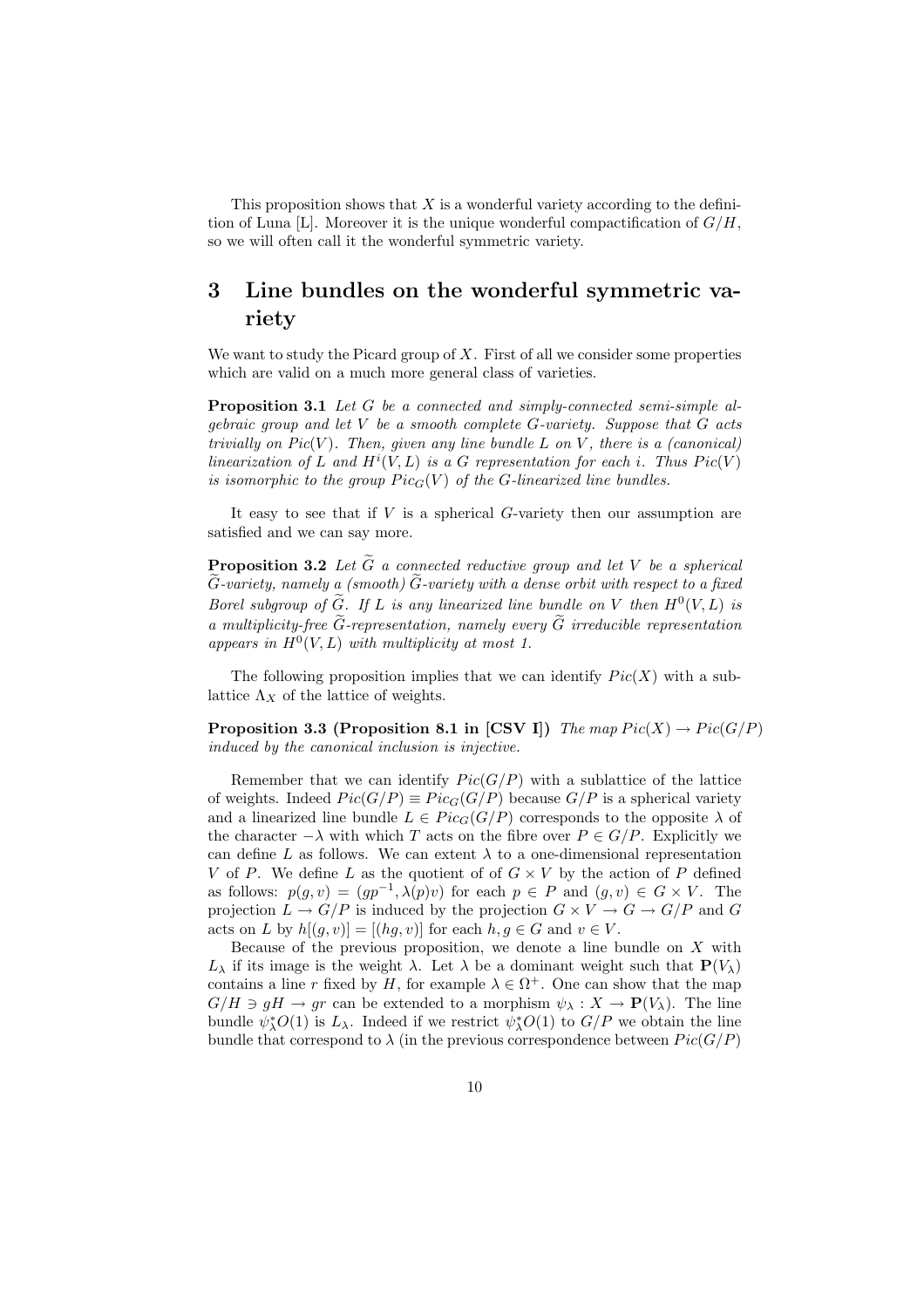This proposition shows that  $X$  is a wonderful variety according to the definition of Luna [L]. Moreover it is the unique wonderful compactification of  $G/H$ , so we will often call it the wonderful symmetric variety.

## 3 Line bundles on the wonderful symmetric variety

We want to study the Picard group of  $X$ . First of all we consider some properties which are valid on a much more general class of varieties.

Proposition 3.1 Let G be a connected and simply-connected semi-simple algebraic group and let V be a smooth complete G-variety. Suppose that G acts trivially on  $Pic(V)$ . Then, given any line bundle L on V, there is a (canonical) linearization of L and  $H^i(V, L)$  is a G representation for each i. Thus  $Pic(V)$ is isomorphic to the group  $Pic_G(V)$  of the G-linearized line bundles.

It easy to see that if  $V$  is a spherical  $G$ -variety then our assumption are satisfied and we can say more.

**Proposition 3.2** Let  $\widetilde{G}$  a connected reductive group and let V be a spherical  $\widetilde{G}$ -variety, namely a (smooth)  $\widetilde{G}$ -variety with a dense orbit with respect to a fixed Borel subgroup of  $\widetilde{G}$ . If L is any linearized line bundle on V then  $H^0(V, L)$  is a multiplicity-free  $\tilde{G}$ -representation, namely every  $\tilde{G}$  irreducible representation appears in  $H^0(V, L)$  with multiplicity at most 1.

The following proposition implies that we can identify  $Pic(X)$  with a sublattice  $\Lambda_X$  of the lattice of weights.

**Proposition 3.3 (Proposition 8.1 in [CSV I])** The map  $Pic(X) \rightarrow Pic(G/P)$ induced by the canonical inclusion is injective.

Remember that we can identify  $Pic(G/P)$  with a sublattice of the lattice of weights. Indeed  $Pic(G/P) \equiv Pic_G(G/P)$  because  $G/P$  is a spherical variety and a linearized line bundle  $L \in Pic_G(G/P)$  corresponds to the opposite  $\lambda$  of the character  $-\lambda$  with which T acts on the fibre over  $P \in G/P$ . Explicitly we can define L as follows. We can extent  $\lambda$  to a one-dimensional representation V of P. We define L as the quotient of of  $G \times V$  by the action of P defined as follows:  $p(g, v) = (gp^{-1}, \lambda(p)v)$  for each  $p \in P$  and  $(g, v) \in G \times V$ . The projection  $L \to G/P$  is induced by the projection  $G \times V \to G \to G/P$  and G acts on L by  $h[(q, v)] = [(hg, v)]$  for each  $h, g \in G$  and  $v \in V$ .

Because of the previous proposition, we denote a line bundle on  $X$  with  $L_{\lambda}$  if its image is the weight  $\lambda$ . Let  $\lambda$  be a dominant weight such that  $\mathbf{P}(V_{\lambda})$ contains a line r fixed by H, for example  $\lambda \in \Omega^+$ . One can show that the map  $G/H \ni gH \to gr$  can be extended to a morphism  $\psi_{\lambda}: X \to \mathbf{P}(V_{\lambda})$ . The line bundle  $\psi_{\lambda}^*O(1)$  is  $L_{\lambda}$ . Indeed if we restrict  $\psi_{\lambda}^*O(1)$  to  $G/P$  we obtain the line bundle that correspond to  $\lambda$  (in the previous correspondence between  $Pic(G/P)$ )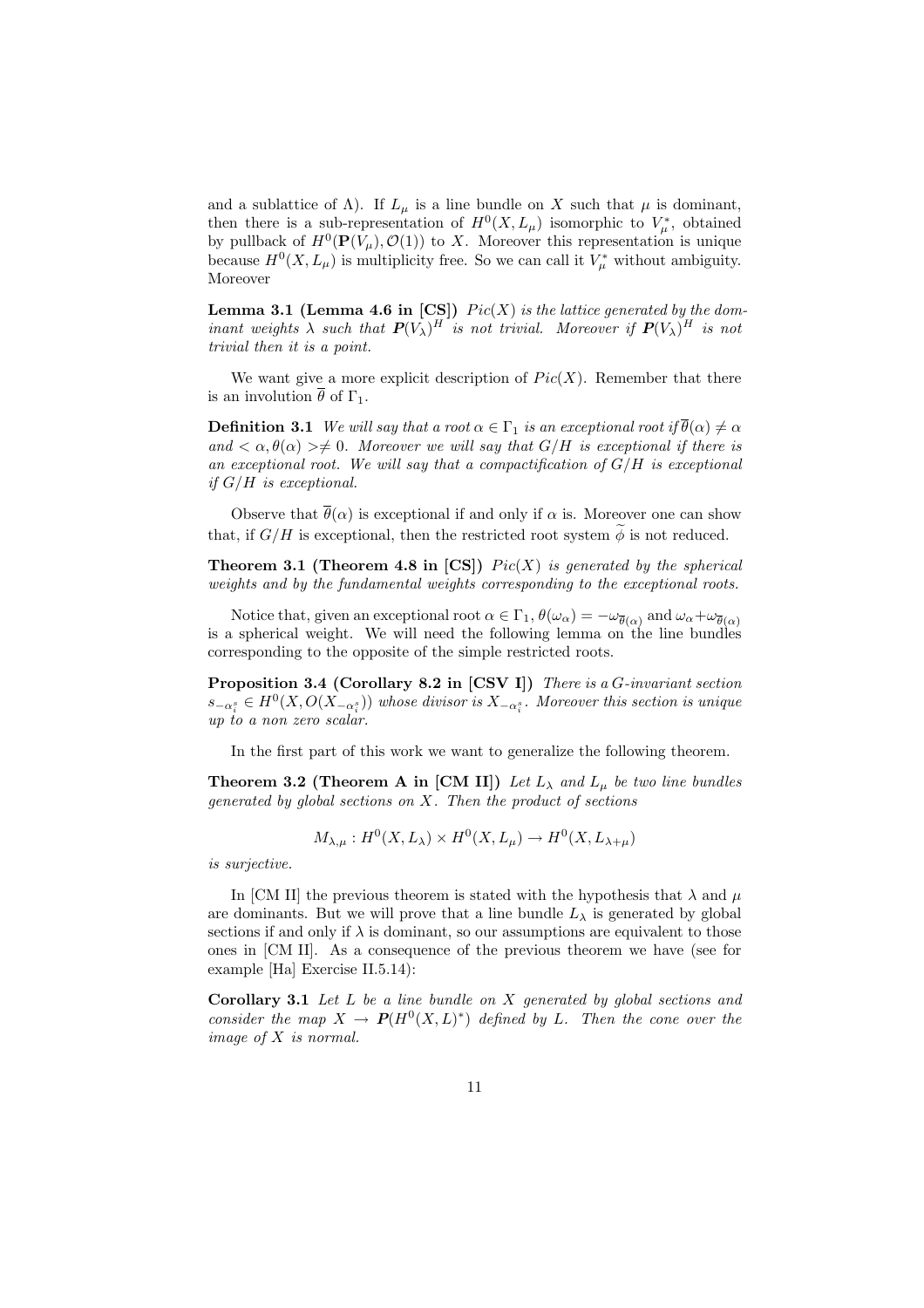and a sublattice of  $\Lambda$ ). If  $L_{\mu}$  is a line bundle on X such that  $\mu$  is dominant, then there is a sub-representation of  $H^0(X, L_\mu)$  isomorphic to  $V_\mu^*$ , obtained by pullback of  $H^0(\mathbf{P}(V_\mu), \mathcal{O}(1))$  to X. Moreover this representation is unique because  $H^0(X, L_\mu)$  is multiplicity free. So we can call it  $V_\mu^*$  without ambiguity. Moreover

**Lemma 3.1 (Lemma 4.6 in [CS])**  $Pic(X)$  is the lattice generated by the dominant weights  $\lambda$  such that  $P(V_\lambda)^H$  is not trivial. Moreover if  $P(V_\lambda)^H$  is not trivial then it is a point.

We want give a more explicit description of  $Pic(X)$ . Remember that there is an involution  $\theta$  of  $\Gamma_1$ .

**Definition 3.1** We will say that a root  $\alpha \in \Gamma_1$  is an exceptional root if  $\overline{\theta}(\alpha) \neq \alpha$ and  $\langle \alpha, \theta(\alpha) \rangle \neq 0$ . Moreover we will say that  $G/H$  is exceptional if there is an exceptional root. We will say that a compactification of  $G/H$  is exceptional if  $G/H$  is exceptional.

Observe that  $\bar{\theta}(\alpha)$  is exceptional if and only if  $\alpha$  is. Moreover one can show that, if  $G/H$  is exceptional, then the restricted root system  $\widetilde{\phi}$  is not reduced.

**Theorem 3.1 (Theorem 4.8 in [CS])**  $Pic(X)$  is generated by the spherical weights and by the fundamental weights corresponding to the exceptional roots.

Notice that, given an exceptional root  $\alpha \in \Gamma_1$ ,  $\theta(\omega_\alpha) = -\omega_{\overline{\theta}(\alpha)}$  and  $\omega_\alpha + \omega_{\overline{\theta}(\alpha)}$ is a spherical weight. We will need the following lemma on the line bundles corresponding to the opposite of the simple restricted roots.

Proposition 3.4 (Corollary 8.2 in [CSV I]) There is a G-invariant section  $s_{-\alpha_i^s} \in H^0(X, O(X_{-\alpha_i^s}))$  whose divisor is  $X_{-\alpha_i^s}$ . Moreover this section is unique up to a non zero scalar.

In the first part of this work we want to generalize the following theorem.

**Theorem 3.2 (Theorem A in [CM II])** Let  $L_{\lambda}$  and  $L_{\mu}$  be two line bundles generated by global sections on X. Then the product of sections

$$
M_{\lambda,\mu}: H^0(X, L_\lambda) \times H^0(X, L_\mu) \to H^0(X, L_{\lambda+\mu})
$$

is surjective.

In [CM II] the previous theorem is stated with the hypothesis that  $\lambda$  and  $\mu$ are dominants. But we will prove that a line bundle  $L_{\lambda}$  is generated by global sections if and only if  $\lambda$  is dominant, so our assumptions are equivalent to those ones in [CM II]. As a consequence of the previous theorem we have (see for example [Ha] Exercise II.5.14):

**Corollary 3.1** Let  $L$  be a line bundle on  $X$  generated by global sections and consider the map  $X \to P(H^0(X, L)^*)$  defined by L. Then the cone over the image of X is normal.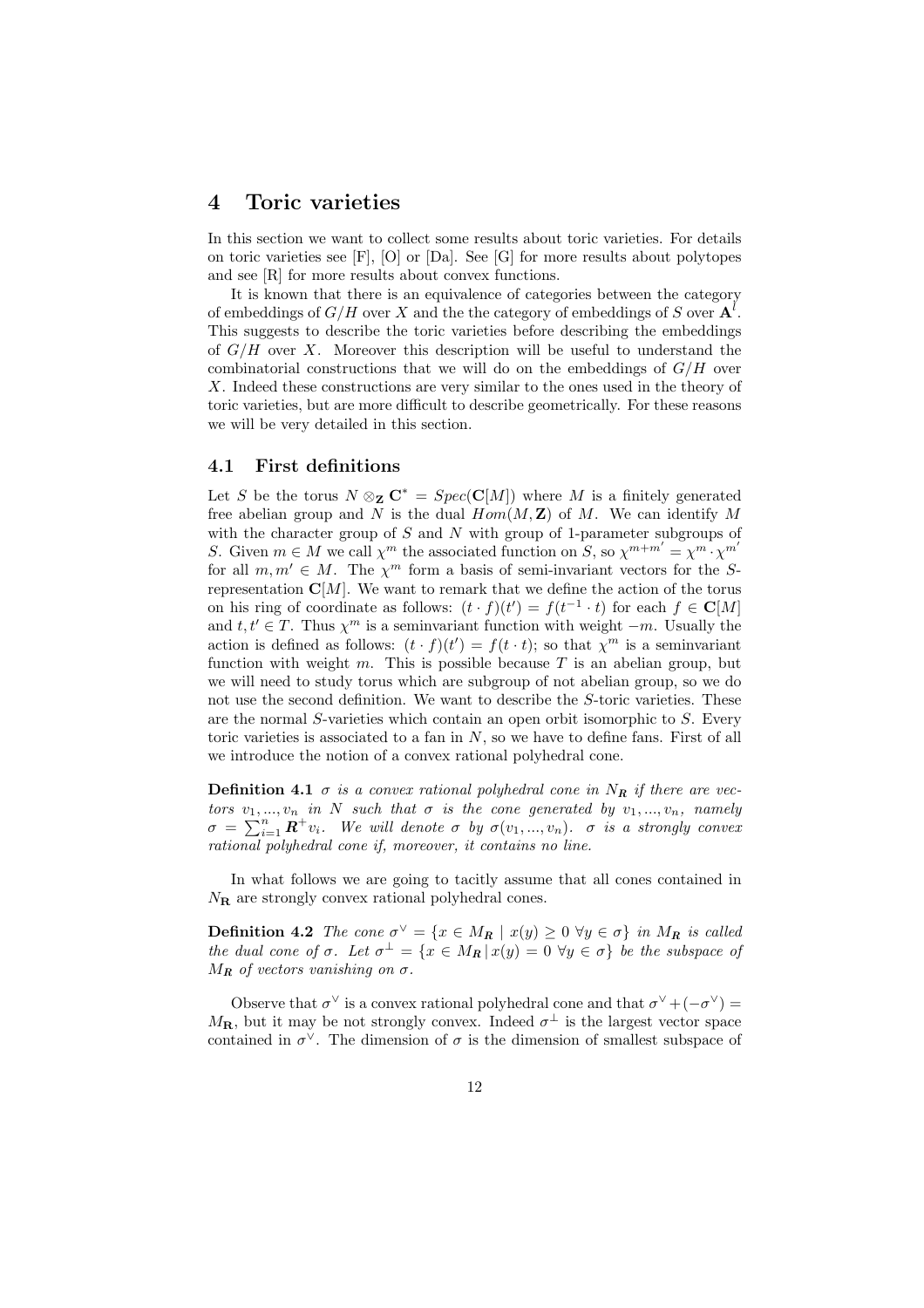### 4 Toric varieties

In this section we want to collect some results about toric varieties. For details on toric varieties see [F], [O] or [Da]. See [G] for more results about polytopes and see [R] for more results about convex functions.

It is known that there is an equivalence of categories between the category of embeddings of  $G/H$  over X and the the category of embeddings of S over  $\mathbf{A}^{l}$ . This suggests to describe the toric varieties before describing the embeddings of  $G/H$  over X. Moreover this description will be useful to understand the combinatorial constructions that we will do on the embeddings of  $G/H$  over X. Indeed these constructions are very similar to the ones used in the theory of toric varieties, but are more difficult to describe geometrically. For these reasons we will be very detailed in this section.

#### 4.1 First definitions

Let S be the torus  $N \otimes_{\mathbf{Z}} \mathbf{C}^* = Spec(\mathbf{C}[M])$  where M is a finitely generated free abelian group and N is the dual  $Hom(M, \mathbb{Z})$  of M. We can identify M with the character group of  $S$  and  $N$  with group of 1-parameter subgroups of S. Given  $m \in M$  we call  $\chi^m$  the associated function on S, so  $\chi^{m+m'} = \chi^m \cdot \chi^{m'}$ for all  $m, m' \in M$ . The  $\chi^m$  form a basis of semi-invariant vectors for the Srepresentation  $\mathbf{C}[M]$ . We want to remark that we define the action of the torus on his ring of coordinate as follows:  $(t \cdot f)(t') = f(t^{-1} \cdot t)$  for each  $f \in \mathbb{C}[M]$ and  $t, t' \in T$ . Thus  $\chi^m$  is a seminvariant function with weight  $-m$ . Usually the action is defined as follows:  $(t \cdot f)(t') = f(t \cdot t)$ ; so that  $\chi^m$  is a seminvariant function with weight  $m$ . This is possible because  $T$  is an abelian group, but we will need to study torus which are subgroup of not abelian group, so we do not use the second definition. We want to describe the S-toric varieties. These are the normal S-varieties which contain an open orbit isomorphic to S. Every toric varieties is associated to a fan in  $N$ , so we have to define fans. First of all we introduce the notion of a convex rational polyhedral cone.

**Definition 4.1**  $\sigma$  is a convex rational polyhedral cone in  $N_R$  if there are vectors  $v_1, ..., v_n$  in N such that  $\sigma$  is the cone generated by  $v_1, ..., v_n$ , namely tors  $v_1, ..., v_n$  in *N* such that  $\sigma$  is the cone generated by  $v_1, ..., v_n$ , namely  $\sigma = \sum_{i=1}^n \mathbf{R}^+ v_i$ . We will denote  $\sigma$  by  $\sigma(v_1, ..., v_n)$ .  $\sigma$  is a strongly convex rational polyhedral cone if, moreover, it contains no line.

In what follows we are going to tacitly assume that all cones contained in  $N_{\rm R}$  are strongly convex rational polyhedral cones.

**Definition 4.2** The cone  $\sigma^{\vee} = \{x \in M_{R} \mid x(y) \ge 0 \,\forall y \in \sigma\}$  in  $M_{R}$  is called the dual cone of  $\sigma$ . Let  $\sigma^{\perp} = \{x \in M_{\mathbf{R}} | x(y) = 0 \ \forall y \in \sigma\}$  be the subspace of  $M_R$  of vectors vanishing on  $\sigma$ .

Observe that  $\sigma^{\vee}$  is a convex rational polyhedral cone and that  $\sigma^{\vee} + (-\sigma^{\vee}) =$  $M_{\mathbf{R}}$ , but it may be not strongly convex. Indeed  $\sigma^{\perp}$  is the largest vector space contained in  $\sigma^{\vee}$ . The dimension of  $\sigma$  is the dimension of smallest subspace of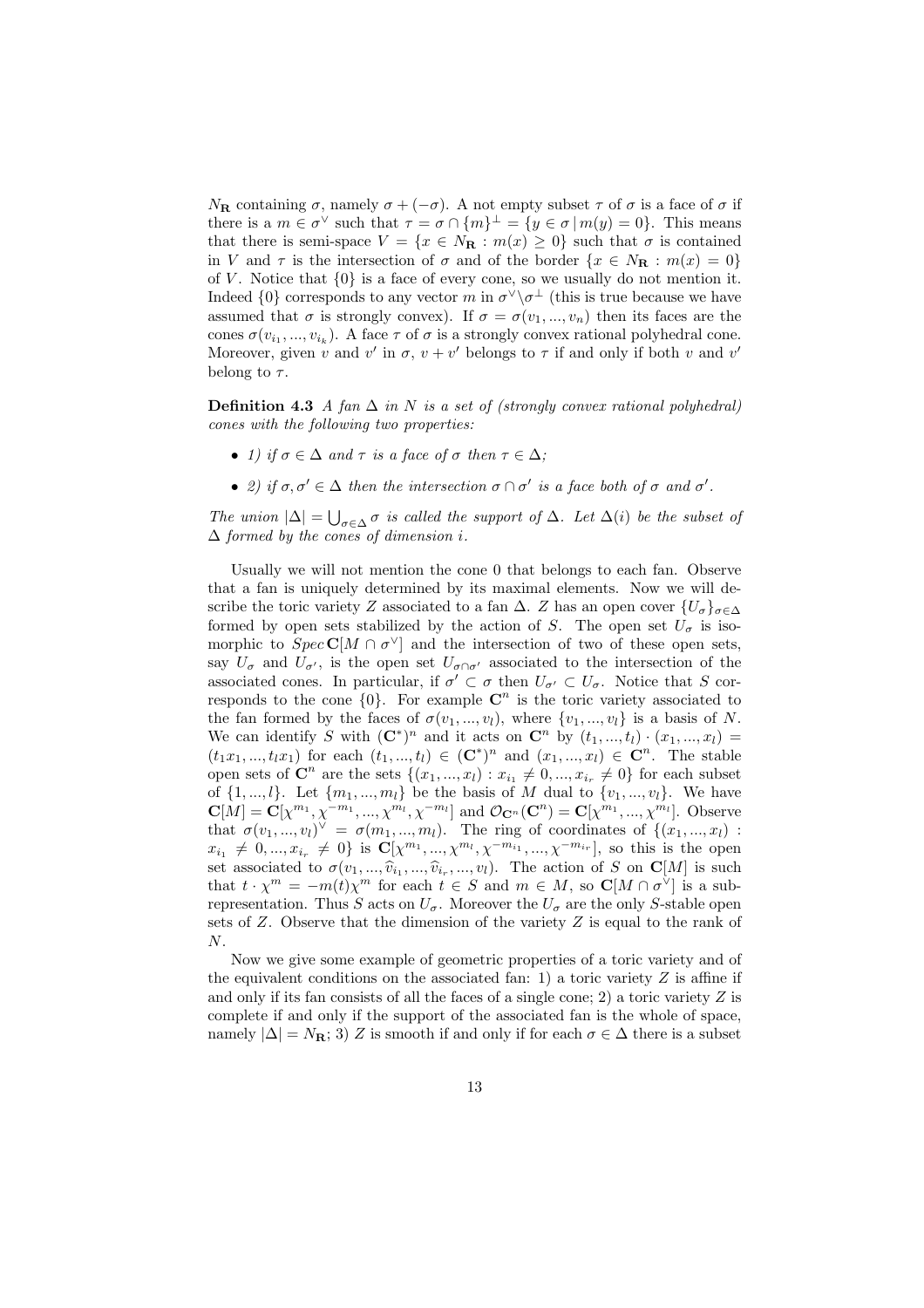$N_{\mathbf{R}}$  containing  $\sigma$ , namely  $\sigma + (-\sigma)$ . A not empty subset  $\tau$  of  $\sigma$  is a face of  $\sigma$  if there is a  $m \in \sigma^{\vee}$  such that  $\tau = \sigma \cap \{m\}^{\perp} = \{y \in \sigma | m(y) = 0\}$ . This means that there is semi-space  $V = \{x \in N_{\mathbf{R}} : m(x) \geq 0\}$  such that  $\sigma$  is contained in V and  $\tau$  is the intersection of  $\sigma$  and of the border  $\{x \in N_{\mathbf{R}} : m(x) = 0\}$ of V. Notice that  $\{0\}$  is a face of every cone, so we usually do not mention it. Indeed  $\{0\}$  corresponds to any vector m in  $\sigma^{\vee}\setminus\sigma^{\perp}$  (this is true because we have assumed that  $\sigma$  is strongly convex). If  $\sigma = \sigma(v_1, ..., v_n)$  then its faces are the cones  $\sigma(v_{i_1},...,v_{i_k})$ . A face  $\tau$  of  $\sigma$  is a strongly convex rational polyhedral cone. Moreover, given v and v' in  $\sigma$ ,  $v + v'$  belongs to  $\tau$  if and only if both v and v' belong to  $\tau$ .

**Definition 4.3** A fan  $\Delta$  in N is a set of (strongly convex rational polyhedral) cones with the following two properties:

- 1) if  $\sigma \in \Delta$  and  $\tau$  is a face of  $\sigma$  then  $\tau \in \Delta$ ;
- 2) if  $\sigma, \sigma' \in \Delta$  then the intersection  $\sigma \cap \sigma'$  is a face both of  $\sigma$  and  $\sigma'$ .

The union  $|\Delta| = \bigcup_{\sigma \in \Delta} \sigma$  is called the support of  $\Delta$ . Let  $\Delta(i)$  be the subset of  $\Delta$  formed by the cones of dimension i.

Usually we will not mention the cone 0 that belongs to each fan. Observe that a fan is uniquely determined by its maximal elements. Now we will describe the toric variety Z associated to a fan  $\Delta$ . Z has an open cover  $\{U_{\sigma}\}_{{\sigma}\in\Delta}$ formed by open sets stabilized by the action of S. The open set  $U_{\sigma}$  is isomorphic to  $Spec \mathbb{C}[M \cap \sigma^{\vee}]$  and the intersection of two of these open sets, say  $U_{\sigma}$  and  $U_{\sigma'}$ , is the open set  $U_{\sigma \cap \sigma'}$  associated to the intersection of the associated cones. In particular, if  $\sigma' \subset \sigma$  then  $U_{\sigma'} \subset U_{\sigma}$ . Notice that S corresponds to the cone  $\{0\}$ . For example  $\mathbb{C}^n$  is the toric variety associated to the fan formed by the faces of  $\sigma(v_1, ..., v_l)$ , where  $\{v_1, ..., v_l\}$  is a basis of N. We can identify S with  $(\mathbb{C}^*)^n$  and it acts on  $\mathbb{C}^n$  by  $(t_1, ..., t_l) \cdot (x_1, ..., x_l) =$  $(t_1x_1, ..., t_lx_1)$  for each  $(t_1, ..., t_l) \in (\mathbb{C}^*)^n$  and  $(x_1, ..., x_l) \in \mathbb{C}^n$ . The stable open sets of  $\mathbb{C}^n$  are the sets  $\{(x_1, ..., x_l) : x_{i_1} \neq 0, ..., x_{i_r} \neq 0\}$  for each subset of  $\{1, ..., l\}$ . Let  $\{m_1, ..., m_l\}$  be the basis of M dual to  $\{v_1, ..., v_l\}$ . We have  ${\bf C}[M]={\bf C}[\chi^{m_1},\chi^{-m_1},...,\chi^{m_l},\chi^{-m_l}]$  and  $\mathcal{O}_{{\bf C}^n}({\bf C}^n)={\bf C}[\chi^{m_1},...,\chi^{m_l}].$  Observe that  $\sigma(v_1,...,v_l)^{\vee} = \sigma(m_1,...,m_l)$ . The ring of coordinates of  $\{(x_1,...,x_l):$  $x_{i_1} \neq 0, ..., x_{i_r} \neq 0$  is  $\mathbf{C}[\chi^{m_1}, ..., \chi^{m_l}, \chi^{-m_{i_1}}, ..., \chi^{-m_{i_r}}]$ , so this is the open set associated to  $\sigma(v_1, ..., \hat{v}_{i_1}, ..., \hat{v}_{i_r}, ..., v_l)$ . The action of S on C[M] is such that  $t \cdot \chi^m = -m(t)\chi^m$  for each  $t \in S$  and  $m \in M$ , so  $\mathbb{C}[M \cap \sigma^{\vee}]$  is a subrepresentation. Thus S acts on  $U_{\sigma}$ . Moreover the  $U_{\sigma}$  are the only S-stable open sets of  $Z$ . Observe that the dimension of the variety  $Z$  is equal to the rank of N.

Now we give some example of geometric properties of a toric variety and of the equivalent conditions on the associated fan: 1) a toric variety  $Z$  is affine if and only if its fan consists of all the faces of a single cone; 2) a toric variety  $Z$  is complete if and only if the support of the associated fan is the whole of space, namely  $|\Delta| = N_{\mathbf{R}}$ ; 3) Z is smooth if and only if for each  $\sigma \in \Delta$  there is a subset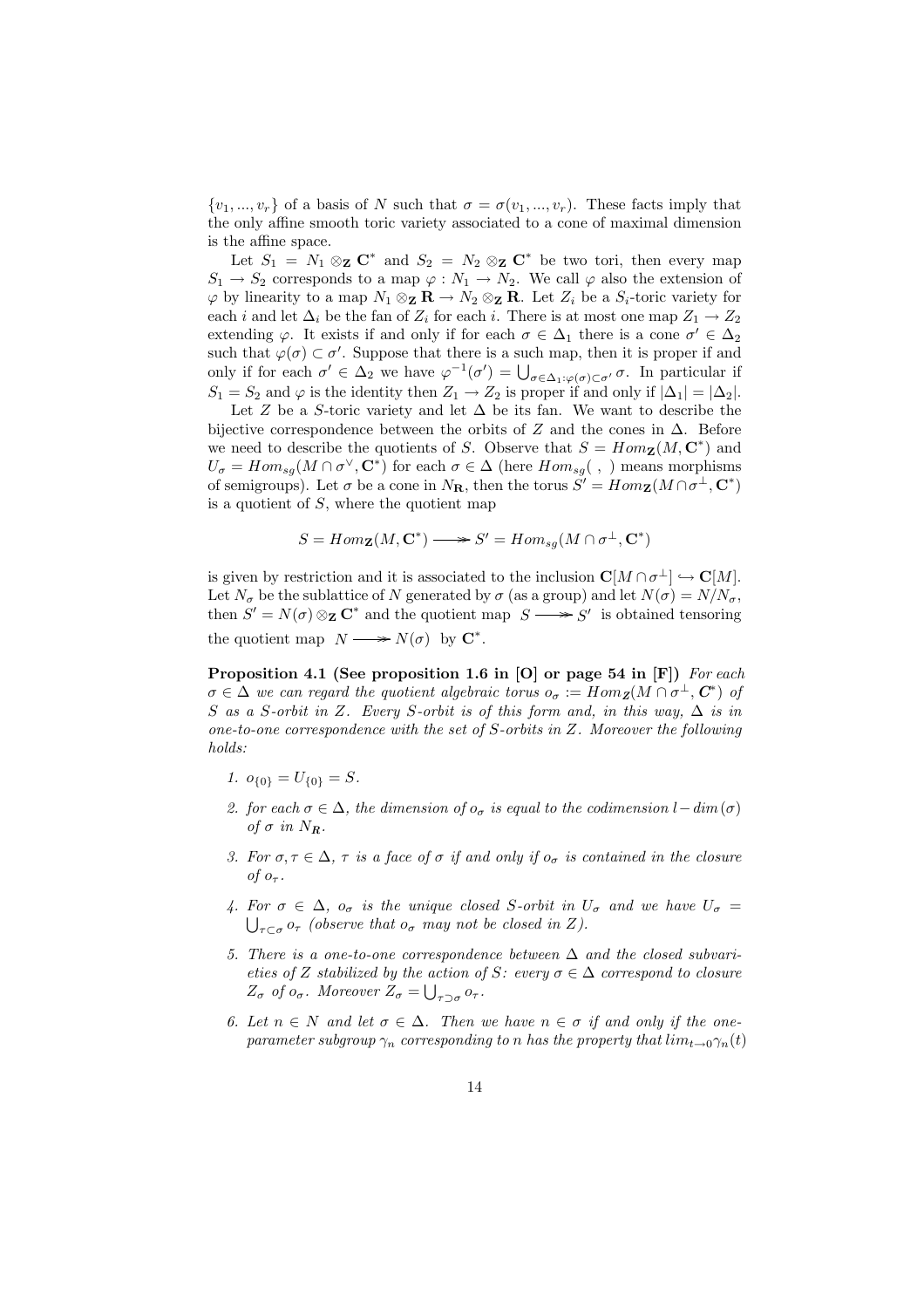$\{v_1, ..., v_r\}$  of a basis of N such that  $\sigma = \sigma(v_1, ..., v_r)$ . These facts imply that the only affine smooth toric variety associated to a cone of maximal dimension is the affine space.

Let  $S_1 = N_1 \otimes_{\mathbf{Z}} \mathbf{C}^*$  and  $S_2 = N_2 \otimes_{\mathbf{Z}} \mathbf{C}^*$  be two tori, then every map  $S_1 \rightarrow S_2$  corresponds to a map  $\varphi : N_1 \rightarrow N_2$ . We call  $\varphi$  also the extension of  $\varphi$  by linearity to a map  $N_1 \otimes_{\mathbf{Z}} \mathbf{R} \to N_2 \otimes_{\mathbf{Z}} \mathbf{R}$ . Let  $Z_i$  be a  $S_i$ -toric variety for each i and let  $\Delta_i$  be the fan of  $Z_i$  for each i. There is at most one map  $Z_1 \rightarrow Z_2$ extending  $\varphi$ . It exists if and only if for each  $\sigma \in \Delta_1$  there is a cone  $\sigma' \in \Delta_2$ such that  $\varphi(\sigma) \subset \sigma'$ . Suppose that there is a such map, then it is proper if and such that  $\varphi(\sigma) \subset \sigma$ . Suppose that there is a such map, then it is proper if and<br>only if for each  $\sigma' \in \Delta_2$  we have  $\varphi^{-1}(\sigma') = \bigcup_{\sigma \in \Delta_1: \varphi(\sigma) \subset \sigma'} \sigma$ . In particular if  $S_1 = S_2$  and  $\varphi$  is the identity then  $Z_1 \to Z_2$  is proper if and only if  $|\Delta_1| = |\Delta_2|$ .

Let Z be a S-toric variety and let  $\Delta$  be its fan. We want to describe the bijective correspondence between the orbits of Z and the cones in  $\Delta$ . Before we need to describe the quotients of S. Observe that  $S = Hom_{\mathbf{Z}}(M, \mathbf{C}^*)$  and  $U_{\sigma} = Hom_{sg}(M \cap \sigma^{\vee}, \mathbf{C}^*)$  for each  $\sigma \in \Delta$  (here  $Hom_{sg}( , )$ ) means morphisms of semigroups). Let  $\sigma$  be a cone in  $N_{\mathbf{R}}$ , then the torus  $S' = Hom_{\mathbf{Z}}(M \cap \sigma^{\perp}, \mathbf{C}^*)$ is a quotient of  $S$ , where the quotient map

$$
S = Hom_{\mathbf{Z}}(M, \mathbf{C}^*) \longrightarrow S' = Hom_{sg}(M \cap \sigma^{\perp}, \mathbf{C}^*)
$$

is given by restriction and it is associated to the inclusion  $\mathbf{C}[M \cap \sigma^{\perp}] \hookrightarrow \mathbf{C}[M]$ . Let  $N_{\sigma}$  be the sublattice of N generated by  $\sigma$  (as a group) and let  $N(\sigma) = N/N_{\sigma}$ , then  $S' = N(\sigma) \otimes_{\mathbf{Z}} \mathbf{C}^*$  and the quotient map  $S \longrightarrow S'$  is obtained tensoring the quotient map  $N \longrightarrow N(\sigma)$  by  $\mathbb{C}^*$ .

Proposition 4.1 (See proposition 1.6 in [O] or page 54 in [F]) For each  $\sigma \in \Delta$  we can regard the quotient algebraic torus  $o_{\sigma} := Hom_{\mathbf{Z}}(M \cap \sigma^{\perp}, \mathbf{C}^*)$  of S as a S-orbit in Z. Every S-orbit is of this form and, in this way,  $\Delta$  is in one-to-one correspondence with the set of S-orbits in Z. Moreover the following holds:

- 1.  $o_{\{0\}} = U_{\{0\}} = S$ .
- 2. for each  $\sigma \in \Delta$ , the dimension of  $o_{\sigma}$  is equal to the codimension  $l-dim(\sigma)$ of  $\sigma$  in  $N_{\rm R}$ .
- 3. For  $\sigma, \tau \in \Delta$ ,  $\tau$  is a face of  $\sigma$  if and only if  $o_{\sigma}$  is contained in the closure of  $o_{\tau}$ .
- 4. For  $\sigma \in \Delta$ ,  $o_{\sigma}$  is the unique closed S-orbit in  $U_{\sigma}$  and we have  $U_{\sigma}$  =  $\tau\subset_{\sigma}$   $o_{\tau}$  (observe that  $o_{\sigma}$  may not be closed in Z).
- 5. There is a one-to-one correspondence between  $\Delta$  and the closed subvarieties of Z stabilized by the action of S: every  $\sigma \in \Delta$  correspond to closure  $Z_{\sigma}$  of  $o_{\sigma}$ . Moreover  $Z_{\sigma} = \bigcup_{\tau \supset \sigma} o_{\tau}$ .
- 6. Let  $n \in N$  and let  $\sigma \in \Delta$ . Then we have  $n \in \sigma$  if and only if the oneparameter subgroup  $\gamma_n$  corresponding to n has the property that  $\lim_{t\to 0} \gamma_n(t)$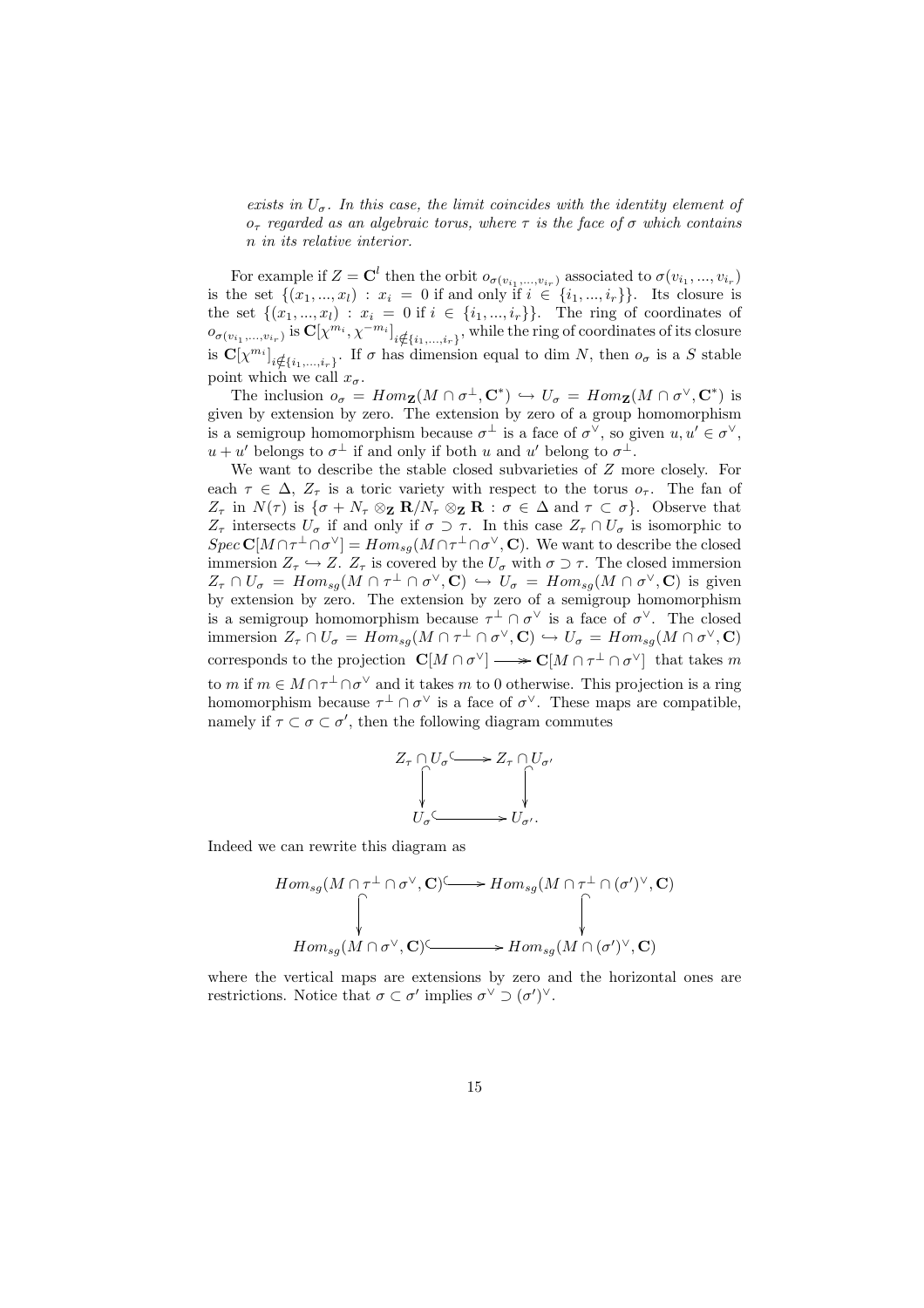exists in  $U_{\sigma}$ . In this case, the limit coincides with the identity element of  $o<sub>\tau</sub>$  regarded as an algebraic torus, where  $\tau$  is the face of  $\sigma$  which contains n in its relative interior.

For example if  $Z = \mathbf{C}^l$  then the orbit  $o_{\sigma(v_{i_1},...,v_{i_r})}$  associated to  $\sigma(v_{i_1},...,v_{i_r})$ is the set  $\{(x_1, ..., x_l) : x_i = 0 \text{ if and only if } i \in \{i_1, ..., i_r\}\}.$  Its closure is the set  $\{(x_1, ..., x_l) : x_i = 0 \text{ if } i \in \{i_1, ..., i_r\}\}.$  The ring of coordinates of  $o_{\sigma(v_{i_1},...,v_{i_r})}$  is  $\mathbf{C}[\chi^{m_i},\chi^{-m_i}]_{i\notin \{i_1,...,i_r\}}$ , while the ring of coordinates of its closure is  $\mathbf{C}[\chi^{m_i}]_{i \notin \{i_1,\ldots,i_r\}}$ . If  $\sigma$  has dimension equal to dim N, then  $o_{\sigma}$  is a S stable point which we call  $x_{\sigma}$ .

The inclusion  $o_{\sigma} = Hom_{\mathbf{Z}}(M \cap \sigma^{\perp}, \mathbf{C}^*) \hookrightarrow U_{\sigma} = Hom_{\mathbf{Z}}(M \cap \sigma^{\vee}, \mathbf{C}^*)$  is given by extension by zero. The extension by zero of a group homomorphism is a semigroup homomorphism because  $\sigma^{\perp}$  is a face of  $\sigma^{\vee}$ , so given  $u, u' \in \sigma^{\vee}$ ,  $u + u'$  belongs to  $\sigma^{\perp}$  if and only if both u and u' belong to  $\sigma^{\perp}$ .

We want to describe the stable closed subvarieties of  $Z$  more closely. For each  $\tau \in \Delta$ ,  $Z_{\tau}$  is a toric variety with respect to the torus  $o_{\tau}$ . The fan of  $Z_{\tau}$  in  $N(\tau)$  is  $\{\sigma + N_{\tau} \otimes_{\mathbf{Z}} \mathbf{R}/N_{\tau} \otimes_{\mathbf{Z}} \mathbf{R} : \sigma \in \Delta \text{ and } \tau \subset \sigma\}.$  Observe that  $Z_{\tau}$  intersects  $U_{\sigma}$  if and only if  $\sigma \supset \tau$ . In this case  $Z_{\tau} \cap U_{\sigma}$  is isomorphic to  $Spec \mathbf{C}[M \cap \tau^{\perp} \cap \sigma^{\vee}] = Hom_{sg}(M \cap \tau^{\perp} \cap \sigma^{\vee}, \mathbf{C})$ . We want to describe the closed immersion  $Z_{\tau} \hookrightarrow Z$ .  $Z_{\tau}$  is covered by the  $U_{\sigma}$  with  $\sigma \supset \tau$ . The closed immersion  $Z_{\tau} \cap U_{\sigma} = Hom_{sg}(M \cap \tau^{\perp} \cap \sigma^{\vee}, \mathbf{C}) \hookrightarrow U_{\sigma} = Hom_{sg}(M \cap \sigma^{\vee}, \mathbf{C})$  is given by extension by zero. The extension by zero of a semigroup homomorphism is a semigroup homomorphism because  $\tau^{\perp} \cap \sigma^{\vee}$  is a face of  $\sigma^{\vee}$ . The closed immersion  $Z_{\tau} \cap U_{\sigma} = Hom_{sg}(M \cap \tau^{\perp} \cap \sigma^{\vee}, \mathbf{C}) \hookrightarrow U_{\sigma} = Hom_{sg}(M \cap \sigma^{\vee}, \mathbf{C})$ corresponds to the projection  $\mathbf{C}[M \cap \sigma^{\vee}] \longrightarrow \mathbf{C}[M \cap \tau^{\perp} \cap \sigma^{\vee}]$  that takes m to m if  $m \in M \cap \tau^{\perp} \cap \sigma^{\vee}$  and it takes m to 0 otherwise. This projection is a ring homomorphism because  $\tau^{\perp} \cap \sigma^{\vee}$  is a face of  $\sigma^{\vee}$ . These maps are compatible, namely if  $\tau \subset \sigma \subset \sigma'$ , then the following diagram commutes

$$
Z_{\tau} \cap U_{\sigma} \longrightarrow Z_{\tau} \cap U_{\sigma'}
$$
  

$$
\downarrow \qquad \qquad \downarrow
$$
  

$$
U_{\sigma} \longleftarrow \qquad \qquad \downarrow
$$
  

$$
U_{\sigma'} \longleftarrow \qquad \qquad U_{\sigma'}.
$$

Indeed we can rewrite this diagram as

$$
Hom_{sg}(M \cap \tau^{\perp} \cap \sigma^{\vee}, \mathbf{C}) \longrightarrow Hom_{sg}(M \cap \tau^{\perp} \cap (\sigma')^{\vee}, \mathbf{C})
$$
  
\n
$$
\uparrow \qquad \qquad \downarrow
$$
  
\n
$$
Hom_{sg}(M \cap \sigma^{\vee}, \mathbf{C}) \longrightarrow Hom_{sg}(M \cap (\sigma')^{\vee}, \mathbf{C})
$$

where the vertical maps are extensions by zero and the horizontal ones are restrictions. Notice that  $\sigma \subset \sigma'$  implies  $\sigma^{\vee} \supset (\sigma')^{\vee}$ .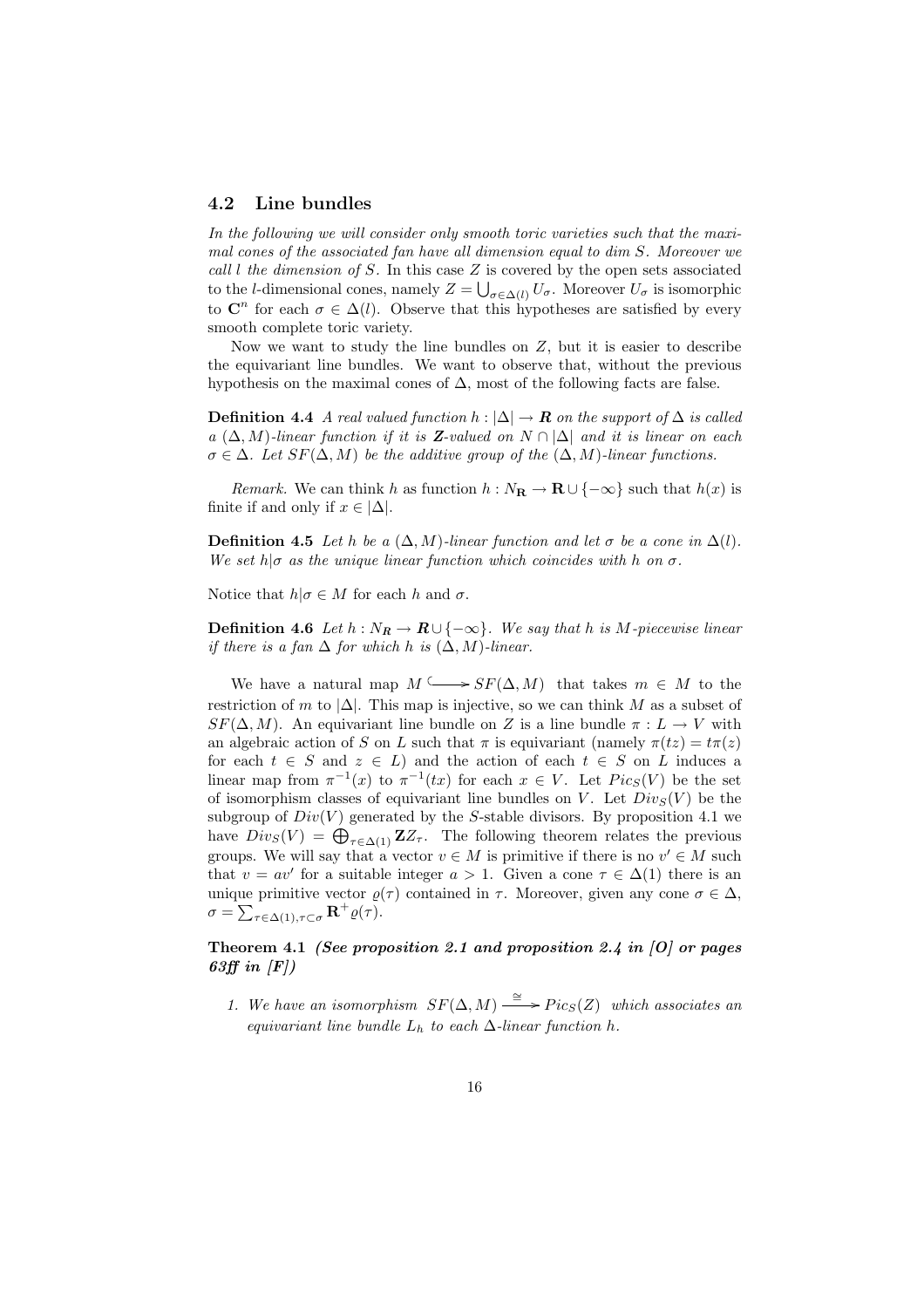#### 4.2 Line bundles

In the following we will consider only smooth toric varieties such that the maximal cones of the associated fan have all dimension equal to dim S. Moreover we call  $l$  the dimension of  $S$ . In this case  $Z$  is covered by the open sets associated to the *l*-dimensional cones, namely  $Z = \bigcup_{\sigma \in \Delta(l)} U_{\sigma}$ . Moreover  $U_{\sigma}$  is isomorphic to  $\mathbb{C}^n$  for each  $\sigma \in \Delta(l)$ . Observe that this hypotheses are satisfied by every smooth complete toric variety.

Now we want to study the line bundles on  $Z$ , but it is easier to describe the equivariant line bundles. We want to observe that, without the previous hypothesis on the maximal cones of  $\Delta$ , most of the following facts are false.

**Definition 4.4** A real valued function  $h : |\Delta| \to \mathbf{R}$  on the support of  $\Delta$  is called a  $(\Delta, M)$ -linear function if it is **Z**-valued on  $N \cap |\Delta|$  and it is linear on each  $\sigma \in \Delta$ . Let  $SF(\Delta, M)$  be the additive group of the  $(\Delta, M)$ -linear functions.

Remark. We can think h as function  $h : N_{\mathbf{R}} \to \mathbf{R} \cup \{-\infty\}$  such that  $h(x)$  is finite if and only if  $x \in |\Delta|$ .

**Definition 4.5** Let h be a  $(\Delta, M)$ -linear function and let  $\sigma$  be a cone in  $\Delta(l)$ . We set  $h|\sigma$  as the unique linear function which coincides with h on  $\sigma$ .

Notice that  $h|\sigma \in M$  for each h and  $\sigma$ .

**Definition 4.6** Let  $h : N_R \to \mathbb{R} \cup \{-\infty\}$ . We say that h is M-piecewise linear if there is a fan  $\Delta$  for which h is  $(\Delta, M)$ -linear.

We have a natural map  $M \longrightarrow SF(\Delta, M)$  that takes  $m \in M$  to the restriction of m to  $|\Delta|$ . This map is injective, so we can think M as a subset of  $SF(\Delta, M)$ . An equivariant line bundle on Z is a line bundle  $\pi : L \to V$  with an algebraic action of S on L such that  $\pi$  is equivariant (namely  $\pi(tz) = t\pi(z)$ ) for each  $t \in S$  and  $z \in L$ ) and the action of each  $t \in S$  on L induces a linear map from  $\pi^{-1}(x)$  to  $\pi^{-1}(tx)$  for each  $x \in V$ . Let  $Pic_S(V)$  be the set of isomorphism classes of equivariant line bundles on V. Let  $Div_S(V)$  be the subgroup of  $Div(V)$  generated by the S-stable divisors. By proposition 4.1 we subgroup of  $Div(V)$  generated by the 5-stable divisors. By proposition 4.1 we<br>have  $Div(S(V)) = \bigoplus_{\tau \in \Delta(1)} ZZ_{\tau}$ . The following theorem relates the previous groups. We will say that a vector  $v \in M$  is primitive if there is no  $v' \in M$  such that  $v = av'$  for a suitable integer  $a > 1$ . Given a cone  $\tau \in \Delta(1)$  there is an unique primitive vector  $\varrho(\tau)$  contained in  $\tau$ . Moreover, given any cone  $\sigma \in \Delta$ ,  $\sigma = \sum_{\tau \in \Delta(1), \tau \subset \sigma} \mathbf{R}^+ \varrho(\tau).$ 

#### Theorem 4.1 (See proposition 2.1 and proposition 2.4 in  $[0]$  or pages 63ff in  $|F|$ )

1. We have an isomorphism  $SF(\Delta, M) \xrightarrow{\cong} Pic_S(Z)$  which associates an equivariant line bundle  $L_h$  to each  $\Delta$ -linear function h.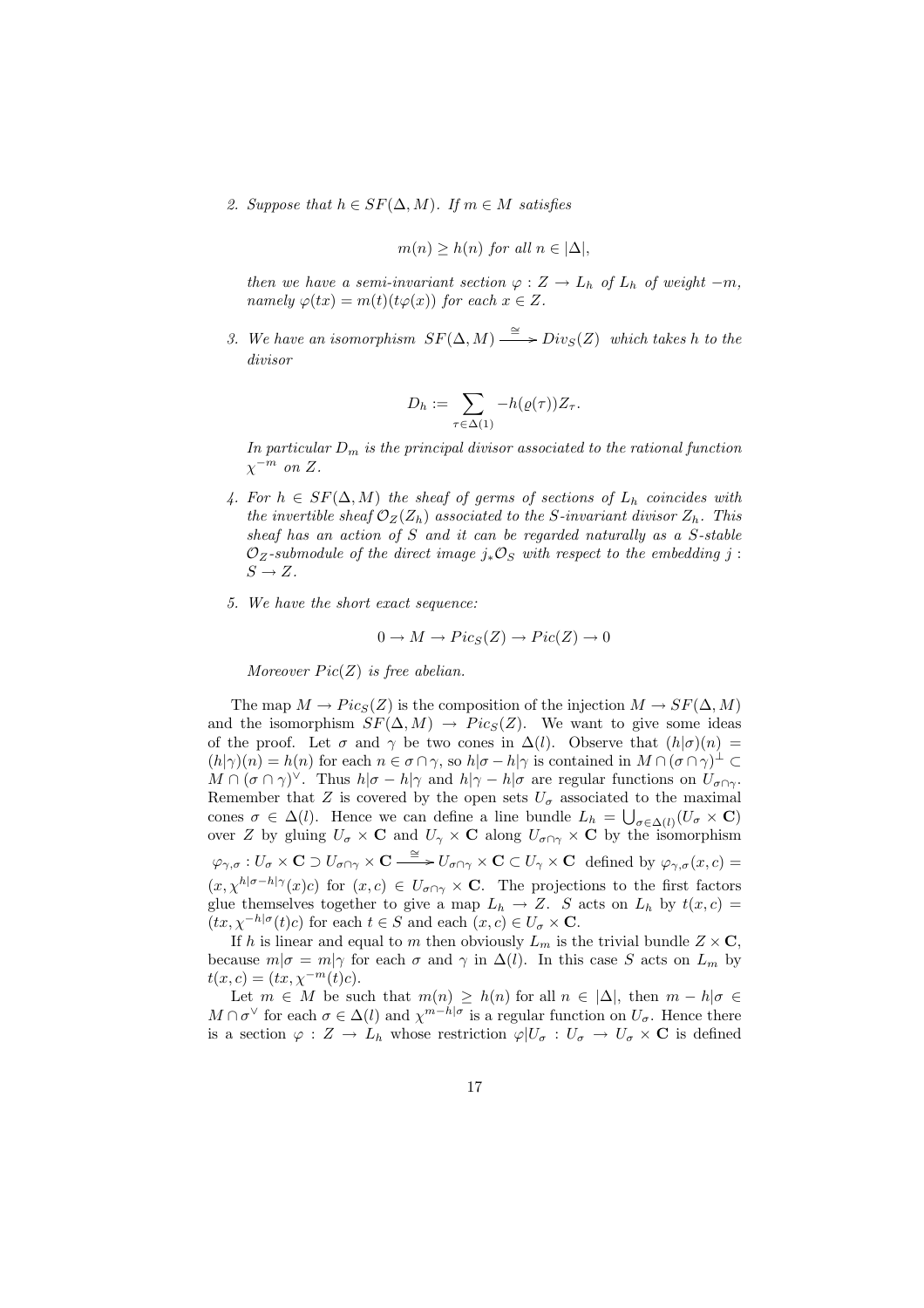2. Suppose that  $h \in SF(\Delta, M)$ . If  $m \in M$  satisfies

$$
m(n) \geq h(n)
$$
 for all  $n \in |\Delta|$ ,

then we have a semi-invariant section  $\varphi: Z \to L_h$  of  $L_h$  of weight  $-m$ , namely  $\varphi(tx) = m(t)(t\varphi(x))$  for each  $x \in Z$ .

3. We have an isomorphism  $SF(\Delta, M) \stackrel{\cong}{\longrightarrow} Div_S(Z)$  which takes h to the divisor

$$
D_h := \sum_{\tau \in \Delta(1)} -h(\varrho(\tau))Z_{\tau}.
$$

In particular  $D_m$  is the principal divisor associated to the rational function  $\chi^{-m}$  on Z.

- 4. For  $h \in SF(\Delta, M)$  the sheaf of germs of sections of  $L_h$  coincides with the invertible sheaf  $\mathcal{O}_Z(Z_h)$  associated to the S-invariant divisor  $Z_h$ . This sheaf has an action of S and it can be regarded naturally as a S-stable  $\mathcal{O}_Z$ -submodule of the direct image  $j_*\mathcal{O}_S$  with respect to the embedding j:  $S \to Z$ .
- 5. We have the short exact sequence:

$$
0 \to M \to Pic_S(Z) \to Pic(Z) \to 0
$$

Moreover  $Pic(Z)$  is free abelian.

The map  $M \to Pic_S(Z)$  is the composition of the injection  $M \to SF(\Delta, M)$ and the isomorphism  $SF(\Delta, M) \rightarrow Pic_S(Z)$ . We want to give some ideas of the proof. Let  $\sigma$  and  $\gamma$  be two cones in  $\Delta(l)$ . Observe that  $(h|\sigma)(n)$  =  $(h|\gamma)(n) = h(n)$  for each  $n \in \sigma \cap \gamma$ , so  $h|\sigma - h|\gamma$  is contained in  $M \cap (\sigma \cap \gamma)^{\perp} \subset$  $M \cap (\sigma \cap \gamma)^{\vee}$ . Thus  $h|\sigma - h|\gamma$  and  $h|\gamma - h|\sigma$  are regular functions on  $U_{\sigma \cap \gamma}$ . Remember that Z is covered by the open sets  $U_{\sigma}$  associated to the maximal cones  $\sigma \in \Delta(l)$ . Hence we can define a line bundle  $L_h = \bigcup_{\sigma \in \Delta(l)} (U_\sigma \times \mathbf{C})$ over Z by gluing  $U_{\sigma} \times \mathbf{C}$  and  $U_{\gamma} \times \mathbf{C}$  along  $U_{\sigma \cap \gamma} \times \mathbf{C}$  by the isomorphism  $\varphi_{\gamma,\sigma}: U_{\sigma}\times{\bf C}\supset U_{\sigma\cap\gamma}\times{\bf C}\stackrel{\cong}{\longrightarrow} U_{\sigma\cap\gamma}\times{\bf C}\subset U_{\gamma}\times{\bf C}\;\;$  defined by  $\varphi_{\gamma,\sigma}(x,c)=$  $(x, \chi^{h|\sigma-h|\gamma}(x)c)$  for  $(x, c) \in U_{\sigma \cap \gamma} \times \mathbb{C}$ . The projections to the first factors glue themselves together to give a map  $L_h \rightarrow Z$ . S acts on  $L_h$  by  $t(x, c)$  =  $(tx, \chi^{-h|\sigma}(t)c)$  for each  $t \in S$  and each  $(x, c) \in U_{\sigma} \times \mathbf{C}$ .

If h is linear and equal to m then obviously  $L_m$  is the trivial bundle  $Z \times \mathbf{C}$ , because  $m|\sigma = m|\gamma$  for each  $\sigma$  and  $\gamma$  in  $\Delta(l)$ . In this case S acts on  $L_m$  by  $t(x, c) = (tx, \chi^{-m}(t)c).$ 

Let  $m \in M$  be such that  $m(n) \geq h(n)$  for all  $n \in |\Delta|$ , then  $m - h|\sigma \in$  $M \cap \sigma^{\vee}$  for each  $\sigma \in \Delta(l)$  and  $\chi^{m-h|\sigma}$  is a regular function on  $U_{\sigma}$ . Hence there is a section  $\varphi: Z \to L_h$  whose restriction  $\varphi | U_{\sigma}: U_{\sigma} \to U_{\sigma} \times \mathbf{C}$  is defined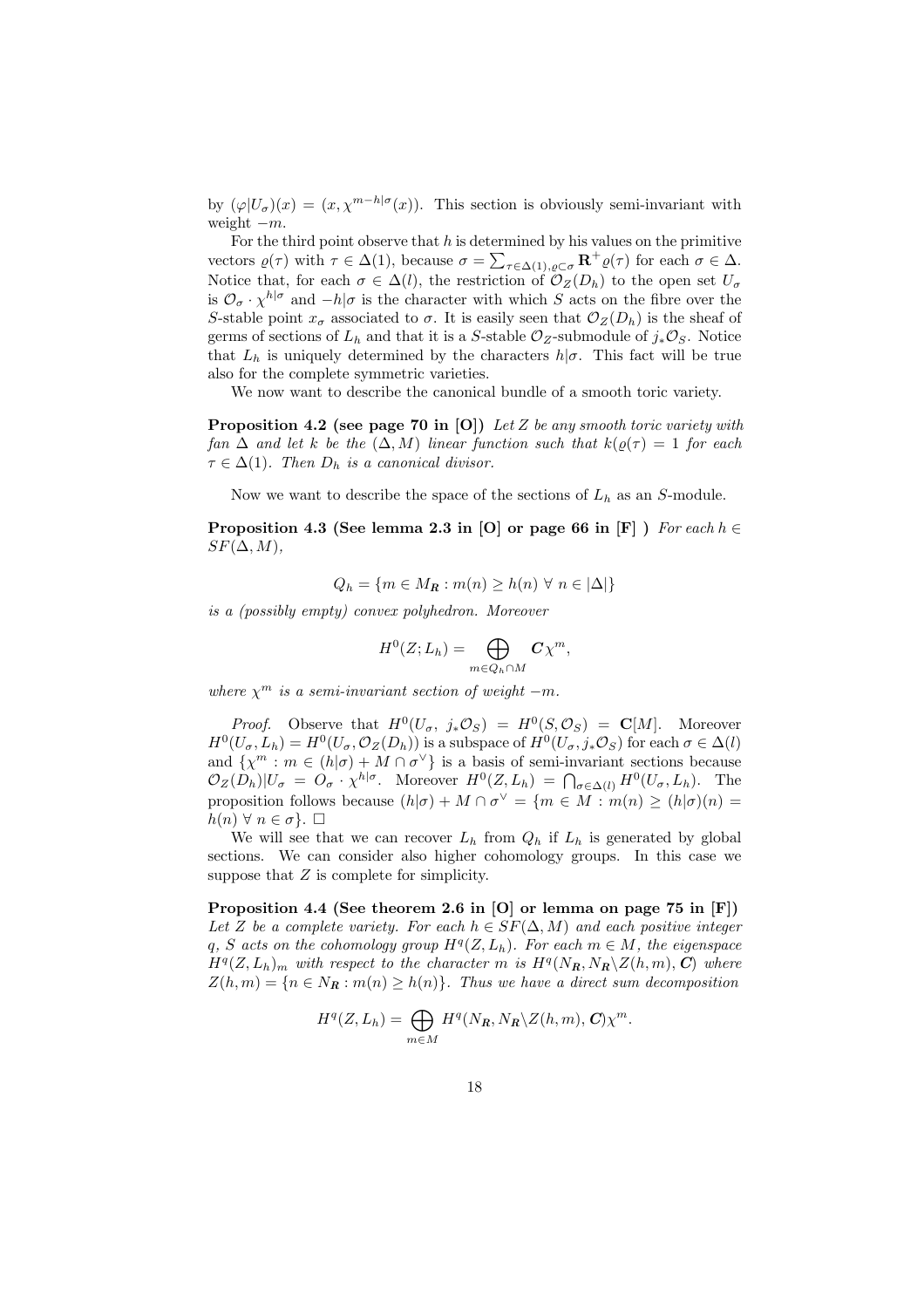by  $(\varphi|U_{\sigma})(x) = (x, \chi^{m-h|\sigma}(x))$ . This section is obviously semi-invariant with weight  $-m$ .

For the third point observe that h is determined by his values on the primitive vectors  $\varrho(\tau)$  with  $\tau \in \Delta(1)$ , because  $\sigma = \sum_{\tau \in \Delta(1), \varrho \subset \sigma} \mathbf{R}^+ \varrho(\tau)$  for each  $\sigma \in \Delta$ . Notice that, for each  $\sigma \in \Delta(l)$ , the restriction of  $\mathcal{O}_Z(D_h)$  to the open set  $U_{\sigma}$ is  $\mathcal{O}_{\sigma} \cdot \chi^{h|\sigma}$  and  $-h|\sigma$  is the character with which S acts on the fibre over the S-stable point  $x_{\sigma}$  associated to  $\sigma$ . It is easily seen that  $\mathcal{O}_Z(D_h)$  is the sheaf of germs of sections of  $L_h$  and that it is a S-stable  $\mathcal{O}_Z$ -submodule of  $j_*\mathcal{O}_S$ . Notice that  $L_h$  is uniquely determined by the characters  $h/\sigma$ . This fact will be true also for the complete symmetric varieties.

We now want to describe the canonical bundle of a smooth toric variety.

**Proposition 4.2** (see page 70 in [O]) Let Z be any smooth toric variety with fan  $\Delta$  and let k be the  $(\Delta, M)$  linear function such that  $k(\rho(\tau)) = 1$  for each  $\tau \in \Delta(1)$ . Then  $D_h$  is a canonical divisor.

Now we want to describe the space of the sections of  $L_h$  as an S-module.

Proposition 4.3 (See lemma 2.3 in [O] or page 66 in [F] ) For each  $h \in$  $SF(\Delta, M),$ 

$$
Q_h = \{ m \in M_R : m(n) \ge h(n) \ \forall \ n \in |\Delta| \}
$$

is a (possibly empty) convex polyhedron. Moreover

$$
H^0(Z;L_h) = \bigoplus_{m \in Q_h \cap M} C\chi^m,
$$

where  $\chi^m$  is a semi-invariant section of weight  $-m$ .

*Proof.* Observe that  $H^0(U_\sigma, j_*\mathcal{O}_S) = H^0(S, \mathcal{O}_S) = \mathbf{C}[M]$ . Moreover  $H^0(U_\sigma, L_h) = H^0(U_\sigma, \mathcal{O}_Z(D_h))$  is a subspace of  $H^0(U_\sigma, j_*\mathcal{O}_S)$  for each  $\sigma \in \Delta(l)$ and  $\{\chi^m : m \in (h|\sigma) + M \cap \sigma^{\vee}\}\$ is a basis of semi-invariant sections because and  $\{\chi^m : m \in (n|0) + M + o^m\}$  is a basis of semi-invariant sections because  $\mathcal{O}_Z(D_h)|U_\sigma = O_\sigma \cdot \chi^{h|\sigma}$ . Moreover  $H^0(Z, L_h) = \bigcap_{\sigma \in \Delta(l)} H^0(U_\sigma, L_h)$ . The proposition follows because  $(h|\sigma) + M \cap \sigma^{\vee} = \{m \in M : m(n) \ge (h|\sigma)(n) =$  $h(n) \forall n \in \sigma$ .  $\Box$ 

We will see that we can recover  $L_h$  from  $Q_h$  if  $L_h$  is generated by global sections. We can consider also higher cohomology groups. In this case we suppose that  $Z$  is complete for simplicity.

Proposition 4.4 (See theorem 2.6 in [O] or lemma on page 75 in [F]) Let Z be a complete variety. For each  $h \in SF(\Delta, M)$  and each positive integer q, S acts on the cohomology group  $H^q(Z, L_h)$ . For each  $m \in M$ , the eigenspace  $H^q(Z, L_h)$ <sub>m</sub> with respect to the character m is  $H^q(N_R, N_R \backslash Z(h, m), C)$  where  $Z(h,m) = \{n \in N_R : m(n) \ge h(n)\}.$  Thus we have a direct sum decomposition

$$
H^{q}(Z, L_{h}) = \bigoplus_{m \in M} H^{q}(N_{R}, N_{R} \backslash Z(h, m), C) \chi^{m}.
$$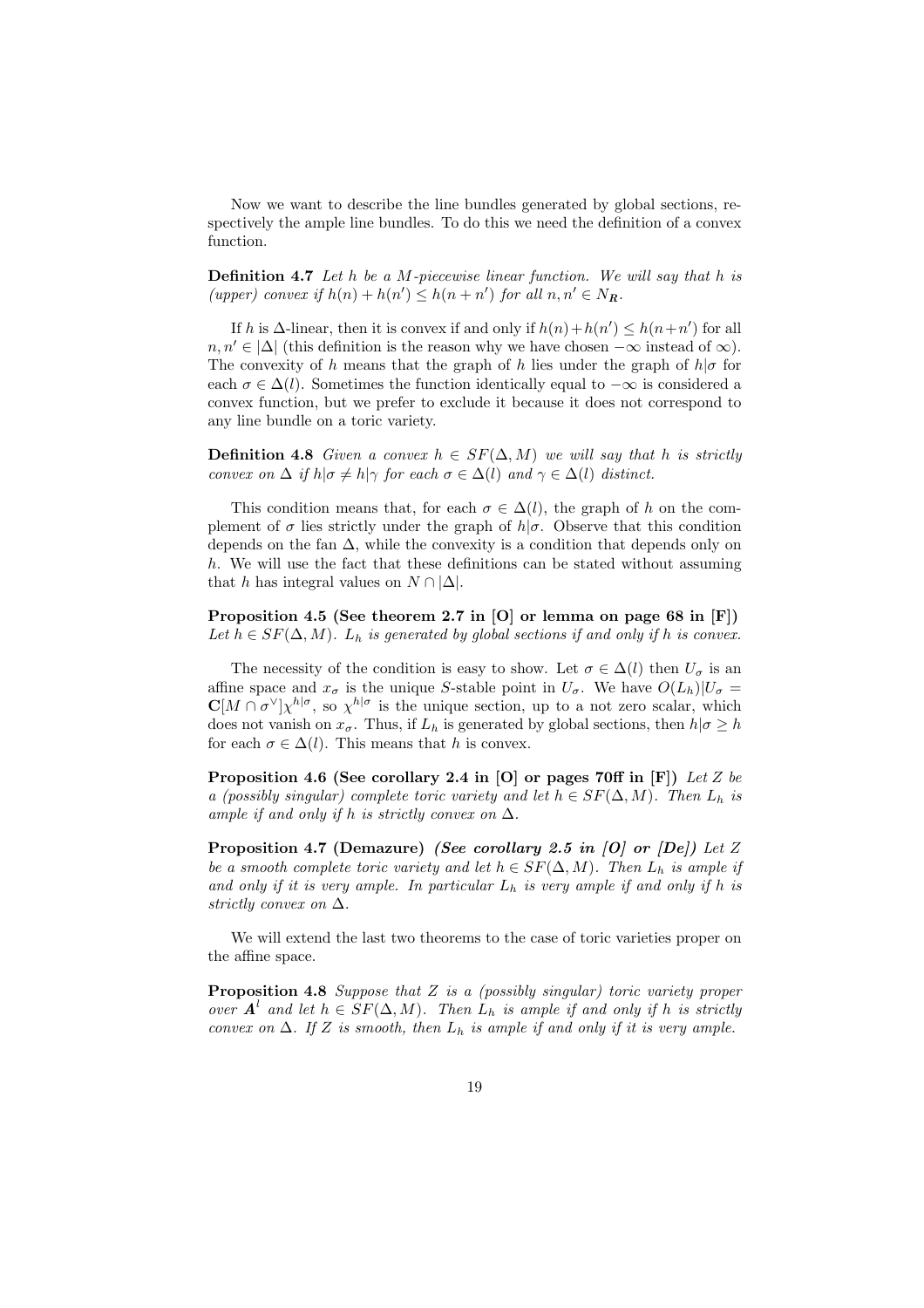Now we want to describe the line bundles generated by global sections, respectively the ample line bundles. To do this we need the definition of a convex function.

Definition 4.7 Let h be a M-piecewise linear function. We will say that h is (upper) convex if  $h(n) + h(n') \leq h(n + n')$  for all  $n, n' \in N_R$ .

If h is  $\Delta$ -linear, then it is convex if and only if  $h(n) + h(n') \leq h(n+n')$  for all  $n, n' \in |\Delta|$  (this definition is the reason why we have chosen  $-\infty$  instead of  $\infty$ ). The convexity of h means that the graph of h lies under the graph of  $h|\sigma$  for each  $\sigma \in \Delta(l)$ . Sometimes the function identically equal to  $-\infty$  is considered a convex function, but we prefer to exclude it because it does not correspond to any line bundle on a toric variety.

Definition 4.8 Given a convex  $h \in SF(\Delta, M)$  we will say that h is strictly convex on  $\Delta$  if  $h|\sigma \neq h|\gamma$  for each  $\sigma \in \Delta(l)$  and  $\gamma \in \Delta(l)$  distinct.

This condition means that, for each  $\sigma \in \Delta(l)$ , the graph of h on the complement of  $\sigma$  lies strictly under the graph of  $h|\sigma$ . Observe that this condition depends on the fan  $\Delta$ , while the convexity is a condition that depends only on h. We will use the fact that these definitions can be stated without assuming that h has integral values on  $N \cap |\Delta|$ .

Proposition 4.5 (See theorem 2.7 in [O] or lemma on page 68 in [F]) Let  $h \in SF(\Delta, M)$ .  $L_h$  is generated by global sections if and only if h is convex.

The necessity of the condition is easy to show. Let  $\sigma \in \Delta(l)$  then  $U_{\sigma}$  is an affine space and  $x_{\sigma}$  is the unique S-stable point in  $U_{\sigma}$ . We have  $O(L_h)|U_{\sigma}$  =  $\mathbf{C}[M \cap \sigma^{\vee}]\chi^{h|\sigma}$ , so  $\chi^{h|\sigma}$  is the unique section, up to a not zero scalar, which does not vanish on  $x_{\sigma}$ . Thus, if  $L_h$  is generated by global sections, then  $h|\sigma \geq h$ for each  $\sigma \in \Delta(l)$ . This means that h is convex.

Proposition 4.6 (See corollary 2.4 in [O] or pages 70ff in [F]) Let Z be a (possibly singular) complete toric variety and let  $h \in SF(\Delta, M)$ . Then  $L_h$  is ample if and only if h is strictly convex on  $\Delta$ .

Proposition 4.7 (Demazure) (See corollary 2.5 in [O] or [De]) Let Z be a smooth complete toric variety and let  $h \in SF(\Delta, M)$ . Then  $L_h$  is ample if and only if it is very ample. In particular  $L_h$  is very ample if and only if h is strictly convex on  $\Delta$ .

We will extend the last two theorems to the case of toric varieties proper on the affine space.

Proposition 4.8 Suppose that Z is a (possibly singular) toric variety proper over  $A^l$  and let  $h \in SF(\Delta, M)$ . Then  $L_h$  is ample if and only if h is strictly convex on  $\Delta$ . If Z is smooth, then  $L_h$  is ample if and only if it is very ample.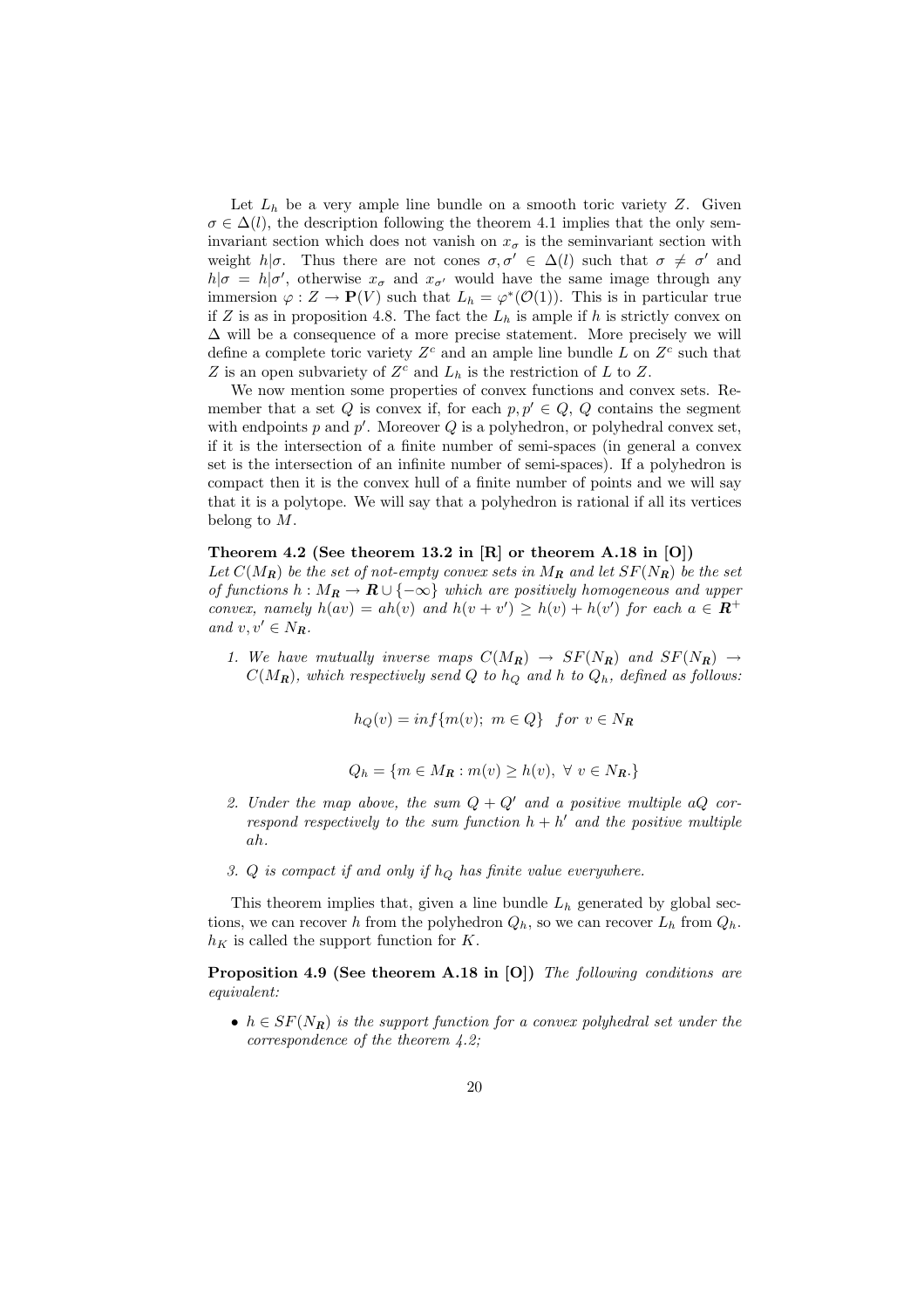Let  $L_h$  be a very ample line bundle on a smooth toric variety Z. Given  $\sigma \in \Delta(l)$ , the description following the theorem 4.1 implies that the only seminvariant section which does not vanish on  $x_{\sigma}$  is the seminvariant section with weight h| $\sigma$ . Thus there are not cones  $\sigma, \sigma' \in \Delta(l)$  such that  $\sigma \neq \sigma'$  and  $h|\sigma = h|\sigma'$ , otherwise  $x_{\sigma}$  and  $x_{\sigma'}$  would have the same image through any immersion  $\varphi: Z \to \mathbf{P}(V)$  such that  $L_h = \varphi^*(\mathcal{O}(1))$ . This is in particular true if Z is as in proposition 4.8. The fact the  $L_h$  is ample if h is strictly convex on  $\Delta$  will be a consequence of a more precise statement. More precisely we will define a complete toric variety  $Z<sup>c</sup>$  and an ample line bundle L on  $Z<sup>c</sup>$  such that Z is an open subvariety of  $Z<sup>c</sup>$  and  $L<sub>h</sub>$  is the restriction of L to Z.

We now mention some properties of convex functions and convex sets. Remember that a set Q is convex if, for each  $p, p' \in Q$ , Q contains the segment with endpoints  $p$  and  $p'$ . Moreover  $Q$  is a polyhedron, or polyhedral convex set, if it is the intersection of a finite number of semi-spaces (in general a convex set is the intersection of an infinite number of semi-spaces). If a polyhedron is compact then it is the convex hull of a finite number of points and we will say that it is a polytope. We will say that a polyhedron is rational if all its vertices belong to M.

#### Theorem 4.2 (See theorem 13.2 in [R] or theorem A.18 in [O])

Let  $C(M_R)$  be the set of not-empty convex sets in  $M_R$  and let  $SF(N_R)$  be the set of functions  $h : M_R \to \mathbb{R} \cup \{-\infty\}$  which are positively homogeneous and upper convex, namely  $h(av) = ah(v)$  and  $h(v + v') \geq h(v) + h(v')$  for each  $a \in \mathbb{R}^+$ and  $v, v' \in N_R$ .

1. We have mutually inverse maps  $C(M_R) \rightarrow SF(N_R)$  and  $SF(N_R) \rightarrow$  $C(M_{\bf R})$ , which respectively send Q to  $h<sub>O</sub>$  and h to  $Q<sub>h</sub>$ , defined as follows:

$$
h_Q(v) = \inf\{m(v); \ m \in Q\} \quad \text{for } v \in N_R
$$

$$
Q_h = \{ m \in M_R : m(v) \ge h(v), \ \forall \ v \in N_R. \}
$$

- 2. Under the map above, the sum  $Q + Q'$  and a positive multiple aQ correspond respectively to the sum function  $h + h'$  and the positive multiple ah.
- 3. Q is compact if and only if  $h_Q$  has finite value everywhere.

This theorem implies that, given a line bundle  $L<sub>h</sub>$  generated by global sections, we can recover h from the polyhedron  $Q_h$ , so we can recover  $L_h$  from  $Q_h$ .  $h_K$  is called the support function for K.

Proposition 4.9 (See theorem A.18 in [O]) The following conditions are equivalent:

•  $h \in SF(N_R)$  is the support function for a convex polyhedral set under the correspondence of the theorem 4.2;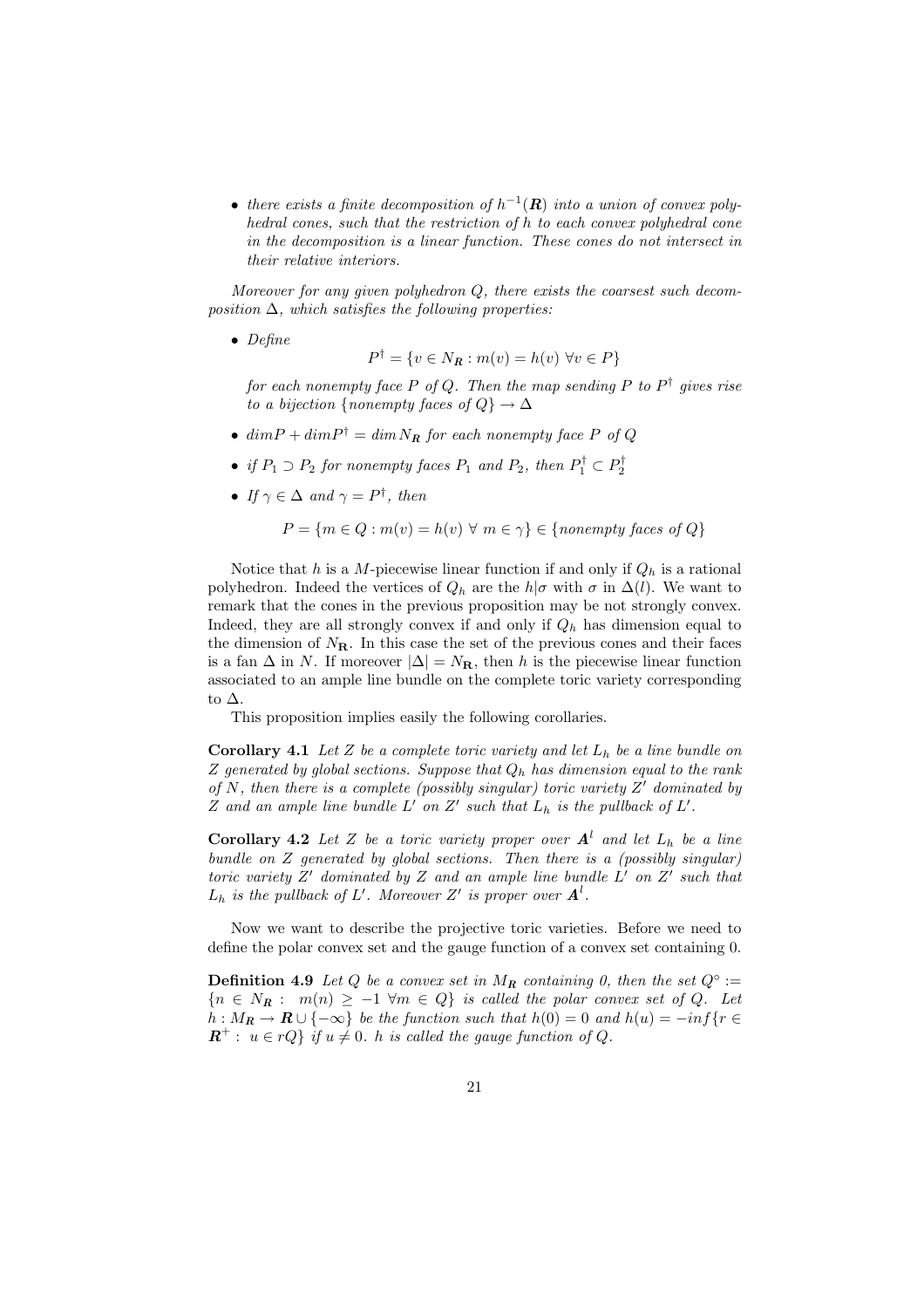• there exists a finite decomposition of  $h^{-1}(\mathbf{R})$  into a union of convex polyhedral cones, such that the restriction of h to each convex polyhedral cone in the decomposition is a linear function. These cones do not intersect in their relative interiors.

Moreover for any given polyhedron  $Q$ , there exists the coarsest such decomposition  $\Delta$ , which satisfies the following properties:

• Define

$$
P^{\dagger} = \{ v \in N_{\mathbf{R}} : m(v) = h(v) \,\,\forall v \in P \}
$$

for each nonempty face P of Q. Then the map sending P to P<sup>†</sup> gives rise to a bijection {nonempty faces of  $Q$ }  $\rightarrow \Delta$ 

- $dim P + dim P^{\dagger} = dim N_R$  for each nonempty face P of Q
- if  $P_1 \supset P_2$  for nonempty faces  $P_1$  and  $P_2$ , then  $P_1^{\dagger} \subset P_2^{\dagger}$
- If  $\gamma \in \Delta$  and  $\gamma = P^{\dagger}$ , then

$$
P = \{ m \in Q : m(v) = h(v) \,\,\forall \,\, m \in \gamma \} \in \{nonempty \,\, faces \,\, of \,\, Q \}
$$

Notice that h is a M-piecewise linear function if and only if  $Q_h$  is a rational polyhedron. Indeed the vertices of  $Q_h$  are the  $h|\sigma$  with  $\sigma$  in  $\Delta(l)$ . We want to remark that the cones in the previous proposition may be not strongly convex. Indeed, they are all strongly convex if and only if  $Q_h$  has dimension equal to the dimension of  $N_{\rm R}$ . In this case the set of the previous cones and their faces is a fan  $\Delta$  in N. If moreover  $|\Delta| = N_{\mathbf{R}}$ , then h is the piecewise linear function associated to an ample line bundle on the complete toric variety corresponding to ∆.

This proposition implies easily the following corollaries.

**Corollary 4.1** Let Z be a complete toric variety and let  $L_h$  be a line bundle on Z generated by global sections. Suppose that  $Q_h$  has dimension equal to the rank of N, then there is a complete (possibly singular) toric variety  $Z'$  dominated by Z and an ample line bundle  $L'$  on  $Z'$  such that  $L_h$  is the pullback of  $L'$ .

**Corollary 4.2** Let Z be a toric variety proper over  $A^l$  and let  $L_h$  be a line bundle on Z generated by global sections. Then there is a (possibly singular) toric variety  $Z'$  dominated by  $Z$  and an ample line bundle  $L'$  on  $Z'$  such that  $L_h$  is the pullback of L'. Moreover Z' is proper over  $\mathbf{A}^l$ .

Now we want to describe the projective toric varieties. Before we need to define the polar convex set and the gauge function of a convex set containing 0.

**Definition 4.9** Let Q be a convex set in  $M_R$  containing 0, then the set  $Q^\circ$  :=  ${n \in N_R : m(n) \ge -1 \forall m \in Q}$  is called the polar convex set of Q. Let  $h: M_R \to \mathbf{R} \cup \{-\infty\}$  be the function such that  $h(0) = 0$  and  $h(u) = -\inf\{r \in$  $\mathbf{R}^+$ :  $u \in rQ$  if  $u \neq 0$ . h is called the gauge function of Q.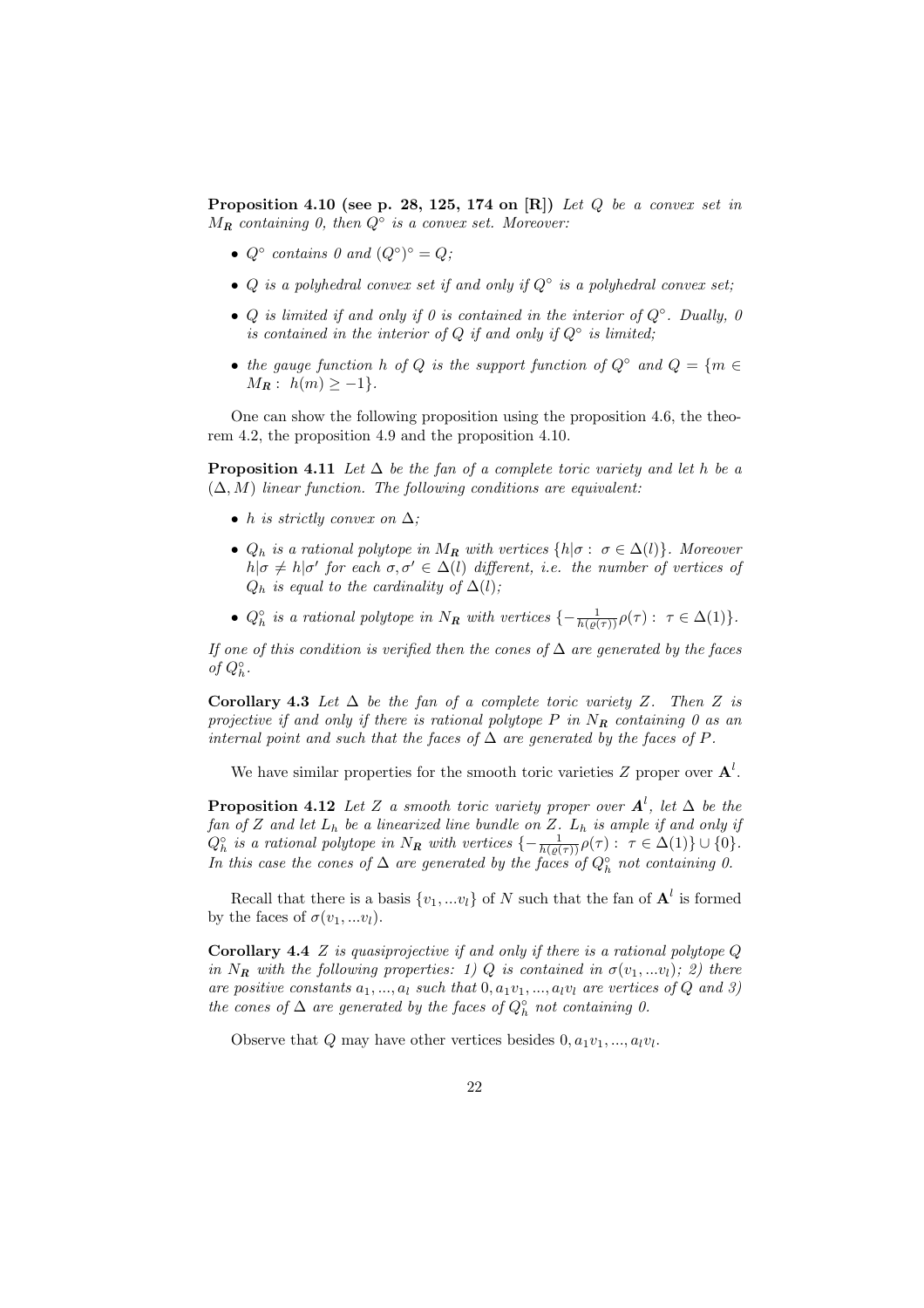**Proposition 4.10 (see p. 28, 125, 174 on [R])** Let  $Q$  be a convex set in  $M_{\rm R}$  containing 0, then  $Q^{\circ}$  is a convex set. Moreover:

- $Q^{\circ}$  contains 0 and  $(Q^{\circ})^{\circ} = Q;$
- Q is a polyhedral convex set if and only if  $Q^{\circ}$  is a polyhedral convex set;
- Q is limited if and only if 0 is contained in the interior of  $Q^\circ$ . Dually, 0 is contained in the interior of Q if and only if  $Q^{\circ}$  is limited;
- the gauge function h of Q is the support function of  $Q^{\circ}$  and  $Q = \{m \in$  $M_{\mathbf{R}}: h(m) \geq -1$ .

One can show the following proposition using the proposition 4.6, the theorem 4.2, the proposition 4.9 and the proposition 4.10.

**Proposition 4.11** Let  $\Delta$  be the fan of a complete toric variety and let h be a  $(\Delta, M)$  linear function. The following conditions are equivalent:

- h is strictly convex on  $\Delta$ ;
- $Q_h$  is a rational polytope in  $M_R$  with vertices  $\{h | \sigma : \sigma \in \Delta(l)\}\$ . Moreover  $h|\sigma \neq h|\sigma'$  for each  $\sigma, \sigma' \in \Delta(l)$  different, i.e. the number of vertices of  $Q_h$  is equal to the cardinality of  $\Delta(l)$ ;
- $Q_h^{\circ}$  is a rational polytope in  $N_R$  with vertices  $\{-\frac{1}{h(\varrho(\tau))}\rho(\tau): \tau \in \Delta(1)\}.$

If one of this condition is verified then the cones of  $\Delta$  are generated by the faces of  $Q_h^{\circ}$ .

Corollary 4.3 Let  $\Delta$  be the fan of a complete toric variety Z. Then Z is projective if and only if there is rational polytope  $P$  in  $N_R$  containing 0 as an internal point and such that the faces of  $\Delta$  are generated by the faces of P.

We have similar properties for the smooth toric varieties  $Z$  proper over  $\mathbf{A}^{l}$ .

**Proposition 4.12** Let Z a smooth toric variety proper over  $A^l$ , let  $\Delta$  be the fan of Z and let  $L_h$  be a linearized line bundle on Z.  $L_h$  is ample if and only if  $Q_h^{\circ}$  is a rational polytope in  $N_R$  with vertices  $\{-\frac{1}{h(\varrho(\tau))}\rho(\tau): \tau \in \Delta(1)\} \cup \{0\}.$ In this case the cones of  $\Delta$  are generated by the faces of  $Q<sub>h</sub><sup>°</sup>$  not containing 0.

Recall that there is a basis  $\{v_1, ... v_l\}$  of N such that the fan of  $\mathbf{A}^l$  is formed by the faces of  $\sigma(v_1,...v_l)$ .

**Corollary 4.4**  $Z$  is quasiprojective if and only if there is a rational polytope  $Q$ in N<sub>R</sub> with the following properties: 1) Q is contained in  $\sigma(v_1,...v_l)$ ; 2) there are positive constants  $a_1, ..., a_l$  such that  $0, a_1v_1, ..., a_lv_l$  are vertices of Q and 3) the cones of  $\Delta$  are generated by the faces of  $Q<sub>h</sub><sup>°</sup>$  not containing 0.

Observe that Q may have other vertices besides  $0, a_1v_1, ..., a_lv_l$ .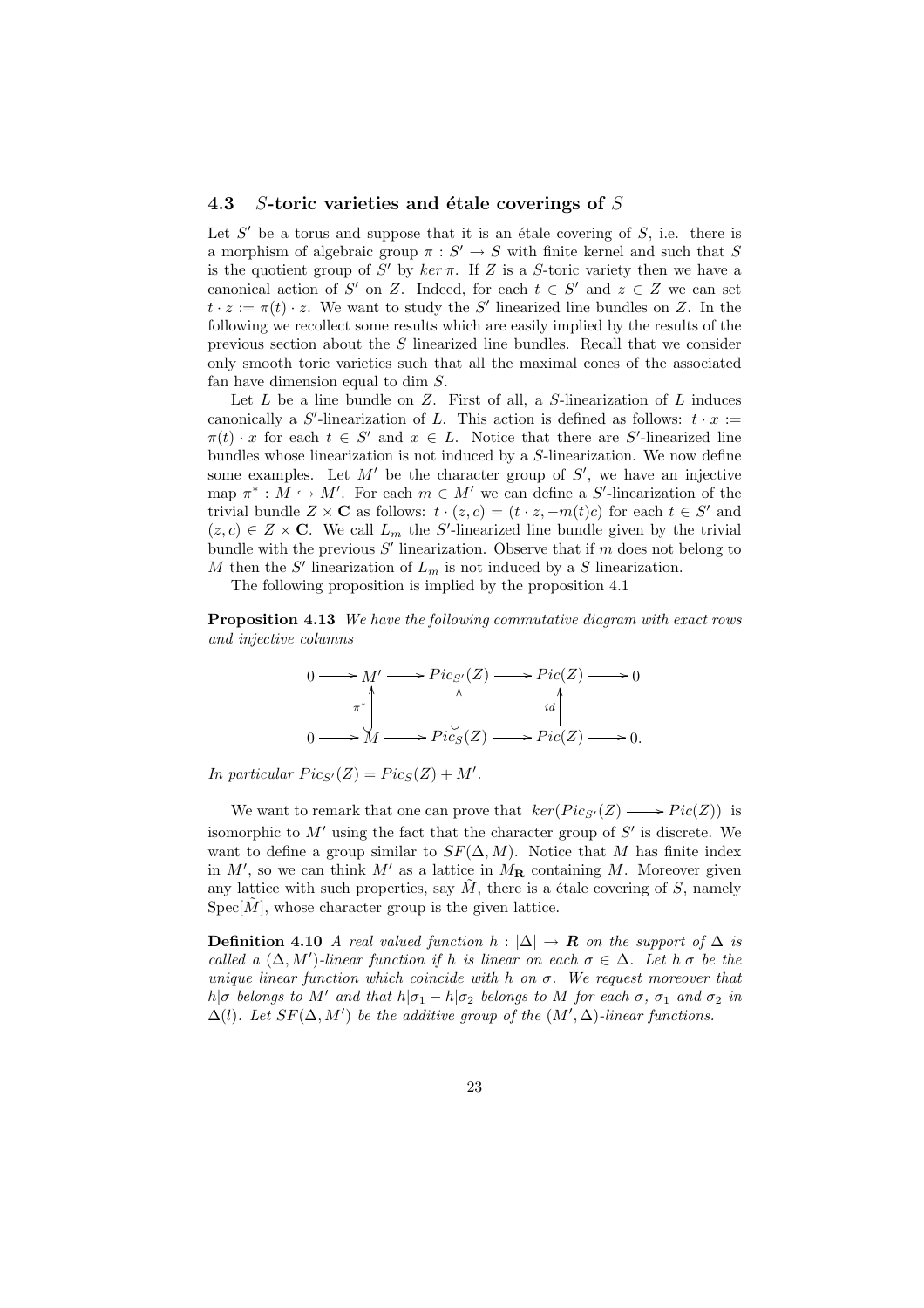#### 4.3 S-toric varieties and étale coverings of  $S$

Let  $S'$  be a torus and suppose that it is an étale covering of  $S$ , i.e. there is a morphism of algebraic group  $\pi : S' \to S$  with finite kernel and such that S is the quotient group of S' by  $ker \pi$ . If Z is a S-toric variety then we have a canonical action of S' on Z. Indeed, for each  $t \in S'$  and  $z \in Z$  we can set  $t \cdot z := \pi(t) \cdot z$ . We want to study the S' linearized line bundles on Z. In the following we recollect some results which are easily implied by the results of the previous section about the S linearized line bundles. Recall that we consider only smooth toric varieties such that all the maximal cones of the associated fan have dimension equal to dim S.

Let  $L$  be a line bundle on  $Z$ . First of all, a  $S$ -linearization of  $L$  induces canonically a S'-linearization of L. This action is defined as follows:  $t \cdot x :=$  $\pi(t) \cdot x$  for each  $t \in S'$  and  $x \in L$ . Notice that there are S'-linearized line bundles whose linearization is not induced by a S-linearization. We now define some examples. Let  $M'$  be the character group of  $S'$ , we have an injective map  $\pi^*: M \hookrightarrow M'$ . For each  $m \in M'$  we can define a S'-linearization of the trivial bundle  $Z \times \mathbf{C}$  as follows:  $t \cdot (z, c) = (t \cdot z, -m(t)c)$  for each  $t \in S'$  and  $(z, c) \in Z \times \mathbf{C}$ . We call  $L_m$  the S'-linearized line bundle given by the trivial bundle with the previous  $S'$  linearization. Observe that if m does not belong to M then the  $S'$  linearization of  $L_m$  is not induced by a S linearization.

The following proposition is implied by the proposition 4.1

Proposition 4.13 We have the following commutative diagram with exact rows and injective columns



In particular  $Pic_{S'}(Z) = Pic_{S}(Z) + M'.$ 

We want to remark that one can prove that  $\ker(Pic_{S'}(Z) \longrightarrow Pic(Z))$  is isomorphic to  $M'$  using the fact that the character group of  $S'$  is discrete. We want to define a group similar to  $SF(\Delta, M)$ . Notice that M has finite index in  $M'$ , so we can think  $M'$  as a lattice in  $M_{\mathbf{R}}$  containing M. Moreover given any lattice with such properties, say  $\tilde{M}$ , there is a étale covering of S, namely  $Spec[\tilde{M}]$ , whose character group is the given lattice.

**Definition 4.10** A real valued function  $h : |\Delta| \to \mathbf{R}$  on the support of  $\Delta$  is called a  $(\Delta, M')$ -linear function if h is linear on each  $\sigma \in \Delta$ . Let  $h|\sigma$  be the unique linear function which coincide with h on  $\sigma$ . We request moreover that h|σ belongs to M' and that  $h|\sigma_1 - h|\sigma_2$  belongs to M for each  $\sigma$ ,  $\sigma_1$  and  $\sigma_2$  in  $\Delta(l)$ . Let  $SF(\Delta, M')$  be the additive group of the  $(M', \Delta)$ -linear functions.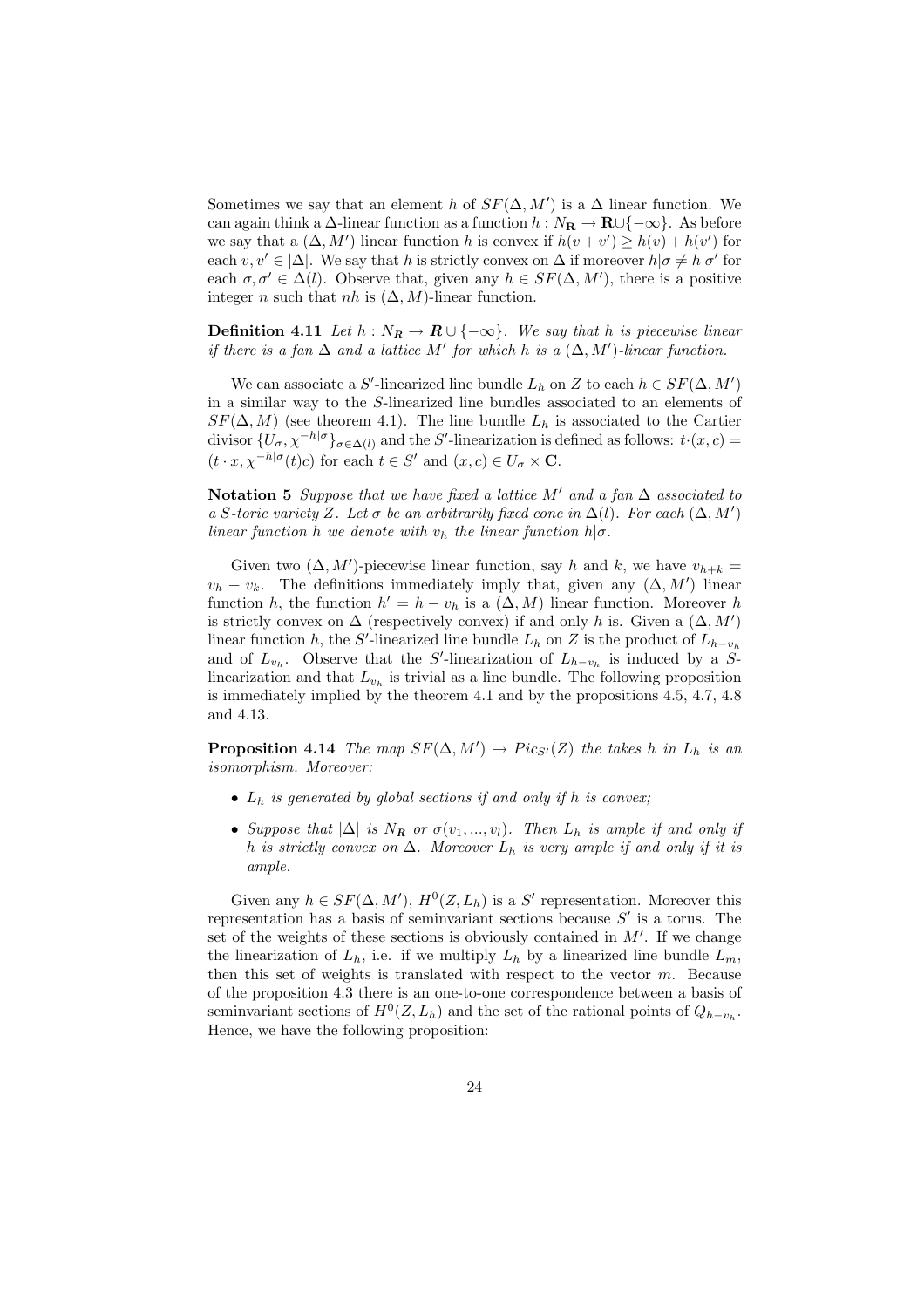Sometimes we say that an element h of  $SF(\Delta, M')$  is a  $\Delta$  linear function. We can again think a  $\Delta$ -linear function as a function  $h : N_{\mathbf{R}} \to \mathbf{R} \cup \{-\infty\}$ . As before we say that a  $(\Delta, M')$  linear function h is convex if  $h(v + v') \ge h(v) + h(v')$  for each  $v, v' \in |\Delta|$ . We say that h is strictly convex on  $\Delta$  if moreover  $h|\sigma \neq h|\sigma'$  for each  $\sigma, \sigma' \in \Delta(l)$ . Observe that, given any  $h \in SF(\Delta, M')$ , there is a positive integer *n* such that *nh* is  $(\Delta, M)$ -linear function.

**Definition 4.11** Let  $h : N_R \to \mathbb{R} \cup \{-\infty\}$ . We say that h is piecewise linear if there is a fan  $\Delta$  and a lattice M' for which h is a  $(\Delta, M')$ -linear function.

We can associate a S'-linearized line bundle  $L_h$  on Z to each  $h \in SF(\Delta, M')$ in a similar way to the S-linearized line bundles associated to an elements of  $SF(\Delta, M)$  (see theorem 4.1). The line bundle  $L_h$  is associated to the Cartier divisor  ${U_{\sigma}}, \chi^{-h|\sigma}$ <sub> $\sigma \in \Delta(l)$ </sub> and the S'-linearization is defined as follows:  $t \cdot (x, c) =$  $(t \cdot x, \chi^{-h|\sigma}(t)c)$  for each  $t \in S'$  and  $(x, c) \in U_{\sigma} \times \mathbf{C}$ .

Notation 5 Suppose that we have fixed a lattice M' and a fan  $\Delta$  associated to a S-toric variety Z. Let  $\sigma$  be an arbitrarily fixed cone in  $\Delta(l)$ . For each  $(\Delta, M')$ linear function h we denote with  $v_h$  the linear function  $h | \sigma$ .

Given two  $(\Delta, M')$ -piecewise linear function, say h and k, we have  $v_{h+k}$  =  $v_h + v_k$ . The definitions immediately imply that, given any  $(\Delta, M')$  linear function h, the function  $h' = h - v_h$  is a  $(\Delta, M)$  linear function. Moreover h is strictly convex on  $\Delta$  (respectively convex) if and only h is. Given a  $(\Delta, M')$ linear function h, the S'-linearized line bundle  $L_h$  on Z is the product of  $L_{h-v_h}$ and of  $L_{v_h}$ . Observe that the S'-linearization of  $L_{h-v_h}$  is induced by a Slinearization and that  $L_{v_h}$  is trivial as a line bundle. The following proposition is immediately implied by the theorem 4.1 and by the propositions 4.5, 4.7, 4.8 and 4.13.

**Proposition 4.14** The map  $SF(\Delta, M') \rightarrow Pic_{S'}(Z)$  the takes h in  $L_h$  is an isomorphism. Moreover:

- $L_h$  is generated by global sections if and only if h is convex;
- Suppose that  $|\Delta|$  is  $N_R$  or  $\sigma(v_1, ..., v_l)$ . Then  $L_h$  is ample if and only if h is strictly convex on  $\Delta$ . Moreover  $L_h$  is very ample if and only if it is ample.

Given any  $h \in SF(\Delta, M'), H^0(Z, L_h)$  is a S' representation. Moreover this representation has a basis of seminvariant sections because  $S'$  is a torus. The set of the weights of these sections is obviously contained in  $M'$ . If we change the linearization of  $L_h$ , i.e. if we multiply  $L_h$  by a linearized line bundle  $L_m$ , then this set of weights is translated with respect to the vector  $m$ . Because of the proposition 4.3 there is an one-to-one correspondence between a basis of seminvariant sections of  $H^0(Z, L_h)$  and the set of the rational points of  $Q_{h-v_h}$ . Hence, we have the following proposition: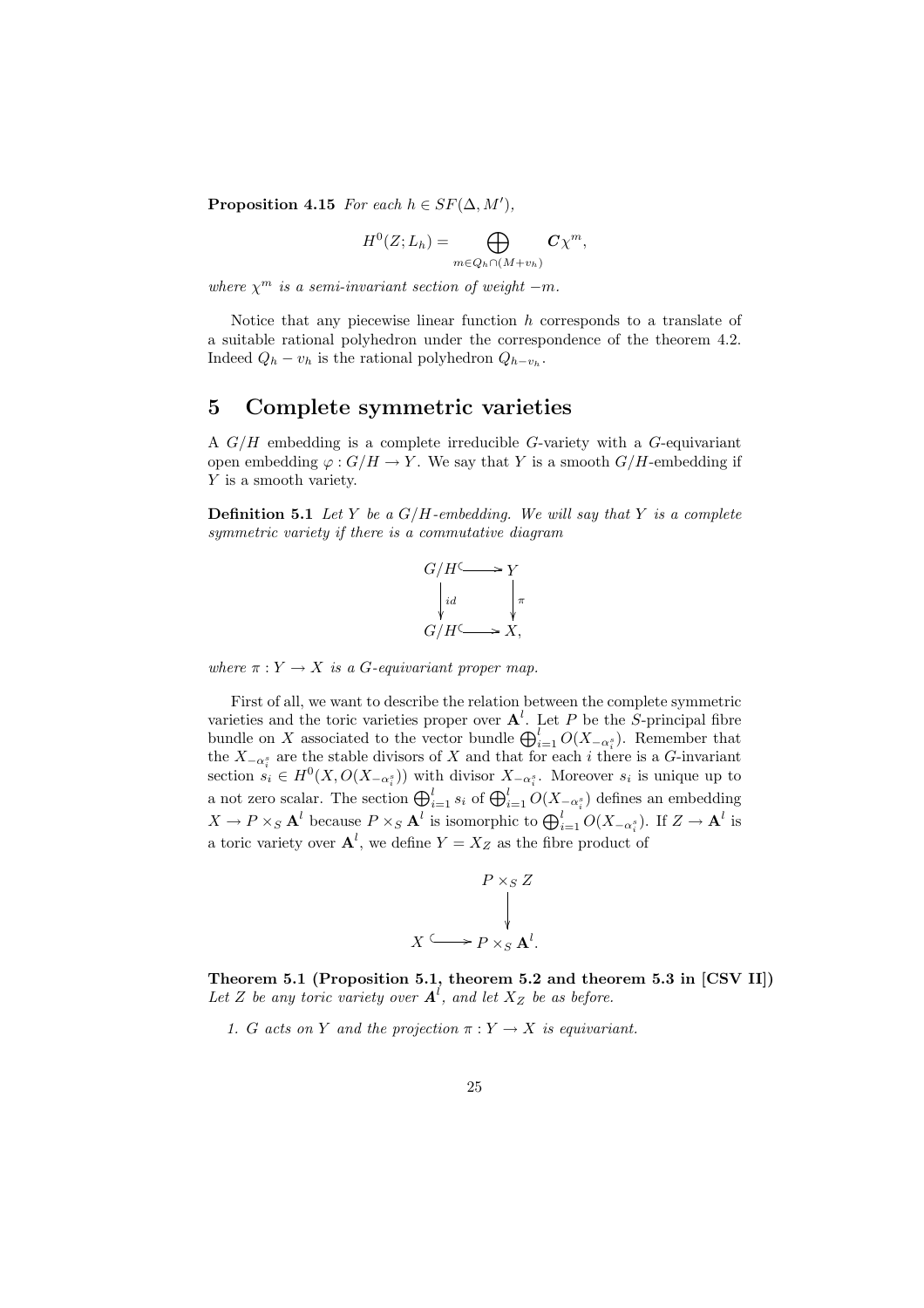Proposition 4.15 For each  $h \in SF(\Delta, M'),$ 

$$
H^0(Z;L_h) = \bigoplus_{m \in Q_h \cap (M+v_h)} C\chi^m,
$$

where  $\chi^m$  is a semi-invariant section of weight  $-m$ .

Notice that any piecewise linear function  $h$  corresponds to a translate of a suitable rational polyhedron under the correspondence of the theorem 4.2. Indeed  $Q_h - v_h$  is the rational polyhedron  $Q_{h-v_h}$ .

## 5 Complete symmetric varieties

A  $G/H$  embedding is a complete irreducible G-variety with a G-equivariant open embedding  $\varphi : G/H \to Y$ . We say that Y is a smooth  $G/H$ -embedding if Y is a smooth variety.

**Definition 5.1** Let Y be a  $G/H$ -embedding. We will say that Y is a complete symmetric variety if there is a commutative diagram



where  $\pi: Y \to X$  is a G-equivariant proper map.

First of all, we want to describe the relation between the complete symmetric varieties and the toric varieties proper over  $A^l$ . Let P be the S-principal fibre varieties and the toric varieties proper over  $\mathbf{A}$ . Let P be the S-principal libre<br>bundle on X associated to the vector bundle  $\bigoplus_{i=1}^{l} O(X_{-\alpha_i^s})$ . Remember that the  $X_{-\alpha_i^s}$  are the stable divisors of X and that for each i there is a G-invariant section  $s_i \in H^0(X, O(X_{\neg \alpha_i^s}))$  with divisor  $X_{\neg \alpha_i^s}$ . Moreover  $s_i$  is unique up to a not zero scalar. The section  $\bigoplus_{i=1}^{l} s_i$  of  $\bigoplus_{i=1}^{l} O(X_{-\alpha_i^{s}})$  defines an embedding  $X \to P \times_S \mathbf{A}^l$  because  $P \times_S \mathbf{A}^l$  is isomorphic to  $\bigoplus_{i=1}^{l} O(X_{-\alpha_i^s})$ . If  $Z \to \mathbf{A}^l$  is a toric variety over  $\mathbf{A}^l$ , we define  $Y = X_Z$  as the fibre product of

$$
P \times_S Z
$$
\n
$$
\downarrow
$$
\n
$$
X \longrightarrow P \times_S \mathbf{A}^l.
$$

Theorem 5.1 (Proposition 5.1, theorem 5.2 and theorem 5.3 in [CSV II]) Let Z be any toric variety over  $A^l$ , and let  $X_Z$  be as before.

1. G acts on Y and the projection  $\pi: Y \to X$  is equivariant.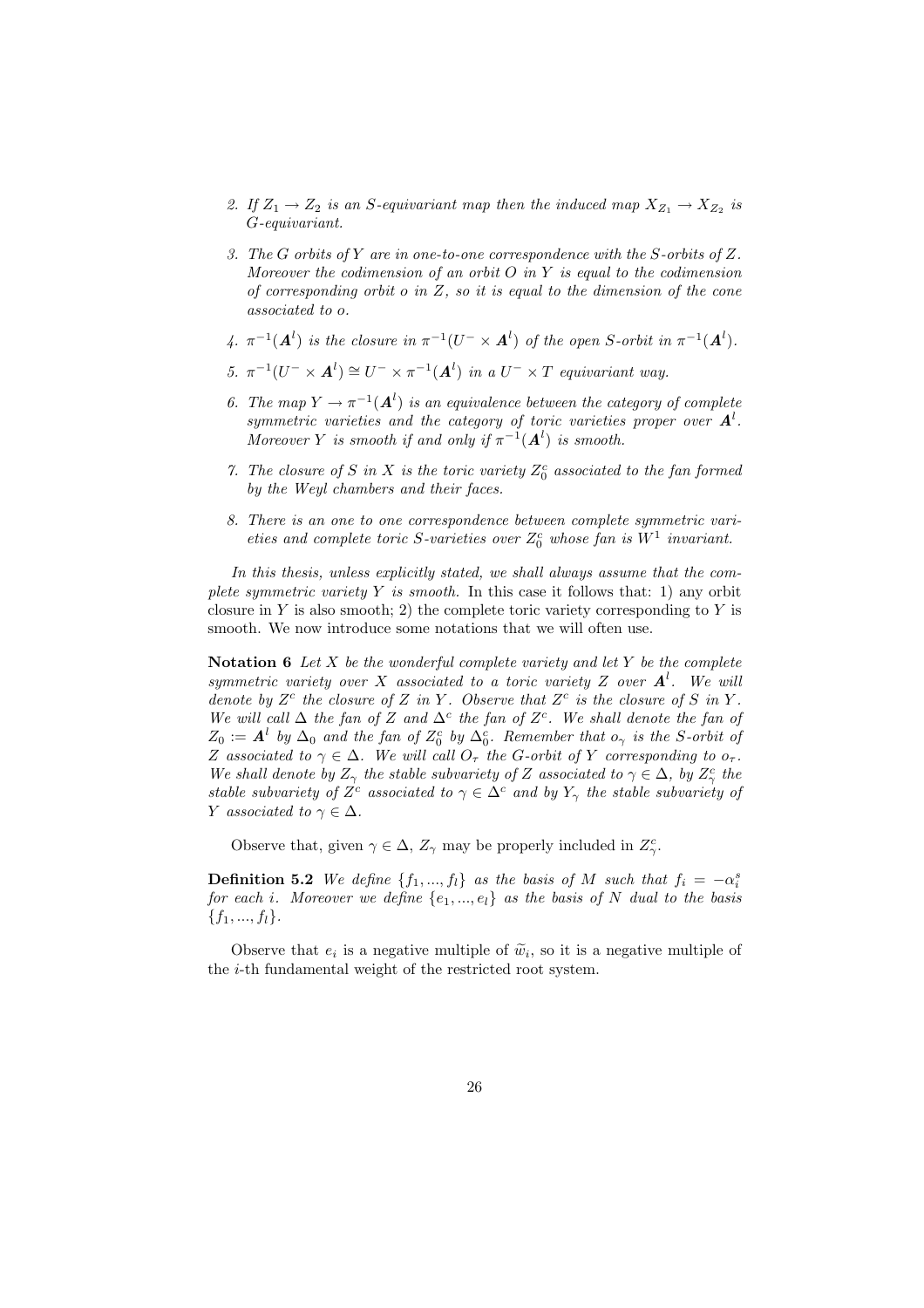- 2. If  $Z_1 \rightarrow Z_2$  is an S-equivariant map then the induced map  $X_{Z_1} \rightarrow X_{Z_2}$  is G-equivariant.
- 3. The G orbits of Y are in one-to-one correspondence with the S-orbits of Z. Moreover the codimension of an orbit  $O$  in  $Y$  is equal to the codimension of corresponding orbit o in  $Z$ , so it is equal to the dimension of the cone associated to o.
- 4.  $\pi^{-1}(\mathbf{A}^l)$  is the closure in  $\pi^{-1}(U^- \times \mathbf{A}^l)$  of the open S-orbit in  $\pi^{-1}(\mathbf{A}^l)$ .
- 5.  $\pi^{-1}(U^{-} \times A^{l}) \cong U^{-} \times \pi^{-1}(A^{l})$  in a  $U^{-} \times T$  equivariant way.
- 6. The map  $Y \to \pi^{-1}(\mathbf{A}^l)$  is an equivalence between the category of complete symmetric varieties and the category of toric varieties proper over  $A^l$ . Moreover Y is smooth if and only if  $\pi^{-1}(A^l)$  is smooth.
- 7. The closure of S in X is the toric variety  $Z_0^c$  associated to the fan formed by the Weyl chambers and their faces.
- 8. There is an one to one correspondence between complete symmetric varieties and complete toric S-varieties over  $Z_0^c$  whose fan is  $W^1$  invariant.

In this thesis, unless explicitly stated, we shall always assume that the complete symmetric variety  $Y$  is smooth. In this case it follows that: 1) any orbit closure in Y is also smooth; 2) the complete toric variety corresponding to Y is smooth. We now introduce some notations that we will often use.

Notation 6 Let X be the wonderful complete variety and let Y be the complete symmetric variety over X associated to a toric variety Z over  $A^l$ . We will denote by  $Z^c$  the closure of Z in Y. Observe that  $Z^c$  is the closure of S in Y. We will call  $\Delta$  the fan of Z and  $\Delta^c$  the fan of Z<sup>c</sup>. We shall denote the fan of  $Z_0 := A^l$  by  $\Delta_0$  and the fan of  $Z_0^c$  by  $\Delta_0^c$ . Remember that  $o_\gamma$  is the S-orbit of Z associated to  $\gamma \in \Delta$ . We will call  $O_{\tau}$  the G-orbit of Y corresponding to  $o_{\tau}$ . We shall denote by  $Z_{\gamma}$  the stable subvariety of Z associated to  $\gamma \in \Delta$ , by  $Z_{\gamma}^{c}$  the stable subvariety of  $Z<sup>c</sup>$  associated to  $\gamma \in \Delta<sup>c</sup>$  and by  $Y_{\gamma}$  the stable subvariety of Y associated to  $\gamma \in \Delta$ .

Observe that, given  $\gamma \in \Delta$ ,  $Z_{\gamma}$  may be properly included in  $Z_{\gamma}^{c}$ .

**Definition 5.2** We define  $\{f_1, ..., f_l\}$  as the basis of M such that  $f_i = -\alpha_i^s$ for each i. Moreover we define  $\{e_1, ..., e_l\}$  as the basis of N dual to the basis  ${f_1, ..., f_l}.$ 

Observe that  $e_i$  is a negative multiple of  $\tilde{w}_i$ , so it is a negative multiple of the i-th fundamental weight of the restricted root system.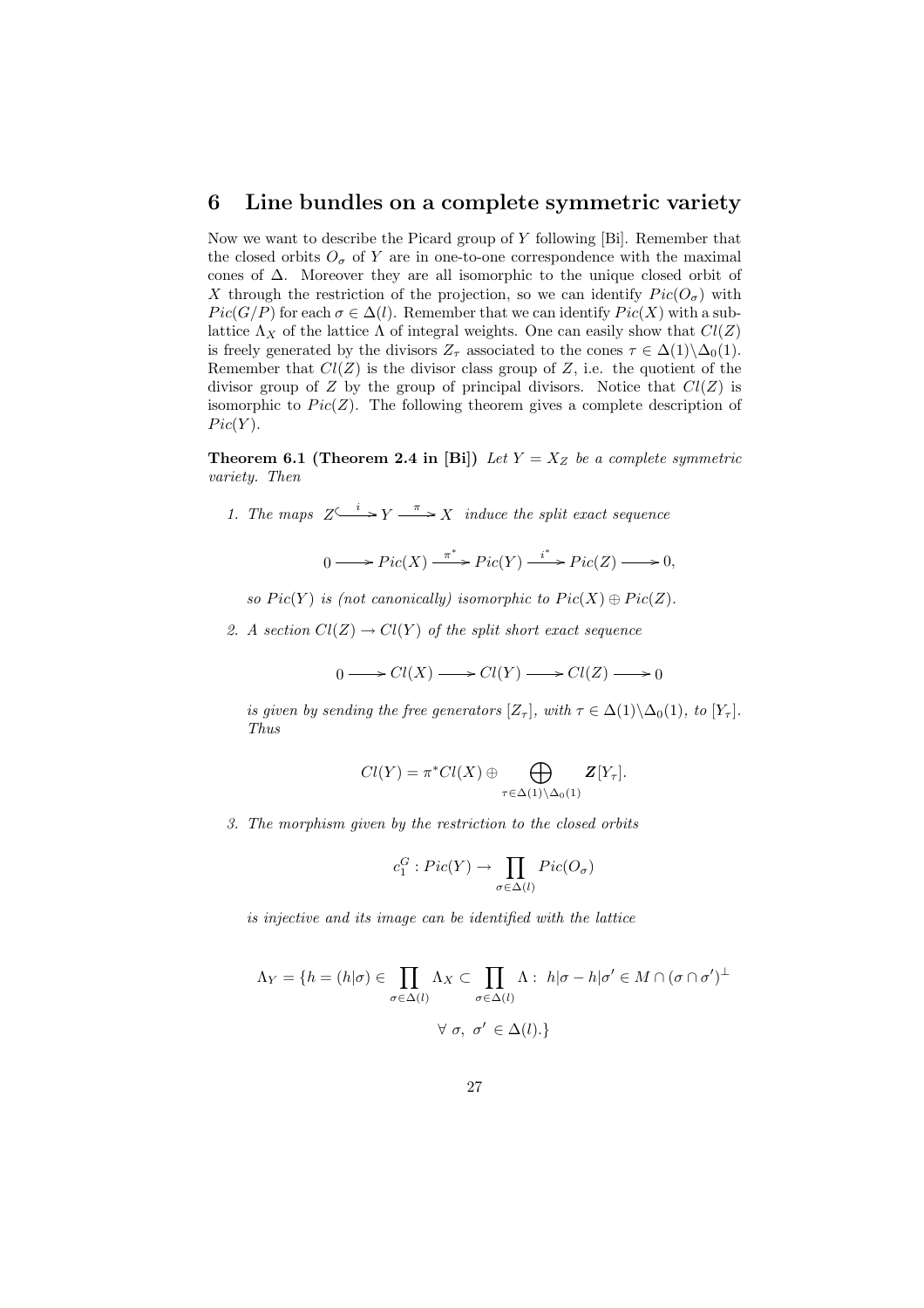### 6 Line bundles on a complete symmetric variety

Now we want to describe the Picard group of  $Y$  following [Bi]. Remember that the closed orbits  $O_{\sigma}$  of Y are in one-to-one correspondence with the maximal cones of ∆. Moreover they are all isomorphic to the unique closed orbit of X through the restriction of the projection, so we can identify  $Pic(O_{\sigma})$  with  $Pic(G/P)$  for each  $\sigma \in \Delta(l)$ . Remember that we can identify  $Pic(X)$  with a sublattice  $\Lambda_X$  of the lattice  $\Lambda$  of integral weights. One can easily show that  $Cl(Z)$ is freely generated by the divisors  $Z_{\tau}$  associated to the cones  $\tau \in \Delta(1) \backslash \Delta_0(1)$ . Remember that  $Cl(Z)$  is the divisor class group of Z, i.e. the quotient of the divisor group of Z by the group of principal divisors. Notice that  $Cl(Z)$  is isomorphic to  $Pic(Z)$ . The following theorem gives a complete description of  $Pic(Y).$ 

**Theorem 6.1 (Theorem 2.4 in [Bi])** Let  $Y = X_Z$  be a complete symmetric variety. Then

1. The maps  $Z \xrightarrow{i} Y \xrightarrow{\pi} X$  induce the split exact sequence

$$
0 \longrightarrow Pic(X) \xrightarrow{\pi^*} Pic(Y) \xrightarrow{i^*} Pic(Z) \longrightarrow 0,
$$

so  $Pic(Y)$  is (not canonically) isomorphic to  $Pic(X) \oplus Pic(Z)$ .

2. A section  $Cl(Z) \to Cl(Y)$  of the split short exact sequence

$$
0 \longrightarrow Cl(X) \longrightarrow Cl(Y) \longrightarrow Cl(Z) \longrightarrow 0
$$

is given by sending the free generators  $[Z_{\tau}]$ , with  $\tau \in \Delta(1) \backslash \Delta_0(1)$ , to  $[Y_{\tau}]$ . Thus

$$
Cl(Y) = \pi^*Cl(X) \oplus \bigoplus_{\tau \in \Delta(1) \setminus \Delta_0(1)} \mathbf{Z}[Y_{\tau}].
$$

3. The morphism given by the restriction to the closed orbits

$$
c_1^G: Pic(Y) \to \prod_{\sigma \in \Delta(l)} Pic(O_{\sigma})
$$

is injective and its image can be identified with the lattice

$$
\Lambda_Y = \{ h = (h|\sigma) \in \prod_{\sigma \in \Delta(l)} \Lambda_X \subset \prod_{\sigma \in \Delta(l)} \Lambda : h|\sigma - h|\sigma' \in M \cap (\sigma \cap \sigma')^{\perp}
$$

$$
\forall \sigma, \sigma' \in \Delta(l). \}
$$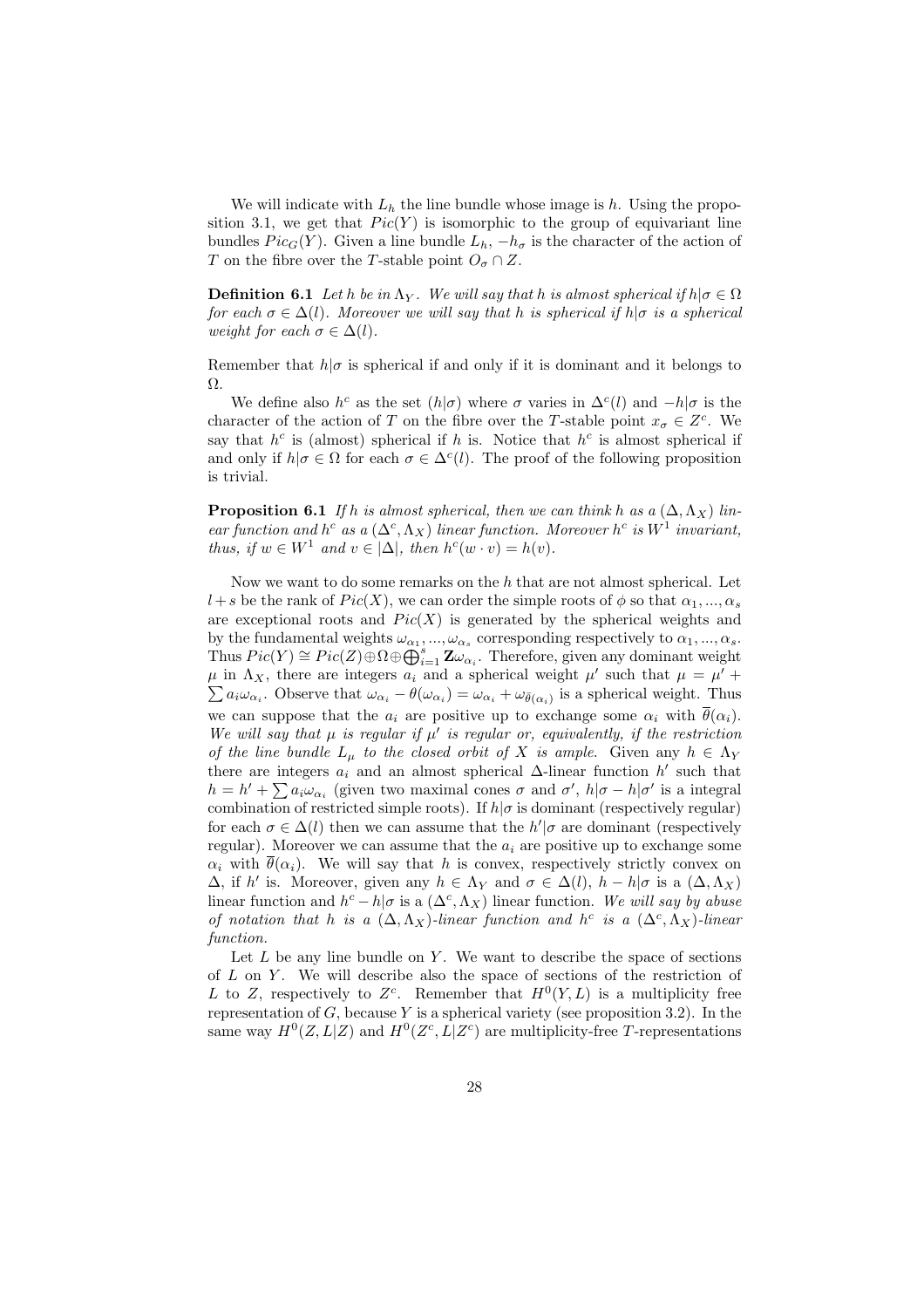We will indicate with  $L<sub>h</sub>$  the line bundle whose image is h. Using the proposition 3.1, we get that  $Pic(Y)$  is isomorphic to the group of equivariant line bundles  $Pic_G(Y)$ . Given a line bundle  $L_h$ ,  $-h_\sigma$  is the character of the action of T on the fibre over the T-stable point  $O_{\sigma} \cap Z$ .

**Definition 6.1** Let h be in  $\Lambda_Y$ . We will say that h is almost spherical if  $h | \sigma \in \Omega$ for each  $\sigma \in \Delta(l)$ . Moreover we will say that h is spherical if  $h|\sigma$  is a spherical weight for each  $\sigma \in \Delta(l)$ .

Remember that  $h|\sigma$  is spherical if and only if it is dominant and it belongs to Ω.

We define also  $h^c$  as the set  $(h|\sigma)$  where  $\sigma$  varies in  $\Delta^c(l)$  and  $-h|\sigma$  is the character of the action of T on the fibre over the T-stable point  $x_{\sigma} \in Z^c$ . We say that  $h^c$  is (almost) spherical if h is. Notice that  $h^c$  is almost spherical if and only if  $h|\sigma \in \Omega$  for each  $\sigma \in \Delta^c(l)$ . The proof of the following proposition is trivial.

**Proposition 6.1** If h is almost spherical, then we can think h as a  $(\Delta, \Lambda_X)$  linear function and  $h^c$  as a  $(\Delta^c, \Lambda_X)$  linear function. Moreover  $h^c$  is  $W^1$  invariant, thus, if  $w \in W^1$  and  $v \in |\Delta|$ , then  $h^c(w \cdot v) = h(v)$ .

Now we want to do some remarks on the  $h$  that are not almost spherical. Let  $l+s$  be the rank of  $Pic(X)$ , we can order the simple roots of  $\phi$  so that  $\alpha_1, ..., \alpha_s$ are exceptional roots and  $Pic(X)$  is generated by the spherical weights and by the fundamental weights  $\omega_{\alpha_1},...,\omega_{\alpha_s}$  corresponding respectively to  $\alpha_1,...,\alpha_s$ . by the fundamental weights  $\omega_{\alpha_1},...,\omega_{\alpha_s}$  corresponding respectively to  $\alpha_1,...,\alpha_s$ .<br>Thus  $Pic(Y) \cong Pic(Z) \oplus \Omega \oplus \bigoplus_{i=1}^s \mathbf{Z} \omega_{\alpha_i}$ . Therefore, given any dominant weight  $\mu$  in  $\Lambda_X$ , there are integers  $a_i$  and a spherical weight  $\mu'$  such that  $\mu = \mu' + \mu'$  $a_i\omega_{\alpha_i}$ . Observe that  $\omega_{\alpha_i} - \theta(\omega_{\alpha_i}) = \omega_{\alpha_i} + \omega_{\bar{\theta}(\alpha_i)}$  is a spherical weight. Thus we can suppose that the  $a_i$  are positive up to exchange some  $\alpha_i$  with  $\bar{\theta}(\alpha_i)$ . We will say that  $\mu$  is regular if  $\mu'$  is regular or, equivalently, if the restriction of the line bundle  $L_{\mu}$  to the closed orbit of X is ample. Given any  $h \in \Lambda_Y$ there are integers  $a_i$  and an almost spherical  $\Delta$ -linear function  $h'$  such that there are integers  $a_i$  and an almost spherical  $\Delta$ -linear function  $n$  such that  $h = h' + \sum a_i \omega_{\alpha_i}$  (given two maximal cones  $\sigma$  and  $\sigma'$ ,  $h|\sigma - h|\sigma'$  is a integral combination of restricted simple roots). If  $h|\sigma$  is dominant (respectively regular) for each  $\sigma \in \Delta(l)$  then we can assume that the  $h'|\sigma$  are dominant (respectively regular). Moreover we can assume that the  $a_i$  are positive up to exchange some  $\alpha_i$  with  $\bar{\theta}(\alpha_i)$ . We will say that h is convex, respectively strictly convex on  $\Delta$ , if h' is. Moreover, given any  $h \in \Lambda_Y$  and  $\sigma \in \Delta(l)$ ,  $h - h | \sigma$  is a  $(\Delta, \Lambda_X)$ linear function and  $h^c - h/\sigma$  is a  $(\Delta^c, \Lambda_X)$  linear function. We will say by abuse of notation that h is a  $(\Delta, \Lambda_X)$ -linear function and h<sup>c</sup> is a  $(\Delta^c, \Lambda_X)$ -linear function.

Let  $L$  be any line bundle on  $Y$ . We want to describe the space of sections of  $L$  on  $Y$ . We will describe also the space of sections of the restriction of L to Z, respectively to  $Z<sup>c</sup>$ . Remember that  $H<sup>0</sup>(Y, L)$  is a multiplicity free representation of  $G$ , because  $Y$  is a spherical variety (see proposition 3.2). In the same way  $H^0(Z, L|Z)$  and  $H^0(Z<sup>c</sup>, L|Z<sup>c</sup>)$  are multiplicity-free T-representations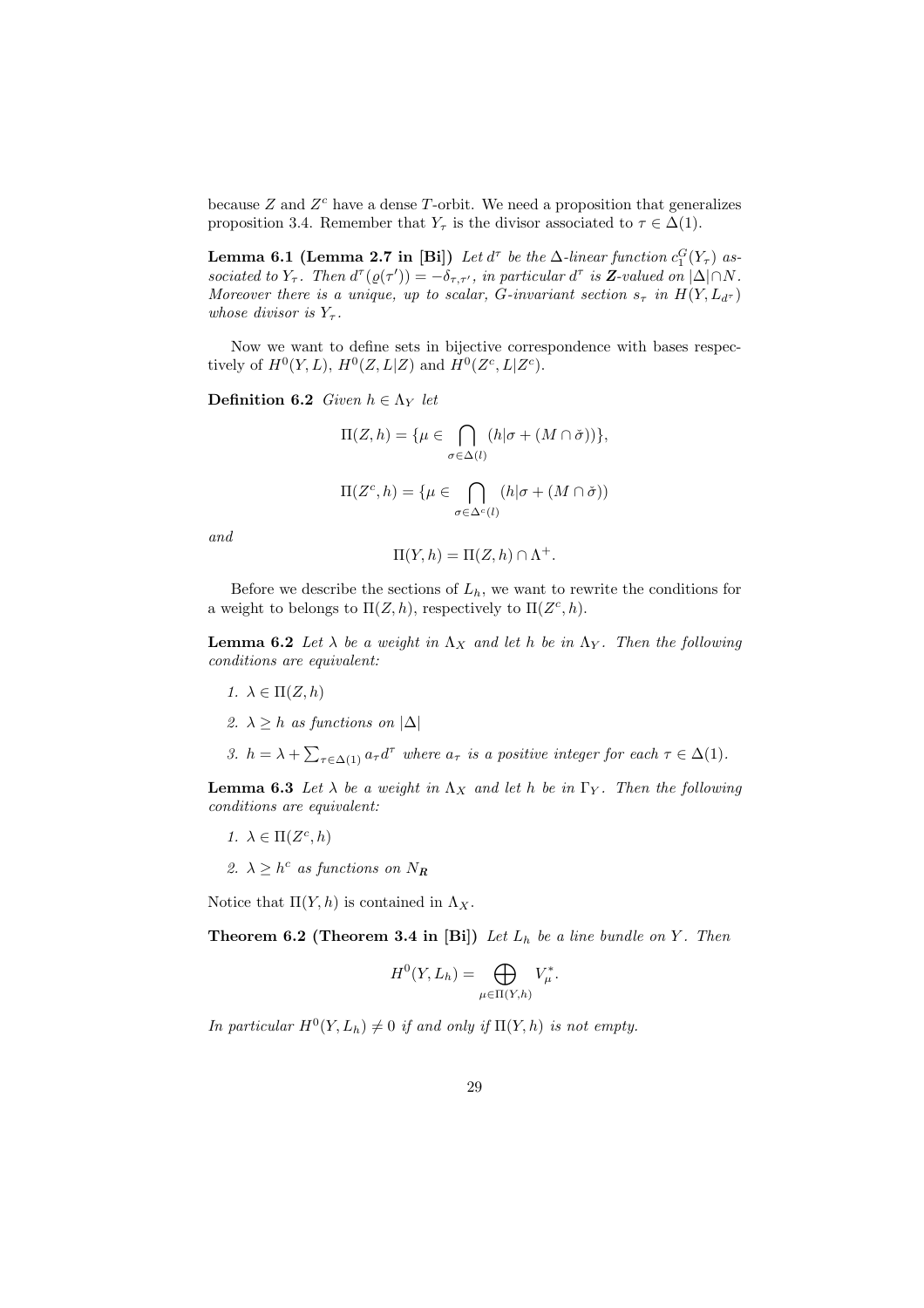because  $Z$  and  $Z<sup>c</sup>$  have a dense T-orbit. We need a proposition that generalizes proposition 3.4. Remember that  $Y_\tau$  is the divisor associated to  $\tau \in \Delta(1)$ .

**Lemma 6.1 (Lemma 2.7 in [Bi])** Let  $d^{\tau}$  be the  $\Delta$ -linear function  $c_1^G(Y_{\tau})$  associated to  $Y_{\tau}$ . Then  $d^{\tau}( \varrho(\tau') ) = - \delta_{\tau, \tau'}$ , in particular  $d^{\tau}$  is **Z**-valued on  $|\Delta| \cap N$ . Moreover there is a unique, up to scalar, G-invariant section  $s_{\tau}$  in  $H(Y, L_{d^{\tau}})$ whose divisor is  $Y_{\tau}$ .

Now we want to define sets in bijective correspondence with bases respectively of  $H^0(Y, L)$ ,  $H^0(Z, L|Z)$  and  $H^0(Z^c, L|Z^c)$ .

Definition 6.2 Given  $h \in \Lambda_Y$  let

$$
\Pi(Z, h) = \{ \mu \in \bigcap_{\sigma \in \Delta(l)} (h | \sigma + (M \cap \check{\sigma})) \},
$$

$$
\Pi(Z^c, h) = \{ \mu \in \bigcap_{\sigma \in \Delta^c(l)} (h | \sigma + (M \cap \check{\sigma}))
$$

and

$$
\Pi(Y, h) = \Pi(Z, h) \cap \Lambda^+.
$$

Before we describe the sections of  $L<sub>h</sub>$ , we want to rewrite the conditions for a weight to belongs to  $\Pi(Z, h)$ , respectively to  $\Pi(Z^c, h)$ .

**Lemma 6.2** Let  $\lambda$  be a weight in  $\Lambda_X$  and let h be in  $\Lambda_Y$ . Then the following conditions are equivalent:

- 1.  $\lambda \in \Pi(Z, h)$
- 2.  $\lambda \geq h$  as functions on  $|\Delta|$
- 3.  $h = \lambda + \sum_{\tau \in \Delta(1)} a_{\tau} d^{\tau}$  where  $a_{\tau}$  is a positive integer for each  $\tau \in \Delta(1)$ .

**Lemma 6.3** Let  $\lambda$  be a weight in  $\Lambda_X$  and let h be in  $\Gamma_Y$ . Then the following conditions are equivalent:

- 1.  $\lambda \in \Pi(Z^c, h)$
- 2.  $\lambda \geq h^c$  as functions on  $N_R$

Notice that  $\Pi(Y, h)$  is contained in  $\Lambda_X$ .

**Theorem 6.2 (Theorem 3.4 in [Bi])** Let  $L_h$  be a line bundle on Y. Then

$$
H^0(Y, L_h) = \bigoplus_{\mu \in \Pi(Y, h)} V_{\mu}^*.
$$

In particular  $H^0(Y, L_h) \neq 0$  if and only if  $\Pi(Y, h)$  is not empty.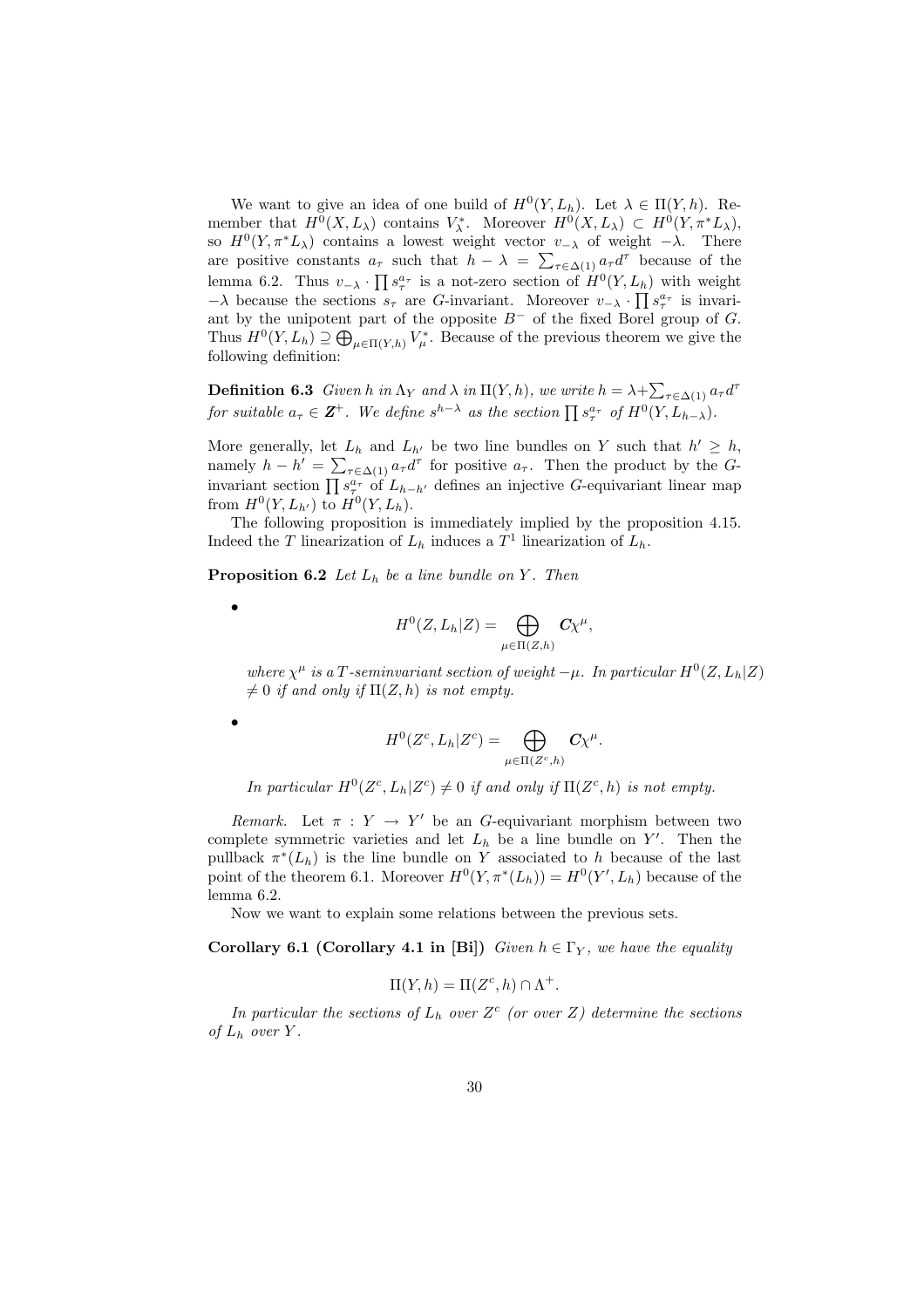We want to give an idea of one build of  $H^0(Y, L_h)$ . Let  $\lambda \in \Pi(Y, h)$ . Remember that  $H^0(X, L_\lambda)$  contains  $V_\lambda^*$ . Moreover  $H^0(X, L_\lambda) \subset H^0(Y, \pi^* L_\lambda)$ , so  $H^0(Y, \pi^*L_\lambda)$  contains a lowest weight vector  $v_{-\lambda}$  of weight  $-\lambda$ . There so  $H^1(Y, \pi^T L_\lambda)$  contains a lowest weight vector  $v_{-\lambda}$  of weight  $-\lambda$ . There<br>are positive constants  $a_\tau$  such that  $h - \lambda = \sum_{\tau \in \Delta(1)} a_\tau d^\tau$  because of the lemma 6.2. Thus  $v_{-\lambda} \cdot \prod s_{\tau}^{a_{\tau}}$  is a not-zero section of  $H^{0}(Y, L_{h})$  with weight  $-\lambda$  because the sections  $s_\tau$  are G-invariant. Moreover  $v_{-\lambda} \cdot \prod s_\tau^{a_\tau}$  is invariant by the unipotent part of the opposite  $B^-$  of the fixed Borel group of G. Thus  $H^0(Y, L_h) \supseteq \bigoplus_{\mu \in \Pi(Y, h)} V^*_{\mu}$ . Because of the previous theorem we give the following definition:

**Definition 6.3** Given h in  $\Lambda_Y$  and  $\lambda$  in  $\Pi(Y, h)$ , we write  $h = \lambda + \sum_{\tau \in \Delta(1)} a_{\tau} d^{\tau}$ **EXECUTE: EXECUTE: EXECUTE: EXECUTE: EXECUTE: EXECUTE: EXECUTE: EXECUTE: EXECUTE: EXECUTE: EXECUTE: EXECUTE: EXECUTE: EXECUTE: EXECUTE: EXECUTE: EXECUTE: EXECUTE: EXECUTE: EXECUTE:**

More generally, let  $L_h$  and  $L_{h'}$  be two line bundles on Y such that  $h' \geq h$ , namely  $h - h' = \sum_{\tau \in \Delta(1)} a_{\tau} d^{\tau}$  for positive  $a_{\tau}$ . Then the product by the Gmanter  $n = \sum_{\tau \in \Delta(1)} a_{\tau} a_{\tau}$  for positive  $a_{\tau}$ . Then the product by the G-<br>invariant section  $\prod s_{\tau}^{a_{\tau}}$  of  $L_{h-h'}$  defines an injective G-equivariant linear map from  $H^0(Y, L_{h'})$  to  $H^0(Y, L_h)$ .

The following proposition is immediately implied by the proposition 4.15. Indeed the T linearization of  $L_h$  induces a  $T^1$  linearization of  $L_h$ .

**Proposition 6.2** Let  $L_h$  be a line bundle on Y. Then

•

•

$$
H^0(Z, L_h | Z) = \bigoplus_{\mu \in \Pi(Z, h)} C \chi^{\mu},
$$

where  $\chi^{\mu}$  is a T-seminvariant section of weight  $-\mu$ . In particular  $H^{0}(Z, L_{h}|Z)$  $\neq 0$  if and only if  $\Pi(Z, h)$  is not empty.

$$
H^0(Z^c, L_h | Z^c) = \bigoplus_{\mu \in \Pi(Z^c, h)} C \chi^{\mu}.
$$

In particular  $H^0(Z^c, L_h | Z^c) \neq 0$  if and only if  $\Pi(Z^c, h)$  is not empty.

Remark. Let  $\pi : Y \to Y'$  be an G-equivariant morphism between two complete symmetric varieties and let  $L_h$  be a line bundle on  $Y'$ . Then the pullback  $\pi^*(L_h)$  is the line bundle on Y associated to h because of the last point of the theorem 6.1. Moreover  $H^0(Y, \pi^*(L_h)) = H^0(Y', L_h)$  because of the lemma 6.2.

Now we want to explain some relations between the previous sets.

Corollary 6.1 (Corollary 4.1 in [Bi]) Given  $h \in \Gamma_Y$ , we have the equality

$$
\Pi(Y, h) = \Pi(Z^c, h) \cap \Lambda^+.
$$

In particular the sections of  $L_h$  over  $Z^c$  (or over Z) determine the sections of  $L_h$  over  $Y$ .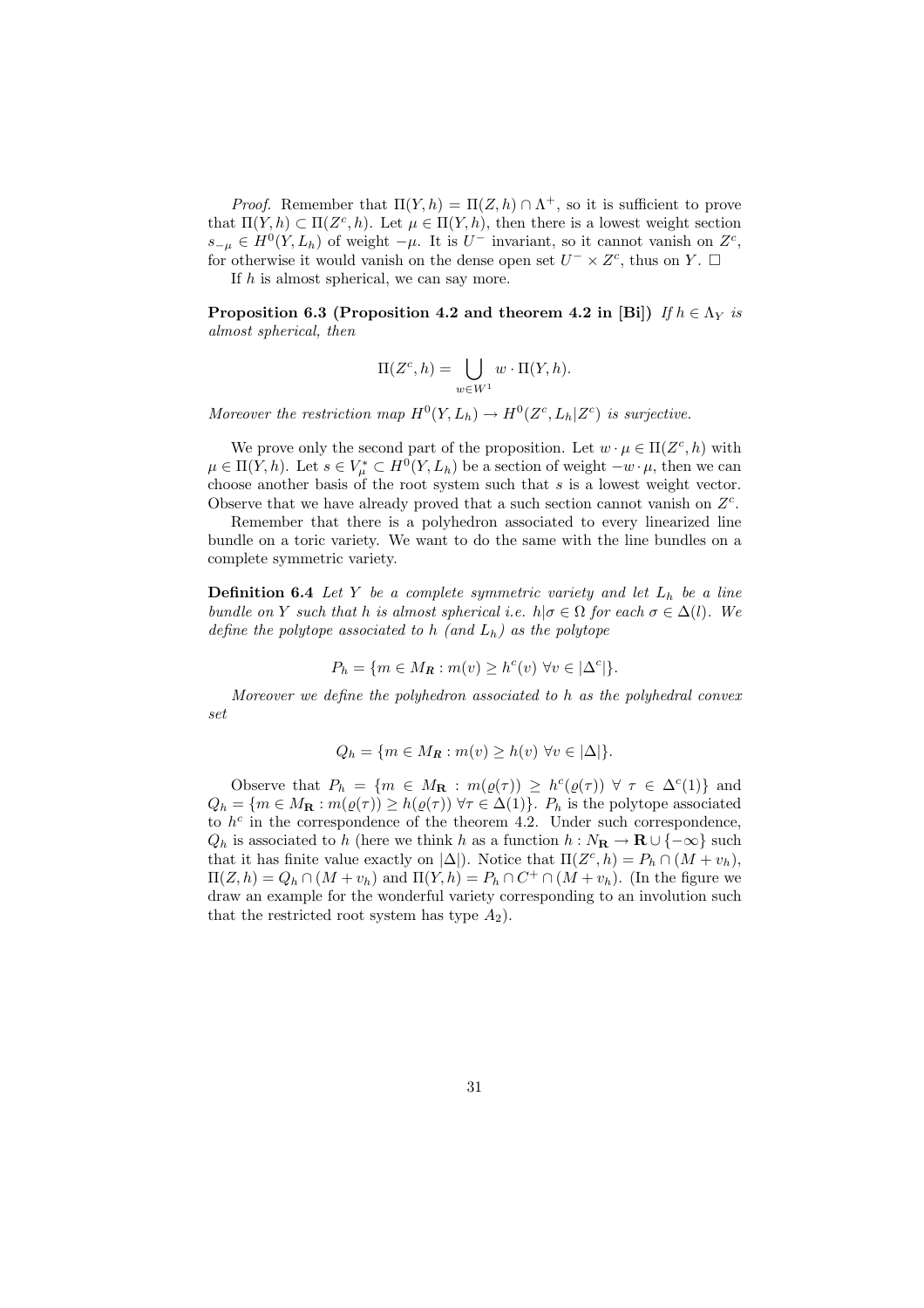*Proof.* Remember that  $\Pi(Y, h) = \Pi(Z, h) \cap \Lambda^+$ , so it is sufficient to prove that  $\Pi(Y, h) \subset \Pi(Z^c, h)$ . Let  $\mu \in \Pi(Y, h)$ , then there is a lowest weight section  $s_{-\mu} \in H^0(Y, L_h)$  of weight  $-\mu$ . It is U<sup>-</sup> invariant, so it cannot vanish on  $Z^c$ , for otherwise it would vanish on the dense open set  $U^{-} \times Z^{c}$ , thus on Y.  $\Box$ 

If  $h$  is almost spherical, we can say more.

Proposition 6.3 (Proposition 4.2 and theorem 4.2 in [Bi]) If  $h \in \Lambda_Y$  is almost spherical, then

$$
\Pi(Z^c, h) = \bigcup_{w \in W^1} w \cdot \Pi(Y, h).
$$

Moreover the restriction map  $H^0(Y, L_h) \to H^0(Z^c, L_h | Z^c)$  is surjective.

We prove only the second part of the proposition. Let  $w \cdot \mu \in \Pi(Z^c, h)$  with  $\mu \in \Pi(Y, h)$ . Let  $s \in V^*_{\mu} \subset H^0(Y, L_h)$  be a section of weight  $-w \cdot \mu$ , then we can choose another basis of the root system such that s is a lowest weight vector. Observe that we have already proved that a such section cannot vanish on  $Z<sup>c</sup>$ .

Remember that there is a polyhedron associated to every linearized line bundle on a toric variety. We want to do the same with the line bundles on a complete symmetric variety.

**Definition 6.4** Let Y be a complete symmetric variety and let  $L_h$  be a line bundle on Y such that h is almost spherical i.e.  $h | \sigma \in \Omega$  for each  $\sigma \in \Delta(l)$ . We define the polytope associated to h (and  $L_h$ ) as the polytope

$$
P_h = \{ m \in M_R : m(v) \ge h^c(v) \,\,\forall v \in |\Delta^c| \}.
$$

Moreover we define the polyhedron associated to h as the polyhedral convex set

$$
Q_h = \{ m \in M_R : m(v) \ge h(v) \,\,\forall v \in |\Delta| \}.
$$

Observe that  $P_h = \{m \in M_{\mathbf{R}} : m(\varrho(\tau)) \geq h^c(\varrho(\tau)) \ \forall \ \tau \in \Delta^c(1)\}\$ and  $Q_h = \{m \in M_\mathbf{R} : m(\varrho(\tau)) \geq h(\varrho(\tau)) \,\forall \tau \in \Delta(1)\}\.$   $P_h$  is the polytope associated to  $h^c$  in the correspondence of the theorem 4.2. Under such correspondence,  $Q_h$  is associated to h (here we think h as a function  $h : N_{\mathbf{R}} \to \mathbf{R} \cup \{-\infty\}$  such that it has finite value exactly on  $|\Delta|$ ). Notice that  $\Pi(Z^c, h) = P_h \cap (M + v_h)$ ,  $\Pi(Z, h) = Q_h \cap (M + v_h)$  and  $\Pi(Y, h) = P_h \cap C^+ \cap (M + v_h)$ . (In the figure we draw an example for the wonderful variety corresponding to an involution such that the restricted root system has type  $A_2$ ).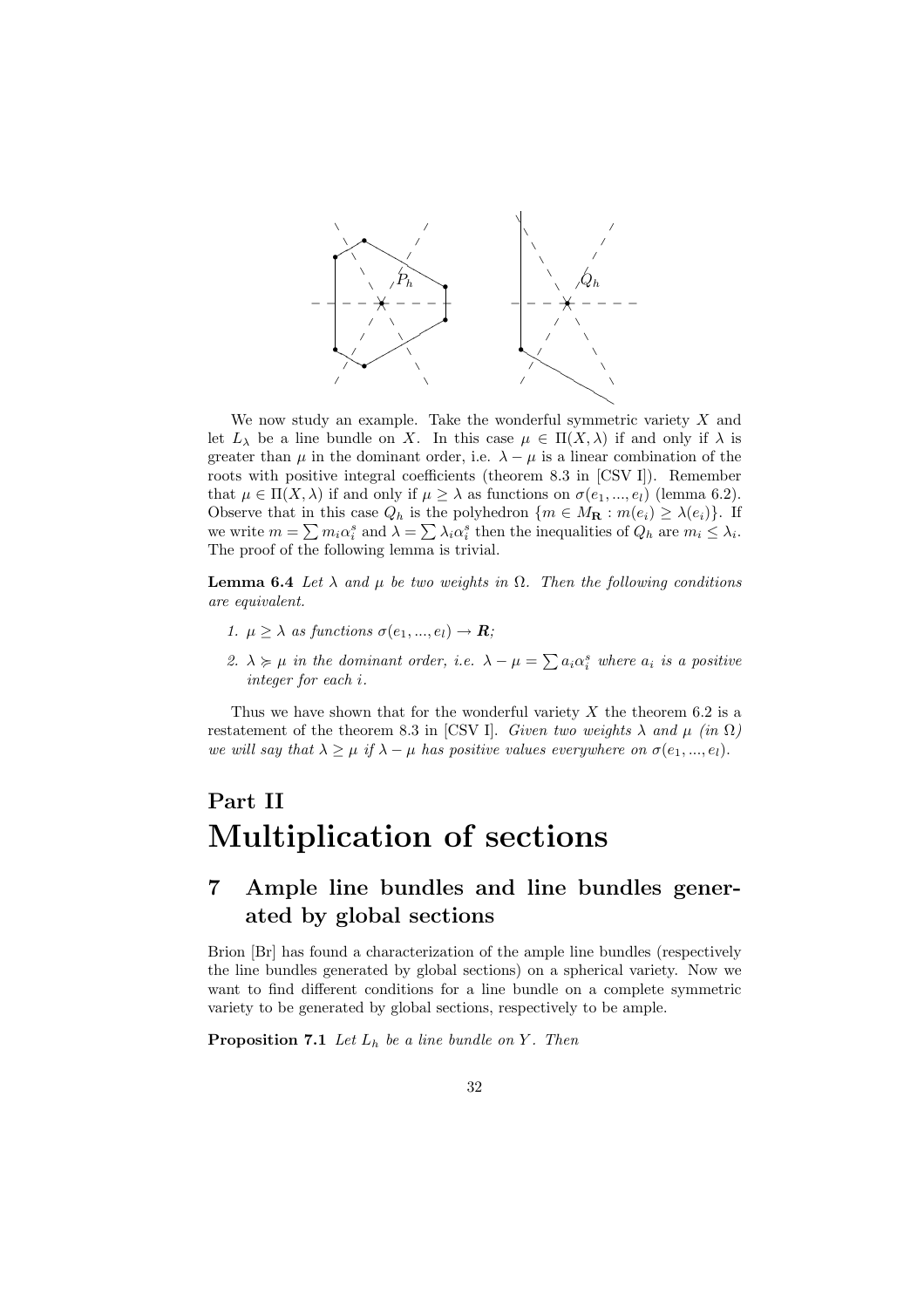

We now study an example. Take the wonderful symmetric variety  $X$  and let  $L_{\lambda}$  be a line bundle on X. In this case  $\mu \in \Pi(X, \lambda)$  if and only if  $\lambda$  is greater than  $\mu$  in the dominant order, i.e.  $\lambda - \mu$  is a linear combination of the roots with positive integral coefficients (theorem 8.3 in [CSV I]). Remember that  $\mu \in \Pi(X, \lambda)$  if and only if  $\mu \geq \lambda$  as functions on  $\sigma(e_1, ..., e_l)$  (lemma 6.2). Observe that in this case  $Q_h$  is the polyhedron  $\{m \in M_\mathbf{R} : m(e_i) \geq \lambda(e_i)\}\$ . If Ubserve that in this case  $Q_h$  is the polyhedron  $\{m \in M_{\mathbf{R}} : m(e_i) \ge \lambda(e_i)\}\.$  If we write  $m = \sum m_i \alpha_i^s$  and  $\lambda = \sum \lambda_i \alpha_i^s$  then the inequalities of  $Q_h$  are  $m_i \le \lambda_i$ . The proof of the following lemma is trivial.

**Lemma 6.4** Let  $\lambda$  and  $\mu$  be two weights in  $\Omega$ . Then the following conditions are equivalent.

- 1.  $\mu \geq \lambda$  as functions  $\sigma(e_1, ..., e_l) \to \mathbf{R}$ ;
- 2.  $\lambda \geq \mu$  in the dominant order, i.e.  $\lambda \mu = \sum a_i \alpha_i^s$  where  $a_i$  is a positive integer for each i.

Thus we have shown that for the wonderful variety  $X$  the theorem 6.2 is a restatement of the theorem 8.3 in [CSV I]. Given two weights  $\lambda$  and  $\mu$  (in  $\Omega$ ) we will say that  $\lambda \geq \mu$  if  $\lambda - \mu$  has positive values everywhere on  $\sigma(e_1, ..., e_l)$ .

## Part II Multiplication of sections

## 7 Ample line bundles and line bundles generated by global sections

Brion [Br] has found a characterization of the ample line bundles (respectively the line bundles generated by global sections) on a spherical variety. Now we want to find different conditions for a line bundle on a complete symmetric variety to be generated by global sections, respectively to be ample.

**Proposition 7.1** Let  $L_h$  be a line bundle on Y. Then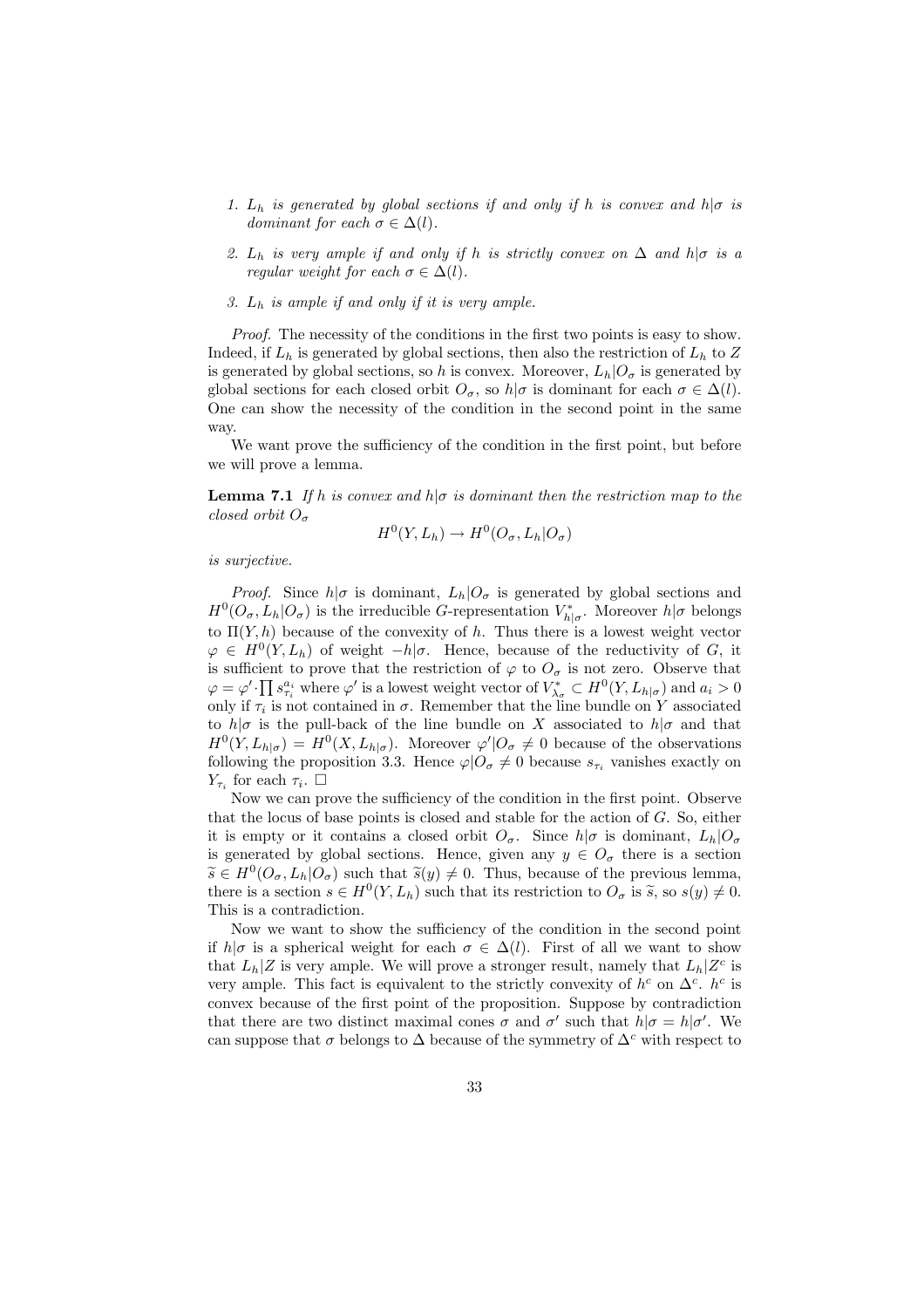- 1.  $L_h$  is generated by global sections if and only if h is convex and  $h|\sigma$  is dominant for each  $\sigma \in \Delta(l)$ .
- 2.  $L_h$  is very ample if and only if h is strictly convex on  $\Delta$  and  $h|\sigma$  is a regular weight for each  $\sigma \in \Delta(l)$ .
- 3.  $L_h$  is ample if and only if it is very ample.

Proof. The necessity of the conditions in the first two points is easy to show. Indeed, if  $L_h$  is generated by global sections, then also the restriction of  $L_h$  to Z is generated by global sections, so h is convex. Moreover,  $L_h|O_\sigma$  is generated by global sections for each closed orbit  $O_{\sigma}$ , so  $h|\sigma$  is dominant for each  $\sigma \in \Delta(l)$ . One can show the necessity of the condition in the second point in the same way.

We want prove the sufficiency of the condition in the first point, but before we will prove a lemma.

**Lemma 7.1** If h is convex and h| $\sigma$  is dominant then the restriction map to the closed orbit  $O_{\sigma}$ 

$$
H^0(Y, L_h) \to H^0(O_\sigma, L_h | O_\sigma)
$$

#### is surjective.

*Proof.* Since  $h|\sigma$  is dominant,  $L_h|O_\sigma$  is generated by global sections and  $H^0(O_\sigma, L_h | O_\sigma)$  is the irreducible G-representation  $V_{h|\sigma}^*$ . Moreover  $h|\sigma$  belongs to  $\Pi(Y, h)$  because of the convexity of h. Thus there is a lowest weight vector  $\varphi \in H^0(Y, L_h)$  of weight  $-h | \sigma$ . Hence, because of the reductivity of G, it is sufficient to prove that the restriction of  $\varphi$  to  $O_{\sigma}$  is not zero. Observe that  $\varphi = \varphi' \cdot \prod s_{\tau_i}^{a_i}$  where  $\varphi'$  is a lowest weight vector of  $V_{\lambda_{\sigma}}^* \subset H^0(Y, L_{h|\sigma})$  and  $a_i > 0$ only if  $\tau_i$  is not contained in  $\sigma$ . Remember that the line bundle on Y associated to  $h|\sigma$  is the pull-back of the line bundle on X associated to  $h|\sigma$  and that  $H^0(Y, L_{h|\sigma}) = H^0(X, L_{h|\sigma})$ . Moreover  $\varphi' \mid O_{\sigma} \neq 0$  because of the observations following the proposition 3.3. Hence  $\varphi|O_{\sigma}\neq 0$  because  $s_{\tau_i}$  vanishes exactly on  $Y_{\tau_i}$  for each  $\tau_i$ .  $\Box$ 

Now we can prove the sufficiency of the condition in the first point. Observe that the locus of base points is closed and stable for the action of  $G$ . So, either it is empty or it contains a closed orbit  $O_{\sigma}$ . Since  $h|\sigma$  is dominant,  $L_h|O_{\sigma}$ is generated by global sections. Hence, given any  $y \in O_{\sigma}$  there is a section  $\widetilde{s} \in H^0(O_\sigma, L_h | O_\sigma)$  such that  $\widetilde{s}(y) \neq 0$ . Thus, because of the previous lemma, there is a section  $s \in H^0(Y, L_h)$  such that its restriction to  $O_{\sigma}$  is  $\tilde{s}$ , so  $s(y) \neq 0$ . This is a contradiction.

Now we want to show the sufficiency of the condition in the second point if  $h|\sigma$  is a spherical weight for each  $\sigma \in \Delta(l)$ . First of all we want to show that  $L_h|Z$  is very ample. We will prove a stronger result, namely that  $L_h|Z^c$  is very ample. This fact is equivalent to the strictly convexity of  $h^c$  on  $\Delta^c$ .  $h^c$  is convex because of the first point of the proposition. Suppose by contradiction that there are two distinct maximal cones  $\sigma$  and  $\sigma'$  such that  $h|\sigma = h|\sigma'$ . We can suppose that  $\sigma$  belongs to  $\Delta$  because of the symmetry of  $\Delta^c$  with respect to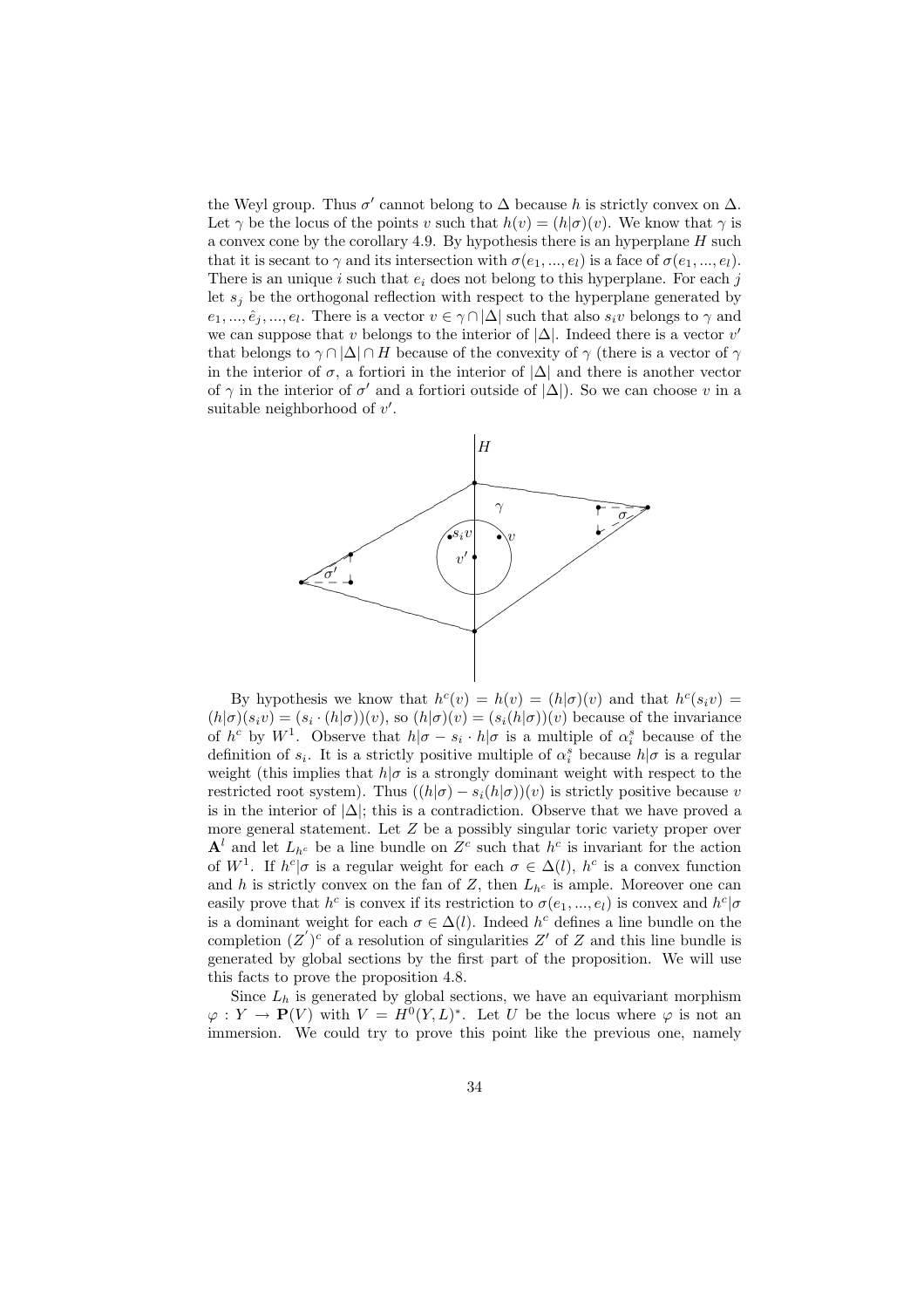the Weyl group. Thus  $\sigma'$  cannot belong to  $\Delta$  because h is strictly convex on  $\Delta$ . Let  $\gamma$  be the locus of the points v such that  $h(v) = (h|\sigma)(v)$ . We know that  $\gamma$  is a convex cone by the corollary 4.9. By hypothesis there is an hyperplane  $H$  such that it is secant to  $\gamma$  and its intersection with  $\sigma(e_1, ..., e_l)$  is a face of  $\sigma(e_1, ..., e_l)$ . There is an unique i such that  $e_i$  does not belong to this hyperplane. For each j let  $s_i$  be the orthogonal reflection with respect to the hyperplane generated by  $e_1, ..., \hat{e}_j, ..., e_l$ . There is a vector  $v \in \gamma \cap |\Delta|$  such that also  $s_i v$  belongs to  $\gamma$  and we can suppose that v belongs to the interior of  $|\Delta|$ . Indeed there is a vector v' that belongs to  $\gamma \cap |\Delta| \cap H$  because of the convexity of  $\gamma$  (there is a vector of  $\gamma$ in the interior of  $\sigma$ , a fortiori in the interior of  $|\Delta|$  and there is another vector of  $\gamma$  in the interior of  $\sigma'$  and a fortiori outside of  $|\Delta|$ ). So we can choose v in a suitable neighborhood of  $v'$ .



By hypothesis we know that  $h^c(v) = h(v) = (h|\sigma)(v)$  and that  $h^c(s_i v) =$  $(h|\sigma)(s_i v) = (s_i \cdot (h|\sigma))(v)$ , so  $(h|\sigma)(v) = (s_i(h|\sigma))(v)$  because of the invariance of  $h^c$  by  $W^1$ . Observe that  $h|\sigma - s_i \cdot h|\sigma$  is a multiple of  $\alpha_i^s$  because of the definition of  $s_i$ . It is a strictly positive multiple of  $\alpha_i^s$  because  $h|\sigma$  is a regular weight (this implies that  $h|\sigma$  is a strongly dominant weight with respect to the restricted root system). Thus  $((h|\sigma) - s_i(h|\sigma))(v)$  is strictly positive because v is in the interior of  $|\Delta|$ ; this is a contradiction. Observe that we have proved a more general statement. Let Z be a possibly singular toric variety proper over  $\mathbf{A}^l$  and let  $L_{h^c}$  be a line bundle on  $Z^c$  such that  $h^c$  is invariant for the action of  $W^1$ . If  $h^c|\sigma$  is a regular weight for each  $\sigma \in \Delta(l)$ ,  $h^c$  is a convex function and h is strictly convex on the fan of Z, then  $L_{h<sup>c</sup>}$  is ample. Moreover one can easily prove that  $h^c$  is convex if its restriction to  $\sigma(e_1, ..., e_l)$  is convex and  $h^c | \sigma$ is a dominant weight for each  $\sigma \in \Delta(l)$ . Indeed  $h^c$  defines a line bundle on the completion  $(Z')^c$  of a resolution of singularities Z' of Z and this line bundle is generated by global sections by the first part of the proposition. We will use this facts to prove the proposition 4.8.

Since  $L_h$  is generated by global sections, we have an equivariant morphism  $\varphi: Y \to \mathbf{P}(V)$  with  $V = H^0(Y, L)^*$ . Let U be the locus where  $\varphi$  is not an immersion. We could try to prove this point like the previous one, namely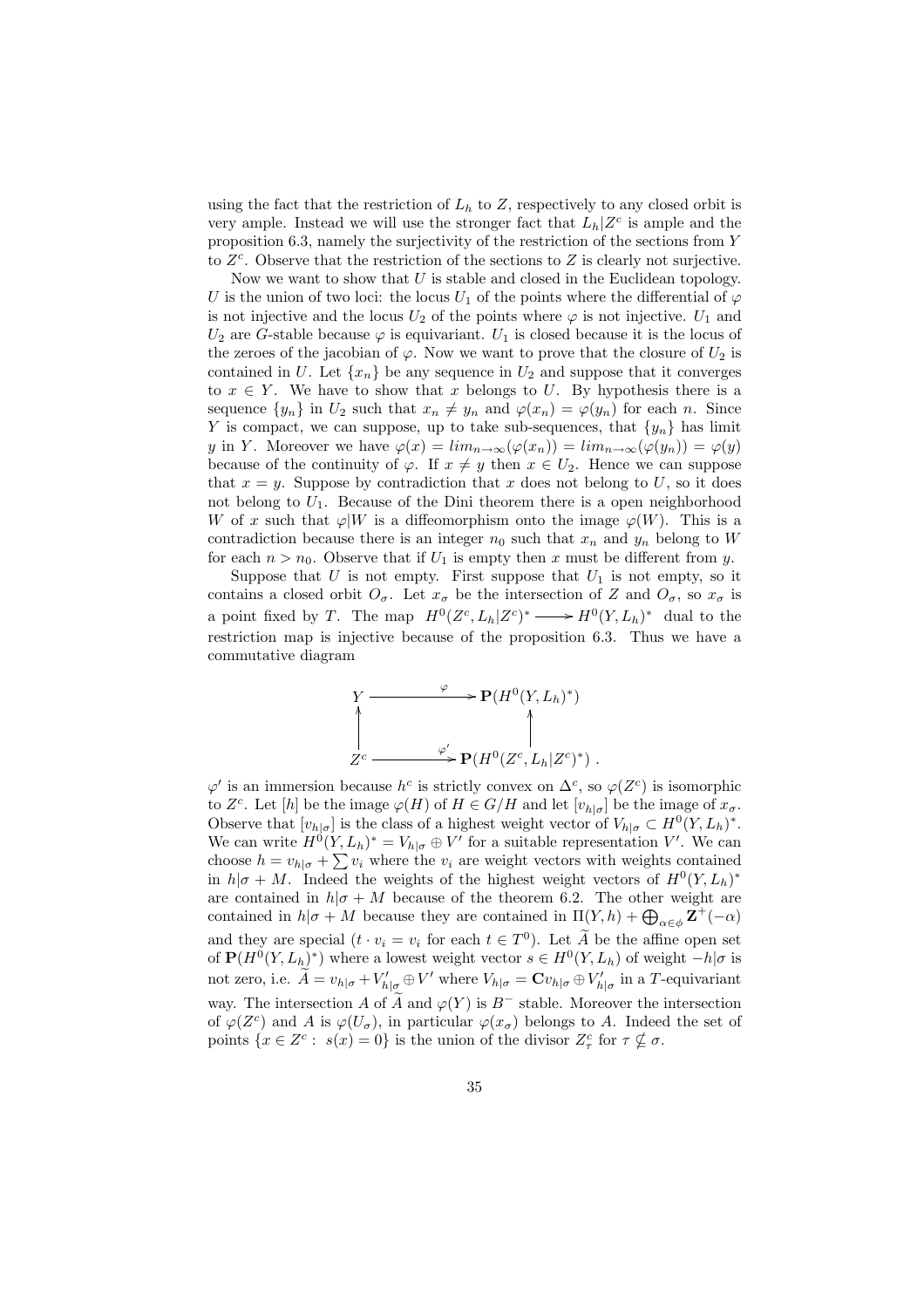using the fact that the restriction of  $L<sub>h</sub>$  to  $Z$ , respectively to any closed orbit is very ample. Instead we will use the stronger fact that  $L_h|Z^c$  is ample and the proposition 6.3, namely the surjectivity of the restriction of the sections from Y to  $Z<sup>c</sup>$ . Observe that the restriction of the sections to  $Z$  is clearly not surjective.

Now we want to show that  $U$  is stable and closed in the Euclidean topology. U is the union of two loci: the locus  $U_1$  of the points where the differential of  $\varphi$ is not injective and the locus  $U_2$  of the points where  $\varphi$  is not injective.  $U_1$  and  $U_2$  are G-stable because  $\varphi$  is equivariant.  $U_1$  is closed because it is the locus of the zeroes of the jacobian of  $\varphi$ . Now we want to prove that the closure of  $U_2$  is contained in U. Let  $\{x_n\}$  be any sequence in  $U_2$  and suppose that it converges to  $x \in Y$ . We have to show that x belongs to U. By hypothesis there is a sequence  $\{y_n\}$  in  $U_2$  such that  $x_n \neq y_n$  and  $\varphi(x_n) = \varphi(y_n)$  for each n. Since Y is compact, we can suppose, up to take sub-sequences, that  $\{y_n\}$  has limit y in Y. Moreover we have  $\varphi(x) = \lim_{n \to \infty} (\varphi(x_n)) = \lim_{n \to \infty} (\varphi(y_n)) = \varphi(y)$ because of the continuity of  $\varphi$ . If  $x \neq y$  then  $x \in U_2$ . Hence we can suppose that  $x = y$ . Suppose by contradiction that x does not belong to U, so it does not belong to  $U_1$ . Because of the Dini theorem there is a open neighborhood W of x such that  $\varphi|W$  is a diffeomorphism onto the image  $\varphi(W)$ . This is a contradiction because there is an integer  $n_0$  such that  $x_n$  and  $y_n$  belong to W for each  $n > n_0$ . Observe that if  $U_1$  is empty then x must be different from y.

Suppose that  $U$  is not empty. First suppose that  $U_1$  is not empty, so it contains a closed orbit  $O_{\sigma}$ . Let  $x_{\sigma}$  be the intersection of Z and  $O_{\sigma}$ , so  $x_{\sigma}$  is a point fixed by T. The map  $H^0(Z^c, L_h | Z^c)^* \longrightarrow H^0(Y, L_h)^*$  dual to the restriction map is injective because of the proposition 6.3. Thus we have a commutative diagram

$$
Y \longrightarrow P(H^0(Y, L_h)^*)
$$
  
\n
$$
\uparrow
$$
  
\n
$$
Z^c \longrightarrow P(H^0(Z^c, L_h | Z^c)^*) .
$$

 $\varphi'$  is an immersion because  $h^c$  is strictly convex on  $\Delta^c$ , so  $\varphi(Z^c)$  is isomorphic to  $Z^c$ . Let [h] be the image  $\varphi(H)$  of  $H \in G/H$  and let  $[v_{h|\sigma}]$  be the image of  $x_{\sigma}$ . Observe that  $[v_{h|\sigma}]$  is the class of a highest weight vector of  $V_{h|\sigma} \subset H^0(Y, L_h)^*$ . We can write  $H^0(Y, L_h)^* = V_{h|\sigma} \oplus V'$  for a suitable representation V'. We can we can write  $H^{\circ}(I, L_h) = v_{h|\sigma} \oplus V$  for a suitable representation v. We can choose  $h = v_{h|\sigma} + \sum v_i$  where the  $v_i$  are weight vectors with weights contained in  $h|\sigma + M$ . Indeed the weights of the highest weight vectors of  $H^0(Y, L_h)^*$ are contained in  $h|\sigma + M$  because of the theorem 6.2. The other weight are are contained in  $n|\sigma + M$  because of the theorem 0.2. The other weight are<br>contained in  $h|\sigma + M$  because they are contained in  $\Pi(Y, h) + \bigoplus_{\alpha \in \phi} \mathbf{Z}^+(-\alpha)$ and they are special  $(t \cdot v_i = v_i \text{ for each } t \in T^0)$ . Let  $\widetilde{A}$  be the affine open set of  $\mathbf{P}(H^0(Y, L_h)^*)$  where a lowest weight vector  $s \in H^0(Y, L_h)$  of weight  $-h|\sigma$  is not zero, i.e.  $\widetilde{A} = v_{h|\sigma} + V'_{h|\sigma} \oplus V'$  where  $V_{h|\sigma} = \mathbf{C} v_{h|\sigma} \oplus V'_{h|\sigma}$  in a T-equivariant way. The intersection A of  $\widetilde{A}$  and  $\varphi(Y)$  is  $B^-$  stable. Moreover the intersection of  $\varphi(Z^c)$  and A is  $\varphi(U_\sigma)$ , in particular  $\varphi(x_\sigma)$  belongs to A. Indeed the set of points  $\{x \in \mathbb{Z}^c : s(x) = 0\}$  is the union of the divisor  $\mathbb{Z}_\tau^c$  for  $\tau \nsubseteq \sigma$ .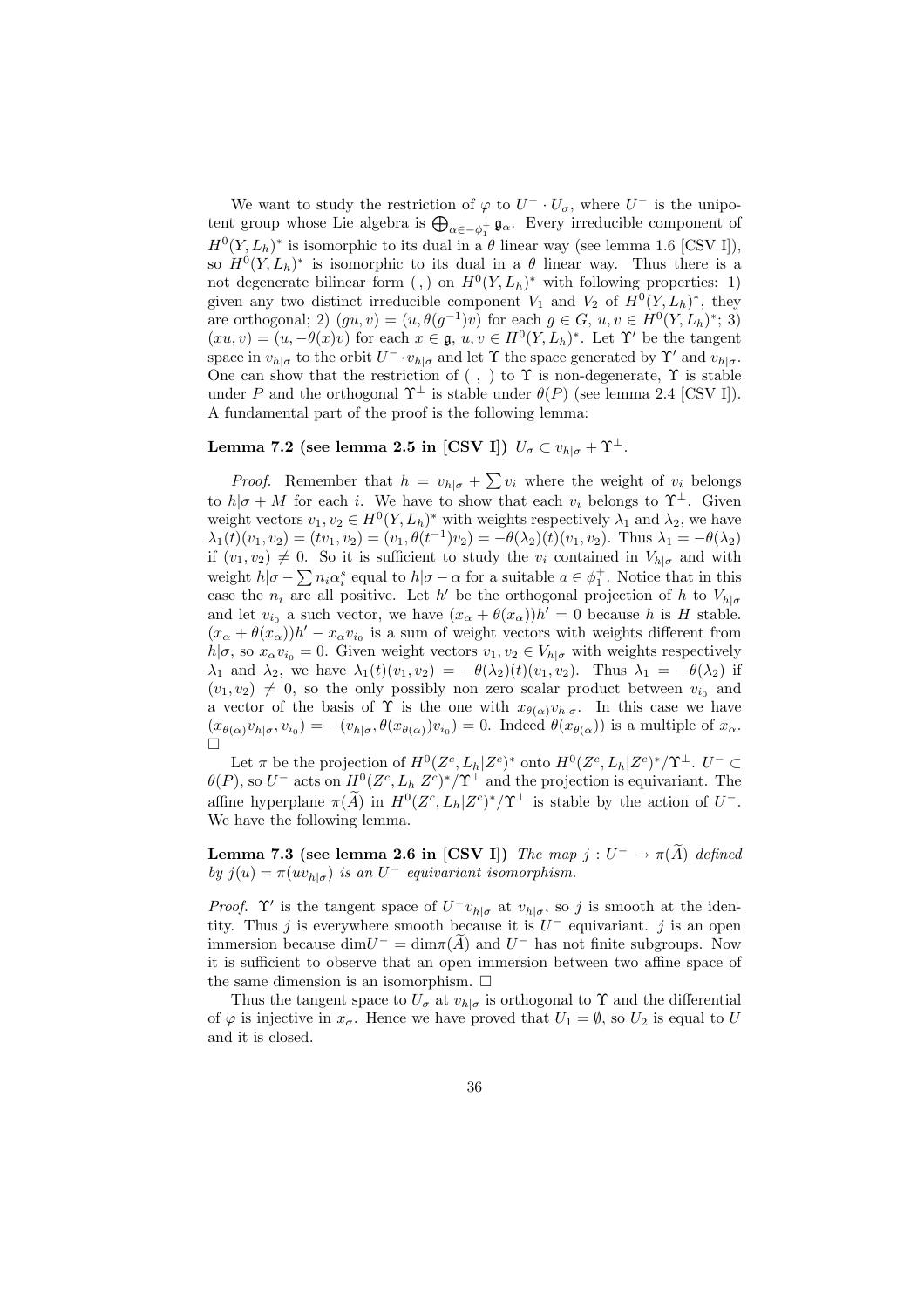We want to study the restriction of  $\varphi$  to  $U^- \cdot U_{\sigma}$ , where  $U^-$  is the unipo-We want to study the restriction of  $\varphi$  to  $U \cdot U_{\sigma}$ , where  $U$  is the unipotent group whose Lie algebra is  $\bigoplus_{\alpha \in -\phi_1^+} \mathfrak{g}_{\alpha}$ . Every irreducible component of  $H^0(Y, L_h)^*$  is isomorphic to its dual in a  $\theta$  linear way (see lemma 1.6 [CSV I]), so  $H^0(Y, L_h)^*$  is isomorphic to its dual in a  $\theta$  linear way. Thus there is a not degenerate bilinear form (,) on  $H^0(Y, L_h)^*$  with following properties: 1) given any two distinct irreducible component  $V_1$  and  $V_2$  of  $H^0(Y, L_h)^*$ , they are orthogonal; 2)  $(gu, v) = (u, \theta(g^{-1})v)$  for each  $g \in G$ ,  $u, v \in H^0(Y, L_h)^*$ ; 3)  $(xu, v) = (u, -\theta(x)v)$  for each  $x \in \mathfrak{g}, u, v \in H^0(Y, L_h)^*$ . Let  $\Upsilon'$  be the tangent space in  $v_{h|\sigma}$  to the orbit  $U^{-} \cdot v_{h|\sigma}$  and let  $\Upsilon$  the space generated by  $\Upsilon'$  and  $v_{h|\sigma}$ . One can show that the restriction of ( , ) to  $\Upsilon$  is non-degenerate,  $\Upsilon$  is stable under P and the orthogonal  $\Upsilon^{\perp}$  is stable under  $\theta(P)$  (see lemma 2.4 [CSV I]). A fundamental part of the proof is the following lemma:

### Lemma 7.2 (see lemma 2.5 in [CSV I])  $U_{\sigma} \subset v_{h|\sigma} + \Upsilon^{\perp}$ .

*Proof.* Remember that  $h = v_{h|\sigma} + \sum v_i$  where the weight of  $v_i$  belongs to  $h|\sigma + M$  for each i. We have to show that each  $v_i$  belongs to  $\Upsilon^{\perp}$ . Given weight vectors  $v_1, v_2 \in H^0(Y, L_h)^*$  with weights respectively  $\lambda_1$  and  $\lambda_2$ , we have  $\lambda_1(t)(v_1, v_2) = (tv_1, v_2) = (v_1, \theta(t^{-1})v_2) = -\theta(\lambda_2)(t)(v_1, v_2)$ . Thus  $\lambda_1 = -\theta(\lambda_2)$ if  $(v_1, v_2) \neq 0$ . So it is sufficient to study the  $v_i$  contained in  $V_{h|\sigma}$  and with weight  $h|\sigma - \sum n_i \alpha_i^s$  equal to  $h|\sigma - \alpha$  for a suitable  $a \in \phi_1^+$ . Notice that in this case the  $n_i$  are all positive. Let h' be the orthogonal projection of h to  $V_{h|\sigma}$ and let  $v_{i_0}$  a such vector, we have  $(x_{\alpha} + \theta(x_{\alpha}))h' = 0$  because h is H stable.  $(x_{\alpha} + \theta(x_{\alpha}))h' - x_{\alpha}v_{i_0}$  is a sum of weight vectors with weights different from  $h|\sigma$ , so  $x_{\alpha}v_{i_0}=0$ . Given weight vectors  $v_1, v_2 \in V_{h|\sigma}$  with weights respectively  $\lambda_1$  and  $\lambda_2$ , we have  $\lambda_1(t)(v_1, v_2) = -\theta(\lambda_2)(t)(v_1, v_2)$ . Thus  $\lambda_1 = -\theta(\lambda_2)$  if  $(v_1, v_2) \neq 0$ , so the only possibly non zero scalar product between  $v_{i_0}$  and a vector of the basis of  $\Upsilon$  is the one with  $x_{\theta(\alpha)}v_{h|\sigma}$ . In this case we have  $(x_{\theta(\alpha)}v_{h|\sigma}, v_{i_0}) = -(v_{h|\sigma}, \theta(x_{\theta(\alpha)})v_{i_0}) = 0$ . Indeed  $\theta(x_{\theta(\alpha)})$  is a multiple of  $x_{\alpha}$ .  $\Box$ 

Let  $\pi$  be the projection of  $H^0(Z^c, L_h | Z^c)^*$  onto  $H^0(Z^c, L_h | Z^c)^*/\Upsilon^{\perp}$ .  $U^- \subset$  $\theta(P)$ , so  $U^-$  acts on  $H^0(Z^c, L_h | Z^c)^*/\Upsilon^{\perp}$  and the projection is equivariant. The affine hyperplane  $\pi(\widetilde{A})$  in  $H^0(Z^c, L_h|Z^c)^*/\Upsilon^{\perp}$  is stable by the action of  $U^-$ . We have the following lemma.

**Lemma 7.3 (see lemma 2.6 in [CSV I])** The map  $j: U^- \to \pi(\widetilde{A})$  defined by  $j(u) = \pi(uv_{h|\sigma})$  is an  $U^-$  equivariant isomorphism.

*Proof.*  $\Upsilon'$  is the tangent space of  $U^{-}v_{h|\sigma}$  at  $v_{h|\sigma}$ , so j is smooth at the identity. Thus j is everywhere smooth because it is  $U^-$  equivariant. j is an open immersion because  $\dim U^- = \dim \pi(\widetilde{A})$  and  $U^-$  has not finite subgroups. Now it is sufficient to observe that an open immersion between two affine space of the same dimension is an isomorphism.  $\Box$ 

Thus the tangent space to  $U_{\sigma}$  at  $v_{h|\sigma}$  is orthogonal to  $\Upsilon$  and the differential of  $\varphi$  is injective in  $x_{\sigma}$ . Hence we have proved that  $U_1 = \emptyset$ , so  $U_2$  is equal to U and it is closed.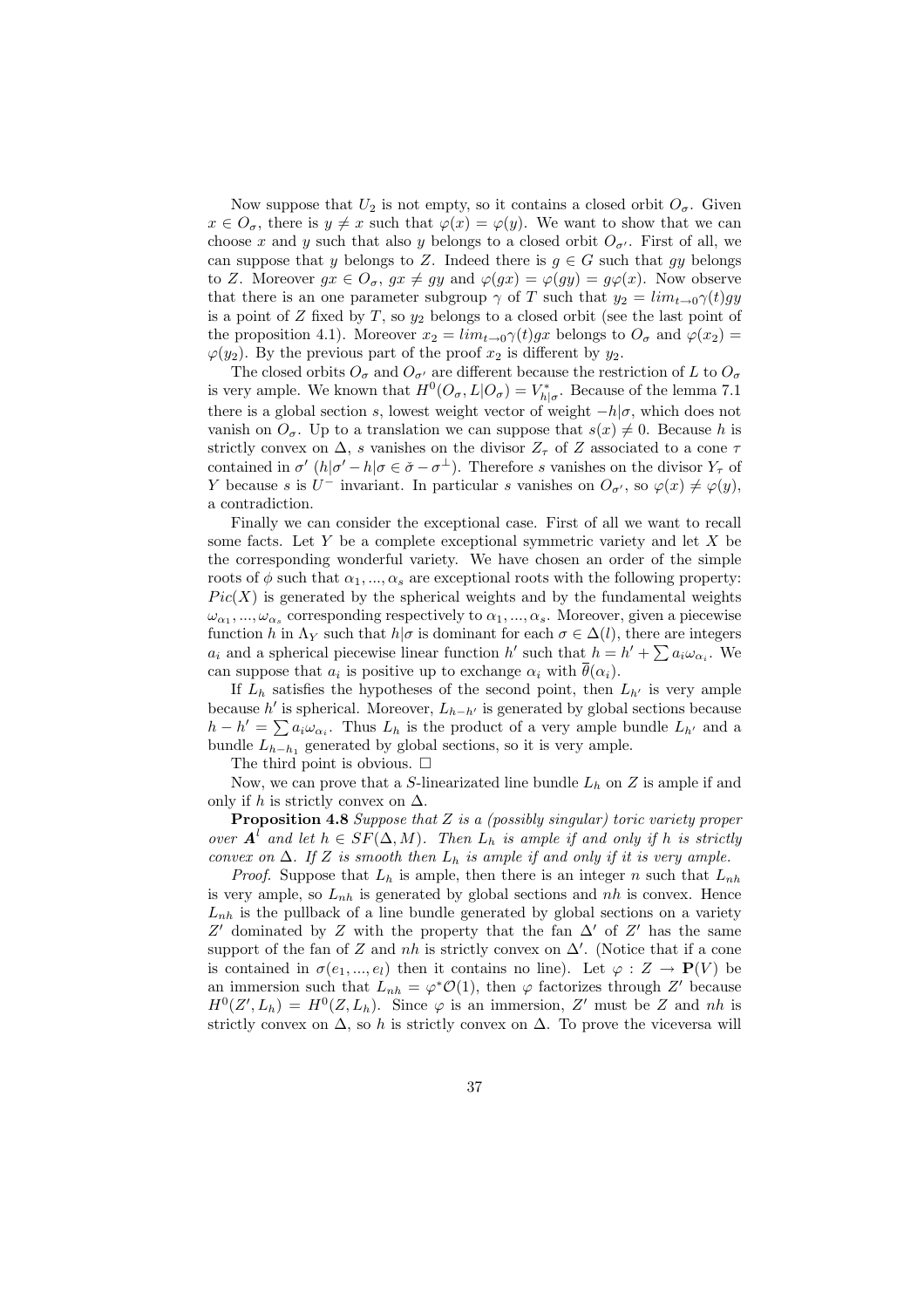Now suppose that  $U_2$  is not empty, so it contains a closed orbit  $O_{\sigma}$ . Given  $x \in O_{\sigma}$ , there is  $y \neq x$  such that  $\varphi(x) = \varphi(y)$ . We want to show that we can choose x and y such that also y belongs to a closed orbit  $O_{\sigma'}$ . First of all, we can suppose that y belongs to Z. Indeed there is  $g \in G$  such that gy belongs to Z. Moreover  $gx \in O_{\sigma}$ ,  $gx \neq gy$  and  $\varphi(gx) = \varphi(gy) = g\varphi(x)$ . Now observe that there is an one parameter subgroup  $\gamma$  of T such that  $y_2 = \lim_{t\to 0} \gamma(t)gy$ is a point of  $Z$  fixed by  $T$ , so  $y_2$  belongs to a closed orbit (see the last point of the proposition 4.1). Moreover  $x_2 = \lim_{t\to 0} \gamma(t)gx$  belongs to  $O_{\sigma}$  and  $\varphi(x_2) =$  $\varphi(y_2)$ . By the previous part of the proof  $x_2$  is different by  $y_2$ .

The closed orbits  $O_{\sigma}$  and  $O_{\sigma'}$  are different because the restriction of L to  $O_{\sigma}$ is very ample. We known that  $H^0(O_\sigma, L|O_\sigma) = V_{h|\sigma}^*$ . Because of the lemma 7.1 there is a global section s, lowest weight vector of weight  $-h|\sigma$ , which does not vanish on  $O_{\sigma}$ . Up to a translation we can suppose that  $s(x) \neq 0$ . Because h is strictly convex on  $\Delta$ , s vanishes on the divisor  $Z_{\tau}$  of Z associated to a cone  $\tau$ contained in  $\sigma'(h|\sigma'-h|\sigma \in \check{\sigma}-\sigma^{\perp})$ . Therefore s vanishes on the divisor  $Y_{\tau}$  of Y because s is  $U^-$  invariant. In particular s vanishes on  $O_{\sigma'}$ , so  $\varphi(x) \neq \varphi(y)$ , a contradiction.

Finally we can consider the exceptional case. First of all we want to recall some facts. Let  $Y$  be a complete exceptional symmetric variety and let  $X$  be the corresponding wonderful variety. We have chosen an order of the simple roots of  $\phi$  such that  $\alpha_1, ..., \alpha_s$  are exceptional roots with the following property:  $Pic(X)$  is generated by the spherical weights and by the fundamental weights  $\omega_{\alpha_1},...,\omega_{\alpha_s}$  corresponding respectively to  $\alpha_1,...,\alpha_s$ . Moreover, given a piecewise function h in  $\Lambda_Y$  such that  $h|\sigma$  is dominant for each  $\sigma \in \Delta(l)$ , there are integers function *n* in  $\Lambda_Y$  such that *n*|*o* is dominant for each  $o \in \Delta(t)$ , there are integers  $a_i$  and a spherical piecewise linear function *h'* such that  $h = h' + \sum a_i \omega_{\alpha_i}$ . We can suppose that  $a_i$  is positive up to exchange  $\alpha_i$  with  $\overline{\theta}(\alpha_i)$ .

If  $L_h$  satisfies the hypotheses of the second point, then  $L_{h'}$  is very ample because  $h'$  is spherical. Moreover,  $L_{h-h'}$  is generated by global sections because because *h* is spherical. Moreover,  $L_{h-h'}$  is generated by global sections because  $h - h' = \sum a_i \omega_{\alpha_i}$ . Thus  $L_h$  is the product of a very ample bundle  $L_{h'}$  and a bundle  $L_{h-h_1}$  generated by global sections, so it is very ample.

The third point is obvious.  $\square$ 

Now, we can prove that a S-linearizated line bundle  $L_h$  on Z is ample if and only if h is strictly convex on  $\Delta$ .

**Proposition 4.8** Suppose that  $Z$  is a (possibly singular) toric variety proper over  $A^{\dagger}$  and let  $h \in SF(\Delta, M)$ . Then  $L_h$  is ample if and only if h is strictly convex on  $\Delta$ . If Z is smooth then  $L_h$  is ample if and only if it is very ample.

*Proof.* Suppose that  $L_h$  is ample, then there is an integer n such that  $L_{nh}$ is very ample, so  $L_{nh}$  is generated by global sections and nh is convex. Hence  $L_{nh}$  is the pullback of a line bundle generated by global sections on a variety Z' dominated by Z with the property that the fan  $\Delta'$  of Z' has the same support of the fan of Z and nh is strictly convex on  $\Delta'$ . (Notice that if a cone is contained in  $\sigma(e_1, ..., e_l)$  then it contains no line). Let  $\varphi : Z \to \mathbf{P}(V)$  be an immersion such that  $L_{nh} = \varphi^* \mathcal{O}(1)$ , then  $\varphi$  factorizes through Z' because  $H^0(Z', L_h) = H^0(Z, L_h)$ . Since  $\varphi$  is an immersion, Z' must be Z and nh is strictly convex on  $\Delta$ , so h is strictly convex on  $\Delta$ . To prove the viceversa will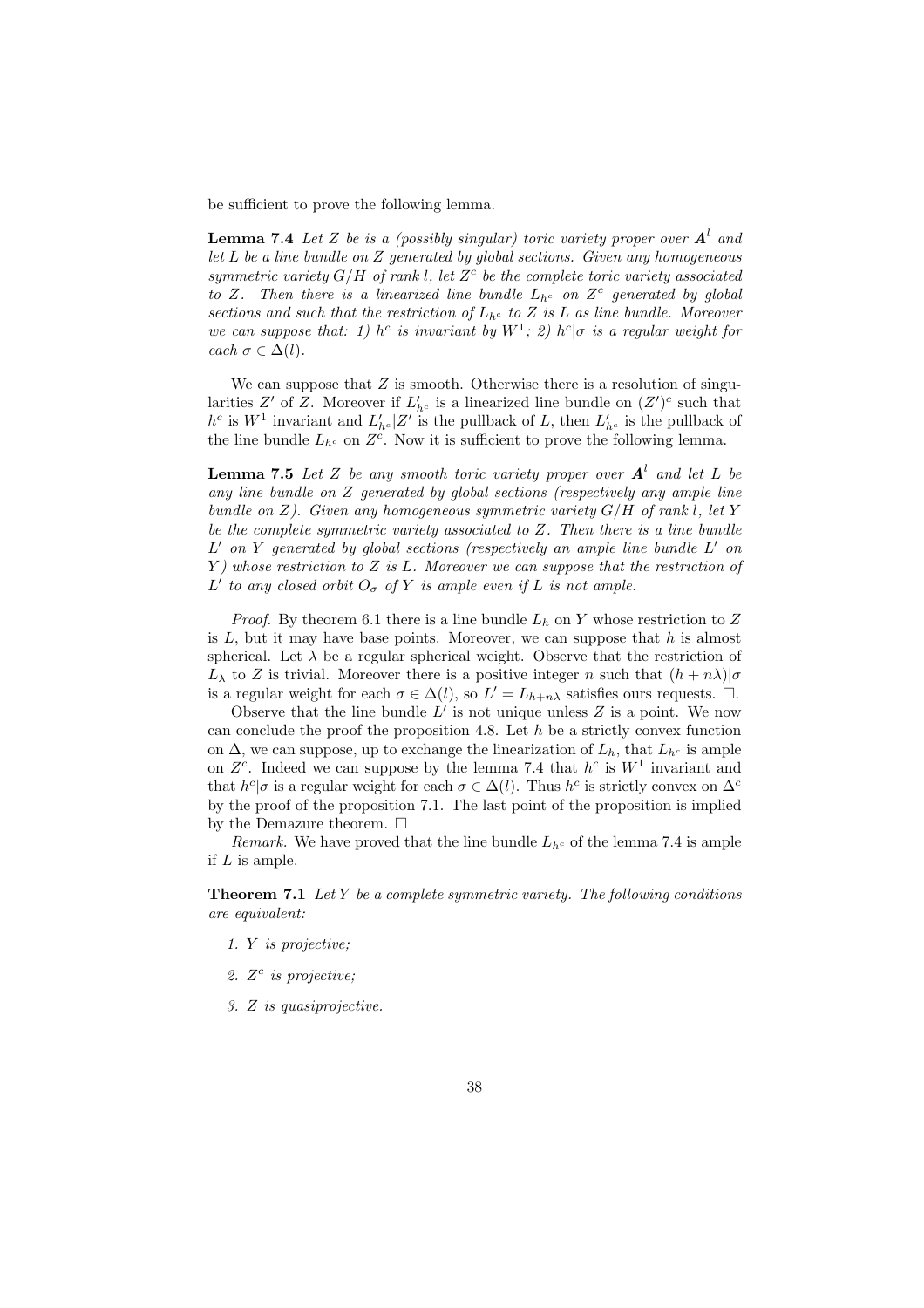be sufficient to prove the following lemma.

**Lemma 7.4** Let Z be is a (possibly singular) toric variety proper over  $A<sup>l</sup>$  and let  $L$  be a line bundle on  $Z$  generated by global sections. Given any homogeneous symmetric variety  $G/H$  of rank l, let  $Z<sup>c</sup>$  be the complete toric variety associated to Z. Then there is a linearized line bundle  $L_{h^c}$  on  $Z^c$  generated by global sections and such that the restriction of  $L_{h^c}$  to Z is L as line bundle. Moreover we can suppose that: 1) h<sup>c</sup> is invariant by  $W^1$ ; 2) h<sup>c</sup> |*σ* is a regular weight for each  $\sigma \in \Delta(l)$ .

We can suppose that  $Z$  is smooth. Otherwise there is a resolution of singularities Z' of Z. Moreover if  $L'_{h^c}$  is a linearized line bundle on  $(Z')^c$  such that  $h^c$  is  $W^1$  invariant and  $L'_{h^c} | Z'$  is the pullback of L, then  $L'_{h^c}$  is the pullback of the line bundle  $L_{h^c}$  on  $Z^c$ . Now it is sufficient to prove the following lemma.

**Lemma 7.5** Let Z be any smooth toric variety proper over  $A<sup>l</sup>$  and let L be any line bundle on Z generated by global sections (respectively any ample line bundle on  $Z$ ). Given any homogeneous symmetric variety  $G/H$  of rank l, let Y be the complete symmetric variety associated to Z. Then there is a line bundle  $L'$  on Y generated by global sections (respectively an ample line bundle  $L'$  on  $Y$ ) whose restriction to  $Z$  is  $L$ . Moreover we can suppose that the restriction of L' to any closed orbit  $O_{\sigma}$  of Y is ample even if L is not ample.

*Proof.* By theorem 6.1 there is a line bundle  $L_h$  on Y whose restriction to Z is  $L$ , but it may have base points. Moreover, we can suppose that  $h$  is almost spherical. Let  $\lambda$  be a regular spherical weight. Observe that the restriction of  $L_{\lambda}$  to Z is trivial. Moreover there is a positive integer n such that  $(h + n\lambda)|\sigma$ is a regular weight for each  $\sigma \in \Delta(l)$ , so  $L' = L_{h+n\lambda}$  satisfies ours requests.  $\Box$ .

Observe that the line bundle  $L'$  is not unique unless  $Z$  is a point. We now can conclude the proof the proposition 4.8. Let  $h$  be a strictly convex function on  $\Delta$ , we can suppose, up to exchange the linearization of  $L_h$ , that  $L_{h^c}$  is ample on  $Z<sup>c</sup>$ . Indeed we can suppose by the lemma 7.4 that  $h<sup>c</sup>$  is  $W<sup>1</sup>$  invariant and that  $h^c|\sigma$  is a regular weight for each  $\sigma \in \Delta(l)$ . Thus  $h^c$  is strictly convex on  $\Delta^c$ by the proof of the proposition 7.1. The last point of the proposition is implied by the Demazure theorem.  $\Box$ 

Remark. We have proved that the line bundle  $L_{h<sup>c</sup>}$  of the lemma 7.4 is ample if  $L$  is ample.

**Theorem 7.1** Let  $Y$  be a complete symmetric variety. The following conditions are equivalent:

- 1. Y is projective;
- 2.  $Z<sup>c</sup>$  is projective;
- 3. Z is quasiprojective.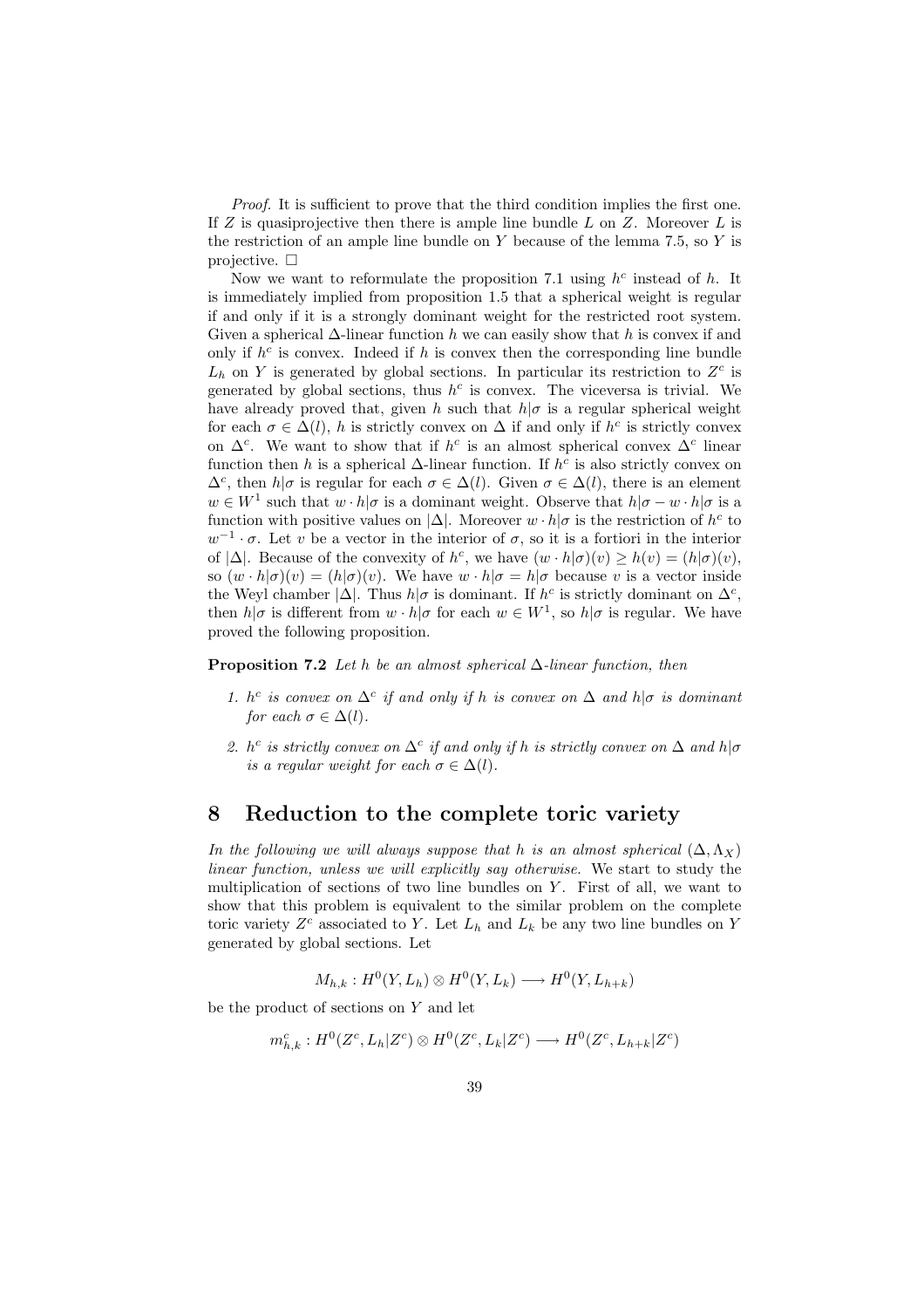Proof. It is sufficient to prove that the third condition implies the first one. If  $Z$  is quasiprojective then there is ample line bundle  $L$  on  $Z$ . Moreover  $L$  is the restriction of an ample line bundle on  $Y$  because of the lemma 7.5, so  $Y$  is projective.  $\Box$ 

Now we want to reformulate the proposition 7.1 using  $h^c$  instead of h. It is immediately implied from proposition 1.5 that a spherical weight is regular if and only if it is a strongly dominant weight for the restricted root system. Given a spherical  $\Delta$ -linear function h we can easily show that h is convex if and only if  $h^c$  is convex. Indeed if h is convex then the corresponding line bundle  $L_h$  on Y is generated by global sections. In particular its restriction to  $Z<sup>c</sup>$  is generated by global sections, thus  $h^c$  is convex. The viceversa is trivial. We have already proved that, given h such that  $h|\sigma$  is a regular spherical weight for each  $\sigma \in \Delta(l)$ , h is strictly convex on  $\Delta$  if and only if  $h^c$  is strictly convex on  $\Delta^c$ . We want to show that if  $h^c$  is an almost spherical convex  $\Delta^c$  linear function then h is a spherical  $\Delta$ -linear function. If  $h^c$  is also strictly convex on  $\Delta^c$ , then  $h|\sigma$  is regular for each  $\sigma \in \Delta(l)$ . Given  $\sigma \in \Delta(l)$ , there is an element  $w \in W^1$  such that  $w \cdot h | \sigma$  is a dominant weight. Observe that  $h | \sigma - w \cdot h | \sigma$  is a function with positive values on  $|\Delta|$ . Moreover  $w \cdot h|\sigma$  is the restriction of  $h^c$  to  $w^{-1} \cdot \sigma$ . Let v be a vector in the interior of  $\sigma$ , so it is a fortiori in the interior of  $|\Delta|$ . Because of the convexity of  $h^c$ , we have  $(w \cdot h|\sigma)(v) \ge h(v) = (h|\sigma)(v)$ , so  $(w \cdot h|\sigma)(v) = (h|\sigma)(v)$ . We have  $w \cdot h|\sigma = h|\sigma$  because v is a vector inside the Weyl chamber  $|\Delta|$ . Thus  $h|\sigma$  is dominant. If  $h^c$  is strictly dominant on  $\Delta^c$ , then  $h|\sigma$  is different from  $w \cdot h|\sigma$  for each  $w \in W^1$ , so  $h|\sigma$  is regular. We have proved the following proposition.

**Proposition 7.2** Let h be an almost spherical  $\Delta$ -linear function, then

- 1.  $h^c$  is convex on  $\Delta^c$  if and only if h is convex on  $\Delta$  and  $h|\sigma$  is dominant for each  $\sigma \in \Delta(l)$ .
- 2. h<sup>c</sup> is strictly convex on  $\Delta^c$  if and only if h is strictly convex on  $\Delta$  and h| $\sigma$ is a regular weight for each  $\sigma \in \Delta(l)$ .

### 8 Reduction to the complete toric variety

In the following we will always suppose that h is an almost spherical  $(\Delta, \Lambda_X)$ linear function, unless we will explicitly say otherwise. We start to study the multiplication of sections of two line bundles on Y. First of all, we want to show that this problem is equivalent to the similar problem on the complete toric variety  $Z<sup>c</sup>$  associated to Y. Let  $L<sub>h</sub>$  and  $L<sub>k</sub>$  be any two line bundles on Y generated by global sections. Let

$$
M_{h,k}: H^0(Y, L_h) \otimes H^0(Y, L_k) \longrightarrow H^0(Y, L_{h+k})
$$

be the product of sections on  $Y$  and let

$$
m_{h,k}^c: H^0(Z^c, L_h | Z^c) \otimes H^0(Z^c, L_k | Z^c) \longrightarrow H^0(Z^c, L_{h+k} | Z^c)
$$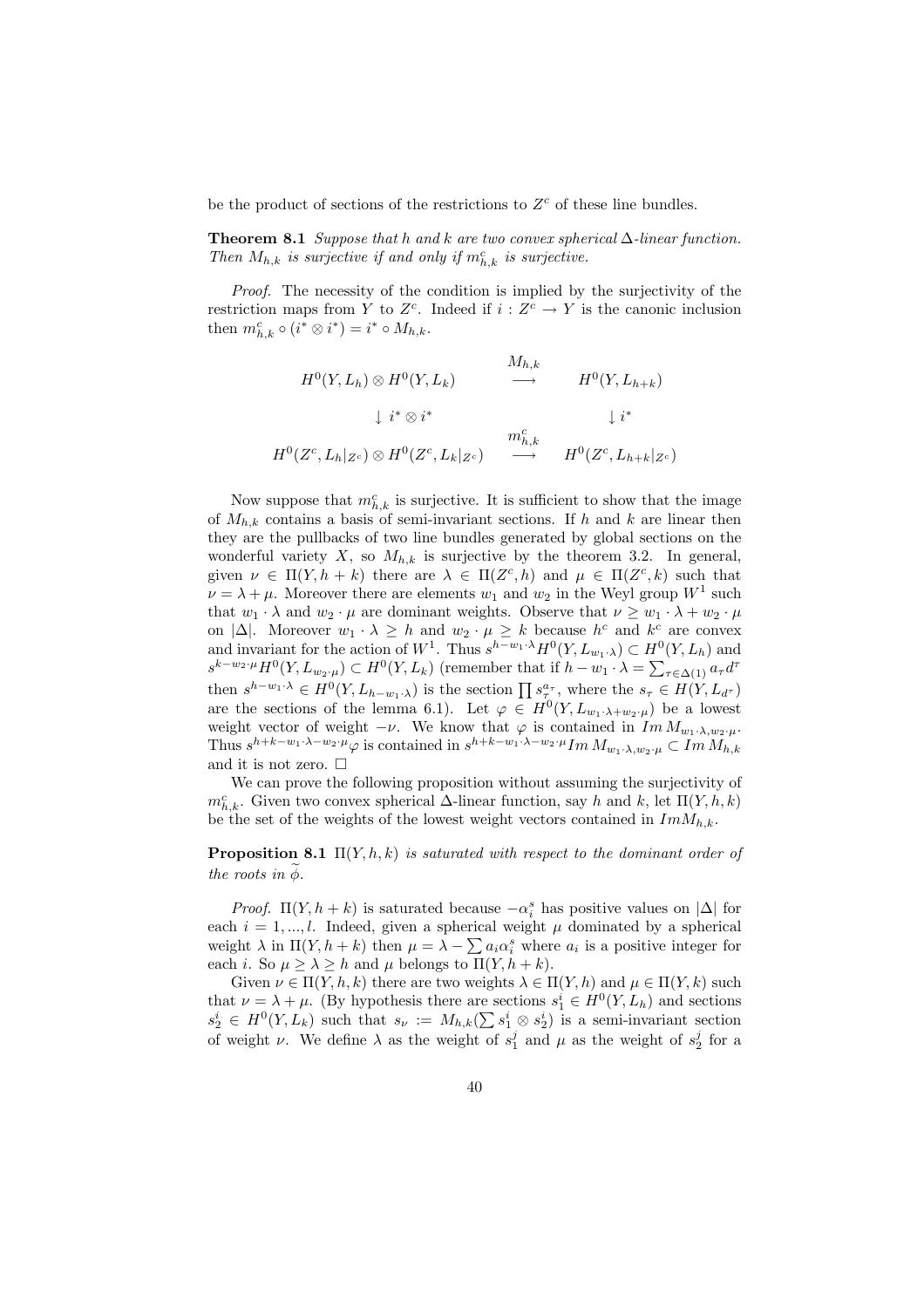be the product of sections of the restrictions to  $Z<sup>c</sup>$  of these line bundles.

**Theorem 8.1** Suppose that h and k are two convex spherical  $\Delta$ -linear function. Then  $M_{h,k}$  is surjective if and only if  $m_{h,k}^c$  is surjective.

Proof. The necessity of the condition is implied by the surjectivity of the restriction maps from Y to  $Z<sup>c</sup>$ . Indeed if  $i: Z<sup>c</sup> \to Y$  is the canonic inclusion then  $m_{h,k}^c \circ (i^* \otimes i^*) = i^* \circ M_{h,k}.$ 

$$
H^{0}(Y, L_{h}) \otimes H^{0}(Y, L_{k}) \longrightarrow H^{0}(Y, L_{h+k})
$$
  
\n
$$
\downarrow i^{*} \otimes i^{*} \qquad \qquad \downarrow i^{*}
$$
  
\n
$$
H^{0}(Z^{c}, L_{h}|_{Z^{c}}) \otimes H^{0}(Z^{c}, L_{k}|_{Z^{c}}) \longrightarrow H^{0}(Z^{c}, L_{h+k}|_{Z^{c}})
$$

Now suppose that  $m_{h,k}^c$  is surjective. It is sufficient to show that the image of  $M_{h,k}$  contains a basis of semi-invariant sections. If h and k are linear then they are the pullbacks of two line bundles generated by global sections on the wonderful variety X, so  $M_{h,k}$  is surjective by the theorem 3.2. In general, given  $\nu \in \Pi(Y, h+k)$  there are  $\lambda \in \Pi(Z^c, h)$  and  $\mu \in \Pi(Z^c, k)$  such that  $\nu = \lambda + \mu$ . Moreover there are elements  $w_1$  and  $w_2$  in the Weyl group  $W^1$  such that  $w_1 \cdot \lambda$  and  $w_2 \cdot \mu$  are dominant weights. Observe that  $\nu \geq w_1 \cdot \lambda + w_2 \cdot \mu$ on  $|\Delta|$ . Moreover  $w_1 \cdot \lambda \geq h$  and  $w_2 \cdot \mu \geq k$  because  $h^c$  and  $k^c$  are convex and invariant for the action of  $W^1$ . Thus  $s^{h-w_1\cdot\lambda}H^0(Y,L_{w_1\cdot\lambda})\subset H^0(Y,L_h)$  and  $s^{k-w_2\cdot \mu}H^0(Y, L_{w_2\cdot \mu}) \subset H^0(Y, L_k)$  (remember that if  $h-w_1\cdot \lambda = \sum_{\tau \in \Delta(1)} a_\tau d^\tau$ then  $s^{h-w_1\cdot\lambda} \in H^0(Y, L_{h-w_1\cdot\lambda})$  is the section  $\prod s_\tau^{\alpha_\tau}$ , where the  $s_\tau \in H(Y, L_{d\tau})$ are the sections of the lemma 6.1). Let  $\varphi \in H^0(Y, L_{w_1} \lambda + w_2 \mu)$  be a lowest weight vector of weight  $-\nu$ . We know that  $\varphi$  is contained in  $Im M_{w_1 \cdot \lambda, w_2 \cdot \mu}$ . Thus  $s^{h+k-w_1\cdot\lambda-w_2\cdot\mu}\varphi$  is contained in  $s^{h+k-w_1\cdot\lambda-w_2\cdot\mu}Im M_{w_1\cdot\lambda,w_2\cdot\mu} \subset Im M_{h,k}$ and it is not zero.  $\Box$ 

We can prove the following proposition without assuming the surjectivity of  $m_{h,k}^c$ . Given two convex spherical  $\Delta$ -linear function, say h and k, let  $\Pi(Y, h, k)$ be the set of the weights of the lowest weight vectors contained in  $Im M_{h,k}$ .

**Proposition 8.1**  $\Pi(Y, h, k)$  is saturated with respect to the dominant order of the roots in  $\widetilde{\phi}$ .

*Proof.*  $\Pi(Y, h+k)$  is saturated because  $-\alpha_i^s$  has positive values on  $|\Delta|$  for each  $i = 1, ..., l$ . Indeed, given a spherical weight  $\mu$  dominated by a spherical each  $i = 1, ..., i$ . Indeed, given a spherical weight  $\mu$  dominated by a spherical weight  $\lambda$  in  $\Pi(Y, h + k)$  then  $\mu = \lambda - \sum a_i \alpha_i^s$  where  $a_i$  is a positive integer for each *i*. So  $\mu \geq \lambda \geq h$  and  $\mu$  belongs to  $\Pi(Y, h + k)$ .

Given  $\nu \in \Pi(Y, h, k)$  there are two weights  $\lambda \in \Pi(Y, h)$  and  $\mu \in \Pi(Y, k)$  such that  $\nu = \lambda + \mu$ . (By hypothesis there are sections  $s_1^i \in H^0(Y, L_h)$  and sections that  $\nu = \lambda + \mu$ . (By hypothesis there are sections  $s_1 \in H^1(T, L_h)$  and sections  $s_2^i \in H^0(Y, L_k)$  such that  $s_{\nu} := M_{h,k}(\sum s_1^i \otimes s_2^i)$  is a semi-invariant section of weight  $\nu$ . We define  $\lambda$  as the weight of  $s_1^j$  and  $\mu$  as the weight of  $s_2^j$  for a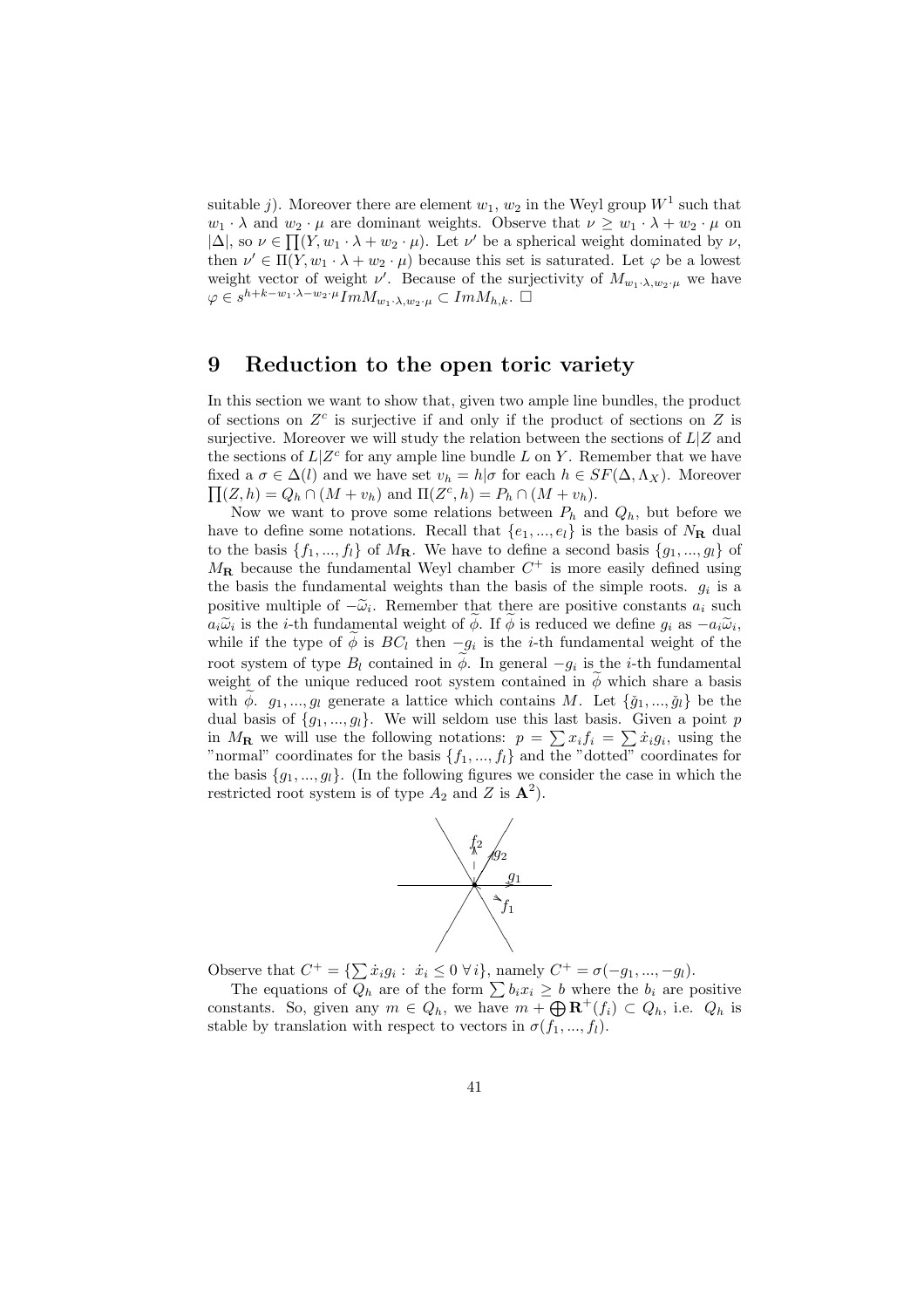suitable j). Moreover there are element  $w_1, w_2$  in the Weyl group  $W^1$  such that  $w_1 \cdot \lambda$  and  $w_2 \cdot \mu$  are dominant weights. Observe that  $\nu \geq w_1 \cdot \lambda + w_2 \cdot \mu$  on  $|\Delta|$ , so  $\nu \in \prod(Y, w_1 \cdot \lambda + w_2 \cdot \mu)$ . Let  $\nu'$  be a spherical weight dominated by  $\nu$ , then  $\nu' \in \Pi(Y, w_1 \cdot \lambda + w_2 \cdot \mu)$  because this set is saturated. Let  $\varphi$  be a lowest weight vector of weight  $\nu'$ . Because of the surjectivity of  $M_{w_1 \cdot \lambda, w_2 \cdot \mu}$  we have  $\varphi \in s^{h+k-w_1 \cdot \lambda - w_2 \cdot \mu} Im M_{w_1 \cdot \lambda, w_2 \cdot \mu} \subset Im M_{h,k}$ .

# 9 Reduction to the open toric variety

In this section we want to show that, given two ample line bundles, the product of sections on  $Z<sup>c</sup>$  is surjective if and only if the product of sections on  $Z$  is surjective. Moreover we will study the relation between the sections of  $L/Z$  and the sections of  $L|Z^c$  for any ample line bundle L on Y. Remember that we have fixed a  $\sigma \in \Delta(l)$  and we have set  $v_h = h|\sigma$  for each  $h \in SF(\Delta, \Lambda_X)$ . Moreover  $(Z, h) = Q_h \cap (M + v_h)$  and  $\Pi(Z^c, h) = P_h \cap (M + v_h)$ .

Now we want to prove some relations between  $P_h$  and  $Q_h$ , but before we have to define some notations. Recall that  $\{e_1, ..., e_l\}$  is the basis of  $N_{\mathbf{R}}$  dual to the basis  $\{f_1, ..., f_l\}$  of  $M_{\mathbf{R}}$ . We have to define a second basis  $\{g_1, ..., g_l\}$  of  $M_{\rm R}$  because the fundamental Weyl chamber  $C^+$  is more easily defined using the basis the fundamental weights than the basis of the simple roots.  $g_i$  is a positive multiple of  $-\tilde{\omega}_i$ . Remember that there are positive constants  $a_i$  such  $a_i\widetilde{\omega}_i$  is the *i*-th fundamental weight of  $\widetilde{\phi}$ . If  $\widetilde{\phi}$  is reduced we define  $g_i$  as  $-a_i\widetilde{\omega}_i$ , while if the type of  $\widetilde{\phi}$  is  $BC_l$  then  $-g_i$  is the *i*-th fundamental weight of the root system of type  $B_l$  contained in  $\widetilde{\phi}$ . In general  $-g_i$  is the *i*-th fundamental weight of the unique reduced root system contained in  $\phi$  which share a basis with  $\phi$ .  $g_1, ..., g_l$  generate a lattice which contains M. Let  $\{\check{g}_1, ..., \check{g}_l\}$  be the dual basis of  $\{g_1, ..., g_l\}$ . We will seldom use this last basis. Given a point p dual basis of  $\{g_1, ..., g_l\}$ . We will sell set this fast basis. Given a point p<br>in  $M_{\mathbf{R}}$  we will use the following notations:  $p = \sum x_i f_i = \sum x_i g_i$ , using the "normal" coordinates for the basis  $\{f_1, ..., f_l\}$  and the "dotted" coordinates for the basis  $\{q_1, ..., q_l\}$ . (In the following figures we consider the case in which the restricted root system is of type  $A_2$  and Z is  $\mathbf{A}^2$ .



Observe that  $C^+ = \{ \sum \dot{x}_i g_i : \dot{x}_i \leq 0 \,\forall i \}$ , namely  $C^+ = \sigma(-g_1, ..., -g_l)$ .

The equations of  $Q_h$  are of the form  $\sum b_i x_i \geq b$  where the  $b_i$  are positive The equations of  $Q_h$  are of the form  $\sum a_i x_i \ge 0$  where the  $b_i$  are positive<br>constants. So, given any  $m \in Q_h$ , we have  $m + \bigoplus \mathbf{R}^+(f_i) \subset Q_h$ , i.e.  $Q_h$  is stable by translation with respect to vectors in  $\sigma(f_1, ..., f_l)$ .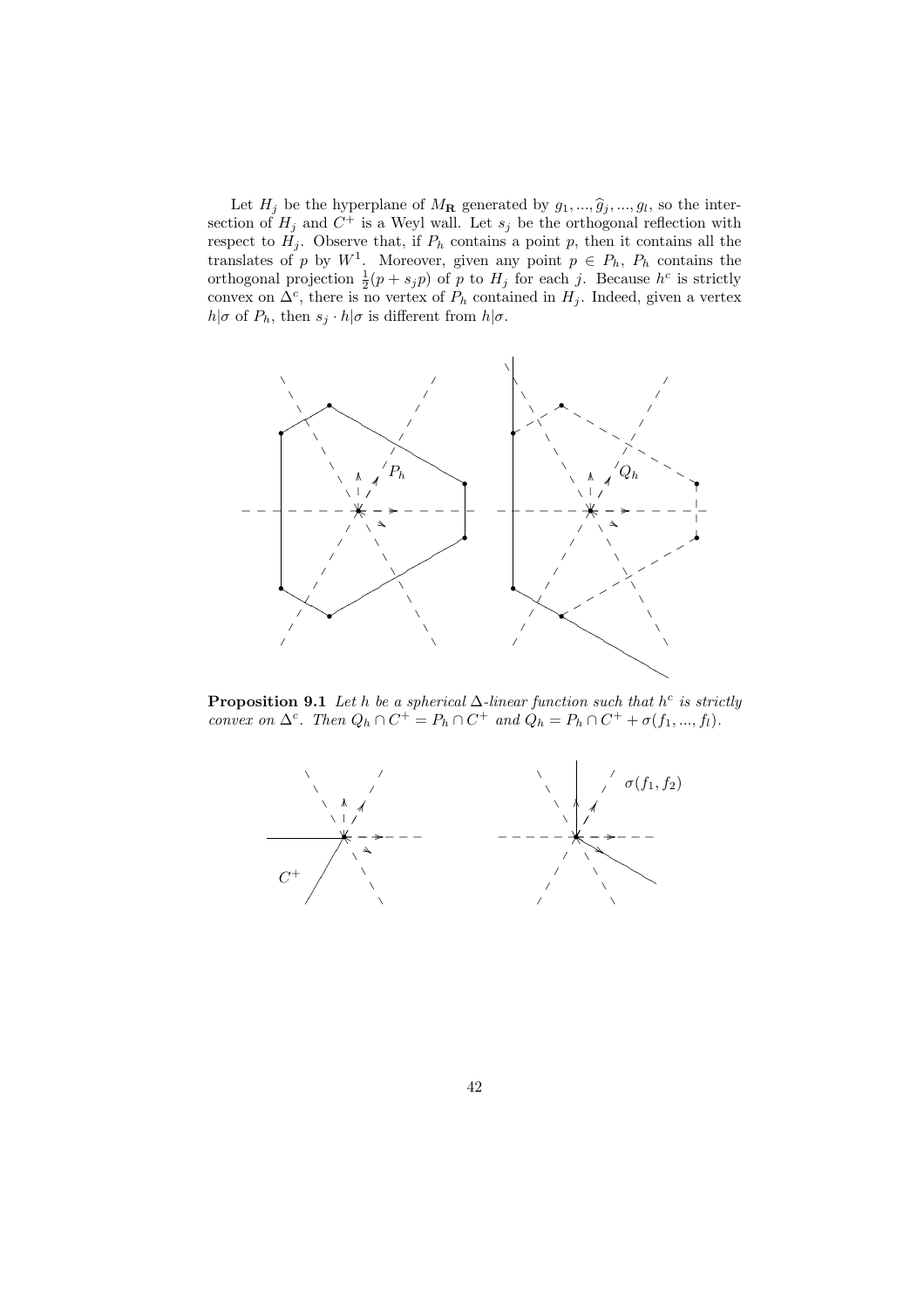Let  $H_j$  be the hyperplane of  $M_{\mathbf{R}}$  generated by  $g_1, ..., \hat{g}_j, ..., g_l$ , so the intersection of  $H_j$  and  $C^+$  is a Weyl wall. Let  $s_j$  be the orthogonal reflection with respect to  $H_j$ . Observe that, if  $P_h$  contains a point p, then it contains all the translates of p by  $W^1$ . Moreover, given any point  $p \in P_h$ ,  $P_h$  contains the orthogonal projection  $\frac{1}{2}(p + s_j p)$  of p to  $H_j$  for each j. Because  $h^c$  is strictly convex on  $\Delta^c$ , there is no vertex of  $P_h$  contained in  $H_j$ . Indeed, given a vertex  $h|\sigma$  of  $P_h$ , then  $s_j \cdot h|\sigma$  is different from  $h|\sigma$ .



**Proposition 9.1** Let h be a spherical  $\Delta$ -linear function such that h<sup>c</sup> is strictly convex on  $\Delta^c$ . Then  $Q_h \cap C^+ = P_h \cap C^+$  and  $Q_h = P_h \cap C^+ + \sigma(f_1, ..., f_l)$ .

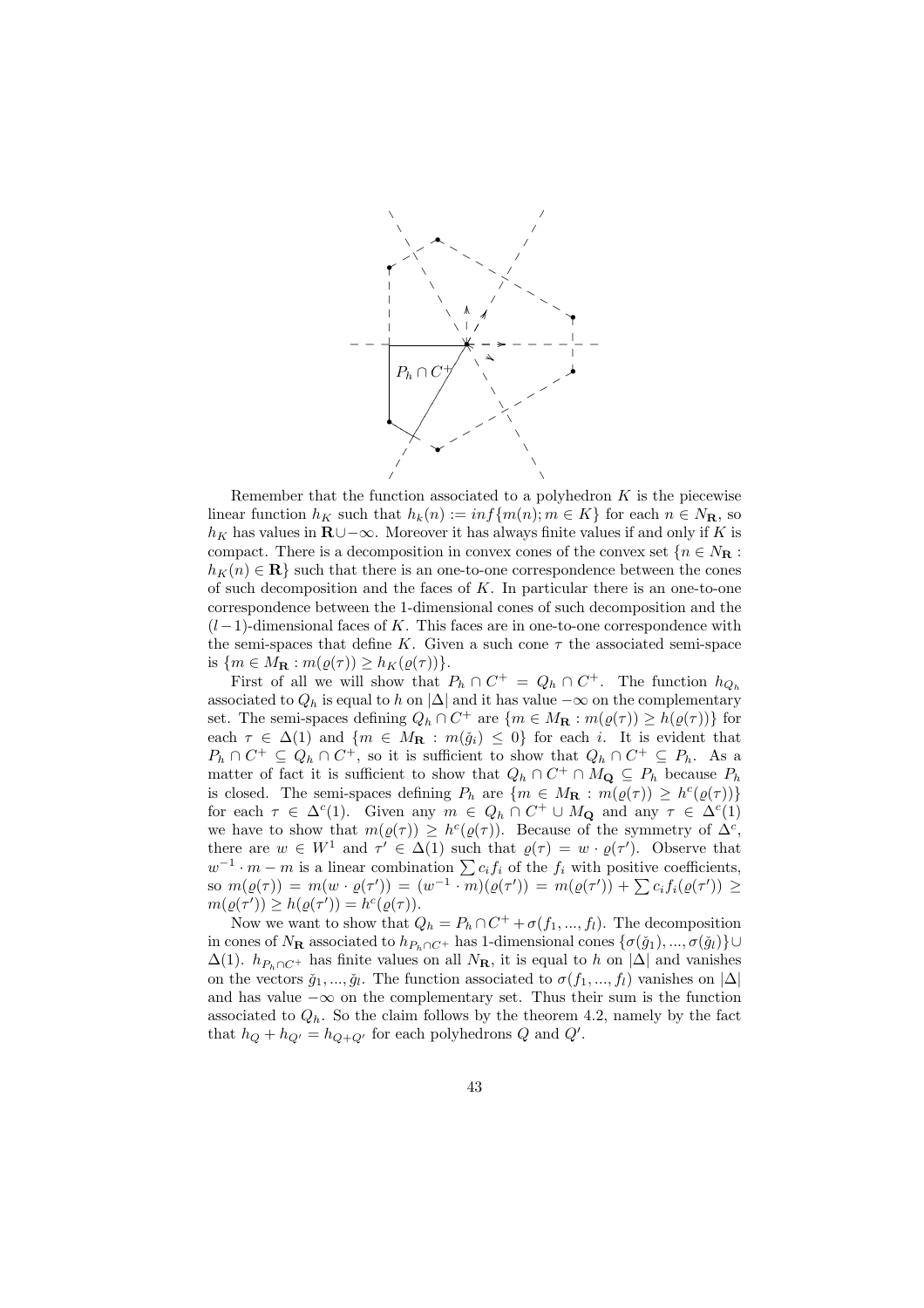

Remember that the function associated to a polyhedron  $K$  is the piecewise linear function  $h_K$  such that  $h_k(n) := \inf\{m(n); m \in K\}$  for each  $n \in N_{\mathbf{R}}$ , so  $h_K$  has values in R∪−∞. Moreover it has always finite values if and only if K is compact. There is a decomposition in convex cones of the convex set  $\{n \in N_{\mathbf{R}}:\}$  $h_K(n) \in \mathbf{R}$  such that there is an one-to-one correspondence between the cones of such decomposition and the faces of  $K$ . In particular there is an one-to-one correspondence between the 1-dimensional cones of such decomposition and the  $(l-1)$ -dimensional faces of K. This faces are in one-to-one correspondence with the semi-spaces that define K. Given a such cone  $\tau$  the associated semi-space is  $\{m \in M_{\mathbf{R}} : m(\varrho(\tau)) \geq h_K(\varrho(\tau))\}.$ 

First of all we will show that  $P_h \cap C^+ = Q_h \cap C^+$ . The function  $h_{Q_h}$ associated to  $Q_h$  is equal to h on  $|\Delta|$  and it has value  $-\infty$  on the complementary set. The semi-spaces defining  $Q_h \cap C^+$  are  $\{m \in M_\mathbf{R} : m(\varrho(\tau)) \ge h(\varrho(\tau))\}$  for each  $\tau \in \Delta(1)$  and  $\{m \in M_{\mathbf{R}} : m(\check{g}_i) \leq 0\}$  for each i. It is evident that  $P_h \cap C^+ \subseteq Q_h \cap C^+$ , so it is sufficient to show that  $Q_h \cap C^+ \subseteq P_h$ . As a matter of fact it is sufficient to show that  $Q_h \cap C^+ \cap M_{\mathbf{Q}} \subseteq P_h$  because  $P_h$ is closed. The semi-spaces defining  $P_h$  are  $\{m \in M_\mathbf{R} : m(\varrho(\tau)) \ge h^c(\varrho(\tau))\}$ for each  $\tau \in \Delta^c(1)$ . Given any  $m \in Q_h \cap C^+ \cup M_{\mathbf{Q}}$  and any  $\tau \in \Delta^c(1)$ we have to show that  $m(\varrho(\tau)) \geq h^c(\varrho(\tau))$ . Because of the symmetry of  $\Delta^c$ , there are  $w \in W^1$  and  $\tau' \in \Delta(1)$  such that  $\rho(\tau) = w \cdot \rho(\tau')$ . Observe that there are  $w \in W$  and  $\tau \in \Delta(1)$  such that  $\varrho(\tau) = w \cdot \varrho(\tau)$ . Observe that  $w^{-1} \cdot m - m$  is a linear combination  $\sum c_i f_i$  of the  $f_i$  with positive coefficients,  $w \rightarrow m-m$  is a linear combination  $\sum c_i j_i$  of the  $j_i$  with positive coefficients,<br>so  $m(\varrho(\tau)) = m(w \cdot \varrho(\tau')) = (w^{-1} \cdot m)(\varrho(\tau')) = m(\varrho(\tau')) + \sum c_i f_i(\varrho(\tau')) \geq$  $m(\varrho(\tau')) \ge h(\varrho(\tau')) = h^{c}(\varrho(\tau)).$ 

Now we want to show that  $Q_h = P_h \cap C^+ + \sigma(f_1, ..., f_l)$ . The decomposition in cones of  $N_{\mathbf{R}}$  associated to  $h_{P_h\cap C^+}$  has 1-dimensional cones  $\{\sigma(\check{g}_1), ..., \sigma(\check{g}_l)\}\cup$  $\Delta(1)$ .  $h_{P_h \cap C^+}$  has finite values on all  $N_{\mathbf{R}}$ , it is equal to h on  $|\Delta|$  and vanishes on the vectors  $\check{g}_1, ..., \check{g}_l$ . The function associated to  $\sigma(f_1, ..., f_l)$  vanishes on  $|\Delta|$ and has value  $-\infty$  on the complementary set. Thus their sum is the function associated to  $Q_h$ . So the claim follows by the theorem 4.2, namely by the fact that  $h_Q + h_{Q'} = h_{Q+Q'}$  for each polyhedrons Q and Q'.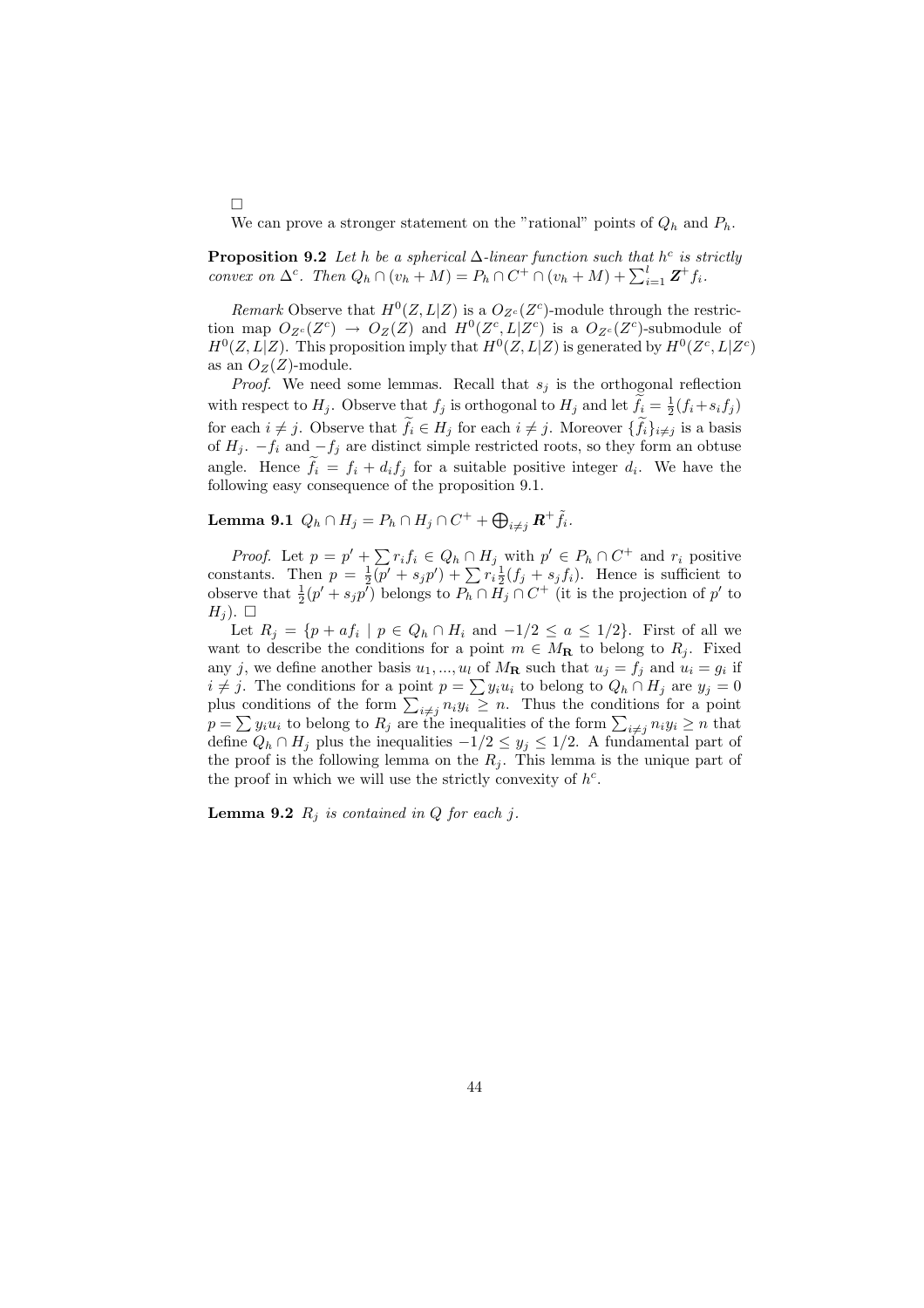We can prove a stronger statement on the "rational" points of  $Q_h$  and  $P_h$ .

**Proposition 9.2** Let h be a spherical  $\Delta$ -linear function such that h<sup>c</sup> is strictly **Proposition 9.2** Let *n* be a spherical  $\Delta$ -unear junction such that *n*<sup>-</sup> is st<br>convex on  $\Delta^c$ . Then  $Q_h \cap (v_h + M) = P_h \cap C^+ \cap (v_h + M) + \sum_{i=1}^l \mathbf{Z}^+ f_i$ .

Remark Observe that  $H^0(Z, L|Z)$  is a  $O_{Z^c}(Z^c)$ -module through the restriction map  $O_{Z^c}(Z^c) \to O_Z(Z)$  and  $H^0(Z^c, L|Z^c)$  is a  $O_{Z^c}(Z^c)$ -submodule of  $H^0(Z, L|Z)$ . This proposition imply that  $H^0(Z, L|Z)$  is generated by  $H^0(Z^c, L|Z^c)$ as an  $O_Z(Z)$ -module.

*Proof.* We need some lemmas. Recall that  $s_j$  is the orthogonal reflection with respect to  $H_j$ . Observe that  $f_j$  is orthogonal to  $H_j$  and let  $\widetilde{f}_i = \frac{1}{2}(f_i + s_i f_j)$ for each  $i \neq j$ . Observe that  $\widetilde{f}_i \in H_j$  for each  $i \neq j$ . Moreover  $\{\widetilde{f}_i\}_{i \neq j}$  is a basis of  $H_j$ .  $-f_i$  and  $-f_j$  are distinct simple restricted roots, so they form an obtuse angle. Hence  $\tilde{f}_i = f_i + d_i f_j$  for a suitable positive integer  $d_i$ . We have the following easy consequence of the proposition 9.1.

Lemma 9.1  $Q_h \cap H_j = P_h \cap H_j \cap C^+ + \bigoplus_{i \neq j} \boldsymbol{R}^+ \tilde{f}_i.$ 

 $\Box$ 

*Proof.* Let  $p = p' + \sum r_i f_i \in Q_h \cap H_j$  with  $p' \in P_h \cap C^+$  and  $r_i$  positive *Proof.* Let  $p = p + \sum r_i j_i \in Q_h \cap T_j$  with  $p \in F_h \cap C$  and  $r_i$  positive constants. Then  $p = \frac{1}{2}(p' + s_j p') + \sum r_i \frac{1}{2}(f_j + s_j f_i)$ . Hence is sufficient to observe that  $\frac{1}{2}(p' + s_j p')$  belongs to  $P_h \cap H_j \cap C^+$  (it is the projection of p' to  $H_i$ ).  $\Box$ 

Let  $R_j = \{p + af_i \mid p \in Q_h \cap H_i \text{ and } -1/2 \leq a \leq 1/2\}$ . First of all we want to describe the conditions for a point  $m \in M_{\mathbf{R}}$  to belong to  $R_j$ . Fixed any j, we define another basis  $u_1, ..., u_l$  of  $M_{\mathbf{R}}$  such that  $u_j = f_j$  and  $u_i = g_i$  if any j, we define another basis  $u_1, ..., u_l$  of  $M_{\mathbf{R}}$  such that  $u_j = j_j$  and  $u_i = g_i$  in  $i \neq j$ . The conditions for a point  $p = \sum y_i u_i$  to belong to  $Q_h \cap H_j$  are  $y_j = 0$  $i \neq j$ . The conditions for a point  $p = \sum y_i u_i$  to belong to  $Q_h \cap H_j$  are  $y_j = 0$  plus conditions of the form  $\sum_{i \neq j} n_i y_i \geq n$ . Thus the conditions for a point plus conditions of the form  $\sum_{i \neq j} n_i y_i \geq n$ . Thus the conditions for a point  $p = \sum y_i u_i$  to belong to  $R_j$  are the inequalities of the form  $\sum_{i \neq j} n_i y_i \geq n$  that define  $Q_h ∩ H_j$  plus the inequalities  $-1/2 ≤ y_j ≤ 1/2$ . A fundamental part of the proof is the following lemma on the  $R_i$ . This lemma is the unique part of the proof in which we will use the strictly convexity of  $h^c$ .

**Lemma 9.2**  $R_i$  is contained in Q for each j.

44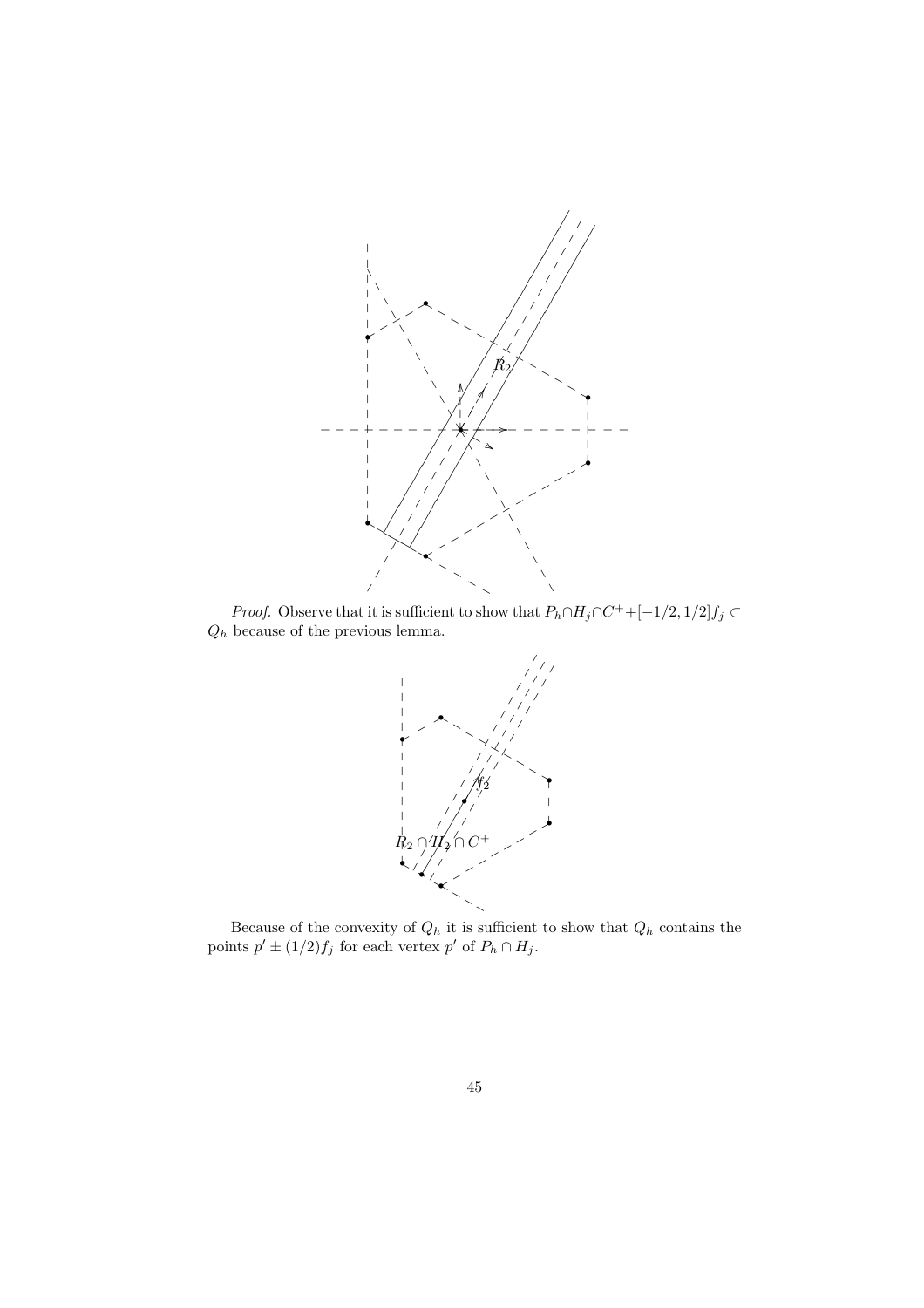

*Proof.* Observe that it is sufficient to show that  $P_h \cap H_j \cap C^+ + [-1/2, 1/2] f_j \subset$  $Q_h$  because of the previous lemma.



Because of the convexity of  $Q_h$  it is sufficient to show that  $Q_h$  contains the points  $p' \pm (1/2) f_j$  for each vertex  $p'$  of  $P_h \cap H_j$ .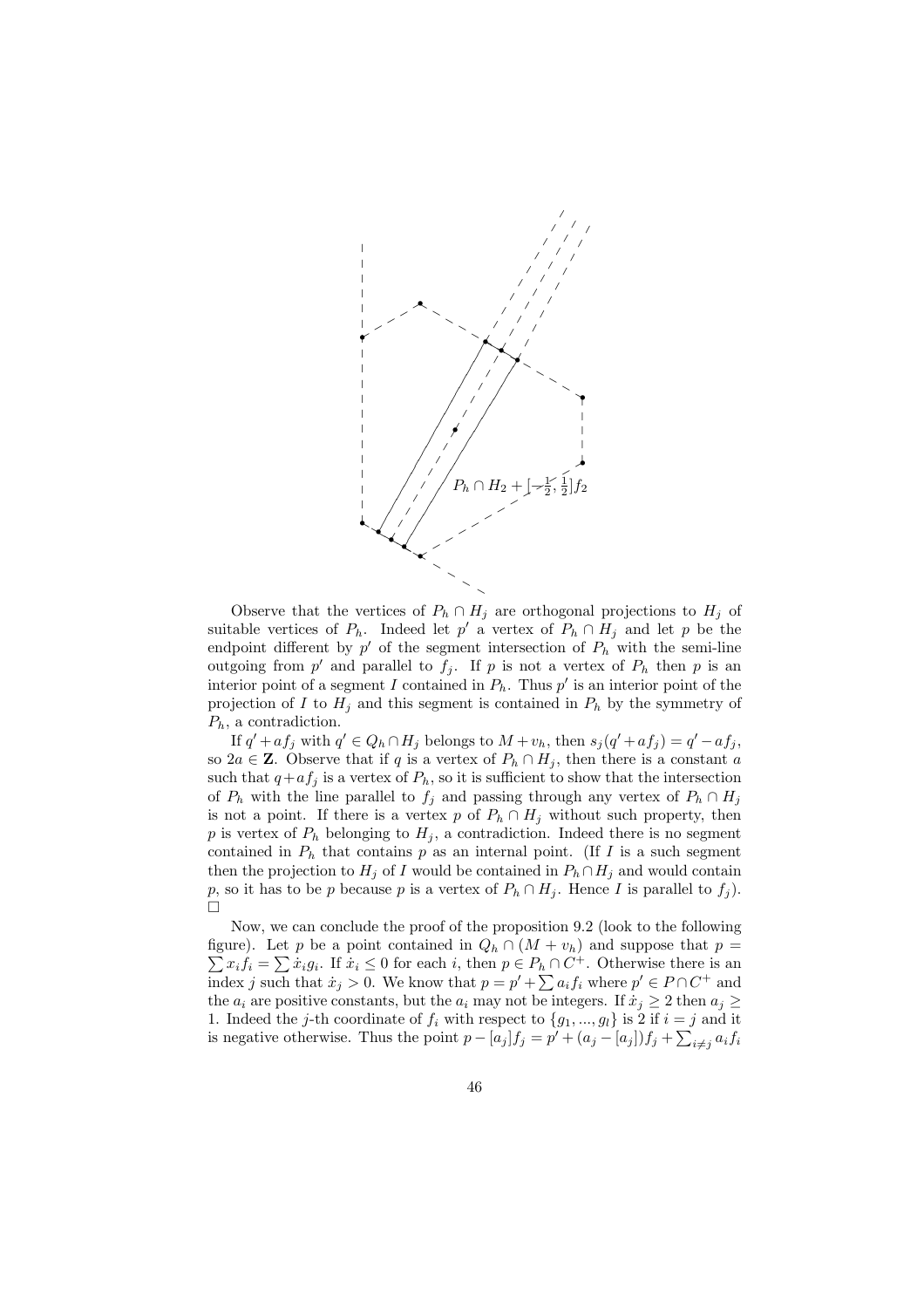

Observe that the vertices of  $P_h \cap H_j$  are orthogonal projections to  $H_j$  of suitable vertices of  $P_h$ . Indeed let p' a vertex of  $P_h \cap H_j$  and let p be the endpoint different by  $p'$  of the segment intersection of  $P_h$  with the semi-line outgoing from p' and parallel to  $f_j$ . If p is not a vertex of  $P_h$  then p is an interior point of a segment I contained in  $P_h$ . Thus p' is an interior point of the projection of I to  $H_j$  and this segment is contained in  $P_h$  by the symmetry of  $P_h$ , a contradiction.

If  $q' + af_j$  with  $q' \in Q_h \cap H_j$  belongs to  $M + v_h$ , then  $s_j(q' + af_j) = q' - af_j$ , so 2a ∈ **Z**. Observe that if q is a vertex of  $P_h \cap H_i$ , then there is a constant a such that  $q+af_j$  is a vertex of  $P_h$ , so it is sufficient to show that the intersection of  $P_h$  with the line parallel to  $f_i$  and passing through any vertex of  $P_h \cap H_i$ is not a point. If there is a vertex p of  $P_h \cap H_j$  without such property, then p is vertex of  $P_h$  belonging to  $H_j$ , a contradiction. Indeed there is no segment contained in  $P_h$  that contains p as an internal point. (If I is a such segment then the projection to  $H_j$  of I would be contained in  $P_h \cap H_j$  and would contain p, so it has to be p because p is a vertex of  $P_h \cap H_j$ . Hence I is parallel to  $f_j$ .  $\Box$ 

Now, we can conclude the proof of the proposition 9.2 (look to the following figure). Let p be a point contained in  $Q_h \cap (M + v_h)$  and suppose that  $p =$ The integral of the appendix contained in  $Q_h \cap (M + v_h)$  and suppose that  $p = x_i f_i = \sum \dot{x}_i g_i$ . If  $\dot{x}_i \leq 0$  for each i, then  $p \in P_h \cap C^+$ . Otherwise there is an  $\sum x_i j_i = \sum x_i g_i$ . If  $x_i \leq 0$  for each  $i$ , then  $p \in P_h \cap C$ . Otherwise there is an index j such that  $\dot{x}_j > 0$ . We know that  $p = p' + \sum a_i f_i$  where  $p' \in P \cap C^+$  and the  $a_i$  are positive constants, but the  $a_i$  may not be integers. If  $\dot{x}_i \geq 2$  then  $a_i \geq$ 1. Indeed the j-th coordinate of  $f_i$  with respect to  $\{g_1, ..., g_l\}$  is 2 if  $i = j$  and it is negative otherwise. Thus the point  $p - [a_j]f_j = p' + (a_j - [a_j])f_j + \sum_{i \neq j} a_i f_i$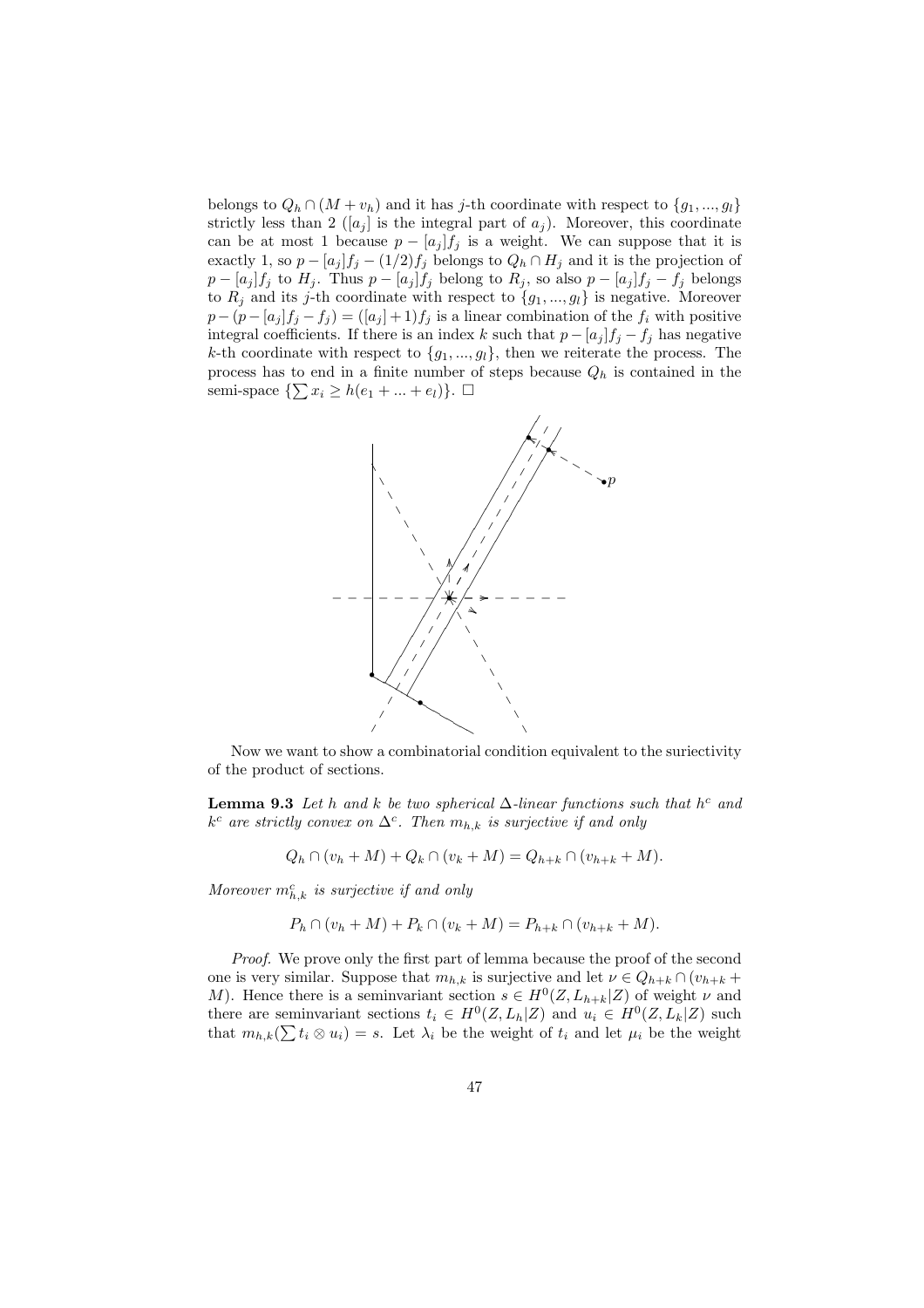belongs to  $Q_h \cap (M + v_h)$  and it has j-th coordinate with respect to  $\{g_1, ..., g_l\}$ strictly less than 2  $([a_j]$  is the integral part of  $a_j$ ). Moreover, this coordinate can be at most 1 because  $p - [a_j]f_j$  is a weight. We can suppose that it is exactly 1, so  $p - [a_j]f_j - (1/2)f_j$  belongs to  $Q_h \cap H_j$  and it is the projection of  $p - [a_j]f_j$  to  $H_j$ . Thus  $p - [a_j]f_j$  belong to  $R_j$ , so also  $p - [a_j]f_j - f_j$  belongs to  $R_j$  and its j-th coordinate with respect to  $\{g_1, ..., g_l\}$  is negative. Moreover  $p - (p - [a_j]f_j - f_j) = ([a_j] + 1)f_j$  is a linear combination of the  $f_i$  with positive integral coefficients. If there is an index k such that  $p - [a_j]f_j - f_j$  has negative k-th coordinate with respect to  ${g_1, ..., g_l}$ , then we reiterate the process. The process has to end in a finite number of steps because  $Q_h$  is contained in the process has to end in a linite number of<br>semi-space  $\{\sum x_i \ge h(e_1 + ... + e_l)\}\.$ 



Now we want to show a combinatorial condition equivalent to the suriectivity of the product of sections.

**Lemma 9.3** Let h and k be two spherical  $\Delta$ -linear functions such that h<sup>c</sup> and  $k^c$  are strictly convex on  $\Delta^c$ . Then  $m_{h,k}$  is surjective if and only

$$
Q_h \cap (v_h + M) + Q_k \cap (v_k + M) = Q_{h+k} \cap (v_{h+k} + M).
$$

Moreover  $m_{h,k}^c$  is surjective if and only

$$
P_h \cap (v_h + M) + P_k \cap (v_k + M) = P_{h+k} \cap (v_{h+k} + M).
$$

Proof. We prove only the first part of lemma because the proof of the second one is very similar. Suppose that  $m_{h,k}$  is surjective and let  $\nu \in Q_{h+k} \cap (v_{h+k} +$ M). Hence there is a seminvariant section  $s \in H^0(Z, L_{h+k}|Z)$  of weight  $\nu$  and there are seminvariant sections  $t_i \in H^0(Z, L_h|Z)$  and  $u_i \in H^0(Z, L_k|Z)$  such there are seminvariant sections  $t_i \in H^{\infty}(\mathbb{Z}, L_h|\mathbb{Z})$  and  $u_i \in H^{\infty}(\mathbb{Z}, L_k|\mathbb{Z})$  such that  $m_{h,k}(\sum t_i \otimes u_i) = s$ . Let  $\lambda_i$  be the weight of  $t_i$  and let  $\mu_i$  be the weight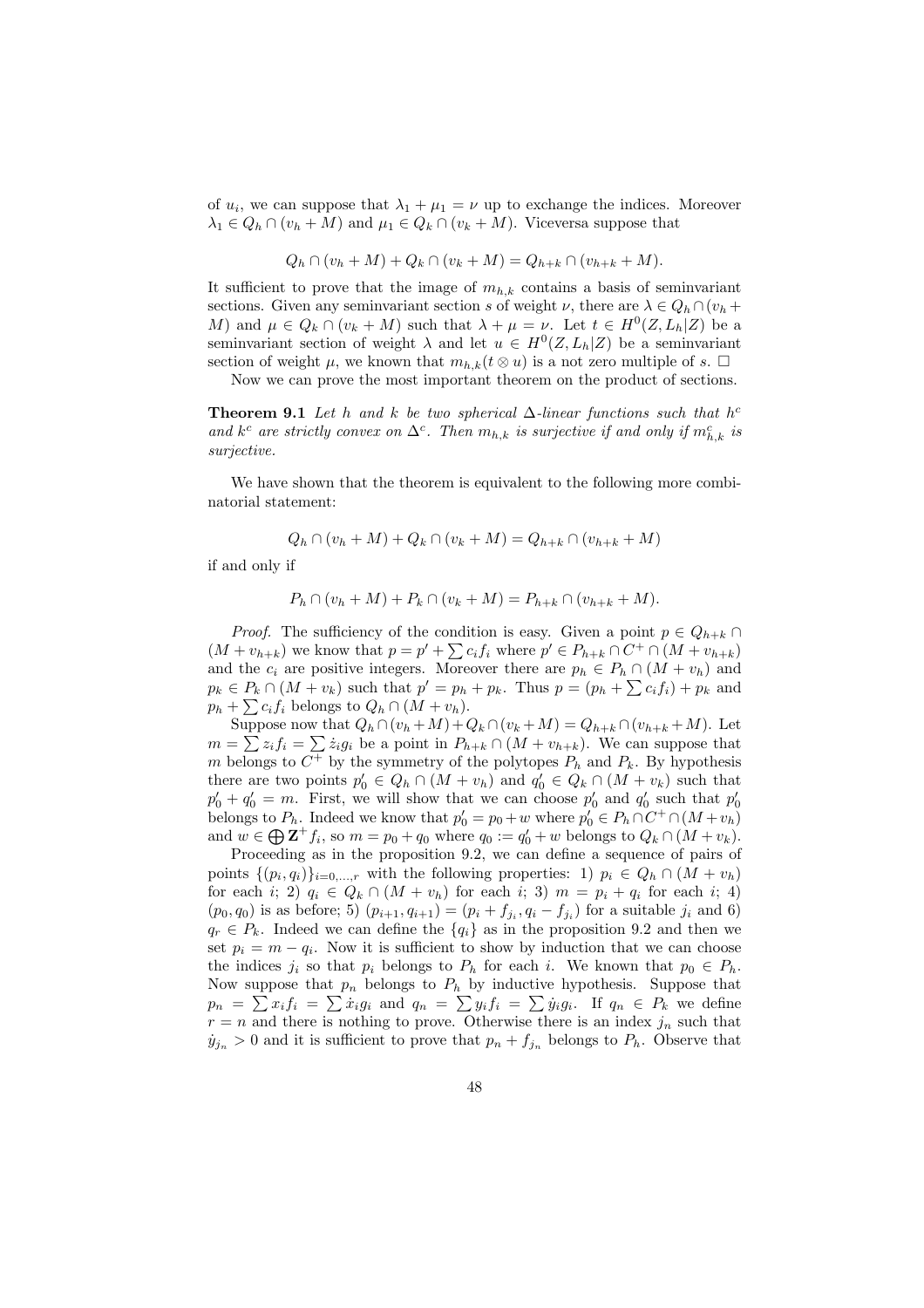of  $u_i$ , we can suppose that  $\lambda_1 + \mu_1 = \nu$  up to exchange the indices. Moreover  $\lambda_1 \in Q_h \cap (v_h + M)$  and  $\mu_1 \in Q_k \cap (v_k + M)$ . Viceversa suppose that

$$
Q_h \cap (v_h + M) + Q_k \cap (v_k + M) = Q_{h+k} \cap (v_{h+k} + M).
$$

It sufficient to prove that the image of  $m_{h,k}$  contains a basis of seminvariant sections. Given any seminvariant section s of weight  $\nu$ , there are  $\lambda \in Q_h \cap (v_h +$ M) and  $\mu \in Q_k \cap (v_k + M)$  such that  $\lambda + \mu = \nu$ . Let  $t \in H^0(Z, L_h | Z)$  be a seminvariant section of weight  $\lambda$  and let  $u \in H^0(Z, L_h|Z)$  be a seminvariant section of weight  $\mu$ , we known that  $m_{h,k}(t \otimes u)$  is a not zero multiple of s.  $\Box$ 

Now we can prove the most important theorem on the product of sections.

**Theorem 9.1** Let h and k be two spherical  $\Delta$ -linear functions such that h<sup>c</sup> and  $k^c$  are strictly convex on  $\Delta^c$ . Then  $m_{h,k}$  is surjective if and only if  $m_{h,k}^c$  is surjective.

We have shown that the theorem is equivalent to the following more combinatorial statement:

$$
Q_h \cap (v_h + M) + Q_k \cap (v_k + M) = Q_{h+k} \cap (v_{h+k} + M)
$$

if and only if

$$
P_h \cap (v_h + M) + P_k \cap (v_k + M) = P_{h+k} \cap (v_{h+k} + M).
$$

*Proof.* The sufficiency of the condition is easy. Given a point  $p \in Q_{h+k}$ *Proof.* The sunctency of the condition is easy. Given a point  $p \in Q_{h+k} \cap (M + v_{h+k})$  we know that  $p = p' + \sum c_i f_i$  where  $p' \in P_{h+k} \cap C^+ \cap (M + v_{h+k})$ and the  $c_i$  are positive integers. Moreover there are  $p_h \in P_h \cap (M + v_h)$  and and the  $c_i$  are positive integers. Moreover there are  $p_h \in P_h \cap (M + v_h)$  and  $p_k \in P_k \cap (M + v_k)$  such that  $p' = p_h + p_k$ . Thus  $p = (p_h + \sum c_i f_i) + p_k$  and  $p_k \in F_k \cap (M + v_k)$  such that  $p = p_h$ <br>  $p_h + \sum c_i f_i$  belongs to  $Q_h \cap (M + v_h)$ .

Suppose now that  $Q_h \cap (v_h + M) + Q_k \cap (v_k + M) = Q_{h+k} \cap (v_{h+k} + M)$ . Let suppose now that  $Q_h \cap (v_h + M) + Q_k \cap (v_k + M) = Q_{h+k} \cap (v_{h+k} + M)$ . Let  $m = \sum z_i f_i = \sum \dot{z}_i g_i$  be a point in  $P_{h+k} \cap (M + v_{h+k})$ . We can suppose that m belongs to  $C^+$  by the symmetry of the polytopes  $P_h$  and  $P_k$ . By hypothesis there are two points  $p'_0 \in Q_h \cap (M + v_h)$  and  $q'_0 \in Q_k \cap (M + v_k)$  such that  $p'_0 + q'_0 = m$ . First, we will show that we can choose  $p'_0$  and  $q'_0$  such that  $p'_0$ belongs to  $P_h$ . Indeed we know that  $p'_0 = p_0 + w$  where  $p'_0 \in P_h \cap C^+ \cap (M + v_h)$ belongs to  $P_h$ . Indeed we know that  $p_0 = p_0 + w$  where  $p_0 \in P_h \cap C \cap (M + v_h)$ <br>and  $w \in \bigoplus \mathbf{Z}^+ f_i$ , so  $m = p_0 + q_0$  where  $q_0 := q'_0 + w$  belongs to  $Q_k \cap (M + v_k)$ .

Proceeding as in the proposition 9.2, we can define a sequence of pairs of points  $\{(p_i, q_i)\}_{i=0,\dots,r}$  with the following properties: 1)  $p_i \in Q_h \cap (M + v_h)$ for each i; 2)  $q_i \in Q_k \cap (M + v_h)$  for each i; 3)  $m = p_i + q_i$  for each i; 4)  $(p_0, q_0)$  is as before; 5)  $(p_{i+1}, q_{i+1}) = (p_i + f_{j_i}, q_i - f_{j_i})$  for a suitable  $j_i$  and 6)  $q_r \in P_k$ . Indeed we can define the  $\{q_i\}$  as in the proposition 9.2 and then we set  $p_i = m - q_i$ . Now it is sufficient to show by induction that we can choose the indices  $j_i$  so that  $p_i$  belongs to  $P_h$  for each i. We known that  $p_0 \in P_h$ . Now suppose that  $p_n$  belongs to  $P_h$  by inductive hypothesis. Suppose that Now suppose that  $p_n$  belongs to  $F_h$  by inductive hypothesis. Suppose that  $p_n = \sum x_i f_i = \sum \dot{x}_i g_i$  and  $q_n = \sum y_i f_i = \sum \dot{y}_i g_i$ . If  $q_n \in P_k$  we define  $r = n$  and there is nothing to prove. Otherwise there is an index  $j_n$  such that  $y_{j_n} > 0$  and it is sufficient to prove that  $p_n + f_{j_n}$  belongs to  $P_h$ . Observe that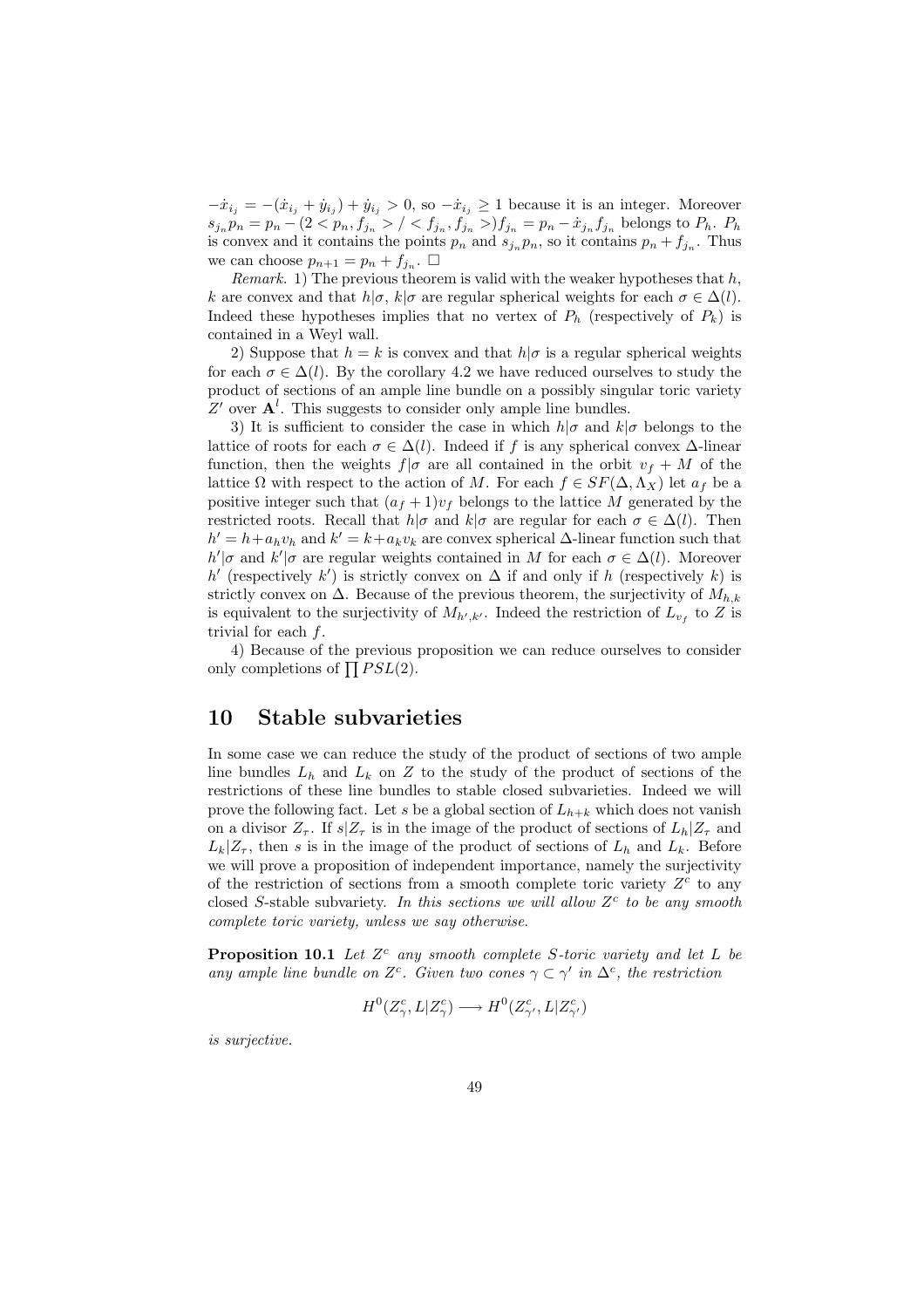$-\dot{x}_{i_j} = -(\dot{x}_{i_j} + \dot{y}_{i_j}) + \dot{y}_{i_j} > 0$ , so  $-\dot{x}_{i_j} \ge 1$  because it is an integer. Moreover  $s_{j_n} p_n = p_n - (2 \langle p_n, f_{j_n} \rangle / \langle f_{j_n}, f_{j_n} \rangle) f_{j_n} = p_n - \dot{x}_{j_n} f_{j_n}$  belongs to  $P_h$ .  $P_h$ is convex and it contains the points  $p_n$  and  $s_{j_n} p_n$ , so it contains  $p_n + f_{j_n}$ . Thus we can choose  $p_{n+1} = p_n + f_{j_n}$ .  $\Box$ 

Remark. 1) The previous theorem is valid with the weaker hypotheses that  $h$ , k are convex and that  $h|\sigma, k|\sigma$  are regular spherical weights for each  $\sigma \in \Delta(l)$ . Indeed these hypotheses implies that no vertex of  $P_h$  (respectively of  $P_k$ ) is contained in a Weyl wall.

2) Suppose that  $h = k$  is convex and that  $h/\sigma$  is a regular spherical weights for each  $\sigma \in \Delta(l)$ . By the corollary 4.2 we have reduced ourselves to study the product of sections of an ample line bundle on a possibly singular toric variety Z' over  $A^l$ . This suggests to consider only ample line bundles.

3) It is sufficient to consider the case in which  $h|\sigma$  and  $k|\sigma$  belongs to the lattice of roots for each  $\sigma \in \Delta(l)$ . Indeed if f is any spherical convex  $\Delta$ -linear function, then the weights  $f|\sigma$  are all contained in the orbit  $v_f + M$  of the lattice  $\Omega$  with respect to the action of M. For each  $f \in SF(\Delta, \Lambda_X)$  let  $a_f$  be a positive integer such that  $(a_f + 1)v_f$  belongs to the lattice M generated by the restricted roots. Recall that  $h|\sigma$  and  $k|\sigma$  are regular for each  $\sigma \in \Delta(l)$ . Then  $h' = h + a_h v_h$  and  $k' = k + a_k v_k$  are convex spherical  $\Delta$ -linear function such that  $h'|\sigma$  and  $k'|\sigma$  are regular weights contained in M for each  $\sigma \in \Delta(l)$ . Moreover h' (respectively k') is strictly convex on  $\Delta$  if and only if h (respectively k) is strictly convex on  $\Delta$ . Because of the previous theorem, the surjectivity of  $M_{h,k}$ is equivalent to the surjectivity of  $M_{h',k'}$ . Indeed the restriction of  $L_{v_f}$  to Z is trivial for each  $f$ .

4) Because of the previous proposition we can reduce ourselves to consider 4) because of the previous only completions of  $\prod PSL(2)$ .

# 10 Stable subvarieties

In some case we can reduce the study of the product of sections of two ample line bundles  $L_h$  and  $L_k$  on Z to the study of the product of sections of the restrictions of these line bundles to stable closed subvarieties. Indeed we will prove the following fact. Let s be a global section of  $L_{h+k}$  which does not vanish on a divisor  $Z_{\tau}$ . If  $s|Z_{\tau}$  is in the image of the product of sections of  $L_h|Z_{\tau}$  and  $L_k|Z_\tau$ , then s is in the image of the product of sections of  $L_h$  and  $L_k$ . Before we will prove a proposition of independent importance, namely the surjectivity of the restriction of sections from a smooth complete toric variety  $Z<sup>c</sup>$  to any closed S-stable subvariety. In this sections we will allow  $Z<sup>c</sup>$  to be any smooth complete toric variety, unless we say otherwise.

**Proposition 10.1** Let  $Z^c$  any smooth complete S-toric variety and let L be any ample line bundle on  $Z^c$ . Given two cones  $\gamma \subset \gamma'$  in  $\Delta^c$ , the restriction

$$
H^0(Z^c_\gamma,L|Z^c_\gamma) \longrightarrow H^0(Z^c_{\gamma'},L|Z^c_{\gamma'})
$$

is surjective.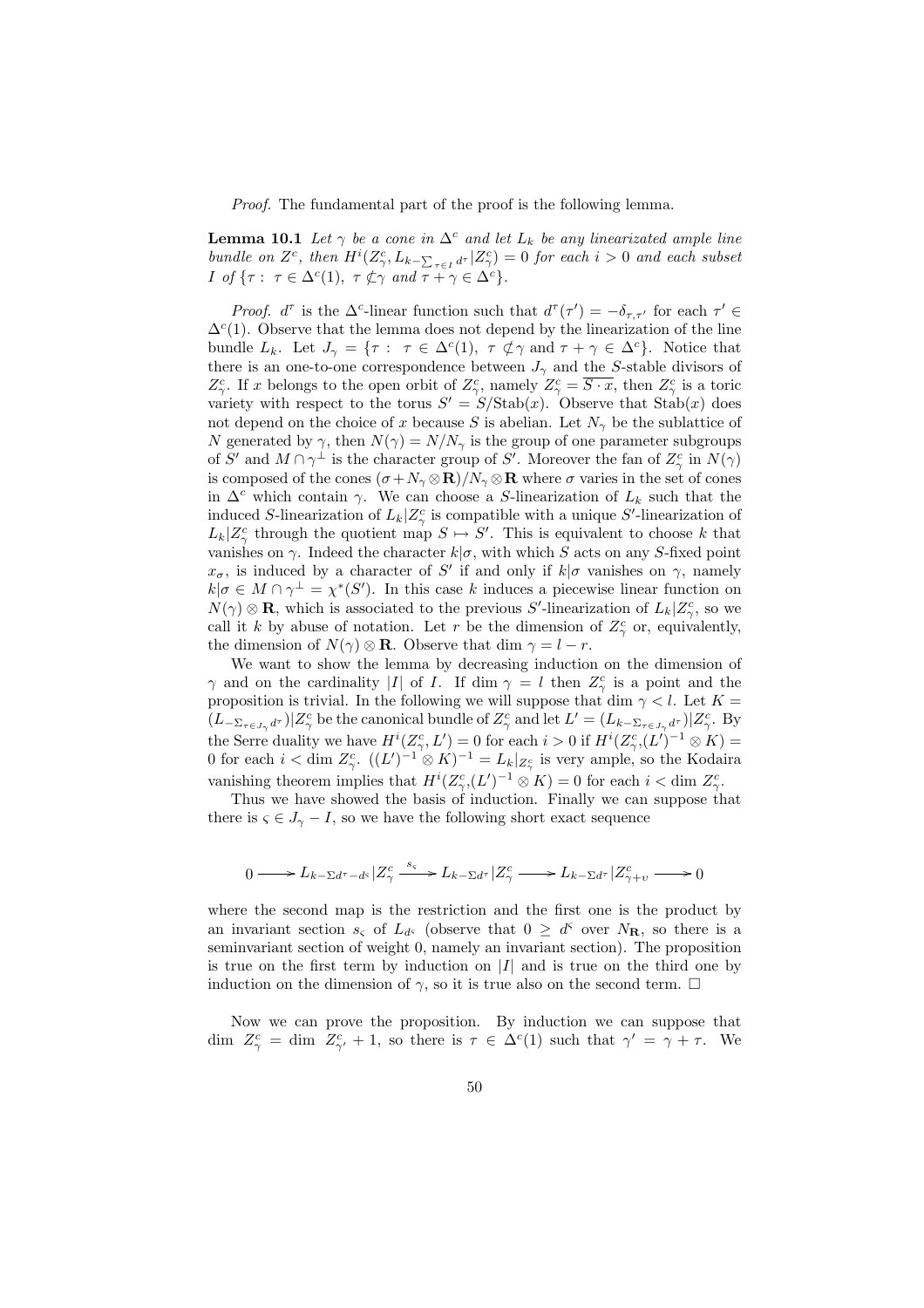Proof. The fundamental part of the proof is the following lemma.

**Lemma 10.1** Let  $\gamma$  be a cone in  $\Delta^c$  and let  $L_k$  be any linearizated ample line bundle on  $Z^c$ , then  $H^i(Z^c_\gamma, L_{k-\sum_{\tau\in I}d^\tau} | Z^c_\gamma) = 0$  for each  $i > 0$  and each subset I of  $\{\tau: \tau \in \Delta^c(1), \tau \not\subset \gamma \text{ and } \tau + \gamma \in \Delta^c\}.$ 

Proof.  $d^{\tau}$  is the  $\Delta^c$ -linear function such that  $d^{\tau}(\tau') = -\delta_{\tau,\tau'}$  for each  $\tau' \in$  $\Delta^c(1)$ . Observe that the lemma does not depend by the linearization of the line bundle  $L_k$ . Let  $J_{\gamma} = \{ \tau : \tau \in \Delta^c(1), \tau \notin \gamma \text{ and } \tau + \gamma \in \Delta^c \}.$  Notice that there is an one-to-one correspondence between  $J_{\gamma}$  and the S-stable divisors of  $Z_{\gamma}^c$ . If x belongs to the open orbit of  $Z_{\gamma}^c$ , namely  $Z_{\gamma}^c = \overline{S \cdot x}$ , then  $Z_{\gamma}^c$  is a toric variety with respect to the torus  $S' = S/\text{Stab}(x)$ . Observe that  $\text{Stab}(x)$  does not depend on the choice of x because S is abelian. Let  $N_{\gamma}$  be the sublattice of N generated by  $\gamma$ , then  $N(\gamma) = N/N_{\gamma}$  is the group of one parameter subgroups of S' and  $M \cap \gamma^{\perp}$  is the character group of S'. Moreover the fan of  $Z_{\gamma}^{c}$  in  $N(\gamma)$ is composed of the cones  $(\sigma + N_{\gamma} \otimes \mathbf{R})/N_{\gamma} \otimes \mathbf{R}$  where  $\sigma$  varies in the set of cones in  $\Delta^c$  which contain  $\gamma$ . We can choose a S-linearization of  $L_k$  such that the induced S-linearization of  $L_k|Z_{\gamma}^c$  is compatible with a unique S'-linearization of  $L_k|Z^c_\gamma$  through the quotient map  $S \mapsto S'$ . This is equivalent to choose k that vanishes on  $\gamma$ . Indeed the character  $k|\sigma$ , with which S acts on any S-fixed point  $x_{\sigma}$ , is induced by a character of S' if and only if  $k|\sigma$  vanishes on  $\gamma$ , namely  $k|\sigma \in M \cap \gamma^{\perp} = \chi^*(S')$ . In this case k induces a piecewise linear function on  $N(\gamma) \otimes \mathbf{R}$ , which is associated to the previous S'-linearization of  $L_k | Z^c_\gamma$ , so we call it k by abuse of notation. Let r be the dimension of  $Z_{\gamma}^c$  or, equivalently, the dimension of  $N(\gamma) \otimes \mathbf{R}$ . Observe that dim  $\gamma = l - r$ .

We want to show the lemma by decreasing induction on the dimension of  $\gamma$  and on the cardinality |I| of I. If dim  $\gamma = l$  then  $Z_{\gamma}^{c}$  is a point and the proposition is trivial. In the following we will suppose that dim  $\gamma < l$ . Let  $K =$  $(L_{-\Sigma_{\tau \in J_{\gamma}}d^{\tau}})|Z_{\gamma}^{c}$  be the canonical bundle of  $Z_{\gamma}^{c}$  and let  $L' = (L_{k-\Sigma_{\tau \in J_{\gamma}}d^{\tau}})|Z_{\gamma}^{c}$ . By the Serre duality we have  $H^{i}(Z_{\gamma}^{c}, L') = 0$  for each  $i > 0$  if  $H^{i}(Z_{\gamma}^{c}, L')^{-1} \otimes K$  = 0 for each  $i < \dim Z_{\gamma}^c$ .  $((L')^{-1} \otimes K)^{-1} = L_k|_{Z_{\gamma}^c}$  is very ample, so the Kodaira vanishing theorem implies that  $H^{i}(Z_{\gamma}^c,(L')^{-1}\otimes K)=0$  for each  $i<\dim Z_{\gamma}^c$ .

Thus we have showed the basis of induction. Finally we can suppose that there is  $\varsigma \in J_{\gamma} - I$ , so we have the following short exact sequence

$$
0 \longrightarrow L_{k-\Sigma d^{\tau}-d^{\varsigma}}|Z_{\gamma}^c \stackrel{s_{\varsigma}}{\longrightarrow} L_{k-\Sigma d^{\tau}}|Z_{\gamma}^c \longrightarrow L_{k-\Sigma d^{\tau}}|Z_{\gamma+\upsilon}^c \longrightarrow 0
$$

where the second map is the restriction and the first one is the product by an invariant section  $s_{\varsigma}$  of  $L_{d\varsigma}$  (observe that  $0 \geq d^{\varsigma}$  over  $N_{\mathbf{R}}$ , so there is a seminvariant section of weight 0, namely an invariant section). The proposition is true on the first term by induction on  $|I|$  and is true on the third one by induction on the dimension of  $\gamma$ , so it is true also on the second term.  $\Box$ 

Now we can prove the proposition. By induction we can suppose that dim  $Z_{\gamma}^c = \text{dim } Z_{\gamma'}^c + 1$ , so there is  $\tau \in \Delta^c(1)$  such that  $\gamma' = \gamma + \tau$ . We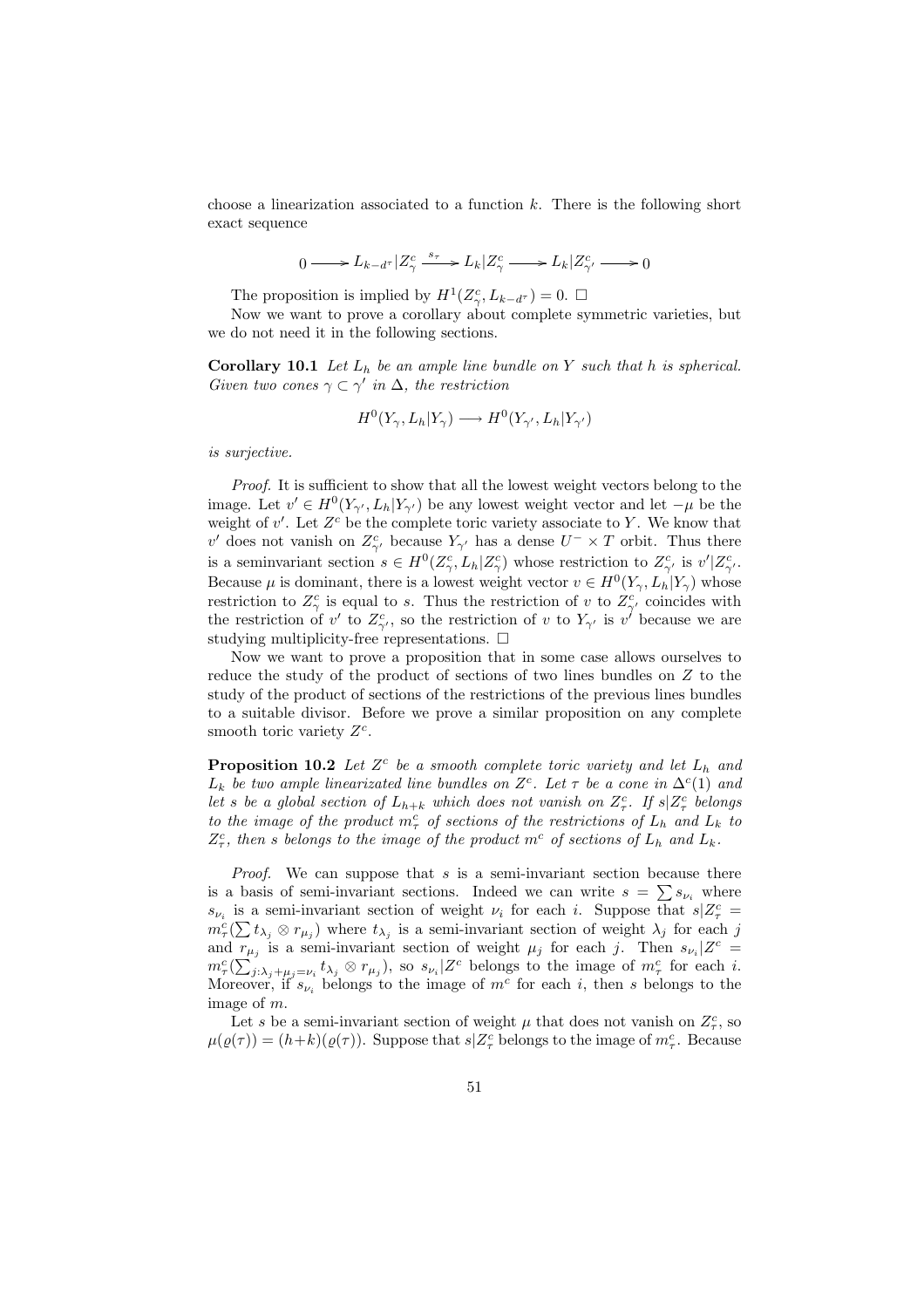choose a linearization associated to a function  $k$ . There is the following short exact sequence

$$
0\longrightarrow L_{k-d^\tau}\vert Z_\gamma^c\overset{s_\tau}{\longrightarrow}L_k\vert Z_\gamma^c\longrightarrow L_k\vert Z_{\gamma'}^c\longrightarrow0
$$

The proposition is implied by  $H^1(Z_\gamma^c, L_{k-d\tau}) = 0. \ \Box$ 

Now we want to prove a corollary about complete symmetric varieties, but we do not need it in the following sections.

**Corollary 10.1** Let  $L_h$  be an ample line bundle on Y such that h is spherical. Given two cones  $\gamma \subset \gamma'$  in  $\Delta$ , the restriction

$$
H^0(Y_\gamma, L_h | Y_\gamma) \longrightarrow H^0(Y_{\gamma'}, L_h | Y_{\gamma'})
$$

is surjective.

Proof. It is sufficient to show that all the lowest weight vectors belong to the image. Let  $v' \in H^0(Y_{\gamma'}, L_h|Y_{\gamma'})$  be any lowest weight vector and let  $-\mu$  be the weight of  $v'$ . Let  $Z<sup>c</sup>$  be the complete toric variety associate to Y. We know that v' does not vanish on  $Z_{\gamma'}^c$  because  $Y_{\gamma'}$  has a dense  $U^{-} \times T$  orbit. Thus there is a seminvariant section  $s \in H^0(Z_\gamma^c, L_h | Z_\gamma^c)$  whose restriction to  $Z_{\gamma'}^c$  is  $v' | Z_{\gamma'}^c$ . Because  $\mu$  is dominant, there is a lowest weight vector  $v \in H^0(Y_\gamma, L_h | Y_\gamma)$  whose restriction to  $Z_{\gamma}^c$  is equal to s. Thus the restriction of v to  $Z_{\gamma'}^c$  coincides with the restriction of v' to  $Z_{\gamma'}^c$ , so the restriction of v to  $Y_{\gamma'}$  is v' because we are studying multiplicity-free representations.  $\Box$ 

Now we want to prove a proposition that in some case allows ourselves to reduce the study of the product of sections of two lines bundles on Z to the study of the product of sections of the restrictions of the previous lines bundles to a suitable divisor. Before we prove a similar proposition on any complete smooth toric variety  $Z<sup>c</sup>$ .

**Proposition 10.2** Let  $Z^c$  be a smooth complete toric variety and let  $L_h$  and  $L_k$  be two ample linearizated line bundles on  $Z<sup>c</sup>$ . Let  $\tau$  be a cone in  $\Delta<sup>c</sup>(1)$  and let s be a global section of  $L_{h+k}$  which does not vanish on  $Z_{\tau}^c$ . If  $s|Z_{\tau}^c$  belongs to the image of the product  $m_{\tau}^{c}$  of sections of the restrictions of  $L_{h}$  and  $L_{k}$  to  $Z_{\tau}^c$ , then s belongs to the image of the product  $m^c$  of sections of  $L_h$  and  $L_k$ .

*Proof.* We can suppose that  $s$  is a semi-invariant section because there *Froof.* We can suppose that s is a semi-invariant section because there is a basis of semi-invariant sections. Indeed we can write  $s = \sum s_{\nu_i}$  where  $s_{\nu_i}$  is a semi-invariant section of weight  $\nu_i$  for each i. Suppose that  $s|Z^c_\tau =$  $s_{\nu_i}$  is a semi-invariant section of weight  $\nu_i$  for each  $i$ . Suppose that  $s | \nzeta = m_\tau^c \left( \sum t_{\lambda_j} \otimes r_{\mu_j} \right)$  where  $t_{\lambda_j}$  is a semi-invariant section of weight  $\lambda_j$  for each j and  $\overline{r}_{\mu_j}$  is a semi-invariant section of weight  $\mu_j$  for each j. Then  $s_{\nu_i}|Z^c =$  $m_{\tau}^{c}(\sum_{j:\lambda_{j}+\mu_{j}=\nu_{i}}^{s}t_{\lambda_{j}}\otimes r_{\mu_{j}}),$  so  $s_{\nu_{i}}|Z^{c}$  belongs to the image of  $m_{\tau}^{c}$  for each i. Moreover, if  $s_{\nu_i}$  belongs to the image of  $m^c$  for each i, then s belongs to the image of m.

Let s be a semi-invariant section of weight  $\mu$  that does not vanish on  $Z_{\tau}^c$ , so  $\mu(\varrho(\tau)) = (h+k)(\varrho(\tau)).$  Suppose that  $s|Z_{\tau}^c$  belongs to the image of  $m_{\tau}^c$ . Because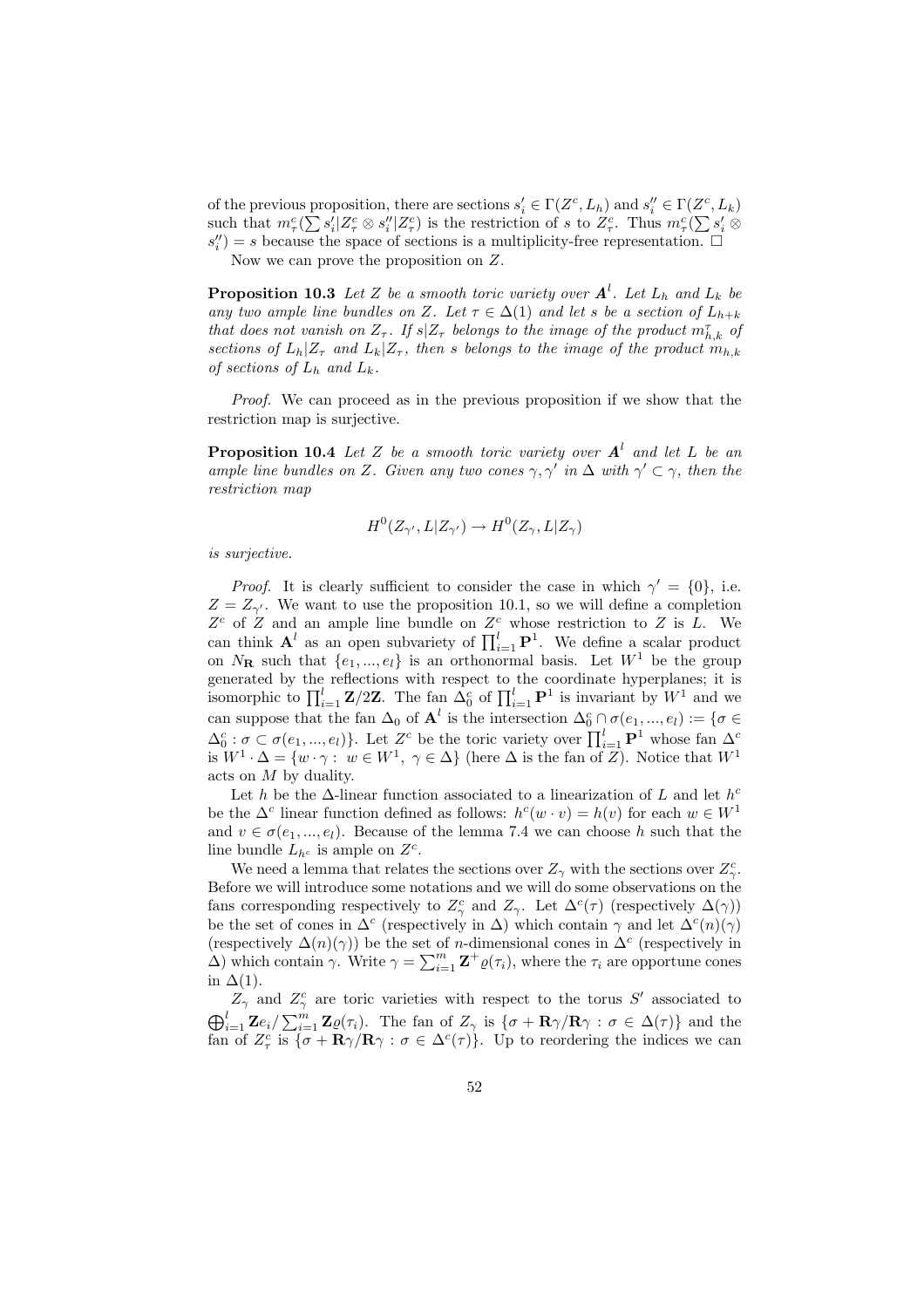of the previous proposition, there are sections  $s_i' \in \Gamma(Z^c, L_h)$  and  $s_i'' \in \Gamma(Z^c, L_k)$ of the previous proposition, there are sections  $s_i \in I(Z^*, L_h)$  and  $s_i \in I(Z^*, L_k)$ <br>such that  $m_{\tau}^c(\sum s_i'|Z_{\tau}^c \otimes s_i''|Z_{\tau}^c)$  is the restriction of s to  $Z_{\tau}^c$ . Thus  $m_{\tau}^c(\sum s_i' \otimes$  $s_i''$ ) = s because the space of sections is a multiplicity-free representation.  $\Box$ 

Now we can prove the proposition on Z.

**Proposition 10.3** Let Z be a smooth toric variety over  $A^l$ . Let  $L_h$  and  $L_k$  be any two ample line bundles on Z. Let  $\tau \in \Delta(1)$  and let s be a section of  $L_{h+k}$ that does not vanish on  $Z_{\tau}$ . If  $s|Z_{\tau}$  belongs to the image of the product  $m_{h,k}^{\tau}$  of sections of  $L_h|Z_\tau$  and  $L_k|Z_\tau$ , then s belongs to the image of the product  $m_{h,k}$ of sections of  $L_h$  and  $L_k$ .

Proof. We can proceed as in the previous proposition if we show that the restriction map is surjective.

**Proposition 10.4** Let Z be a smooth toric variety over  $A<sup>l</sup>$  and let L be an ample line bundles on Z. Given any two cones  $\gamma$ ,  $\gamma'$  in  $\Delta$  with  $\gamma' \subset \gamma$ , then the restriction map

$$
H^0(Z_{\gamma'}, L | Z_{\gamma'}) \to H^0(Z_{\gamma}, L | Z_{\gamma})
$$

is surjective.

*Proof.* It is clearly sufficient to consider the case in which  $\gamma' = \{0\}$ , i.e.  $Z = Z_{\gamma'}$ . We want to use the proposition 10.1, so we will define a completion  $Z<sup>c</sup>$  of Z and an ample line bundle on  $Z<sup>c</sup>$  whose restriction to Z is L. We  $\mathbf{Z}^{\text{-}}$  or  $\mathbf{Z}$  and an ample line bundle on  $\mathbf{Z}^{\text{-}}$  whose restriction to  $\mathbf{Z}$  is  $\mathbf{L}$ . We can think  $\mathbf{A}^{l}$  as an open subvariety of  $\prod_{i=1}^{l} \mathbf{P}^{1}$ . We define a scalar product on  $N_{\mathbf{R}}$  such that  $\{e_1, ..., e_l\}$  is an orthonormal basis. Let  $W^1$  be the group generated by the reflections with respect to the coordinate hyperplanes; it is isomorphic to  $\prod_{i=1}^{l} \mathbf{Z}/2\mathbf{Z}$ . The fan  $\Delta_0^c$  of  $\prod_{i=1}^{l} \mathbf{P}^1$  is invariant by  $W^1$  and we can suppose that the fan  $\Delta_0$  of  $\mathbf{A}^l$  is the intersection  $\Delta_0^c \cap \sigma(e_1, ..., e_l) := \{ \sigma \in$  $\Delta_0^c$ :  $\sigma \subset \sigma(e_1, ..., e_l)$ . Let  $Z^c$  be the toric variety over  $\prod_{i=1}^{l} \mathbf{P}^1$  whose fan  $\Delta_0^c$ is  $W^1 \cdot \Delta = \{w \cdot \gamma : w \in W^1, \gamma \in \Delta\}$  (here  $\Delta$  is the fan of  $Z$ ). Notice that  $W^1$ acts on M by duality.

Let h be the  $\Delta$ -linear function associated to a linearization of L and let  $h^c$ be the  $\Delta^c$  linear function defined as follows:  $h^c(w \cdot v) = h(v)$  for each  $w \in W^1$ and  $v \in \sigma(e_1, ..., e_l)$ . Because of the lemma 7.4 we can choose h such that the line bundle  $L_{h^c}$  is ample on  $Z^c$ .

We need a lemma that relates the sections over  $Z_{\gamma}$  with the sections over  $Z_{\gamma}^{c}$ . Before we will introduce some notations and we will do some observations on the fans corresponding respectively to  $Z_{\gamma}^c$  and  $Z_{\gamma}$ . Let  $\Delta^c(\tau)$  (respectively  $\Delta(\gamma)$ ) be the set of cones in  $\Delta^c$  (respectively in  $\Delta$ ) which contain  $\gamma$  and let  $\Delta^c(n)(\gamma)$ (respectively  $\Delta(n)(\gamma)$ ) be the set of *n*-dimensional cones in  $\Delta^c$  (respectively in (respectively  $\Delta(n)(\gamma)$ ) be the set of *n*-dimensional cones in  $\Delta^+$  (respectively in  $\Delta$ ) which contain  $\gamma$ . Write  $\gamma = \sum_{i=1}^m \mathbf{Z}^+ \varrho(\tau_i)$ , where the  $\tau_i$  are opportune cones in  $\Delta(1)$ .

 $Z_{\gamma}$  and  $Z_{\gamma}^{c}$  are toric varieties with respect to the torus S' associated to  $\bigoplus_{i=1}^{l} \mathbf{Z} e_i / \sum_{i=1}^{m} \mathbf{Z} \varrho(\tau_i)$ . The fan of  $Z_{\gamma}$  is  $\{\sigma + \mathbf{R}\gamma/\mathbf{R}\gamma : \sigma \in \Delta(\tau)\}\$  and the fan of  $Z_{\tau}^c$  is  $\{\sigma + \mathbf{R}\gamma/\mathbf{R}\gamma : \sigma \in \Delta^c(\tau)\}\$ . Up to reordering the indices we can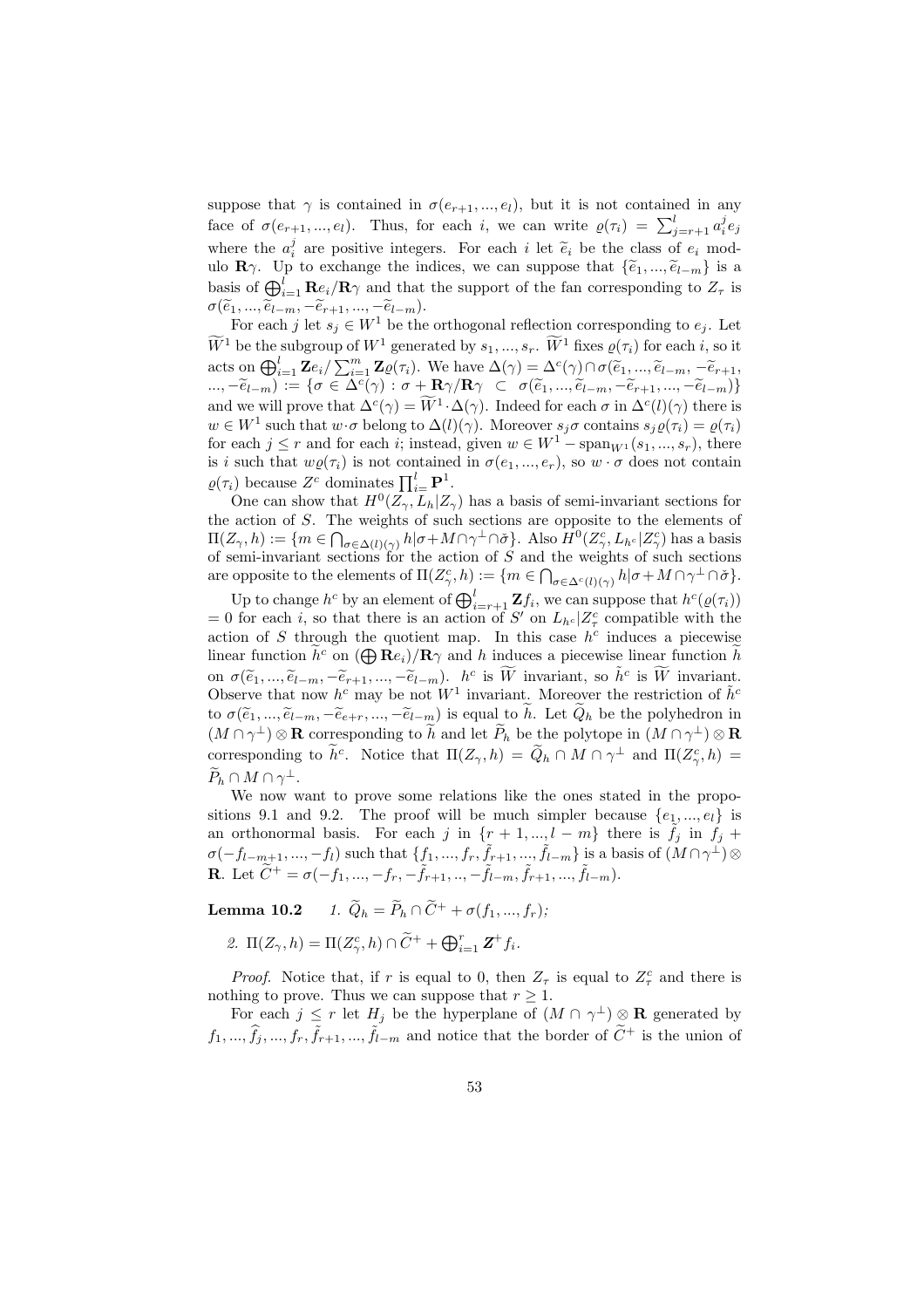suppose that  $\gamma$  is contained in  $\sigma(e_{r+1},...,e_l)$ , but it is not contained in any face of  $\sigma(e_{r+1},...,e_l)$ . Thus, for each i, we can write  $\rho(\tau_i) = \sum_{j=r+1}^{l} a_i^j e_j$ where the  $a_i^j$  are positive integers. For each i let  $\tilde{e}_i$  be the class of  $e_i$  modulo  $\mathbf{R}\gamma$ . Up to exchange the indices, we can suppose that  $\{\widetilde{e}_1, ..., \widetilde{e}_{l-m}\}\$ is a basis of  $\bigoplus_{i=1}^{l}$  Re<sub>i</sub>/R<sub> $\gamma$ </sub> and that the support of the fan corresponding to  $Z_{\tau}$  is a  $\sigma(\widetilde{e}_1, ..., \widetilde{e}_{l-m}, -\widetilde{e}_{r+1}, ..., -\widetilde{e}_{l-m}).$ 

For each j let  $s_j \in W^1$  be the orthogonal reflection corresponding to  $e_j$ . Let  $W^1$  be the subgroup of  $W^1$  generated by  $s_1, ..., s_r$ .  $W^1$  fixes  $\varrho(\tau_i)$  for each i, so it acts on  $\bigoplus_{i=1}^{l} \mathbf{Z} e_i / \sum_{i=1}^{m} \mathbf{Z} \varrho(\tau_i)$ . We have  $\Delta(\gamma) = \Delta^c(\gamma) \cap \sigma(\tilde{e}_1, ..., \tilde{e}_{l-m}, -\tilde{e}_{r+1},$  $(\ldots,-\widetilde e_{l-m}) := \{\sigma \in \Delta^c(\gamma): \sigma + \mathbf{R} \gamma/\mathbf{R} \gamma \;\; \subset \;\; \sigma(\widetilde e_1,...,\widetilde e_{l-m}, -\widetilde e_{r+1},...,-\widetilde e_{l-m})\}$ and we will prove that  $\Delta^c(\gamma) = \widetilde{W}^1 \cdot \Delta(\gamma)$ . Indeed for each  $\sigma$  in  $\Delta^c(l)(\gamma)$  there is  $w \in W^1$  such that  $w \cdot \sigma$  belong to  $\Delta(l)(\gamma)$ . Moreover  $s_j \sigma$  contains  $s_j \varrho(\tau_i) = \varrho(\tau_i)$ for each  $j \leq r$  and for each i; instead, given  $w \in W^1$  –  $\text{span}_{W^1}(s_1, ..., s_r)$ , there is i such that  $w\varrho(\tau_i)$  is not contained in  $\sigma(e_1, ..., e_r)$ , so  $w \cdot \sigma$  does not contain  $\rho(\tau_i)$  because  $Z^c$  dominates  $\prod_{i=1}^{l} \mathbf{P}^1$ .

One can show that  $H^0(\overline{Z_\gamma}, L_h | Z_\gamma)$  has a basis of semi-invariant sections for the action of S. The weights of such sections are opposite to the elements of the action of 5. In<br> $\Pi(Z_\gamma, h) := \{m \in \bigcap$  $\sigma \in \Delta(l)(\gamma)$   $h | \sigma + M \cap \gamma^{\perp} \cap \check{\sigma}$ . Also  $H^0(Z_{\gamma}^c, L_{h^c} | Z_{\gamma}^c)$  has a basis of semi-invariant sections for the action of S and the weights of such sections are opposite to the elements of  $\Pi(Z_{\gamma}^c, h) := \{m \in \bigcap_{\sigma \in \Delta^c(l)(\gamma)} h | \sigma + M \cap \gamma^{\perp} \cap \check{\sigma} \}.$ 

Up to change  $h^c$  by an element of  $\bigoplus_{i=r+1}^{l} \mathbf{Z} f_i$ , we can suppose that  $h^c(\varrho(\tau_i))$ = 0 for each i, so that there is an action of S' on  $L_{h<sup>c</sup>}|Z_{\tau}^c$  compatible with the action of S through the quotient map. In this case  $h^c$  induces a piecewise action or S through the quotient map. In this case  $n^2$  induces a piecewise<br>linear function  $\tilde{h}^c$  on  $(\bigoplus \mathbf{R}e_i)/\mathbf{R}\gamma$  and h induces a piecewise linear function  $\tilde{h}$ on  $\sigma(\widetilde{e}_1, ..., \widetilde{e}_{l-m}, -\widetilde{e}_{r+1}, ..., -\widetilde{e}_{l-m})$ .  $h^c$  is  $\widetilde{W}$  invariant, so  $\tilde{h}^c$  is  $\widetilde{W}$  invariant. Observe that now  $h^c$  may be not  $W^1$  invariant. Moreover the restriction of  $\tilde{h}^c$ to  $\sigma(\tilde{e}_1, ..., \tilde{e}_{l-m}, -\tilde{e}_{e+r}, ..., -\tilde{e}_{l-m})$  is equal to  $\tilde{h}$ . Let  $\tilde{Q}_h$  be the polyhedron in  $(M \cap \gamma^{\perp}) \otimes \mathbf{R}$  corresponding to  $\widetilde{h}$  and let  $\widetilde{P}_h$  be the polytope in  $(M \cap \gamma^{\perp}) \otimes \mathbf{R}$ corresponding to  $\tilde{h}^c$ . Notice that  $\Pi(Z_\gamma, h) = \tilde{Q}_h \cap M \cap \gamma^{\perp}$  and  $\Pi(Z_\gamma^c, h) =$  $\widetilde{P}_h \cap M \cap \gamma^{\perp}.$ 

We now want to prove some relations like the ones stated in the propositions 9.1 and 9.2. The proof will be much simpler because  $\{e_1, ..., e_l\}$  is an orthonormal basis. For each j in  $\{r+1,\ldots,l-m\}$  there is  $\tilde{f}_j$  in  $f_j$  +  $\sigma(-f_{l-m+1},..., -f_l)$  such that  $\{f_1,...,f_r,\tilde{f}_{r+1},...,\tilde{f}_{l-m}\}$  is a basis of  $(M \cap \gamma^{\perp}) \otimes$ **R**. Let  $\widetilde{C}^{+} = \sigma(-f_1, ..., -f_r, -\widetilde{f}_{r+1}, ..., -\widetilde{f}_{l-m}, \widetilde{f}_{r+1}, ..., \widetilde{f}_{l-m}).$ 

**Lemma 10.2** 1.  $\widetilde{Q}_h = \widetilde{P}_h \cap \widetilde{C}^+ + \sigma(f_1, ..., f_r);$ 

2.  $\Pi(Z_{\gamma}, h) = \Pi(Z_{\gamma}^c, h) \cap \widetilde{C}^+ + \bigoplus_{i=1}^r \mathbf{Z}^+ f_i.$ 

*Proof.* Notice that, if r is equal to 0, then  $Z_{\tau}$  is equal to  $Z_{\tau}^{c}$  and there is nothing to prove. Thus we can suppose that  $r \geq 1$ .

For each  $j \leq r$  let  $H_j$  be the hyperplane of  $(M \cap \gamma^{\perp}) \otimes \mathbf{R}$  generated by  $f_1, ..., \hat{f}_j, ..., f_r, \tilde{f}_{r+1}, ..., \tilde{f}_{l-m}$  and notice that the border of  $\tilde{C}^+$  is the union of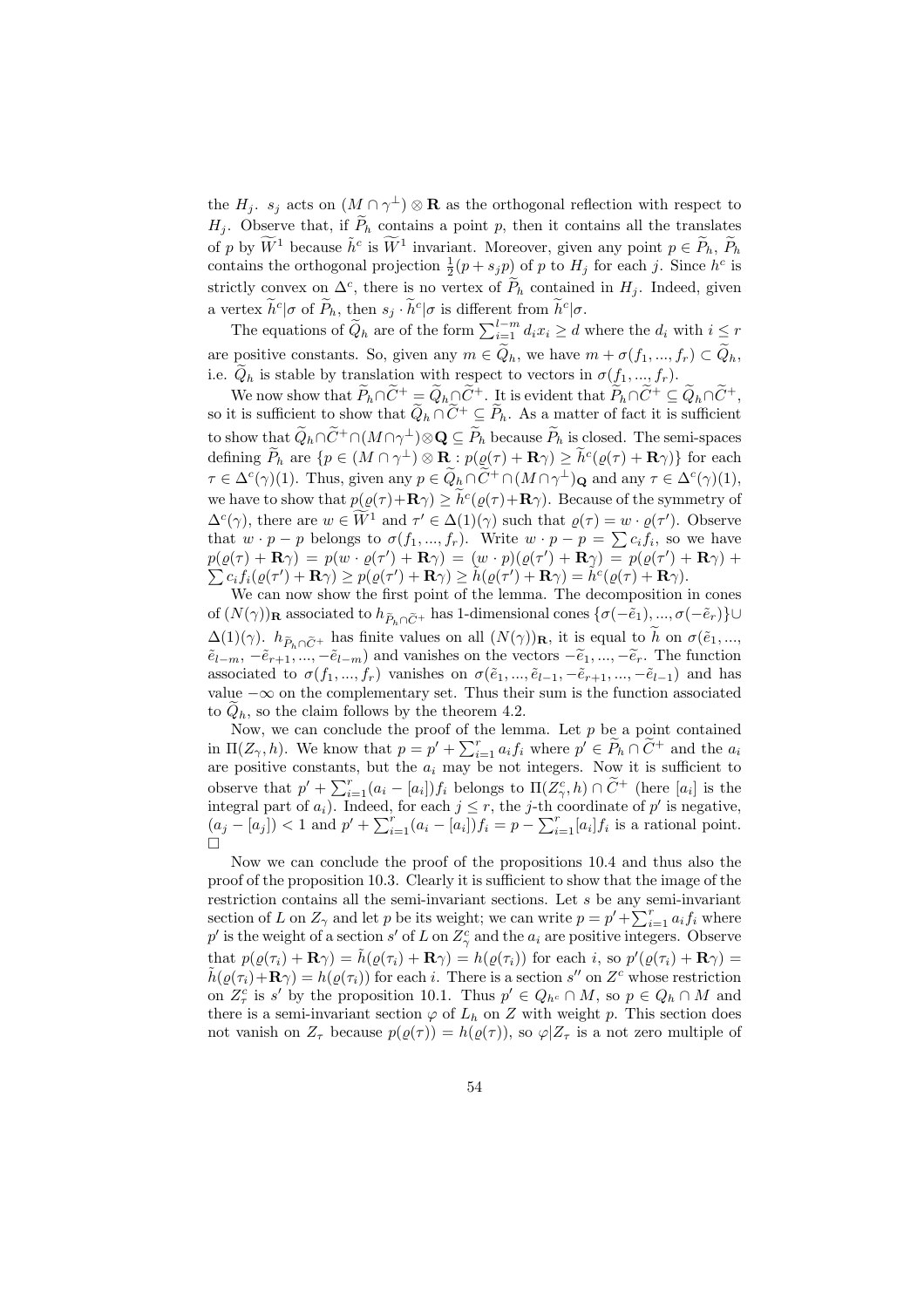the  $H_j$ .  $s_j$  acts on  $(M \cap \gamma^{\perp}) \otimes \mathbf{R}$  as the orthogonal reflection with respect to  $H_j$ . Observe that, if  $\widetilde{P}_h$  contains a point p, then it contains all the translates of p by  $\widetilde{W}^1$  because  $\tilde{h}^c$  is  $\widetilde{W}^1$  invariant. Moreover, given any point  $p \in \widetilde{P}_h$ ,  $\widetilde{P}_h$ contains the orthogonal projection  $\frac{1}{2}(p + s_j p)$  of p to  $H_j$  for each j. Since  $h^c$  is strictly convex on  $\Delta^c$ , there is no vertex of  $\widetilde{P}_h$  contained in  $H_j$ . Indeed, given a vertex  $\tilde{h}^c|\sigma$  of  $\tilde{P}_h$ , then  $s_j \cdot \tilde{h}^c|\sigma$  is different from  $\tilde{h}^c|\sigma$ .<br>The equations of  $\tilde{Q}_h$  are of the form  $\sum_{i=1}^{l-m} d_i x_i \geq d$  where the  $d_i$  with  $i \leq r$ 

are positive constants. So, given any  $m \in \tilde{Q}_h$ , we have  $m + \sigma(f_1, ..., f_r) \subset \tilde{Q}_h$ , i.e.  $\tilde{Q}_h$  is stable by translation with respect to vectors in  $\sigma(f_1, ..., f_r)$ .

We now show that  $\widetilde{P}_h \cap \widetilde{C}^+ = \widetilde{Q}_h \cap \widetilde{C}^+$ . It is evident that  $\widetilde{P}_h \cap \widetilde{C}^+ \subseteq \widetilde{Q}_h \cap \widetilde{C}^+$ , so it is sufficient to show that  $\widetilde{Q}_h \cap \widetilde{C}^+ \subseteq \widetilde{P}_h$ . As a matter of fact it is sufficient to show that  $\widetilde{Q}_h \cap \widetilde{C}^+ \cap (M \cap \gamma^{\perp}) \otimes \mathbf{Q} \subseteq \widetilde{P}_h$  because  $\widetilde{P}_h$  is closed. The semi-spaces defining  $\widetilde{P}_h$  are  $\{p \in (M \cap \gamma^{\perp}) \otimes \mathbf{R} : p(\varrho(\tau) + \mathbf{R}\gamma) \geq \widetilde{h}^c(\varrho(\tau) + \mathbf{R}\gamma)\}\)$  for each  $\tau \in \Delta^c(\gamma)(1)$ . Thus, given any  $p \in \widetilde{Q}_h \cap \widetilde{C}^+ \cap (M \cap \gamma^{\perp})_{\mathbf{Q}}$  and any  $\tau \in \Delta^c(\gamma)(1)$ , we have to show that  $p(\varrho(\tau)+\mathbf{R}\gamma) \geq \tilde{h}^c(\varrho(\tau)+\mathbf{R}\gamma)$ . Because of the symmetry of  $\Delta^c(\gamma)$ , there are  $w \in \widetilde{W}^1$  and  $\tau' \in \Delta(1)(\gamma)$  such that  $\varrho(\tau) = w \cdot \varrho(\tau')$ . Observe  $\Delta^{\mathcal{L}}(\gamma)$ , there are  $w \in W$  and  $\tau \in \Delta(1)(\gamma)$  such that  $\varrho(\tau) = w \cdot \varrho(\tau)$ . Observe<br>that  $w \cdot p - p$  belongs to  $\sigma(f_1, ..., f_r)$ . Write  $w \cdot p - p = \sum c_i f_i$ , so we have  $p(\varrho(\tau) + \mathbf{R}\gamma) = p(w \cdot \varrho(\tau') + \mathbf{R}\gamma) = (w \cdot p)(\varrho(\tau') + \mathbf{R}\gamma) = p(\varrho(\tau') + \mathbf{R}\gamma) +$  $\hat{c}_i \hat{f}_i(\varrho(\tau')+\mathbf{R}\gamma) \geq \hat{p}(\varrho(\tau')+\mathbf{R}\gamma) \geq \tilde{h}(\varrho(\tau')+\mathbf{R}\gamma) = \tilde{h}^c(\varrho(\tau)+\mathbf{R}\gamma).$ 

We can now show the first point of the lemma. The decomposition in cones of  $(N(\gamma))$ **R** associated to  $h_{\tilde{P}_h\cap\tilde{C}^+}$  has 1-dimensional cones  $\{\sigma(-\tilde{e}_1), ..., \sigma(-\tilde{e}_r)\}\cup$  $\Delta(1)(\gamma)$ .  $h_{\tilde{P}_h\cap\tilde{C}^+}$  has finite values on all  $(N(\gamma))$ **R**, it is equal to  $\tilde{h}$  on  $\sigma(\tilde{e}_1, ...,$  $\tilde{e}_{l-m}$ ,  $-\tilde{e}_{r+1}, ..., -\tilde{e}_{l-m}$  and vanishes on the vectors  $-\tilde{e}_1, ..., -\tilde{e}_r$ . The function associated to  $\sigma(f_1, ..., f_r)$  vanishes on  $\sigma(\tilde{e}_1, ..., \tilde{e}_{l-1}, -\tilde{e}_{r+1}, ..., -\tilde{e}_{l-1})$  and has value  $-\infty$  on the complementary set. Thus their sum is the function associated to  $Q_h$ , so the claim follows by the theorem 4.2.

Now, we can conclude the proof of the lemma. Let  $p$  be a point contained in  $\Pi(Z_\gamma, h)$ . We know that  $p = p' + \sum_{i=1}^r a_i f_i$  where  $p' \in \widetilde{P}_h \cap \widetilde{C}^+$  and the  $a_i$ are positive constants, but the  $a_i$  may be not integers. Now it is sufficient to<br>change that  $x' + \sum_{i=1}^{r} (a_i - a_i) f_i$  belongs to  $\Pi(Z_0, b) \cap \widetilde{C}^+$  (here lead is the observe that  $p' + \sum_{i=1}^r (a_i - [a_i]) f_i$  belongs to  $\Pi(Z_\gamma^c, h) \cap \tilde{C}^+$  (here  $[a_i]$  is the integral part of  $a_i$ ). Indeed, for each  $j \leq r$ , the j-th coordinate of p' is negative,  $(a_j - [a_j]) < 1$  and  $p' + \sum_{i=1}^r (a_i - [a_i]) f_i = p - \sum_{i=1}^r [a_i] f_i$  is a rational point.  $\Box$ 

Now we can conclude the proof of the propositions 10.4 and thus also the proof of the proposition 10.3. Clearly it is sufficient to show that the image of the restriction contains all the semi-invariant sections. Let s be any semi-invariant restriction contains an the semi-invariant sections. Let s be any semi-invariant section of L on  $Z_{\gamma}$  and let p be its weight; we can write  $p = p' + \sum_{i=1}^{r} a_i f_i$  where p' is the weight of a section s' of L on  $Z_{\gamma}^{c}$  and the  $a_{i}$  are positive integers. Observe that  $p(\varrho(\tau_i) + \mathbf{R}\gamma) = \tilde{h}(\varrho(\tau_i) + \mathbf{R}\gamma) = h(\varrho(\tau_i))$  for each i, so  $p'(\varrho(\tau_i) + \mathbf{R}\gamma) =$  $\tilde{h}(\varrho(\tau_i)+\mathbf{R}\gamma)=h(\varrho(\tau_i))$  for each i. There is a section s'' on  $Z^c$  whose restriction on  $Z_{\tau}^c$  is s' by the proposition 10.1. Thus  $p' \in Q_{h^c} \cap M$ , so  $p \in Q_h \cap M$  and there is a semi-invariant section  $\varphi$  of  $L_h$  on Z with weight p. This section does not vanish on  $Z_{\tau}$  because  $p(\rho(\tau)) = h(\rho(\tau))$ , so  $\varphi | Z_{\tau}$  is a not zero multiple of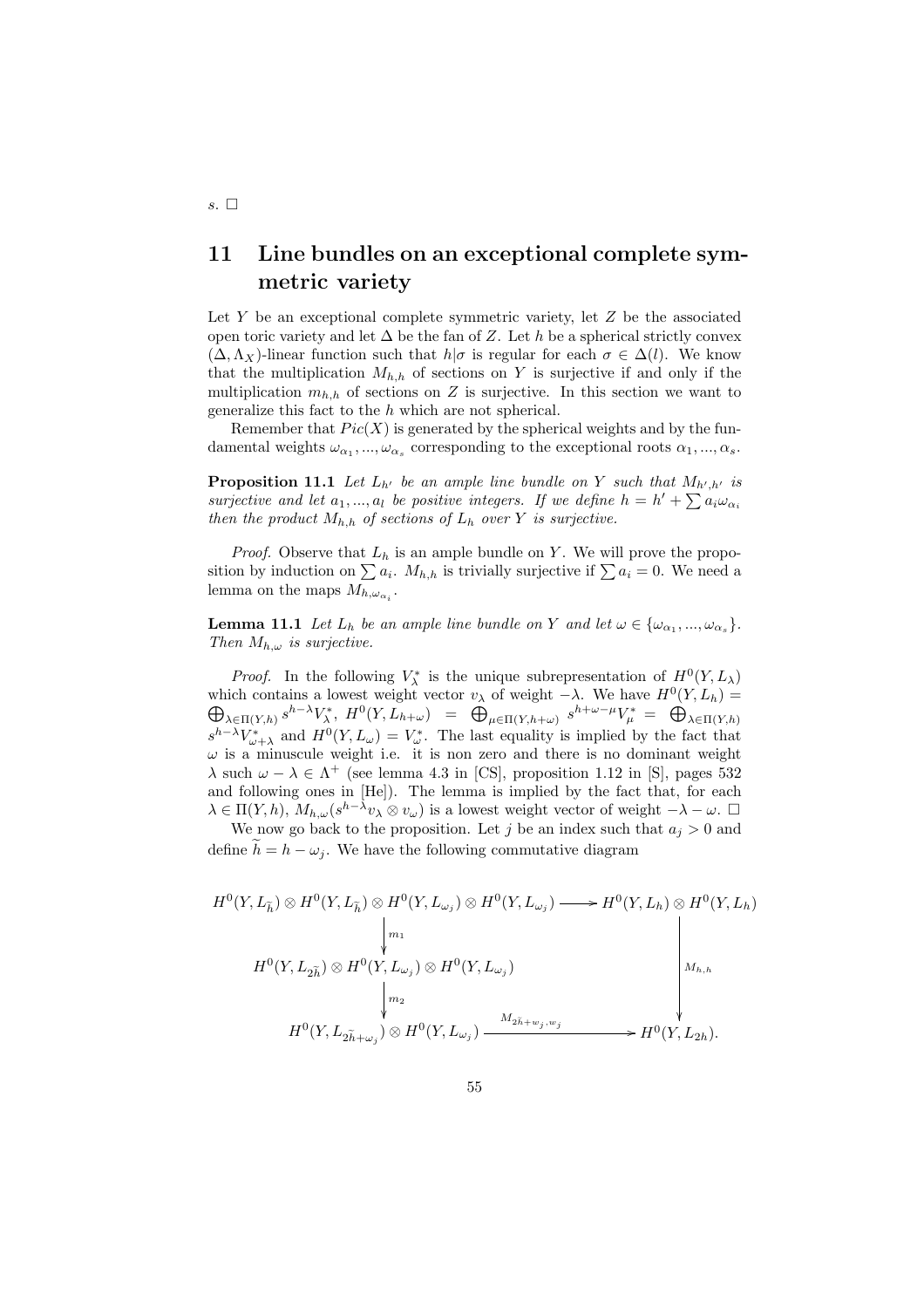# 11 Line bundles on an exceptional complete symmetric variety

Let Y be an exceptional complete symmetric variety, let  $Z$  be the associated open toric variety and let  $\Delta$  be the fan of Z. Let h be a spherical strictly convex  $(\Delta, \Lambda_X)$ -linear function such that  $h|\sigma$  is regular for each  $\sigma \in \Delta(l)$ . We know that the multiplication  $M_{h,h}$  of sections on Y is surjective if and only if the multiplication  $m_{h,h}$  of sections on Z is surjective. In this section we want to generalize this fact to the h which are not spherical.

Remember that  $Pic(X)$  is generated by the spherical weights and by the fundamental weights  $\omega_{\alpha_1},...,\omega_{\alpha_s}$  corresponding to the exceptional roots  $\alpha_1,...,\alpha_s$ .

**Proposition 11.1** Let  $L_{h'}$  be an ample line bundle on Y such that  $M_{h',h'}$  is **Proposition 11.1** Let  $L_h$  be an ample time bandle on T such that  $M_{h',h'}$  is<br>surjective and let  $a_1,...,a_l$  be positive integers. If we define  $h = h' + \sum a_i \omega_{\alpha_i}$ then the product  $M_{h,h}$  of sections of  $L_h$  over Y is surjective.

*Proof.* Observe that  $L_h$  is an ample bundle on Y. We will prove the propo-*Froof.* Observe that  $L_h$  is an ample bundle on T. We will prove the proposition by induction on  $\sum a_i$ .  $M_{h,h}$  is trivially surjective if  $\sum a_i = 0$ . We need a lemma on the maps  $M_{h,\omega_{\alpha_i}}$ .

**Lemma 11.1** Let  $L_h$  be an ample line bundle on Y and let  $\omega \in {\{\omega_{\alpha_1}, ..., \omega_{\alpha_s}\}}$ . Then  $M_{h,\omega}$  is surjective.

*Proof.* In the following  $V^*_{\lambda}$  is the unique subrepresentation of  $H^0(Y, L_{\lambda})$ which contains a lowest weight vector  $v_\lambda$  of weight  $-\lambda$ . We have  $H^0(Y, L_h) =$  $\Delta \in \Pi(Y,h)$  s<sup>h→</sup> $V_{\lambda}^{*}$ ,  $H^{0}(Y, L_{h+\omega}) = \bigoplus_{\mu \in \Pi(Y,h+\omega)} s^{h+\omega-\mu} V_{\mu}^{*} = \bigoplus_{\mu \in \Pi(Y,h+\omega)} s^{h+\omega-\mu} V_{\mu}^{*}$  $\lambda \in \Pi(Y,h)$  $s^{h-\lambda}V^*_{\omega+\lambda}$  and  $H^0(Y, L_\omega) = V^*_{\omega}$ . The last equality is implied by the fact that  $\omega$  is a minuscule weight i.e. it is non zero and there is no dominant weight  $\lambda$  such  $\omega - \lambda \in \Lambda^+$  (see lemma 4.3 in [CS], proposition 1.12 in [S], pages 532 and following ones in [He]). The lemma is implied by the fact that, for each  $\lambda \in \Pi(Y, h)$ ,  $M_{h,\omega}(s^{h-\lambda}v_\lambda \otimes v_\omega)$  is a lowest weight vector of weight  $-\lambda - \omega$ .  $\Box$ 

We now go back to the proposition. Let j be an index such that  $a_j > 0$  and define  $h = h - \omega_i$ . We have the following commutative diagram

$$
H^{0}(Y, L_{\tilde{h}}) \otimes H^{0}(Y, L_{\tilde{h}}) \otimes H^{0}(Y, L_{\omega_{j}}) \otimes H^{0}(Y, L_{\omega_{j}}) \longrightarrow H^{0}(Y, L_{h}) \otimes H^{0}(Y, L_{h})
$$
\n
$$
\downarrow m_{1}
$$
\n
$$
H^{0}(Y, L_{2\tilde{h}}) \otimes H^{0}(Y, L_{\omega_{j}}) \otimes H^{0}(Y, L_{\omega_{j}})
$$
\n
$$
\downarrow m_{2}
$$
\n
$$
H^{0}(Y, L_{2\tilde{h}+\omega_{j}}) \otimes H^{0}(Y, L_{\omega_{j}}) \xrightarrow{M_{2\tilde{h}+\omega_{j}, \omega_{j}}} H^{0}(Y, L_{2h}).
$$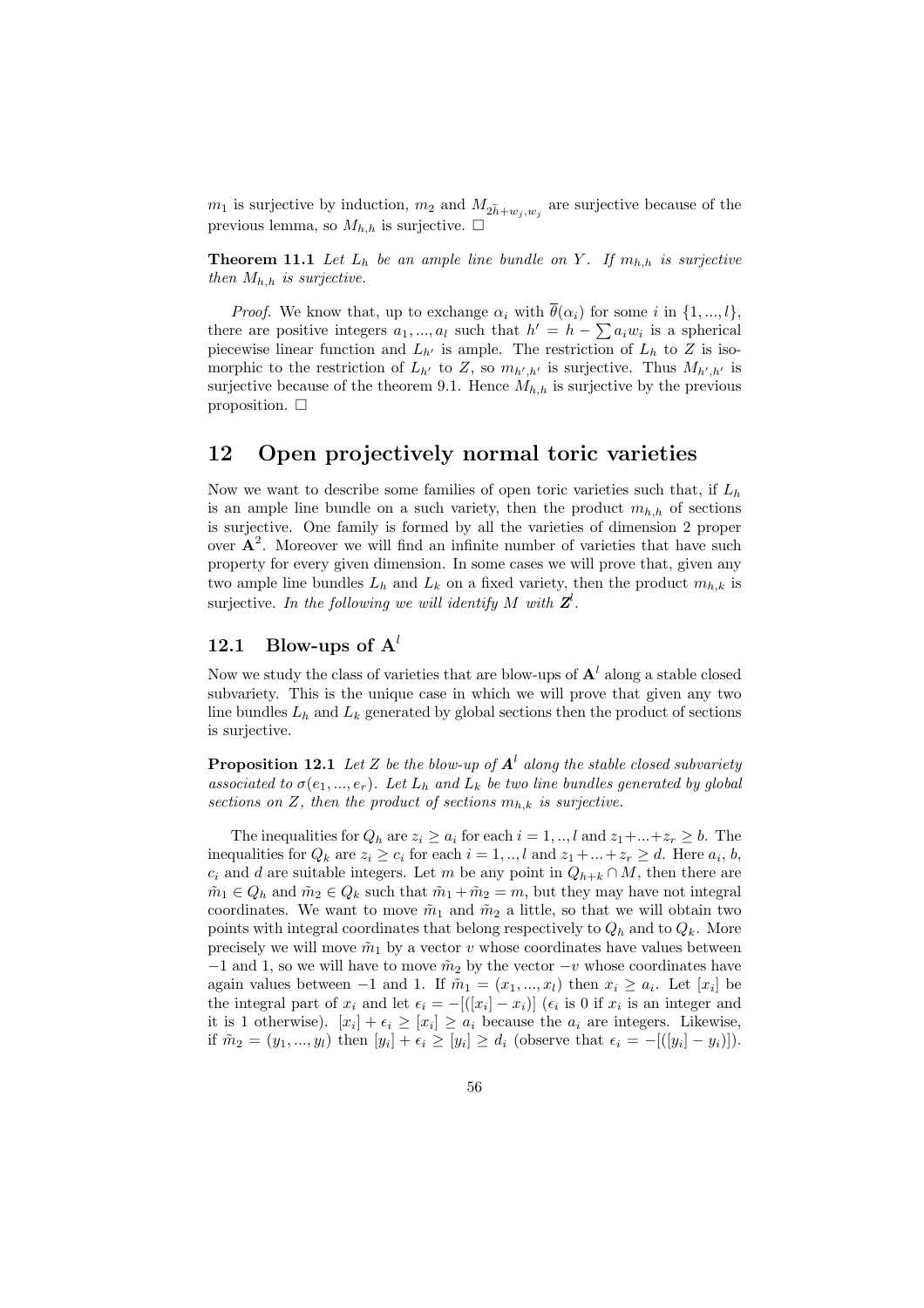$m_1$  is surjective by induction,  $m_2$  and  $M_{2\tilde{h}+w_j,w_j}$  are surjective because of the previous lemma, so  $M_{h,h}$  is surjective.  $\square$ 

**Theorem 11.1** Let  $L_h$  be an ample line bundle on Y. If  $m_{h,h}$  is surjective then  $M_{h,h}$  is surjective.

*Proof.* We know that, up to exchange  $\alpha_i$  with  $\overline{\theta}(\alpha_i)$  for some i in  $\{1, ..., l\}$ , *there* are positive integers  $a_1, ..., a_l$  such that  $h' = h - \sum a_i w_i$  is a spherical piecewise linear function and  $L_{h'}$  is ample. The restriction of  $L_h$  to Z is isomorphic to the restriction of  $L_{h'}$  to Z, so  $m_{h',h'}$  is surjective. Thus  $M_{h',h'}$  is surjective because of the theorem 9.1. Hence  $M_{h,h}$  is surjective by the previous proposition.  $\Box$ 

# 12 Open projectively normal toric varieties

Now we want to describe some families of open toric varieties such that, if  $L_h$ is an ample line bundle on a such variety, then the product  $m_{h,h}$  of sections is surjective. One family is formed by all the varieties of dimension 2 proper over  $\mathbf{A}^2$ . Moreover we will find an infinite number of varieties that have such property for every given dimension. In some cases we will prove that, given any two ample line bundles  $L_h$  and  $L_k$  on a fixed variety, then the product  $m_{h,k}$  is surjective. In the following we will identify M with  $\mathbf{Z}^l$ .

# 12.1 Blow-ups of  $A^l$

Now we study the class of varieties that are blow-ups of  $A<sup>l</sup>$  along a stable closed subvariety. This is the unique case in which we will prove that given any two line bundles  $L_h$  and  $L_k$  generated by global sections then the product of sections is surjective.

**Proposition 12.1** Let Z be the blow-up of  $A<sup>l</sup>$  along the stable closed subvariety associated to  $\sigma(e_1, ..., e_r)$ . Let  $L_h$  and  $L_k$  be two line bundles generated by global sections on  $Z$ , then the product of sections  $m_{h,k}$  is surjective.

The inequalities for  $Q_h$  are  $z_i \geq a_i$  for each  $i = 1, ..., l$  and  $z_1 + ... + z_r \geq b$ . The inequalities for  $Q_k$  are  $z_i \geq c_i$  for each  $i = 1, ..., l$  and  $z_1 + ... + z_r \geq d$ . Here  $a_i, b$ ,  $c_i$  and d are suitable integers. Let m be any point in  $Q_{h+k} \cap M$ , then there are  $\tilde{m}_1 \in Q_h$  and  $\tilde{m}_2 \in Q_k$  such that  $\tilde{m}_1 + \tilde{m}_2 = m$ , but they may have not integral coordinates. We want to move  $\tilde{m}_1$  and  $\tilde{m}_2$  a little, so that we will obtain two points with integral coordinates that belong respectively to  $Q_h$  and to  $Q_k$ . More precisely we will move  $\tilde{m}_1$  by a vector v whose coordinates have values between  $-1$  and 1, so we will have to move  $\tilde{m}_2$  by the vector  $-v$  whose coordinates have again values between  $-1$  and 1. If  $\tilde{m}_1 = (x_1, ..., x_l)$  then  $x_i \ge a_i$ . Let  $[x_i]$  be the integral part of  $x_i$  and let  $\epsilon_i = -[(x_i] - x_i)]$  ( $\epsilon_i$  is 0 if  $x_i$  is an integer and it is 1 otherwise).  $[x_i] + \epsilon_i \geq [x_i] \geq a_i$  because the  $a_i$  are integers. Likewise, if  $\tilde{m}_2 = (y_1, ..., y_l)$  then  $[y_i] + \epsilon_i \geq [y_i] \geq d_i$  (observe that  $\epsilon_i = -[(y_i] - y_i)]$ ).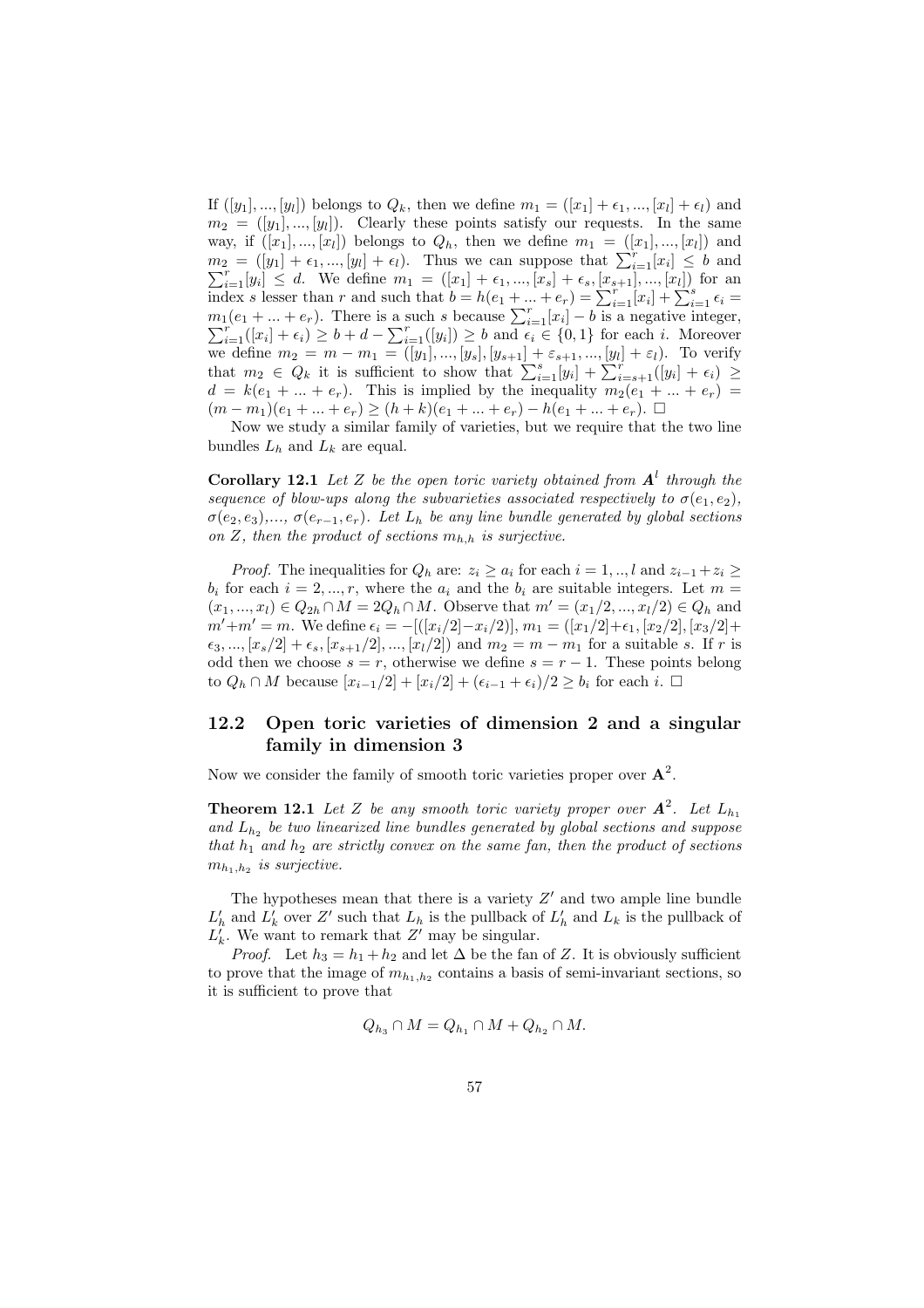If  $([y_1], ..., [y_l])$  belongs to  $Q_k$ , then we define  $m_1 = ([x_1] + \epsilon_1, ..., [x_l] + \epsilon_l)$  and  $m_2 = ([y_1], ..., [y_l])$ . Clearly these points satisfy our requests. In the same way, if  $([x_1], ..., [x_l])$  belongs to  $Q_h$ , then we define  $m_1 = ([x_1], ..., [x_l])$  and way, in  $([x_1], ..., [x_l])$  belongs to  $Q_h$ , then we define  $m_1 = ([x_1], ..., [x_l])$  and  $m_2 = ([y_1] + \epsilon_1, ..., [y_l] + \epsilon_l)$ . Thus we can suppose that  $\sum_{i=1}^r [x_i] \leq b$  and  $\sum_{i=1}^{r} [y_i] \leq d$ . We define  $m_1 = ([x_1] + \epsilon_1, ..., [x_s] + \epsilon_s, [x_{s+1}], ..., [x_l])$  for an index s lesser than r and such that  $b = h(e_1 + ... + e_r) = \sum_{i=1}^{r} [x_i] + \sum_{i=1}^{s} \epsilon_i = m_1(e_1 + ... + e_r)$ . There is a such s because  $\sum_{i=1}^{r} [x_i] - b$  is  $\sum_{i=1}^r([x_i]+\epsilon_i)\geq b+d-\sum_{i=1}^r([y_i])\geq b$  and  $\epsilon_i\in\{0,1\}$  for each i. Moreover we define  $m_2 = m - m_1 = ([y_1], ..., [y_s], [y_{s+1}] + \varepsilon_{s+1}, ..., [y_l] + \varepsilon_l)$ . To verify that  $m_2 \in Q_k$  it is sufficient to show that  $\sum_{i=1}^s [y_i] + \sum_{i=s+1}^r ([y_i] + \epsilon_i) \geq$  $d = k(e_1 + \ldots + e_r)$ . This is implied by the inequality  $m_2(e_1 + \ldots + e_r)$  $(m - m_1)(e_1 + \ldots + e_r) \ge (h + k)(e_1 + \ldots + e_r) - h(e_1 + \ldots + e_r).$ 

Now we study a similar family of varieties, but we require that the two line bundles  $L_h$  and  $L_k$  are equal.

**Corollary 12.1** Let Z be the open toric variety obtained from  $A<sup>l</sup>$  through the sequence of blow-ups along the subvarieties associated respectively to  $\sigma(e_1, e_2)$ ,  $\sigma(e_2, e_3), \ldots, \sigma(e_{r-1}, e_r)$ . Let  $L_h$  be any line bundle generated by global sections on Z, then the product of sections  $m_{h,h}$  is surjective.

*Proof.* The inequalities for  $Q_h$  are:  $z_i \geq a_i$  for each  $i = 1, ..., l$  and  $z_{i-1} + z_i \geq$  $b_i$  for each  $i = 2, ..., r$ , where the  $a_i$  and the  $b_i$  are suitable integers. Let  $m =$  $(x_1, ..., x_l) \in Q_{2h} \cap M = 2Q_h \cap M$ . Observe that  $m' = (x_1/2, ..., x_l/2) \in Q_h$  and  $m'+m'=m$ . We define  $\epsilon_i = -[(x_i/2)-x_i/2)]$ ,  $m_1 = ([x_1/2]+\epsilon_1, [x_2/2], [x_3/2]+$  $\epsilon_3, ..., [x_s/2] + \epsilon_s, [x_{s+1}/2], ..., [x_l/2])$  and  $m_2 = m - m_1$  for a suitable s. If r is odd then we choose  $s = r$ , otherwise we define  $s = r - 1$ . These points belong to  $Q_h \cap M$  because  $[x_{i-1}/2] + [x_i/2] + (\epsilon_{i-1} + \epsilon_i)/2 \geq b_i$  for each i. □

## 12.2 Open toric varieties of dimension 2 and a singular family in dimension 3

Now we consider the family of smooth toric varieties proper over  $A^2$ .

**Theorem 12.1** Let Z be any smooth toric variety proper over  $A^2$ . Let  $L_{h_1}$ and  $L_{h_2}$  be two linearized line bundles generated by global sections and suppose that  $h_1$  and  $h_2$  are strictly convex on the same fan, then the product of sections  $m_{h_1,h_2}$  is surjective.

The hypotheses mean that there is a variety  $Z'$  and two ample line bundle  $L'_h$  and  $L'_k$  over Z' such that  $L_h$  is the pullback of  $L'_h$  and  $L_k$  is the pullback of  $L'_k$ . We want to remark that Z' may be singular.

*Proof.* Let  $h_3 = h_1 + h_2$  and let  $\Delta$  be the fan of Z. It is obviously sufficient to prove that the image of  $m_{h_1,h_2}$  contains a basis of semi-invariant sections, so it is sufficient to prove that

$$
Q_{h_3} \cap M = Q_{h_1} \cap M + Q_{h_2} \cap M.
$$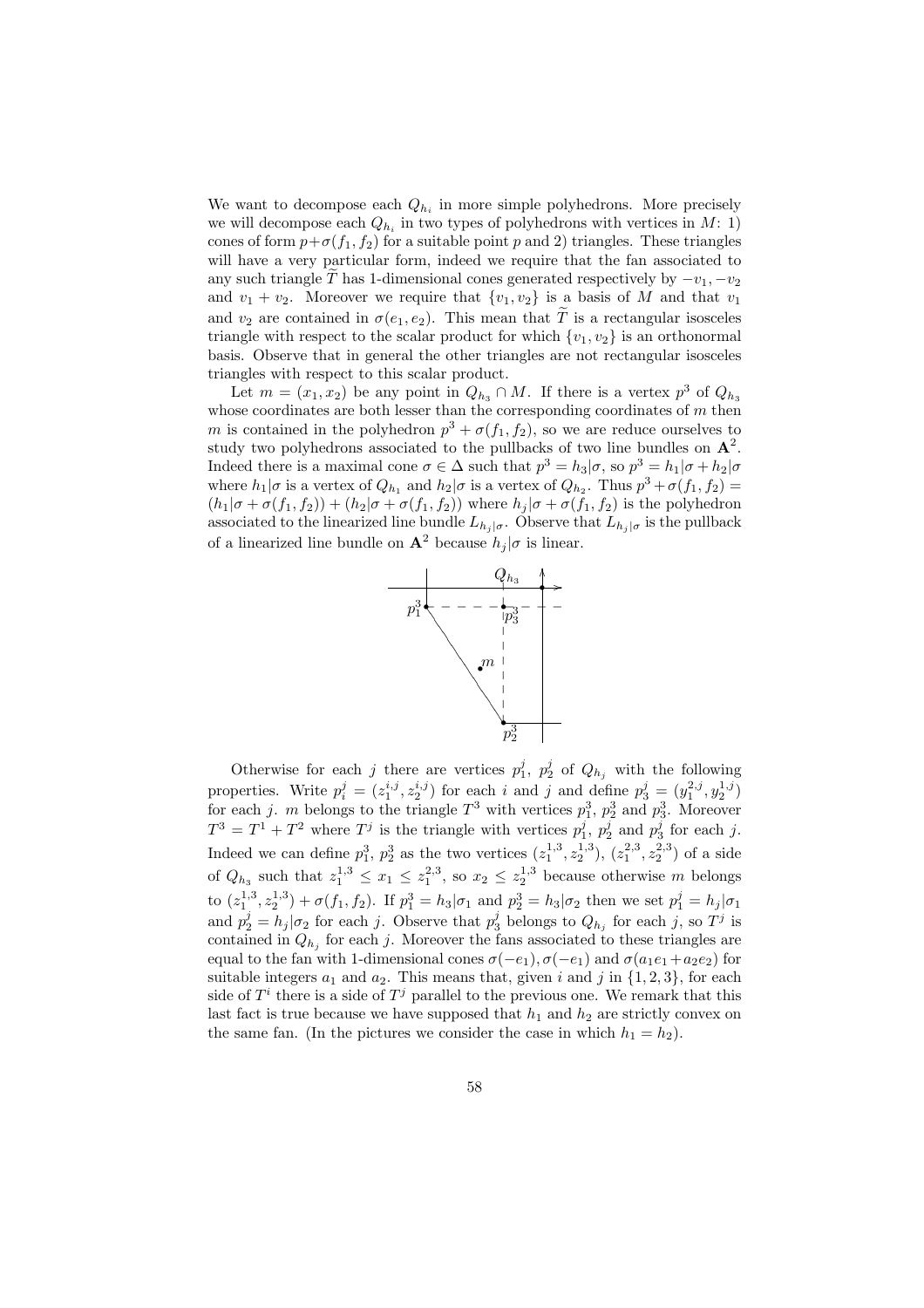We want to decompose each  $Q_{h_i}$  in more simple polyhedrons. More precisely we will decompose each  $Q_{h_i}$  in two types of polyhedrons with vertices in  $M: 1$ ) cones of form  $p+\sigma(f_1, f_2)$  for a suitable point p and 2) triangles. These triangles will have a very particular form, indeed we require that the fan associated to any such triangle  $\tilde{T}$  has 1-dimensional cones generated respectively by  $-v_1, -v_2$ and  $v_1 + v_2$ . Moreover we require that  $\{v_1, v_2\}$  is a basis of M and that  $v_1$ and  $v_2$  are contained in  $\sigma(e_1, e_2)$ . This mean that  $\widetilde{T}$  is a rectangular isosceles triangle with respect to the scalar product for which  $\{v_1, v_2\}$  is an orthonormal basis. Observe that in general the other triangles are not rectangular isosceles triangles with respect to this scalar product.

Let  $m = (x_1, x_2)$  be any point in  $Q_{h_3} \cap M$ . If there is a vertex  $p^3$  of  $Q_{h_3}$ whose coordinates are both lesser than the corresponding coordinates of  $m$  then m is contained in the polyhedron  $p^3 + \sigma(f_1, f_2)$ , so we are reduce ourselves to study two polyhedrons associated to the pullbacks of two line bundles on  $A^2$ . Indeed there is a maximal cone  $\sigma \in \Delta$  such that  $p^3 = h_3 | \sigma$ , so  $p^3 = h_1 | \sigma + h_2 | \sigma$ where  $h_1|\sigma$  is a vertex of  $Q_{h_1}$  and  $h_2|\sigma$  is a vertex of  $Q_{h_2}$ . Thus  $p^3 + \sigma(f_1, f_2)$  =  $(h_1|\sigma + \sigma(f_1, f_2)) + (h_2|\sigma + \sigma(f_1, f_2))$  where  $h_j|\sigma + \sigma(f_1, f_2)$  is the polyhedron associated to the linearized line bundle  $L_{h_j | \sigma}$ . Observe that  $L_{h_j | \sigma}$  is the pullback of a linearized line bundle on  $\mathbf{A}^2$  because  $h_j | \sigma$  is linear.



Otherwise for each j there are vertices  $p_1^j$ ,  $p_2^j$  of  $Q_{h_j}$  with the following properties. Write  $p_i^j = (z_1^{i,j}, z_2^{i,j})$  for each i and j and define  $p_3^j = (y_1^{2,j}, y_2^{1,j})$ for each j. m belongs to the triangle  $T^3$  with vertices  $p_1^3$ ,  $p_2^3$  and  $p_3^3$ . Moreover  $T^3 = T^1 + T^2$  where  $T^j$  is the triangle with vertices  $p_1^j$ ,  $p_2^j$  and  $p_3^j$  for each j. Indeed we can define  $p_1^3$ ,  $p_2^3$  as the two vertices  $(z_1^{1,3}, z_2^{1,3})$ ,  $(z_1^{2,3}, z_2^{2,3})$  of a side of  $Q_{h_3}$  such that  $z_1^{1,3} \leq x_1 \leq z_1^{2,3}$ , so  $x_2 \leq z_2^{1,3}$  because otherwise m belongs to  $(z_1^{1,3}, z_2^{1,3}) + \sigma(f_1, f_2)$ . If  $p_1^3 = h_3 | \sigma_1$  and  $p_2^3 = h_3 | \sigma_2$  then we set  $p_1^j = h_j | \sigma_1$ and  $p_2^j = h_j | \sigma_2$  for each j. Observe that  $p_3^j$  belongs to  $Q_{h_j}$  for each j, so  $T^j$  is contained in  $Q_{h_j}$  for each j. Moreover the fans associated to these triangles are equal to the fan with 1-dimensional cones  $\sigma(-e_1)$ ,  $\sigma(-e_1)$  and  $\sigma(a_1e_1+a_2e_2)$  for suitable integers  $a_1$  and  $a_2$ . This means that, given i and j in  $\{1, 2, 3\}$ , for each side of  $T^i$  there is a side of  $T^j$  parallel to the previous one. We remark that this last fact is true because we have supposed that  $h_1$  and  $h_2$  are strictly convex on the same fan. (In the pictures we consider the case in which  $h_1 = h_2$ ).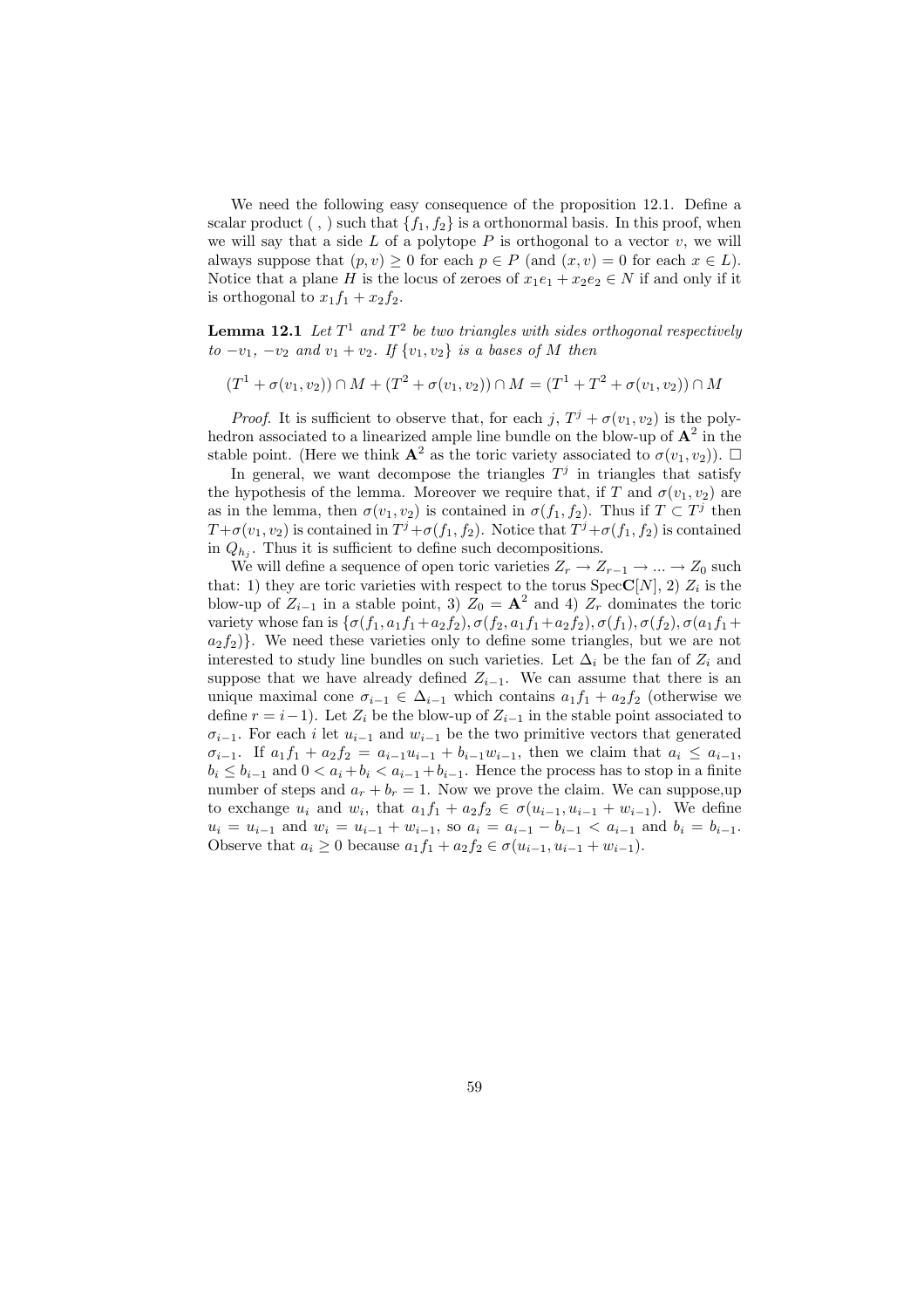We need the following easy consequence of the proposition 12.1. Define a scalar product (,) such that  $\{f_1, f_2\}$  is a orthonormal basis. In this proof, when we will say that a side  $L$  of a polytope  $P$  is orthogonal to a vector  $v$ , we will always suppose that  $(p, v) \geq 0$  for each  $p \in P$  (and  $(x, v) = 0$  for each  $x \in L$ ). Notice that a plane H is the locus of zeroes of  $x_1e_1 + x_2e_2 \in N$  if and only if it is orthogonal to  $x_1f_1 + x_2f_2$ .

**Lemma 12.1** Let  $T^1$  and  $T^2$  be two triangles with sides orthogonal respectively  $to -v_1$ ,  $-v_2$  and  $v_1 + v_2$ . If  $\{v_1, v_2\}$  is a bases of M then

 $(T^1 + \sigma(v_1, v_2)) \cap M + (T^2 + \sigma(v_1, v_2)) \cap M = (T^1 + T^2 + \sigma(v_1, v_2)) \cap M$ 

*Proof.* It is sufficient to observe that, for each j,  $T^j + \sigma(v_1, v_2)$  is the polyhedron associated to a linearized ample line bundle on the blow-up of  $A^2$  in the stable point. (Here we think  $\mathbf{A}^2$  as the toric variety associated to  $\sigma(v_1, v_2)$ ).  $\Box$ 

In general, we want decompose the triangles  $T<sup>j</sup>$  in triangles that satisfy the hypothesis of the lemma. Moreover we require that, if T and  $\sigma(v_1, v_2)$  are as in the lemma, then  $\sigma(v_1, v_2)$  is contained in  $\sigma(f_1, f_2)$ . Thus if  $T \subset T^j$  then  $T+\sigma(v_1, v_2)$  is contained in  $T^j+\sigma(f_1, f_2)$ . Notice that  $T^j+\sigma(f_1, f_2)$  is contained in  $Q_{h_j}$ . Thus it is sufficient to define such decompositions.

We will define a sequence of open toric varieties  $Z_r \to Z_{r-1} \to \dots \to Z_0$  such that: 1) they are toric varieties with respect to the torus  $Spec C[N], 2)$   $Z_i$  is the blow-up of  $Z_{i-1}$  in a stable point, 3)  $Z_0 = \mathbf{A}^2$  and 4)  $Z_r$  dominates the toric variety whose fan is  $\{\sigma(f_1, a_1f_1+a_2f_2), \sigma(f_2, a_1f_1+a_2f_2), \sigma(f_1), \sigma(f_2), \sigma(a_1f_1+a_2f_2)\}$  $a_2f_2$ }. We need these varieties only to define some triangles, but we are not interested to study line bundles on such varieties. Let  $\Delta_i$  be the fan of  $Z_i$  and suppose that we have already defined  $Z_{i-1}$ . We can assume that there is an unique maximal cone  $\sigma_{i-1} \in \Delta_{i-1}$  which contains  $a_1f_1 + a_2f_2$  (otherwise we define  $r = i-1$ ). Let  $Z_i$  be the blow-up of  $Z_{i-1}$  in the stable point associated to  $\sigma_{i-1}$ . For each i let  $u_{i-1}$  and  $w_{i-1}$  be the two primitive vectors that generated  $\sigma_{i-1}$ . If  $a_1f_1 + a_2f_2 = a_{i-1}u_{i-1} + b_{i-1}w_{i-1}$ , then we claim that  $a_i \le a_{i-1}$ ,  $b_i \leq b_{i-1}$  and  $0 < a_i + b_i < a_{i-1} + b_{i-1}$ . Hence the process has to stop in a finite number of steps and  $a_r + b_r = 1$ . Now we prove the claim. We can suppose, up to exchange  $u_i$  and  $w_i$ , that  $a_1f_1 + a_2f_2 \in \sigma(u_{i-1}, u_{i-1} + w_{i-1})$ . We define  $u_i = u_{i-1}$  and  $w_i = u_{i-1} + w_{i-1}$ , so  $a_i = a_{i-1} - b_{i-1} < a_{i-1}$  and  $b_i = b_{i-1}$ . Observe that  $a_i \geq 0$  because  $a_1 f_1 + a_2 f_2 \in \sigma(u_{i-1}, u_{i-1} + w_{i-1}).$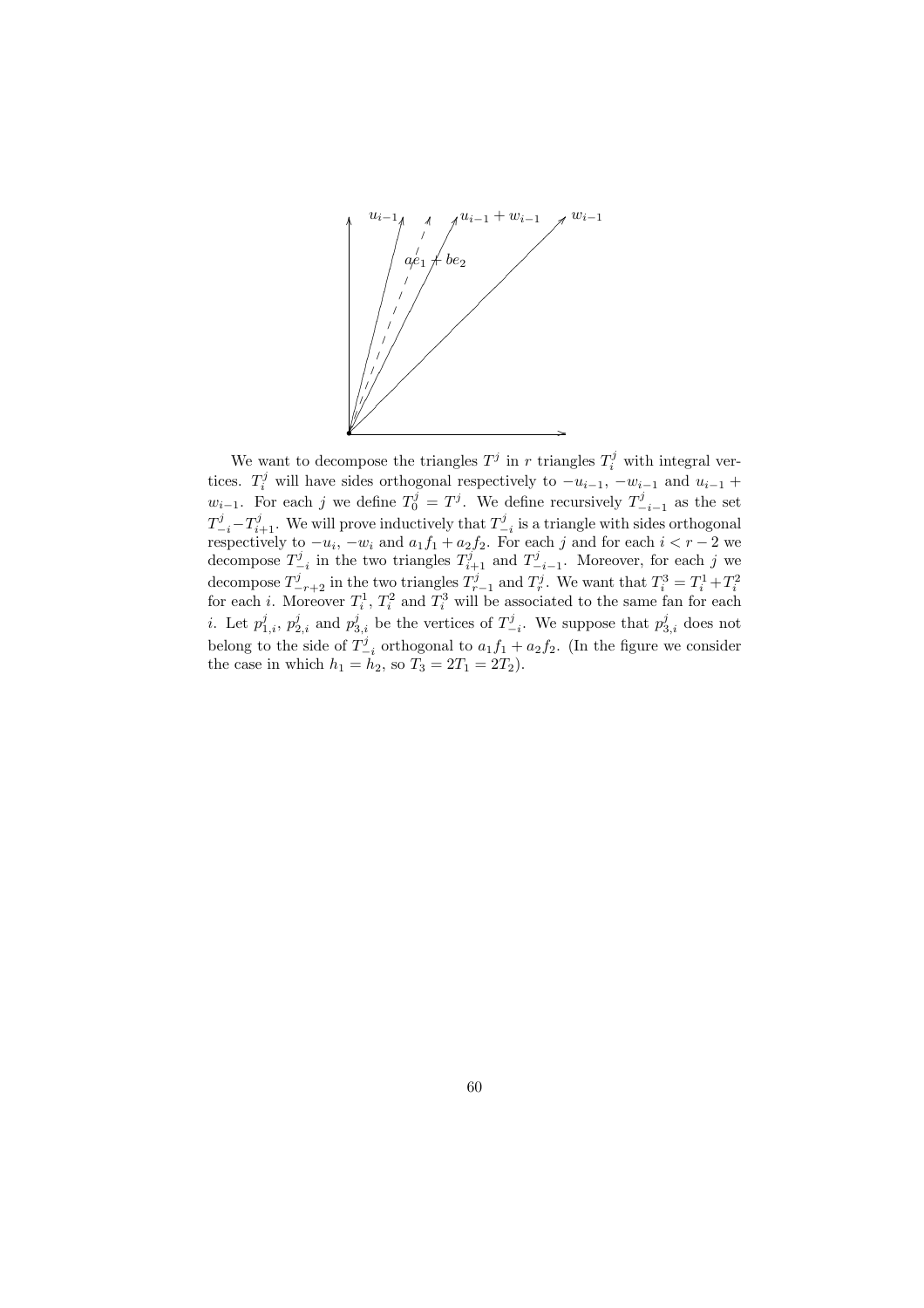

We want to decompose the triangles  $T^j$  in r triangles  $T_i^j$  with integral vertices.  $T_i^j$  will have sides orthogonal respectively to  $-u_{i-1}$ ,  $-w_{i-1}$  and  $u_{i-1}$  +  $w_{i-1}$ . For each j we define  $T_0^j = T^j$ . We define recursively  $T_{-i-1}^j$  as the set  $T^j_{-i} - T^j_{i+1}$ . We will prove inductively that  $T^j_{-i}$  is a triangle with sides orthogonal respectively to  $-u_i$ ,  $-w_i$  and  $a_1f_1 + a_2f_2$ . For each j and for each  $i < r-2$  we decompose  $T_{-i}^j$  in the two triangles  $T_{i+1}^j$  and  $T_{-i-1}^j$ . Moreover, for each j we decompose  $T_{-r+2}^j$  in the two triangles  $T_{r-1}^j$  and  $T_r^j$ . We want that  $T_i^3 = T_i^1 + T_i^2$  for each *i*. Moreover  $T_i^1$ ,  $T_i^2$  and  $T_i^3$  will be associated to the same fan for each *i*. Let  $p_{1,i}^j$ ,  $p_{2,i}^j$  and  $p_{3,i}^j$  be the vertices of  $T_{-i}^j$ . We suppose that  $p_{3,i}^j$  does not belong to the side of  $T^j_{-i}$  orthogonal to  $a_1f_1 + a_2f_2$ . (In the figure we consider the case in which  $h_1 = h_2$ , so  $T_3 = 2T_1 = 2T_2$ .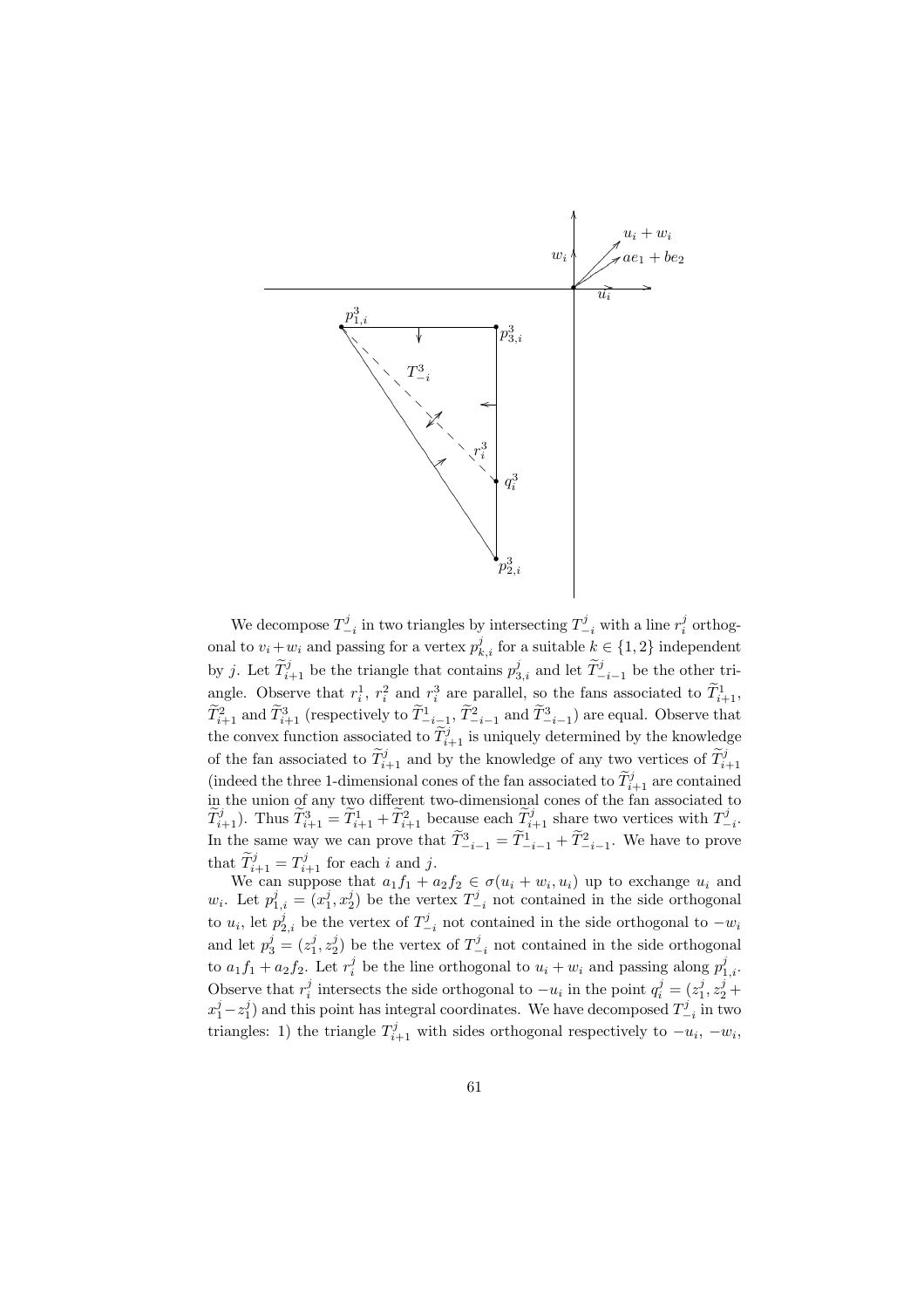

We decompose  $T_{-i}^j$  in two triangles by intersecting  $T_{-i}^j$  with a line  $r_i^j$  orthogonal to  $v_i + w_i$  and passing for a vertex  $p_{k,i}^j$  for a suitable  $k \in \{1, 2\}$  independent by j. Let  $\widetilde{T}_{i+1}^j$  be the triangle that contains  $p_{3,i}^j$  and let  $\widetilde{T}_{-i-1}^j$  be the other triangle. Observe that  $r_i^1$ ,  $r_i^2$  and  $r_i^3$  are parallel, so the fans associated to  $\widetilde{T}_{i+1}^1$ ,  $\widetilde{T}_{i+1}^2$  and  $\widetilde{T}_{i+1}^3$  (respectively to  $\widetilde{T}_{-i-1}^1$ ,  $\widetilde{T}_{-i-1}^2$  and  $\widetilde{T}_{-i-1}^3$ ) are equal. Observe that the convex function associated to  $\widetilde{T}_{i+1}^j$  is uniquely determined by the knowledge of the fan associated to  $\widetilde{T}_{i+1}^j$  and by the knowledge of any two vertices of  $\widetilde{T}_{i+1}^j$ (indeed the three 1-dimensional cones of the fan associated to  $\widetilde{T}_{i+1}^j$  are contained in the union of any two different two-dimensional cones of the fan associated to  $\widetilde{T}_{i+1}^j$ ). Thus  $\widetilde{T}_{i+1}^3 = \widetilde{T}_{i+1}^1 + \widetilde{T}_{i+1}^2$  because each  $\widetilde{T}_{i+1}^j$  share two vertices with  $T_{-i}^j$ . In the same way we can prove that  $\tilde{T}_{-i-1}^3 = \tilde{T}_{-i-1}^1 + \tilde{T}_{-i-1}^2$ . We have to prove that  $\widetilde{T}_{i+1}^j = T_{i+1}^j$  for each i and j.

We can suppose that  $a_1f_1 + a_2f_2 \in \sigma(u_i + w_i, u_i)$  up to exchange  $u_i$  and  $w_i$ . Let  $p_{1,i}^j = (x_1^j, x_2^j)$  be the vertex  $T_{-i}^j$  not contained in the side orthogonal to  $u_i$ , let  $p_{2,i}^j$  be the vertex of  $T_{-i}^j$  not contained in the side orthogonal to  $-w_i$ and let  $p_3^j = (z_1^j, z_2^j)$  be the vertex of  $T_{-i}^j$  not contained in the side orthogonal to  $a_1 f_1 + a_2 f_2$ . Let  $r_i^j$  be the line orthogonal to  $u_i + w_i$  and passing along  $p_{1,i}^j$ . Observe that  $r_i^j$  intersects the side orthogonal to  $-u_i$  in the point  $q_i^j = (z_1^j, z_2^j +$  $x_1^j - z_1^j$  and this point has integral coordinates. We have decomposed  $T_{-i}^j$  in two triangles: 1) the triangle  $T_{i+1}^j$  with sides orthogonal respectively to  $-u_i$ ,  $-w_i$ ,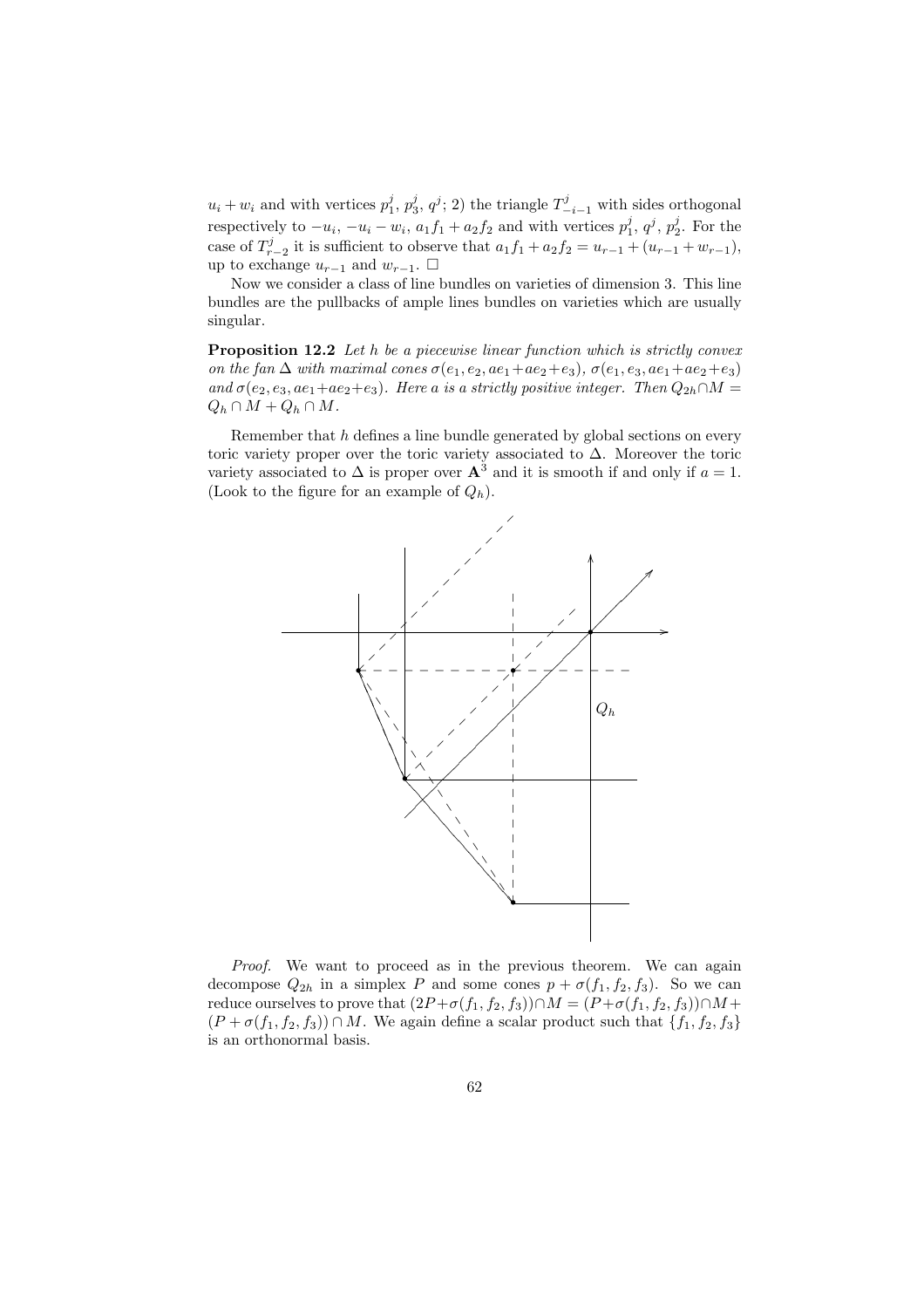$u_i + w_i$  and with vertices  $p_1^j, p_3^j, q^j; 2$  the triangle  $T_{-i-1}^j$  with sides orthogonal respectively to  $-u_i$ ,  $-u_i - w_i$ ,  $a_1 f_1 + a_2 f_2$  and with vertices  $p_1^j$ ,  $q^j$ ,  $p_2^j$ . For the case of  $T_{r-2}^j$  it is sufficient to observe that  $a_1f_1 + a_2f_2 = u_{r-1} + (u_{r-1} + w_{r-1}),$ up to exchange  $u_{r-1}$  and  $w_{r-1}$ . □

Now we consider a class of line bundles on varieties of dimension 3. This line bundles are the pullbacks of ample lines bundles on varieties which are usually singular.

Proposition 12.2 Let h be a piecewise linear function which is strictly convex on the fan  $\Delta$  with maximal cones  $\sigma(e_1, e_2, ae_1+ae_2+e_3)$ ,  $\sigma(e_1, e_3, ae_1+ae_2+e_3)$ and  $\sigma(e_2, e_3, ae_1+ae_2+e_3)$ . Here a is a strictly positive integer. Then  $Q_{2h} \cap M =$  $Q_h \cap M + Q_h \cap M$ .

Remember that h defines a line bundle generated by global sections on every toric variety proper over the toric variety associated to  $\Delta$ . Moreover the toric variety associated to  $\Delta$  is proper over  $\mathbf{A}^3$  and it is smooth if and only if  $a = 1$ . (Look to the figure for an example of  $Q_h$ ).



Proof. We want to proceed as in the previous theorem. We can again decompose  $Q_{2h}$  in a simplex P and some cones  $p + \sigma(f_1, f_2, f_3)$ . So we can reduce ourselves to prove that  $(2P + \sigma(f_1, f_2, f_3)) \cap M = (P + \sigma(f_1, f_2, f_3)) \cap M +$  $(P + \sigma(f_1, f_2, f_3)) \cap M$ . We again define a scalar product such that  $\{f_1, f_2, f_3\}$ is an orthonormal basis.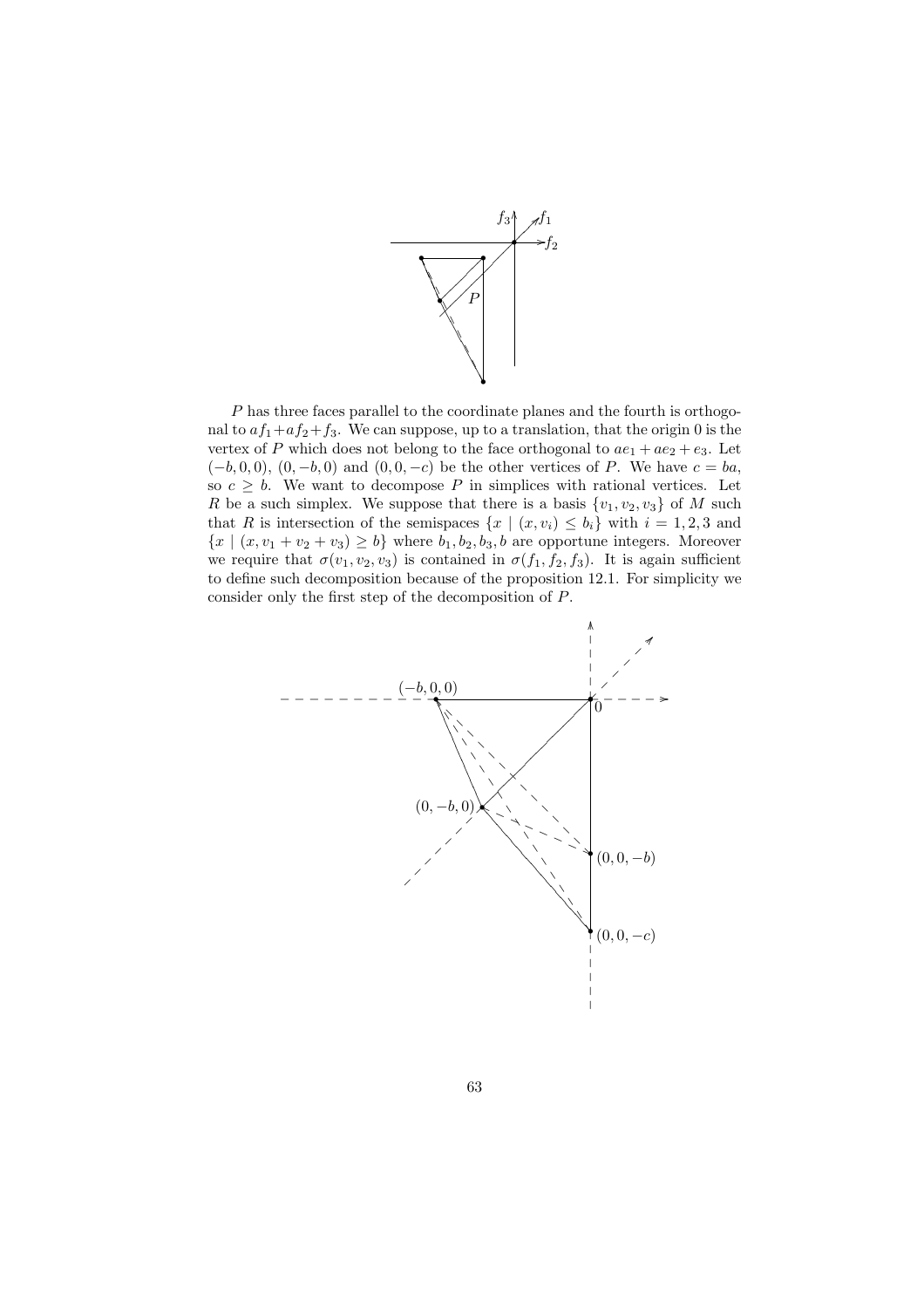

P has three faces parallel to the coordinate planes and the fourth is orthogonal to  $af_1+af_2+f_3$ . We can suppose, up to a translation, that the origin 0 is the vertex of P which does not belong to the face orthogonal to  $ae_1 + ae_2 + e_3$ . Let  $(-b, 0, 0), (0, -b, 0)$  and  $(0, 0, -c)$  be the other vertices of P. We have  $c = ba$ , so  $c \geq b$ . We want to decompose P in simplices with rational vertices. Let R be a such simplex. We suppose that there is a basis  $\{v_1, v_2, v_3\}$  of M such that R is intersection of the semispaces  $\{x \mid (x, v_i) \leq b_i\}$  with  $i = 1, 2, 3$  and  ${x \mid (x, v_1 + v_2 + v_3) \ge b}$  where  $b_1, b_2, b_3, b$  are opportune integers. Moreover we require that  $\sigma(v_1, v_2, v_3)$  is contained in  $\sigma(f_1, f_2, f_3)$ . It is again sufficient to define such decomposition because of the proposition 12.1. For simplicity we consider only the first step of the decomposition of P.

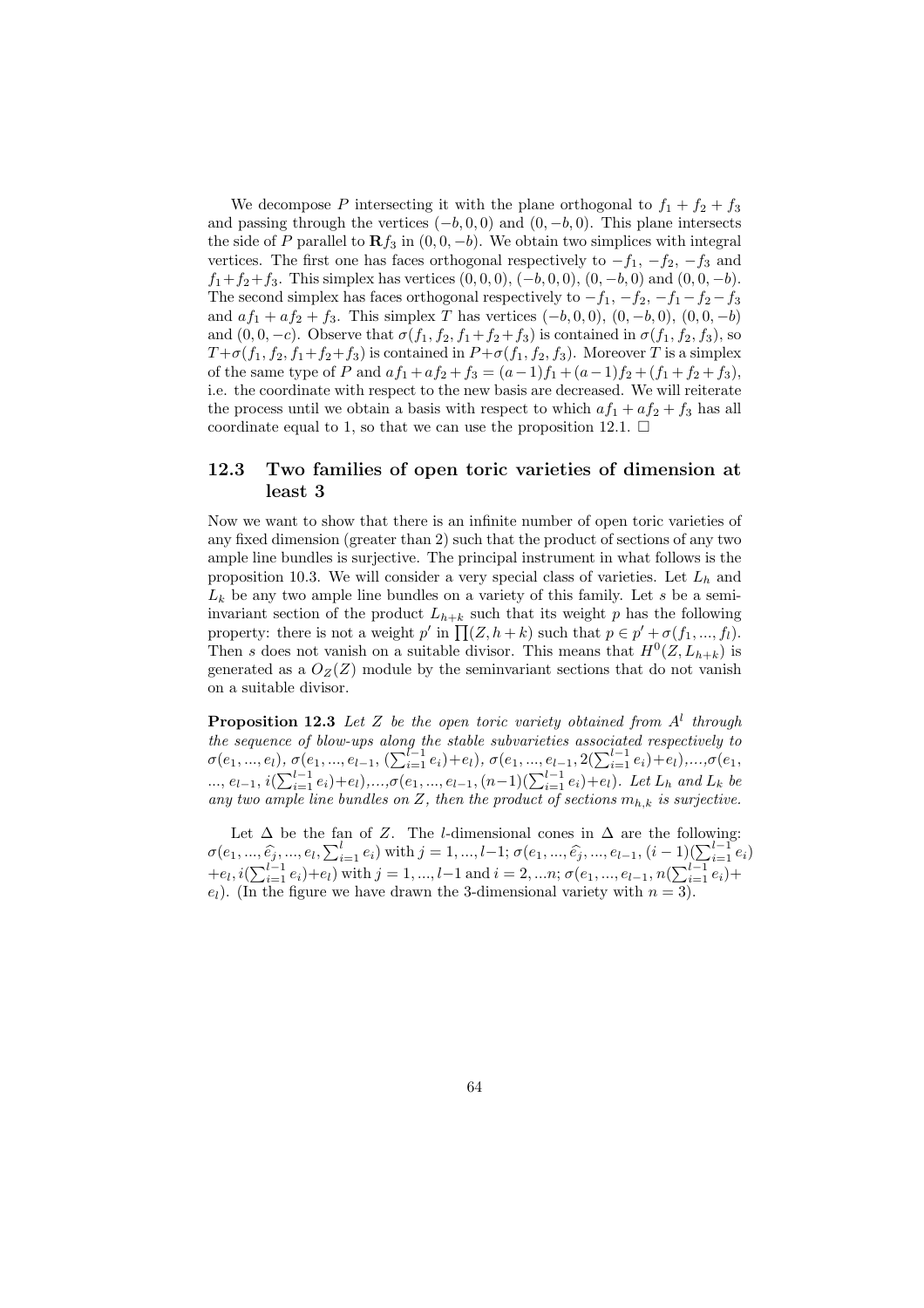We decompose P intersecting it with the plane orthogonal to  $f_1 + f_2 + f_3$ and passing through the vertices  $(-b, 0, 0)$  and  $(0, -b, 0)$ . This plane intersects the side of P parallel to  $\mathbf{R} f_3$  in  $(0, 0, -b)$ . We obtain two simplices with integral vertices. The first one has faces orthogonal respectively to  $-f_1$ ,  $-f_2$ ,  $-f_3$  and  $f_1+f_2+f_3$ . This simplex has vertices  $(0,0,0), (-b,0,0), (0,-b,0)$  and  $(0,0,-b)$ . The second simplex has faces orthogonal respectively to  $-f_1$ ,  $-f_2$ ,  $-f_1-f_2-f_3$ and  $af_1 + af_2 + f_3$ . This simplex T has vertices  $(-b, 0, 0), (0, -b, 0), (0, 0, -b)$ and  $(0, 0, -c)$ . Observe that  $\sigma(f_1, f_2, f_1+f_2+f_3)$  is contained in  $\sigma(f_1, f_2, f_3)$ , so  $T + \sigma(f_1, f_2, f_1 + f_2 + f_3)$  is contained in  $P + \sigma(f_1, f_2, f_3)$ . Moreover T is a simplex of the same type of P and  $af_1 + af_2 + f_3 = (a-1)f_1 + (a-1)f_2 + (f_1 + f_2 + f_3)$ , i.e. the coordinate with respect to the new basis are decreased. We will reiterate the process until we obtain a basis with respect to which  $af_1 + af_2 + f_3$  has all coordinate equal to 1, so that we can use the proposition 12.1.  $\Box$ 

#### 12.3 Two families of open toric varieties of dimension at least 3

Now we want to show that there is an infinite number of open toric varieties of any fixed dimension (greater than 2) such that the product of sections of any two ample line bundles is surjective. The principal instrument in what follows is the proposition 10.3. We will consider a very special class of varieties. Let  $L<sub>h</sub>$  and  $L_k$  be any two ample line bundles on a variety of this family. Let s be a semiinvariant section of the product  $L_{h+k}$  such that its weight p has the following mvariant section of the product  $L_{h+k}$  such that its weight p has the following<br>property: there is not a weight p' in  $\prod(Z, h+k)$  such that  $p \in p' + \sigma(f_1, ..., f_l)$ . Then s does not vanish on a suitable divisor. This means that  $H^0(Z, L_{h+k})$  is generated as a  $O_Z(Z)$  module by the seminvariant sections that do not vanish on a suitable divisor.

**Proposition 12.3** Let Z be the open toric variety obtained from  $A<sup>l</sup>$  through the sequence of blow-ups along the stable subvarieties associated respectively to  $\sigma(e_1, ..., e_l)$ ,  $\sigma(e_1, ..., e_{l-1}, (\sum_{i=1}^{l-1} e_i) + e_l)$ ,  $\sigma(e_1, ..., e_{l-1}, 2(\sum_{i=1}^{l-1} e_i) + e_l)$ ,  $\ldots, \sigma(e_1,$  $e_1, ..., e_{l-1}, i(∑_{i=1}^{l-1} e_i) + e_l), ..., σ(e_1, ..., e_{l-1}, (n-1)(∑_{i=1}^{l-1} e_i) + e_l).$  Let  $L_h$  and  $L_k$  be  $e_1, ..., e_{l-1}, i(∑_{i=1}^{l-1} e_i) + e_l)$ . any two ample line bundles on Z, then the product of sections  $m_{h,k}$  is surjective.

Let  $\Delta$  be the fan of Z. The *l*-dimensional cones in  $\Delta$  are the following: Let  $\Delta$  be the land  $\Delta$ . The *t*-dimensional cones in  $\Delta$  are the lonowing:<br>  $\sigma(e_1, ..., \hat{e_j}, ..., e_l, \sum_{i=1}^l e_i)$  with  $j = 1, ..., l-1; \sigma(e_1, ..., \hat{e_j}, ..., e_{l-1}, (i-1)(\sum_{i=1}^{l-1} e_i)$  $+e_l, i(\sum_{i=1}^{l-1} e_i)+e_l)$  with  $j=1,...,l-1$  and  $i=2,...n;$   $\sigma(e_1,...,e_{l-1}, n(\sum_{i=1}^{l-1} e_i)+e_l)$  $e_l$ ). (In the figure we have drawn the 3-dimensional variety with  $n = 3$ ).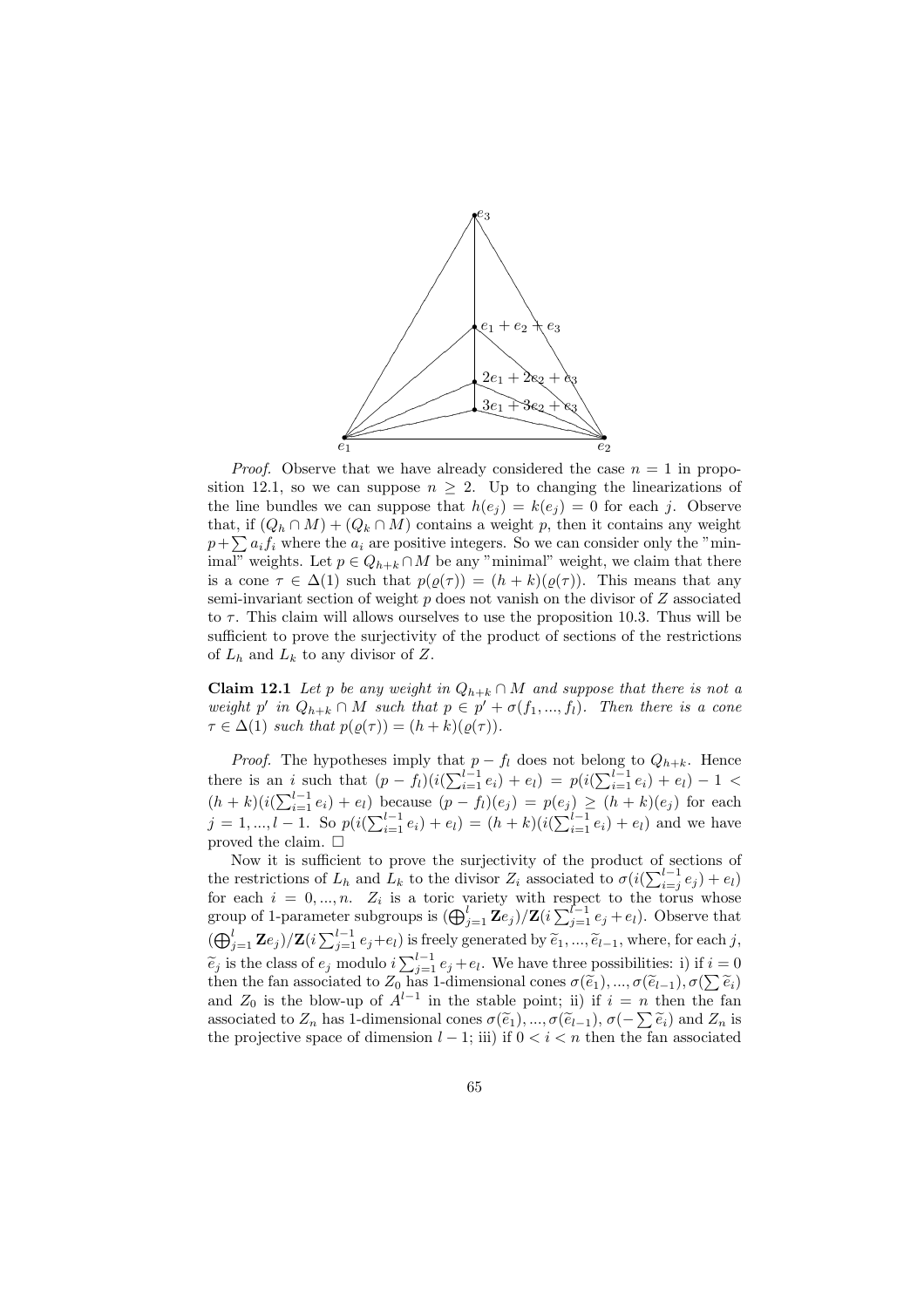

*Proof.* Observe that we have already considered the case  $n = 1$  in proposition 12.1, so we can suppose  $n \geq 2$ . Up to changing the linearizations of the line bundles we can suppose that  $h(e_j) = k(e_j) = 0$  for each j. Observe that, if  $(Q_h \cap M) + (Q_k \cap M)$  contains a weight p, then it contains any weight that, if  $(Q_h \cap M) + (Q_k \cap M)$  contains a weight p, then it contains any weight  $p + \sum a_i f_i$  where the  $a_i$  are positive integers. So we can consider only the "minimal" weights. Let  $p \in Q_{h+k} \cap M$  be any "minimal" weight, we claim that there is a cone  $\tau \in \Delta(1)$  such that  $p(\varrho(\tau)) = (h + k)(\varrho(\tau))$ . This means that any semi-invariant section of weight  $p$  does not vanish on the divisor of  $Z$  associated to  $\tau$ . This claim will allows ourselves to use the proposition 10.3. Thus will be sufficient to prove the surjectivity of the product of sections of the restrictions of  $L_h$  and  $L_k$  to any divisor of Z.

**Claim 12.1** Let p be any weight in  $Q_{h+k} \cap M$  and suppose that there is not a weight p' in  $Q_{h+k} \cap M$  such that  $p \in p' + \sigma(f_1, ..., f_l)$ . Then there is a cone  $\tau \in \Delta(1)$  such that  $p(\rho(\tau)) = (h+k)(\rho(\tau))$ .

*Proof.* The hypotheses imply that  $p - f_l$  does not belong to  $Q_{h+k}$ . Hence there is an *i* such that  $(p - f_l)(i(\sum_{i=1}^{l-1} e_i) + e_l) = p(i(\sum_{i=1}^{l-1} e_i) + e_l) - 1$ there is an i such that  $(p - f_l)(\sqrt{\sum_{i=1}^l c_i}) + c_l = p(\sqrt{\sum_{i=1}^l c_i}) + c_l = 1$ <br>  $(h + k)(i(\sum_{i=1}^{l-1} e_i) + e_l)$  because  $(p - f_l)(e_j) = p(e_j) \ge (h + k)(e_j)$  for each  $j = 1, ..., l-1$ . So  $p(i(\sum_{i=1}^{l-1} e_i) + e_l) = (h+k)(i(\sum_{i=1}^{l-1} e_i) + e_l)$  and we have proved the claim.  $\square$ 

Now it is sufficient to prove the surjectivity of the product of sections of the restrictions of  $L_h$  and  $L_k$  to the divisor  $Z_i$  associated to  $\sigma(i(\sum_{i=1}^{l-1}$  $\sum_{i=j}^{l-1} e_j + e_l$ for each  $i = 0, ..., n$ .  $Z_i$  is a toric variety with respect to the torus whose group of 1-parameter subgroups is  $(\bigoplus_{j=1}^{l} \mathbb{Z}e_j)/\mathbb{Z}(i \sum_{j=1}^{l-1} e_j + e_l)$ . Observe that  $(\bigoplus_{j=1}^{l-1} \mathbb{Z}e_j)/\mathbb{Z}(i \sum_{j=1}^{l-1} e_j+e_l)$  is freely generated by  $\widetilde{e}_1, ..., \widetilde{e}_{l-1}$ , where, for each j,  $\sum_{j=1}^{\infty} \sum_{j=1}^{\infty} \sum_{j=1}^{\infty} \sum_{j=1}^{\infty} e_j + e_l$ . We have three possibilities: i) if  $i = 0$  $e_j$  is the class of  $e_j$  modulo  $i \sum_{j=1}^{\infty} e_j + e_l$ , we have three possibilities: 1) if  $i \equiv 0$ <br>then the fan associated to  $Z_0$  has 1-dimensional cones  $\sigma(\tilde{e}_1), ..., \sigma(\tilde{e}_{l-1}), \sigma(\sum \tilde{e}_i)$ and  $Z_0$  is the blow-up of  $A^{l-1}$  in the stable point; ii) if  $i = n$  then the fan and  $Z_0$  is the blow-up of  $A$  in the stable point; if  $\pi$  is  $i \in \mathbb{N}$  then the fantassociated to  $Z_n$  has 1-dimensional cones  $\sigma(\tilde{e}_1), \ldots, \sigma(\tilde{e}_{l-1}), \sigma(-\sum \tilde{e}_i)$  and  $Z_n$  is the projective space of dimension  $l-1$ ; iii) if  $0 < i < n$  then the fan associated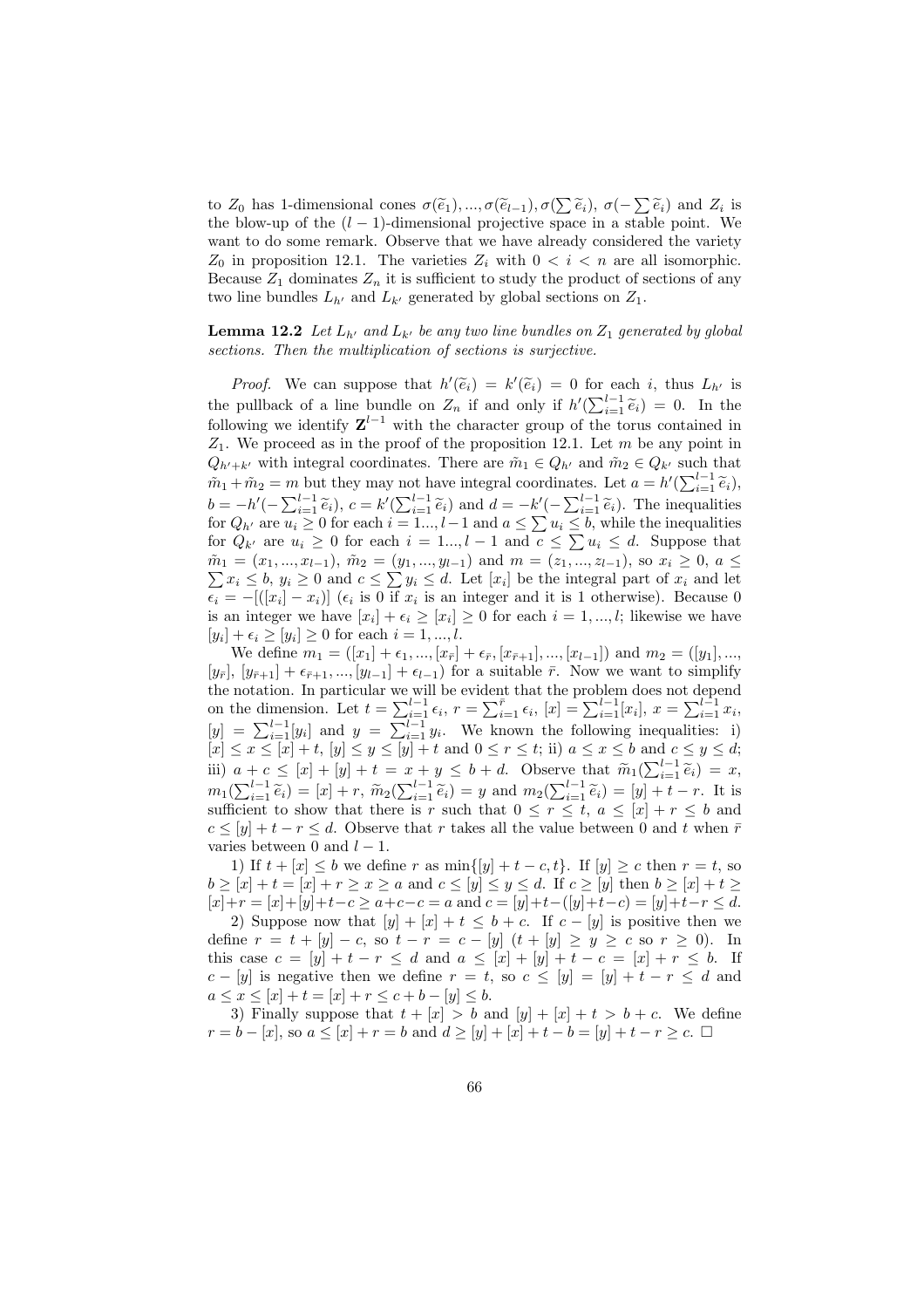to  $Z_0$  has 1-dimensional cones  $\sigma(\tilde{e}_1),...,\sigma(\tilde{e}_{l-1}),\sigma(\sum \tilde{e}_i), \sigma(-\sum \tilde{e}_i)$  and  $Z_i$  is the blow-up of the  $(l-1)$ -dimensional projective space in a stable point. We want to do some remark. Observe that we have already considered the variety  $Z_0$  in proposition 12.1. The varieties  $Z_i$  with  $0 < i < n$  are all isomorphic. Because  $Z_1$  dominates  $Z_n$  it is sufficient to study the product of sections of any two line bundles  $L_{h'}$  and  $L_{k'}$  generated by global sections on  $Z_1$ .

#### **Lemma 12.2** Let  $L_{h'}$  and  $L_{k'}$  be any two line bundles on  $Z_1$  generated by global sections. Then the multiplication of sections is surjective.

*Proof.* We can suppose that  $h'(\tilde{e}_i) = k'(\tilde{e}_i) = 0$  for each i, thus  $L_{h'}$  is the pullback of a line bundle on  $Z_n$  if and only if  $h'(\sum_{i=1}^{l-1} \tilde{e}_i) = 0$ . In the following we identify  $\mathbf{Z}^{l-1}$  with the character group of the torus contained in  $Z_1$ . We proceed as in the proof of the proposition 12.1. Let m be any point in  $Q_{h'+k'}$  with integral coordinates. There are  $\tilde{m}_1 \in Q_{h'}$  and  $\tilde{m}_2 \in Q_{k'}$  such that  $\tilde{m}_1 + \tilde{m}_2 = m$  but they may not have integral coordinates. Let  $a = h'(\sum_{i=1}^{l-1} \tilde{e}_i)$ ,  $b = -h'(-\sum_{i=1}^{l-1} \tilde{e}_i), c = k'(\sum_{i=1}^{l-1} \tilde{e}_i)$  and  $d = -k'(-\sum_{i=1}^{l-1} \tilde{e}_i)$ . The inequalities  $\begin{array}{l} \n\bar{u} = -\bar{u} \ (-\sum_{i=1}^{\infty} e_i), \ c = \kappa \ (\sum_{i=1}^{\infty} e_i) \ \text{ and } \ \bar{u} = -\kappa \ (-\sum_{i=1}^{\infty} e_i). \ \text{ The inequalities} \n\end{array}$  for  $Q_h$  are  $u_i \geq 0$  for each  $i = 1...$ ,  $l-1$  and  $a \leq \sum u_i \leq b$ , while the inequalities for  $Q_{k'}$  are  $u_i \geq 0$  for each  $i = 1..., l - 1$  and  $c \leq \sum u_i \leq d$ . Suppose that  $\sum u_i \leq d$ . Suppose that  $\tilde{m}_1 = (x_1, ..., x_{l-1}), \tilde{m}_2 = (y_1, ..., y_{l-1})$  and  $m = (z_1, ..., z_{l-1}),$  so  $x_i \geq 0, a \leq$  $x_i \leq b, y_i \geq 0$  and  $c \leq \sum y_i \leq d$ . Let  $[x_i]$  be the integral part of  $x_i$  and let  $\epsilon_i = -[(x_i] - x_i)]$  ( $\epsilon_i$  is 0 if  $x_i$  is an integer and it is 1 otherwise). Because 0 is an integer we have  $[x_i] + \epsilon_i \geq [x_i] \geq 0$  for each  $i = 1, ..., l$ ; likewise we have  $[y_i] + \epsilon_i \ge [y_i] \ge 0$  for each  $i = 1, ..., l$ .

We define  $m_1 = ([x_1] + \epsilon_1, ..., [x_{\bar{r}}] + \epsilon_{\bar{r}}, [x_{\bar{r}+1}], ..., [x_{l-1}])$  and  $m_2 = ([y_1], ...,$  $[y_{\bar{r}}], [y_{\bar{r}+1}] + \epsilon_{\bar{r}+1}, ..., [y_{l-1}] + \epsilon_{l-1}$  for a suitable  $\bar{r}$ . Now we want to simplify the notation. In particular we will be evident that the problem does not depend the notation. In particular we will be evident that the problem does not depend<br>on the dimension. Let  $t = \sum_{i=1}^{l-1} \epsilon_i$ ,  $r = \sum_{i=1}^{\bar{r}} \epsilon_i$ ,  $[x] = \sum_{i=1}^{l-1} [x_i]$ ,  $x = \sum_{i=1}^{l-1} x_i$ ,<br> $[y] = \sum_{i=1}^{l-1} [y_i]$  and  $y = \sum_{i$  $[x] \leq x \leq [x] + t$ ,  $[y] \leq y \leq [y] + t$  and  $0 \leq r \leq t$ ; ii)  $a \leq x \leq b$  and  $c \leq y \leq d$ ; (ii)  $\leq x \leq [x] + [y] + t$  and  $0 \leq t \leq t$ , ii)  $a \leq x \leq b$  and  $c \leq y \leq a$ ,<br>iii)  $a + c \leq [x] + [y] + t = x + y \leq b + d$ . Observe that  $\widetilde{m}_1(\sum_{i=1}^{l-1} \widetilde{e}_i) = x$ ,  $m_1(\sum_{i=1}^{l-1} \tilde{e}_i) = [x] + r$ ,  $\tilde{m}_2(\sum_{i=1}^{l-1} \tilde{e}_i) = y$  and  $m_2(\sum_{i=1}^{l-1} \tilde{e}_i) = [y] + t - r$ . It is sufficient to show that there is r such that  $0 \leq r \leq t$ ,  $a \leq [x] + r \leq b$  and  $c \leq [y] + t - r \leq d$ . Observe that r takes all the value between 0 and t when  $\bar{r}$ varies between 0 and  $l-1$ .

1) If  $t + [x] \leq b$  we define r as  $\min\{[y] + t - c, t\}$ . If  $[y] \geq c$  then  $r = t$ , so  $b \geq [x] + t = [x] + r \geq x \geq a$  and  $c \leq [y] \leq y \leq d$ . If  $c \geq [y]$  then  $b \geq [x] + t \geq$  $[x]+r = [x]+[y]+t-c \ge a+c-c = a$  and  $c = [y]+t-([y]+t-c) = [y]+t-r \le d$ .

2) Suppose now that  $[y] + [x] + t \leq b + c$ . If  $c - [y]$  is positive then we define  $r = t + [y] - c$ , so  $t - r = c - [y] (t + [y] \ge y \ge c$  so  $r \ge 0)$ . In this case  $c = [y] + t - r \le d$  and  $a \le [x] + [y] + t - c = [x] + r \le b$ . If  $c - [y]$  is negative then we define  $r = t$ , so  $c \leq [y] = [y] + t - r \leq d$  and  $a \leq x \leq [x] + t = [x] + r \leq c + b - [y] \leq b.$ 

3) Finally suppose that  $t + [x] > b$  and  $[y] + [x] + t > b + c$ . We define  $r = b - [x]$ , so  $a \leq [x] + r = b$  and  $d \geq [y] + [x] + t - b = [y] + t - r \geq c$ .  $\Box$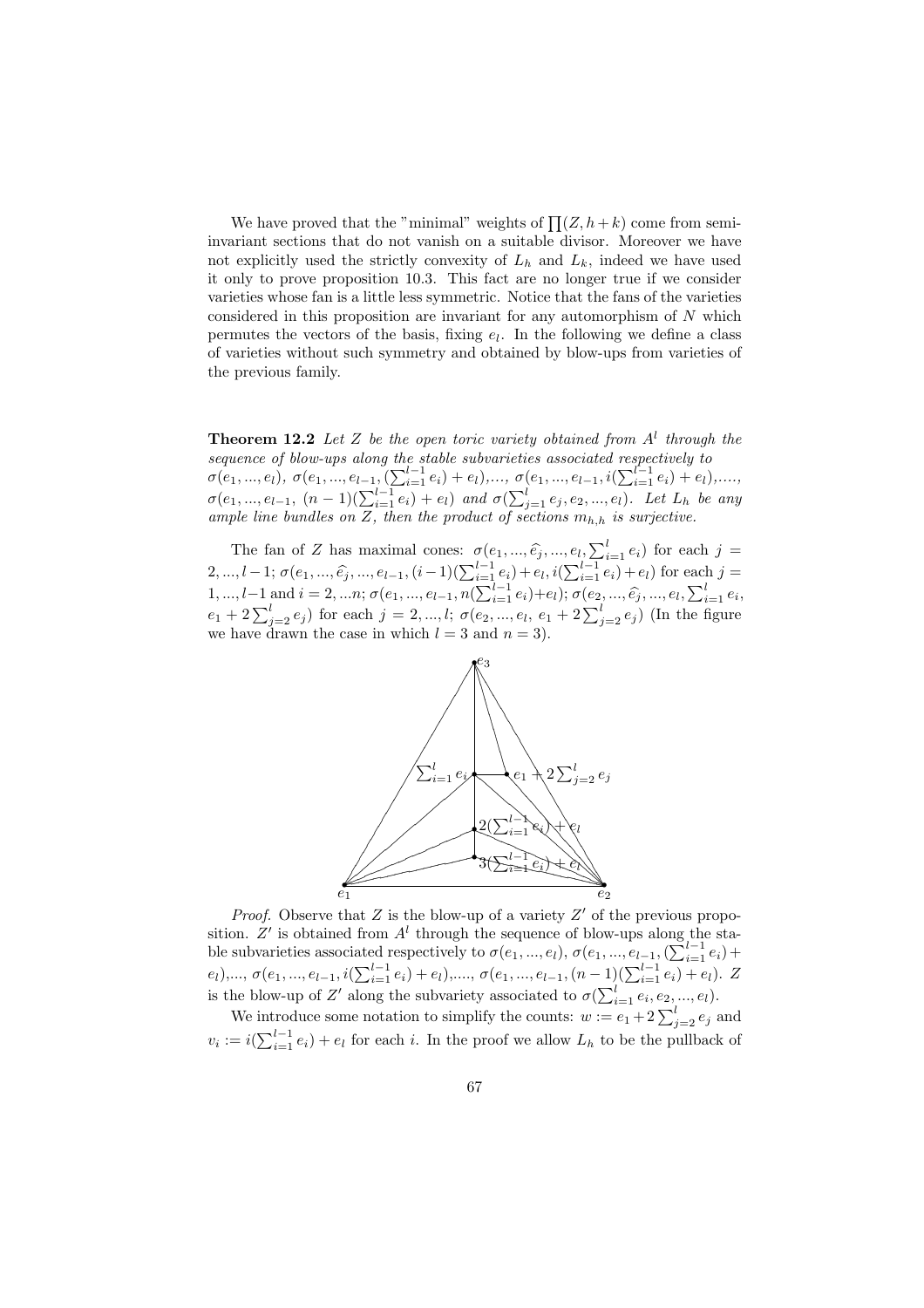We have proved that the "minimal" weights of  $\prod (Z, h+k)$  come from semiinvariant sections that do not vanish on a suitable divisor. Moreover we have not explicitly used the strictly convexity of  $L_h$  and  $L_k$ , indeed we have used it only to prove proposition 10.3. This fact are no longer true if we consider varieties whose fan is a little less symmetric. Notice that the fans of the varieties considered in this proposition are invariant for any automorphism of N which permutes the vectors of the basis, fixing  $e_l$ . In the following we define a class of varieties without such symmetry and obtained by blow-ups from varieties of the previous family.

**Theorem 12.2** Let Z be the open toric variety obtained from  $A<sup>l</sup>$  through the sequence of blow-ups along the stable subvarieties associated respectively to sequence of otov-ups diong the stable subvarientes associated respectively to<br>
σ(e<sub>1</sub>,...,e<sub>l</sub>), σ(e<sub>1</sub>,...,e<sub>l-1</sub>, ( $\sum_{i=1}^{l-1} e_i$ ) + e<sub>l</sub>),..., σ(e<sub>1</sub>,...,e<sub>l-1</sub>, i( $\sum_{i=1}^{l-1} e_i$ ) + e<sub>l</sub>),...,<br>
σ(e<sub>1</sub>,...,e<sub>l-1</sub>, ample line bundles on Z, then the product of sections  $m_{h,h}$  is surjective.

The fan of Z has maximal cones:  $\sigma(e_1, ..., \hat{e_i}, ..., e_l, \sum_{i=1}^l e_i)$  for each  $j = 2, ..., l-1; \sigma(e_1, ..., \hat{e_i}, ..., e_{l-1}, (i-1)(\sum_{i=1}^{l-1} e_i) + e_l, i(\sum_{i=1}^{l-1} e_i) + e_l)$  for each  $j =$  $1, ..., l-1$  and  $i = 2, ..., n$ ; σ(e<sub>1</sub>, ..., e<sub>l-1</sub>, n( $\sum_{i=1}^{l-1} e_i$ )+e<sub>l</sub>); σ(e<sub>2</sub>, ..., e<sub>j</sub>, ..., e<sub>l</sub>,  $\sum_{i=1}^{l} e_i$ ,<br>
e<sub>1</sub> + 2  $\sum_{j=2}^{l} e_j$ ) for each *j* = 2, ..., l; σ(e<sub>2</sub>, ..., e<sub>l</sub>, e<sub>1</sub> + 2  $\sum_{j=2}^{l} e_j$ ) (In t we have drawn the case in which  $l = 3$  and  $n = 3$ ).



*Proof.* Observe that  $Z$  is the blow-up of a variety  $Z'$  of the previous proposition. Z' is obtained from  $A<sup>l</sup>$  through the sequence of blow-ups along the stastition. Σ is obtained from A through the sequence of blow-ups along the stable subvarieties associated respectively to  $\sigma(e_1, ..., e_l)$ ,  $\sigma(e_1, ..., e_{l-1}, (\sum_{i=1}^{l-1} e_i)$  + be subvariently associated respectively to  $\sigma(e_1, ..., e_l)$ ,  $\sigma(e_1, ..., e_{l-1}, (\sum_{i=1}^{l-1} e_i) + e_l)$ ,  $\sigma(e_1, ..., e_{l-1}, (n-1)(\sum_{i=1}^{l-1} e_i) + e_l)$ . Z is the blow-up of Z' along the subvariety associated to  $\sigma(\sum_{i=1}^{l} e_i, e_2, ..., e_l)$ .<br>We introduce some notation to simplify the counts:  $w := e_1 + 2\sum_{j=2}^{l} e_j$  and

 $v_i := i(\sum_{i=1}^{l-1} e_i) + e_l$  for each i. In the proof we allow  $L_h$  to be the pullback of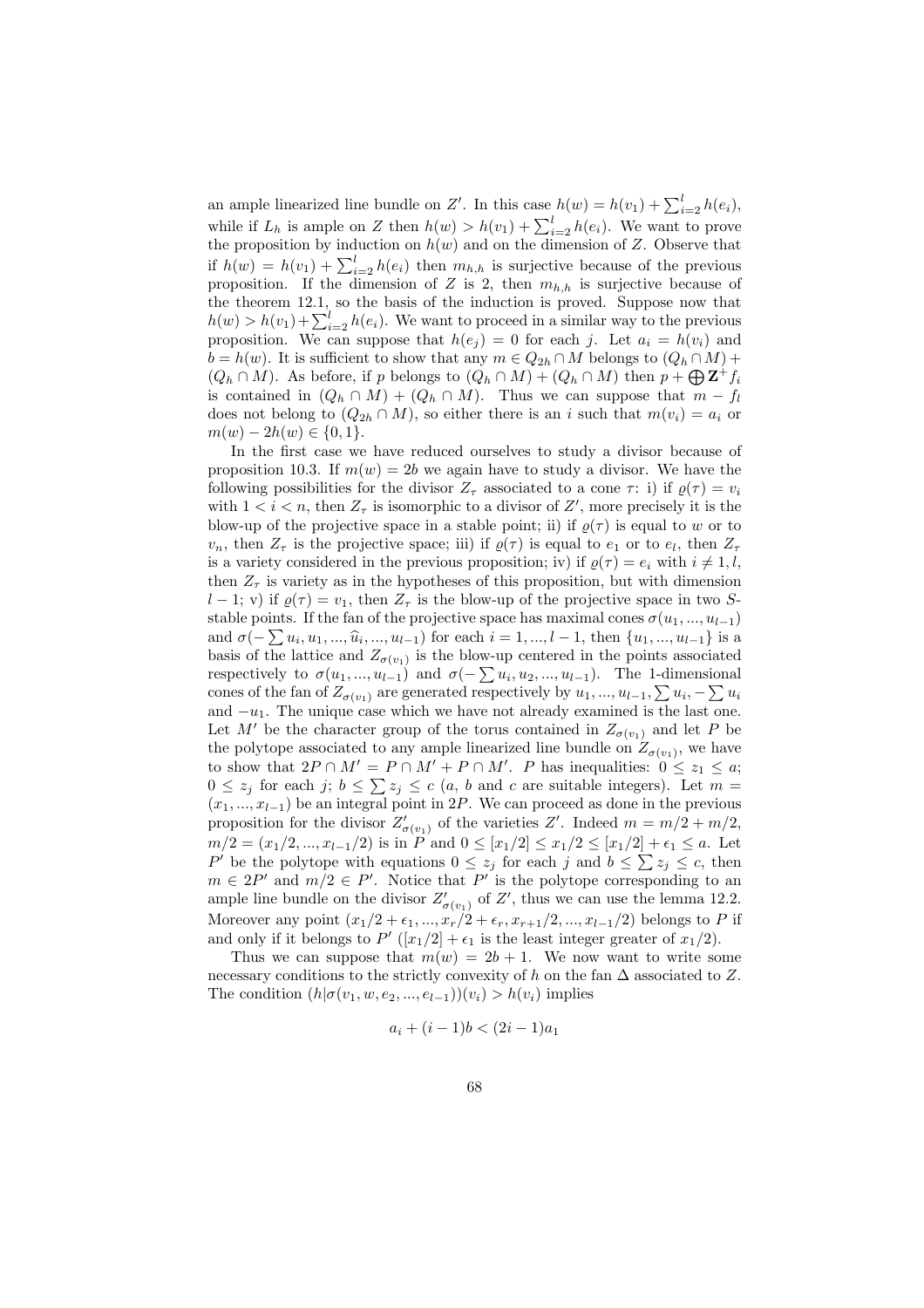an ample linearized line bundle on Z'. In this case  $h(w) = h(v_1) + \sum_{i=2}^{l} h(e_i)$ , while if  $L_h$  is ample on Z then  $h(w) > h(v_1) + \sum_{i=2}^{l} h(e_i)$ . We want to prove the proposition by induction on  $h(w)$  and on the dimension of Z. Observe that if  $h(w) = h(v_1) + \sum_{i=2}^{l} h(e_i)$  then  $m_{h,h}$  is surjective because of the previous proposition. If the dimension of Z is 2, then  $m_{h,h}$  is surjective because of the theorem 12.1, so the basis of the induction is proved. Suppose now that  $h(w) > h(v_1) + \sum_{i=2}^{l} h(e_i)$ . We want to proceed in a similar way to the previous proposition. We can suppose that  $h(e_j) = 0$  for each j. Let  $a_i = h(v_i)$  and  $b = h(w)$ . It is sufficient to show that any  $m \in Q_{2h} \cap M$  belongs to  $(Q_h \cap M)$  +  $(Q_h \cap M)$ . As before, if p belongs to  $(Q_h \cap M) + (Q_h \cap M)$  then  $p + \bigoplus \mathbf{Z}^+ f_i$ is contained in  $(Q_h \cap M) + (Q_h \cap M)$ . Thus we can suppose that  $m - f_l$ does not belong to  $(Q_{2h} \cap M)$ , so either there is an i such that  $m(v_i) = a_i$  or  $m(w) - 2h(w) \in \{0, 1\}.$ 

In the first case we have reduced ourselves to study a divisor because of proposition 10.3. If  $m(w) = 2b$  we again have to study a divisor. We have the following possibilities for the divisor  $Z_{\tau}$  associated to a cone  $\tau$ : i) if  $\rho(\tau) = v_i$ with  $1 < i < n$ , then  $Z_{\tau}$  is isomorphic to a divisor of  $Z'$ , more precisely it is the blow-up of the projective space in a stable point; ii) if  $\rho(\tau)$  is equal to w or to  $v_n$ , then  $Z_\tau$  is the projective space; iii) if  $\varrho(\tau)$  is equal to  $e_1$  or to  $e_l$ , then  $Z_\tau$ is a variety considered in the previous proposition; iv) if  $\rho(\tau) = e_i$  with  $i \neq 1, l$ , then  $Z_{\tau}$  is variety as in the hypotheses of this proposition, but with dimension l − 1; v) if  $\varrho(\tau) = v_1$ , then  $Z_{\tau}$  is the blow-up of the projective space in two Sstable points. If the fan of the projective space has maximal cones  $\sigma(u_1, ..., u_{l-1})$ stable points. It the fail of the projective space has maximal cones  $\sigma(u_1, ..., u_{l-1})$ <br>and  $\sigma(-\sum u_i, u_1, ..., \hat{u}_i, ..., u_{l-1})$  for each  $i = 1, ..., l-1$ , then  $\{u_1, ..., u_{l-1}\}$  is a basis of the lattice and  $Z_{\sigma(v_1)}$  is the blow-up centered in the points associated basis of the lattice and  $\alpha_{\sigma(v_1)}$  is the blow-up centered in the points associated<br>respectively to  $\sigma(u_1, ..., u_{l-1})$  and  $\sigma(-\sum u_i, u_2, ..., u_{l-1})$ . The 1-dimensional respectively to  $\sigma(u_1, ..., u_{l-1})$  and  $\sigma(-\sum u_i, u_2, ..., u_{l-1})$ . The 1-dimensional cones of the fan of  $Z_{\sigma(v_1)}$  are generated respectively by  $u_1, ..., u_{l-1}, \sum u_i, -\sum u_i$ and  $-u_1$ . The unique case which we have not already examined is the last one. Let M' be the character group of the torus contained in  $Z_{\sigma(v_1)}$  and let P be the polytope associated to any ample linearized line bundle on  $Z_{\sigma(v_1)}$ , we have to show that  $2P \cap M' = P \cap M' + P \cap M'$ . P has inequalities:  $0 \leq z_1 \leq a$ ; to show that  $2P \cap M = P \cap M + P \cap M$ . P has inequalities:  $0 \le z_1 \le a$ ;<br>  $0 \le z_j$  for each  $j$ ;  $b \le \sum z_j \le c$   $(a, b$  and c are suitable integers). Let  $m =$  $(x_1, \ldots, x_{l-1})$  be an integral point in 2P. We can proceed as done in the previous proposition for the divisor  $Z'_{\sigma(v_1)}$  of the varieties Z'. Indeed  $m = m/2 + m/2$ ,  $m/2 = (x_1/2, ..., x_{l-1}/2)$  is in P and  $0 \leq [x_1/2] \leq x_1/2 \leq [x_1/2] + \epsilon_1 \leq a$ . Let  $m/2 = (x_1/2, ..., x_{l-1}/2)$  is in P and  $0 \le |x_1/2| \le x_1/2 \le |x_1/2| + \epsilon_1 \le a$ . Let <br> P' be the polytope with equations  $0 \le z_j$  for each j and  $b \le \sum z_j \le c$ , then  $m \in 2P'$  and  $m/2 \in P'$ . Notice that P' is the polytope corresponding to an ample line bundle on the divisor  $Z'_{\sigma(v_1)}$  of  $Z'$ , thus we can use the lemma 12.2. Moreover any point  $(x_1/2 + \epsilon_1, ..., x_r/2 + \epsilon_r, x_{r+1}/2, ..., x_{l-1}/2)$  belongs to P if and only if it belongs to  $P'([x_1/2] + \epsilon_1)$  is the least integer greater of  $x_1/2$ .

Thus we can suppose that  $m(w) = 2b + 1$ . We now want to write some necessary conditions to the strictly convexity of h on the fan  $\Delta$  associated to Z. The condition  $(h|\sigma(v_1, w, e_2, ..., e_{l-1}))(v_i) > h(v_i)$  implies

$$
a_i + (i - 1)b < (2i - 1)a_1
$$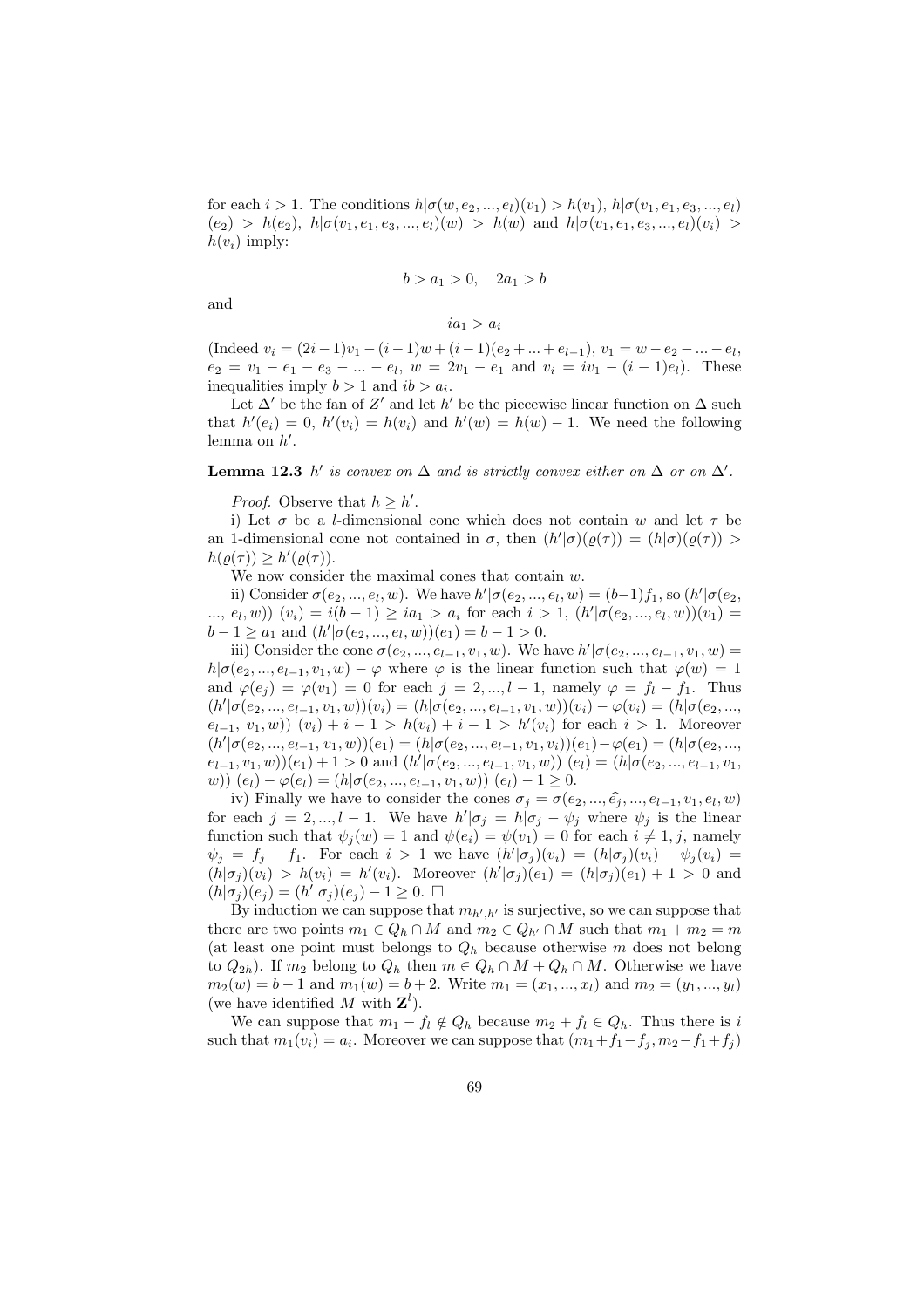for each  $i > 1$ . The conditions  $h | \sigma(w, e_2, ..., e_l)(v_1) > h(v_1), h | \sigma(v_1, e_1, e_3, ..., e_l)$  $(e_2) > h(e_2), h | \sigma(v_1, e_1, e_3, ..., e_l)(w) > h(w)$  and  $h | \sigma(v_1, e_1, e_3, ..., e_l)(v_i)$  $h(v_i)$  imply:

$$
b > a_1 > 0, \quad 2a_1 > b
$$

and

$$
ia_1>a_i
$$

(Indeed  $v_i = (2i - 1)v_1 - (i - 1)w + (i - 1)(e_2 + ... + e_{l-1}), v_1 = w - e_2 - ... - e_l,$  $e_2 = v_1 - e_1 - e_3 - \dots - e_l$ ,  $w = 2v_1 - e_1$  and  $v_i = iv_1 - (i - 1)e_l$ . These inequalities imply  $b > 1$  and  $ib > a_i$ .

Let  $\Delta'$  be the fan of Z' and let h' be the piecewise linear function on  $\Delta$  such that  $h'(e_i) = 0$ ,  $h'(v_i) = h(v_i)$  and  $h'(w) = h(w) - 1$ . We need the following lemma on  $h'$ .

#### **Lemma 12.3** h' is convex on  $\Delta$  and is strictly convex either on  $\Delta$  or on  $\Delta'$ .

*Proof.* Observe that  $h \geq h'$ .

i) Let  $\sigma$  be a *l*-dimensional cone which does not contain w and let  $\tau$  be an 1-dimensional cone not contained in  $\sigma$ , then  $(h'|\sigma)(\varrho(\tau)) = (h|\sigma)(\varrho(\tau)) >$  $h(\varrho(\tau)) \geq h'(\varrho(\tau)).$ 

We now consider the maximal cones that contain w.

ii) Consider  $\sigma(e_2, ..., e_l, w)$ . We have  $h' | \sigma(e_2, ..., e_l, w) = (b-1)f_1$ , so  $(h' | \sigma(e_2, ..., e_l, w))$ ...,  $e_l, w$ ))  $(v_i) = i(b-1) \ge ia_1 > a_i$  for each  $i > 1$ ,  $(h'|\sigma(e_2, ..., e_l, w))(v_1) =$  $b-1 \ge a_1$  and  $(h'|\sigma(e_2, ..., e_l, w))(e_1) = b-1 > 0$ .

iii) Consider the cone  $\sigma(e_2, ..., e_{l-1}, v_1, w)$ . We have  $h' | \sigma(e_2, ..., e_{l-1}, v_1, w) =$  $h|\sigma(e_2, ..., e_{l-1}, v_1, w) - \varphi$  where  $\varphi$  is the linear function such that  $\varphi(w) = 1$ and  $\varphi(e_j) = \varphi(v_1) = 0$  for each  $j = 2, ..., l-1$ , namely  $\varphi = f_l - f_1$ . Thus  $(h'|\sigma(e_2,...,e_{l-1},v_1,w))(v_i) = (h|\sigma(e_2,...,e_{l-1},v_1,w))(v_i) - \varphi(v_i) = (h|\sigma(e_2,...,e_{l-1},v_1,w))(v_i)$  $(e_{l-1}, v_1, w)$   $(v_i) + i - 1 > h(v_i) + i - 1 > h'(v_i)$  for each  $i > 1$ . Moreover  $(h'|\sigma(e_2, ..., e_{l-1}, v_1, w))(e_1) = (h|\sigma(e_2, ..., e_{l-1}, v_1, v_i))(e_1) - \varphi(e_1) = (h|\sigma(e_2, ..., e_{l-1}, v_l, w))(e_1)$  $(e_{l-1}, v_1, w)(e_1) + 1 > 0$  and  $(h'|\sigma(e_2, ..., e_{l-1}, v_1, w))$   $(e_l) = (h|\sigma(e_2, ..., e_{l-1}, v_1, w))$ w))  $(e_l) - \varphi(e_l) = (h | \sigma(e_2, ..., e_{l-1}, v_1, w))$   $(e_l) - 1 \geq 0$ .

iv) Finally we have to consider the cones  $\sigma_j = \sigma(e_2, ..., \hat{e_j}, ..., e_{l-1}, v_1, e_l, w)$ for each  $j = 2, ..., l - 1$ . We have  $h'|\sigma_j = h|\sigma_j - \psi_j$  where  $\psi_j$  is the linear function such that  $\psi_j(w) = 1$  and  $\psi(e_i) = \psi(v_1) = 0$  for each  $i \neq 1, j$ , namely  $\psi_j = f_j - f_1$ . For each  $i > 1$  we have  $(h'|\sigma_j)(v_i) = (h|\sigma_j)(v_i) - \psi_j(v_i) =$  $(h|\sigma_j)(v_i) > h(v_i) = h'(v_i)$ . Moreover  $(h'|\sigma_j)(e_1) = (h|\sigma_j)(e_1) + 1 > 0$  and  $(h|\sigma_j)(e_j) = (h'|\sigma_j)(e_j) - 1 \geq 0.$ 

By induction we can suppose that  $m_{h',h'}$  is surjective, so we can suppose that there are two points  $m_1 \in Q_h \cap M$  and  $m_2 \in Q_{h'} \cap M$  such that  $m_1 + m_2 = m$ (at least one point must belongs to  $Q_h$  because otherwise m does not belong to  $Q_{2h}$ ). If  $m_2$  belong to  $Q_h$  then  $m \in Q_h \cap M + Q_h \cap M$ . Otherwise we have  $m_2(w) = b - 1$  and  $m_1(w) = b + 2$ . Write  $m_1 = (x_1, ..., x_l)$  and  $m_2 = (y_1, ..., y_l)$ (we have identified M with  $\mathbf{Z}^l$ ).

We can suppose that  $m_1 - f_l \notin Q_h$  because  $m_2 + f_l \in Q_h$ . Thus there is i such that  $m_1(v_i) = a_i$ . Moreover we can suppose that  $(m_1+f_1-f_j, m_2-f_1+f_j)$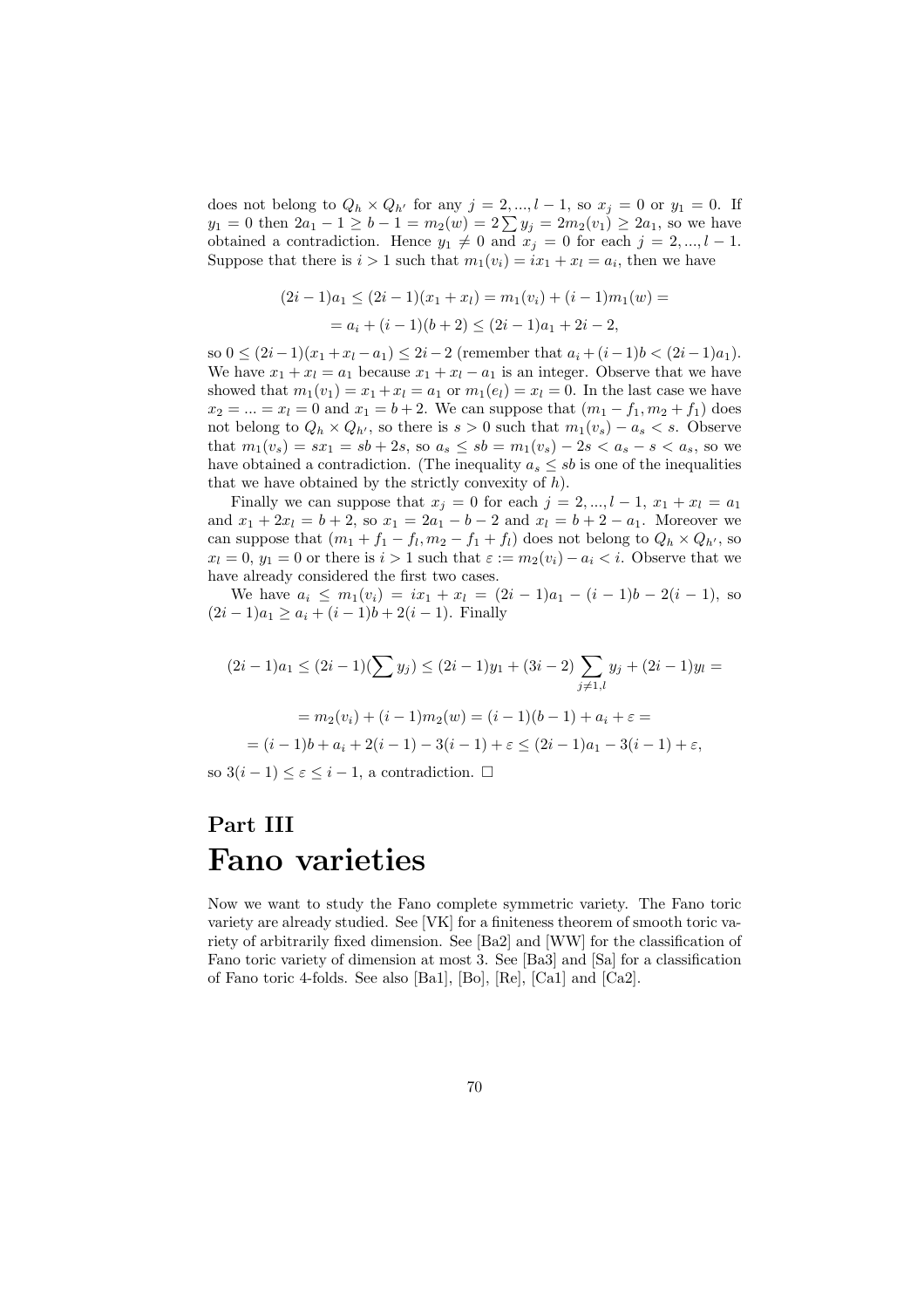does not belong to  $Q_h \times Q_{h'}$  for any  $j = 2, ..., l - 1$ , so  $x_j = 0$  or  $y_1 = 0$ . If  $y_1 = 0$  then  $2a_1 - 1 \ge b - 1 = m_2(w) = 2\sum y_j = 2m_2(v_1) \ge 2a_1$ , so we have obtained a contradiction. Hence  $y_1 \neq 0$  and  $x_j = 0$  for each  $j = 2, ..., l - 1$ . Suppose that there is  $i > 1$  such that  $m_1(v_i) = ix_1 + x_i = a_i$ , then we have

$$
(2i - 1)a_1 \le (2i - 1)(x_1 + x_l) = m_1(v_i) + (i - 1)m_1(w) =
$$
  
=  $a_i + (i - 1)(b + 2) \le (2i - 1)a_1 + 2i - 2$ ,

so  $0 \leq (2i-1)(x_1+x_l-a_1) \leq 2i-2$  (remember that  $a_i + (i-1)b < (2i-1)a_1$ ). We have  $x_1 + x_1 = a_1$  because  $x_1 + x_1 - a_1$  is an integer. Observe that we have showed that  $m_1(v_1) = x_1 + x_l = a_1$  or  $m_1(e_l) = x_l = 0$ . In the last case we have  $x_2 = ... = x_l = 0$  and  $x_1 = b + 2$ . We can suppose that  $(m_1 - f_1, m_2 + f_1)$  does not belong to  $Q_h \times Q_{h'}$ , so there is  $s > 0$  such that  $m_1(v_s) - a_s < s$ . Observe that  $m_1(v_s) = sx_1 = sb + 2s$ , so  $a_s \le sb = m_1(v_s) - 2s < a_s - s < a_s$ , so we have obtained a contradiction. (The inequality  $a_s \leq sb$  is one of the inequalities that we have obtained by the strictly convexity of  $h$ ).

Finally we can suppose that  $x_j = 0$  for each  $j = 2, ..., l - 1, x_1 + x_l = a_1$ and  $x_1 + 2x_l = b + 2$ , so  $x_1 = 2a_1 - b - 2$  and  $x_l = b + 2 - a_1$ . Moreover we can suppose that  $(m_1 + f_1 - f_l, m_2 - f_1 + f_l)$  does not belong to  $Q_h \times Q_{h'}$ , so  $x_l = 0$ ,  $y_1 = 0$  or there is  $i > 1$  such that  $\varepsilon := m_2(v_i) - a_i < i$ . Observe that we have already considered the first two cases.

We have  $a_i \leq m_1(v_i) = ix_1 + x_l = (2i - 1)a_1 - (i - 1)b - 2(i - 1)$ , so  $(2i-1)a_1 \ge a_i + (i-1)b + 2(i-1)$ . Finally

$$
(2i - 1)a_1 \le (2i - 1)(\sum y_j) \le (2i - 1)y_1 + (3i - 2)\sum_{j \neq 1,l} y_j + (2i - 1)y_l =
$$
  
=  $m_2(v_i) + (i - 1)m_2(w) = (i - 1)(b - 1) + a_i + \varepsilon =$   
=  $(i - 1)b + a_i + 2(i - 1) - 3(i - 1) + \varepsilon \le (2i - 1)a_1 - 3(i - 1) + \varepsilon,$ 

so  $3(i-1) \leq \varepsilon \leq i-1$ , a contradiction.  $\Box$ 

# Part III Fano varieties

Now we want to study the Fano complete symmetric variety. The Fano toric variety are already studied. See [VK] for a finiteness theorem of smooth toric variety of arbitrarily fixed dimension. See [Ba2] and [WW] for the classification of Fano toric variety of dimension at most 3. See [Ba3] and [Sa] for a classification of Fano toric 4-folds. See also [Ba1], [Bo], [Re], [Ca1] and [Ca2].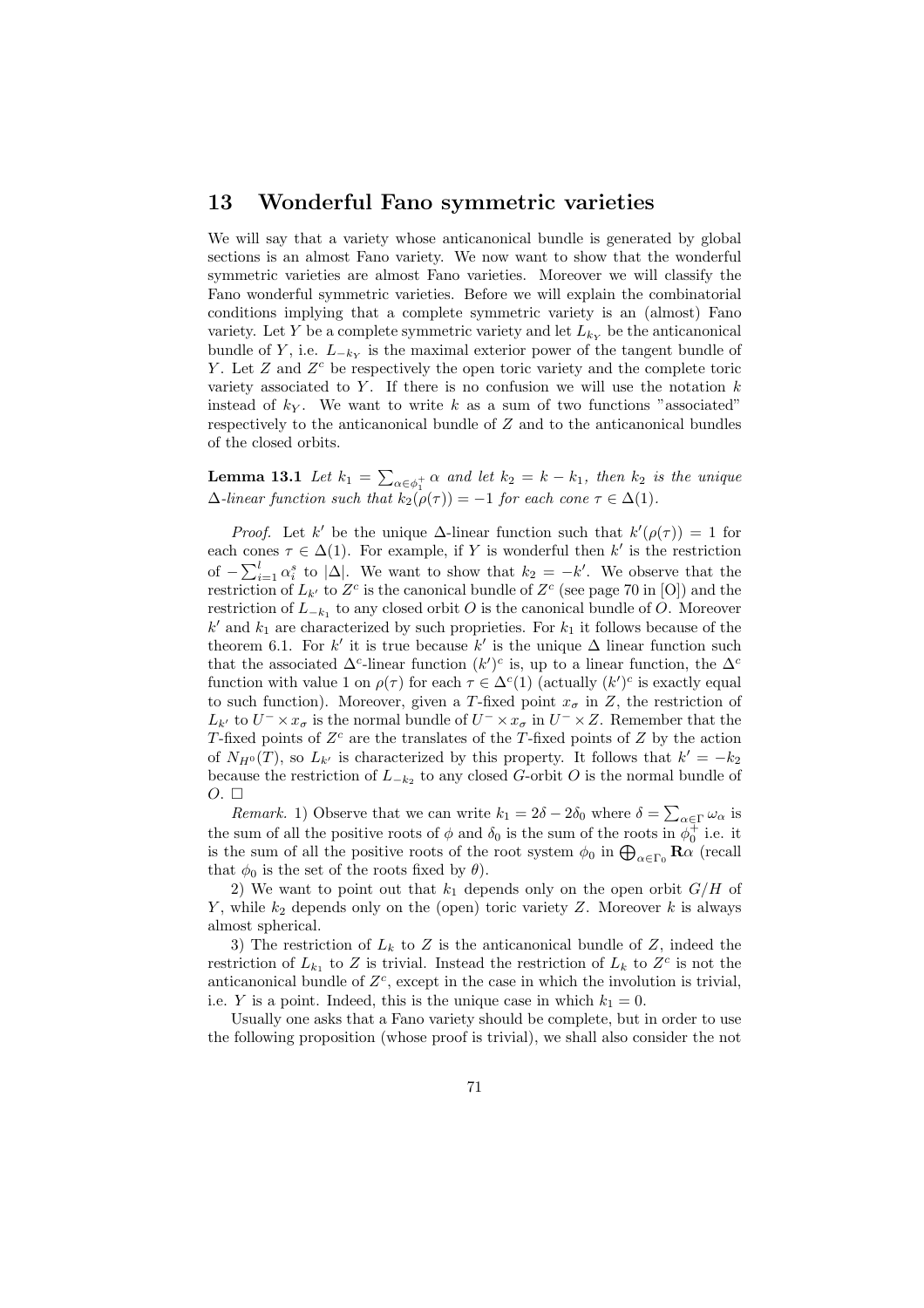#### 13 Wonderful Fano symmetric varieties

We will say that a variety whose anticanonical bundle is generated by global sections is an almost Fano variety. We now want to show that the wonderful symmetric varieties are almost Fano varieties. Moreover we will classify the Fano wonderful symmetric varieties. Before we will explain the combinatorial conditions implying that a complete symmetric variety is an (almost) Fano variety. Let Y be a complete symmetric variety and let  $L_{ky}$  be the anticanonical bundle of Y, i.e.  $L_{-k_Y}$  is the maximal exterior power of the tangent bundle of Y. Let  $Z$  and  $Z<sup>c</sup>$  be respectively the open toric variety and the complete toric variety associated to Y. If there is no confusion we will use the notation  $k$ instead of  $k_Y$ . We want to write k as a sum of two functions "associated" respectively to the anticanonical bundle of Z and to the anticanonical bundles of the closed orbits.

Lemma 13.1 Let  $k_1 = \sum$  $\alpha \in \phi_1^+$   $\alpha$  and let  $k_2 = k - k_1$ , then  $k_2$  is the unique  $\Delta$ -linear function such that  $k_2(\rho(\tau)) = -1$  for each cone  $\tau \in \Delta(1)$ .

*Proof.* Let k' be the unique  $\Delta$ -linear function such that  $k'(\rho(\tau)) = 1$  for each cones  $\tau \in \Delta(1)$ . For example, if Y is wonderful then k' is the restriction of  $-\sum_{i=1}^{l} \alpha_i^s$  to  $|\Delta|$ . We want to show that  $k_2 = -k'$ . We observe that the restriction of  $L_{k'}$  to  $Z^c$  is the canonical bundle of  $Z^c$  (see page 70 in [O]) and the restriction of  $L_{-k_1}$  to any closed orbit O is the canonical bundle of O. Moreover  $k'$  and  $k_1$  are characterized by such proprieties. For  $k_1$  it follows because of the theorem 6.1. For k' it is true because k' is the unique  $\Delta$  linear function such that the associated  $\Delta^c$ -linear function  $(k')^c$  is, up to a linear function, the  $\Delta^c$ function with value 1 on  $\rho(\tau)$  for each  $\tau \in \Delta^c(1)$  (actually  $(k')^c$  is exactly equal to such function). Moreover, given a T-fixed point  $x_{\sigma}$  in Z, the restriction of  $L_{k'}$  to  $U^{-} \times x_{\sigma}$  is the normal bundle of  $U^{-} \times x_{\sigma}$  in  $U^{-} \times Z$ . Remember that the T-fixed points of  $Z<sup>c</sup>$  are the translates of the T-fixed points of Z by the action of  $N_{H^0}(T)$ , so  $L_{k'}$  is characterized by this property. It follows that  $k' = -k_2$ because the restriction of  $L_{-k_2}$  to any closed G-orbit O is the normal bundle of  $O. \Box$ 

*Remark.* 1) Observe that we can write  $k_1 = 2\delta - 2\delta_0$  where  $\delta = \sum_{\alpha \in \Gamma} \omega_{\alpha}$  is the sum of all the positive roots of  $\phi$  and  $\delta_0$  is the sum of the roots in  $\phi_0^{\ddag}$  i.e. it the sum of all the positive roots of  $\varphi$  and  $o_0$  is the sum of the roots in  $\varphi_0$  i.e. it is the sum of all the positive roots of the root system  $\phi_0$  in  $\bigoplus_{\alpha \in \Gamma_0} \mathbf{R}\alpha$  (recall that  $\phi_0$  is the set of the roots fixed by  $\theta$ ).

2) We want to point out that  $k_1$  depends only on the open orbit  $G/H$  of Y, while  $k_2$  depends only on the (open) toric variety Z. Moreover k is always almost spherical.

3) The restriction of  $L_k$  to Z is the anticanonical bundle of Z, indeed the restriction of  $L_{k_1}$  to Z is trivial. Instead the restriction of  $L_k$  to  $Z<sup>c</sup>$  is not the anticanonical bundle of  $Z<sup>c</sup>$ , except in the case in which the involution is trivial, i.e. Y is a point. Indeed, this is the unique case in which  $k_1 = 0$ .

Usually one asks that a Fano variety should be complete, but in order to use the following proposition (whose proof is trivial), we shall also consider the not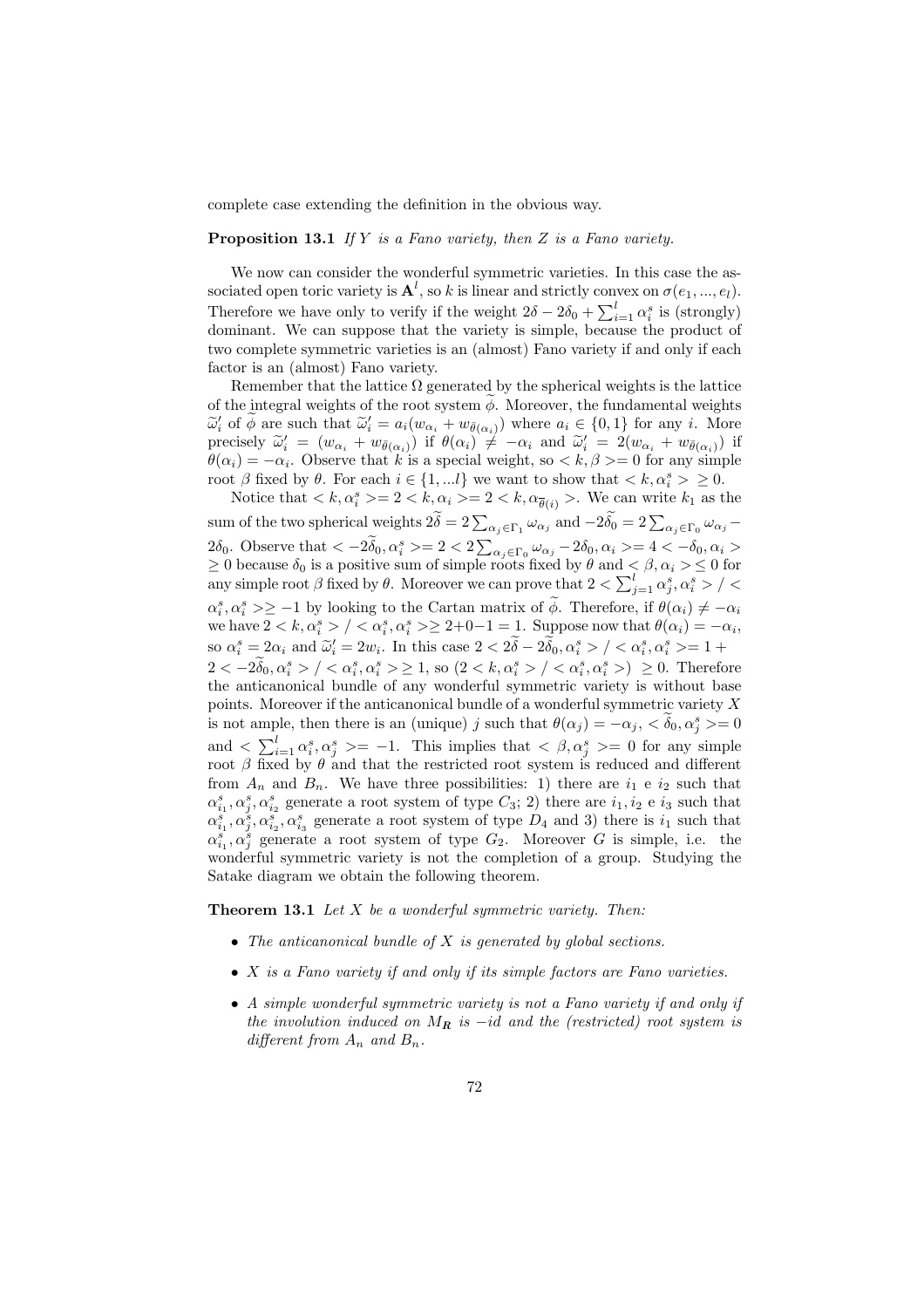complete case extending the definition in the obvious way.

**Proposition 13.1** If Y is a Fano variety, then Z is a Fano variety.

We now can consider the wonderful symmetric varieties. In this case the associated open toric variety is  $\mathbf{A}^l$ , so k is linear and strictly convex on  $\sigma(e_1, ..., e_l)$ . Sociated open toric variety is  $\mathbf{A}$ , so  $\kappa$  is linear and strictly convex on  $\sigma(e_1, ..., e_l)$ .<br>Therefore we have only to verify if the weight  $2\delta - 2\delta_0 + \sum_{i=1}^l \alpha_i^s$  is (strongly) dominant. We can suppose that the variety is simple, because the product of two complete symmetric varieties is an (almost) Fano variety if and only if each factor is an (almost) Fano variety.

Remember that the lattice  $\Omega$  generated by the spherical weights is the lattice of the integral weights of the root system  $\phi$ . Moreover, the fundamental weights  $\widetilde{\omega}'_i$  of  $\widetilde{\phi}$  are such that  $\widetilde{\omega}'_i = a_i(w_{\alpha_i} + w_{\overline{\theta}(\alpha_i)})$  where  $a_i \in \{0,1\}$  for any i. More precisely  $\tilde{\omega}'_i = (w_{\alpha_i} + w_{\bar{\theta}(\alpha_i)})$  if  $\theta(\alpha_i) \neq -\alpha_i$  and  $\tilde{\omega}'_i = 2(w_{\alpha_i} + w_{\bar{\theta}(\alpha_i)})$  if  $\theta(\alpha_i) = -\alpha_i$ . Observe that k is a special weight, so  $\langle k, \beta \rangle = 0$  for any simple root  $\beta$  fixed by  $\theta$ . For each  $i \in \{1,...l\}$  we want to show that  $\langle k, \alpha_i^s \rangle \geq 0$ .

Notice that  $\langle k, \alpha_i^s \rangle = 2 \langle k, \alpha_i \rangle = 2 \langle k, \alpha_{\overline{\theta}(i)} \rangle$ . We can write  $k_1$  as the sum of the two spherical weights  $2\tilde{\delta} = 2\sum_{\alpha_j \in \Gamma_1} \omega_{\alpha_j}$  and  $-2\tilde{\delta_0} = 2\sum_{\alpha_j \in \Gamma_0} \omega_{\alpha_j}$  $2\delta_0$ . Observe that  $\langle -2\tilde{\delta}_0, \alpha_i^s \rangle = 2 < 2 \sum$  $\alpha_j \in \Gamma_0$   $\omega_{\alpha_j} - 2\delta_0$ ,  $\alpha_i \geq 4 < -\delta_0$ ,  $\alpha_i >$  $\geq 0$  because  $\delta_0$  is a positive sum of simple roots fixed by  $\theta$  and  $\lt \beta, \alpha_i > \leq 0$  for  $\geq$  0 because  $o_0$  is a positive sum of simple roots fixed by θ and  $\lt$   $\beta$ ,  $\alpha_i > \leq$  0 for any simple root  $\beta$  fixed by θ. Moreover we can prove that  $2 < \sum_{j=1}^{l} \alpha_j^s$ ,  $\alpha_i^s > / \leq$  $\alpha_i^s, \alpha_i^s \geq -1$  by looking to the Cartan matrix of  $\widetilde{\phi}$ . Therefore, if  $\theta(\alpha_i) \neq -\alpha_i$ we have  $2 < k, \alpha_i^s > / < \alpha_i^s, \alpha_i^s > \geq 2+0-1 = 1$ . Suppose now that  $\theta(\alpha_i) = -\alpha_i$ , so  $\alpha_i^s = 2\alpha_i$  and  $\tilde{\omega}_i' = 2w_i$ . In this case  $2 < 2\tilde{\delta} - 2\tilde{\delta}_0, \alpha_i^s > / < \alpha_i^s, \alpha_i^s > = 1 + \tilde{\delta}_0$  $2 < -2\widetilde{\delta}_0, \alpha_i^s > / < \alpha_i^s, \alpha_i^s > \ge 1$ , so  $(2 < k, \alpha_i^s > / < \alpha_i^s, \alpha_i^s >) \ge 0$ . Therefore the anticanonical bundle of any wonderful symmetric variety is without base points. Moreover if the anticanonical bundle of a wonderful symmetric variety  $X$ is not ample, then there is an (unique) j such that  $\theta(\alpha_j) = -\alpha_j, \, \langle \delta_0, \alpha_j^s \rangle = 0$ and  $\langle \sum_{i=1}^{l} \alpha_i^s, \alpha_j^s \rangle = -1$ . This implies that  $\langle \beta, \alpha_j^s \rangle = 0$  for any simple root  $\beta$  fixed by  $\theta$  and that the restricted root system is reduced and different from  $A_n$  and  $B_n$ . We have three possibilities: 1) there are  $i_1$  e  $i_2$  such that  $\alpha_{i_1}^s, \alpha_{i_2}^s$  generate a root system of type  $C_3$ ; 2) there are  $i_1, i_2$  e  $i_3$  such that  $\alpha_{i_1}^s, \alpha_{i_2}^s, \alpha_{i_3}^s$  generate a root system of type  $D_4$  and 3) there is  $i_1$  such that  $\alpha_{i_1}^s, \alpha_j^s$  generate a root system of type  $G_2$ . Moreover G is simple, i.e. the wonderful symmetric variety is not the completion of a group. Studying the Satake diagram we obtain the following theorem.

**Theorem 13.1** Let  $X$  be a wonderful symmetric variety. Then:

- The anticanonical bundle of  $X$  is generated by global sections.
- X is a Fano variety if and only if its simple factors are Fano varieties.
- A simple wonderful symmetric variety is not a Fano variety if and only if the involution induced on  $M_R$  is  $-id$  and the (restricted) root system is different from  $A_n$  and  $B_n$ .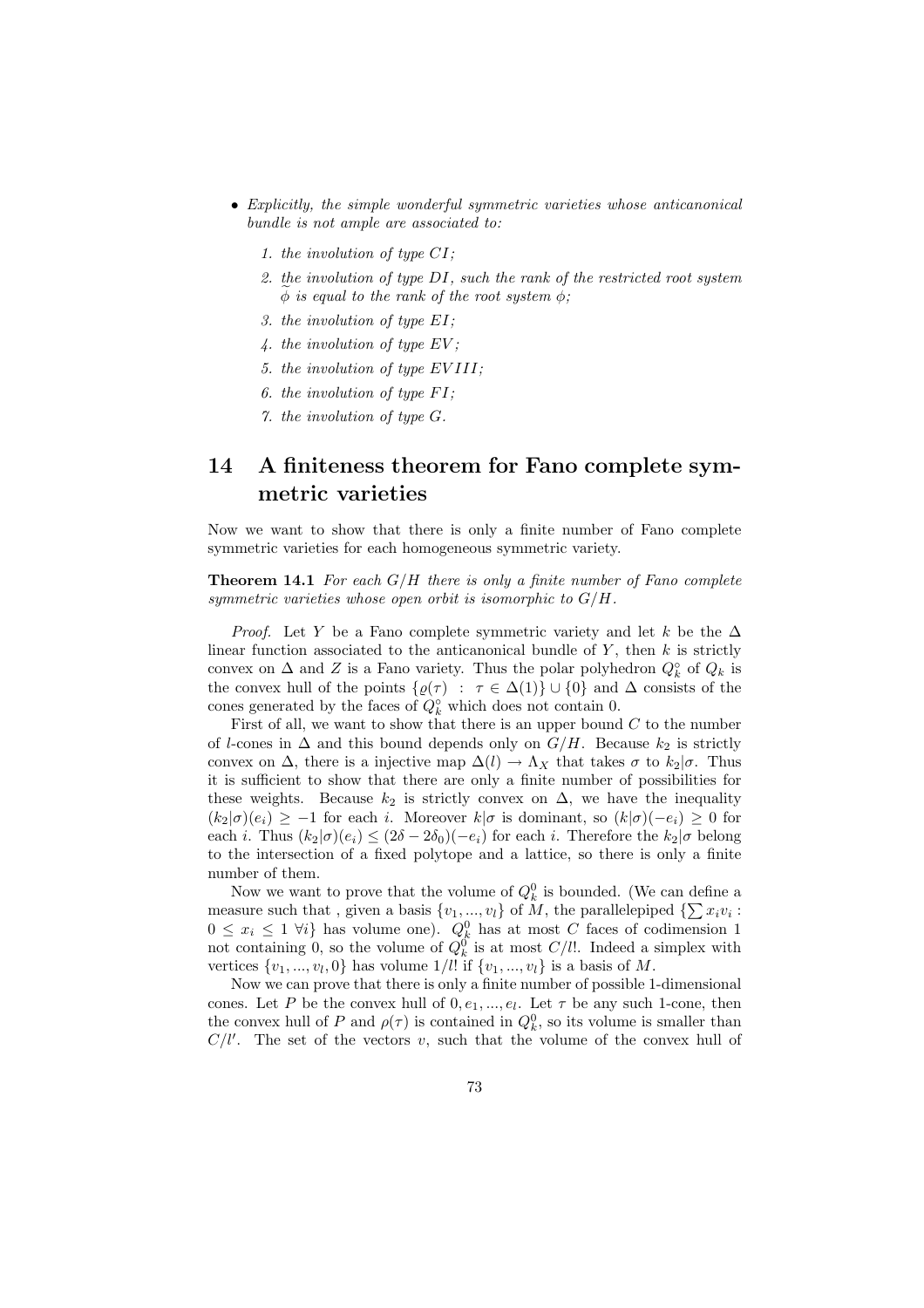- Explicitly, the simple wonderful symmetric varieties whose anticanonical bundle is not ample are associated to:
	- 1. the involution of type CI;
	- 2. the involution of type DI, such the rank of the restricted root system  $\phi$  is equal to the rank of the root system  $\phi$ ;
	- 3. the involution of type EI;
	- 4. the involution of type EV ;
	- 5. the involution of type EV III;
	- 6. the involution of type  $FI$ ;
	- 7. the involution of type G.

# 14 A finiteness theorem for Fano complete symmetric varieties

Now we want to show that there is only a finite number of Fano complete symmetric varieties for each homogeneous symmetric variety.

**Theorem 14.1** For each  $G/H$  there is only a finite number of Fano complete symmetric varieties whose open orbit is isomorphic to  $G/H$ .

*Proof.* Let Y be a Fano complete symmetric variety and let k be the  $\Delta$ linear function associated to the anticanonical bundle of  $Y$ , then  $k$  is strictly convex on  $\Delta$  and Z is a Fano variety. Thus the polar polyhedron  $Q_k^{\circ}$  of  $Q_k$  is the convex hull of the points  $\{\varrho(\tau) : \tau \in \Delta(1)\} \cup \{0\}$  and  $\Delta$  consists of the cones generated by the faces of  $Q_k^{\circ}$  which does not contain 0.

First of all, we want to show that there is an upper bound  $C$  to the number of l-cones in  $\Delta$  and this bound depends only on  $G/H$ . Because  $k_2$  is strictly convex on  $\Delta$ , there is a injective map  $\Delta(l) \rightarrow \Lambda_X$  that takes  $\sigma$  to  $k_2|\sigma$ . Thus it is sufficient to show that there are only a finite number of possibilities for these weights. Because  $k_2$  is strictly convex on  $\Delta$ , we have the inequality  $(k_2|\sigma)(e_i) \geq -1$  for each i. Moreover  $k|\sigma$  is dominant, so  $(k|\sigma)(-e_i) \geq 0$  for each i. Thus  $(k_2|\sigma)(e_i) \leq (2\delta - 2\delta_0)(-e_i)$  for each i. Therefore the  $k_2|\sigma$  belong to the intersection of a fixed polytope and a lattice, so there is only a finite number of them.

Now we want to prove that the volume of  $Q_k^0$  is bounded. (We can define a Now we want to prove that the volume of  $Q_k$  is bounded. (We can define a measure such that, given a basis  $\{v_1, ..., v_l\}$  of M, the parallelepiped  $\{\sum x_i v_i :$  $0 \leq x_i \leq 1 \ \forall i$  has volume one).  $Q_k^0$  has at most C faces of codimension 1 not containing 0, so the volume of  $Q_k^0$  is at most  $C/l!$ . Indeed a simplex with vertices  $\{v_1, \ldots, v_l, 0\}$  has volume  $1/l!$  if  $\{v_1, \ldots, v_l\}$  is a basis of M.

Now we can prove that there is only a finite number of possible 1-dimensional cones. Let P be the convex hull of  $0, e_1, ..., e_l$ . Let  $\tau$  be any such 1-cone, then the convex hull of P and  $\rho(\tau)$  is contained in  $Q_k^0$ , so its volume is smaller than  $C/l'$ . The set of the vectors v, such that the volume of the convex hull of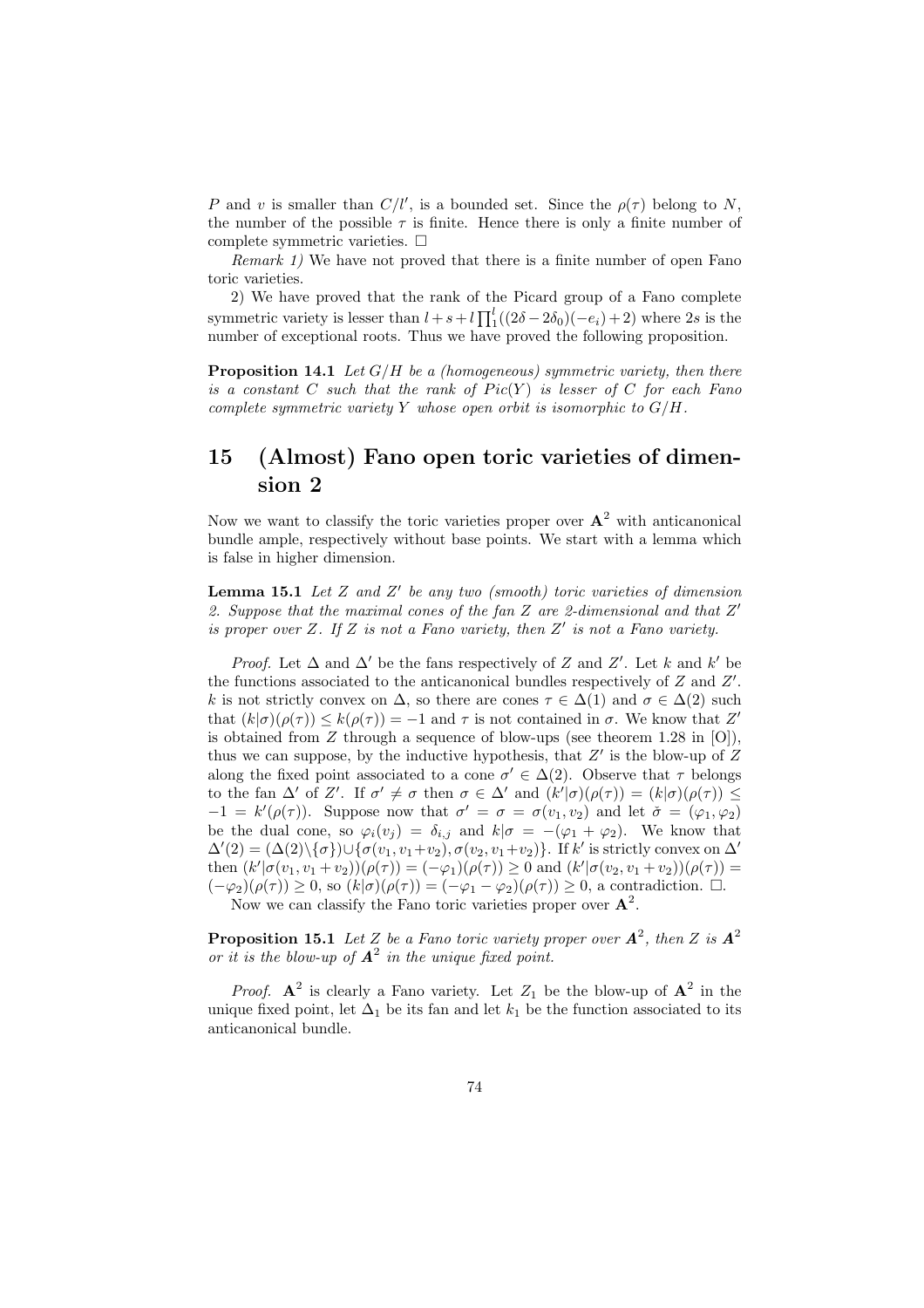P and v is smaller than  $C/l'$ , is a bounded set. Since the  $\rho(\tau)$  belong to N, the number of the possible  $\tau$  is finite. Hence there is only a finite number of complete symmetric varieties.  $\Box$ 

Remark 1) We have not proved that there is a finite number of open Fano toric varieties.

2) We have proved that the rank of the Picard group of a Fano complete symmetric variety is lesser than  $l + s + l \prod_{i=1}^{l}$  $\binom{l}{1} (2\delta - 2\delta_0)(-e_i) + 2$  where 2s is the number of exceptional roots. Thus we have proved the following proposition.

**Proposition 14.1** Let  $G/H$  be a (homogeneous) symmetric variety, then there is a constant  $C$  such that the rank of  $Pic(Y)$  is lesser of  $C$  for each Fano complete symmetric variety Y whose open orbit is isomorphic to  $G/H$ .

## 15 (Almost) Fano open toric varieties of dimension 2

Now we want to classify the toric varieties proper over  $A^2$  with anticanonical bundle ample, respectively without base points. We start with a lemma which is false in higher dimension.

**Lemma 15.1** Let  $Z$  and  $Z'$  be any two (smooth) toric varieties of dimension 2. Suppose that the maximal cones of the fan  $Z$  are 2-dimensional and that  $Z'$ is proper over  $Z$ . If  $Z$  is not a Fano variety, then  $Z'$  is not a Fano variety.

*Proof.* Let  $\Delta$  and  $\Delta'$  be the fans respectively of Z and Z'. Let k and k' be the functions associated to the anticanonical bundles respectively of  $Z$  and  $Z'$ . k is not strictly convex on  $\Delta$ , so there are cones  $\tau \in \Delta(1)$  and  $\sigma \in \Delta(2)$  such that  $(k|\sigma)(\rho(\tau)) \leq k(\rho(\tau)) = -1$  and  $\tau$  is not contained in  $\sigma$ . We know that Z' is obtained from  $Z$  through a sequence of blow-ups (see theorem 1.28 in [O]), thus we can suppose, by the inductive hypothesis, that  $Z'$  is the blow-up of  $Z$ along the fixed point associated to a cone  $\sigma' \in \Delta(2)$ . Observe that  $\tau$  belongs to the fan  $\Delta'$  of Z'. If  $\sigma' \neq \sigma$  then  $\sigma \in \Delta'$  and  $(k'|\sigma)(\rho(\tau)) = (k|\sigma)(\rho(\tau)) \leq$  $-1 = k'(\rho(\tau))$ . Suppose now that  $\sigma' = \sigma = \sigma(v_1, v_2)$  and let  $\check{\sigma} = (\varphi_1, \varphi_2)$ be the dual cone, so  $\varphi_i(v_j) = \delta_{i,j}$  and  $k|\sigma = -(\varphi_1 + \varphi_2)$ . We know that  $\Delta'(2) = (\Delta(2)\setminus{\{\sigma\}}) \cup {\{\sigma(v_1, v_1+v_2), \sigma(v_2, v_1+v_2)\}}$ . If k' is strictly convex on  $\Delta'$ then  $(k'|\sigma(v_1, v_1 + v_2))(\rho(\tau)) = (-\varphi_1)(\rho(\tau)) \ge 0$  and  $(k'|\sigma(v_2, v_1 + v_2))(\rho(\tau)) =$  $(-\varphi_2)(\rho(\tau)) \geq 0$ , so  $(k|\sigma)(\rho(\tau)) = (-\varphi_1 - \varphi_2)(\rho(\tau)) \geq 0$ , a contradiction.  $\Box$ .

Now we can classify the Fano toric varieties proper over  $A^2$ .

**Proposition 15.1** Let Z be a Fano toric variety proper over  $A^2$ , then Z is  $A^2$ or it is the blow-up of  $A^2$  in the unique fixed point.

*Proof.*  $A^2$  is clearly a Fano variety. Let  $Z_1$  be the blow-up of  $A^2$  in the unique fixed point, let  $\Delta_1$  be its fan and let  $k_1$  be the function associated to its anticanonical bundle.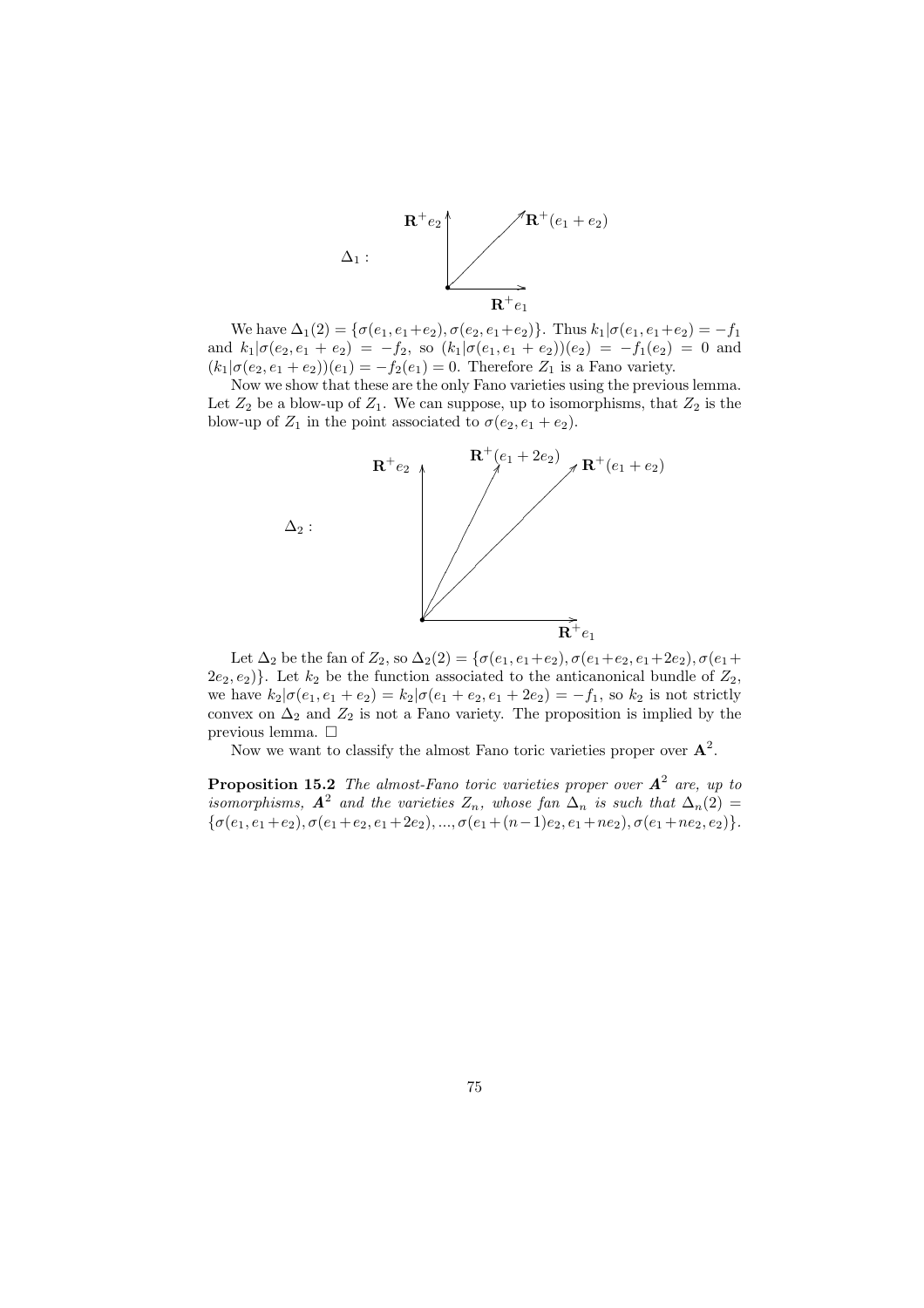

We have  $\Delta_1(2) = {\sigma(e_1, e_1+e_2), \sigma(e_2, e_1+e_2)}$ . Thus  $k_1 | \sigma(e_1, e_1+e_2) = -f_1$ and  $k_1|\sigma(e_2, e_1 + e_2) = -f_2$ , so  $(k_1|\sigma(e_1, e_1 + e_2))$  $(e_2) = -f_1(e_2) = 0$  and  $(k_1|\sigma(e_2, e_1 + e_2))(e_1) = -f_2(e_1) = 0$ . Therefore  $Z_1$  is a Fano variety.

Now we show that these are the only Fano varieties using the previous lemma. Let  $Z_2$  be a blow-up of  $Z_1$ . We can suppose, up to isomorphisms, that  $Z_2$  is the blow-up of  $Z_1$  in the point associated to  $\sigma(e_2, e_1 + e_2)$ .



Let  $\Delta_2$  be the fan of  $Z_2$ , so  $\Delta_2(2) = \{ \sigma(e_1, e_1+e_2), \sigma(e_1+e_2, e_1+2e_2), \sigma(e_1+$  $(2e_2, e_2)$ . Let  $k_2$  be the function associated to the anticanonical bundle of  $Z_2$ , we have  $k_2|\sigma(e_1, e_1 + e_2) = k_2|\sigma(e_1 + e_2, e_1 + 2e_2) = -f_1$ , so  $k_2$  is not strictly convex on  $\Delta_2$  and  $Z_2$  is not a Fano variety. The proposition is implied by the previous lemma.  $\Box$ 

Now we want to classify the almost Fano toric varieties proper over  $A^2$ .

**Proposition 15.2** The almost-Fano toric varieties proper over  $A^2$  are, up to isomorphisms,  $A^2$  and the varieties  $Z_n$ , whose fan  $\Delta_n$  is such that  $\Delta_n(2)$  =  ${\sigma(e_1, e_1+e_2), \sigma(e_1+e_2, e_1+2e_2), ..., \sigma(e_1+(n-1)e_2, e_1+ne_2), \sigma(e_1+ne_2, e_2)}.$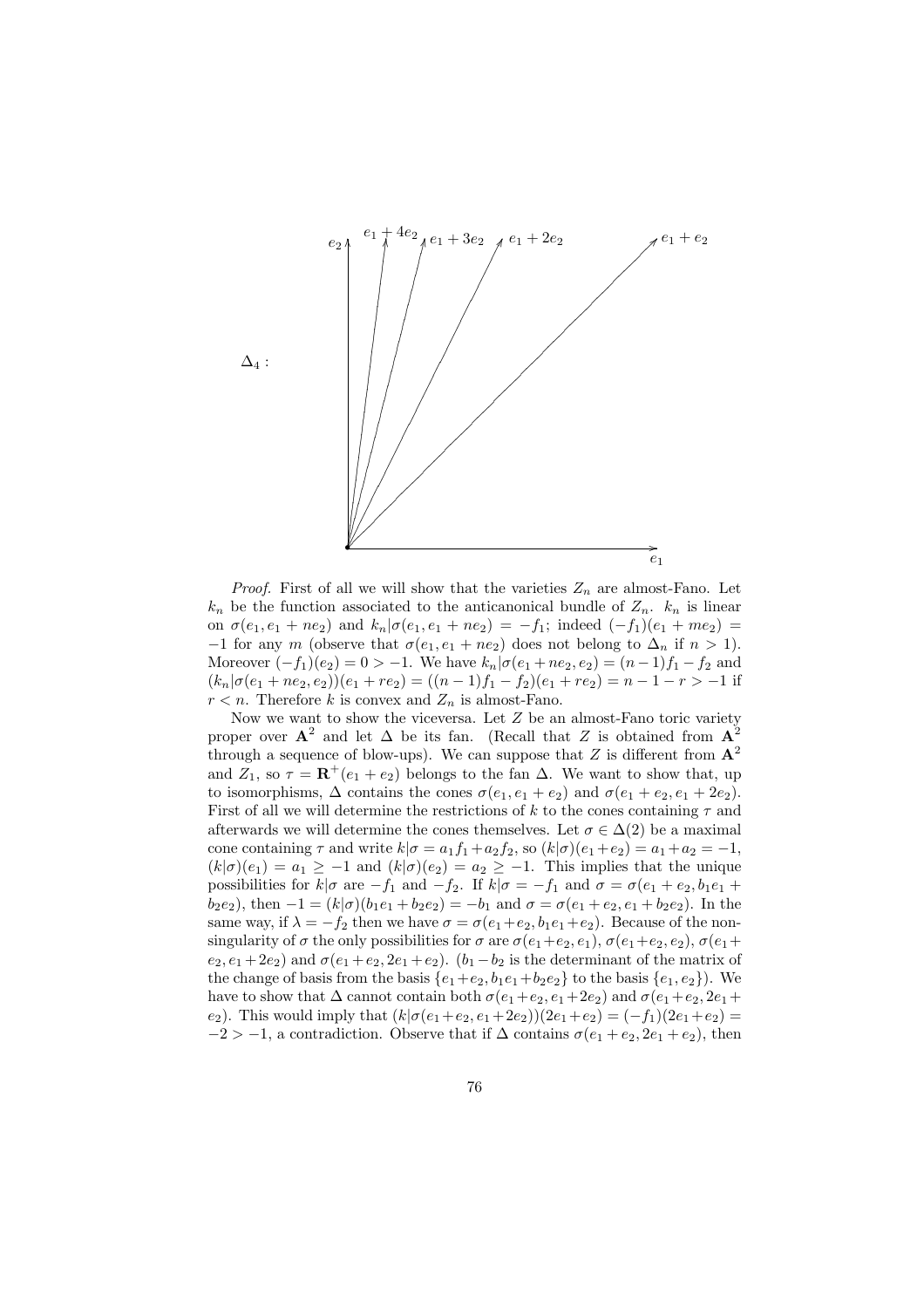

*Proof.* First of all we will show that the varieties  $Z_n$  are almost-Fano. Let  $k_n$  be the function associated to the anticanonical bundle of  $Z_n$ .  $k_n$  is linear on  $\sigma(e_1, e_1 + ne_2)$  and  $k_n | \sigma(e_1, e_1 + ne_2) = -f_1$ ; indeed  $(-f_1)(e_1 + me_2)$ −1 for any m (observe that  $\sigma(e_1, e_1 + ne_2)$  does not belong to  $\Delta_n$  if  $n > 1$ ). Moreover  $(-f_1)(e_2) = 0 > -1$ . We have  $k_n | \sigma(e_1 + ne_2, e_2) = (n-1)f_1 - f_2$  and  $(k_n|\sigma(e_1+ne_2,e_2))(e_1+re_2) = ((n-1)f_1-f_2)(e_1+re_2) = n-1-r > -1$  if  $r < n$ . Therefore k is convex and  $Z_n$  is almost-Fano.

Now we want to show the viceversa. Let  $Z$  be an almost-Fano toric variety proper over  $A^2$  and let  $\Delta$  be its fan. (Recall that Z is obtained from  $A^2$ through a sequence of blow-ups). We can suppose that Z is different from  $A^2$ and  $Z_1$ , so  $\tau = \mathbf{R}^+(e_1 + e_2)$  belongs to the fan  $\Delta$ . We want to show that, up to isomorphisms,  $\Delta$  contains the cones  $\sigma(e_1, e_1 + e_2)$  and  $\sigma(e_1 + e_2, e_1 + 2e_2)$ . First of all we will determine the restrictions of k to the cones containing  $\tau$  and afterwards we will determine the cones themselves. Let  $\sigma \in \Delta(2)$  be a maximal cone containing  $\tau$  and write  $k|\sigma = a_1f_1+a_2f_2$ , so  $(k|\sigma)(e_1+e_2) = a_1+a_2 = -1$ ,  $(k|\sigma)(e_1) = a_1 \geq -1$  and  $(k|\sigma)(e_2) = a_2 \geq -1$ . This implies that the unique possibilities for  $k|\sigma$  are  $-f_1$  and  $-f_2$ . If  $k|\sigma = -f_1$  and  $\sigma = \sigma(e_1 + e_2, b_1e_1 +$  $b_2e_2$ ), then  $-1 = (k|\sigma)(b_1e_1 + b_2e_2) = -b_1$  and  $\sigma = \sigma(e_1 + e_2, e_1 + b_2e_2)$ . In the same way, if  $\lambda = -f_2$  then we have  $\sigma = \sigma(e_1 + e_2, b_1e_1 + e_2)$ . Because of the nonsingularity of  $\sigma$  the only possibilities for  $\sigma$  are  $\sigma(e_1+e_2, e_1), \sigma(e_1+e_2, e_2), \sigma(e_1+e_2, e_1)$  $e_2, e_1 + 2e_2$ ) and  $\sigma(e_1 + e_2, 2e_1 + e_2)$ .  $(b_1 - b_2)$  is the determinant of the matrix of the change of basis from the basis  $\{e_1+e_2, b_1e_1+b_2e_2\}$  to the basis  $\{e_1, e_2\}$ ). We have to show that  $\Delta$  cannot contain both  $\sigma(e_1+e_2, e_1+2e_2)$  and  $\sigma(e_1+e_2, 2e_1+$ e<sub>2</sub>). This would imply that  $(k|\sigma(e_1+e_2, e_1+2e_2))(2e_1+e_2) = (-f_1)(2e_1+e_2)$  $-2 > -1$ , a contradiction. Observe that if  $\Delta$  contains  $\sigma(e_1 + e_2, 2e_1 + e_2)$ , then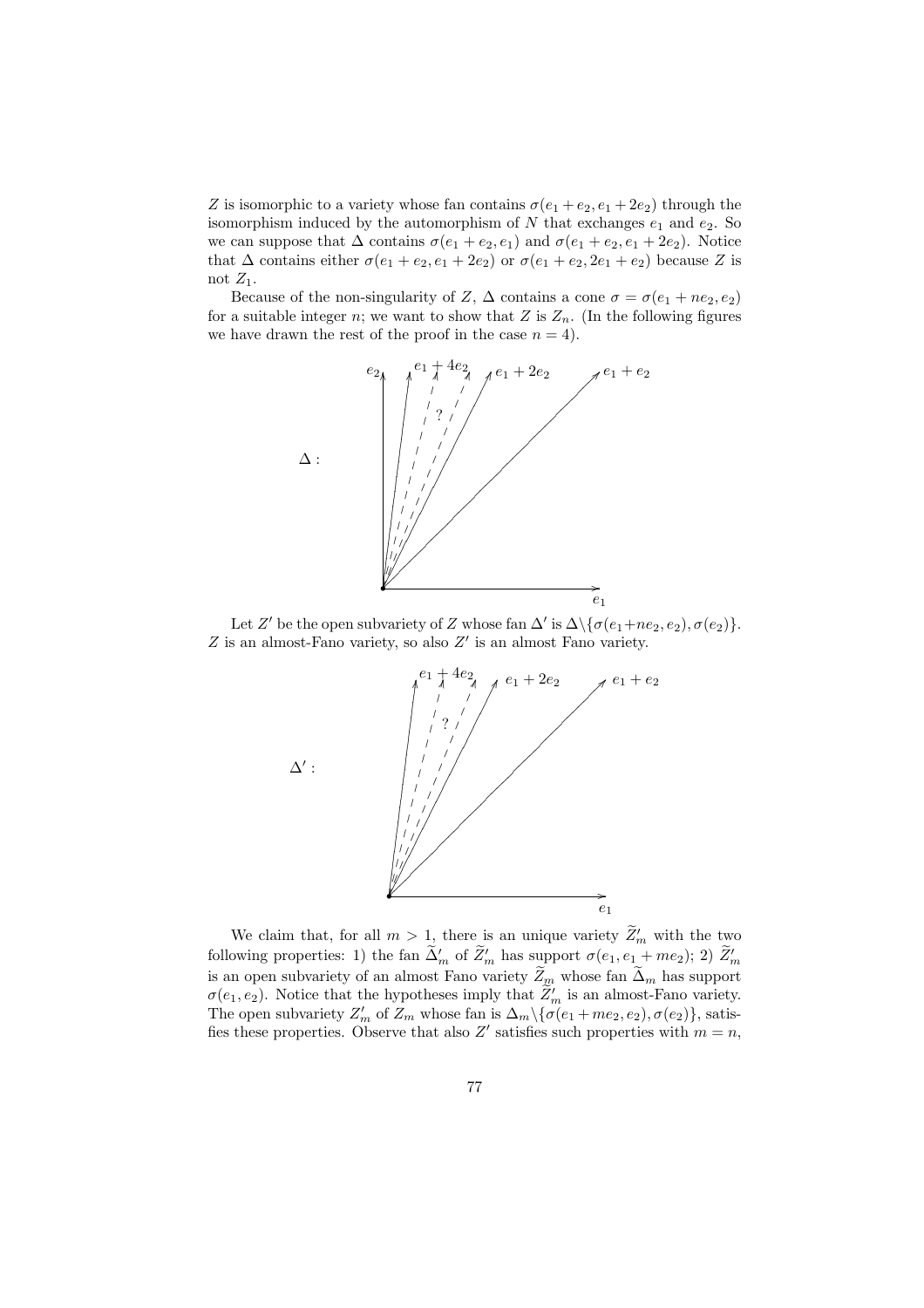Z is isomorphic to a variety whose fan contains  $\sigma(e_1 + e_2, e_1 + 2e_2)$  through the isomorphism induced by the automorphism of  $N$  that exchanges  $e_1$  and  $e_2$ . So we can suppose that  $\Delta$  contains  $\sigma(e_1 + e_2, e_1)$  and  $\sigma(e_1 + e_2, e_1 + 2e_2)$ . Notice that  $\Delta$  contains either  $\sigma(e_1 + e_2, e_1 + 2e_2)$  or  $\sigma(e_1 + e_2, 2e_1 + e_2)$  because Z is not  $Z_1$ .

Because of the non-singularity of Z,  $\Delta$  contains a cone  $\sigma = \sigma(e_1 + ne_2, e_2)$ for a suitable integer n; we want to show that Z is  $Z_n$ . (In the following figures we have drawn the rest of the proof in the case  $n = 4$ .



Let Z' be the open subvariety of Z whose fan  $\Delta'$  is  $\Delta \setminus {\{\sigma(e_1+ne_2, e_2), \sigma(e_2)\}}$ .  $Z$  is an almost-Fano variety, so also  $Z'$  is an almost Fano variety.



We claim that, for all  $m > 1$ , there is an unique variety  $\widetilde{Z}'_m$  with the two following properties: 1) the fan  $\tilde{\Delta}'_m$  of  $\tilde{Z}'_m$  has support  $\sigma(e_1, e_1 + me_2)$ ; 2)  $\tilde{Z}'_m$ is an open subvariety of an almost Fano variety  $\widetilde{Z}_m$  whose fan  $\widetilde{\Delta}_m$  has support  $\sigma(e_1, e_2)$ . Notice that the hypotheses imply that  $\widetilde{Z}'_m$  is an almost-Fano variety. The open subvariety  $Z'_m$  of  $Z_m$  whose fan is  $\Delta_m\setminus{\{\sigma(e_1+me_2,e_2),\sigma(e_2)\}}$ , satisfies these properties. Observe that also Z' satisfies such properties with  $m = n$ ,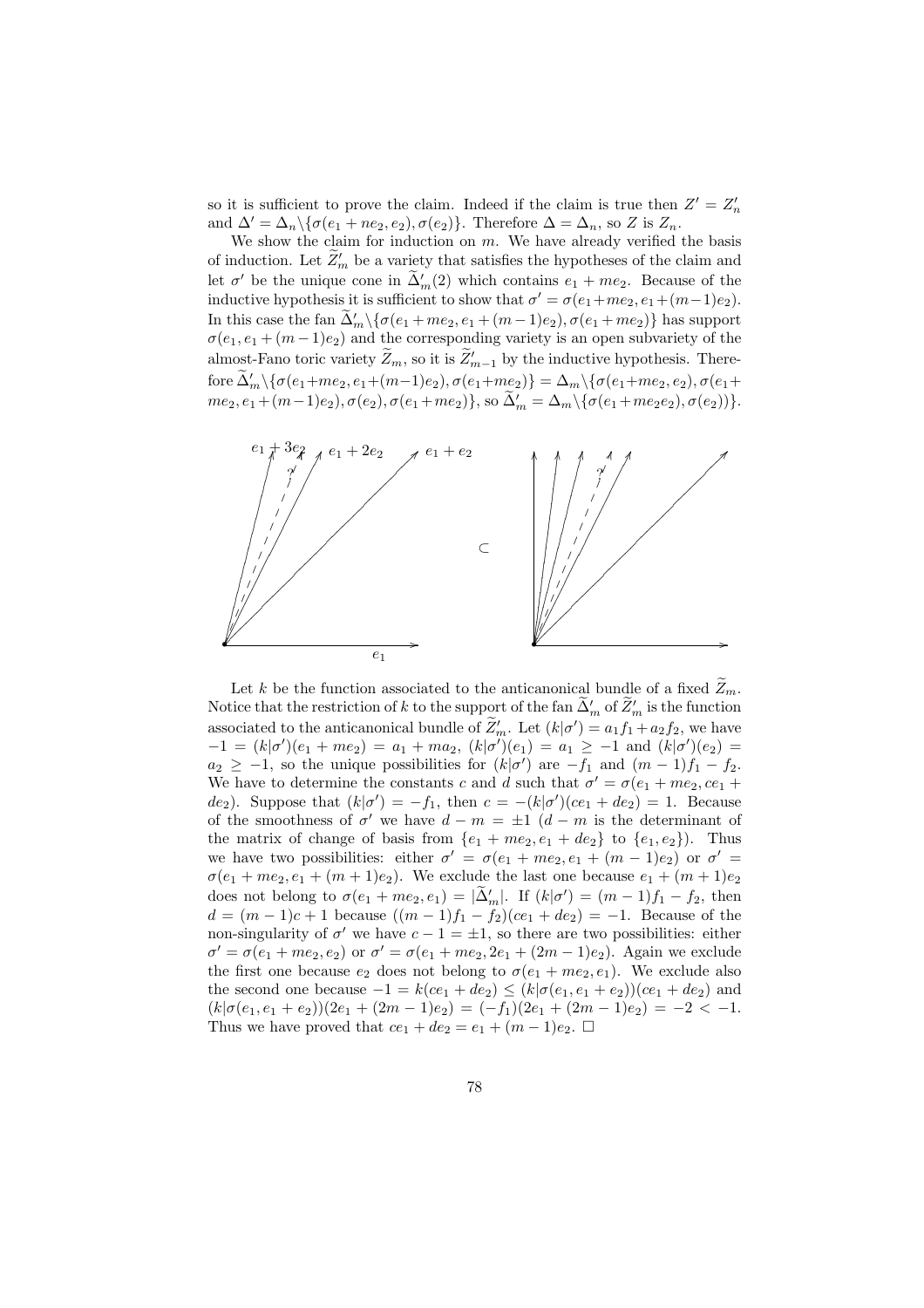so it is sufficient to prove the claim. Indeed if the claim is true then  $Z' = Z'_n$ and  $\Delta' = \Delta_n \setminus {\{\sigma(e_1 + ne_2, e_2), \sigma(e_2)\}}$ . Therefore  $\Delta = \Delta_n$ , so Z is  $Z_n$ .

We show the claim for induction on  $m$ . We have already verified the basis of induction. Let  $\widetilde{Z}'_m$  be a variety that satisfies the hypotheses of the claim and let  $\sigma'$  be the unique cone in  $\tilde{\Delta}'_m(2)$  which contains  $e_1 + me_2$ . Because of the inductive hypothesis it is sufficient to show that  $\sigma' = \sigma(e_1 + me_2, e_1 + (m-1)e_2)$ . In this case the fan  $\widetilde{\Delta}'_m \setminus {\{\sigma(e_1 + me_2, e_1 + (m-1)e_2), \sigma(e_1 + me_2)\}}$  has support  $\sigma(e_1, e_1 + (m-1)e_2)$  and the corresponding variety is an open subvariety of the almost-Fano toric variety  $\widetilde{Z}_m$ , so it is  $\widetilde{Z}_{m-1}'$  by the inductive hypothesis. Therefore  $\widetilde{\Delta}'_m \setminus {\{\sigma(e_1+me_2, e_1+(m-1)e_2), \sigma(e_1+me_2)\}} = \Delta_m \setminus {\{\sigma(e_1+me_2, e_2), \sigma(e_1+me_2, e_2)\}}$  $me_2, e_1 + (m-1)e_2), \sigma(e_2), \sigma(e_1+me_2)\},$  so  $\widetilde{\Delta}'_m = \Delta_m \setminus {\{\sigma(e_1+me_2e_2), \sigma(e_2)\}}.$ 



Let k be the function associated to the anticanonical bundle of a fixed  $\widetilde{Z}_m$ . Notice that the restriction of k to the support of the fan  $\tilde{\Delta}'_m$  of  $\tilde{Z}'_m$  is the function associated to the anticanonical bundle of  $\widetilde{Z}'_m$ . Let  $(k|\sigma') = a_1f_1 + a_2f_2$ , we have  $-1 = (k|\sigma')(e_1 + me_2) = a_1 + ma_2, (k|\sigma')(e_1) = a_1 \ge -1$  and  $(k|\sigma')(e_2) =$  $a_2 \geq -1$ , so the unique possibilities for  $(k|\sigma')$  are  $-f_1$  and  $(m-1)f_1 - f_2$ . We have to determine the constants c and d such that  $\sigma' = \sigma(e_1 + me_2, ce_1 +$ de<sub>2</sub>). Suppose that  $(k|\sigma') = -f_1$ , then  $c = -(k|\sigma')(ce_1 + de_2) = 1$ . Because of the smoothness of  $\sigma'$  we have  $d - m = \pm 1$   $(d - m)$  is the determinant of the matrix of change of basis from  $\{e_1 + me_2, e_1 + de_2\}$  to  $\{e_1, e_2\}$ . Thus we have two possibilities: either  $\sigma' = \sigma(e_1 + me_2, e_1 + (m-1)e_2)$  or  $\sigma' =$  $\sigma(e_1 + me_2, e_1 + (m+1)e_2)$ . We exclude the last one because  $e_1 + (m+1)e_2$ does not belong to  $\sigma(e_1 + me_2, e_1) = |\tilde{\Delta}'_m|$ . If  $(k|\sigma') = (m-1)f_1 - f_2$ , then  $d = (m-1)c + 1$  because  $((m-1)f_1 - f_2)(ce_1 + de_2) = -1$ . Because of the non-singularity of  $\sigma'$  we have  $c - 1 = \pm 1$ , so there are two possibilities: either  $\sigma' = \sigma(e_1 + me_2, e_2)$  or  $\sigma' = \sigma(e_1 + me_2, 2e_1 + (2m-1)e_2)$ . Again we exclude the first one because  $e_2$  does not belong to  $\sigma(e_1 + me_2, e_1)$ . We exclude also the second one because  $-1 = k(ce_1 + de_2) \le (k | \sigma(e_1, e_1 + e_2)) (ce_1 + de_2)$  and  $(k|\sigma(e_1, e_1 + e_2))(2e_1 + (2m - 1)e_2) = (-f_1)(2e_1 + (2m - 1)e_2) = -2 < -1.$ Thus we have proved that  $ce_1 + de_2 = e_1 + (m-1)e_2$ .  $\Box$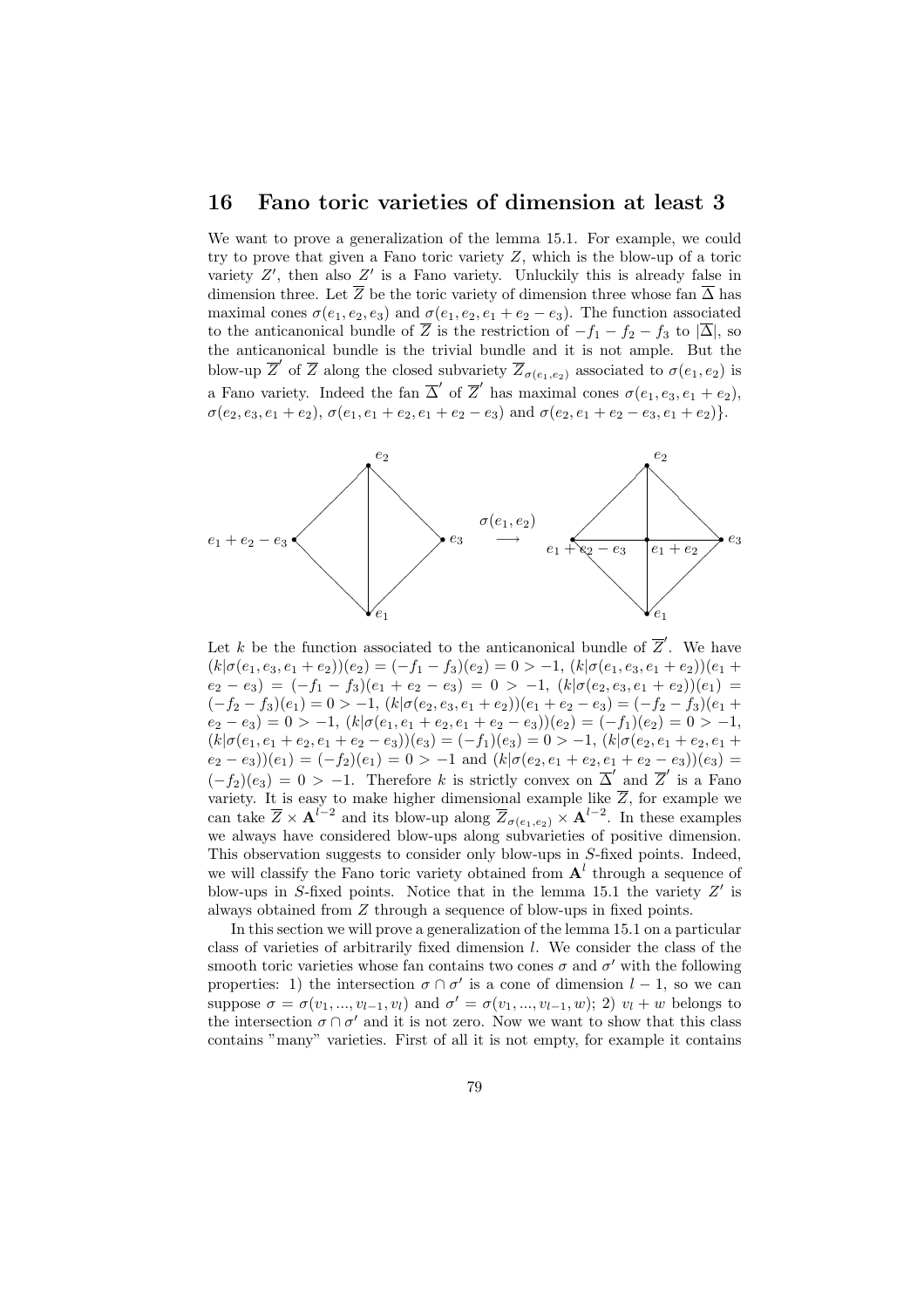#### 16 Fano toric varieties of dimension at least 3

We want to prove a generalization of the lemma 15.1. For example, we could try to prove that given a Fano toric variety  $Z$ , which is the blow-up of a toric variety  $Z'$ , then also  $Z'$  is a Fano variety. Unluckily this is already false in dimension three. Let  $\overline{Z}$  be the toric variety of dimension three whose fan  $\overline{\Delta}$  has maximal cones  $\sigma(e_1, e_2, e_3)$  and  $\sigma(e_1, e_2, e_1 + e_2 - e_3)$ . The function associated to the anticanonical bundle of  $\overline{Z}$  is the restriction of  $-f_1 - f_2 - f_3$  to  $|\overline{\Delta}|$ , so the anticanonical bundle is the trivial bundle and it is not ample. But the blow-up  $\overline{Z}'$  of  $\overline{Z}$  along the closed subvariety  $\overline{Z}_{\sigma(e_1,e_2)}$  associated to  $\sigma(e_1,e_2)$  is a Fano variety. Indeed the fan  $\overline{\Delta}'$  of  $\overline{Z}'$  has maximal cones  $\sigma(e_1, e_3, e_1 + e_2)$ ,  $\sigma(e_2, e_3, e_1 + e_2), \, \sigma(e_1, e_1 + e_2, e_1 + e_2 - e_3)$  and  $\sigma(e_2, e_1 + e_2 - e_3, e_1 + e_2)$ .



Let k be the function associated to the anticanonical bundle of  $\overline{Z}'$ . We have  $(k|\sigma(e_1, e_3, e_1 + e_2))$  $(e_2) = (-f_1 - f_3)(e_2) = 0 > -1, (k|\sigma(e_1, e_3, e_1 + e_2))$  $(e_1 +$  $(e_2 - e_3) = (-f_1 - f_3)(e_1 + e_2 - e_3) = 0 > -1, (k | \sigma(e_2, e_3, e_1 + e_2)) (e_1) =$  $(-f_2 - f_3)(e_1) = 0 > -1, (k | \sigma(e_2, e_3, e_1 + e_2)) (e_1 + e_2 - e_3) = (-f_2 - f_3)(e_1 +$  $(e_2 - e_3) = 0 > -1, (k | \sigma(e_1, e_1 + e_2, e_1 + e_2 - e_3)) (e_2) = (-f_1)(e_2) = 0 > -1,$  $(k|\sigma(e_1, e_1 + e_2, e_1 + e_2 - e_3)(e_3) = (-f_1)(e_3) = 0 > -1, (k|\sigma(e_2, e_1 + e_2, e_1 + e_3)$  $(e_2 - e_3)(e_1) = (-f_2)(e_1) = 0 > -1$  and  $(k | \sigma(e_2, e_1 + e_2, e_1 + e_2 - e_3)) (e_3) =$  $(-f_2)(e_3) = 0 > -1$ . Therefore k is strictly convex on  $\overline{\Delta}'$  and  $\overline{Z}'$  is a Fano variety. It is easy to make higher dimensional example like  $\overline{Z}$ , for example we can take  $\overline{Z} \times \mathbf{A}^{l-2}$  and its blow-up along  $\overline{Z}_{\sigma(e_1,e_2)} \times \mathbf{A}^{l-2}$ . In these examples we always have considered blow-ups along subvarieties of positive dimension. This observation suggests to consider only blow-ups in S-fixed points. Indeed, we will classify the Fano toric variety obtained from  $A<sup>l</sup>$  through a sequence of blow-ups in S-fixed points. Notice that in the lemma 15.1 the variety  $Z'$  is always obtained from Z through a sequence of blow-ups in fixed points.

In this section we will prove a generalization of the lemma 15.1 on a particular class of varieties of arbitrarily fixed dimension l. We consider the class of the smooth toric varieties whose fan contains two cones  $\sigma$  and  $\sigma'$  with the following properties: 1) the intersection  $\sigma \cap \sigma'$  is a cone of dimension  $l-1$ , so we can suppose  $\sigma = \sigma(v_1, ..., v_{l-1}, v_l)$  and  $\sigma' = \sigma(v_1, ..., v_{l-1}, w)$ ; 2)  $v_l + w$  belongs to the intersection  $\sigma \cap \sigma'$  and it is not zero. Now we want to show that this class contains "many" varieties. First of all it is not empty, for example it contains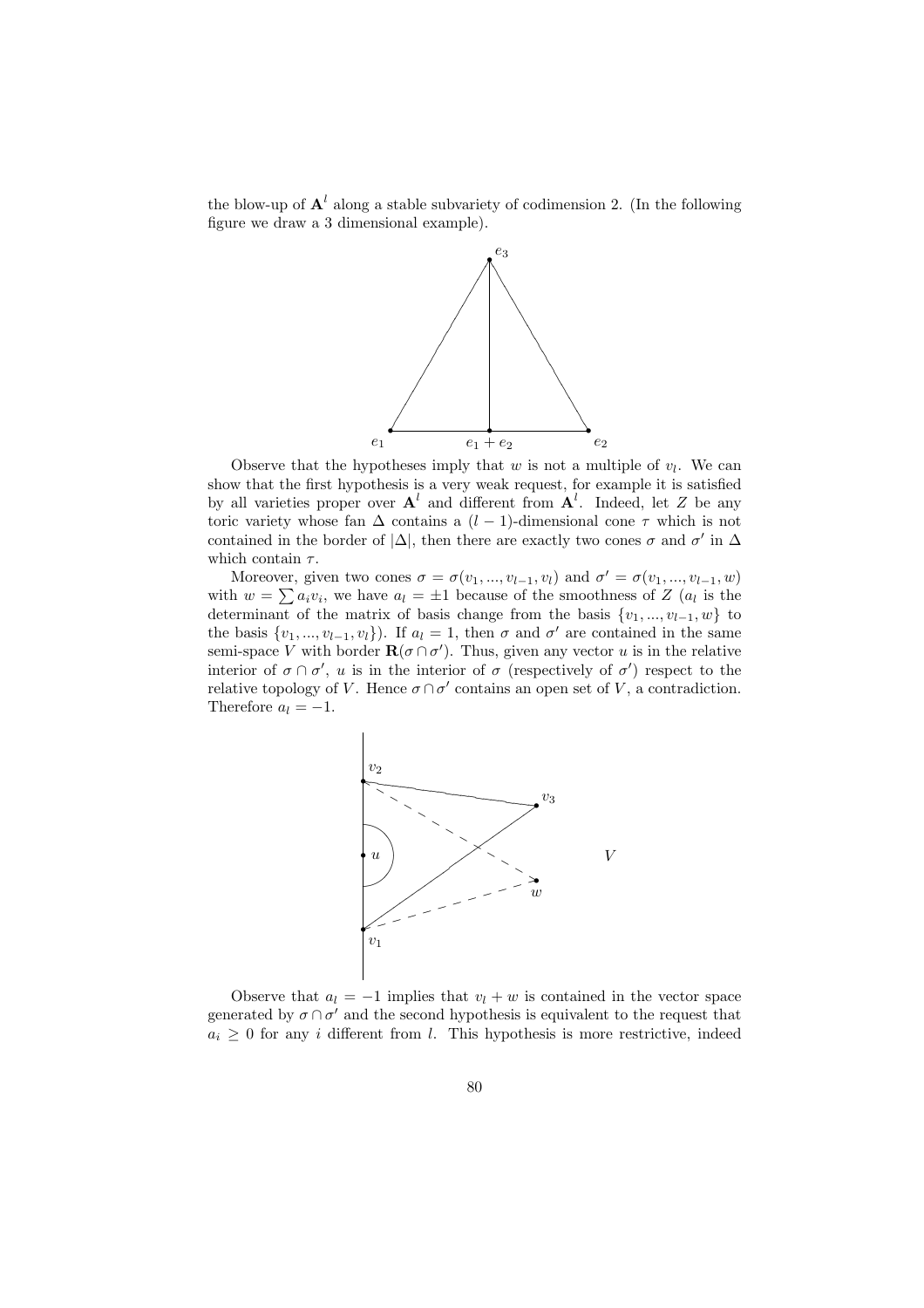the blow-up of  $\mathbf{A}^l$  along a stable subvariety of codimension 2. (In the following figure we draw a 3 dimensional example).



Observe that the hypotheses imply that  $w$  is not a multiple of  $v_l$ . We can show that the first hypothesis is a very weak request, for example it is satisfied by all varieties proper over  $A^l$  and different from  $A^l$ . Indeed, let Z be any toric variety whose fan  $\Delta$  contains a (l − 1)-dimensional cone  $\tau$  which is not contained in the border of  $|\Delta|$ , then there are exactly two cones  $\sigma$  and  $\sigma'$  in  $\Delta$ which contain  $\tau$ .

Moreover, given two cones  $\sigma = \sigma(v_1, ..., v_{l-1}, v_l)$  and  $\sigma' = \sigma(v_1, ..., v_{l-1}, w)$ where we have  $\alpha_l = \alpha(v_1, ..., v_{l-1}, v_l)$  and  $\alpha' = \alpha(v_1, ..., v_{l-1}, w)$ <br>with  $w = \sum a_i v_i$ , we have  $a_l = \pm 1$  because of the smoothness of Z  $(a_l$  is the determinant of the matrix of basis change from the basis  $\{v_1, ..., v_{l-1}, w\}$  to the basis  $\{v_1, ..., v_{l-1}, v_l\}$ . If  $a_l = 1$ , then  $\sigma$  and  $\sigma'$  are contained in the same semi-space V with border  $\mathbf{R}(\sigma \cap \sigma')$ . Thus, given any vector u is in the relative interior of  $\sigma \cap \sigma'$ , u is in the interior of  $\sigma$  (respectively of  $\sigma'$ ) respect to the relative topology of V. Hence  $\sigma \cap \sigma'$  contains an open set of V, a contradiction. Therefore  $a_l = -1$ .



Observe that  $a_l = -1$  implies that  $v_l + w$  is contained in the vector space generated by  $\sigma \cap \sigma'$  and the second hypothesis is equivalent to the request that  $a_i \geq 0$  for any i different from l. This hypothesis is more restrictive, indeed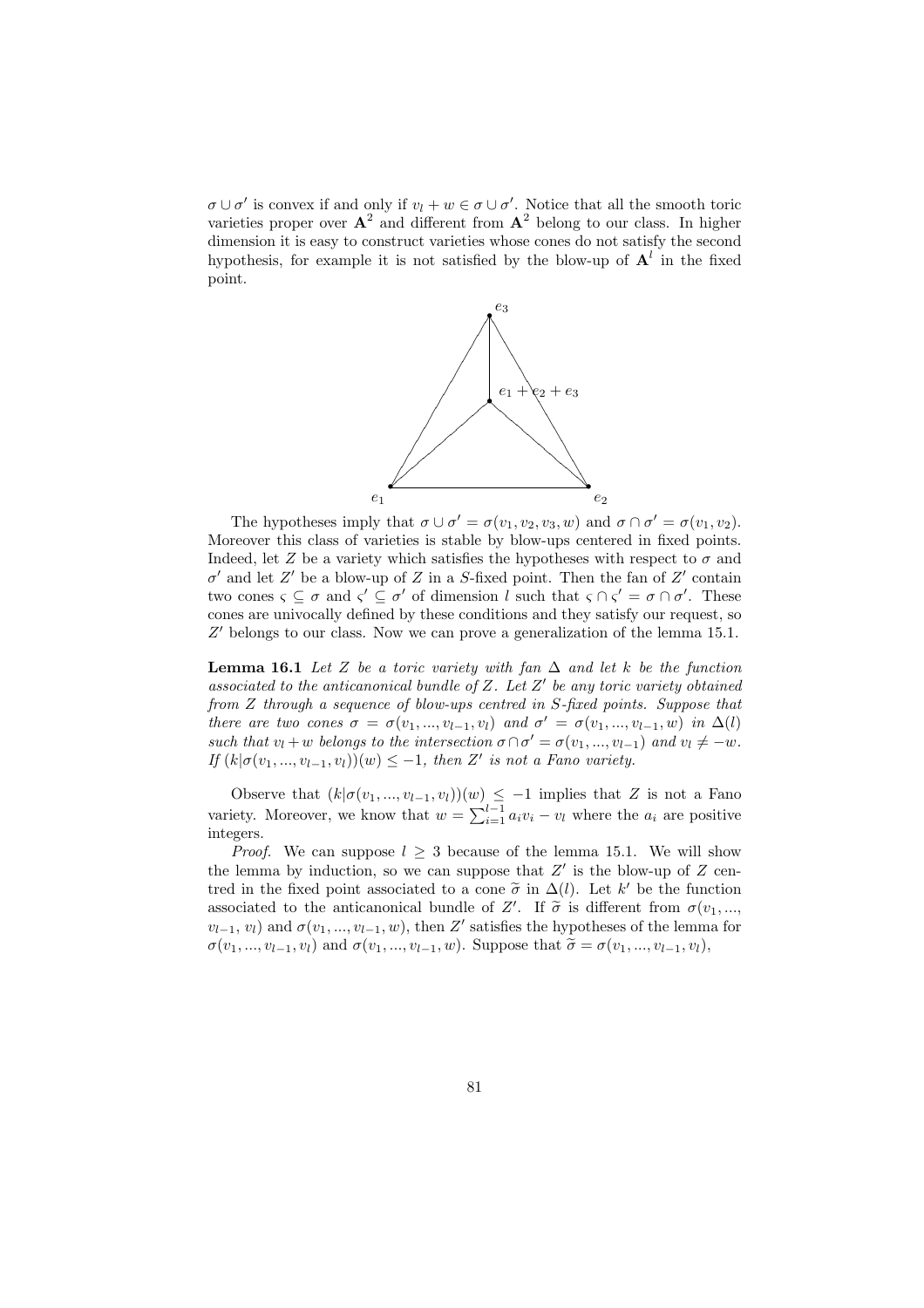$\sigma \cup \sigma'$  is convex if and only if  $v_l + w \in \sigma \cup \sigma'$ . Notice that all the smooth toric varieties proper over  $A^2$  and different from  $A^2$  belong to our class. In higher dimension it is easy to construct varieties whose cones do not satisfy the second hypothesis, for example it is not satisfied by the blow-up of  $A^l$  in the fixed point.



The hypotheses imply that  $\sigma \cup \sigma' = \sigma(v_1, v_2, v_3, w)$  and  $\sigma \cap \sigma' = \sigma(v_1, v_2)$ . Moreover this class of varieties is stable by blow-ups centered in fixed points. Indeed, let Z be a variety which satisfies the hypotheses with respect to  $\sigma$  and  $\sigma'$  and let Z' be a blow-up of Z in a S-fixed point. Then the fan of Z' contain two cones  $\zeta \subseteq \sigma$  and  $\zeta' \subseteq \sigma'$  of dimension l such that  $\zeta \cap \zeta' = \sigma \cap \sigma'$ . These cones are univocally defined by these conditions and they satisfy our request, so  $Z'$  belongs to our class. Now we can prove a generalization of the lemma 15.1.

**Lemma 16.1** Let Z be a toric variety with fan  $\Delta$  and let k be the function associated to the anticanonical bundle of  $Z$ . Let  $Z'$  be any toric variety obtained from Z through a sequence of blow-ups centred in S-fixed points. Suppose that there are two cones  $\sigma = \sigma(v_1, ..., v_{l-1}, v_l)$  and  $\sigma' = \sigma(v_1, ..., v_{l-1}, w)$  in  $\Delta(l)$ such that  $v_l + w$  belongs to the intersection  $\sigma \cap \sigma' = \sigma(v_1, ..., v_{l-1})$  and  $v_l \neq -w$ . If  $(k | \sigma(v_1, ..., v_{l-1}, v_l)) (w) \leq -1$ , then Z' is not a Fano variety.

Observe that  $(k|\sigma(v_1,...,v_{l-1}, v_l)(w) \leq -1$  implies that Z is not a Fano variety. Moreover, we know that  $w = \sum_{i=1}^{l-1} a_i v_i - v_l$  where the  $a_i$  are positive integers.

*Proof.* We can suppose  $l \geq 3$  because of the lemma 15.1. We will show the lemma by induction, so we can suppose that  $Z'$  is the blow-up of  $Z$  centred in the fixed point associated to a cone  $\tilde{\sigma}$  in  $\Delta(l)$ . Let k' be the function associated to the anticanonical bundle of Z'. If  $\tilde{\sigma}$  is different from  $\sigma(v_1, ...,$  $v_{l-1}, v_l$  and  $\sigma(v_1, ..., v_{l-1}, w)$ , then Z' satisfies the hypotheses of the lemma for  $\sigma(v_1, ..., v_{l-1}, v_l)$  and  $\sigma(v_1, ..., v_{l-1}, w)$ . Suppose that  $\tilde{\sigma} = \sigma(v_1, ..., v_{l-1}, v_l)$ ,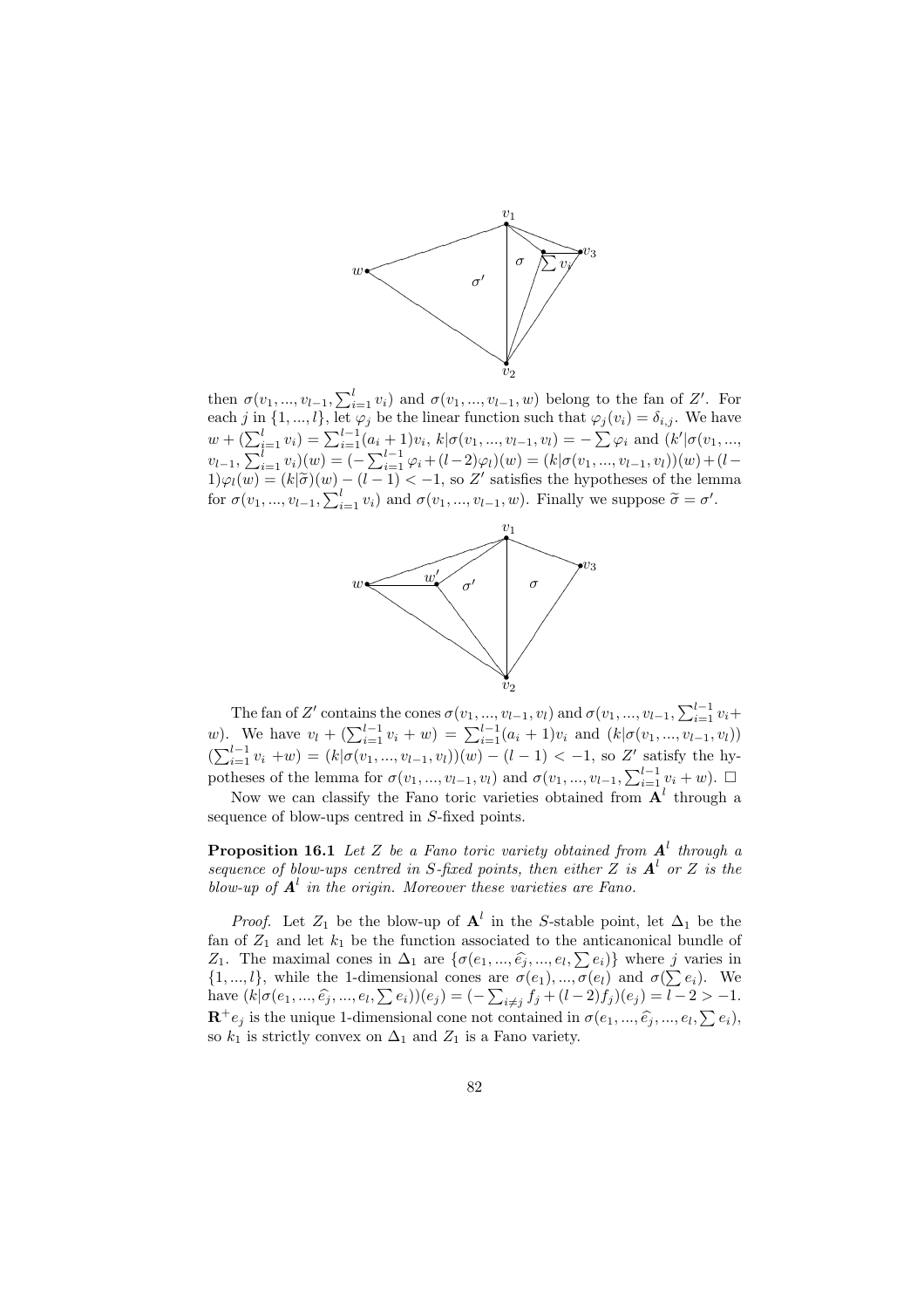

then  $\sigma(v_1, ..., v_{l-1}, \sum_{i=1}^l v_i)$  and  $\sigma(v_1, ..., v_{l-1}, w)$  belong to the fan of Z'. For each j in  $\{1, ..., l\}$ , let  $\varphi_j$  be the linear function such that  $\varphi_j(v_i) = \delta_{i,j}$ . We have  $w + \left(\sum_{i=1}^l v_i\right) = \sum_{i=1}^{l-1} (a_i + 1)v_i$ ,  $k | \sigma(v_1, ..., v_{l-1}, v_l) = -\sum \varphi_i$  and  $\left(k' | \sigma(v_1, ..., v_{l-1}, v_l)\right)$  $v_{l-1}, \sum_{i=1}^{l-1} v_i$ ) –  $\sum_{i=1}^{l-1} (v_i + 1)v_i$ ,  $w_i v_i v_1, ..., v_{l-1}, v_l$ ) –  $\sum_{i=1}^{l} v_i$  and  $(w_i v_i v_1, ..., v_{l-1}, v_l)$ <br>  $v_{l-1}, \sum_{i=1}^{l} v_i)(w) = (-\sum_{i=1}^{l-1} \varphi_i + (l-2)\varphi_l)(w) = (k|\sigma(v_1, ..., v_{l-1}, v_l))(w) + (l-1)\varphi_l(w)$  $1)\varphi_l(w) = (k|\tilde{\sigma})(w) - (l-1) < -1$ , so Z' satisfies the hypotheses of the lemma  $f(x) \neq (w) = (w|v)(w)$  (c 1) < 1, so Σ satisfies the hypotheses of the femotor  $\sigma(v_1, ..., v_{l-1}, \sum_{i=1}^l v_i)$  and  $\sigma(v_1, ..., v_{l-1}, w)$ . Finally we suppose  $\tilde{\sigma} = \sigma'$ .



The fan of Z' contains the cones  $\sigma(v_1, ..., v_{l-1}, v_l)$  and  $\sigma(v_1, ..., v_{l-1}, \sum_{i=1}^{l-1} v_i + w)$ .<br>We have  $v_l + (\sum_{i=1}^{l-1} v_i + w) = \sum_{i=1}^{l-1} (a_i + 1)v_i$  and  $(k | \sigma(v_1, ..., v_{l-1}, v_l))$ (b). We have  $v_l + (\sum_{i=1}^{l-1} v_i + w) = \sum_{i=1}^{l-1} (u_l + 1)v_l$  and  $(w|v(v_1, ..., v_{l-1}, v_l))$ <br>  $(\sum_{i=1}^{l-1} v_i + w) = (k|\sigma(v_1, ..., v_{l-1}, v_l)))(w) - (l-1) < -1$ , so Z' satisfy the hy-<br>
potheses of the lemma for  $\sigma(v_1, ..., v_{l-1}, w_l)$  and  $\sigma(v_1, ..., v_{l-1},$ potheses of the lemma for  $\sigma(v_1, ..., v_{l-1}, v_l)$  and  $\sigma(v_1, ..., v_{l-1}, \sum_{i=1}^{l-1} v_i + w)$ .  $\Box$ 

Now we can classify the Fano toric varieties obtained from  $A<sup>l</sup>$  through a sequence of blow-ups centred in S-fixed points.

**Proposition 16.1** Let Z be a Fano toric variety obtained from  $A<sup>l</sup>$  through a sequence of blow-ups centred in S-fixed points, then either Z is  $A^l$  or Z is the blow-up of  $\boldsymbol{A}^l$  in the origin. Moreover these varieties are Fano.

*Proof.* Let  $Z_1$  be the blow-up of  $A^l$  in the S-stable point, let  $\Delta_1$  be the fan of  $Z_1$  and let  $k_1$  be the function associated to the anticanonical bundle of The maximal cones in  $\Delta_1$  are  $\{\sigma(e_1, ..., \hat{e_i}, ..., e_l, \sum e_i)\}\)$  where j varies in  $Z_1$ . The maximal cones in  $Δ_1$  are { $o(e_1, ..., e_j, ..., e_l, ∑ e_i)$ } where *J* varies in {1, ..., *l*}, while the 1-dimensional cones are  $σ(e_1), ..., σ(e_l)$  and  $σ(∑ e_i)$ . We {1, ...,  $l$ }, while the 1-dimensional cones are  $\sigma(e_1)$ , ...,  $\sigma(e_l)$  and  $\sigma(\sum e_i)$ . We<br>have  $(k|\sigma(e_1,...,\hat{e_i},...,e_l,\sum e_i))(e_j) = (-\sum_{i \neq j} f_j + (l-2)f_j)(e_j) = l-2 > -1$ .  $\mathbf{R}^+e_j$  is the unique 1-dimensional cone not contained in  $\sigma(e_1, ..., \hat{e_j}, ..., e_l, \sum e_i)$ , so  $k_1$  is strictly convex on  $\Delta_1$  and  $Z_1$  is a Fano variety.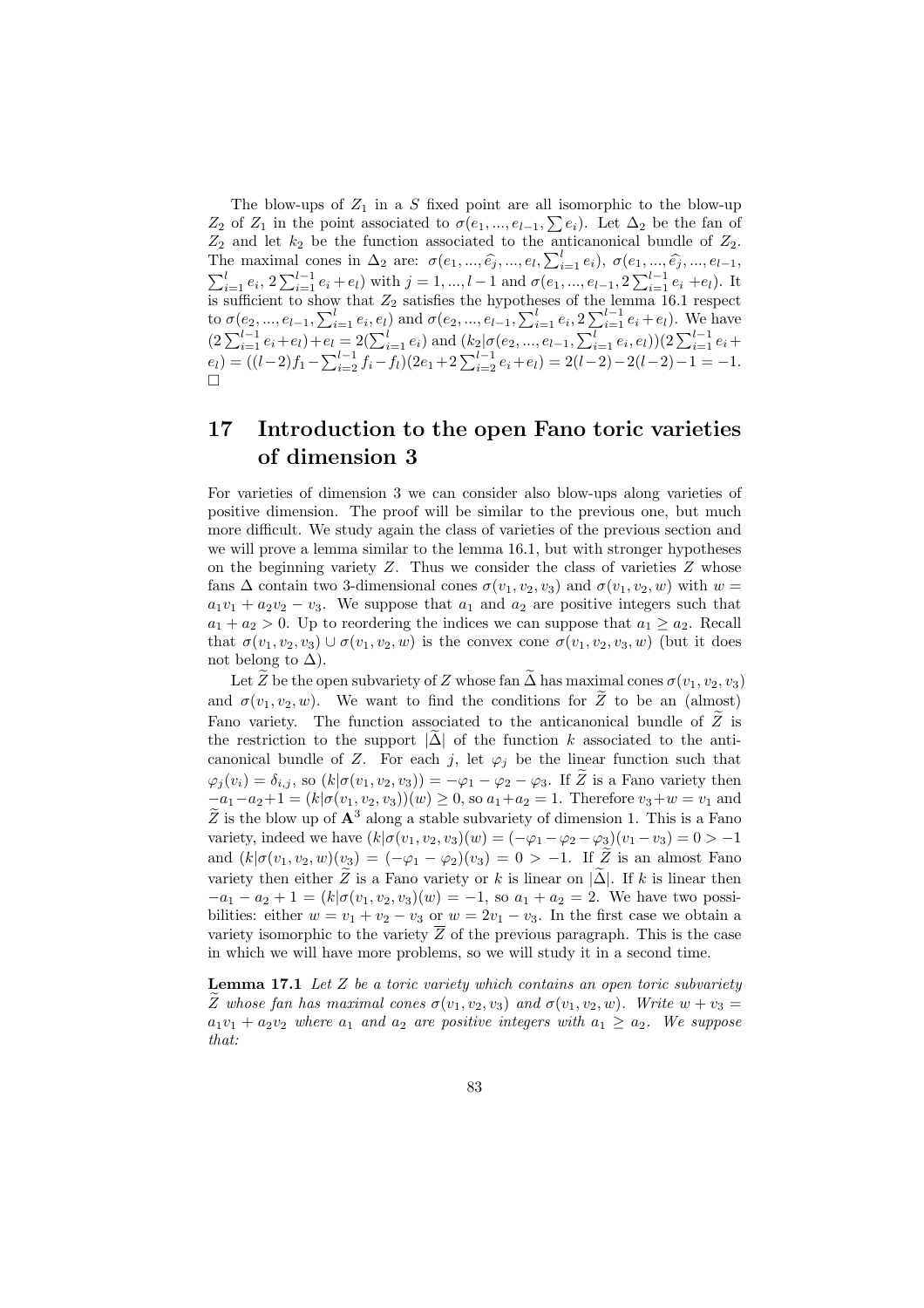The blow-ups of  $Z_1$  in a S fixed point are all isomorphic to the blow-up The blow-ups of  $Z_1$  in a 3 lixed point are all isomorphic to the blow-up  $Z_2$  of  $Z_1$  in the point associated to  $\sigma(e_1, ..., e_{l-1}, \sum e_i)$ . Let  $\Delta_2$  be the fan of  $Z_2$  and let  $k_2$  be the function associated to the anticanonical bundle of  $Z_2$ .  $\Sigma_2$  and let  $\kappa_2$  be the function associated to the anticanonical bundle of  $Z_2$ .<br>The maximal cones in Δ<sub>2</sub> are:  $\sigma(e_1, ..., \hat{e_j}, ..., e_l, \sum_{i=1}^l e_i)$ ,  $\sigma(e_1, ..., \hat{e_j}, ..., e_{l-1}, \sum_{i=1}^l e_i, e_{l-1})$ . It  $\sum_{i=1}^l e_i, 2\sum_{i=1}$ is sufficient to show that  $Z_2$  satisfies the hypotheses of the lemma 16.1 respect to  $\sigma(e_2, ..., e_{l-1}, \sum_{i=1}^l e_i, e_l)$  and  $\sigma(e_2, ..., e_{l-1}, \sum_{i=1}^l e_i, 2 \sum_{i=1}^{l-1} e_i + e_l)$ . We have<br>  $(2 \sum_{i=1}^{l-1} e_i + e_l) + e_l = 2(\sum_{i=1}^l e_i)$  and  $(k_2 | \sigma(e_2, ..., e_{l-1}, \sum_{i=1}^l e_i, e_l)) (2 \sum_{i=1}^{l-1} e_i + e_l)$  $e_l = ((l-2)f_1 - \sum_{i=2}^{l-1} f_i - f_l)(2e_1 + 2\sum_{i=2}^{l-1} e_i + e_l) = 2(l-2) - 2(l-2) - 1 = -1.$ ¤

## 17 Introduction to the open Fano toric varieties of dimension 3

For varieties of dimension 3 we can consider also blow-ups along varieties of positive dimension. The proof will be similar to the previous one, but much more difficult. We study again the class of varieties of the previous section and we will prove a lemma similar to the lemma 16.1, but with stronger hypotheses on the beginning variety  $Z$ . Thus we consider the class of varieties  $Z$  whose fans  $\Delta$  contain two 3-dimensional cones  $\sigma(v_1, v_2, v_3)$  and  $\sigma(v_1, v_2, w)$  with  $w =$  $a_1v_1 + a_2v_2 - v_3$ . We suppose that  $a_1$  and  $a_2$  are positive integers such that  $a_1 + a_2 > 0$ . Up to reordering the indices we can suppose that  $a_1 \ge a_2$ . Recall that  $\sigma(v_1, v_2, v_3) \cup \sigma(v_1, v_2, w)$  is the convex cone  $\sigma(v_1, v_2, v_3, w)$  (but it does not belong to  $\Delta$ ).

Let  $\widetilde{Z}$  be the open subvariety of Z whose fan  $\widetilde{\Delta}$  has maximal cones  $\sigma(v_1, v_2, v_3)$ and  $\sigma(v_1, v_2, w)$ . We want to find the conditions for  $\widetilde{Z}$  to be an (almost) Fano variety. The function associated to the anticanonical bundle of  $\widetilde{Z}$  is the restriction to the support  $|\Delta|$  of the function k associated to the anticanonical bundle of Z. For each j, let  $\varphi_j$  be the linear function such that  $\varphi_j(v_i) = \delta_{i,j}$ , so  $(k|\sigma(v_1, v_2, v_3)) = -\varphi_1 - \varphi_2 - \varphi_3$ . If  $\widetilde{Z}$  is a Fano variety then  $-a_1-a_2+1 = (k|\sigma(v_1, v_2, v_3)(w) \ge 0$ , so  $a_1+a_2=1$ . Therefore  $v_3+w=v_1$  and  $\widetilde{Z}$  is the blow up of  $\mathbf{A}^3$  along a stable subvariety of dimension 1. This is a Fano variety, indeed we have  $(k|\sigma(v_1, v_2, v_3)(w) = (-\varphi_1 - \varphi_2 - \varphi_3)(v_1 - v_3) = 0 > -1$ and  $(k|\sigma(v_1, v_2, w)(v_3) = (-\varphi_1 - \varphi_2)(v_3) = 0 > -1$ . If  $\tilde{Z}$  is an almost Fano variety then either  $\widetilde{Z}$  is a Fano variety or k is linear on  $|\widetilde{\Delta}|$ . If k is linear then  $-a_1 - a_2 + 1 = (k | \sigma(v_1, v_2, v_3)(w) = -1$ , so  $a_1 + a_2 = 2$ . We have two possibilities: either  $w = v_1 + v_2 - v_3$  or  $w = 2v_1 - v_3$ . In the first case we obtain a variety isomorphic to the variety  $\overline{Z}$  of the previous paragraph. This is the case in which we will have more problems, so we will study it in a second time.

**Lemma 17.1** Let  $Z$  be a toric variety which contains an open toric subvariety  $\widetilde{Z}$  whose fan has maximal cones  $\sigma(v_1, v_2, v_3)$  and  $\sigma(v_1, v_2, w)$ . Write  $w + v_3 =$  $a_1v_1 + a_2v_2$  where  $a_1$  and  $a_2$  are positive integers with  $a_1 \ge a_2$ . We suppose that: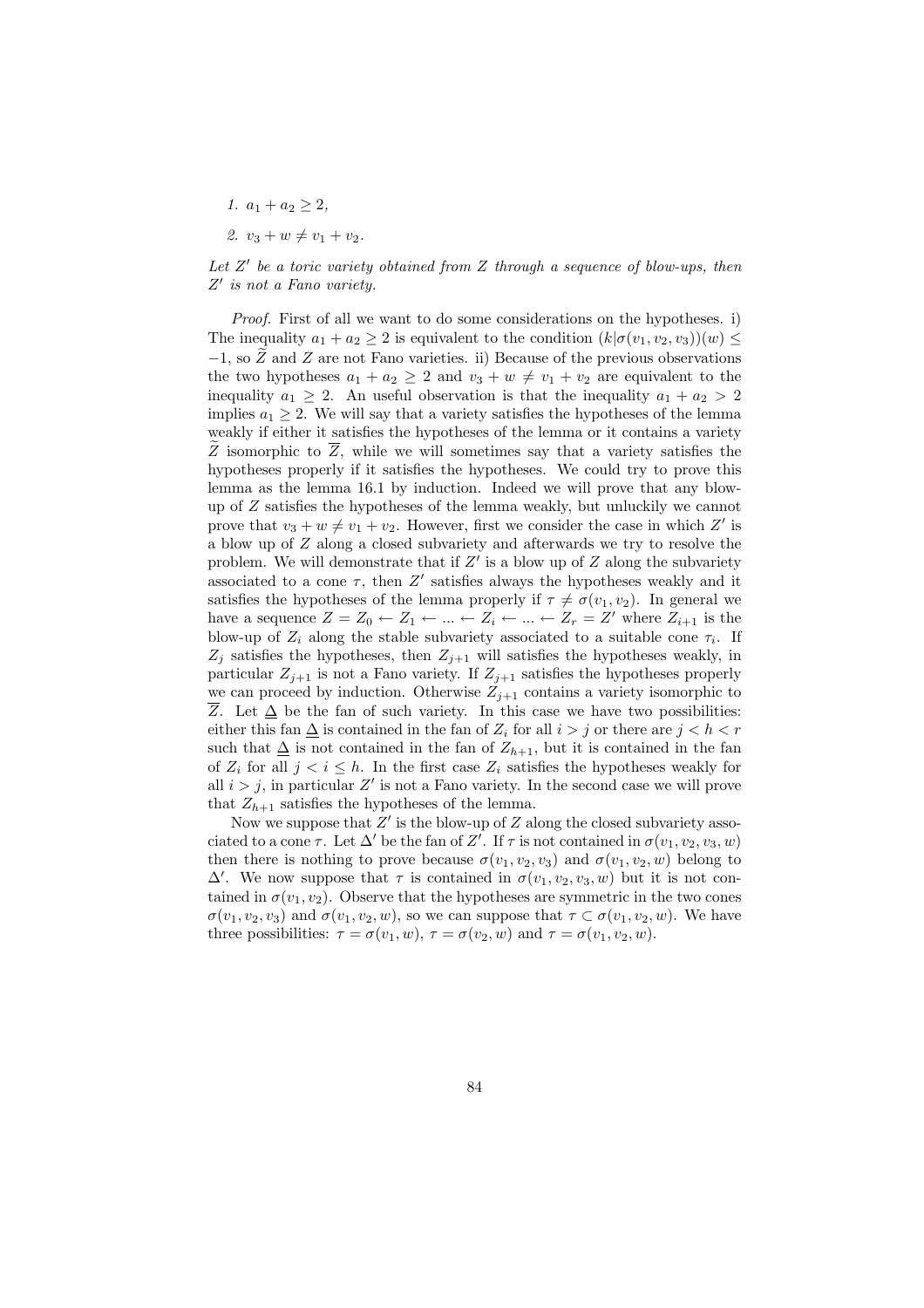- 1.  $a_1 + a_2 \geq 2$ ,
- 2.  $v_3 + w \neq v_1 + v_2$ .

Let  $Z'$  be a toric variety obtained from  $Z$  through a sequence of blow-ups, then Z' is not a Fano variety.

Proof. First of all we want to do some considerations on the hypotheses. i) The inequality  $a_1 + a_2 \geq 2$  is equivalent to the condition  $(k | \sigma(v_1, v_2, v_3|)(w) \leq$  $-1$ , so Z and Z are not Fano varieties. ii) Because of the previous observations the two hypotheses  $a_1 + a_2 \geq 2$  and  $v_3 + w \neq v_1 + v_2$  are equivalent to the inequality  $a_1 \geq 2$ . An useful observation is that the inequality  $a_1 + a_2 > 2$ implies  $a_1 \geq 2$ . We will say that a variety satisfies the hypotheses of the lemma weakly if either it satisfies the hypotheses of the lemma or it contains a variety  $\widetilde{Z}$  isomorphic to  $\overline{Z}$ , while we will sometimes say that a variety satisfies the hypotheses properly if it satisfies the hypotheses. We could try to prove this lemma as the lemma 16.1 by induction. Indeed we will prove that any blowup of Z satisfies the hypotheses of the lemma weakly, but unluckily we cannot prove that  $v_3 + w \neq v_1 + v_2$ . However, first we consider the case in which Z' is a blow up of Z along a closed subvariety and afterwards we try to resolve the problem. We will demonstrate that if  $Z'$  is a blow up of  $Z$  along the subvariety associated to a cone  $\tau$ , then Z' satisfies always the hypotheses weakly and it satisfies the hypotheses of the lemma properly if  $\tau \neq \sigma(v_1, v_2)$ . In general we have a sequence  $Z = Z_0 \leftarrow Z_1 \leftarrow ... \leftarrow Z_i \leftarrow ... \leftarrow Z_r = Z'$  where  $Z_{i+1}$  is the blow-up of  $Z_i$  along the stable subvariety associated to a suitable cone  $\tau_i$ . If  $Z_j$  satisfies the hypotheses, then  $Z_{j+1}$  will satisfies the hypotheses weakly, in particular  $Z_{i+1}$  is not a Fano variety. If  $Z_{i+1}$  satisfies the hypotheses properly we can proceed by induction. Otherwise  $Z_{i+1}$  contains a variety isomorphic to  $\overline{Z}$ . Let  $\Delta$  be the fan of such variety. In this case we have two possibilities: either this fan  $\Delta$  is contained in the fan of  $Z_i$  for all  $i > j$  or there are  $j < h < r$ such that  $\Delta$  is not contained in the fan of  $Z_{h+1}$ , but it is contained in the fan of  $Z_i$  for all  $j < i \leq h$ . In the first case  $Z_i$  satisfies the hypotheses weakly for all  $i > j$ , in particular Z' is not a Fano variety. In the second case we will prove that  $Z_{h+1}$  satisfies the hypotheses of the lemma.

Now we suppose that  $Z'$  is the blow-up of  $Z$  along the closed subvariety associated to a cone  $\tau$ . Let  $\Delta'$  be the fan of Z'. If  $\tau$  is not contained in  $\sigma(v_1, v_2, v_3, w)$ then there is nothing to prove because  $\sigma(v_1, v_2, v_3)$  and  $\sigma(v_1, v_2, w)$  belong to  $\Delta'$ . We now suppose that  $\tau$  is contained in  $\sigma(v_1, v_2, v_3, w)$  but it is not contained in  $\sigma(v_1, v_2)$ . Observe that the hypotheses are symmetric in the two cones  $\sigma(v_1, v_2, v_3)$  and  $\sigma(v_1, v_2, w)$ , so we can suppose that  $\tau \subset \sigma(v_1, v_2, w)$ . We have three possibilities:  $\tau = \sigma(v_1, w)$ ,  $\tau = \sigma(v_2, w)$  and  $\tau = \sigma(v_1, v_2, w)$ .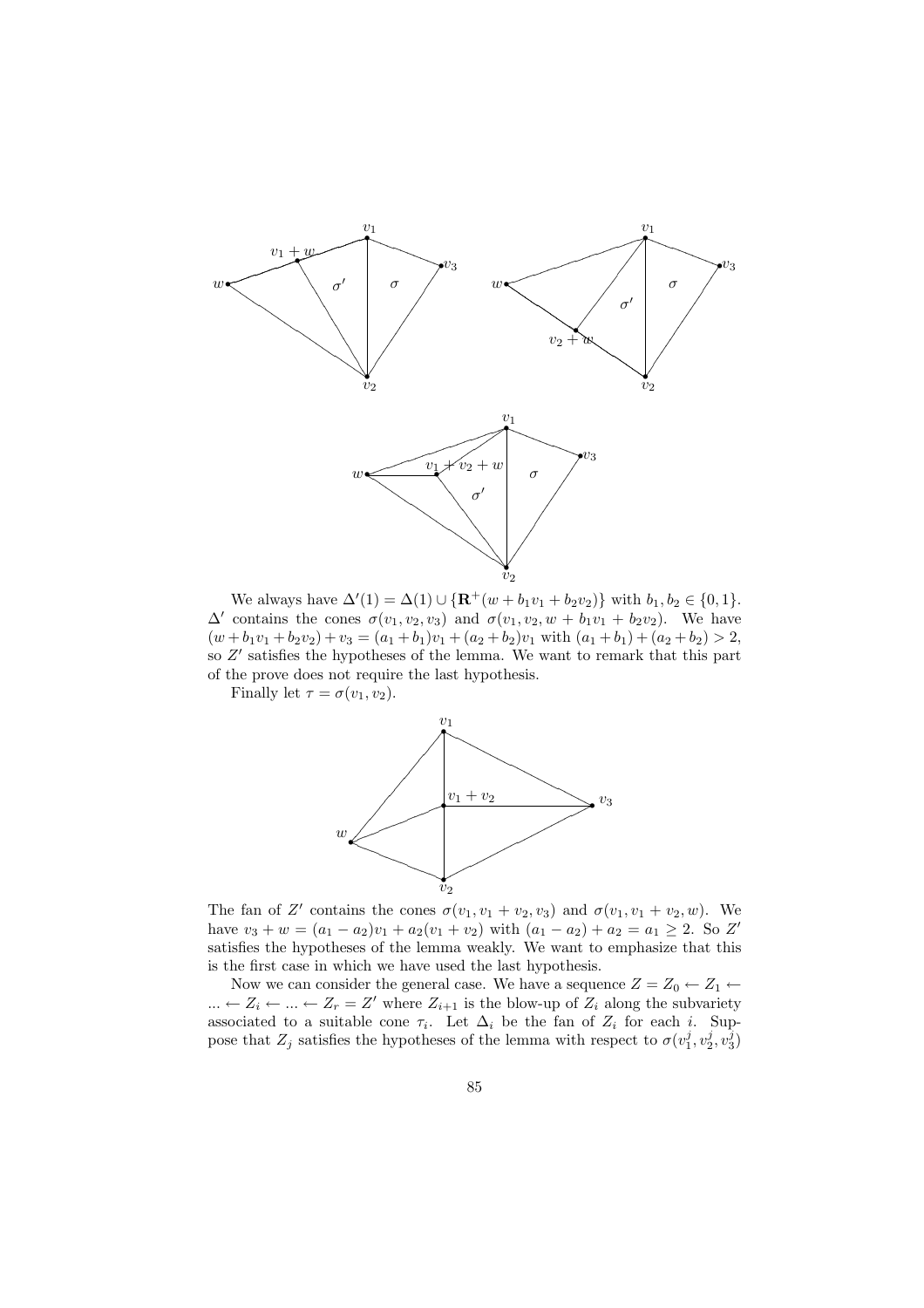

We always have  $\Delta'(1) = \Delta(1) \cup {\bf R}^+(w + b_1v_1 + b_2v_2)$  with  $b_1, b_2 \in \{0, 1\}.$  $\Delta'$  contains the cones  $\sigma(v_1, v_2, v_3)$  and  $\sigma(v_1, v_2, w + b_1v_1 + b_2v_2)$ . We have  $(w + b_1v_1 + b_2v_2) + v_3 = (a_1 + b_1)v_1 + (a_2 + b_2)v_1$  with  $(a_1 + b_1) + (a_2 + b_2) > 2$ , so  $Z'$  satisfies the hypotheses of the lemma. We want to remark that this part of the prove does not require the last hypothesis.

Finally let  $\tau = \sigma(v_1, v_2)$ .



The fan of Z' contains the cones  $\sigma(v_1, v_1 + v_2, v_3)$  and  $\sigma(v_1, v_1 + v_2, w)$ . We have  $v_3 + w = (a_1 - a_2)v_1 + a_2(v_1 + v_2)$  with  $(a_1 - a_2) + a_2 = a_1 \geq 2$ . So Z' satisfies the hypotheses of the lemma weakly. We want to emphasize that this is the first case in which we have used the last hypothesis.

Now we can consider the general case. We have a sequence  $Z = Z_0 \leftarrow Z_1 \leftarrow$  $\ldots \leftarrow Z_i \leftarrow \ldots \leftarrow Z_r = Z'$  where  $Z_{i+1}$  is the blow-up of  $Z_i$  along the subvariety associated to a suitable cone  $\tau_i$ . Let  $\Delta_i$  be the fan of  $Z_i$  for each i. Suppose that  $Z_j$  satisfies the hypotheses of the lemma with respect to  $\sigma(v_1^j, v_2^j, v_3^j)$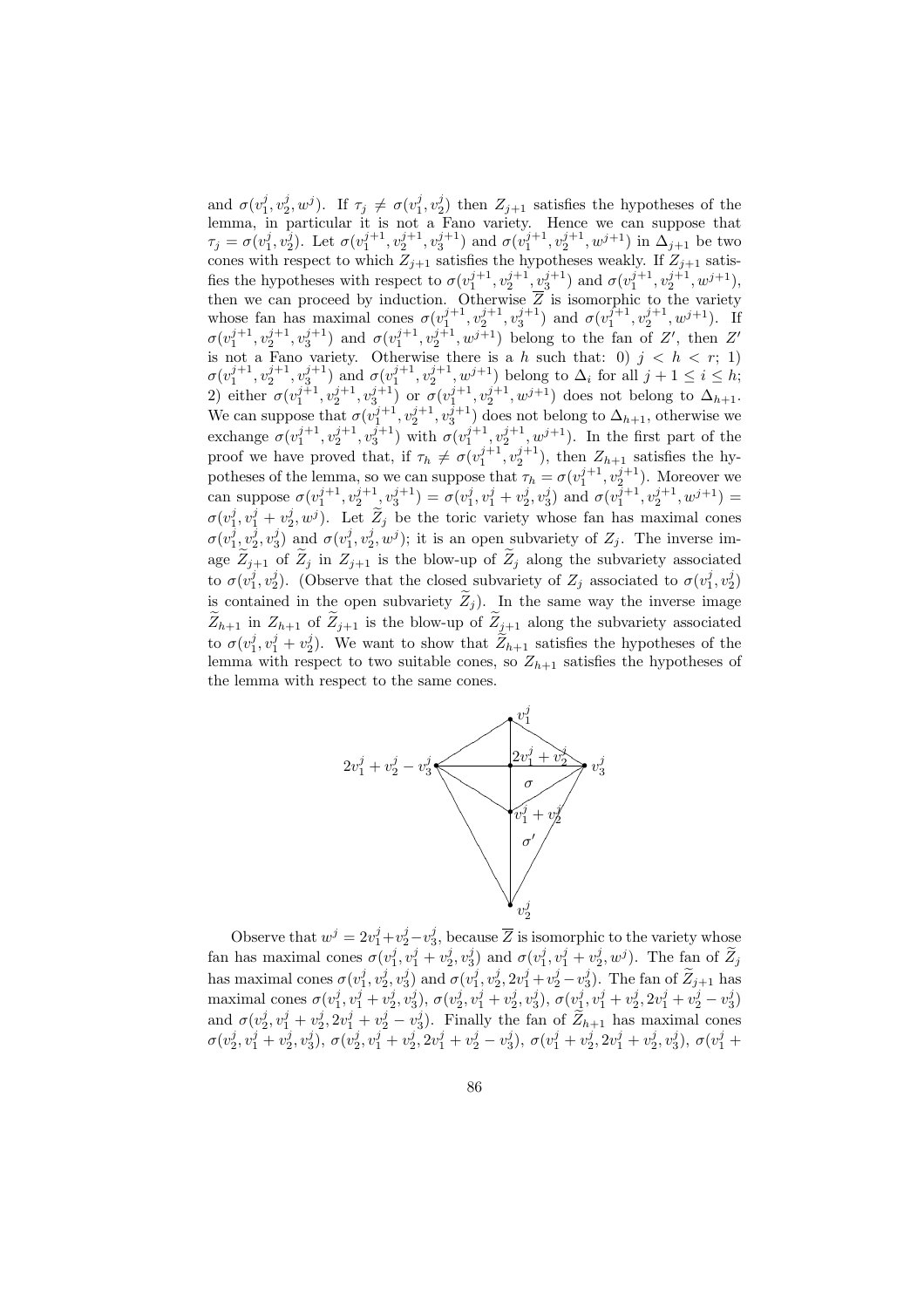and  $\sigma(v_1^j, v_2^j, w^j)$ . If  $\tau_j \neq \sigma(v_1^j, v_2^j)$  then  $Z_{j+1}$  satisfies the hypotheses of the lemma, in particular it is not a Fano variety. Hence we can suppose that  $\tau_j = \sigma(v_1^j, v_2^j)$ . Let  $\sigma(v_1^{j+1}, v_2^{j+1}, v_3^{j+1})$  and  $\sigma(v_1^{j+1}, v_2^{j+1}, w^{j+1})$  in  $\Delta_{j+1}$  be two cones with respect to which  $Z_{j+1}$  satisfies the hypotheses weakly. If  $Z_{j+1}$  satisfies the hypotheses with respect to  $\sigma(v_1^{j+1}, v_2^{j+1}, v_3^{j+1})$  and  $\sigma(v_1^{j+1}, v_2^{j+1}, w^{j+1})$ , then we can proceed by induction. Otherwise  $\overline{Z}$  is isomorphic to the variety whose fan has maximal cones  $\sigma(v_1^{j+1}, v_2^{j+1}, v_3^{j+1})$  and  $\sigma(v_1^{j+1}, v_2^{j+1}, w^{j+1})$ . If  $\sigma(v_1^{j+1}, v_2^{j+1}, v_3^{j+1})$  and  $\sigma(v_1^{j+1}, v_2^{j+1}, w^{j+1})$  belong to the fan of Z', then Z' is not a Fano variety. Otherwise there is a h such that: 0)  $j < h < r$ ; 1)  $\sigma(v_1^{j+1}, v_2^{j+1}, v_3^{j+1})$  and  $\sigma(v_1^{j+1}, v_2^{j+1}, w^{j+1})$  belong to  $\Delta_i$  for all  $j+1 \le i \le h$ ; 2) either  $\sigma(v_1^{j+1}, v_2^{j+1}, v_3^{j+1})$  or  $\sigma(v_1^{j+1}, v_2^{j+1}, w^{j+1})$  does not belong to  $\Delta_{h+1}$ . We can suppose that  $\sigma(v_1^{j+1}, v_2^{j+1}, v_3^{j+1})$  does not belong to  $\Delta_{h+1}$ , otherwise we exchange  $\sigma(v_1^{j+1}, v_2^{j+1}, v_3^{j+1})$  with  $\sigma(v_1^{j+1}, v_2^{j+1}, w^{j+1})$ . In the first part of the proof we have proved that, if  $\tau_h \neq \sigma(v_1^{j+1}, v_2^{j+1})$ , then  $Z_{h+1}$  satisfies the hypotheses of the lemma, so we can suppose that  $\tau_h = \sigma(v_1^{j+1}, v_2^{j+1})$ . Moreover we can suppose  $\sigma(v_1^{j+1}, v_2^{j+1}, v_3^{j+1}) = \sigma(v_1^j, v_1^j + v_2^j, v_3^j)$  and  $\sigma(v_1^{j+1}, v_2^{j+1}, w^{j+1}) =$  $\sigma(v_1^j, v_1^j + v_2^j, w^j)$ . Let  $\widetilde{Z}_j$  be the toric variety whose fan has maximal cones  $\sigma(v_1^j, v_2^j, v_3^j)$  and  $\sigma(v_1^j, v_2^j, w^j)$ ; it is an open subvariety of  $Z_j$ . The inverse image  $\tilde{Z}_{j+1}$  of  $\tilde{Z}_j$  in  $Z_{j+1}$  is the blow-up of  $\tilde{Z}_j$  along the subvariety associated to  $\sigma(v_1^j, v_2^j)$ . (Observe that the closed subvariety of  $Z_j$  associated to  $\sigma(v_1^j, v_2^j)$ is contained in the open subvariety  $\widetilde{Z}_j$ ). In the same way the inverse image  $Z_{h+1}$  in  $Z_{h+1}$  of  $Z_{j+1}$  is the blow-up of  $Z_{j+1}$  along the subvariety associated to  $\sigma(v_1^j, v_1^j + v_2^j)$ . We want to show that  $\widetilde{Z}_{h+1}$  satisfies the hypotheses of the lemma with respect to two suitable cones, so  $Z_{h+1}$  satisfies the hypotheses of the lemma with respect to the same cones.



Observe that  $w^j = 2v_1^j + v_2^j - v_3^j$ , because  $\overline{Z}$  is isomorphic to the variety whose fan has maximal cones  $\sigma(v_1^j, v_1^j + v_2^j, v_3^j)$  and  $\sigma(v_1^j, v_1^j + v_2^j, w^j)$ . The fan of  $\widetilde{Z}_j$ has maximal cones  $\sigma(v_1^j, v_2^j, v_3^j)$  and  $\sigma(v_1^j, v_2^j, 2v_1^j + v_2^j - v_3^j)$ . The fan of  $\widetilde{Z}_{j+1}$  has maximal cones  $\sigma(v_1^j, v_1^j + v_2^j, v_3^j), \sigma(v_2^j, v_1^j + v_2^j, v_3^j), \sigma(v_1^j, v_1^j + v_2^j, 2v_1^j + v_2^j - v_3^j)$ and  $\sigma(v_2^j, v_1^j + v_2^j, 2v_1^j + v_2^j - v_3^j)$ . Finally the fan of  $\widetilde{Z}_{h+1}$  has maximal cones  $\sigma(v_2^j, v_1^j + v_2^j, v_3^j), \sigma(v_2^j, v_1^j + v_2^j, 2v_1^j + v_2^j - v_3^j), \sigma(v_1^j + v_2^j, 2v_1^j + v_2^j, v_3^j), \sigma(v_1^j + v_3^j, v_3^j)$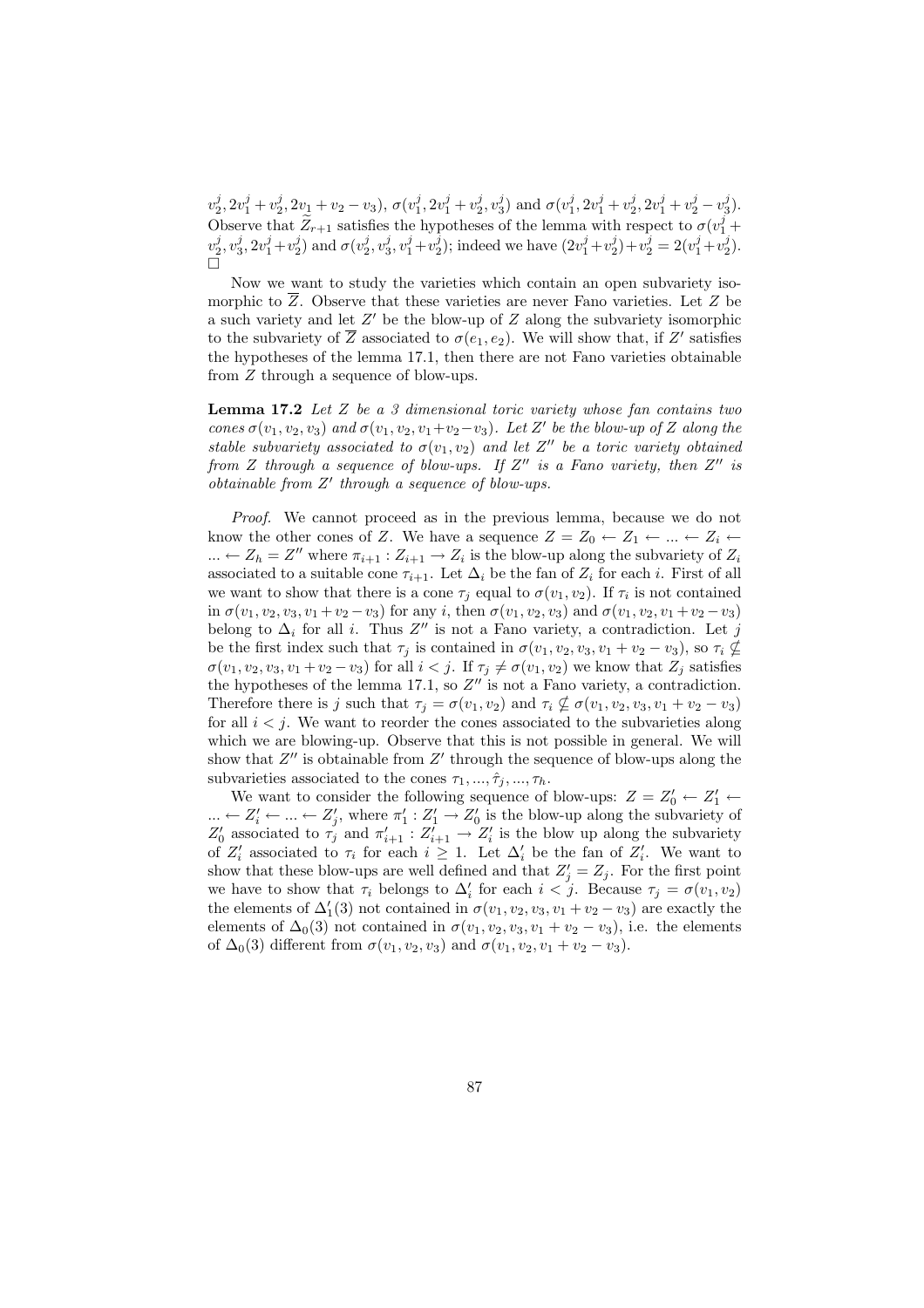$v_2^j, 2v_1^j + v_2^j, 2v_1 + v_2 - v_3$ ),  $\sigma(v_1^j, 2v_1^j + v_2^j, v_3^j)$  and  $\sigma(v_1^j, 2v_1^j + v_2^j, 2v_1^j + v_2^j - v_3^j)$ . Observe that  $\widetilde{Z}_{r+1}$  satisfies the hypotheses of the lemma with respect to  $\sigma(v_1^j +$  $v_2^j, v_3^j, 2v_1^j + v_2^j$  and  $\sigma(v_2^j, v_3^j, v_1^j + v_2^j)$ ; indeed we have  $(2v_1^j + v_2^j) + v_2^j = 2(v_1^j + v_2^j)$ . ¤

Now we want to study the varieties which contain an open subvariety isomorphic to  $\overline{Z}$ . Observe that these varieties are never Fano varieties. Let  $Z$  be a such variety and let  $Z'$  be the blow-up of  $Z$  along the subvariety isomorphic to the subvariety of  $\overline{Z}$  associated to  $\sigma(e_1, e_2)$ . We will show that, if  $Z'$  satisfies the hypotheses of the lemma 17.1, then there are not Fano varieties obtainable from Z through a sequence of blow-ups.

**Lemma 17.2** Let  $Z$  be a  $\beta$  dimensional toric variety whose fan contains two cones  $\sigma(v_1, v_2, v_3)$  and  $\sigma(v_1, v_2, v_1+v_2-v_3)$ . Let Z' be the blow-up of Z along the stable subvariety associated to  $\sigma(v_1, v_2)$  and let Z'' be a toric variety obtained from Z through a sequence of blow-ups. If  $Z''$  is a Fano variety, then  $Z''$  is  $obtainable from Z' through a sequence of blow-ups.$ 

Proof. We cannot proceed as in the previous lemma, because we do not know the other cones of Z. We have a sequence  $Z = Z_0 \leftarrow Z_1 \leftarrow ... \leftarrow Z_i \leftarrow$  $\ldots \leftarrow Z_h = Z''$  where  $\pi_{i+1} : Z_{i+1} \rightarrow Z_i$  is the blow-up along the subvariety of  $Z_i$ associated to a suitable cone  $\tau_{i+1}$ . Let  $\Delta_i$  be the fan of  $Z_i$  for each i. First of all we want to show that there is a cone  $\tau_j$  equal to  $\sigma(v_1, v_2)$ . If  $\tau_i$  is not contained in  $\sigma(v_1, v_2, v_3, v_1 + v_2 - v_3)$  for any i, then  $\sigma(v_1, v_2, v_3)$  and  $\sigma(v_1, v_2, v_1 + v_2 - v_3)$ belong to  $\Delta_i$  for all i. Thus  $Z''$  is not a Fano variety, a contradiction. Let j be the first index such that  $\tau_j$  is contained in  $\sigma(v_1, v_2, v_3, v_1 + v_2 - v_3)$ , so  $\tau_i \nsubseteq$  $\sigma(v_1, v_2, v_3, v_1 + v_2 - v_3)$  for all  $i < j$ . If  $\tau_j \neq \sigma(v_1, v_2)$  we know that  $Z_j$  satisfies the hypotheses of the lemma 17.1, so  $Z''$  is not a Fano variety, a contradiction. Therefore there is j such that  $\tau_j = \sigma(v_1, v_2)$  and  $\tau_i \nsubseteq \sigma(v_1, v_2, v_3, v_1 + v_2 - v_3)$ for all  $i < j$ . We want to reorder the cones associated to the subvarieties along which we are blowing-up. Observe that this is not possible in general. We will show that  $Z''$  is obtainable from  $Z'$  through the sequence of blow-ups along the subvarieties associated to the cones  $\tau_1, ..., \hat{\tau}_i, ..., \tau_h$ .

We want to consider the following sequence of blow-ups:  $Z = Z'_0 \leftarrow Z'_1 \leftarrow$  $\ldots \leftarrow Z'_{i} \leftarrow \ldots \leftarrow Z'_{j}$ , where  $\pi'_{1}: Z'_{1} \rightarrow Z'_{0}$  is the blow-up along the subvariety of  $Z'_0$  associated to  $\tau'_j$  and  $\pi'_{i+1} : Z'_{i+1} \to Z'_i$  is the blow up along the subvariety of  $Z_i'$  associated to  $\tau_i$  for each  $i \geq 1$ . Let  $\Delta_i'$  be the fan of  $Z_i'$ . We want to show that these blow-ups are well defined and that  $Z'_j = Z_j$ . For the first point we have to show that  $\tau_i$  belongs to  $\Delta'_i$  for each  $i < j$ . Because  $\tau_j = \sigma(v_1, v_2)$ the elements of  $\Delta'_{1}(3)$  not contained in  $\sigma(v_1, v_2, v_3, v_1 + v_2 - v_3)$  are exactly the elements of  $\Delta_0(3)$  not contained in  $\sigma(v_1, v_2, v_3, v_1 + v_2 - v_3)$ , i.e. the elements of  $\Delta_0(3)$  different from  $\sigma(v_1, v_2, v_3)$  and  $\sigma(v_1, v_2, v_1 + v_2 - v_3)$ .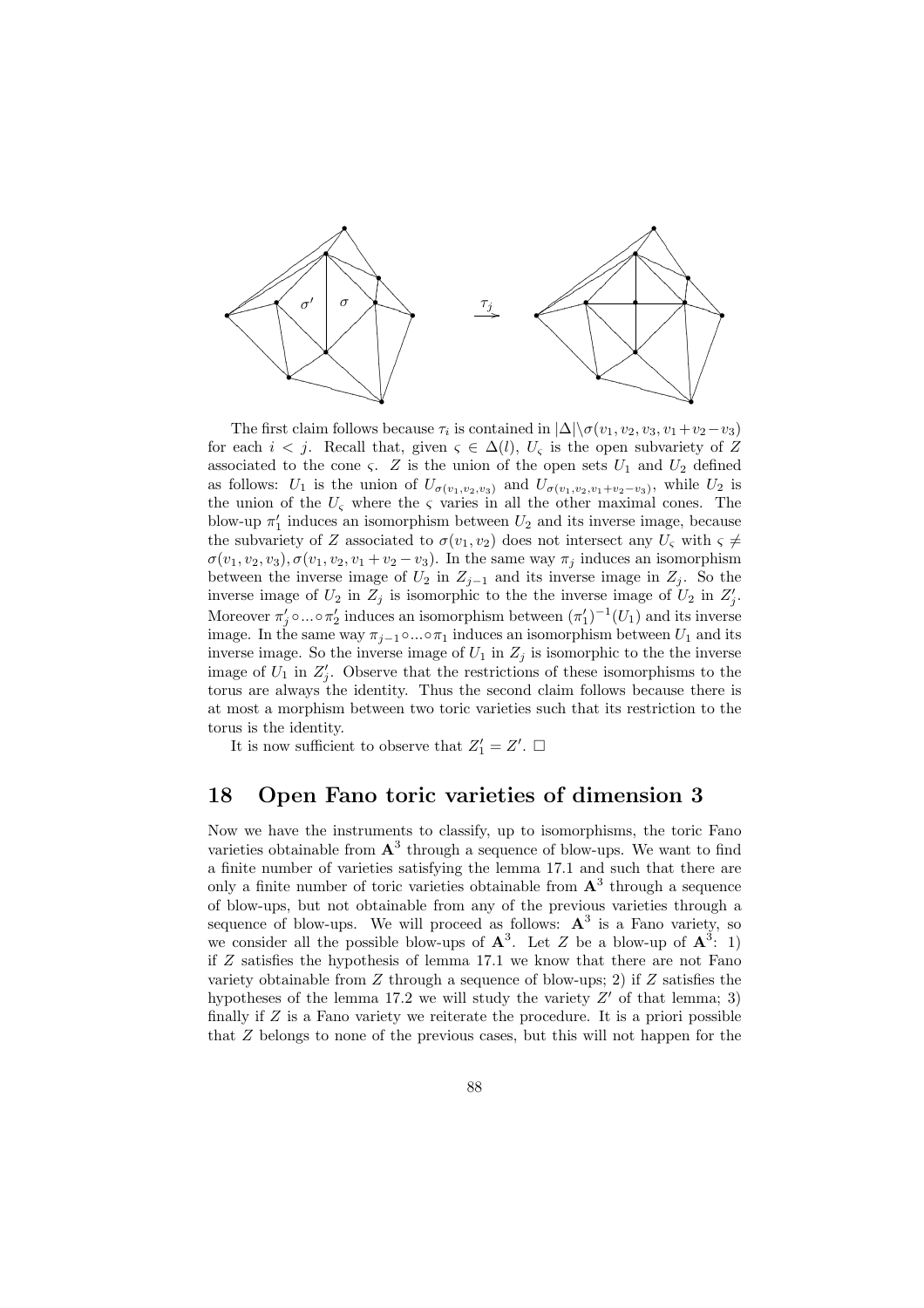

The first claim follows because  $\tau_i$  is contained in  $|\Delta|\langle \sigma(v_1, v_2, v_3, v_1+v_2-v_3)\rangle$ for each  $i < j$ . Recall that, given  $\varsigma \in \Delta(l)$ ,  $U_{\varsigma}$  is the open subvariety of Z associated to the cone  $\zeta$ . Z is the union of the open sets  $U_1$  and  $U_2$  defined as follows:  $U_1$  is the union of  $U_{\sigma(v_1,v_2,v_3)}$  and  $U_{\sigma(v_1,v_2,v_1+v_2-v_3)}$ , while  $U_2$  is the union of the  $U_{\zeta}$  where the  $\zeta$  varies in all the other maximal cones. The blow-up  $\pi'_1$  induces an isomorphism between  $U_2$  and its inverse image, because the subvariety of Z associated to  $\sigma(v_1, v_2)$  does not intersect any  $U_{\varsigma}$  with  $\varsigma \neq$  $\sigma(v_1, v_2, v_3), \sigma(v_1, v_2, v_1 + v_2 - v_3)$ . In the same way  $\pi_j$  induces an isomorphism between the inverse image of  $U_2$  in  $Z_{j-1}$  and its inverse image in  $Z_j$ . So the inverse image of  $U_2$  in  $Z_j$  is isomorphic to the the inverse image of  $U_2$  in  $Z'_j$ . Moreover  $\pi'_j \circ ... \circ \pi'_2$  induces an isomorphism between  $(\pi'_1)^{-1}(U_1)$  and its inverse image. In the same way  $\pi_{i-1} \circ ... \circ \pi_1$  induces an isomorphism between  $U_1$  and its inverse image. So the inverse image of  $U_1$  in  $Z_j$  is isomorphic to the the inverse image of  $U_1$  in  $Z'_j$ . Observe that the restrictions of these isomorphisms to the torus are always the identity. Thus the second claim follows because there is at most a morphism between two toric varieties such that its restriction to the torus is the identity.

It is now sufficient to observe that  $Z'_1 = Z'$ .  $\Box$ 

#### 18 Open Fano toric varieties of dimension 3

Now we have the instruments to classify, up to isomorphisms, the toric Fano varieties obtainable from  $A^3$  through a sequence of blow-ups. We want to find a finite number of varieties satisfying the lemma 17.1 and such that there are only a finite number of toric varieties obtainable from  $A<sup>3</sup>$  through a sequence of blow-ups, but not obtainable from any of the previous varieties through a sequence of blow-ups. We will proceed as follows:  $A^3$  is a Fano variety, so we consider all the possible blow-ups of  $\mathbf{A}^3$ . Let Z be a blow-up of  $\mathbf{A}^3$ : 1) if Z satisfies the hypothesis of lemma 17.1 we know that there are not Fano variety obtainable from  $Z$  through a sequence of blow-ups; 2) if  $Z$  satisfies the hypotheses of the lemma 17.2 we will study the variety  $Z'$  of that lemma; 3) finally if  $Z$  is a Fano variety we reiterate the procedure. It is a priori possible that Z belongs to none of the previous cases, but this will not happen for the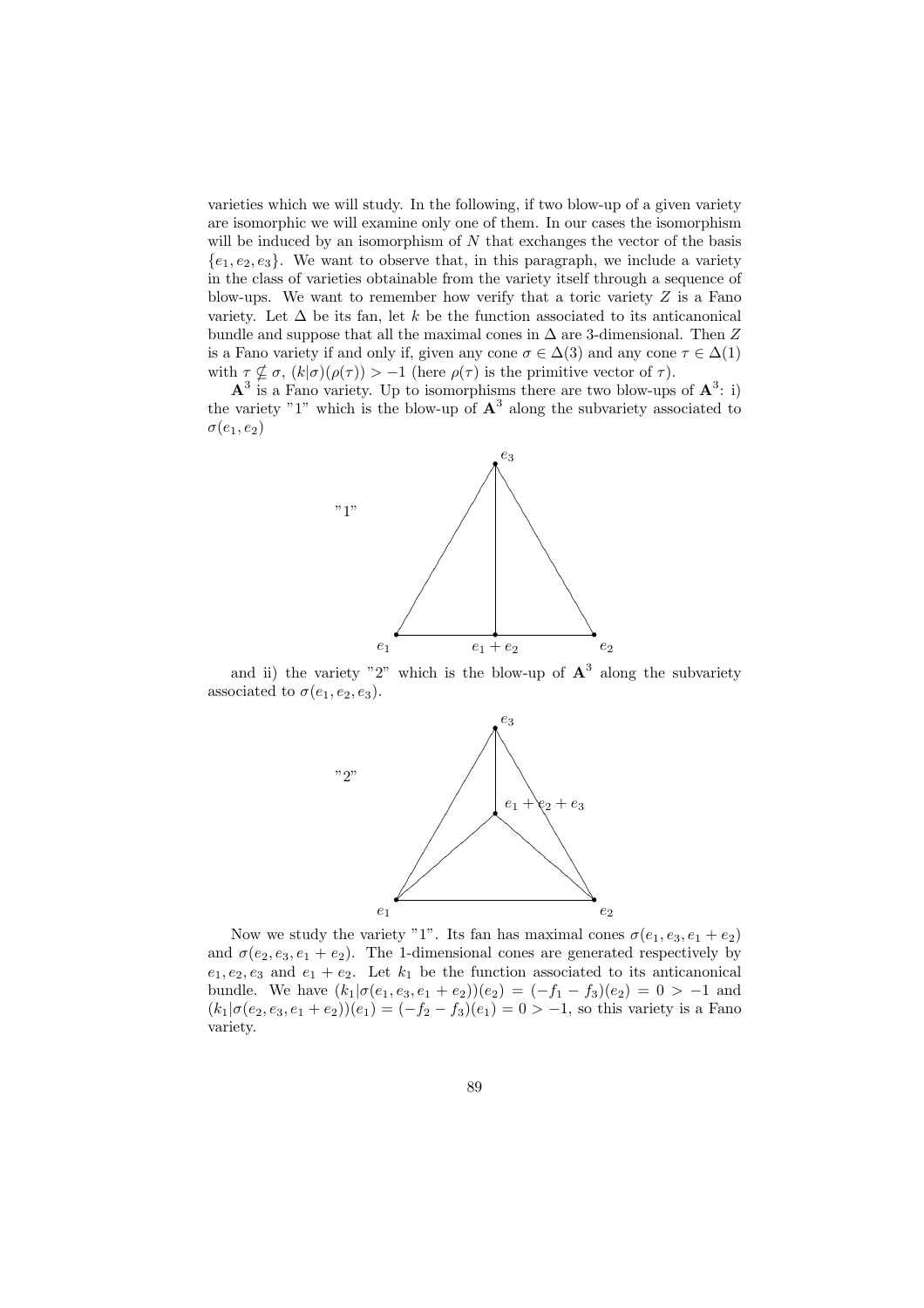varieties which we will study. In the following, if two blow-up of a given variety are isomorphic we will examine only one of them. In our cases the isomorphism will be induced by an isomorphism of  $N$  that exchanges the vector of the basis  ${e_1, e_2, e_3}$ . We want to observe that, in this paragraph, we include a variety in the class of varieties obtainable from the variety itself through a sequence of blow-ups. We want to remember how verify that a toric variety  $Z$  is a Fano variety. Let  $\Delta$  be its fan, let k be the function associated to its anticanonical bundle and suppose that all the maximal cones in  $\Delta$  are 3-dimensional. Then Z is a Fano variety if and only if, given any cone  $\sigma \in \Delta(3)$  and any cone  $\tau \in \Delta(1)$ with  $\tau \nsubseteq \sigma$ ,  $(k|\sigma)(\rho(\tau)) > -1$  (here  $\rho(\tau)$  is the primitive vector of  $\tau$ ).

 $\mathbf{A}^3$  is a Fano variety. Up to isomorphisms there are two blow-ups of  $\mathbf{A}^3$ : i) the variety "1" which is the blow-up of  $\mathbf{A}^3$  along the subvariety associated to  $\sigma(e_1, e_2)$ 



and ii) the variety "2" which is the blow-up of  $A<sup>3</sup>$  along the subvariety associated to  $\sigma(e_1, e_2, e_3)$ .



Now we study the variety "1". Its fan has maximal cones  $\sigma(e_1, e_3, e_1 + e_2)$ and  $\sigma(e_2, e_3, e_1 + e_2)$ . The 1-dimensional cones are generated respectively by  $e_1, e_2, e_3$  and  $e_1 + e_2$ . Let  $k_1$  be the function associated to its anticanonical bundle. We have  $(k_1|\sigma(e_1, e_3, e_1 + e_2))(e_2) = (-f_1 - f_3)(e_2) = 0 > -1$  and  $(k_1|\sigma(e_2, e_3, e_1 + e_2))(e_1) = (-f_2 - f_3)(e_1) = 0 > -1$ , so this variety is a Fano variety.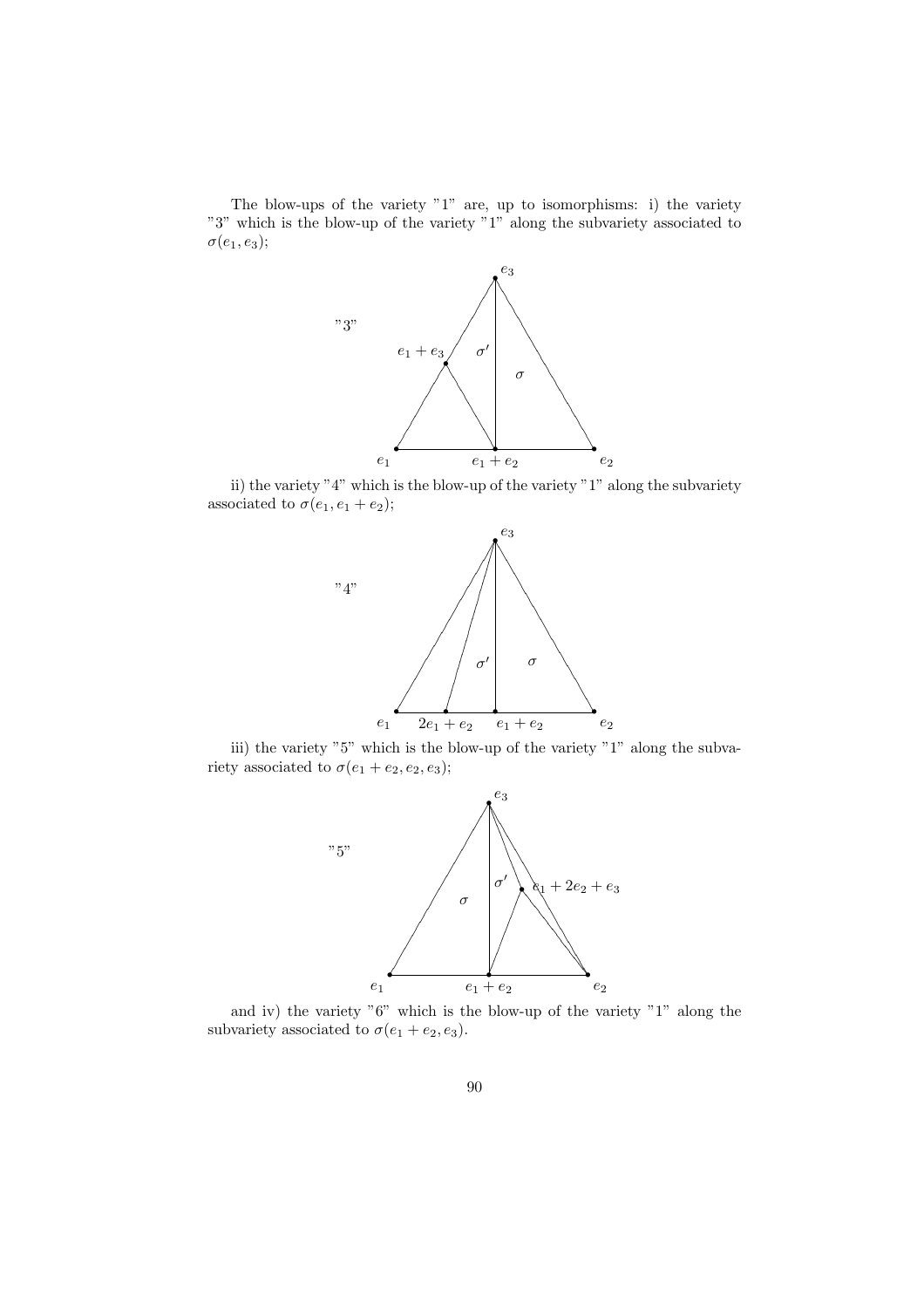The blow-ups of the variety "1" are, up to isomorphisms: i) the variety "3" which is the blow-up of the variety "1" along the subvariety associated to  $\sigma(e_1, e_3);$ 



ii) the variety "4" which is the blow-up of the variety "1" along the subvariety associated to  $\sigma(e_1, e_1 + e_2);$ 



iii) the variety "5" which is the blow-up of the variety "1" along the subvariety associated to  $\sigma(e_1 + e_2, e_2, e_3);$ 



and iv) the variety "6" which is the blow-up of the variety "1" along the subvariety associated to  $\sigma(e_1 + e_2, e_3)$ .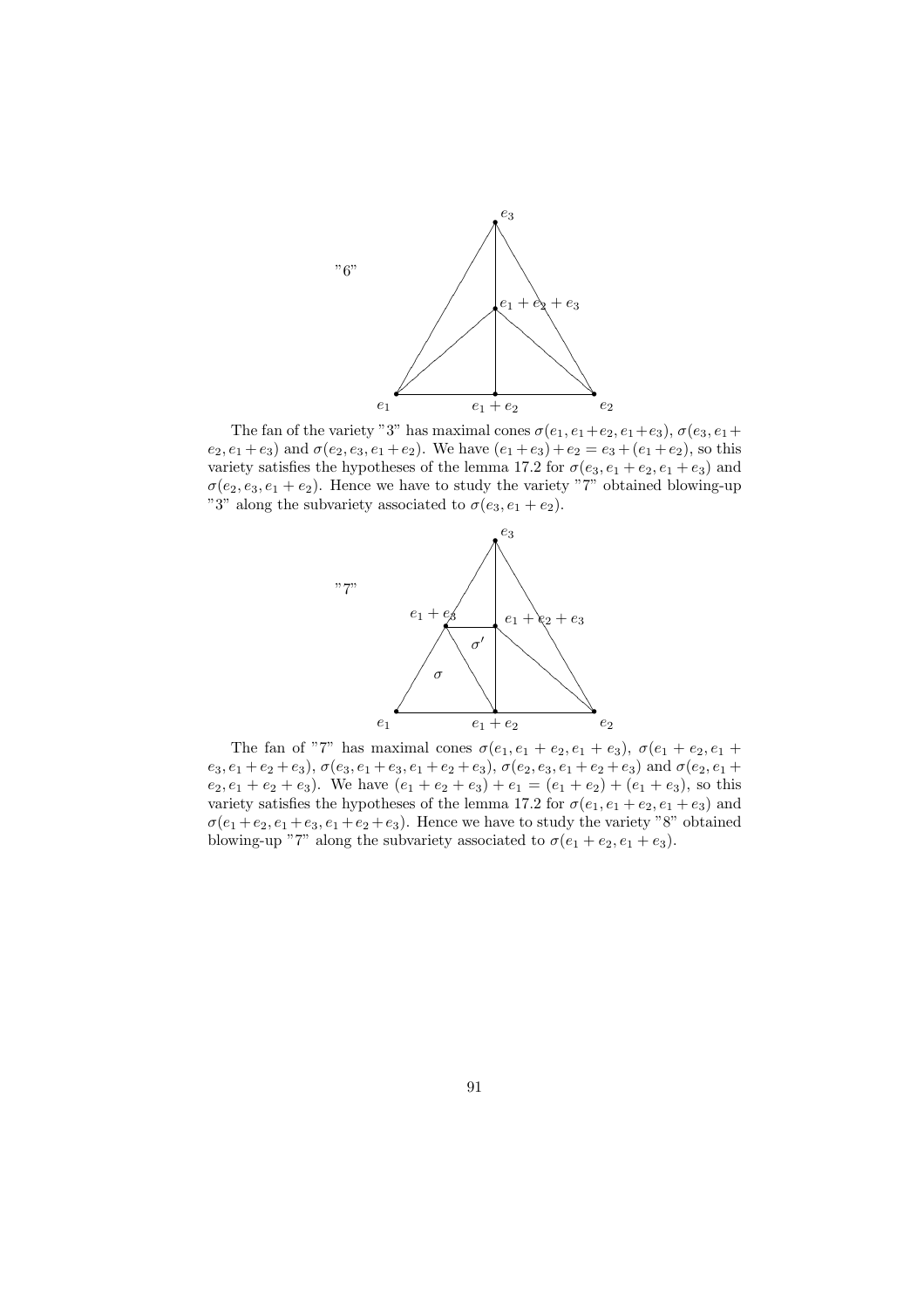

The fan of the variety "3" has maximal cones  $\sigma(e_1, e_1+e_2, e_1+e_3)$ ,  $\sigma(e_3, e_1+$  $e_2, e_1 + e_3$  and  $\sigma(e_2, e_3, e_1 + e_2)$ . We have  $(e_1 + e_3) + e_2 = e_3 + (e_1 + e_2)$ , so this variety satisfies the hypotheses of the lemma 17.2 for  $\sigma(e_3, e_1 + e_2, e_1 + e_3)$  and  $\sigma(e_2, e_3, e_1 + e_2)$ . Hence we have to study the variety "7" obtained blowing-up "3" along the subvariety associated to  $\sigma(e_3, e_1 + e_2)$ .



The fan of "7" has maximal cones  $\sigma(e_1, e_1 + e_2, e_1 + e_3)$ ,  $\sigma(e_1 + e_2, e_1 + e_2)$  $e_3, e_1 + e_2 + e_3$ ),  $\sigma(e_3, e_1 + e_3, e_1 + e_2 + e_3)$ ,  $\sigma(e_2, e_3, e_1 + e_2 + e_3)$  and  $\sigma(e_2, e_1 + e_2 + e_3)$  $e_2, e_1 + e_2 + e_3$ ). We have  $(e_1 + e_2 + e_3) + e_1 = (e_1 + e_2) + (e_1 + e_3)$ , so this variety satisfies the hypotheses of the lemma 17.2 for  $\sigma(e_1, e_1 + e_2, e_1 + e_3)$  and  $\sigma(e_1 + e_2, e_1 + e_3, e_1 + e_2 + e_3)$ . Hence we have to study the variety "8" obtained blowing-up "7" along the subvariety associated to  $\sigma(e_1 + e_2, e_1 + e_3)$ .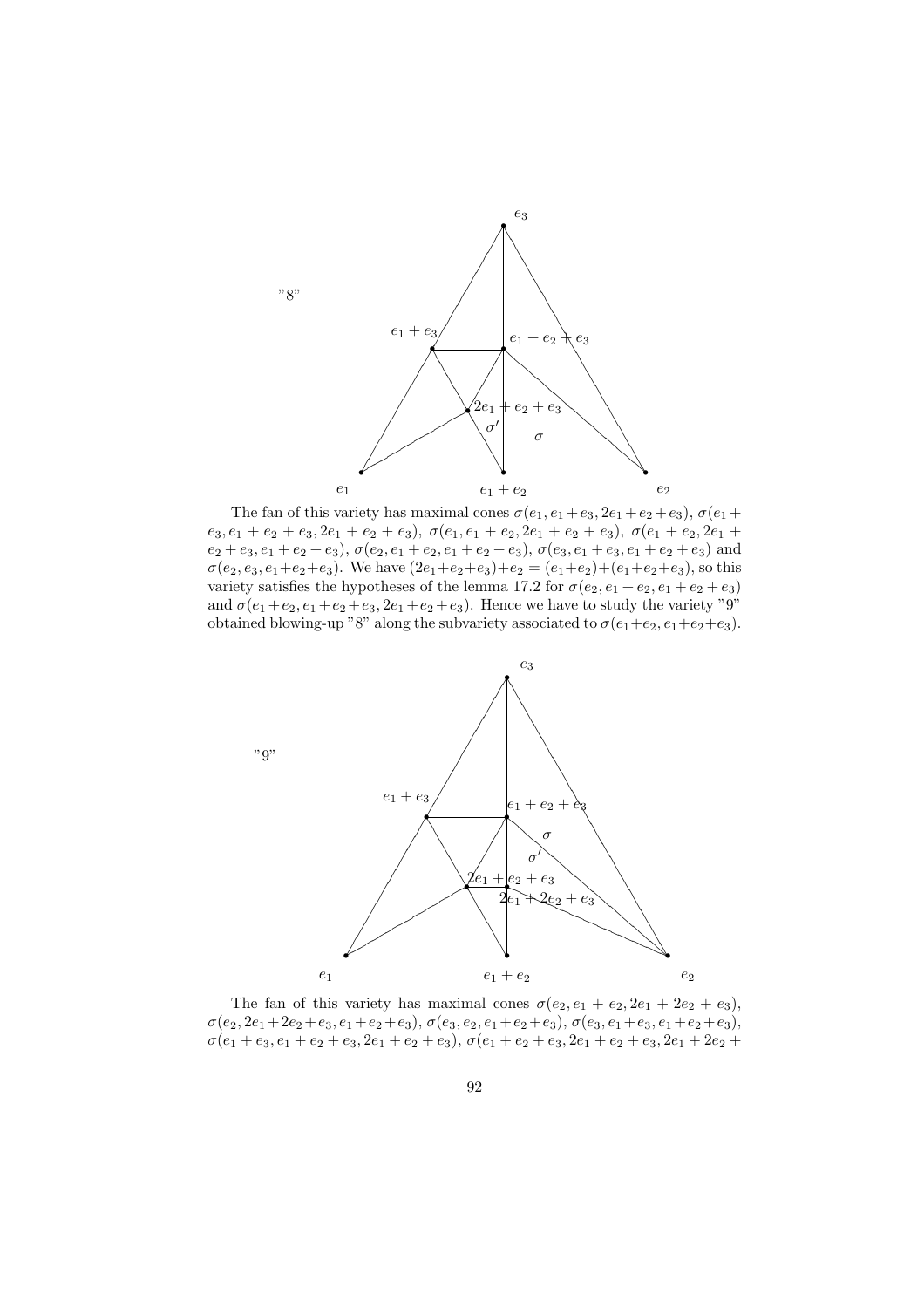

The fan of this variety has maximal cones  $\sigma(e_1, e_1 + e_3, 2e_1 + e_2 + e_3), \sigma(e_1 + e_2 + e_3)$  $e_3, e_1 + e_2 + e_3, 2e_1 + e_2 + e_3$ ),  $\sigma(e_1, e_1 + e_2, 2e_1 + e_2 + e_3)$ ,  $\sigma(e_1 + e_2, 2e_1 +$  $e_2 + e_3, e_1 + e_2 + e_3$ ),  $\sigma(e_2, e_1 + e_2, e_1 + e_2 + e_3)$ ,  $\sigma(e_3, e_1 + e_3, e_1 + e_2 + e_3)$  and  $\sigma(e_2, e_3, e_1+e_2+e_3)$ . We have  $(2e_1+e_2+e_3)+e_2 = (e_1+e_2)+(e_1+e_2+e_3)$ , so this variety satisfies the hypotheses of the lemma 17.2 for  $\sigma(e_2, e_1 + e_2, e_1 + e_2 + e_3)$ and  $\sigma(e_1 + e_2, e_1 + e_2 + e_3, 2e_1 + e_2 + e_3)$ . Hence we have to study the variety "9" obtained blowing-up "8" along the subvariety associated to  $\sigma(e_1+e_2, e_1+e_2+e_3)$ .



The fan of this variety has maximal cones  $\sigma(e_2, e_1 + e_2, 2e_1 + 2e_2 + e_3)$ ,  $\sigma(e_2, 2e_1+2e_2+e_3, e_1+e_2+e_3), \sigma(e_3, e_2, e_1+e_2+e_3), \sigma(e_3, e_1+e_3, e_1+e_2+e_3),$  $\sigma(e_1 + e_3, e_1 + e_2 + e_3, 2e_1 + e_2 + e_3), \sigma(e_1 + e_2 + e_3, 2e_1 + e_2 + e_3, 2e_1 + 2e_2 +$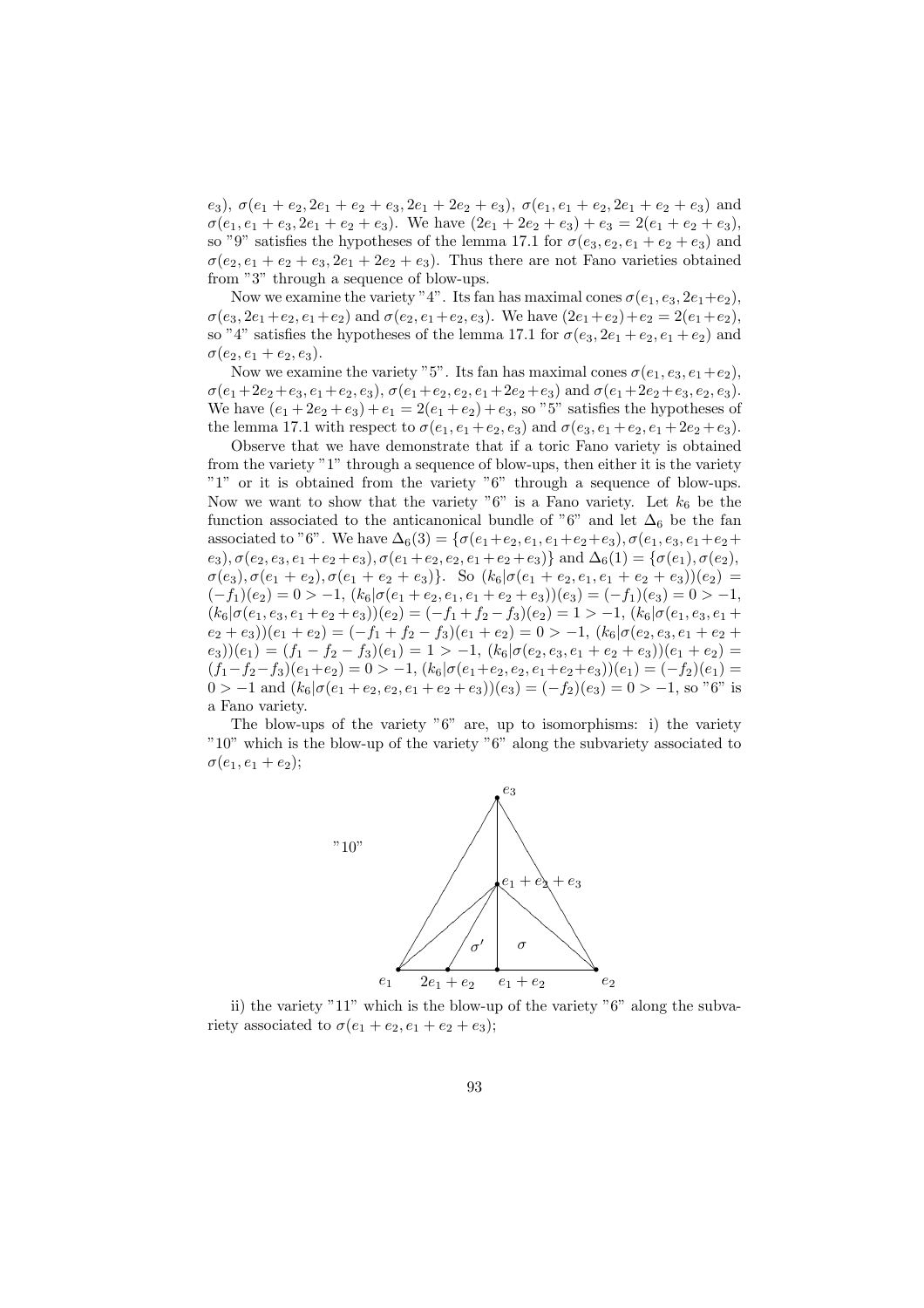e<sub>3</sub>),  $\sigma(e_1 + e_2, 2e_1 + e_2 + e_3, 2e_1 + 2e_2 + e_3)$ ,  $\sigma(e_1, e_1 + e_2, 2e_1 + e_2 + e_3)$  and  $\sigma(e_1, e_1 + e_3, 2e_1 + e_2 + e_3)$ . We have  $(2e_1 + 2e_2 + e_3) + e_3 = 2(e_1 + e_2 + e_3)$ , so "9" satisfies the hypotheses of the lemma 17.1 for  $\sigma(e_3, e_2, e_1 + e_2 + e_3)$  and  $\sigma(e_2, e_1 + e_2 + e_3, 2e_1 + 2e_2 + e_3)$ . Thus there are not Fano varieties obtained from "3" through a sequence of blow-ups.

Now we examine the variety "4". Its fan has maximal cones  $\sigma(e_1, e_3, 2e_1+e_2)$ ,  $\sigma(e_3, 2e_1+e_2, e_1+e_2)$  and  $\sigma(e_2, e_1+e_2, e_3)$ . We have  $(2e_1+e_2)+e_2 = 2(e_1+e_2)$ , so "4" satisfies the hypotheses of the lemma 17.1 for  $\sigma(e_3, 2e_1 + e_2, e_1 + e_2)$  and  $\sigma(e_2, e_1 + e_2, e_3).$ 

Now we examine the variety "5". Its fan has maximal cones  $\sigma(e_1, e_3, e_1+e_2)$ ,  $\sigma(e_1+2e_2+e_3, e_1+e_2, e_3), \sigma(e_1+e_2, e_2, e_1+2e_2+e_3)$  and  $\sigma(e_1+2e_2+e_3, e_2, e_3)$ . We have  $(e_1 + 2e_2 + e_3) + e_1 = 2(e_1 + e_2) + e_3$ , so "5" satisfies the hypotheses of the lemma 17.1 with respect to  $\sigma(e_1, e_1 + e_2, e_3)$  and  $\sigma(e_3, e_1 + e_2, e_1 + 2e_2 + e_3)$ .

Observe that we have demonstrate that if a toric Fano variety is obtained from the variety "1" through a sequence of blow-ups, then either it is the variety "1" or it is obtained from the variety "6" through a sequence of blow-ups. Now we want to show that the variety "6" is a Fano variety. Let  $k_6$  be the function associated to the anticanonical bundle of "6" and let  $\Delta_6$  be the fan associated to "6". We have  $\Delta_6(3) = \{\sigma(e_1+e_2, e_1, e_1+e_2+e_3), \sigma(e_1, e_3, e_1+e_2+e_3)\}$  $(e_3)$ ,  $\sigma(e_2, e_3, e_1 + e_2 + e_3)$ ,  $\sigma(e_1 + e_2, e_2, e_1 + e_2 + e_3)$ } and  $\Delta_6(1) = \{\sigma(e_1), \sigma(e_2),$  $\sigma(e_3), \sigma(e_1+e_2), \sigma(e_1+e_2+e_3)\}.$  So  $(k_6|\sigma(e_1+e_2, e_1, e_1+e_2+e_3))(e_2)$  $(-f_1)(e_2) = 0 > -1, (k_6|\sigma(e_1 + e_2, e_1, e_1 + e_2 + e_3))$  $(e_3) = (-f_1)(e_3) = 0 > -1,$  $(k_6|\sigma(e_1, e_3, e_1 + e_2 + e_3))(e_2) = (-f_1 + f_2 - f_3)(e_2) = 1 > -1, (k_6|\sigma(e_1, e_3, e_1 + e_2 + e_3))$  $(e_2 + e_3)(e_1 + e_2) = (-f_1 + f_2 - f_3)(e_1 + e_2) = 0 > -1, (k_6 | \sigma(e_2, e_3, e_1 + e_2 + e_3))$  $(e_3)(e_1) = (f_1 - f_2 - f_3)(e_1) = 1 > -1, (k_6 | \sigma(e_2, e_3, e_1 + e_2 + e_3)) (e_1 + e_2) =$  $(f_1-f_2-f_3)(e_1+e_2)=0>-1, (k_6|\sigma(e_1+e_2,e_2,e_1+e_2+e_3))(e_1)=(-f_2)(e_1)=$  $0 > -1$  and  $(k_6|\sigma(e_1 + e_2, e_2, e_1 + e_2 + e_3))(e_3) = (-f_2)(e_3) = 0 > -1$ , so "6" is a Fano variety.

The blow-ups of the variety "6" are, up to isomorphisms: i) the variety "10" which is the blow-up of the variety "6" along the subvariety associated to  $\sigma(e_1, e_1 + e_2);$ 



ii) the variety "11" which is the blow-up of the variety "6" along the subvariety associated to  $\sigma(e_1 + e_2, e_1 + e_2 + e_3);$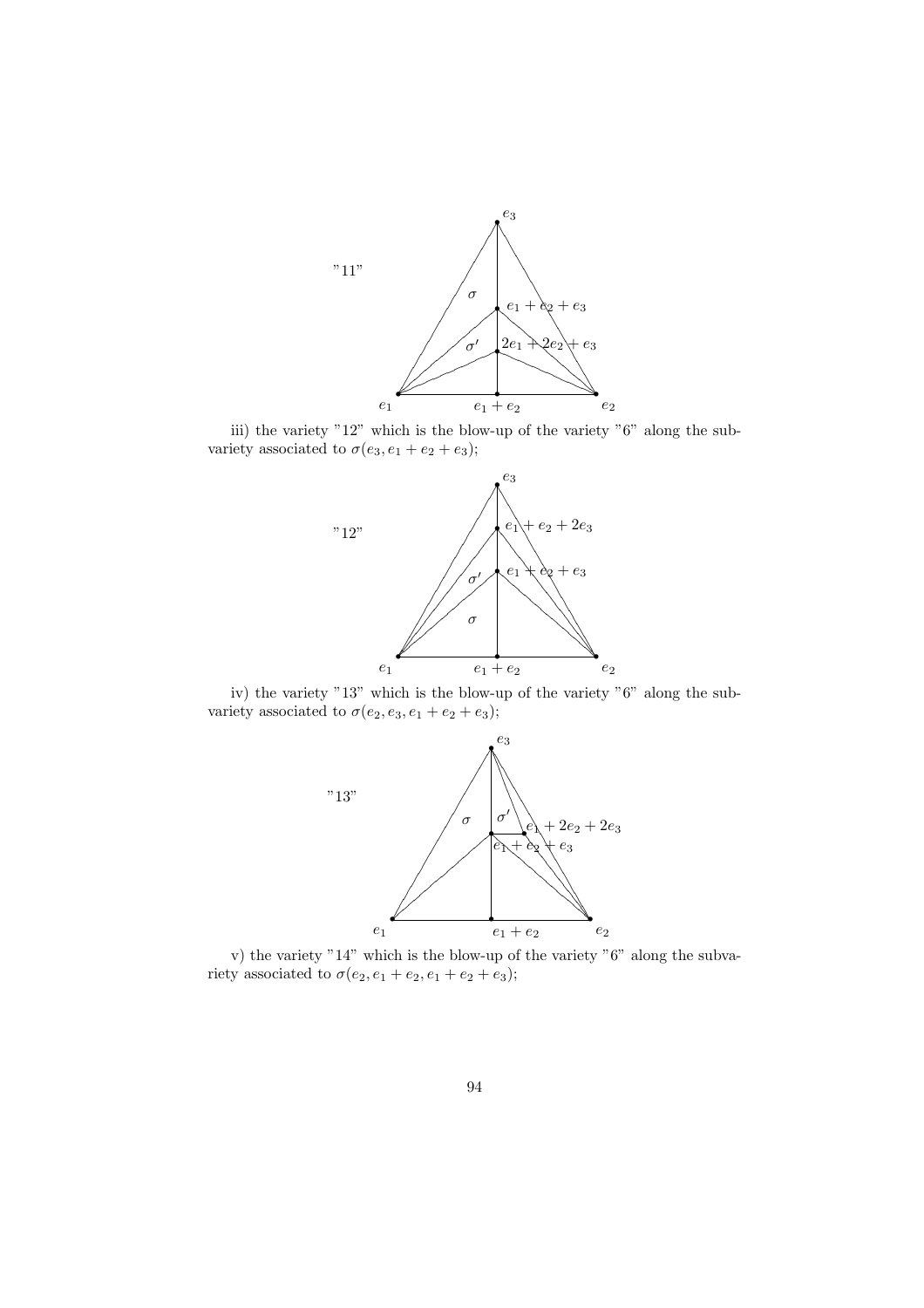

iii) the variety "12" which is the blow-up of the variety "6" along the subvariety associated to  $\sigma(e_3, e_1 + e_2 + e_3);$ 



iv) the variety "13" which is the blow-up of the variety "6" along the subvariety associated to  $\sigma(e_2, e_3, e_1 + e_2 + e_3);$ 



v) the variety "14" which is the blow-up of the variety "6" along the subvariety associated to  $\sigma(e_2, e_1 + e_2, e_1 + e_2 + e_3);$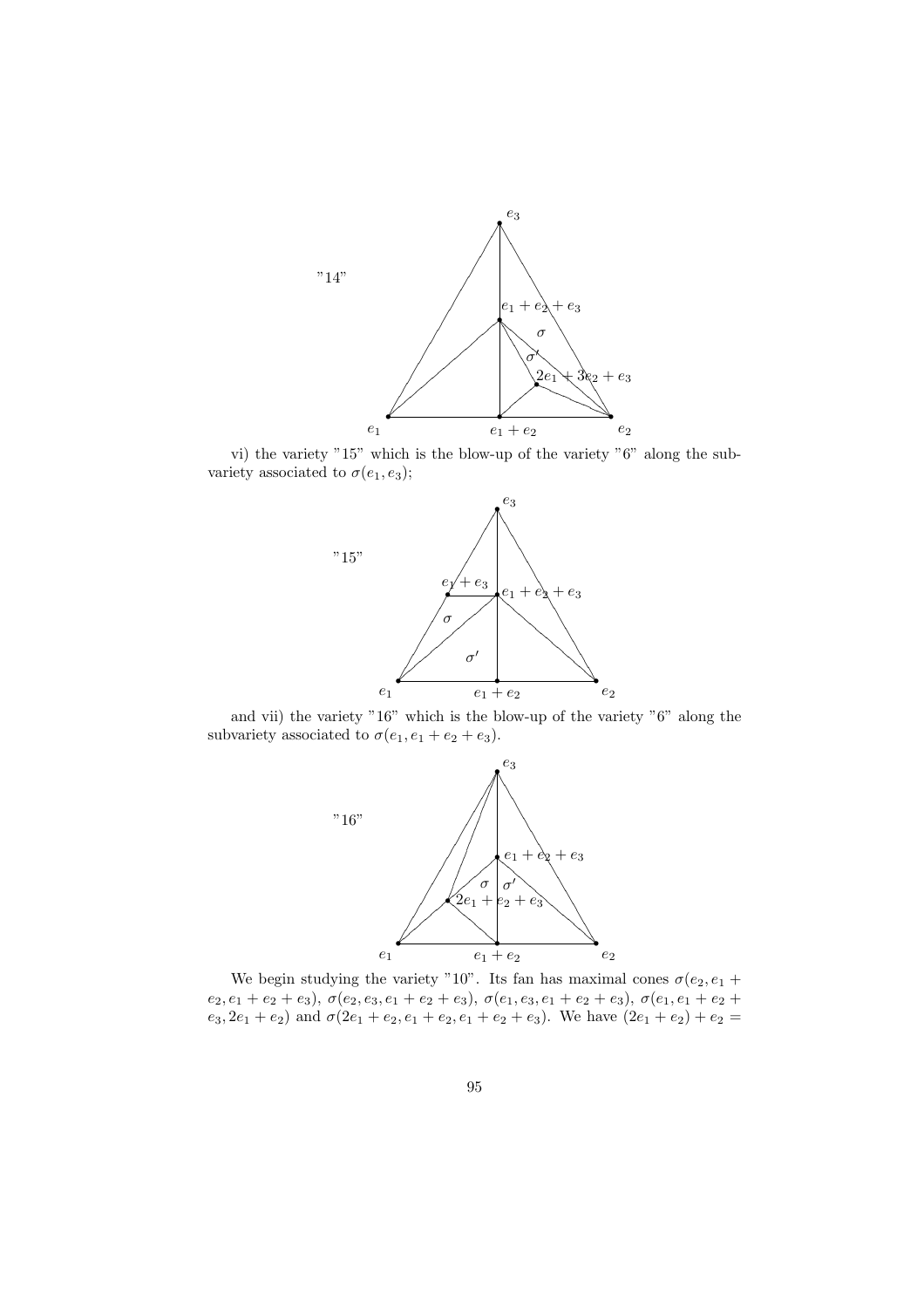

vi) the variety "15" which is the blow-up of the variety "6" along the subvariety associated to  $\sigma(e_1, e_3)$ ;



and vii) the variety "16" which is the blow-up of the variety "6" along the subvariety associated to  $\sigma(e_1, e_1 + e_2 + e_3)$ .



We begin studying the variety "10". Its fan has maximal cones  $\sigma(e_2, e_1 +$  $e_2, e_1 + e_2 + e_3), \ \sigma(e_2, e_3, e_1 + e_2 + e_3), \ \sigma(e_1, e_3, e_1 + e_2 + e_3), \ \sigma(e_1, e_1 + e_2 + e_4)$  $e_3, 2e_1 + e_2$  and  $\sigma(2e_1 + e_2, e_1 + e_2, e_1 + e_2 + e_3)$ . We have  $(2e_1 + e_2) + e_2$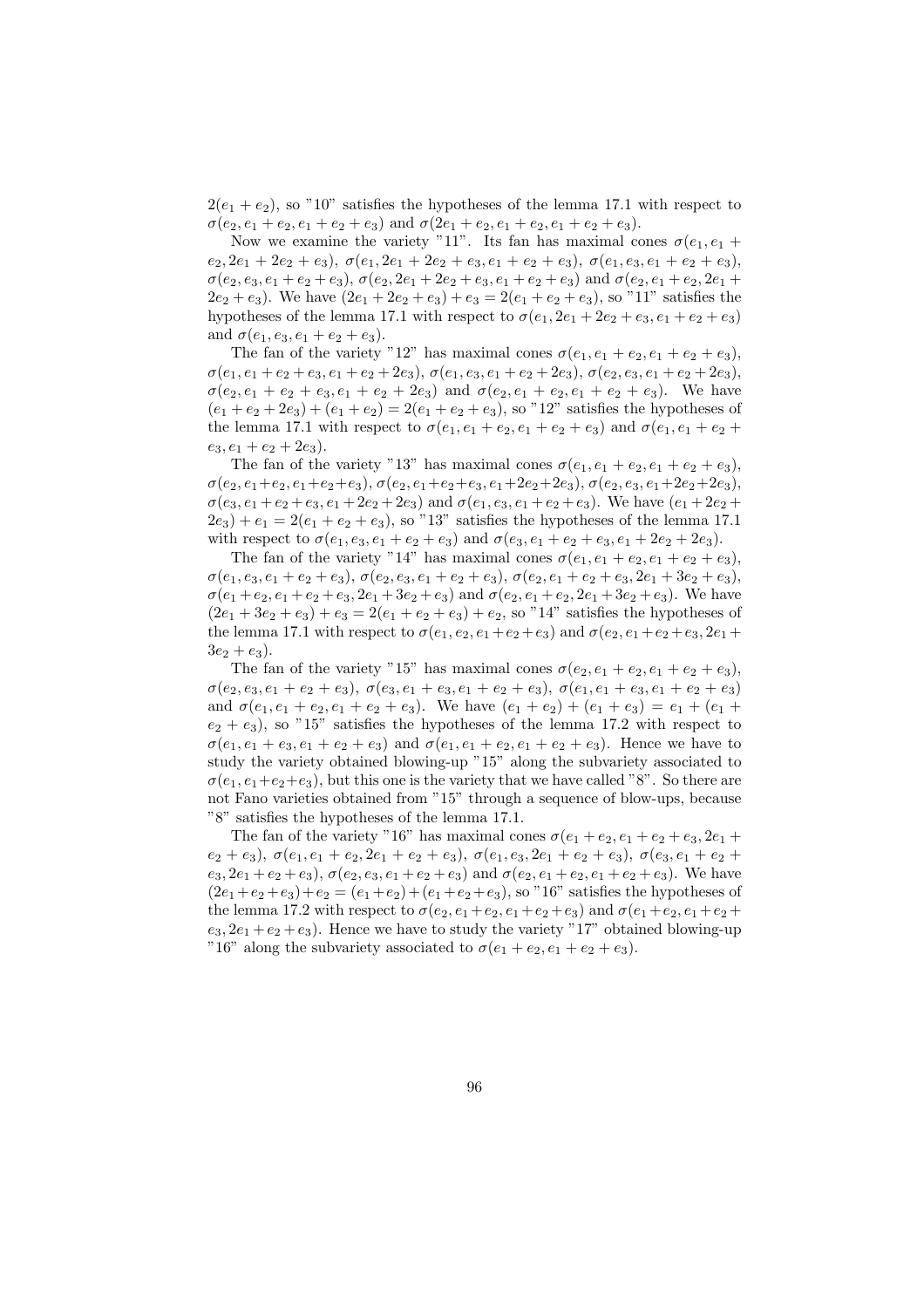$2(e_1 + e_2)$ , so "10" satisfies the hypotheses of the lemma 17.1 with respect to  $\sigma(e_2, e_1 + e_2, e_1 + e_2 + e_3)$  and  $\sigma(2e_1 + e_2, e_1 + e_2, e_1 + e_2 + e_3)$ .

Now we examine the variety "11". Its fan has maximal cones  $\sigma(e_1, e_1 +$  $e_2, 2e_1 + 2e_2 + e_3$ ),  $\sigma(e_1, 2e_1 + 2e_2 + e_3, e_1 + e_2 + e_3)$ ,  $\sigma(e_1, e_3, e_1 + e_2 + e_3)$ ,  $\sigma(e_2, e_3, e_1 + e_2 + e_3), \sigma(e_2, 2e_1 + 2e_2 + e_3, e_1 + e_2 + e_3)$  and  $\sigma(e_2, e_1 + e_2, 2e_1 +$  $2e_2 + e_3$ ). We have  $(2e_1 + 2e_2 + e_3) + e_3 = 2(e_1 + e_2 + e_3)$ , so "11" satisfies the hypotheses of the lemma 17.1 with respect to  $\sigma(e_1, 2e_1 + 2e_2 + e_3, e_1 + e_2 + e_3)$ and  $\sigma(e_1, e_3, e_1 + e_2 + e_3)$ .

The fan of the variety "12" has maximal cones  $\sigma(e_1, e_1 + e_2, e_1 + e_2 + e_3)$ ,  $\sigma(e_1, e_1 + e_2 + e_3, e_1 + e_2 + 2e_3), \sigma(e_1, e_3, e_1 + e_2 + 2e_3), \sigma(e_2, e_3, e_1 + e_2 + 2e_3),$  $\sigma(e_2, e_1 + e_2 + e_3, e_1 + e_2 + 2e_3)$  and  $\sigma(e_2, e_1 + e_2, e_1 + e_2 + e_3)$ . We have  $(e_1 + e_2 + 2e_3) + (e_1 + e_2) = 2(e_1 + e_2 + e_3)$ , so "12" satisfies the hypotheses of the lemma 17.1 with respect to  $\sigma(e_1, e_1 + e_2, e_1 + e_2 + e_3)$  and  $\sigma(e_1, e_1 + e_2 + e_3)$  $e_3, e_1 + e_2 + 2e_3$ .

The fan of the variety "13" has maximal cones  $\sigma(e_1, e_1 + e_2, e_1 + e_2 + e_3)$ ,  $\sigma(e_2, e_1+e_2, e_1+e_2+e_3), \sigma(e_2, e_1+e_2+e_3, e_1+2e_2+2e_3), \sigma(e_2, e_3, e_1+2e_2+2e_3),$  $\sigma(e_3, e_1 + e_2 + e_3, e_1 + 2e_2 + 2e_3)$  and  $\sigma(e_1, e_3, e_1 + e_2 + e_3)$ . We have  $(e_1 + 2e_2 +$  $2e_3$ ) +  $e_1 = 2(e_1 + e_2 + e_3)$ , so "13" satisfies the hypotheses of the lemma 17.1 with respect to  $\sigma(e_1, e_3, e_1 + e_2 + e_3)$  and  $\sigma(e_3, e_1 + e_2 + e_3, e_1 + 2e_2 + 2e_3)$ .

The fan of the variety "14" has maximal cones  $\sigma(e_1, e_1 + e_2, e_1 + e_2 + e_3)$ ,  $\sigma(e_1, e_3, e_1 + e_2 + e_3), \sigma(e_2, e_3, e_1 + e_2 + e_3), \sigma(e_2, e_1 + e_2 + e_3, 2e_1 + 3e_2 + e_3),$  $\sigma(e_1 + e_2, e_1 + e_2 + e_3, 2e_1 + 3e_2 + e_3)$  and  $\sigma(e_2, e_1 + e_2, 2e_1 + 3e_2 + e_3)$ . We have  $(2e_1 + 3e_2 + e_3) + e_3 = 2(e_1 + e_2 + e_3) + e_2$ , so "14" satisfies the hypotheses of the lemma 17.1 with respect to  $\sigma(e_1, e_2, e_1 + e_2 + e_3)$  and  $\sigma(e_2, e_1 + e_2 + e_3, 2e_1 +$  $3e_2 + e_3$ .

The fan of the variety "15" has maximal cones  $\sigma(e_2, e_1 + e_2, e_1 + e_2 + e_3)$ ,  $\sigma(e_2, e_3, e_1 + e_2 + e_3), \ \sigma(e_3, e_1 + e_3, e_1 + e_2 + e_3), \ \sigma(e_1, e_1 + e_3, e_1 + e_2 + e_3)$ and  $\sigma(e_1, e_1 + e_2, e_1 + e_2 + e_3)$ . We have  $(e_1 + e_2) + (e_1 + e_3) = e_1 + (e_1 + e_2)$  $e_2 + e_3$ ), so "15" satisfies the hypotheses of the lemma 17.2 with respect to  $\sigma(e_1, e_1 + e_3, e_1 + e_2 + e_3)$  and  $\sigma(e_1, e_1 + e_2, e_1 + e_2 + e_3)$ . Hence we have to study the variety obtained blowing-up "15" along the subvariety associated to  $\sigma(e_1, e_1+e_2+e_3)$ , but this one is the variety that we have called "8". So there are not Fano varieties obtained from "15" through a sequence of blow-ups, because "8" satisfies the hypotheses of the lemma 17.1.

The fan of the variety "16" has maximal cones  $\sigma(e_1 + e_2, e_1 + e_2 + e_3, 2e_1 +$  $(e_2 + e_3), \sigma(e_1, e_1 + e_2, 2e_1 + e_2 + e_3), \sigma(e_1, e_3, 2e_1 + e_2 + e_3), \sigma(e_3, e_1 + e_2 + e_4)$  $e_3, 2e_1 + e_2 + e_3$ ,  $\sigma(e_2, e_3, e_1 + e_2 + e_3)$  and  $\sigma(e_2, e_1 + e_2, e_1 + e_2 + e_3)$ . We have  $(2e_1 + e_2 + e_3) + e_2 = (e_1 + e_2) + (e_1 + e_2 + e_3)$ , so "16" satisfies the hypotheses of the lemma 17.2 with respect to  $\sigma(e_2, e_1 + e_2, e_1 + e_2 + e_3)$  and  $\sigma(e_1 + e_2, e_1 + e_2 + e_3)$  $e_3$ ,  $2e_1 + e_2 + e_3$ ). Hence we have to study the variety "17" obtained blowing-up "16" along the subvariety associated to  $\sigma(e_1 + e_2, e_1 + e_2 + e_3)$ .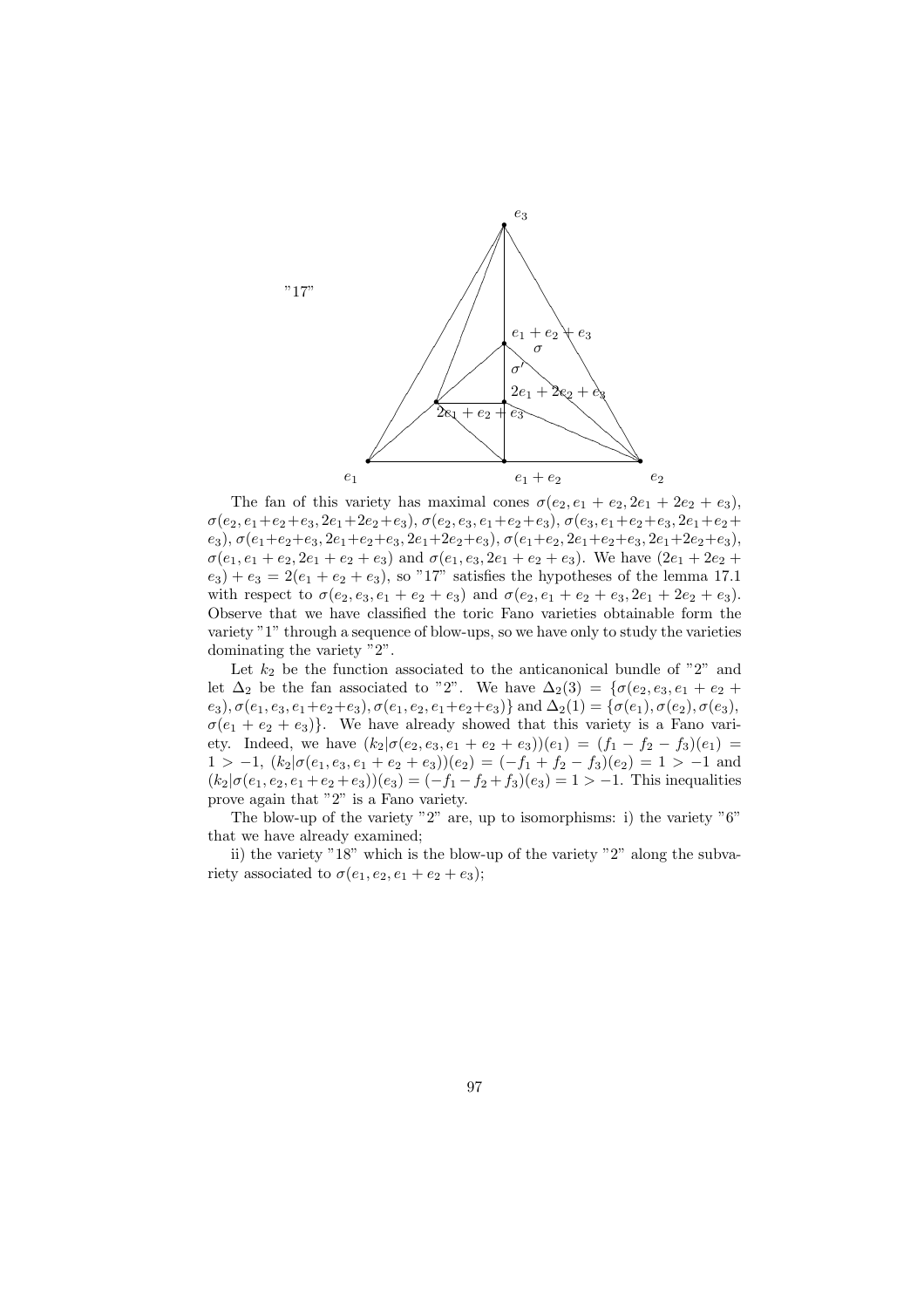

The fan of this variety has maximal cones  $\sigma(e_2, e_1 + e_2, 2e_1 + 2e_2 + e_3)$ ,  $\sigma(e_2, e_1+e_2+e_3, 2e_1+2e_2+e_3), \sigma(e_2, e_3, e_1+e_2+e_3), \sigma(e_3, e_1+e_2+e_3, 2e_1+e_2+e_3)$  $e_3$ ),  $\sigma(e_1+e_2+e_3, 2e_1+e_2+e_3, 2e_1+2e_2+e_3), \sigma(e_1+e_2, 2e_1+e_2+e_3, 2e_1+2e_2+e_3),$  $\sigma(e_1, e_1 + e_2, 2e_1 + e_2 + e_3)$  and  $\sigma(e_1, e_3, 2e_1 + e_2 + e_3)$ . We have  $(2e_1 + 2e_2 +$  $e_3$ ) +  $e_3$  = 2( $e_1$  +  $e_2$  +  $e_3$ ), so "17" satisfies the hypotheses of the lemma 17.1 with respect to  $\sigma(e_2, e_3, e_1 + e_2 + e_3)$  and  $\sigma(e_2, e_1 + e_2 + e_3, 2e_1 + 2e_2 + e_3)$ . Observe that we have classified the toric Fano varieties obtainable form the variety "1" through a sequence of blow-ups, so we have only to study the varieties dominating the variety "2".

Let  $k_2$  be the function associated to the anticanonical bundle of "2" and let  $\Delta_2$  be the fan associated to "2". We have  $\Delta_2(3) = \{ \sigma(e_2, e_3, e_1 + e_2 + \cdots) \}$  $(e_3), \sigma(e_1, e_3, e_1+e_2+e_3), \sigma(e_1, e_2, e_1+e_2+e_3)$ } and  $\Delta_2(1) = \{\sigma(e_1), \sigma(e_2), \sigma(e_3),$  $\sigma(e_1 + e_2 + e_3)$ . We have already showed that this variety is a Fano variety. Indeed, we have  $(k_2|\sigma(e_2, e_3, e_1 + e_2 + e_3))$  $(e_1) = (f_1 - f_2 - f_3)(e_1)$  $1 > -1$ ,  $(k_2 | \sigma(e_1, e_3, e_1 + e_2 + e_3)) (e_2) = (-f_1 + f_2 - f_3)(e_2) = 1 > -1$  and  $(k_2|\sigma(e_1, e_2, e_1 + e_2 + e_3))$  $(e_3) = (-f_1 - f_2 + f_3)(e_3) = 1 > -1$ . This inequalities prove again that "2" is a Fano variety.

The blow-up of the variety "2" are, up to isomorphisms: i) the variety "6" that we have already examined;

ii) the variety "18" which is the blow-up of the variety "2" along the subvariety associated to  $\sigma(e_1, e_2, e_1 + e_2 + e_3);$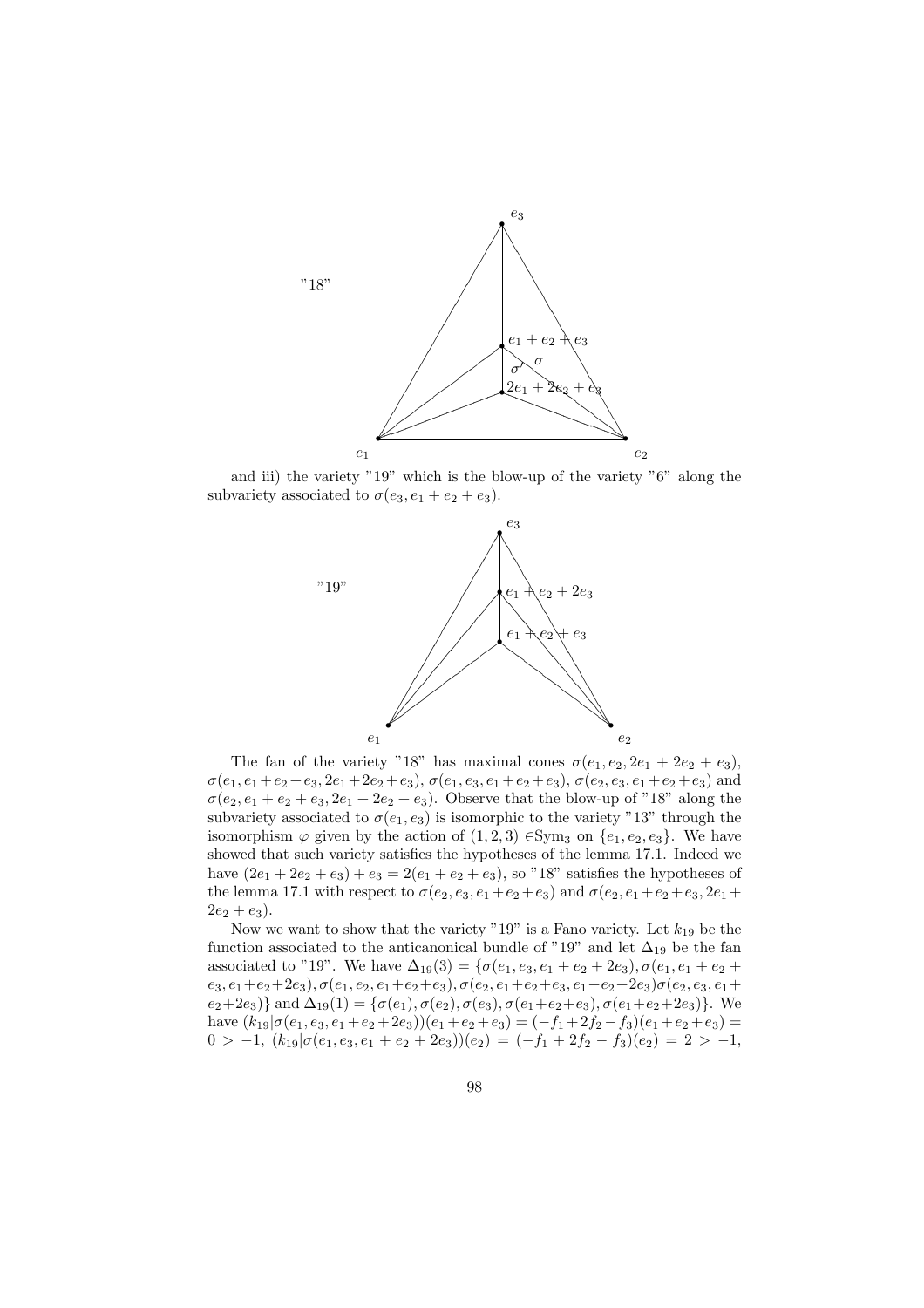

and iii) the variety "19" which is the blow-up of the variety "6" along the subvariety associated to  $\sigma(e_3, e_1 + e_2 + e_3)$ .



The fan of the variety "18" has maximal cones  $\sigma(e_1, e_2, 2e_1 + 2e_2 + e_3)$ ,  $\sigma(e_1, e_1 + e_2 + e_3, 2e_1 + 2e_2 + e_3), \sigma(e_1, e_3, e_1 + e_2 + e_3), \sigma(e_2, e_3, e_1 + e_2 + e_3)$  and  $\sigma(e_2, e_1 + e_2 + e_3, 2e_1 + 2e_2 + e_3)$ . Observe that the blow-up of "18" along the subvariety associated to  $\sigma(e_1, e_3)$  is isomorphic to the variety "13" through the isomorphism  $\varphi$  given by the action of  $(1,2,3)$  ∈Sym<sub>3</sub> on  $\{e_1, e_2, e_3\}$ . We have showed that such variety satisfies the hypotheses of the lemma 17.1. Indeed we have  $(2e_1 + 2e_2 + e_3) + e_3 = 2(e_1 + e_2 + e_3)$ , so "18" satisfies the hypotheses of the lemma 17.1 with respect to  $\sigma(e_2, e_3, e_1 + e_2 + e_3)$  and  $\sigma(e_2, e_1 + e_2 + e_3, 2e_1 +$  $2e_2 + e_3$ ).

Now we want to show that the variety "19" is a Fano variety. Let  $k_{19}$  be the function associated to the anticanonical bundle of "19" and let  $\Delta_{19}$  be the fan associated to "19". We have  $\Delta_{19}(3) = {\sigma(e_1, e_3, e_1 + e_2 + 2e_3), \sigma(e_1, e_1 + e_2 + 2e_4)}$  $e_3, e_1+e_2+2e_3), \sigma(e_1, e_2, e_1+e_2+e_3), \sigma(e_2, e_1+e_2+e_3, e_1+e_2+2e_3)\sigma(e_2, e_3, e_1+e_2+2e_3)$  $e_2+2e_3$ } and  $\Delta_{19}(1) = {\sigma(e_1), \sigma(e_2), \sigma(e_3), \sigma(e_1+e_2+e_3), \sigma(e_1+e_2+2e_3)}.$  We have  $(k_{19}|\sigma(e_1, e_3, e_1 + e_2 + 2e_3))(e_1 + e_2 + e_3) = (-f_1 + 2f_2 - f_3)(e_1 + e_2 + e_3) =$  $0 > -1$ ,  $(k_{19}|\sigma(e_1, e_3, e_1 + e_2 + 2e_3))(e_2) = (-f_1 + 2f_2 - f_3)(e_2) = 2 > -1$ ,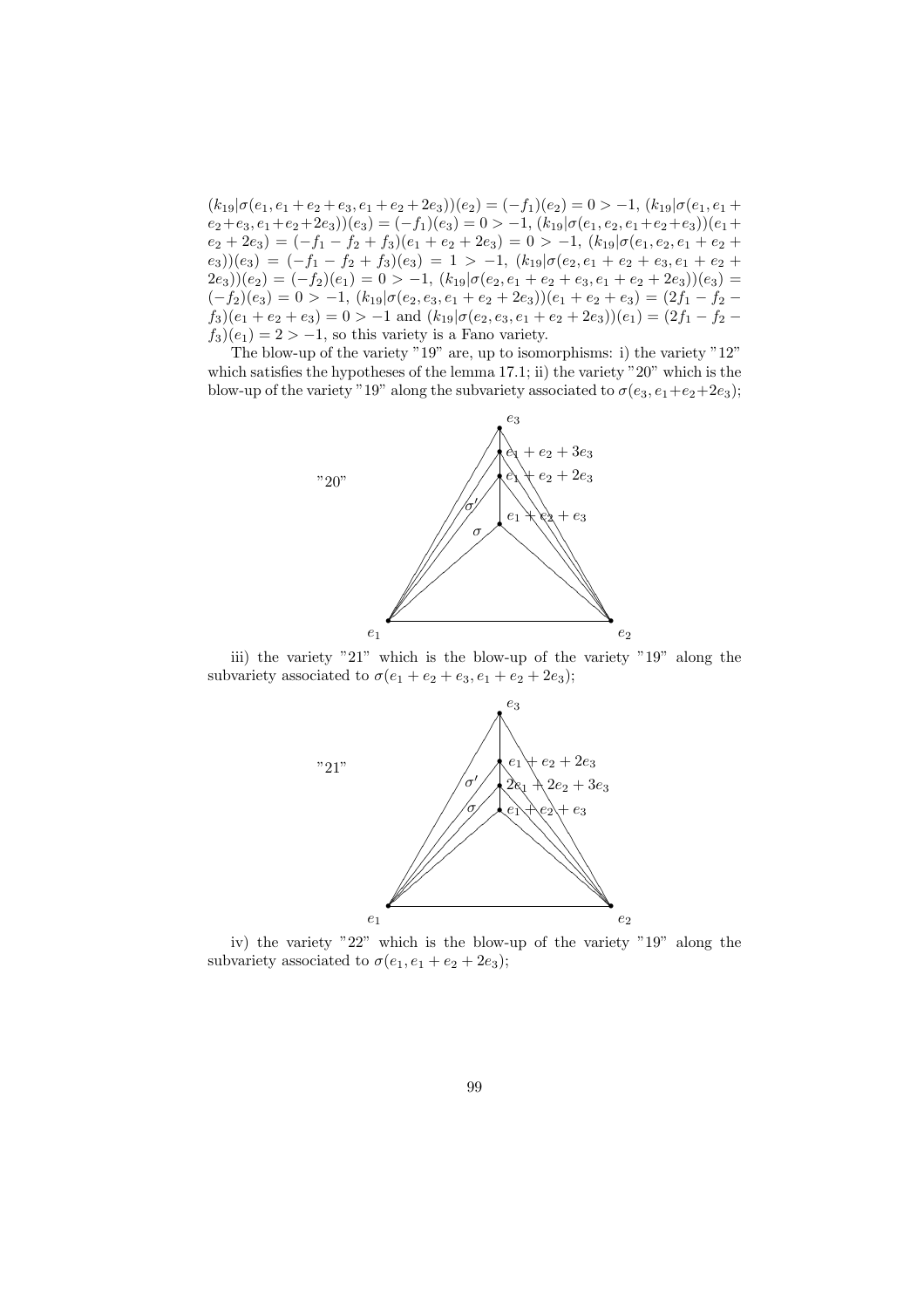$(k_{19}|\sigma(e_1, e_1 + e_2 + e_3, e_1 + e_2 + 2e_3))$  $(e_2) = (-f_1)(e_2) = 0 > -1, (k_{19}|\sigma(e_1, e_1 + e_2 + e_3, e_1 + e_2 + 2e_3))$  $(e_2+e_3, e_1+e_2+2e_3)(e_3)=(-f_1)(e_3)=0>-1, (k_{19}|\sigma(e_1, e_2, e_1+e_2+e_3))(e_1+$  $(e_2 + 2e_3) = (-f_1 - f_2 + f_3)(e_1 + e_2 + 2e_3) = 0 > -1, (k_{19}|\sigma(e_1, e_2, e_1 + e_2 +$  $(e_3)(e_3) = (-f_1 - f_2 + f_3)(e_3) = 1 > -1, (k_{19}|\sigma(e_2, e_1 + e_2 + e_3, e_1 + e_2 + e_3))$  $(2e_3)(e_2) = (-f_2)(e_1) = 0 > -1, (k_{19}|\sigma(e_2, e_1 + e_2 + e_3, e_1 + e_2 + 2e_3))(e_3) =$  $(-f_2)(e_3) = 0 > -1, (k_{19}|\sigma(e_2, e_3, e_1 + e_2 + 2e_3))(e_1 + e_2 + e_3) = (2f_1 - f_2$  $f_3$ )( $e_1 + e_2 + e_3$ ) = 0 > -1 and  $(k_{19}|\sigma(e_2, e_3, e_1 + e_2 + 2e_3))$ ( $e_1$ ) = (2 $f_1 - f_2$   $f_3$ ( $e_1$ ) = 2 > -1, so this variety is a Fano variety.

The blow-up of the variety "19" are, up to isomorphisms: i) the variety "12" which satisfies the hypotheses of the lemma 17.1; ii) the variety "20" which is the blow-up of the variety "19" along the subvariety associated to  $\sigma(e_3, e_1+e_2+2e_3)$ ;



iii) the variety "21" which is the blow-up of the variety "19" along the subvariety associated to  $\sigma(e_1 + e_2 + e_3, e_1 + e_2 + 2e_3);$ 



iv) the variety "22" which is the blow-up of the variety "19" along the subvariety associated to  $\sigma(e_1, e_1 + e_2 + 2e_3)$ ;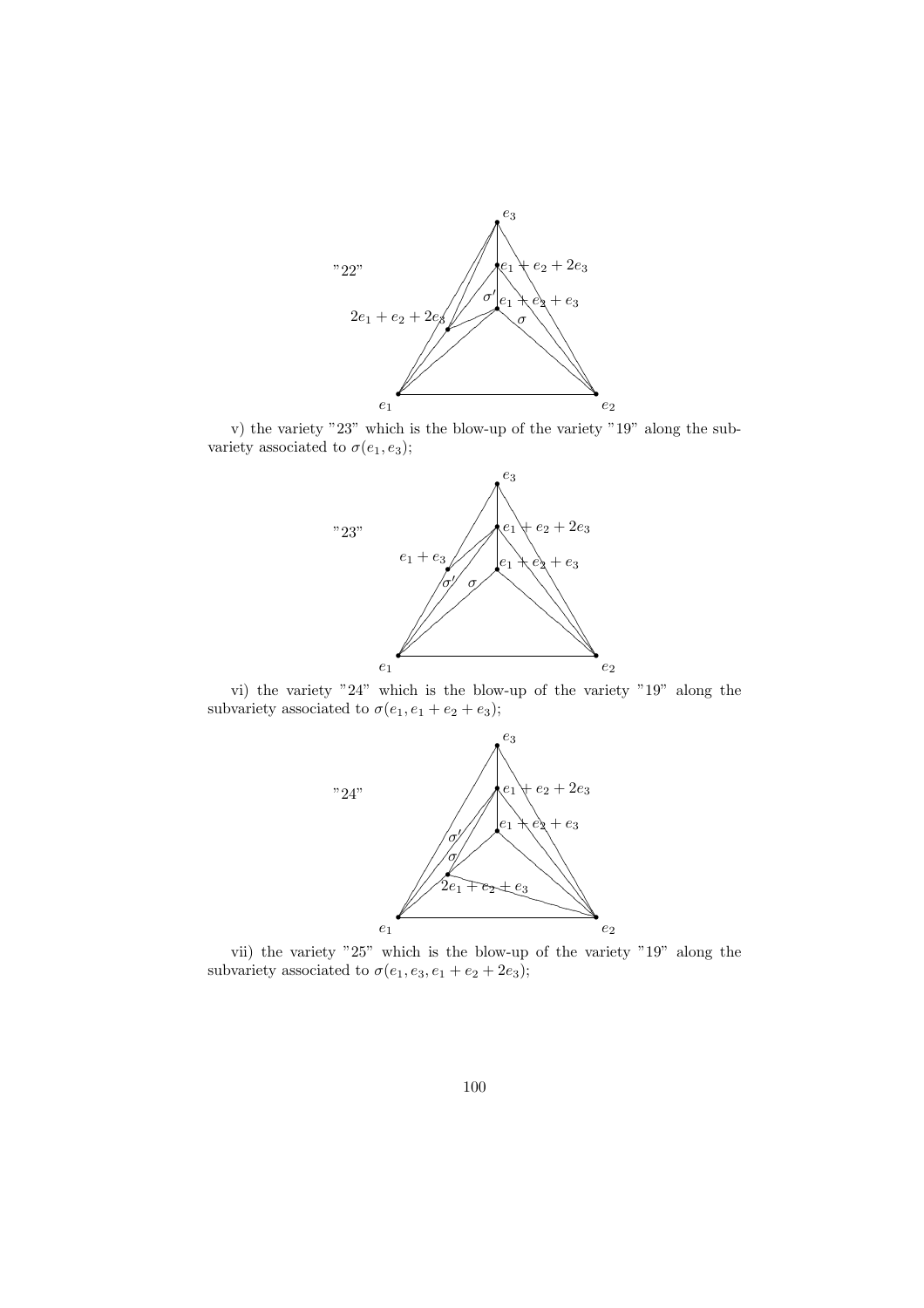

v) the variety "23" which is the blow-up of the variety "19" along the subvariety associated to  $\sigma(e_1, e_3)$ ;



vi) the variety "24" which is the blow-up of the variety "19" along the subvariety associated to  $\sigma(e_1, e_1 + e_2 + e_3);$ 



vii) the variety "25" which is the blow-up of the variety "19" along the subvariety associated to  $\sigma(e_1, e_3, e_1 + e_2 + 2e_3)$ ;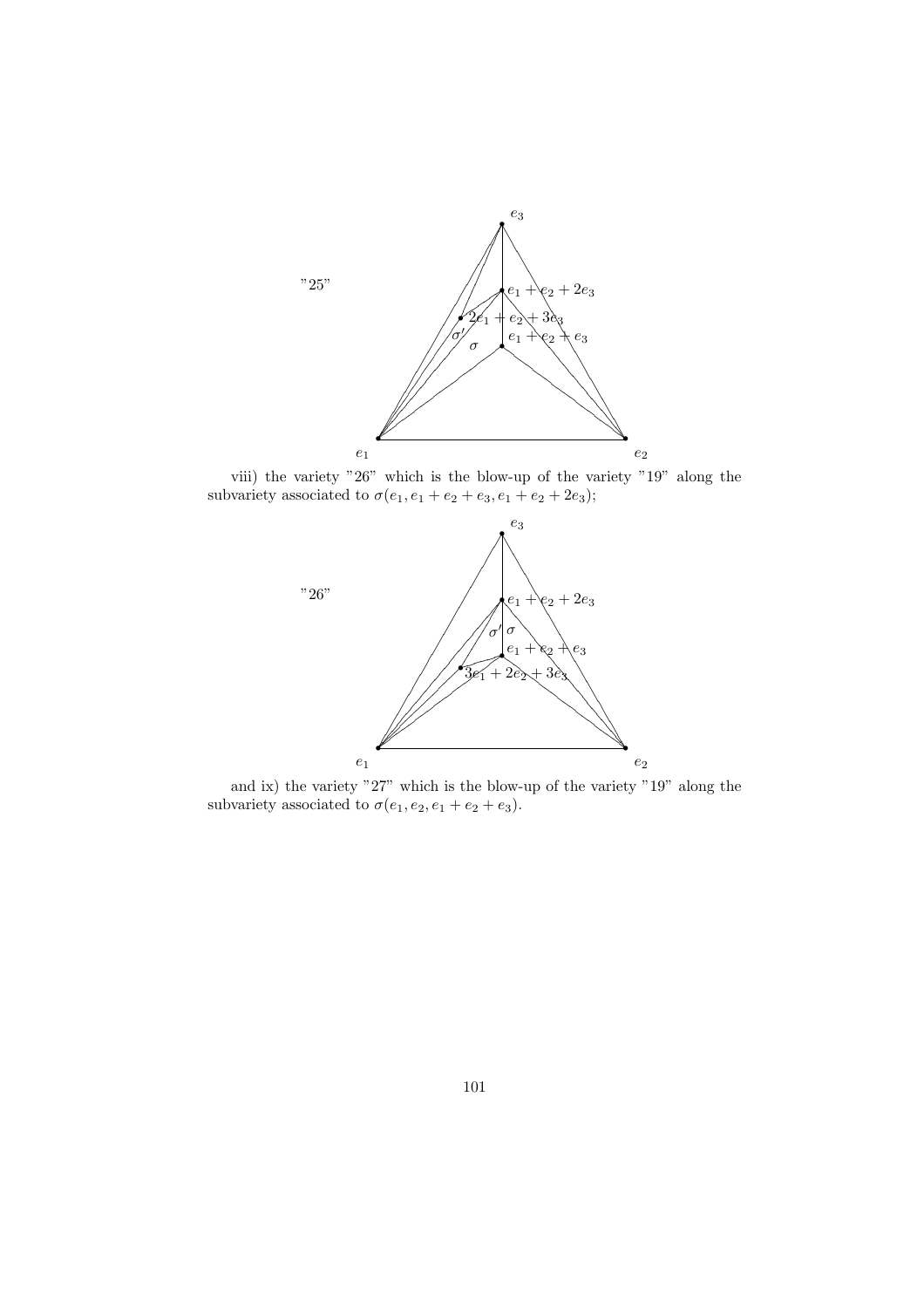

viii) the variety "26" which is the blow-up of the variety "19" along the subvariety associated to  $\sigma(e_1, e_1 + e_2 + e_3, e_1 + e_2 + 2e_3);$ 



and ix) the variety "27" which is the blow-up of the variety "19" along the subvariety associated to  $\sigma(e_1, e_2, e_1 + e_2 + e_3)$ .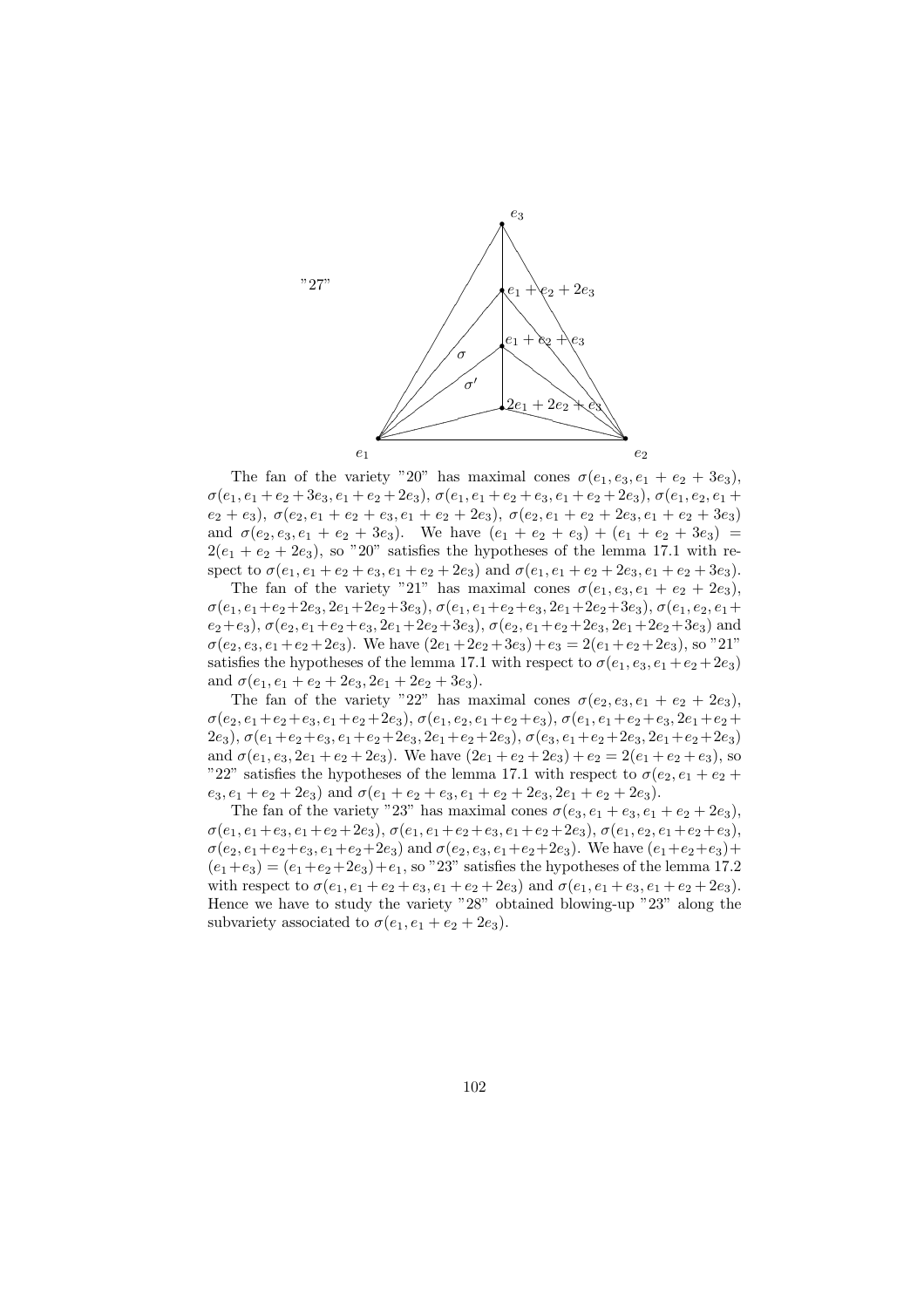

The fan of the variety "20" has maximal cones  $\sigma(e_1, e_3, e_1 + e_2 + 3e_3)$ ,  $\sigma(e_1, e_1 + e_2 + 3e_3, e_1 + e_2 + 2e_3), \sigma(e_1, e_1 + e_2 + e_3, e_1 + e_2 + 2e_3), \sigma(e_1, e_2, e_1 +$  $e_2 + e_3$ ),  $\sigma(e_2, e_1 + e_2 + e_3, e_1 + e_2 + 2e_3)$ ,  $\sigma(e_2, e_1 + e_2 + 2e_3, e_1 + e_2 + 3e_3)$ and  $\sigma(e_2, e_3, e_1 + e_2 + 3e_3)$ . We have  $(e_1 + e_2 + e_3) + (e_1 + e_2 + 3e_3) =$  $2(e_1 + e_2 + 2e_3)$ , so "20" satisfies the hypotheses of the lemma 17.1 with respect to  $\sigma(e_1, e_1 + e_2 + e_3, e_1 + e_2 + 2e_3)$  and  $\sigma(e_1, e_1 + e_2 + 2e_3, e_1 + e_2 + 3e_3)$ .

The fan of the variety "21" has maximal cones  $\sigma(e_1, e_3, e_1 + e_2 + 2e_3)$ ,  $\sigma(e_1, e_1+e_2+2e_3, 2e_1+2e_2+3e_3), \sigma(e_1, e_1+e_2+e_3, 2e_1+2e_2+3e_3), \sigma(e_1, e_2, e_1+$  $e_2+e_3$ ),  $\sigma(e_2, e_1+e_2+e_3, 2e_1+2e_2+3e_3)$ ,  $\sigma(e_2, e_1+e_2+2e_3, 2e_1+2e_2+3e_3)$  and  $\sigma(e_2, e_3, e_1 + e_2 + 2e_3)$ . We have  $(2e_1 + 2e_2 + 3e_3) + e_3 = 2(e_1 + e_2 + 2e_3)$ , so "21" satisfies the hypotheses of the lemma 17.1 with respect to  $\sigma(e_1, e_3, e_1 + e_2 + 2e_3)$ and  $\sigma(e_1, e_1 + e_2 + 2e_3, 2e_1 + 2e_2 + 3e_3)$ .

The fan of the variety "22" has maximal cones  $\sigma(e_2, e_3, e_1 + e_2 + 2e_3)$ ,  $\sigma(e_2, e_1+e_2+e_3, e_1+e_2+2e_3), \sigma(e_1, e_2, e_1+e_2+e_3), \sigma(e_1, e_1+e_2+e_3, 2e_1+e_2+e_4)$ 2e<sub>3</sub>),  $\sigma(e_1+e_2+e_3, e_1+e_2+2e_3, 2e_1+e_2+2e_3), \sigma(e_3, e_1+e_2+2e_3, 2e_1+e_2+2e_3)$ and  $\sigma(e_1, e_3, 2e_1 + e_2 + 2e_3)$ . We have  $(2e_1 + e_2 + 2e_3) + e_2 = 2(e_1 + e_2 + e_3)$ , so "22" satisfies the hypotheses of the lemma 17.1 with respect to  $\sigma(e_2, e_1 + e_2 +$  $e_3, e_1 + e_2 + 2e_3$  and  $\sigma(e_1 + e_2 + e_3, e_1 + e_2 + 2e_3, 2e_1 + e_2 + 2e_3)$ .

The fan of the variety "23" has maximal cones  $\sigma(e_3, e_1 + e_3, e_1 + e_2 + 2e_3)$ ,  $\sigma(e_1, e_1+e_3, e_1+e_2+2e_3), \sigma(e_1, e_1+e_2+e_3, e_1+e_2+2e_3), \sigma(e_1, e_2, e_1+e_2+e_3),$  $\sigma(e_2, e_1+e_2+e_3, e_1+e_2+2e_3)$  and  $\sigma(e_2, e_3, e_1+e_2+2e_3)$ . We have  $(e_1+e_2+e_3)+$  $(e_1+e_3)=(e_1+e_2+2e_3)+e_1$ , so "23" satisfies the hypotheses of the lemma 17.2 with respect to  $\sigma(e_1, e_1 + e_2 + e_3, e_1 + e_2 + 2e_3)$  and  $\sigma(e_1, e_1 + e_3, e_1 + e_2 + 2e_3)$ . Hence we have to study the variety "28" obtained blowing-up "23" along the subvariety associated to  $\sigma(e_1, e_1 + e_2 + 2e_3)$ .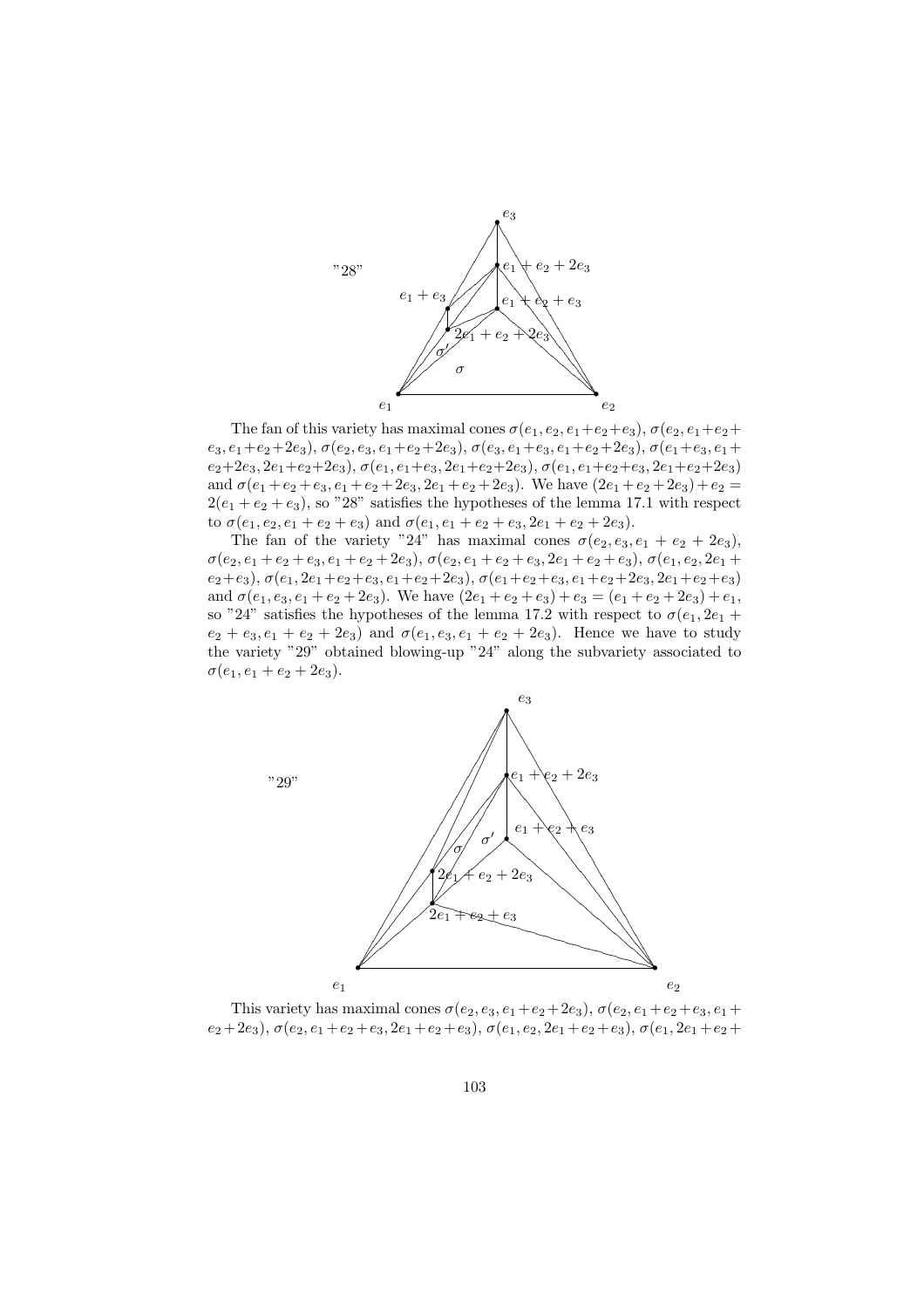

The fan of this variety has maximal cones  $\sigma(e_1, e_2, e_1+e_2+e_3)$ ,  $\sigma(e_2, e_1+e_2+e_4)$  $e_3, e_1+e_2+2e_3), \sigma(e_2, e_3, e_1+e_2+2e_3), \sigma(e_3, e_1+e_3, e_1+e_2+2e_3), \sigma(e_1+e_3, e_1+e_2+2e_4)$  $e_2+2e_3$ ,  $2e_1+e_2+2e_3$ ),  $\sigma(e_1, e_1+e_3, 2e_1+e_2+2e_3)$ ,  $\sigma(e_1, e_1+e_2+e_3, 2e_1+e_2+2e_3)$ and  $\sigma(e_1 + e_2 + e_3, e_1 + e_2 + 2e_3, 2e_1 + e_2 + 2e_3)$ . We have  $(2e_1 + e_2 + 2e_3) + e_2$  $2(e_1 + e_2 + e_3)$ , so "28" satisfies the hypotheses of the lemma 17.1 with respect to  $\sigma(e_1, e_2, e_1 + e_2 + e_3)$  and  $\sigma(e_1, e_1 + e_2 + e_3, 2e_1 + e_2 + 2e_3)$ .

The fan of the variety "24" has maximal cones  $\sigma(e_2, e_3, e_1 + e_2 + 2e_3)$ ,  $\sigma(e_2, e_1 + e_2 + e_3, e_1 + e_2 + 2e_3), \sigma(e_2, e_1 + e_2 + e_3, 2e_1 + e_2 + e_3), \sigma(e_1, e_2, 2e_1 +$  $e_2+e_3$ ),  $\sigma(e_1, 2e_1+e_2+e_3, e_1+e_2+2e_3)$ ,  $\sigma(e_1+e_2+e_3, e_1+e_2+2e_3, 2e_1+e_2+e_3)$ and  $\sigma(e_1, e_3, e_1 + e_2 + 2e_3)$ . We have  $(2e_1 + e_2 + e_3) + e_3 = (e_1 + e_2 + 2e_3) + e_1$ , so "24" satisfies the hypotheses of the lemma 17.2 with respect to  $\sigma(e_1, 2e_1 +$  $e_2 + e_3, e_1 + e_2 + 2e_3$  and  $\sigma(e_1, e_3, e_1 + e_2 + 2e_3)$ . Hence we have to study the variety "29" obtained blowing-up "24" along the subvariety associated to  $\sigma(e_1, e_1 + e_2 + 2e_3).$ 



This variety has maximal cones  $\sigma(e_2, e_3, e_1+e_2+2e_3)$ ,  $\sigma(e_2, e_1+e_2+e_3, e_1+e_2+e_3)$  $e_2+2e_3$ ),  $\sigma(e_2,e_1+e_2+e_3,2e_1+e_2+e_3), \sigma(e_1,e_2,2e_1+e_2+e_3), \sigma(e_1,2e_1+e_2+e_4)$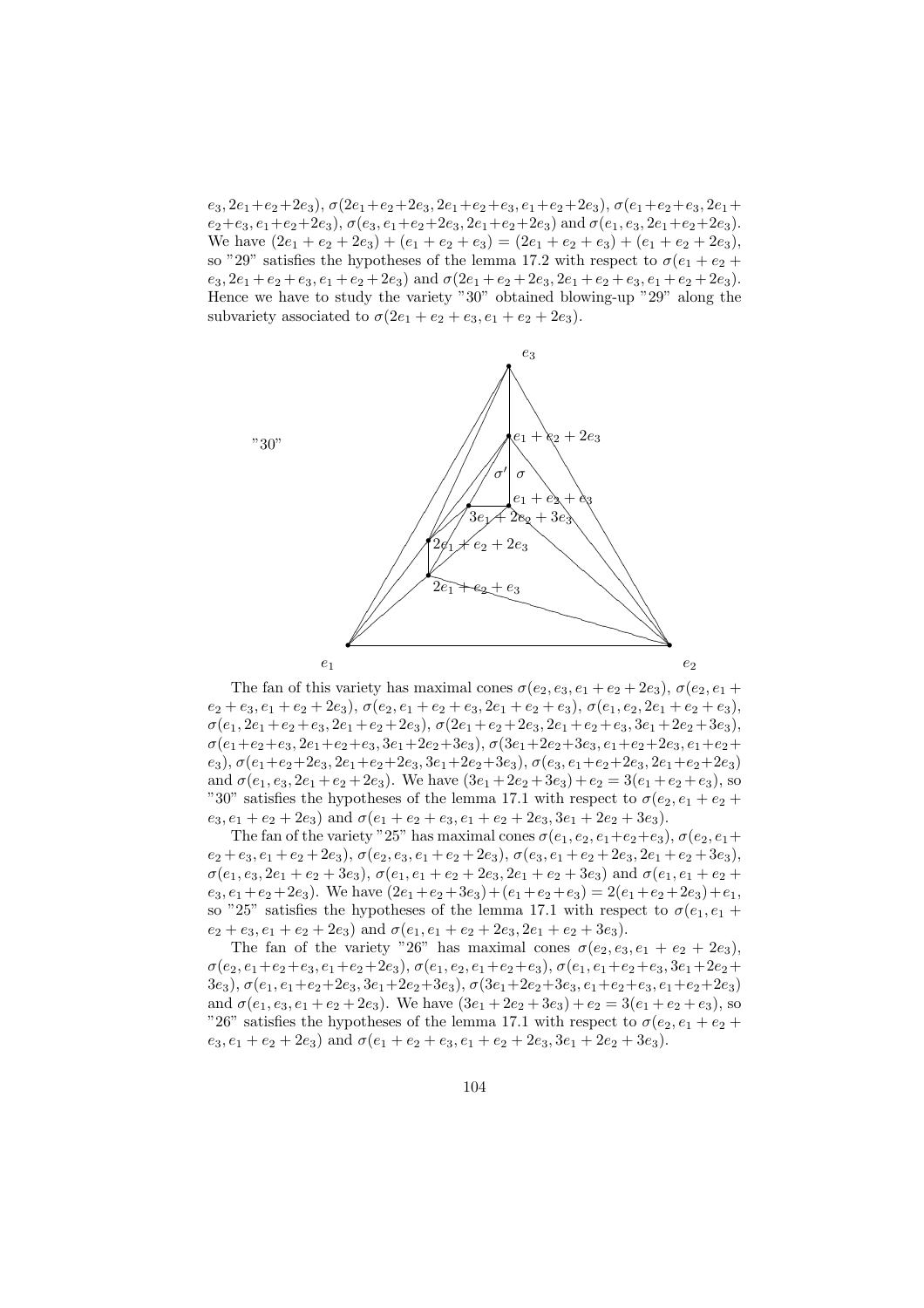$e_3, 2e_1+e_2+2e_3), \sigma(2e_1+e_2+2e_3, 2e_1+e_2+e_3, e_1+e_2+2e_3), \sigma(e_1+e_2+e_3, 2e_1+$  $e_2+e_3, e_1+e_2+2e_3$ ),  $\sigma(e_3, e_1+e_2+2e_3, 2e_1+e_2+2e_3)$  and  $\sigma(e_1, e_3, 2e_1+e_2+2e_3)$ . We have  $(2e_1 + e_2 + 2e_3) + (e_1 + e_2 + e_3) = (2e_1 + e_2 + e_3) + (e_1 + e_2 + 2e_3),$ so "29" satisfies the hypotheses of the lemma 17.2 with respect to  $\sigma(e_1 + e_2 +$  $e_3, 2e_1 + e_2 + e_3, e_1 + e_2 + 2e_3$  and  $\sigma(2e_1 + e_2 + 2e_3, 2e_1 + e_2 + e_3, e_1 + e_2 + 2e_3)$ . Hence we have to study the variety "30" obtained blowing-up "29" along the subvariety associated to  $\sigma(2e_1 + e_2 + e_3, e_1 + e_2 + 2e_3)$ .



The fan of this variety has maximal cones  $\sigma(e_2, e_3, e_1 + e_2 + 2e_3)$ ,  $\sigma(e_2, e_1 +$  $e_2 + e_3, e_1 + e_2 + 2e_3$ ),  $\sigma(e_2, e_1 + e_2 + e_3, 2e_1 + e_2 + e_3)$ ,  $\sigma(e_1, e_2, 2e_1 + e_2 + e_3)$ ,  $\sigma(e_1, 2e_1 + e_2 + e_3, 2e_1 + e_2 + 2e_3), \sigma(2e_1 + e_2 + 2e_3, 2e_1 + e_2 + e_3, 3e_1 + 2e_2 + 3e_3),$  $\sigma(e_1+e_2+e_3, 2e_1+e_2+e_3, 3e_1+2e_2+3e_3), \sigma(3e_1+2e_2+3e_3, e_1+e_2+2e_3, e_1+e_2+$  $(e_3)$ ,  $\sigma(e_1+e_2+2e_3, 2e_1+e_2+2e_3, 3e_1+2e_2+3e_3)$ ,  $\sigma(e_3, e_1+e_2+2e_3, 2e_1+e_2+2e_3)$ and  $\sigma(e_1, e_3, 2e_1 + e_2 + 2e_3)$ . We have  $(3e_1 + 2e_2 + 3e_3) + e_2 = 3(e_1 + e_2 + e_3)$ , so "30" satisfies the hypotheses of the lemma 17.1 with respect to  $\sigma(e_2, e_1 + e_2 +$  $e_3, e_1 + e_2 + 2e_3$  and  $\sigma(e_1 + e_2 + e_3, e_1 + e_2 + 2e_3, 3e_1 + 2e_2 + 3e_3)$ .

The fan of the variety "25" has maximal cones  $\sigma(e_1, e_2, e_1+e_2+e_3)$ ,  $\sigma(e_2, e_1+e_2+e_3)$  $e_2 + e_3, e_1 + e_2 + 2e_3$ ),  $\sigma(e_2, e_3, e_1 + e_2 + 2e_3)$ ,  $\sigma(e_3, e_1 + e_2 + 2e_3, 2e_1 + e_2 + 3e_3)$ ,  $\sigma(e_1, e_3, 2e_1 + e_2 + 3e_3), \sigma(e_1, e_1 + e_2 + 2e_3, 2e_1 + e_2 + 3e_3)$  and  $\sigma(e_1, e_1 + e_2 +$  $e_3, e_1+e_2+2e_3$ . We have  $(2e_1+e_2+3e_3)+(e_1+e_2+e_3)=2(e_1+e_2+2e_3)+e_1$ , so "25" satisfies the hypotheses of the lemma 17.1 with respect to  $\sigma(e_1, e_1 +$  $e_2 + e_3, e_1 + e_2 + 2e_3$  and  $\sigma(e_1, e_1 + e_2 + 2e_3, 2e_1 + e_2 + 3e_3)$ .

The fan of the variety "26" has maximal cones  $\sigma(e_2, e_3, e_1 + e_2 + 2e_3)$ ,  $\sigma(e_2, e_1+e_2+e_3, e_1+e_2+2e_3), \sigma(e_1, e_2, e_1+e_2+e_3), \sigma(e_1, e_1+e_2+e_3, 3e_1+2e_2+$ 3e<sub>3</sub>),  $\sigma(e_1, e_1+e_2+2e_3, 3e_1+2e_2+3e_3)$ ,  $\sigma(3e_1+2e_2+3e_3, e_1+e_2+e_3, e_1+e_2+2e_3)$ and  $\sigma(e_1, e_3, e_1 + e_2 + 2e_3)$ . We have  $(3e_1 + 2e_2 + 3e_3) + e_2 = 3(e_1 + e_2 + e_3)$ , so "26" satisfies the hypotheses of the lemma 17.1 with respect to  $\sigma(e_2, e_1 + e_2 +$  $e_3, e_1 + e_2 + 2e_3$  and  $\sigma(e_1 + e_2 + e_3, e_1 + e_2 + 2e_3, 3e_1 + 2e_2 + 3e_3)$ .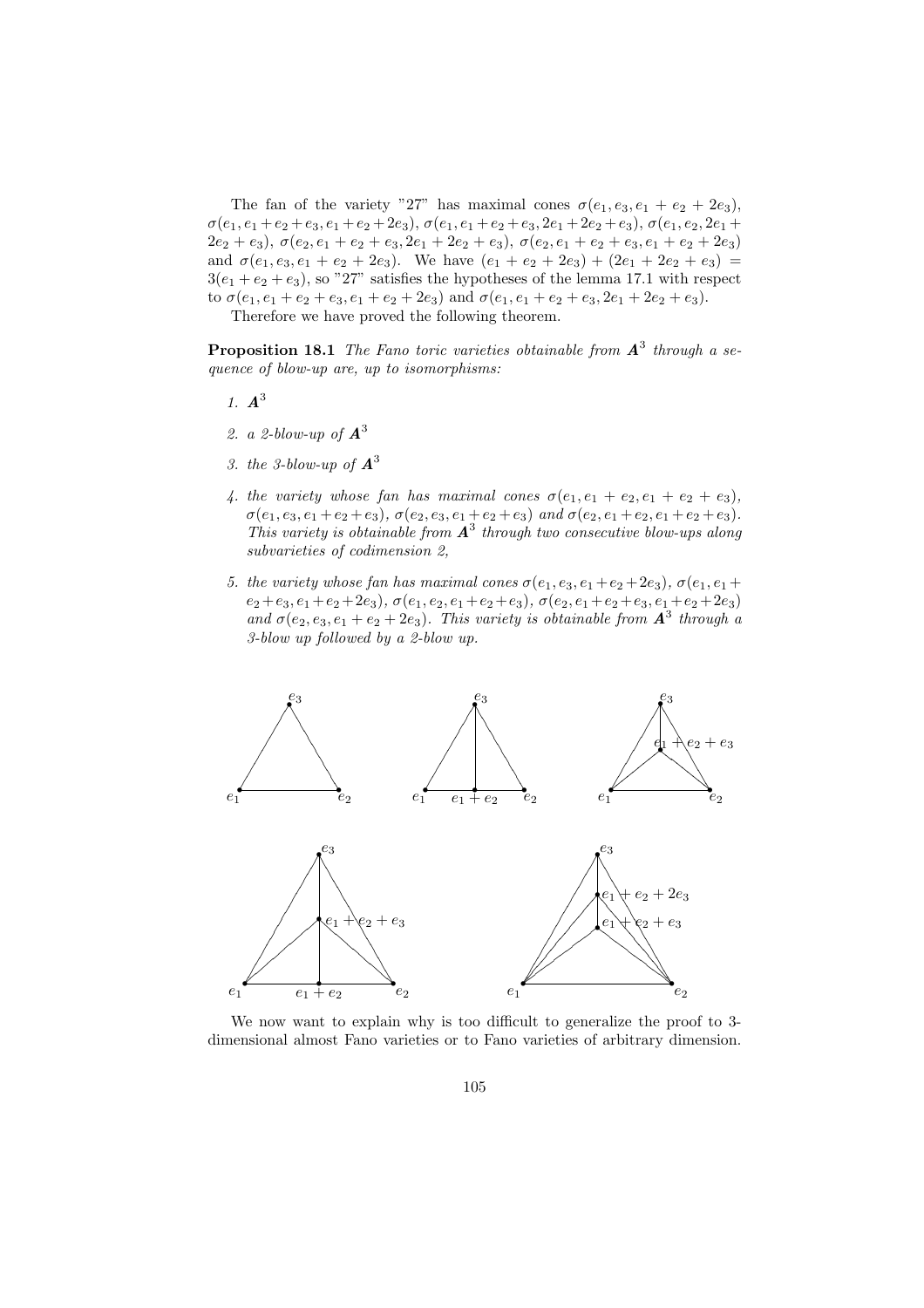The fan of the variety "27" has maximal cones  $\sigma(e_1, e_3, e_1 + e_2 + 2e_3)$ ,  $\sigma(e_1, e_1 + e_2 + e_3, e_1 + e_2 + 2e_3), \sigma(e_1, e_1 + e_2 + e_3, 2e_1 + 2e_2 + e_3), \sigma(e_1, e_2, 2e_1 +$  $(2e_2 + e_3), \sigma(e_2, e_1 + e_2 + e_3, 2e_1 + 2e_2 + e_3), \sigma(e_2, e_1 + e_2 + e_3, e_1 + e_2 + 2e_3)$ and  $\sigma(e_1, e_3, e_1 + e_2 + 2e_3)$ . We have  $(e_1 + e_2 + 2e_3) + (2e_1 + 2e_2 + e_3) =$  $3(e_1 + e_2 + e_3)$ , so "27" satisfies the hypotheses of the lemma 17.1 with respect to  $\sigma(e_1, e_1 + e_2 + e_3, e_1 + e_2 + 2e_3)$  and  $\sigma(e_1, e_1 + e_2 + e_3, 2e_1 + 2e_2 + e_3)$ .

Therefore we have proved the following theorem.

**Proposition 18.1** The Fano toric varieties obtainable from  $A^3$  through a sequence of blow-up are, up to isomorphisms:

- 1.  $A^3$
- 2. a 2-blow-up of  $A^3$
- 3. the 3-blow-up of  $A^3$
- 4. the variety whose fan has maximal cones  $\sigma(e_1, e_1 + e_2, e_1 + e_2 + e_3)$ ,  $\sigma(e_1, e_3, e_1 + e_2 + e_3), \sigma(e_2, e_3, e_1 + e_2 + e_3)$  and  $\sigma(e_2, e_1 + e_2, e_1 + e_2 + e_3)$ . This variety is obtainable from  $A^3$  through two consecutive blow-ups along subvarieties of codimension 2,
- 5. the variety whose fan has maximal cones  $\sigma(e_1, e_3, e_1 + e_2 + 2e_3)$ ,  $\sigma(e_1, e_1 +$  $e_2+e_3, e_1+e_2+2e_3), \sigma(e_1, e_2, e_1+e_2+e_3), \sigma(e_2, e_1+e_2+e_3, e_1+e_2+2e_3)$ and  $\sigma(e_2, e_3, e_1 + e_2 + 2e_3)$ . This variety is obtainable from  $\mathbf{A}^3$  through a 3-blow up followed by a 2-blow up.



We now want to explain why is too difficult to generalize the proof to 3 dimensional almost Fano varieties or to Fano varieties of arbitrary dimension.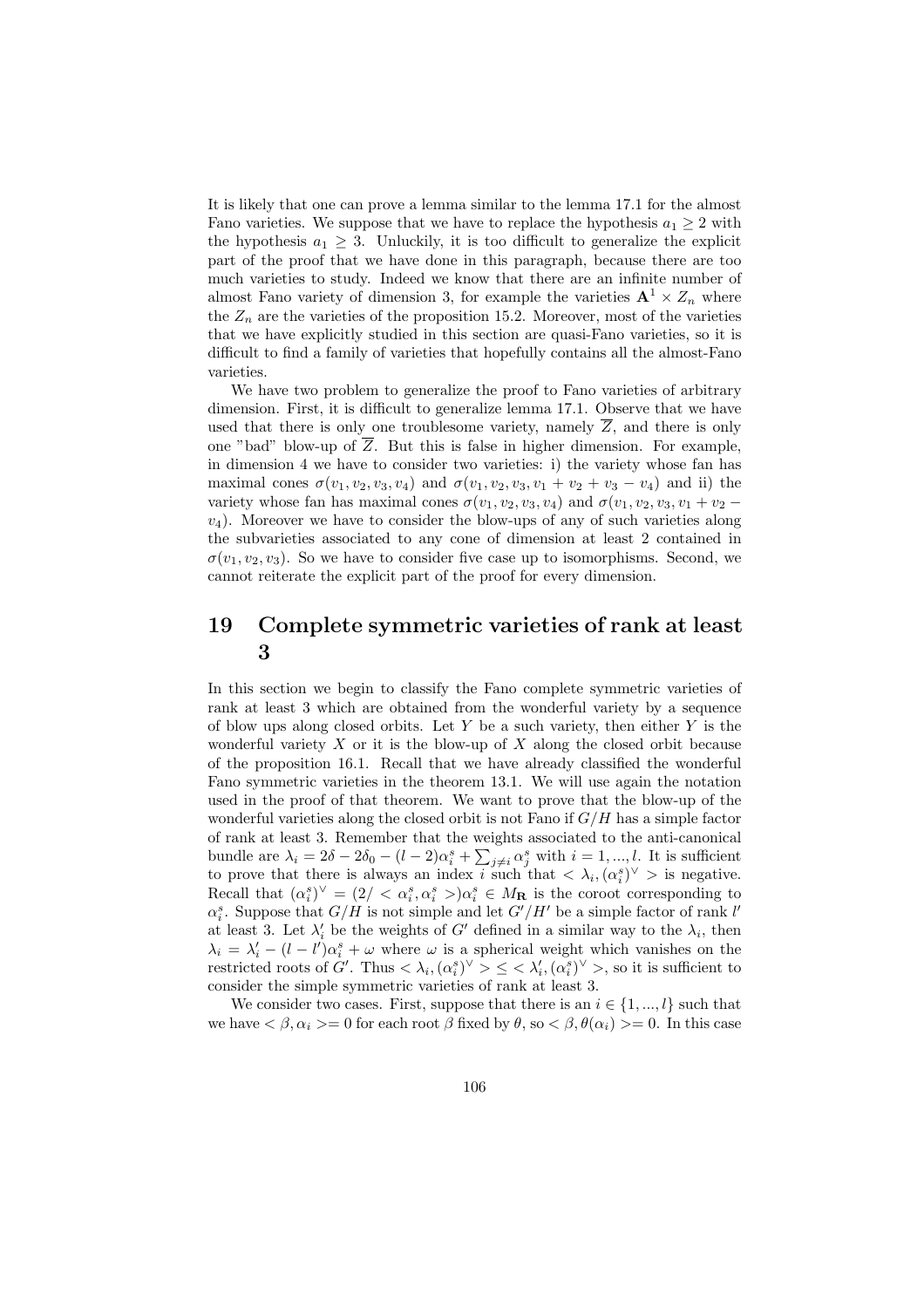It is likely that one can prove a lemma similar to the lemma 17.1 for the almost Fano varieties. We suppose that we have to replace the hypothesis  $a_1 \geq 2$  with the hypothesis  $a_1 \geq 3$ . Unluckily, it is too difficult to generalize the explicit part of the proof that we have done in this paragraph, because there are too much varieties to study. Indeed we know that there are an infinite number of almost Fano variety of dimension 3, for example the varieties  $A^1 \times Z_n$  where the  $Z_n$  are the varieties of the proposition 15.2. Moreover, most of the varieties that we have explicitly studied in this section are quasi-Fano varieties, so it is difficult to find a family of varieties that hopefully contains all the almost-Fano varieties.

We have two problem to generalize the proof to Fano varieties of arbitrary dimension. First, it is difficult to generalize lemma 17.1. Observe that we have used that there is only one troublesome variety, namely  $\overline{Z}$ , and there is only one "bad" blow-up of  $\overline{Z}$ . But this is false in higher dimension. For example, in dimension 4 we have to consider two varieties: i) the variety whose fan has maximal cones  $\sigma(v_1, v_2, v_3, v_4)$  and  $\sigma(v_1, v_2, v_3, v_1 + v_2 + v_3 - v_4)$  and ii) the variety whose fan has maximal cones  $\sigma(v_1, v_2, v_3, v_4)$  and  $\sigma(v_1, v_2, v_3, v_1 + v_2$  $v_4$ ). Moreover we have to consider the blow-ups of any of such varieties along the subvarieties associated to any cone of dimension at least 2 contained in  $\sigma(v_1, v_2, v_3)$ . So we have to consider five case up to isomorphisms. Second, we cannot reiterate the explicit part of the proof for every dimension.

### 19 Complete symmetric varieties of rank at least 3

In this section we begin to classify the Fano complete symmetric varieties of rank at least 3 which are obtained from the wonderful variety by a sequence of blow ups along closed orbits. Let Y be a such variety, then either Y is the wonderful variety  $X$  or it is the blow-up of  $X$  along the closed orbit because of the proposition 16.1. Recall that we have already classified the wonderful Fano symmetric varieties in the theorem 13.1. We will use again the notation used in the proof of that theorem. We want to prove that the blow-up of the wonderful varieties along the closed orbit is not Fano if  $G/H$  has a simple factor of rank at least 3. Remember that the weights associated to the anti-canonical P bundle are  $\lambda_i = 2\delta - 2\delta_0 - (l-2)\alpha_i^s + \sum_{j\neq i} \alpha_j^s$  with  $i = 1, ..., l$ . It is sufficient to prove that there is always an index i such that  $\langle \lambda_i, (\alpha_i^s)^{\vee} \rangle$  is negative. Recall that  $(\alpha_i^s)^\vee = (2) < \alpha_i^s, \alpha_i^s > \alpha_i^s \in M_{\mathbf{R}}$  is the coroot corresponding to  $\alpha_i^s$ . Suppose that  $G/H$  is not simple and let  $G'/H'$  be a simple factor of rank l' at least 3. Let  $\lambda'_i$  be the weights of G' defined in a similar way to the  $\lambda_i$ , then  $\lambda_i = \lambda'_i - (l - l')\alpha_i^s + \omega$  where  $\omega$  is a spherical weight which vanishes on the restricted roots of G'. Thus  $\langle \lambda_i, (\alpha_i^s)^\vee \rangle \leq \langle \lambda'_i, (\alpha_i^s)^\vee \rangle$ , so it is sufficient to consider the simple symmetric varieties of rank at least 3.

We consider two cases. First, suppose that there is an  $i \in \{1, ..., l\}$  such that we have  $\langle \beta, \alpha_i \rangle = 0$  for each root  $\beta$  fixed by  $\theta$ , so  $\langle \beta, \theta(\alpha_i) \rangle = 0$ . In this case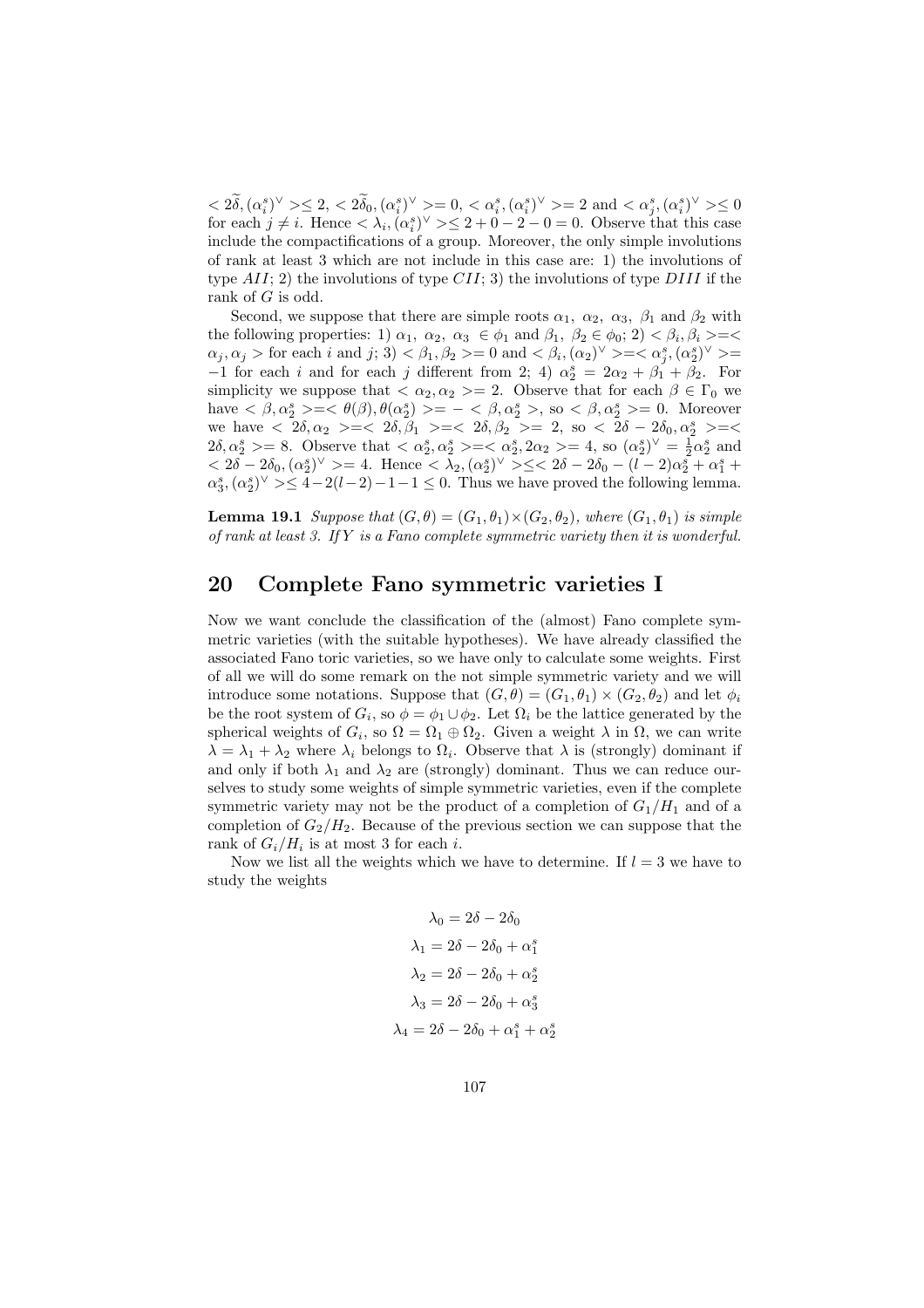$< 2\tilde{\delta}, (\alpha_i^s)^\vee > \leq 2, < 2\tilde{\delta}_0, (\alpha_i^s)^\vee > = 0, < \alpha_i^s, (\alpha_i^s)^\vee > = 2 \text{ and } < \alpha_j^s, (\alpha_i^s)^\vee > \leq 0$ for each  $j \neq i$ . Hence  $\langle \lambda_i, (\alpha_i^s)^\vee \rangle \leq 2 + 0 - 2 - 0 = 0$ . Observe that this case include the compactifications of a group. Moreover, the only simple involutions of rank at least 3 which are not include in this case are: 1) the involutions of type  $AII$ ; 2) the involutions of type  $CII$ ; 3) the involutions of type  $DIII$  if the rank of  $G$  is odd.

Second, we suppose that there are simple roots  $\alpha_1$ ,  $\alpha_2$ ,  $\alpha_3$ ,  $\beta_1$  and  $\beta_2$  with the following properties: 1)  $\alpha_1, \alpha_2, \alpha_3 \in \phi_1$  and  $\beta_1, \beta_2 \in \phi_0$ ; 2)  $\langle \beta_i, \beta_i \rangle = \langle \beta_i, \beta_i \rangle$  $\alpha_j, \alpha_j > \text{for each } i \text{ and } j; 3$   $\langle \beta_1, \beta_2 \rangle = 0$  and  $\langle \beta_i, (\alpha_2)^\vee \rangle = \langle \alpha_j^s, (\alpha_2^s)^\vee \rangle =$  $-1$  for each *i* and for each *j* different from 2; 4)  $\alpha_2^s = 2\alpha_2 + \beta_1 + \beta_2$ . For simplicity we suppose that  $\langle \alpha_2, \alpha_2 \rangle = 2$ . Observe that for each  $\beta \in \Gamma_0$  we have  $\langle \beta, \alpha_2^s \rangle = \langle \theta(\beta), \theta(\alpha_2^s) \rangle = -\langle \beta, \alpha_2^s \rangle$ , so  $\langle \beta, \alpha_2^s \rangle = 0$ . Moreover we have  $\langle 2\delta, \alpha_2 \rangle = \langle 2\delta, \beta_1 \rangle = \langle 2\delta, \beta_2 \rangle = 2$ , so  $\langle 2\delta - 2\delta_0, \alpha_2^s \rangle = \langle 2\delta, \beta_2 \rangle = 2$  $2\delta, \alpha_2^s \geq 8$ . Observe that  $\langle \alpha_2^s, \alpha_2^s \rangle = \langle \alpha_2^s, 2\alpha_2 \rangle = 4$ , so  $(\alpha_2^s)^{\vee} = \frac{1}{2} \alpha_2^s$  and  $< 2\delta - 2\delta_0$ ,  $(\alpha_2^s)^{\vee} > = 4$ . Hence  $< \lambda_2$ ,  $(\alpha_2^s)^{\vee} > \leq < 2\delta - 2\delta_0 - (l - 2)\alpha_2^s + \alpha_1^s +$  $\alpha_3^s, (\alpha_2^s)^{\vee} \geq 4-2(l-2)-1-1 \leq 0$ . Thus we have proved the following lemma.

**Lemma 19.1** Suppose that  $(G, \theta) = (G_1, \theta_1) \times (G_2, \theta_2)$ , where  $(G_1, \theta_1)$  is simple of rank at least 3. If  $Y$  is a Fano complete symmetric variety then it is wonderful.

## 20 Complete Fano symmetric varieties I

Now we want conclude the classification of the (almost) Fano complete symmetric varieties (with the suitable hypotheses). We have already classified the associated Fano toric varieties, so we have only to calculate some weights. First of all we will do some remark on the not simple symmetric variety and we will introduce some notations. Suppose that  $(G, \theta) = (G_1, \theta_1) \times (G_2, \theta_2)$  and let  $\phi_i$ be the root system of  $G_i$ , so  $\phi = \phi_1 \cup \phi_2$ . Let  $\Omega_i$  be the lattice generated by the spherical weights of  $G_i$ , so  $\Omega = \Omega_1 \oplus \Omega_2$ . Given a weight  $\lambda$  in  $\Omega$ , we can write  $\lambda = \lambda_1 + \lambda_2$  where  $\lambda_i$  belongs to  $\Omega_i$ . Observe that  $\lambda$  is (strongly) dominant if and only if both  $\lambda_1$  and  $\lambda_2$  are (strongly) dominant. Thus we can reduce ourselves to study some weights of simple symmetric varieties, even if the complete symmetric variety may not be the product of a completion of  $G_1/H_1$  and of a completion of  $G_2/H_2$ . Because of the previous section we can suppose that the rank of  $G_i/H_i$  is at most 3 for each i.

Now we list all the weights which we have to determine. If  $l = 3$  we have to study the weights

$$
\lambda_0 = 2\delta - 2\delta_0
$$

$$
\lambda_1 = 2\delta - 2\delta_0 + \alpha_1^s
$$

$$
\lambda_2 = 2\delta - 2\delta_0 + \alpha_2^s
$$

$$
\lambda_3 = 2\delta - 2\delta_0 + \alpha_3^s
$$

$$
\lambda_4 = 2\delta - 2\delta_0 + \alpha_1^s + \alpha_2^s
$$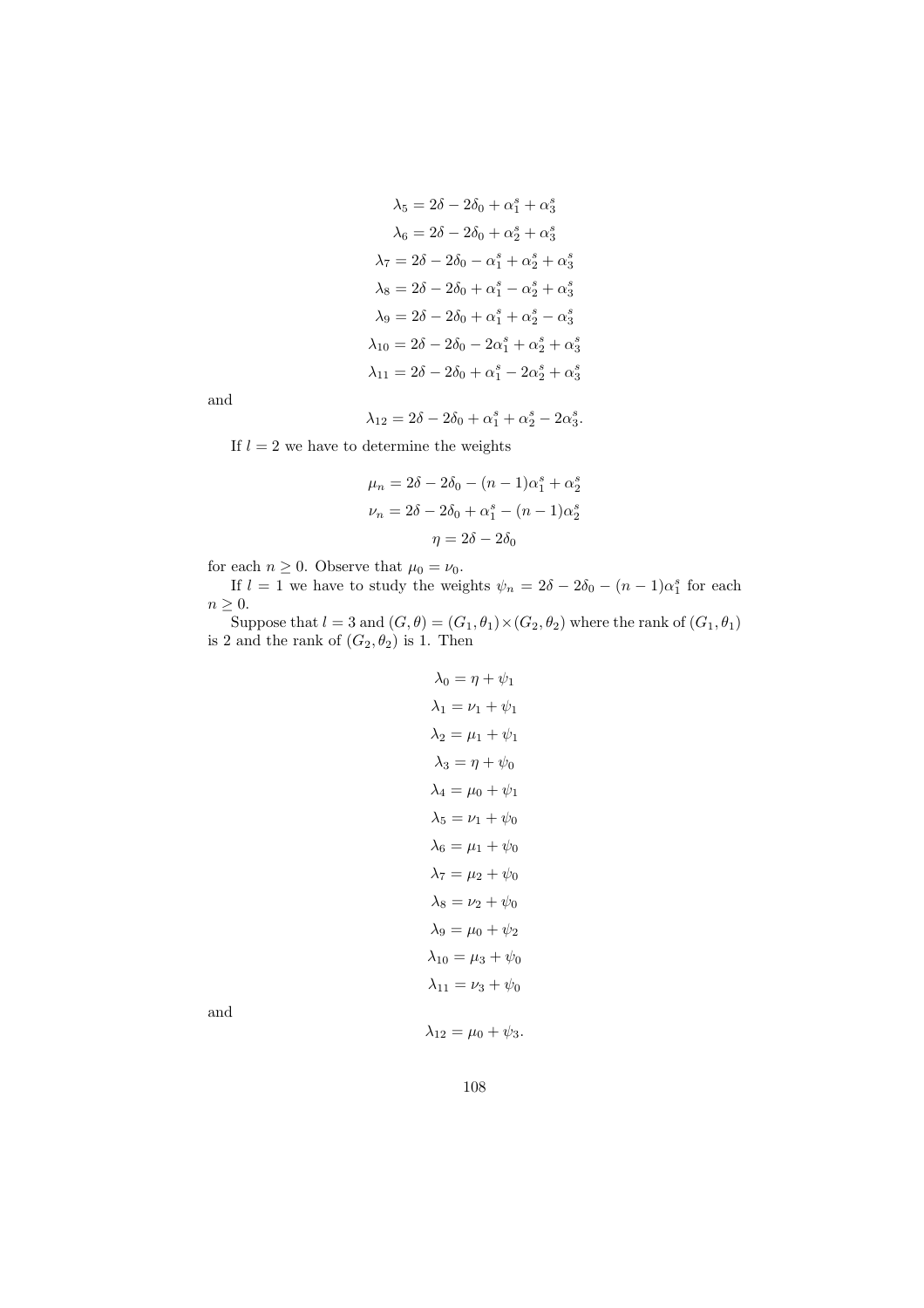$$
\lambda_5 = 2\delta - 2\delta_0 + \alpha_1^s + \alpha_3^s
$$

$$
\lambda_6 = 2\delta - 2\delta_0 + \alpha_2^s + \alpha_3^s
$$

$$
\lambda_7 = 2\delta - 2\delta_0 - \alpha_1^s + \alpha_2^s + \alpha_3^s
$$

$$
\lambda_8 = 2\delta - 2\delta_0 + \alpha_1^s - \alpha_2^s + \alpha_3^s
$$

$$
\lambda_9 = 2\delta - 2\delta_0 + \alpha_1^s + \alpha_2^s - \alpha_3^s
$$

$$
\lambda_{10} = 2\delta - 2\delta_0 - 2\alpha_1^s + \alpha_2^s + \alpha_3^s
$$

$$
\lambda_{11} = 2\delta - 2\delta_0 + \alpha_1^s - 2\alpha_2^s + \alpha_3^s
$$

and

$$
\lambda_{12}=2\delta-2\delta_0+\alpha_1^s+\alpha_2^s-2\alpha_3^s.
$$

If  $l = 2$  we have to determine the weights

$$
\mu_n = 2\delta - 2\delta_0 - (n-1)\alpha_1^s + \alpha_2^s
$$

$$
\nu_n = 2\delta - 2\delta_0 + \alpha_1^s - (n-1)\alpha_2^s
$$

$$
\eta = 2\delta - 2\delta_0
$$

for each  $n \geq 0$ . Observe that  $\mu_0 = \nu_0$ .

If  $l = 1$  we have to study the weights  $\psi_n = 2\delta - 2\delta_0 - (n-1)\alpha_1^s$  for each  $n \geq 0$ .

Suppose that  $l = 3$  and  $(G, \theta) = (G_1, \theta_1) \times (G_2, \theta_2)$  where the rank of  $(G_1, \theta_1)$ is 2 and the rank of  $(G_2, \theta_2)$  is 1. Then

$$
\lambda_0 = \eta + \psi_1
$$
  
\n
$$
\lambda_1 = \nu_1 + \psi_1
$$
  
\n
$$
\lambda_2 = \mu_1 + \psi_1
$$
  
\n
$$
\lambda_3 = \eta + \psi_0
$$
  
\n
$$
\lambda_4 = \mu_0 + \psi_1
$$
  
\n
$$
\lambda_5 = \nu_1 + \psi_0
$$
  
\n
$$
\lambda_6 = \mu_1 + \psi_0
$$
  
\n
$$
\lambda_7 = \mu_2 + \psi_0
$$
  
\n
$$
\lambda_8 = \nu_2 + \psi_0
$$
  
\n
$$
\lambda_9 = \mu_0 + \psi_2
$$
  
\n
$$
\lambda_{10} = \mu_3 + \psi_0
$$
  
\n
$$
\lambda_{11} = \nu_3 + \psi_0
$$

and

 $\lambda_{12} = \mu_0 + \psi_3.$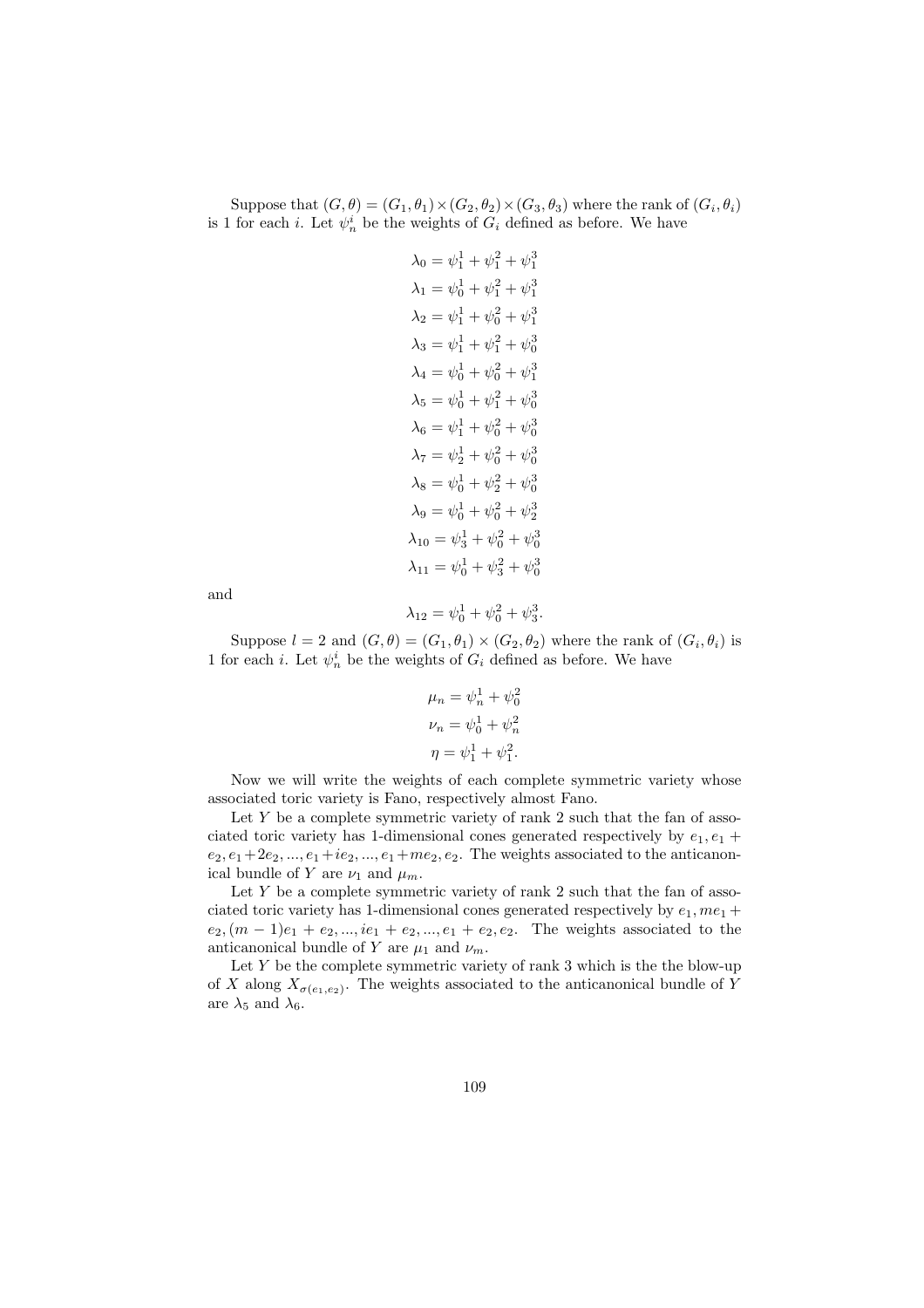Suppose that  $(G, \theta) = (G_1, \theta_1) \times (G_2, \theta_2) \times (G_3, \theta_3)$  where the rank of  $(G_i, \theta_i)$ is 1 for each *i*. Let  $\psi_n^i$  be the weights of  $G_i$  defined as before. We have

$$
\lambda_0 = \psi_1^1 + \psi_1^2 + \psi_1^3
$$
  
\n
$$
\lambda_1 = \psi_0^1 + \psi_1^2 + \psi_1^3
$$
  
\n
$$
\lambda_2 = \psi_1^1 + \psi_0^2 + \psi_1^3
$$
  
\n
$$
\lambda_3 = \psi_1^1 + \psi_1^2 + \psi_0^3
$$
  
\n
$$
\lambda_4 = \psi_0^1 + \psi_0^2 + \psi_1^3
$$
  
\n
$$
\lambda_5 = \psi_0^1 + \psi_1^2 + \psi_0^3
$$
  
\n
$$
\lambda_6 = \psi_1^1 + \psi_0^2 + \psi_0^3
$$
  
\n
$$
\lambda_7 = \psi_2^1 + \psi_0^2 + \psi_0^3
$$
  
\n
$$
\lambda_8 = \psi_0^1 + \psi_2^2 + \psi_0^3
$$
  
\n
$$
\lambda_9 = \psi_0^1 + \psi_0^2 + \psi_2^3
$$
  
\n
$$
\lambda_{10} = \psi_3^1 + \psi_0^2 + \psi_0^3
$$
  
\n
$$
\lambda_{11} = \psi_0^1 + \psi_3^2 + \psi_0^3
$$

and

$$
\lambda_{12} = \psi_0^1 + \psi_0^2 + \psi_3^3.
$$

Suppose  $l = 2$  and  $(G, \theta) = (G_1, \theta_1) \times (G_2, \theta_2)$  where the rank of  $(G_i, \theta_i)$  is 1 for each *i*. Let  $\psi_n^i$  be the weights of  $G_i$  defined as before. We have

$$
\mu_n = \psi_n^1 + \psi_0^2
$$
  

$$
\nu_n = \psi_0^1 + \psi_n^2
$$
  

$$
\eta = \psi_1^1 + \psi_1^2.
$$

Now we will write the weights of each complete symmetric variety whose associated toric variety is Fano, respectively almost Fano.

Let  $Y$  be a complete symmetric variety of rank 2 such that the fan of associated toric variety has 1-dimensional cones generated respectively by  $e_1, e_1 +$  $e_2, e_1+2e_2, \ldots, e_1+ie_2, \ldots, e_1+me_2, e_2$ . The weights associated to the anticanonical bundle of Y are  $\nu_1$  and  $\mu_m$ .

Let  $Y$  be a complete symmetric variety of rank 2 such that the fan of associated toric variety has 1-dimensional cones generated respectively by  $e_1$ ,  $me_1$  +  $e_2, (m-1)e_1 + e_2, ..., ie_1 + e_2, ..., e_1 + e_2, e_2$ . The weights associated to the anticanonical bundle of Y are  $\mu_1$  and  $\nu_m$ .

Let  $Y$  be the complete symmetric variety of rank 3 which is the the blow-up of X along  $X_{\sigma(e_1,e_2)}$ . The weights associated to the anticanonical bundle of Y are  $\lambda_5$  and  $\lambda_6$ .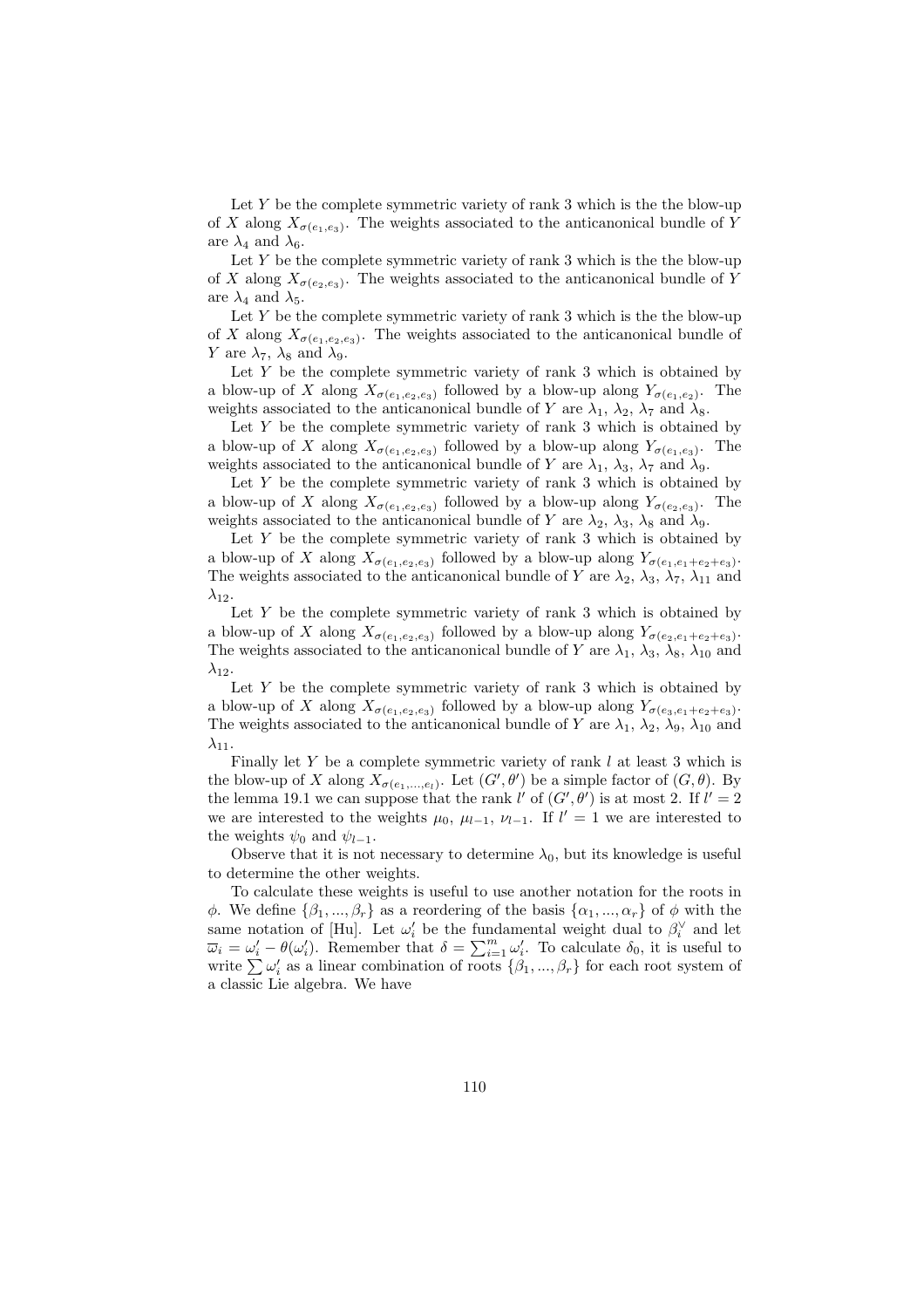Let  $Y$  be the complete symmetric variety of rank 3 which is the the blow-up of X along  $X_{\sigma(e_1,e_3)}$ . The weights associated to the anticanonical bundle of Y are  $\lambda_4$  and  $\lambda_6$ .

Let  $Y$  be the complete symmetric variety of rank 3 which is the the blow-up of X along  $X_{\sigma(e_2,e_3)}$ . The weights associated to the anticanonical bundle of Y are  $\lambda_4$  and  $\lambda_5$ .

Let  $Y$  be the complete symmetric variety of rank 3 which is the the blow-up of X along  $X_{\sigma(e_1,e_2,e_3)}$ . The weights associated to the anticanonical bundle of Y are  $\lambda_7$ ,  $\lambda_8$  and  $\lambda_9$ .

Let  $Y$  be the complete symmetric variety of rank 3 which is obtained by a blow-up of X along  $X_{\sigma(e_1,e_2,e_3)}$  followed by a blow-up along  $Y_{\sigma(e_1,e_2)}$ . The weights associated to the anticanonical bundle of Y are  $\lambda_1$ ,  $\lambda_2$ ,  $\lambda_7$  and  $\lambda_8$ .

Let  $Y$  be the complete symmetric variety of rank 3 which is obtained by a blow-up of X along  $X_{\sigma(e_1,e_2,e_3)}$  followed by a blow-up along  $Y_{\sigma(e_1,e_3)}$ . The weights associated to the anticanonical bundle of Y are  $\lambda_1$ ,  $\lambda_3$ ,  $\lambda_7$  and  $\lambda_9$ .

Let  $Y$  be the complete symmetric variety of rank 3 which is obtained by a blow-up of X along  $X_{\sigma(e_1,e_2,e_3)}$  followed by a blow-up along  $Y_{\sigma(e_2,e_3)}$ . The weights associated to the anticanonical bundle of Y are  $\lambda_2$ ,  $\lambda_3$ ,  $\lambda_8$  and  $\lambda_9$ .

Let  $Y$  be the complete symmetric variety of rank 3 which is obtained by a blow-up of X along  $X_{\sigma(e_1,e_2,e_3)}$  followed by a blow-up along  $Y_{\sigma(e_1,e_1+e_2+e_3)}$ . The weights associated to the anticanonical bundle of Y are  $\lambda_2$ ,  $\lambda_3$ ,  $\lambda_7$ ,  $\lambda_{11}$  and  $\lambda_{12}$ .

Let  $Y$  be the complete symmetric variety of rank 3 which is obtained by a blow-up of X along  $X_{\sigma(e_1,e_2,e_3)}$  followed by a blow-up along  $Y_{\sigma(e_2,e_1+e_2+e_3)}$ . The weights associated to the anticanonical bundle of Y are  $\lambda_1$ ,  $\lambda_3$ ,  $\lambda_8$ ,  $\lambda_{10}$  and  $\lambda_{12}$ .

Let  $Y$  be the complete symmetric variety of rank 3 which is obtained by a blow-up of X along  $X_{\sigma(e_1,e_2,e_3)}$  followed by a blow-up along  $Y_{\sigma(e_3,e_1+e_2+e_3)}$ . The weights associated to the anticanonical bundle of Y are  $\lambda_1$ ,  $\lambda_2$ ,  $\lambda_9$ ,  $\lambda_{10}$  and  $\lambda_{11}$ .

Finally let Y be a complete symmetric variety of rank  $l$  at least 3 which is the blow-up of X along  $X_{\sigma(e_1,...,e_l)}$ . Let  $(G', \theta')$  be a simple factor of  $(G, \theta)$ . By the lemma 19.1 we can suppose that the rank l' of  $(G', \theta')$  is at most 2. If  $l' = 2$ we are interested to the weights  $\mu_0$ ,  $\mu_{l-1}$ ,  $\nu_{l-1}$ . If  $l' = 1$  we are interested to the weights  $\psi_0$  and  $\psi_{l-1}$ .

Observe that it is not necessary to determine  $\lambda_0$ , but its knowledge is useful to determine the other weights.

To calculate these weights is useful to use another notation for the roots in φ. We define  $\{\beta_1, ..., \beta_r\}$  as a reordering of the basis  $\{\alpha_1, ..., \alpha_r\}$  of φ with the same notation of [Hu]. Let  $\omega_i'$  be the fundamental weight dual to  $\beta_i^{\vee}$  and let same notation of [Hu]. Let  $\omega_i$  be the fundamental weight dual to  $\rho_i$  and let  $\overline{\omega}_i = \omega'_i - \theta(\omega'_i)$ . Remember that  $\delta = \sum_{i=1}^m \omega'_i$ . To calculate  $\delta_0$ , it is useful to  $\omega_i = \omega_i - \theta(\omega_i)$ . Remember that  $\theta = \sum_{i=1}^{\infty} \omega_i$ . To calculate  $\theta_0$ , it is useful to write  $\sum \omega_i'$  as a linear combination of roots  $\{\beta_1, ..., \beta_r\}$  for each root system of a classic Lie algebra. We have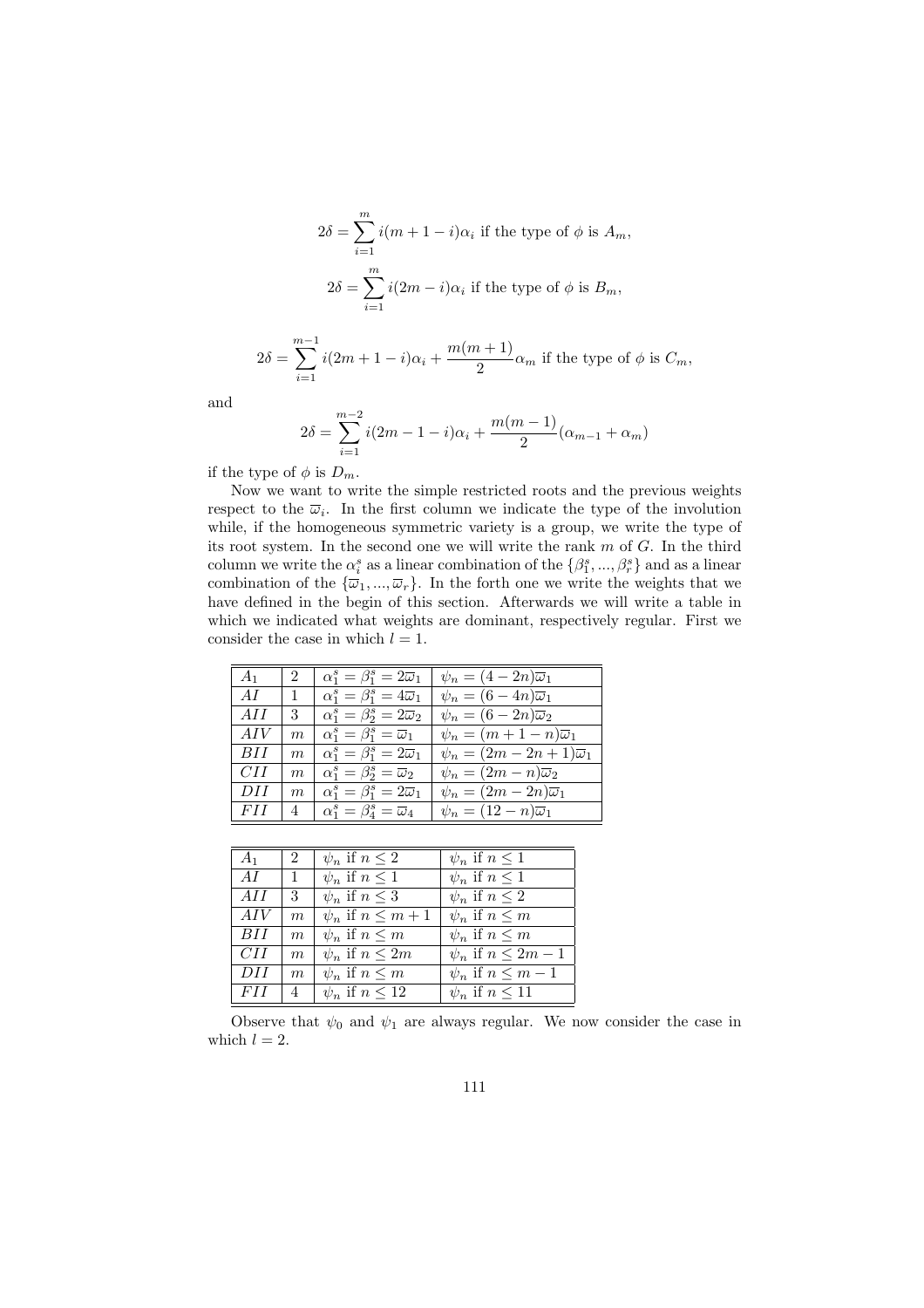$$
2\delta = \sum_{i=1}^{m} i(m+1-i)\alpha_i
$$
 if the type of  $\phi$  is  $A_m$ ,  

$$
2\delta = \sum_{i=1}^{m} i(2m-i)\alpha_i
$$
 if the type of  $\phi$  is  $B_m$ ,

$$
2\delta = \sum_{i=1}^{m-1} i(2m+1-i)\alpha_i + \frac{m(m+1)}{2}\alpha_m
$$
 if the type of  $\phi$  is  $C_m$ ,

and

$$
2\delta = \sum_{i=1}^{m-2} i(2m - 1 - i)\alpha_i + \frac{m(m-1)}{2}(\alpha_{m-1} + \alpha_m)
$$

if the type of  $\phi$  is  $D_m$ .

Now we want to write the simple restricted roots and the previous weights respect to the  $\overline{\omega}_i$ . In the first column we indicate the type of the involution while, if the homogeneous symmetric variety is a group, we write the type of its root system. In the second one we will write the rank m of G. In the third column we write the  $\alpha_i^s$  as a linear combination of the  $\{\beta_1^s, ..., \beta_r^s\}$  and as a linear combination of the  $\{\overline{\omega}_1, ..., \overline{\omega}_r\}$ . In the forth one we write the weights that we have defined in the begin of this section. Afterwards we will write a table in which we indicated what weights are dominant, respectively regular. First we consider the case in which  $l = 1$ .

| $A_1$      | $\overline{2}$ | $\alpha_1^s = \beta_1^s = 2\overline{\omega}_1$ | $\psi_n = (4 - 2n)\overline{\omega}_1$      |
|------------|----------------|-------------------------------------------------|---------------------------------------------|
| AI         | $\mathbf{1}$   | $\alpha_1^s = \beta_1^s = 4\overline{\omega}_1$ | $\psi_n = (6 - 4n)\overline{\omega}_1$      |
| AH         | $3 -$          | $\alpha_1^s = \beta_2^s = 2\overline{\omega}_2$ | $\psi_n = (6 - 2n)\overline{\omega}_2$      |
| AIV        | m              | $\alpha_1^s = \beta_1^s = \overline{\omega}_1$  | $\psi_n = (m+1-n)\overline{\omega}_1$       |
| BH         | m              | $\alpha_1^s = \beta_1^s = 2\overline{\omega}_1$ | $\psi_n = (2m - 2n + 1)\overline{\omega}_1$ |
| CII        | m              | $\alpha_1^s = \beta_2^s = \overline{\omega}_2$  | $\psi_n = (2m - n)\overline{\omega}_2$      |
| DH         | m              | $\alpha_1^s = \beta_1^s = 2\overline{\omega}_1$ | $\psi_n = (2m - 2n)\overline{\omega}_1$     |
| <i>FII</i> | 4              | $\alpha_1^s = \beta_4^s = \overline{\omega}_4$  | $\psi_n = (12 - n)\overline{\omega}_1$      |

| A <sub>1</sub> | $\mathcal{D}$    | $\psi_n$ if $n \leq 2$   | $\psi_n$ if $n \leq 1$    |
|----------------|------------------|--------------------------|---------------------------|
| AI             | $\overline{1}$   | $\psi_n$ if $n \leq 1$   | $\psi_n$ if $n \leq 1$    |
| AII            | 3                | $\psi_n$ if $n \leq 3$   | $\psi_n$ if $n \leq 2$    |
| AIV            | m                | $\psi_n$ if $n \leq m+1$ | $\psi_n$ if $n \leq m$    |
| BH             | $\boldsymbol{m}$ | $\psi_n$ if $n \leq m$   | $\psi_n$ if $n \leq m$    |
| CII            | m                | $\psi_n$ if $n \leq 2m$  | $\psi_n$ if $n \leq 2m-1$ |
| DH             | $\boldsymbol{m}$ | $\psi_n$ if $n \leq m$   | $\psi_n$ if $n \leq m-1$  |
| F I I          | 4                | $\psi_n$ if $n \leq 12$  | $\psi_n$ if $n \leq 11$   |

Observe that  $\psi_0$  and  $\psi_1$  are always regular. We now consider the case in which  $l = 2$ .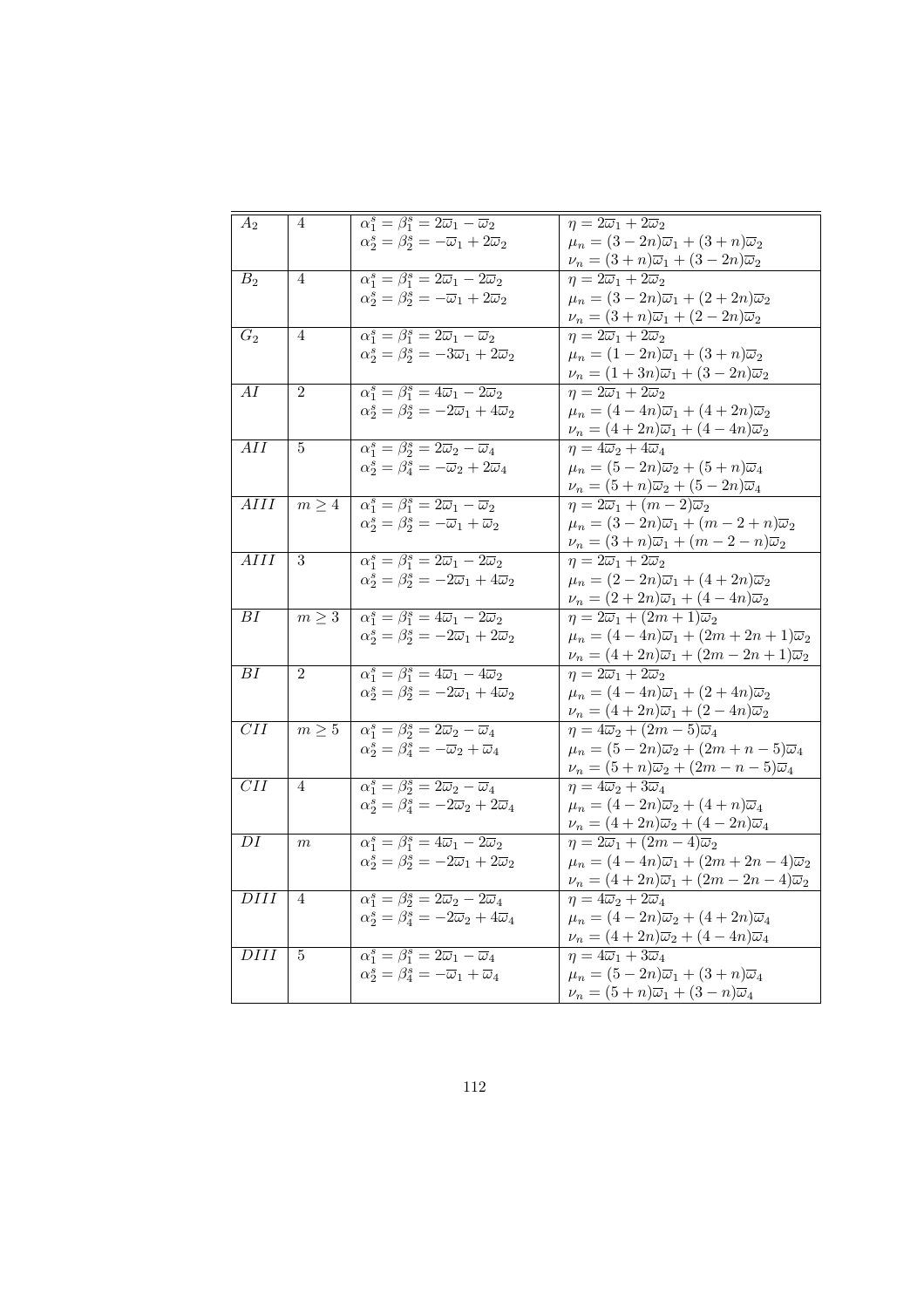| $A_2$                          | $\overline{4}$        | $\alpha_1^s = \beta_1^s = 2\overline{\omega}_1 - \overline{\omega}_2$                        | $\eta = 2\overline{\omega}_1 + 2\overline{\omega}_2$                     |
|--------------------------------|-----------------------|----------------------------------------------------------------------------------------------|--------------------------------------------------------------------------|
|                                |                       | $\alpha_2^s = \beta_2^s = -\overline{\omega}_1 + 2\overline{\omega}_2$                       | $\mu_n = (3 - 2n)\overline{\omega}_1 + (3 + n)\overline{\omega}_2$       |
|                                |                       |                                                                                              | $\nu_n = (3+n)\overline{\omega}_1 + (3-2n)\overline{\omega}_2$           |
| B <sub>2</sub>                 | 4                     | $\overline{\alpha_1^s} = \overline{\beta_1^s} = 2\overline{\omega}_1 - 2\overline{\omega}_2$ | $\eta = 2\overline{\omega}_1 + 2\overline{\omega}_2$                     |
|                                |                       | $\alpha_2^s = \beta_2^s = -\overline{\omega}_1 + 2\overline{\omega}_2$                       | $\mu_n = (3 - 2n)\overline{\omega}_1 + (2 + 2n)\overline{\omega}_2$      |
|                                |                       |                                                                                              | $\nu_n = (3+n)\overline{\omega}_1 + (2-2n)\overline{\omega}_2$           |
| $G_2$                          | $\overline{4}$        | $\alpha_1^s = \beta_1^s = 2\overline{\omega}_1 - \overline{\omega}_2$                        | $\eta=2\overline{\omega}_1+2\overline{\omega}_2$                         |
|                                |                       | $\alpha_2^s = \beta_2^s = -3\overline{\omega}_1 + 2\overline{\omega}_2$                      | $\mu_n = (1 - 2n)\overline{\omega}_1 + (3 + n)\overline{\omega}_2$       |
|                                |                       |                                                                                              | $\nu_n = (1+3n)\overline{\omega}_1 + (3-2n)\overline{\omega}_2$          |
| AI                             | $\overline{2}$        | $\alpha_1^s = \beta_1^s = 4\overline{\omega}_1 - 2\overline{\omega}_2$                       | $\eta = 2\overline{\omega}_1 + 2\overline{\omega}_2$                     |
|                                |                       | $\alpha_2^s = \beta_2^s = -2\overline{\omega}_1 + 4\overline{\omega}_2$                      | $\mu_n = (4 - 4n)\overline{\omega}_1 + (4 + 2n)\overline{\omega}_2$      |
|                                |                       |                                                                                              | $\nu_n = (4+2n)\overline{\omega}_1 + (4-4n)\overline{\omega}_2$          |
| $\overline{AII}$               | $\overline{5}$        | $\alpha_1^s = \beta_2^s = 2\overline{\omega}_2 - \overline{\omega}_4$                        | $\eta = 4\overline{\omega}_2 + 4\overline{\omega}_4$                     |
|                                |                       | $\alpha_2^s = \beta_4^s = -\overline{\omega}_2 + 2\overline{\omega}_4$                       | $\mu_n = (5 - 2n)\overline{\omega}_2 + (5 + n)\overline{\omega}_4$       |
|                                |                       |                                                                                              | $\nu_n = (5+n)\overline{\omega}_2 + (5-2n)\overline{\omega}_4$           |
| $\overline{A} \overline{I} II$ | $\overline{m} \geq 4$ | $\alpha_1^s = \beta_1^s = 2\overline{\omega}_1 - \overline{\omega}_2$                        | $\eta = 2\overline{\omega}_1 + (m-2)\overline{\omega}_2$                 |
|                                |                       | $\alpha_2^s = \beta_2^s = -\overline{\omega}_1 + \overline{\omega}_2$                        | $\mu_n = (3 - 2n)\overline{\omega}_1 + (m - 2 + n)\overline{\omega}_2$   |
|                                |                       |                                                                                              | $\nu_n = (3+n)\overline{\omega}_1 + (m-2-n)\overline{\omega}_2$          |
| $\overline{AIII}$              | $\overline{3}$        | $\overline{\alpha_1^s} = \overline{\beta_1^s} = 2\overline{\omega}_1 - 2\overline{\omega}_2$ | $\eta = 2\overline{\omega}_1 + 2\overline{\omega}_2$                     |
|                                |                       | $\alpha_2^s = \beta_2^s = -2\overline{\omega}_1 + 4\overline{\omega}_2$                      | $\mu_n = (2 - 2n)\overline{\omega}_1 + (4 + 2n)\overline{\omega}_2$      |
|                                |                       |                                                                                              | $\nu_n = (2+2n)\overline{\omega}_1 + (4-4n)\overline{\omega}_2$          |
| $\overline{BI}$                | $m \geq 3$            | $\alpha_1^s = \beta_1^s = 4\overline{\omega}_1 - 2\overline{\omega}_2$                       | $\eta = 2\overline{\omega}_1 + (2m+1)\overline{\omega}_2$                |
|                                |                       | $\alpha_2^s = \beta_2^s = -2\overline{\omega}_1 + 2\overline{\omega}_2$                      | $\mu_n = (4 - 4n)\overline{\omega}_1 + (2m + 2n + 1)\overline{\omega}_2$ |
|                                |                       |                                                                                              | $\nu_n = (4+2n)\overline{\omega}_1 + (2m-2n+1)\overline{\omega}_2$       |
| $\overline{BI}$                | $\overline{2}$        | $\alpha_1^s = \beta_1^s = 4\overline{\omega}_1 - 4\overline{\omega}_2$                       | $\eta = 2\overline{\omega}_1 + 2\overline{\omega}_2$                     |
|                                |                       | $\alpha_2^s = \beta_2^s = -2\overline{\omega}_1 + 4\overline{\omega}_2$                      | $\mu_n = (4 - 4n)\overline{\omega}_1 + (2 + 4n)\overline{\omega}_2$      |
|                                |                       |                                                                                              | $\nu_n = (4+2n)\overline{\omega}_1 + (2-4n)\overline{\omega}_2$          |
| $\overline{CII}$               | $m \geq 5$            | $\alpha_1^s = \beta_2^s = 2\overline{\omega}_2 - \overline{\omega}_4$                        | $\eta = 4\overline{\omega}_2 + (2m - 5)\overline{\omega}_4$              |
|                                |                       | $\alpha_2^s = \beta_4^s = -\overline{\omega}_2 + \overline{\omega}_4$                        | $\mu_n = (5 - 2n)\overline{\omega}_2 + (2m + n - 5)\overline{\omega}_4$  |
|                                |                       |                                                                                              | $\nu_n = (5+n)\overline{\omega}_2 + (2m-n-5)\overline{\omega}_4$         |
| $\overline{CII}$               | 4                     | $\alpha_1^s = \beta_2^s = 2\overline{\omega}_2 - \overline{\omega}_4$                        | $\eta = 4\overline{\omega}_2 + 3\overline{\omega}_4$                     |
|                                |                       | $\alpha_2^s = \beta_4^s = -2\overline{\omega}_2 + 2\overline{\omega}_4$                      | $\mu_n = (4 - 2n)\overline{\omega}_2 + (4 + n)\overline{\omega}_4$       |
|                                |                       |                                                                                              | $\nu_n = (4+2n)\overline{\omega}_2 + (4-2n)\overline{\omega}_4$          |
| $\overline{DI}$                | $_{m}$                | $\alpha_1^s = \beta_1^s = 4\overline{\omega}_1 - 2\overline{\omega}_2$                       | $\eta = 2\overline{\omega}_1 + (2m - 4)\overline{\omega}_2$              |
|                                |                       | $\alpha_2^s = \beta_2^s = -2\overline{\omega}_1 + 2\overline{\omega}_2$                      | $\mu_n = (4 - 4n)\overline{\omega}_1 + (2m + 2n - 4)\overline{\omega}_2$ |
|                                |                       |                                                                                              | $\nu_n = (4+2n)\overline{\omega}_1 + (2m-2n-4)\overline{\omega}_2$       |
| DIII                           | $\overline{4}$        | $\alpha_1^s = \overline{\beta_2^s} = 2\overline{\omega}_2 - 2\overline{\omega}_4$            | $\eta = 4\overline{\omega}_2 + 2\overline{\omega}_4$                     |
|                                |                       | $\alpha_2^s = \beta_4^s = -2\overline{\omega}_2 + 4\overline{\omega}_4$                      | $\mu_n = (4 - 2n)\overline{\omega}_2 + (4 + 2n)\overline{\omega}_4$      |
|                                |                       |                                                                                              | $\nu_n = (4+2n)\overline{\omega}_2 + (4-4n)\overline{\omega}_4$          |
| DIII                           | 5                     | $\alpha_1^s = \beta_1^s = 2\overline{\omega}_1 - \overline{\omega}_4$                        | $\eta = 4\overline{\omega}_1 + 3\overline{\omega}_4$                     |
|                                |                       | $\alpha_2^s = \beta_4^s = -\overline{\omega}_1 + \overline{\omega}_4$                        | $\mu_n = (5 - 2n)\overline{\omega}_1 + (3 + n)\overline{\omega}_4$       |
|                                |                       |                                                                                              | $\nu_n = (5+n)\overline{\omega}_1 + (3-n)\overline{\omega}_4$            |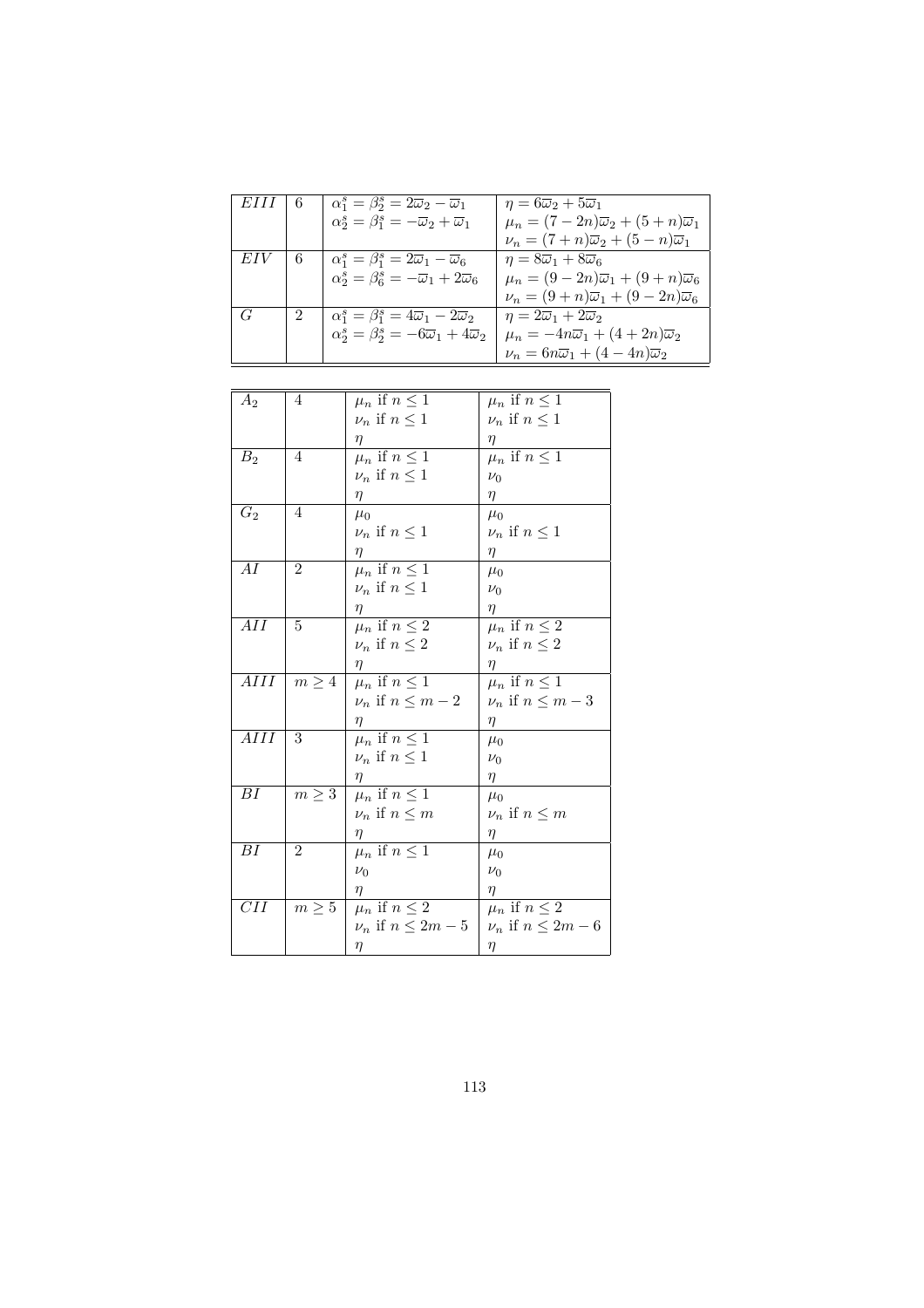| EIII | - 6 | $\alpha_1^s = \beta_2^s = 2\overline{\omega}_2 - \overline{\omega}_1$   | $\eta = 6\overline{\omega}_2 + 5\overline{\omega}_1$           |
|------|-----|-------------------------------------------------------------------------|----------------------------------------------------------------|
|      |     | $\alpha_2^s = \beta_1^s = -\overline{\omega}_2 + \overline{\omega}_1$   | $\mu_n = (7-2n)\overline{\omega}_2 + (5+n)\overline{\omega}_1$ |
|      |     |                                                                         | $\nu_n = (7+n)\overline{\omega}_2 + (5-n)\overline{\omega}_1$  |
| EIV  | 6   | $\alpha_1^s = \beta_1^s = 2\overline{\omega}_1 - \overline{\omega}_6$   | $\eta = 8\overline{\omega}_1 + 8\overline{\omega}_6$           |
|      |     | $\alpha_2^s = \beta_6^s = -\overline{\omega}_1 + 2\overline{\omega}_6$  | $\mu_n = (9-2n)\overline{\omega}_1 + (9+n)\overline{\omega}_6$ |
|      |     |                                                                         | $\nu_n = (9+n)\overline{\omega}_1 + (9-2n)\overline{\omega}_6$ |
| G    | 2   | $\alpha_1^s = \beta_1^s = 4\overline{\omega}_1 - 2\overline{\omega}_2$  | $\eta = 2\overline{\omega}_1 + 2\overline{\omega}_2$           |
|      |     | $\alpha_2^s = \beta_2^s = -6\overline{\omega}_1 + 4\overline{\omega}_2$ | $\mu_n = -4n\overline{\omega}_1 + (4+2n)\overline{\omega}_2$   |
|      |     |                                                                         | $\nu_n = 6n\overline{\omega}_1 + (4-4n)\overline{\omega}_2$    |
|      |     |                                                                         |                                                                |

| $A_2$          | 4              | $\mu_n$ if $n \leq 1$    | $\mu_n$ if $n \leq 1$    |
|----------------|----------------|--------------------------|--------------------------|
|                |                | $\nu_n$ if $n \leq 1$    | $\nu_n$ if $n \leq 1$    |
|                |                | η                        | η                        |
| B <sub>2</sub> | 4              | $\mu_n$ if $n \leq 1$    | $\mu_n$ if $n \leq 1$    |
|                |                | $\nu_n$ if $n \leq 1$    | $\nu_0$                  |
|                |                | $\eta$                   | $\eta$                   |
| $G_2$          | 4              | $\mu_0$                  | $\mu_0$                  |
|                |                | $\nu_n$ if $n \leq 1$    | $\nu_n$ if $n \leq 1$    |
|                |                | $\eta$                   | $\eta$                   |
| AI             | $\overline{2}$ | $\mu_n$ if $n \leq 1$    | $\mu_0$                  |
|                |                | $\nu_n$ if $n \leq 1$    | $\nu_0$                  |
|                |                | η                        | $\eta$                   |
| AH             | 5              | $\mu_n$ if $n \leq 2$    | $\mu_n$ if $n \leq 2$    |
|                |                | $\nu_n$ if $n \leq 2$    | $\nu_n$ if $n \leq 2$    |
|                |                | $\eta$                   | $\eta$                   |
| AIII           | $m \geq 4$     | $\mu_n$ if $n \leq 1$    | $\mu_n$ if $n \leq 1$    |
|                |                | $\nu_n$ if $n \leq m-2$  | $\nu_n$ if $n \leq m-3$  |
|                |                | η                        | $\eta$                   |
| AIII           | 3              | $\mu_n$ if $n \leq 1$    | $\mu_0$                  |
|                |                | $\nu_n$ if $n \leq 1$    | $\nu_0$                  |
|                |                | η                        | $\eta$                   |
| BI             | $m \geq 3$     | $\mu_n$ if $n \leq 1$    | $\mu_0$                  |
|                |                | $\nu_n$ if $n \leq m$    | $\nu_n$ if $n \leq m$    |
|                |                | $\eta$                   | $\eta$                   |
| ΒI             | $\overline{2}$ | $\mu_n$ if $n \leq 1$    | $\mu_0$                  |
|                |                | $\nu_0$                  | $\nu_0$                  |
|                |                | η                        | $\eta$                   |
| CII            | $m \geq 5$     | $\mu_n$ if $n \leq 2$    | $\mu_n$ if $n \leq 2$    |
|                |                | $\nu_n$ if $n \leq 2m-5$ | $\nu_n$ if $n \leq 2m-6$ |
|                |                | η                        | $\eta$                   |
|                |                |                          |                          |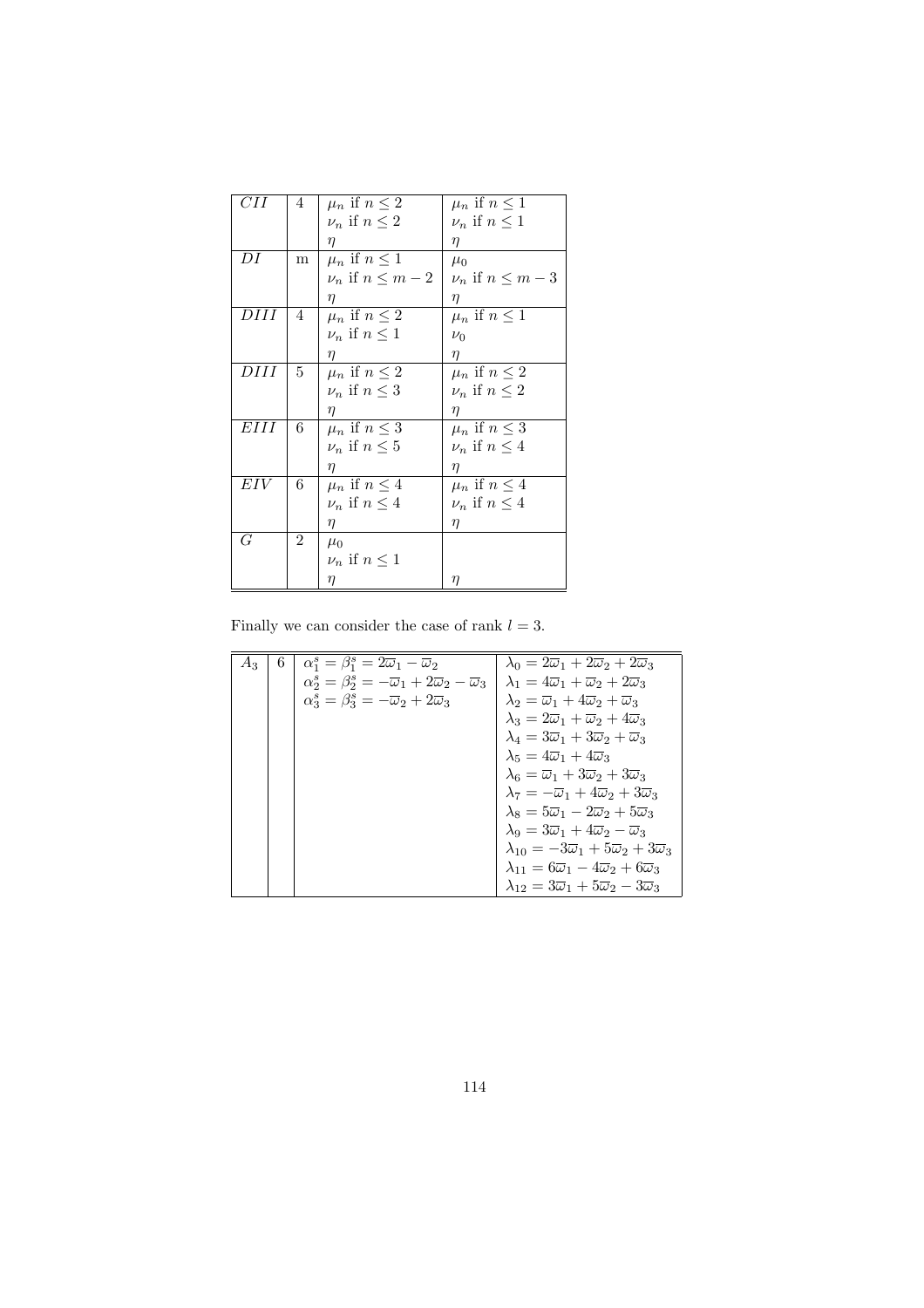| CН  | 4 | $\mu_n$ if $n \leq 2$   | $\mu_n$ if $n \leq 1$   |
|-----|---|-------------------------|-------------------------|
|     |   | $\nu_n$ if $n \leq 2$   | $\nu_n$ if $n \leq 1$   |
|     |   | $\eta$                  | $\eta$                  |
| DI  | m | $\mu_n$ if $n \leq 1$   | $\mu_0$                 |
|     |   | $\nu_n$ if $n \leq m-2$ | $\nu_n$ if $n \leq m-3$ |
|     |   | $\eta$                  | $\eta$                  |
| DHI | 4 | $\mu_n$ if $n \leq 2$   | $\mu_n$ if $n \leq 1$   |
|     |   | $\nu_n$ if $n \leq 1$   | $\nu_0$                 |
|     |   | $\eta$                  | $\eta$                  |
| DHI | 5 | $\mu_n$ if $n \leq 2$   | $\mu_n$ if $n \leq 2$   |
|     |   | $\nu_n$ if $n \leq 3$   | $\nu_n$ if $n \leq 2$   |
|     |   | $\eta$                  | η                       |
| EHI | 6 | $\mu_n$ if $n \leq 3$   | $\mu_n$ if $n \leq 3$   |
|     |   | $\nu_n$ if $n \leq 5$   | $\nu_n$ if $n \leq 4$   |
|     |   | $\eta$                  | $\eta$                  |
| EIV | 6 | $\mu_n$ if $n \leq 4$   | $\mu_n$ if $n \leq 4$   |
|     |   | $\nu_n$ if $n \leq 4$   | $\nu_n$ if $n \leq 4$   |
|     |   | $\eta$                  | η                       |
| G   | 2 | $\mu_0$                 |                         |
|     |   | $\nu_n$ if $n \leq 1$   |                         |
|     |   | η                       | $\eta$                  |

Finally we can consider the case of rank  $l = 3$ .

| $A_3$ | 6. | $\alpha_1^s = \beta_1^s = 2\overline{\omega}_1 - \overline{\omega}_2$                        | $\lambda_0 = 2\overline{\omega}_1 + 2\overline{\omega}_2 + 2\overline{\omega}_3$     |
|-------|----|----------------------------------------------------------------------------------------------|--------------------------------------------------------------------------------------|
|       |    | $\alpha_2^s = \beta_2^s = -\overline{\omega}_1 + 2\overline{\omega}_2 - \overline{\omega}_3$ | $\lambda_1 = 4\overline{\omega}_1 + \overline{\omega}_2 + 2\overline{\omega}_3$      |
|       |    | $\alpha_3^s = \beta_3^s = -\overline{\omega}_2 + 2\overline{\omega}_3$                       | $\lambda_2 = \overline{\omega}_1 + 4\overline{\omega}_2 + \overline{\omega}_3$       |
|       |    |                                                                                              | $\lambda_3 = 2\overline{\omega}_1 + \overline{\omega}_2 + 4\overline{\omega}_3$      |
|       |    |                                                                                              | $\lambda_4 = 3\overline{\omega}_1 + 3\overline{\omega}_2 + \overline{\omega}_3$      |
|       |    |                                                                                              | $\lambda_5 = 4\overline{\omega}_1 + 4\overline{\omega}_3$                            |
|       |    |                                                                                              | $\lambda_6 = \overline{\omega}_1 + 3\overline{\omega}_2 + 3\overline{\omega}_3$      |
|       |    |                                                                                              | $\lambda_7 = -\overline{\omega}_1 + 4\overline{\omega}_2 + 3\overline{\omega}_3$     |
|       |    |                                                                                              | $\lambda_8 = 5\overline{\omega}_1 - 2\overline{\omega}_2 + 5\overline{\omega}_3$     |
|       |    |                                                                                              | $\lambda_9 = 3\overline{\omega}_1 + 4\overline{\omega}_2 - \overline{\omega}_3$      |
|       |    |                                                                                              | $\lambda_{10} = -3\overline{\omega}_1 + 5\overline{\omega}_2 + 3\overline{\omega}_3$ |
|       |    |                                                                                              | $\lambda_{11} = 6\overline{\omega}_1 - 4\overline{\omega}_2 + 6\overline{\omega}_3$  |
|       |    |                                                                                              | $\lambda_{12}=3\overline{\omega}_1+5\overline{\omega}_2-3\overline{\omega}_3$        |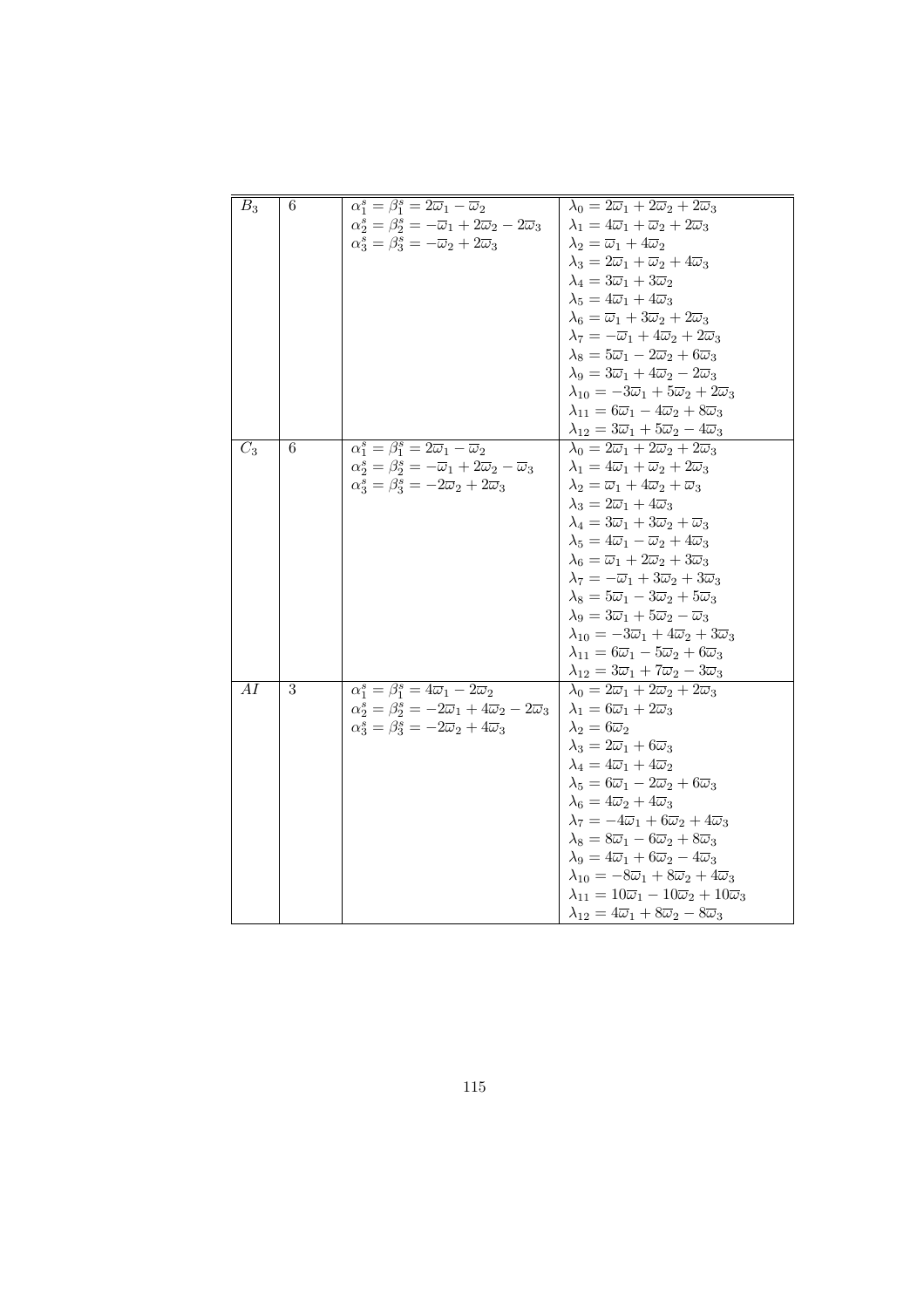| $B_3$            | 6 | $\alpha_1^s = \beta_1^s = 2\overline{\omega}_1 - \overline{\omega}_2$                          | $\lambda_0 = 2\overline{\omega}_1 + 2\overline{\omega}_2 + 2\overline{\omega}_3$       |
|------------------|---|------------------------------------------------------------------------------------------------|----------------------------------------------------------------------------------------|
|                  |   | $\alpha_2^s = \beta_2^s = -\overline{\omega}_1 + 2\overline{\omega}_2 - 2\overline{\omega}_3$  | $\lambda_1 = 4\overline{\omega}_1 + \overline{\omega}_2 + 2\overline{\omega}_3$        |
|                  |   | $\alpha_3^s = \beta_3^s = -\overline{\omega}_2 + 2\overline{\omega}_3$                         | $\lambda_2 = \overline{\omega}_1 + 4\overline{\omega}_2$                               |
|                  |   |                                                                                                | $\lambda_3 = 2\overline{\omega}_1 + \overline{\omega}_2 + 4\overline{\omega}_3$        |
|                  |   |                                                                                                | $\lambda_4 = 3\overline{\omega}_1 + 3\overline{\omega}_2$                              |
|                  |   |                                                                                                | $\lambda_5 = 4\overline{\omega}_1 + 4\overline{\omega}_3$                              |
|                  |   |                                                                                                | $\lambda_6 = \overline{\omega}_1 + 3\overline{\omega}_2 + 2\overline{\omega}_3$        |
|                  |   |                                                                                                | $\lambda_7 = -\overline{\omega}_1 + 4\overline{\omega}_2 + 2\overline{\omega}_3$       |
|                  |   |                                                                                                | $\lambda_8 = 5\overline{\omega}_1 - 2\overline{\omega}_2 + 6\overline{\omega}_3$       |
|                  |   |                                                                                                | $\lambda_9 = 3\overline{\omega}_1 + 4\overline{\omega}_2 - 2\overline{\omega}_3$       |
|                  |   |                                                                                                | $\lambda_{10} = -3\overline{\omega}_1 + 5\overline{\omega}_2 + 2\overline{\omega}_3$   |
|                  |   |                                                                                                | $\lambda_{11} = 6\overline{\omega}_1 - 4\overline{\omega}_2 + 8\overline{\omega}_3$    |
|                  |   |                                                                                                | $\lambda_{12}=3\overline{\omega}_1+5\overline{\omega}_2-4\overline{\omega}_3$          |
| $\overline{C_3}$ | 6 | $\alpha_1^s = \beta_1^s = 2\overline{\omega}_1 - \overline{\omega}_2$                          | $\lambda_0 = 2\overline{\omega}_1 + 2\overline{\omega}_2 + 2\overline{\omega}_3$       |
|                  |   | $\alpha_2^s = \beta_2^s = -\overline{\omega}_1 + 2\overline{\omega}_2 - \overline{\omega}_3$   | $\lambda_1 = 4\overline{\omega}_1 + \overline{\omega}_2 + 2\overline{\omega}_3$        |
|                  |   | $\alpha_3^s = \beta_3^s = -2\overline{\omega}_2 + 2\overline{\omega}_3$                        | $\lambda_2 = \overline{\omega}_1 + 4\overline{\omega}_2 + \overline{\omega}_3$         |
|                  |   |                                                                                                | $\lambda_3 = 2\overline{\omega}_1 + 4\overline{\omega}_3$                              |
|                  |   |                                                                                                | $\lambda_4 = 3\overline{\omega}_1 + 3\overline{\omega}_2 + \overline{\omega}_3$        |
|                  |   |                                                                                                | $\lambda_5 = 4\overline{\omega}_1 - \overline{\omega}_2 + 4\overline{\omega}_3$        |
|                  |   |                                                                                                | $\lambda_6 = \overline{\omega}_1 + 2\overline{\omega}_2 + 3\overline{\omega}_3$        |
|                  |   |                                                                                                | $\lambda_7 = -\overline{\omega}_1 + 3\overline{\omega}_2 + 3\overline{\omega}_3$       |
|                  |   |                                                                                                | $\lambda_8 = 5\overline{\omega}_1 - 3\overline{\omega}_2 + 5\overline{\omega}_3$       |
|                  |   |                                                                                                | $\lambda_9 = 3\overline{\omega}_1 + 5\overline{\omega}_2 - \overline{\omega}_3$        |
|                  |   |                                                                                                | $\lambda_{10} = -3\overline{\omega}_1 + 4\overline{\omega}_2 + 3\overline{\omega}_3$   |
|                  |   |                                                                                                | $\lambda_{11} = 6\overline{\omega}_1 - 5\overline{\omega}_2 + 6\overline{\omega}_3$    |
|                  |   |                                                                                                | $\lambda_{12}=3\overline{\omega}_1+7\overline{\omega}_2-3\overline{\omega}_3$          |
| AI               | 3 | $\overline{\alpha_1^s} = \overline{\beta_1^s} = 4\overline{\omega}_1 - 2\overline{\omega}_2$   | $\lambda_0 = 2\overline{\omega}_1 + 2\overline{\omega}_2 + 2\overline{\omega}_3$       |
|                  |   | $\alpha_2^s = \beta_2^s = -2\overline{\omega}_1 + 4\overline{\omega}_2 - 2\overline{\omega}_3$ | $\lambda_1 = 6\overline{\omega}_1 + 2\overline{\omega}_3$                              |
|                  |   | $\alpha_3^s = \beta_3^s = -2\overline{\omega}_2 + 4\overline{\omega}_3$                        | $\lambda_2=6\overline{\omega}_2$                                                       |
|                  |   |                                                                                                | $\lambda_3 = 2\overline{\omega}_1 + 6\overline{\omega}_3$                              |
|                  |   |                                                                                                | $\lambda_4 = 4\overline{\omega}_1 + 4\overline{\omega}_2$                              |
|                  |   |                                                                                                | $\lambda_5 = 6\overline{\omega}_1 - 2\overline{\omega}_2 + 6\overline{\omega}_3$       |
|                  |   |                                                                                                | $\lambda_6 = 4\overline{\omega}_2 + 4\overline{\omega}_3$                              |
|                  |   |                                                                                                | $\lambda_7 = -4\overline{\omega}_1 + 6\overline{\omega}_2 + 4\overline{\omega}_3$      |
|                  |   |                                                                                                | $\lambda_8 = 8\overline{\omega}_1 - 6\overline{\omega}_2 + 8\overline{\omega}_3$       |
|                  |   |                                                                                                | $\lambda_9 = 4\overline{\omega}_1 + 6\overline{\omega}_2 - 4\overline{\omega}_3$       |
|                  |   |                                                                                                | $\lambda_{10} = -8\overline{\omega}_1 + 8\overline{\omega}_2 + 4\overline{\omega}_3$   |
|                  |   |                                                                                                | $\lambda_{11} = 10\overline{\omega}_1 - 10\overline{\omega}_2 + 10\overline{\omega}_3$ |
|                  |   |                                                                                                | $\lambda_{12}=4\overline{\omega}_1+8\overline{\omega}_2-8\overline{\omega}_3$          |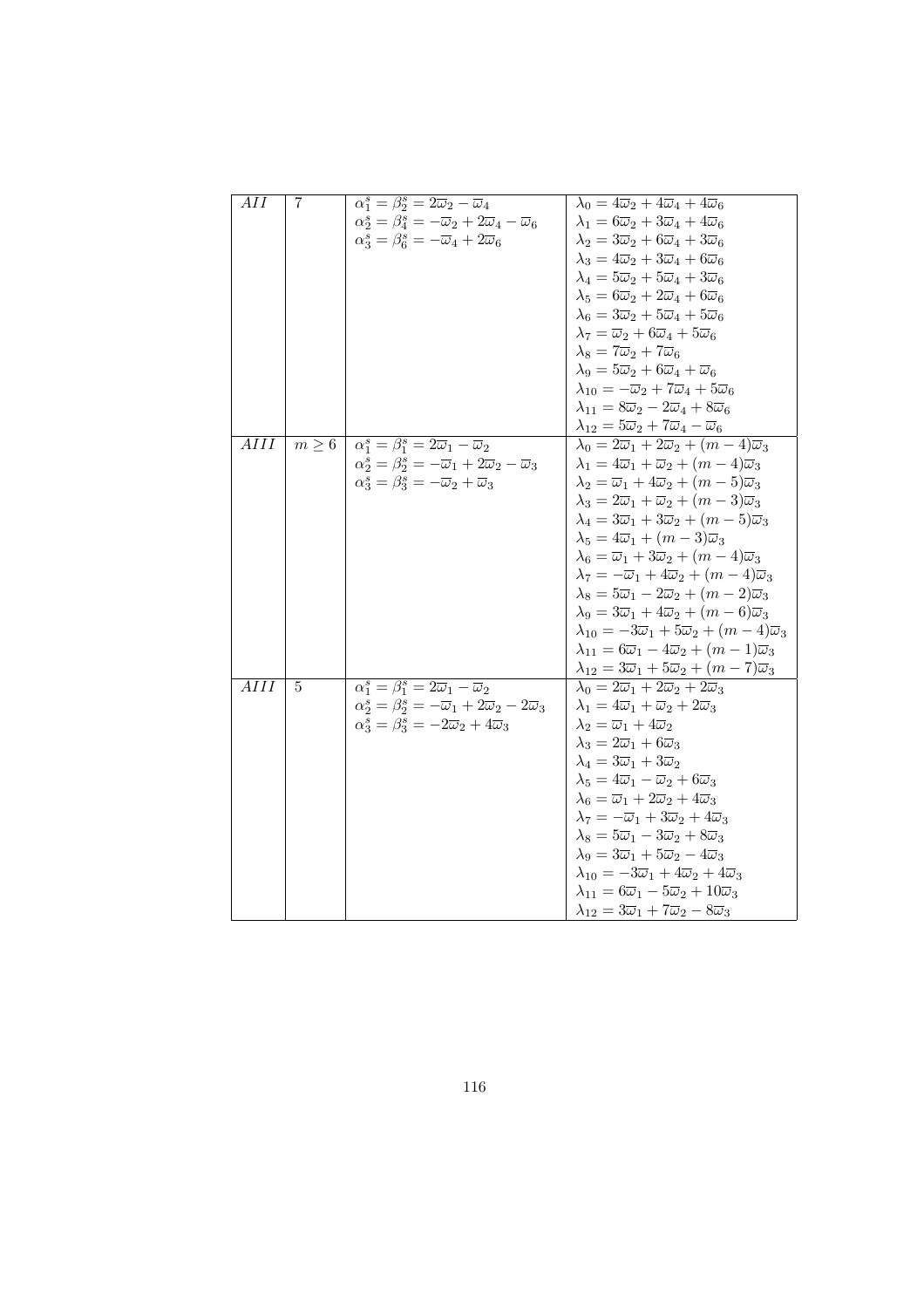| $\overline{AII}$  | 7 | $\alpha_1^s = \beta_2^s = 2\overline{\omega}_2 - \overline{\omega}_4$                         | $\lambda_0 = 4\overline{\omega}_2 + 4\overline{\omega}_4 + 4\overline{\omega}_6$                                                                                   |
|-------------------|---|-----------------------------------------------------------------------------------------------|--------------------------------------------------------------------------------------------------------------------------------------------------------------------|
|                   |   | $\alpha_2^s = \beta_4^s = -\overline{\omega}_2 + 2\overline{\omega}_4 - \overline{\omega}_6$  | $\lambda_1 = 6\overline{\omega}_2 + 3\overline{\omega}_4 + 4\overline{\omega}_6$                                                                                   |
|                   |   | $\alpha_3^s = \beta_6^s = -\overline{\omega}_4 + 2\overline{\omega}_6$                        | $\lambda_2 = 3\overline{\omega}_2 + 6\overline{\omega}_4 + 3\overline{\omega}_6$                                                                                   |
|                   |   |                                                                                               | $\lambda_3 = 4\overline{\omega}_2 + 3\overline{\omega}_4 + 6\overline{\omega}_6$                                                                                   |
|                   |   |                                                                                               | $\lambda_4 = 5\overline{\omega}_2 + 5\overline{\omega}_4 + 3\overline{\omega}_6$                                                                                   |
|                   |   |                                                                                               | $\lambda_5 = 6\overline{\omega}_2 + 2\overline{\omega}_4 + 6\overline{\omega}_6$                                                                                   |
|                   |   |                                                                                               | $\lambda_6 = 3\overline{\omega}_2 + 5\overline{\omega}_4 + 5\overline{\omega}_6$                                                                                   |
|                   |   |                                                                                               | $\lambda_7 = \overline{\omega}_2 + 6\overline{\omega}_4 + 5\overline{\omega}_6$                                                                                    |
|                   |   |                                                                                               | $\lambda_8 = 7\overline{\omega}_2 + 7\overline{\omega}_6$                                                                                                          |
|                   |   |                                                                                               | $\lambda_9 = 5\overline{\omega}_2 + 6\overline{\omega}_4 + \overline{\omega}_6$                                                                                    |
|                   |   |                                                                                               | $\lambda_{10}=-\overline{\omega}_2+7\overline{\omega}_4+5\overline{\omega}_6$                                                                                      |
|                   |   |                                                                                               | $\lambda_{11} = 8\overline{\omega}_2 - 2\overline{\omega}_4 + 8\overline{\omega}_6$                                                                                |
|                   |   |                                                                                               | $\lambda_{12}=5\overline{\omega}_2+7\overline{\omega}_4-\overline{\omega}_6$                                                                                       |
| AIII              |   | $m \geq 6$ $\alpha_1^s = \beta_1^s = 2\overline{\omega}_1 - \overline{\omega}_2$              | $\lambda_0 = 2\overline{\omega}_1 + 2\overline{\omega}_2 + (m-4)\overline{\omega}_3$                                                                               |
|                   |   | $\alpha_2^s = \beta_2^s = -\overline{\omega}_1 + 2\overline{\omega}_2 - \overline{\omega}_3$  | $\lambda_1 = 4\overline{\omega}_1 + \overline{\omega}_2 + (m-4)\overline{\omega}_3$                                                                                |
|                   |   | $\alpha_3^s = \beta_3^s = -\overline{\omega}_2 + \overline{\omega}_3$                         | $\lambda_2 = \overline{\omega}_1 + 4\overline{\omega}_2 + (m-5)\overline{\omega}_3$                                                                                |
|                   |   |                                                                                               | $\lambda_3 = 2\overline{\omega}_1 + \overline{\omega}_2 + (m-3)\overline{\omega}_3$                                                                                |
|                   |   |                                                                                               | $\lambda_4 = 3\overline{\omega}_1 + 3\overline{\omega}_2 + (m-5)\overline{\omega}_3$                                                                               |
|                   |   |                                                                                               | $\lambda_5 = 4\overline{\omega}_1 + (m-3)\overline{\omega}_3$                                                                                                      |
|                   |   |                                                                                               | $\lambda_6 = \overline{\omega}_1 + 3\overline{\omega}_2 + (m-4)\overline{\omega}_3$                                                                                |
|                   |   |                                                                                               | $\lambda_7 = -\overline{\omega}_1 + 4\overline{\omega}_2 + (m-4)\overline{\omega}_3$                                                                               |
|                   |   |                                                                                               | $\lambda_8 = 5\overline{\omega}_1 - 2\overline{\omega}_2 + (m-2)\overline{\omega}_3$                                                                               |
|                   |   |                                                                                               | $\lambda_9 = 3\overline{\omega}_1 + 4\overline{\omega}_2 + (m-6)\overline{\omega}_3$                                                                               |
|                   |   |                                                                                               | $\lambda_{10} = -3\overline{\omega}_1 + 5\overline{\omega}_2 + (m-4)\overline{\omega}_3$                                                                           |
|                   |   |                                                                                               | $\lambda_{11} = 6\overline{\omega}_1 - 4\overline{\omega}_2 + (m-1)\overline{\omega}_3$                                                                            |
|                   |   |                                                                                               | $\lambda_{12}=3\overline{\omega}_1+5\overline{\omega}_2+(m-7)\overline{\omega}_3$                                                                                  |
| $\overline{AIII}$ | 5 | $\overline{\alpha_1^s = \beta_1^s = 2\overline{\omega}_1 - \overline{\omega}_2}$              | $\lambda_0 = 2\overline{\omega}_1 + 2\overline{\omega}_2 + 2\overline{\omega}_3$                                                                                   |
|                   |   | $\alpha_2^s = \beta_2^s = -\overline{\omega}_1 + 2\overline{\omega}_2 - 2\overline{\omega}_3$ | $\lambda_1 = 4\overline{\omega}_1 + \overline{\omega}_2 + 2\overline{\omega}_3$                                                                                    |
|                   |   | $\alpha_3^s = \beta_3^s = -2\overline{\omega}_2 + 4\overline{\omega}_3$                       | $\lambda_2 = \overline{\omega}_1 + 4\overline{\omega}_2$                                                                                                           |
|                   |   |                                                                                               | $\lambda_3 = 2\overline{\omega}_1 + 6\overline{\omega}_3$                                                                                                          |
|                   |   |                                                                                               | $\lambda_4 = 3\overline{\omega}_1 + 3\overline{\omega}_2$                                                                                                          |
|                   |   |                                                                                               | $\lambda_5 = 4\overline{\omega}_1 - \overline{\omega}_2 + 6\overline{\omega}_3$<br>$\lambda_6 = \overline{\omega}_1 + 2\overline{\omega}_2 + 4\overline{\omega}_3$ |
|                   |   |                                                                                               | $\lambda_7 = -\overline{\omega}_1 + 3\overline{\omega}_2 + 4\overline{\omega}_3$                                                                                   |
|                   |   |                                                                                               | $\lambda_8 = 5\overline{\omega}_1 - 3\overline{\omega}_2 + 8\overline{\omega}_3$                                                                                   |
|                   |   |                                                                                               | $\lambda_9 = 3\overline{\omega}_1 + 5\overline{\omega}_2 - 4\overline{\omega}_3$                                                                                   |
|                   |   |                                                                                               | $\lambda_{10} = -3\overline{\omega}_1 + 4\overline{\omega}_2 + 4\overline{\omega}_3$                                                                               |
|                   |   |                                                                                               | $\lambda_{11} = 6\overline{\omega}_1 - 5\overline{\omega}_2 + 10\overline{\omega}_3$                                                                               |
|                   |   |                                                                                               | $\lambda_{12} = 3\overline{\omega}_1 + 7\overline{\omega}_2 - 8\overline{\omega}_3$                                                                                |
|                   |   |                                                                                               |                                                                                                                                                                    |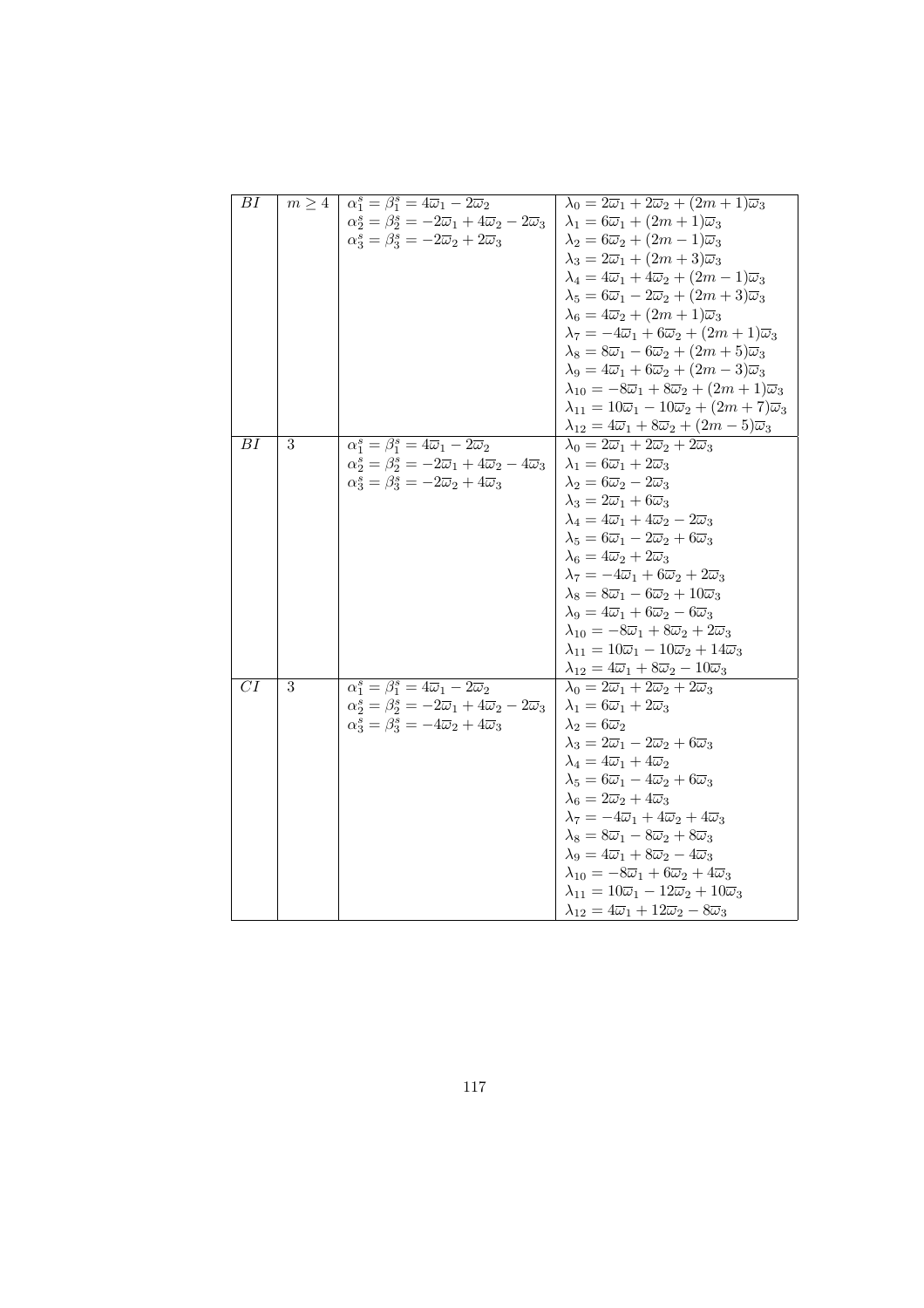| BI              |   | $m \geq 4$ $\alpha_1^s = \beta_1^s = 4\overline{\omega}_1 - 2\overline{\omega}_2$              | $\lambda_0 = 2\overline{\omega}_1 + 2\overline{\omega}_2 + (2m+1)\overline{\omega}_3$     |
|-----------------|---|------------------------------------------------------------------------------------------------|-------------------------------------------------------------------------------------------|
|                 |   | $\alpha_2^s = \beta_2^s = -2\overline{\omega}_1 + 4\overline{\omega}_2 - 2\overline{\omega}_3$ | $\lambda_1 = 6\overline{\omega}_1 + (2m+1)\overline{\omega}_3$                            |
|                 |   | $\alpha_3^s = \beta_3^s = -2\overline{\omega}_2 + 2\overline{\omega}_3$                        | $\lambda_2 = 6\overline{\omega}_2 + (2m - 1)\overline{\omega}_3$                          |
|                 |   |                                                                                                | $\lambda_3 = 2\overline{\omega}_1 + (2m+3)\overline{\omega}_3$                            |
|                 |   |                                                                                                | $\lambda_4 = 4\overline{\omega}_1 + 4\overline{\omega}_2 + (2m-1)\overline{\omega}_3$     |
|                 |   |                                                                                                | $\lambda_5 = 6\overline{\omega}_1 - 2\overline{\omega}_2 + (2m+3)\overline{\omega}_3$     |
|                 |   |                                                                                                | $\lambda_6 = 4\overline{\omega}_2 + (2m+1)\overline{\omega}_3$                            |
|                 |   |                                                                                                | $\lambda_7 = -4\overline{\omega}_1 + 6\overline{\omega}_2 + (2m+1)\overline{\omega}_3$    |
|                 |   |                                                                                                | $\lambda_8 = 8\overline{\omega}_1 - 6\overline{\omega}_2 + (2m + 5)\overline{\omega}_3$   |
|                 |   |                                                                                                | $\lambda_9 = 4\overline{\omega}_1 + 6\overline{\omega}_2 + (2m-3)\overline{\omega}_3$     |
|                 |   |                                                                                                | $\lambda_{10} = -8\overline{\omega}_1 + 8\overline{\omega}_2 + (2m+1)\overline{\omega}_3$ |
|                 |   |                                                                                                | $\lambda_{11}=10\overline{\omega}_1-10\overline{\omega}_2+(2m+7)\overline{\omega}_3$      |
|                 |   |                                                                                                | $\lambda_{12}=4\overline{\omega}_1+8\overline{\omega}_2+(2m-5)\overline{\omega}_3$        |
| $\overline{BI}$ | 3 | $\alpha_1^s = \beta_1^s = 4\overline{\omega}_1 - 2\overline{\omega}_2$                         | $\lambda_0 = 2\overline{\omega}_1 + 2\overline{\omega}_2 + 2\overline{\omega}_3$          |
|                 |   | $\alpha_2^s = \beta_2^s = -2\overline{\omega}_1 + 4\overline{\omega}_2 - 4\overline{\omega}_3$ | $\lambda_1 = 6\overline{\omega}_1 + 2\overline{\omega}_3$                                 |
|                 |   | $\alpha_3^s = \beta_3^s = -2\overline{\omega}_2 + 4\overline{\omega}_3$                        | $\lambda_2 = 6\overline{\omega}_2 - 2\overline{\omega}_3$                                 |
|                 |   |                                                                                                | $\lambda_3 = 2\overline{\omega}_1 + 6\overline{\omega}_3$                                 |
|                 |   |                                                                                                | $\lambda_4 = 4\overline{\omega}_1 + 4\overline{\omega}_2 - 2\overline{\omega}_3$          |
|                 |   |                                                                                                | $\lambda_5 = 6\overline{\omega}_1 - 2\overline{\omega}_2 + 6\overline{\omega}_3$          |
|                 |   |                                                                                                | $\lambda_6 = 4\overline{\omega}_2 + 2\overline{\omega}_3$                                 |
|                 |   |                                                                                                | $\lambda_7 = -4\overline{\omega}_1 + 6\overline{\omega}_2 + 2\overline{\omega}_3$         |
|                 |   |                                                                                                | $\lambda_8 = 8\overline{\omega}_1 - 6\overline{\omega}_2 + 10\overline{\omega}_3$         |
|                 |   |                                                                                                | $\lambda_9 = 4\overline{\omega}_1 + 6\overline{\omega}_2 - 6\overline{\omega}_3$          |
|                 |   |                                                                                                | $\lambda_{10} = -8\overline{\omega}_1 + 8\overline{\omega}_2 + 2\overline{\omega}_3$      |
|                 |   |                                                                                                | $\lambda_{11} = 10\overline{\omega}_1 - 10\overline{\omega}_2 + 14\overline{\omega}_3$    |
|                 |   |                                                                                                | $\lambda_{12}=4\overline{\omega}_1+8\overline{\omega}_2-10\overline{\omega}_3$            |
| $\overline{CI}$ | 3 | $\overline{\alpha_1^s = \beta_1^s = 4\overline{\omega}_1 - 2\overline{\omega}_2}$              | $\lambda_0 = 2\overline{\omega}_1 + 2\overline{\omega}_2 + 2\overline{\omega}_3$          |
|                 |   | $\alpha_2^s = \beta_2^s = -2\overline{\omega}_1 + 4\overline{\omega}_2 - 2\overline{\omega}_3$ | $\lambda_1 = 6\overline{\omega}_1 + 2\overline{\omega}_3$                                 |
|                 |   | $\alpha_3^s = \beta_3^s = -4\overline{\omega}_2 + 4\overline{\omega}_3$                        | $\lambda_2=6\overline{\omega}_2$                                                          |
|                 |   |                                                                                                | $\lambda_3 = 2\overline{\omega}_1 - 2\overline{\omega}_2 + 6\overline{\omega}_3$          |
|                 |   |                                                                                                | $\lambda_4 = 4\overline{\omega}_1 + 4\overline{\omega}_2$                                 |
|                 |   |                                                                                                | $\lambda_5 = 6\overline{\omega}_1 - 4\overline{\omega}_2 + 6\overline{\omega}_3$          |
|                 |   |                                                                                                | $\lambda_6 = 2\overline{\omega}_2 + 4\overline{\omega}_3$                                 |
|                 |   |                                                                                                | $\lambda_7 = -4\overline{\omega}_1 + 4\overline{\omega}_2 + 4\overline{\omega}_3$         |
|                 |   |                                                                                                | $\lambda_8 = 8\overline{\omega}_1 - 8\overline{\omega}_2 + 8\overline{\omega}_3$          |
|                 |   |                                                                                                | $\lambda_9 = 4\overline{\omega}_1 + 8\overline{\omega}_2 - 4\overline{\omega}_3$          |
|                 |   |                                                                                                | $\lambda_{10} = -8\overline{\omega}_1 + 6\overline{\omega}_2 + 4\overline{\omega}_3$      |
|                 |   |                                                                                                | $\lambda_{11} = 10\overline{\omega}_1 - 12\overline{\omega}_2 + 10\overline{\omega}_3$    |
|                 |   |                                                                                                | $\lambda_{12}=4\overline{\omega}_1+12\overline{\omega}_2-8\overline{\omega}_3$            |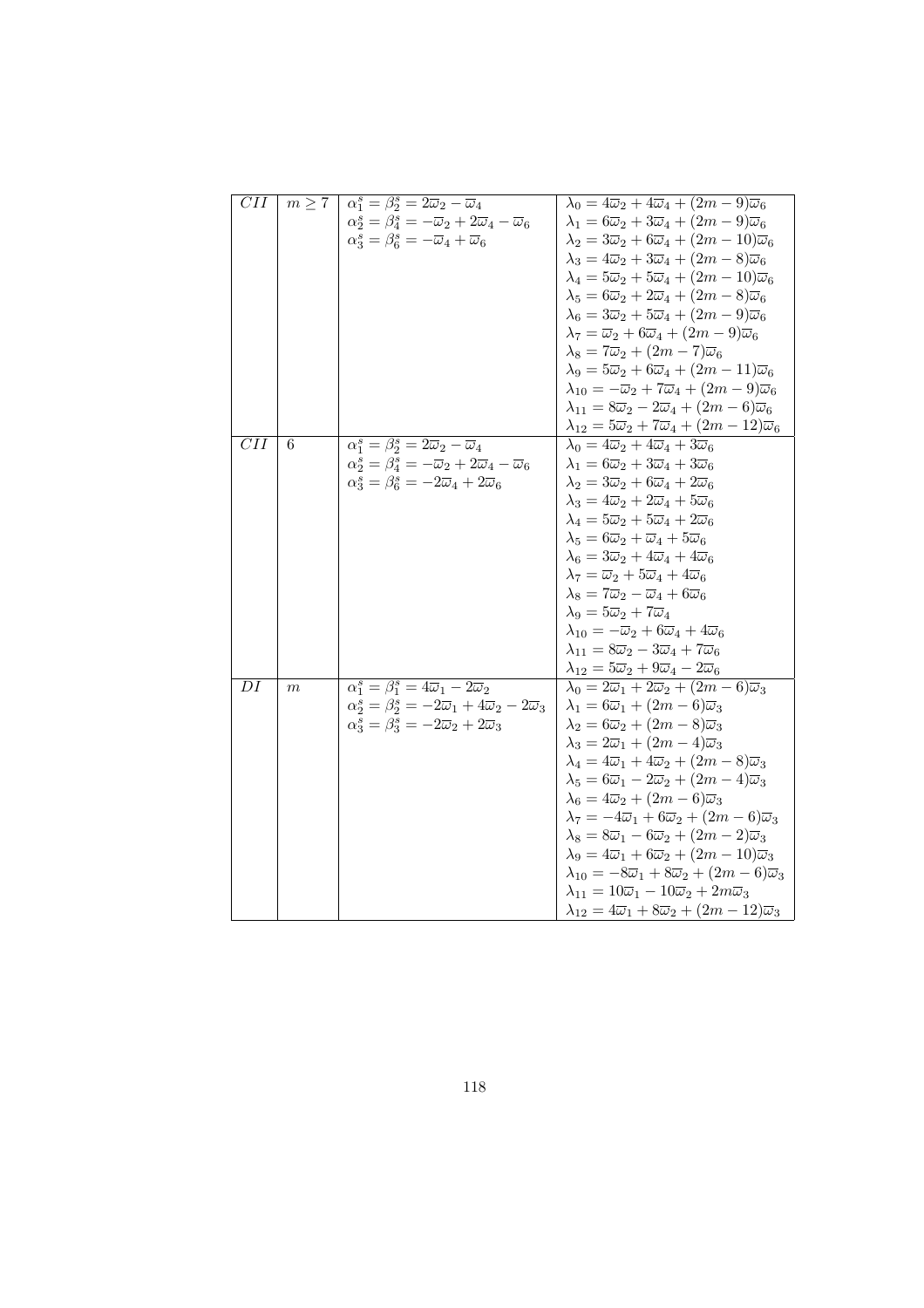| $\overline{CII}$ |            |                                                                                                |                                                                                             |
|------------------|------------|------------------------------------------------------------------------------------------------|---------------------------------------------------------------------------------------------|
|                  | $m \geq 7$ | $\alpha_1^s = \beta_2^s = 2\overline{\omega}_2 - \overline{\omega}_4$                          | $\lambda_0 = 4\overline{\omega}_2 + 4\overline{\omega}_4 + (2m-9)\overline{\omega}_6$       |
|                  |            | $\alpha_2^s = \beta_4^s = -\overline{\omega}_2 + 2\overline{\omega}_4 - \overline{\omega}_6$   | $\lambda_1 = 6\overline{\omega}_2 + 3\overline{\omega}_4 + (2m - 9)\overline{\omega}_6$     |
|                  |            | $\alpha_3^s = \beta_6^s = -\overline{\omega}_4 + \overline{\omega}_6$                          | $\lambda_2 = 3\overline{\omega}_2 + 6\overline{\omega}_4 + (2m - 10)\overline{\omega}_6$    |
|                  |            |                                                                                                | $\lambda_3 = 4\overline{\omega}_2 + 3\overline{\omega}_4 + (2m - 8)\overline{\omega}_6$     |
|                  |            |                                                                                                | $\lambda_4 = 5\overline{\omega}_2 + 5\overline{\omega}_4 + (2m - 10)\overline{\omega}_6$    |
|                  |            |                                                                                                | $\lambda_5 = 6\overline{\omega}_2 + 2\overline{\omega}_4 + (2m - 8)\overline{\omega}_6$     |
|                  |            |                                                                                                | $\lambda_6 = 3\overline{\omega}_2 + 5\overline{\omega}_4 + (2m - 9)\overline{\omega}_6$     |
|                  |            |                                                                                                | $\lambda_7 = \overline{\omega}_2 + 6\overline{\omega}_4 + (2m - 9)\overline{\omega}_6$      |
|                  |            |                                                                                                | $\lambda_8 = 7\overline{\omega}_2 + (2m - 7)\overline{\omega}_6$                            |
|                  |            |                                                                                                | $\lambda_9 = 5\overline{\omega}_2 + 6\overline{\omega}_4 + (2m - 11)\overline{\omega}_6$    |
|                  |            |                                                                                                | $\lambda_{10}=-\overline{\omega}_2+7\overline{\omega}_4+(2m-9)\overline{\omega}_6$          |
|                  |            |                                                                                                | $\lambda_{11}=8\overline{\omega}_2-2\overline{\omega}_4+(2m-6)\overline{\omega}_6$          |
|                  |            |                                                                                                | $\lambda_{12}=5\overline{\omega}_2+7\overline{\omega}_4+(2m-12)\overline{\omega}_6$         |
| $\overline{CII}$ | 6          | $\alpha_1^s = \beta_2^s = 2\overline{\omega}_2 - \overline{\omega}_4$                          | $\lambda_0 = 4\overline{\omega}_2 + 4\overline{\omega}_4 + 3\overline{\omega}_6$            |
|                  |            | $\alpha_2^s = \beta_4^s = -\overline{\omega}_2 + 2\overline{\omega}_4 - \overline{\omega}_6$   | $\lambda_1 = 6\overline{\omega}_2 + 3\overline{\omega}_4 + 3\overline{\omega}_6$            |
|                  |            | $\alpha_3^s = \beta_6^s = -2\overline{\omega}_4 + 2\overline{\omega}_6$                        | $\lambda_2 = 3\overline{\omega}_2 + 6\overline{\omega}_4 + 2\overline{\omega}_6$            |
|                  |            |                                                                                                | $\lambda_3 = 4\overline{\omega}_2 + 2\overline{\omega}_4 + 5\overline{\omega}_6$            |
|                  |            |                                                                                                | $\lambda_4 = 5\overline{\omega}_2 + 5\overline{\omega}_4 + 2\overline{\omega}_6$            |
|                  |            |                                                                                                | $\lambda_5 = 6\overline{\omega}_2 + \overline{\omega}_4 + 5\overline{\omega}_6$             |
|                  |            |                                                                                                | $\lambda_6 = 3\overline{\omega}_2 + 4\overline{\omega}_4 + 4\overline{\omega}_6$            |
|                  |            |                                                                                                | $\lambda_7 = \overline{\omega}_2 + 5\overline{\omega}_4 + 4\overline{\omega}_6$             |
|                  |            |                                                                                                | $\lambda_8 = 7\overline{\omega}_2 - \overline{\omega}_4 + 6\overline{\omega}_6$             |
|                  |            |                                                                                                | $\lambda_9 = 5\overline{\omega}_2 + 7\overline{\omega}_4$                                   |
|                  |            |                                                                                                | $\lambda_{10} = -\overline{\omega}_2 + 6\overline{\omega}_4 + 4\overline{\omega}_6$         |
|                  |            |                                                                                                | $\lambda_{11}=8\overline{\omega}_2-3\overline{\omega}_4+7\overline{\omega}_6$               |
|                  |            |                                                                                                | $\lambda_{12}=5\overline{\omega}_2+9\overline{\omega}_4-2\overline{\omega}_6$               |
| DI               | m          | $\overline{\alpha_1^s} = \overline{\beta_1^s} = 4\overline{\omega}_1 - 2\overline{\omega}_2$   | $\lambda_0 = 2\overline{\omega}_1 + 2\overline{\omega}_2 + (2m - 6)\overline{\omega}_3$     |
|                  |            | $\alpha_2^s = \beta_2^s = -2\overline{\omega}_1 + 4\overline{\omega}_2 - 2\overline{\omega}_3$ | $\lambda_1 = 6\overline{\omega}_1 + (2m - 6)\overline{\omega}_3$                            |
|                  |            | $\alpha_3^s = \beta_3^s = -2\overline{\omega}_2 + 2\overline{\omega}_3$                        | $\lambda_2 = 6\overline{\omega}_2 + (2m - 8)\overline{\omega}_3$                            |
|                  |            |                                                                                                | $\lambda_3 = 2\overline{\omega}_1 + (2m - 4)\overline{\omega}_3$                            |
|                  |            |                                                                                                | $\lambda_4 = 4\overline{\omega}_1 + 4\overline{\omega}_2 + (2m - 8)\overline{\omega}_3$     |
|                  |            |                                                                                                | $\lambda_5 = 6\overline{\omega}_1 - 2\overline{\omega}_2 + (2m - 4)\overline{\omega}_3$     |
|                  |            |                                                                                                | $\lambda_6 = 4\overline{\omega}_2 + (2m - 6)\overline{\omega}_3$                            |
|                  |            |                                                                                                | $\lambda_7 = -4\overline{\omega}_1 + 6\overline{\omega}_2 + (2m - 6)\overline{\omega}_3$    |
|                  |            |                                                                                                | $\lambda_8 = 8\overline{\omega}_1 - 6\overline{\omega}_2 + (2m - 2)\overline{\omega}_3$     |
|                  |            |                                                                                                | $\lambda_9 = 4\overline{\omega}_1 + 6\overline{\omega}_2 + (2m - 10)\overline{\omega}_3$    |
|                  |            |                                                                                                | $\lambda_{10} = -8\overline{\omega}_1 + 8\overline{\omega}_2 + (2m - 6)\overline{\omega}_3$ |
|                  |            |                                                                                                | $\lambda_{11} = 10\overline{\omega}_1 - 10\overline{\omega}_2 + 2m\overline{\omega}_3$      |
|                  |            |                                                                                                | $\lambda_{12}=4\overline{\omega}_1+8\overline{\omega}_2+(2m-12)\overline{\omega}_3$         |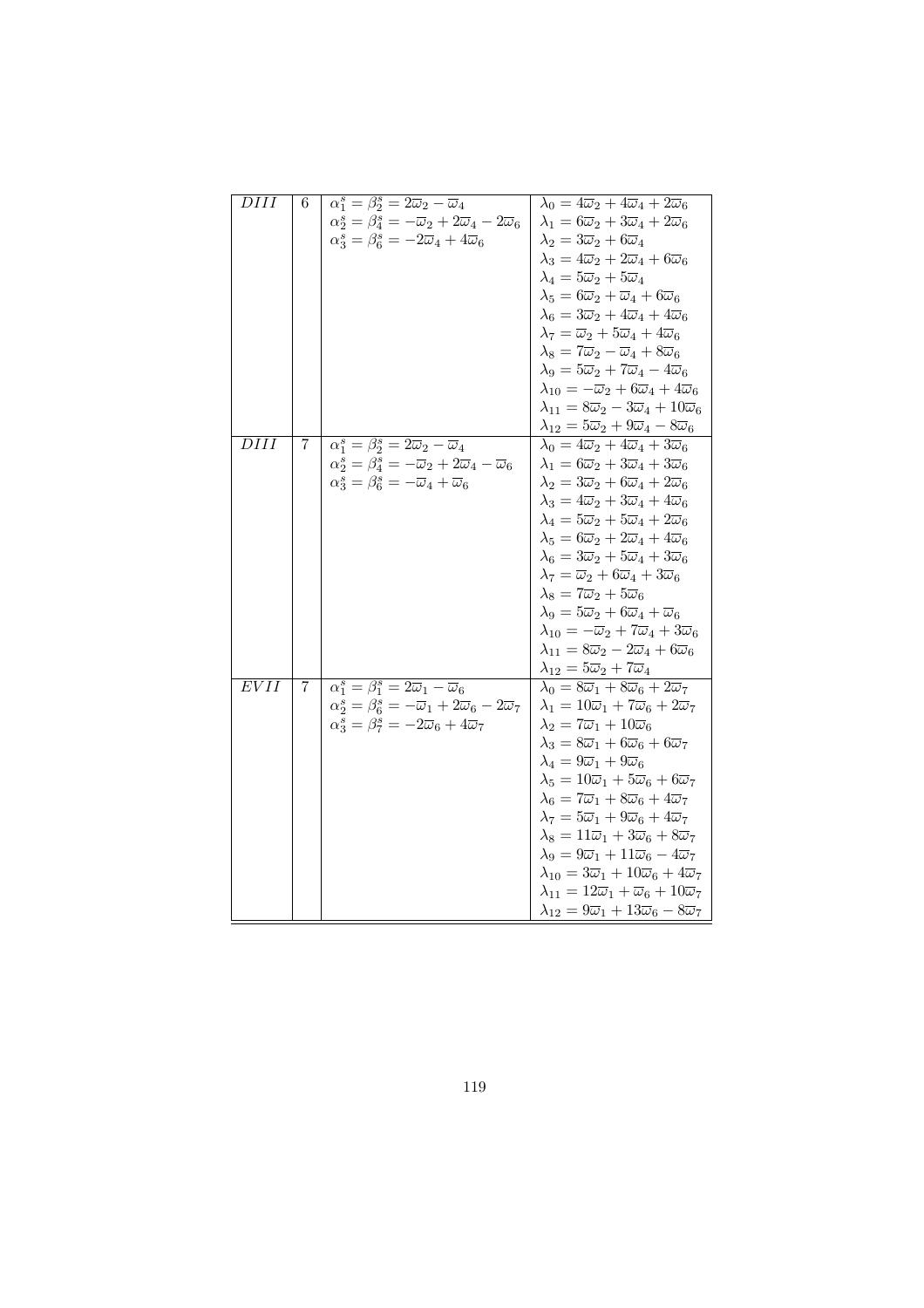| $\overline{D}III$ | 6 | $\alpha_1^s = \beta_2^s = 2\overline{\omega}_2 - \overline{\omega}_4$                         | $\lambda_0 = 4\overline{\omega}_2 + 4\overline{\omega}_4 + 2\overline{\omega}_6$     |
|-------------------|---|-----------------------------------------------------------------------------------------------|--------------------------------------------------------------------------------------|
|                   |   | $\alpha_2^s = \beta_4^s = -\overline{\omega}_2 + 2\overline{\omega}_4 - 2\overline{\omega}_6$ | $\lambda_1 = 6\overline{\omega}_2 + 3\overline{\omega}_4 + 2\overline{\omega}_6$     |
|                   |   | $\alpha_3^s = \beta_6^s = -2\overline{\omega}_4 + 4\overline{\omega}_6$                       | $\lambda_2 = 3\overline{\omega}_2 + 6\overline{\omega}_4$                            |
|                   |   |                                                                                               | $\lambda_3 = 4\overline{\omega}_2 + 2\overline{\omega}_4 + 6\overline{\omega}_6$     |
|                   |   |                                                                                               | $\lambda_4 = 5\overline{\omega}_2 + 5\overline{\omega}_4$                            |
|                   |   |                                                                                               | $\lambda_5 = 6\overline{\omega}_2 + \overline{\omega}_4 + 6\overline{\omega}_6$      |
|                   |   |                                                                                               | $\lambda_6 = 3\overline{\omega}_2 + 4\overline{\omega}_4 + 4\overline{\omega}_6$     |
|                   |   |                                                                                               | $\lambda_7 = \overline{\omega}_2 + 5\overline{\omega}_4 + 4\overline{\omega}_6$      |
|                   |   |                                                                                               | $\lambda_8 = 7\overline{\omega}_2 - \overline{\omega}_4 + 8\overline{\omega}_6$      |
|                   |   |                                                                                               | $\lambda_9 = 5\overline{\omega}_2 + 7\overline{\omega}_4 - 4\overline{\omega}_6$     |
|                   |   |                                                                                               | $\lambda_{10}=-\overline{\omega}_2+6\overline{\omega}_4+4\overline{\omega}_6$        |
|                   |   |                                                                                               | $\lambda_{11} = 8\overline{\omega}_2 - 3\overline{\omega}_4 + 10\overline{\omega}_6$ |
|                   |   |                                                                                               | $\lambda_{12}=5\overline{\omega}_2+9\overline{\omega}_4-8\overline{\omega}_6$        |
| DIII              | 7 | $\alpha_1^s = \beta_2^s = 2\overline{\omega}_2 - \overline{\omega}_4$                         | $\lambda_0 = 4\overline{\omega}_2 + 4\overline{\omega}_4 + 3\overline{\omega}_6$     |
|                   |   | $\alpha_2^s = \beta_4^s = -\overline{\omega}_2 + 2\overline{\omega}_4 - \overline{\omega}_6$  | $\lambda_1 = 6\overline{\omega}_2 + 3\overline{\omega}_4 + 3\overline{\omega}_6$     |
|                   |   | $\alpha_3^s = \beta_6^s = -\overline{\omega}_4 + \overline{\omega}_6$                         | $\lambda_2 = 3\overline{\omega}_2 + 6\overline{\omega}_4 + 2\overline{\omega}_6$     |
|                   |   |                                                                                               | $\lambda_3 = 4\overline{\omega}_2 + 3\overline{\omega}_4 + 4\overline{\omega}_6$     |
|                   |   |                                                                                               | $\lambda_4 = 5\overline{\omega}_2 + 5\overline{\omega}_4 + 2\overline{\omega}_6$     |
|                   |   |                                                                                               | $\lambda_5 = 6\overline{\omega}_2 + 2\overline{\omega}_4 + 4\overline{\omega}_6$     |
|                   |   |                                                                                               | $\lambda_6 = 3\overline{\omega}_2 + 5\overline{\omega}_4 + 3\overline{\omega}_6$     |
|                   |   |                                                                                               | $\lambda_7 = \overline{\omega}_2 + 6\overline{\omega}_4 + 3\overline{\omega}_6$      |
|                   |   |                                                                                               | $\lambda_8 = 7\overline{\omega}_2 + 5\overline{\omega}_6$                            |
|                   |   |                                                                                               | $\lambda_9 = 5\overline{\omega}_2 + 6\overline{\omega}_4 + \overline{\omega}_6$      |
|                   |   |                                                                                               | $\lambda_{10}=-\overline{\omega}_2+7\overline{\omega}_4+3\overline{\omega}_6$        |
|                   |   |                                                                                               | $\lambda_{11} = 8\overline{\omega}_2 - 2\overline{\omega}_4 + 6\overline{\omega}_6$  |
|                   |   |                                                                                               | $\lambda_{12}=5\overline{\omega}_2+7\overline{\omega}_4$                             |
| $\overline{EVII}$ | 7 | $\alpha_1^s = \beta_1^s = 2\overline{\omega}_1 - \overline{\omega}_6$                         | $\lambda_0 = 8\overline{\omega}_1 + 8\overline{\omega}_6 + 2\overline{\omega}_7$     |
|                   |   | $\alpha_2^s = \beta_6^s = -\overline{\omega}_1 + 2\overline{\omega}_6 - 2\overline{\omega}_7$ | $\lambda_1 = 10\overline{\omega}_1 + 7\overline{\omega}_6 + 2\overline{\omega}_7$    |
|                   |   | $\alpha_3^s = \beta_7^s = -2\overline{\omega}_6 + 4\overline{\omega}_7$                       | $\lambda_2 = 7\overline{\omega}_1 + 10\overline{\omega}_6$                           |
|                   |   |                                                                                               | $\lambda_3 = 8\overline{\omega}_1 + 6\overline{\omega}_6 + 6\overline{\omega}_7$     |
|                   |   |                                                                                               | $\lambda_4 = 9\overline{\omega}_1 + 9\overline{\omega}_6$                            |
|                   |   |                                                                                               | $\lambda_5 = 10\overline{\omega}_1 + 5\overline{\omega}_6 + 6\overline{\omega}_7$    |
|                   |   |                                                                                               | $\lambda_6 = 7\overline{\omega}_1 + 8\overline{\omega}_6 + 4\overline{\omega}_7$     |
|                   |   |                                                                                               | $\lambda_7 = 5\overline{\omega}_1 + 9\overline{\omega}_6 + 4\overline{\omega}_7$     |
|                   |   |                                                                                               | $\lambda_8 = 11\overline{\omega}_1 + 3\overline{\omega}_6 + 8\overline{\omega}_7$    |
|                   |   |                                                                                               | $\lambda_9 = 9\overline{\omega}_1 + 11\overline{\omega}_6 - 4\overline{\omega}_7$    |
|                   |   |                                                                                               | $\lambda_{10} = 3\overline{\omega}_1 + 10\overline{\omega}_6 + 4\overline{\omega}_7$ |
|                   |   |                                                                                               | $\lambda_{11} = 12\overline{\omega}_1 + \overline{\omega}_6 + 10\overline{\omega}_7$ |
|                   |   |                                                                                               | $\lambda_{12} = 9\overline{\omega}_1 + 13\overline{\omega}_6 - 8\overline{\omega}_7$ |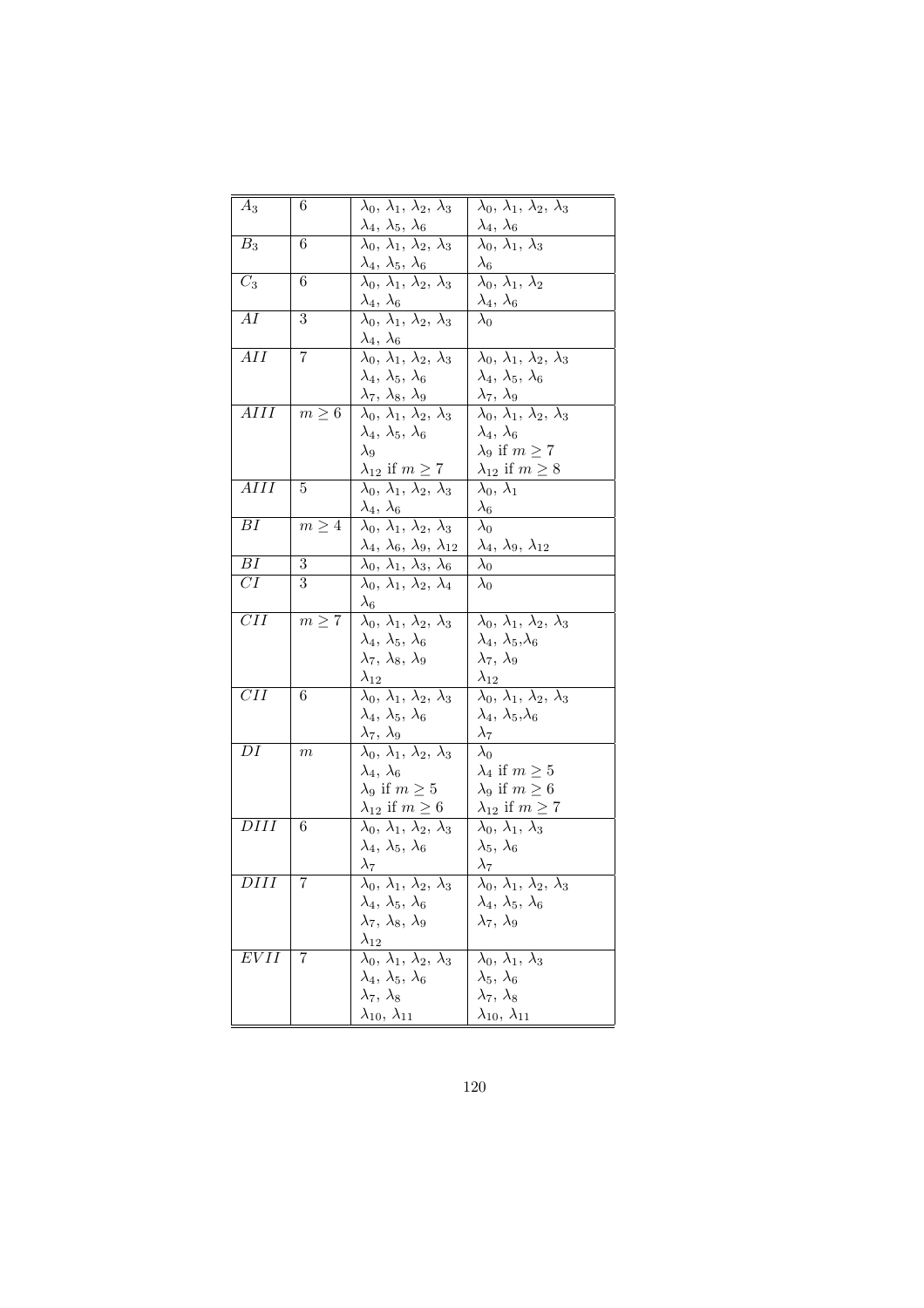| $A_3$            | 6          | $\lambda_0, \lambda_1, \lambda_2, \lambda_3$                     | $\overline{\lambda_0, \, \lambda_1, \, \lambda_2, \, \lambda_3}$ |
|------------------|------------|------------------------------------------------------------------|------------------------------------------------------------------|
|                  |            | $\lambda_4, \, \lambda_5, \, \lambda_6$                          | $\lambda_4, \lambda_6$                                           |
| $B_3$            | 6          | $\lambda_0, \lambda_1, \lambda_2, \lambda_3$                     | $\lambda_0, \lambda_1, \lambda_3$                                |
|                  |            | $\lambda_4,\,\lambda_5,\,\lambda_6$                              | $\lambda_6$                                                      |
| $\overline{C_3}$ | 6          | $\lambda_0, \lambda_1, \lambda_2, \lambda_3$                     | $\overline{\lambda_0, \lambda_1, \lambda_2}$                     |
|                  |            | $\lambda_4,\,\lambda_6$                                          | $\lambda_4,\,\lambda_6$                                          |
| AI               | 3          | $\lambda_0, \lambda_1, \lambda_2, \lambda_3$                     | $\lambda_0$                                                      |
|                  |            | $\lambda_4,\,\lambda_6$                                          |                                                                  |
| AII              | 7          | $\lambda_0, \, \lambda_1, \, \overline{\lambda_2, \, \lambda_3}$ | $\overline{\lambda}_0, \, \lambda_1, \, \lambda_2, \, \lambda_3$ |
|                  |            | $\lambda_4, \lambda_5, \lambda_6$                                | $\lambda_4, \lambda_5, \lambda_6$                                |
|                  |            | $\lambda_7, \lambda_8, \lambda_9$                                | $\lambda_7, \lambda_9$                                           |
| AHI              | $m \geq 6$ | $\lambda_0, \lambda_1, \lambda_2, \lambda_3$                     | $\lambda_0, \, \lambda_1, \, \lambda_2, \, \lambda_3$            |
|                  |            | $\lambda_4, \lambda_5, \lambda_6$                                | $\lambda_4, \lambda_6$                                           |
|                  |            | $\lambda_9$                                                      | $\lambda_9$ if $m \geq 7$                                        |
|                  |            | $\lambda_{12}$ if $m \geq 7$                                     | $\lambda_{12}$ if $m \geq 8$                                     |
| AIII             | 5          | $\lambda_0, \lambda_1, \lambda_2, \lambda_3$                     | $\lambda_0, \lambda_1$                                           |
|                  |            | $\lambda_4, \lambda_6$                                           | $\lambda_6$                                                      |
| BI               | $m \geq 4$ | $\lambda_0, \lambda_1, \lambda_2, \lambda_3$                     | $\bar{\lambda}_0$                                                |
|                  |            | $\lambda_4,\,\lambda_6,\,\lambda_9,\,\lambda_{12}$               | $\lambda_4, \lambda_9, \lambda_{12}$                             |
| BI               | 3          | $\lambda_0, \, \lambda_1, \, \lambda_3, \, \lambda_6$            | $\lambda_0$                                                      |
| $\overline{CI}$  | 3          | $\lambda_0, \, \lambda_1, \, \lambda_2, \, \lambda_4$            | $\lambda_0$                                                      |
|                  |            | $\lambda_6$                                                      |                                                                  |
| $\overline{CII}$ | $m \geq 7$ | $\lambda_0, \lambda_1, \lambda_2, \overline{\lambda_3}$          | $\lambda_0, \lambda_1, \lambda_2, \lambda_3$                     |
|                  |            | $\lambda_4, \lambda_5, \lambda_6$                                | $\lambda_4, \lambda_5, \lambda_6$                                |
|                  |            | $\lambda_7, \lambda_8, \lambda_9$                                | $\lambda_7, \lambda_9$                                           |
|                  |            | $\lambda_{12}$                                                   | $\lambda_{12}$                                                   |
|                  |            |                                                                  |                                                                  |
| CII              | 6          | $\lambda_0, \, \lambda_1, \, \lambda_2, \, \overline{\lambda_3}$ | $\lambda_0, \lambda_1, \lambda_2, \lambda_3$                     |
|                  |            | $\lambda_4, \lambda_5, \lambda_6$                                | $\lambda_4, \lambda_5, \lambda_6$                                |
|                  |            | $\lambda_7, \lambda_9$                                           | $\lambda_7$                                                      |
| DI               | $_{m}$     | $\lambda_0, \lambda_1, \lambda_2, \lambda_3$                     | $\lambda_0$                                                      |
|                  |            | $\lambda_4, \lambda_6$                                           | $\lambda_4$ if $m \geq 5$                                        |
|                  |            | $\lambda_9$ if $m \geq 5$                                        | $\lambda_9$ if $m \geq 6$                                        |
|                  |            | $\lambda_{12}$ if $m \geq 6$                                     | $\lambda_{12}$ if $m \geq 7$                                     |
| DIII             | 6          | $\lambda_0, \lambda_1, \lambda_2, \lambda_3$                     | $\lambda_0, \lambda_1, \lambda_3$                                |
|                  |            | $\lambda_4, \lambda_5, \lambda_6$                                | $\lambda_5, \lambda_6$                                           |
|                  |            | $\lambda_7$                                                      | $\lambda_7$                                                      |
| DIII             | 7          | $\lambda_0,\,\lambda_1,\,\lambda_2,\,\lambda_3$                  | $\lambda_0, \, \lambda_1, \, \lambda_2, \, \lambda_3$            |
|                  |            | $\lambda_4,\,\lambda_5,\,\lambda_6$                              | $\lambda_4, \lambda_5, \lambda_6$                                |
|                  |            | $\lambda_7, \lambda_8, \lambda_9$                                | $\lambda_7, \lambda_9$                                           |
|                  |            | $\lambda_{12}$                                                   |                                                                  |
| EVII             | 7          | $\lambda_0, \lambda_1, \lambda_2, \lambda_3$                     | $\lambda_0, \lambda_1, \lambda_3$                                |
|                  |            | $\lambda_4, \lambda_5, \lambda_6$                                | $\lambda_5, \lambda_6$                                           |
|                  |            | $\lambda_7, \lambda_8$<br>$\lambda_{10},\,\lambda_{11}$          | $\lambda_7, \lambda_8$<br>$\lambda_{10}, \lambda_{11}$           |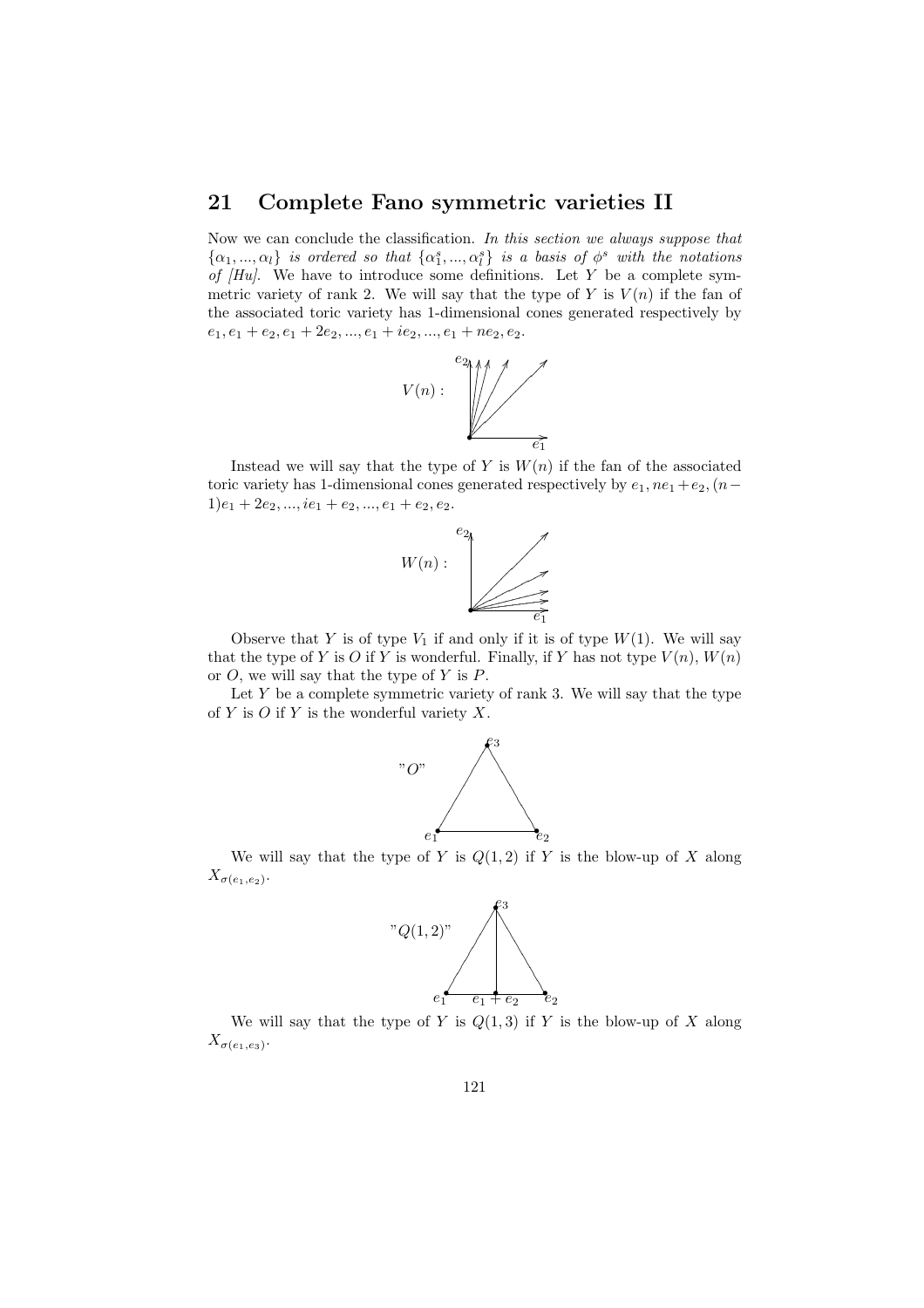## 21 Complete Fano symmetric varieties II

Now we can conclude the classification. In this section we always suppose that  $\{\alpha_1, ..., \alpha_l\}$  is ordered so that  $\{\alpha_1^s, ..., \alpha_l^s\}$  is a basis of  $\phi^s$  with the notations of  $[Hu]$ . We have to introduce some definitions. Let Y be a complete symmetric variety of rank 2. We will say that the type of  $Y$  is  $V(n)$  if the fan of the associated toric variety has 1-dimensional cones generated respectively by  $e_1, e_1 + e_2, e_1 + 2e_2, ..., e_1 + ie_2, ..., e_1 + ne_2, e_2.$ 



Instead we will say that the type of  $Y$  is  $W(n)$  if the fan of the associated toric variety has 1-dimensional cones generated respectively by  $e_1$ ,  $ne_1 + e_2$ ,  $(n 1)e_1 + 2e_2, ..., ie_1 + e_2, ..., e_1 + e_2, e_2.$ 



Observe that Y is of type  $V_1$  if and only if it is of type  $W(1)$ . We will say that the type of Y is O if Y is wonderful. Finally, if Y has not type  $V(n)$ ,  $W(n)$ or  $O$ , we will say that the type of Y is  $P$ .

Let  $Y$  be a complete symmetric variety of rank 3. We will say that the type of Y is O if Y is the wonderful variety  $X$ .



We will say that the type of Y is  $Q(1, 2)$  if Y is the blow-up of X along  $X_{\sigma(e_1,e_2)}$ .



We will say that the type of Y is  $Q(1,3)$  if Y is the blow-up of X along  $X_{\sigma(e_1,e_3)}$ .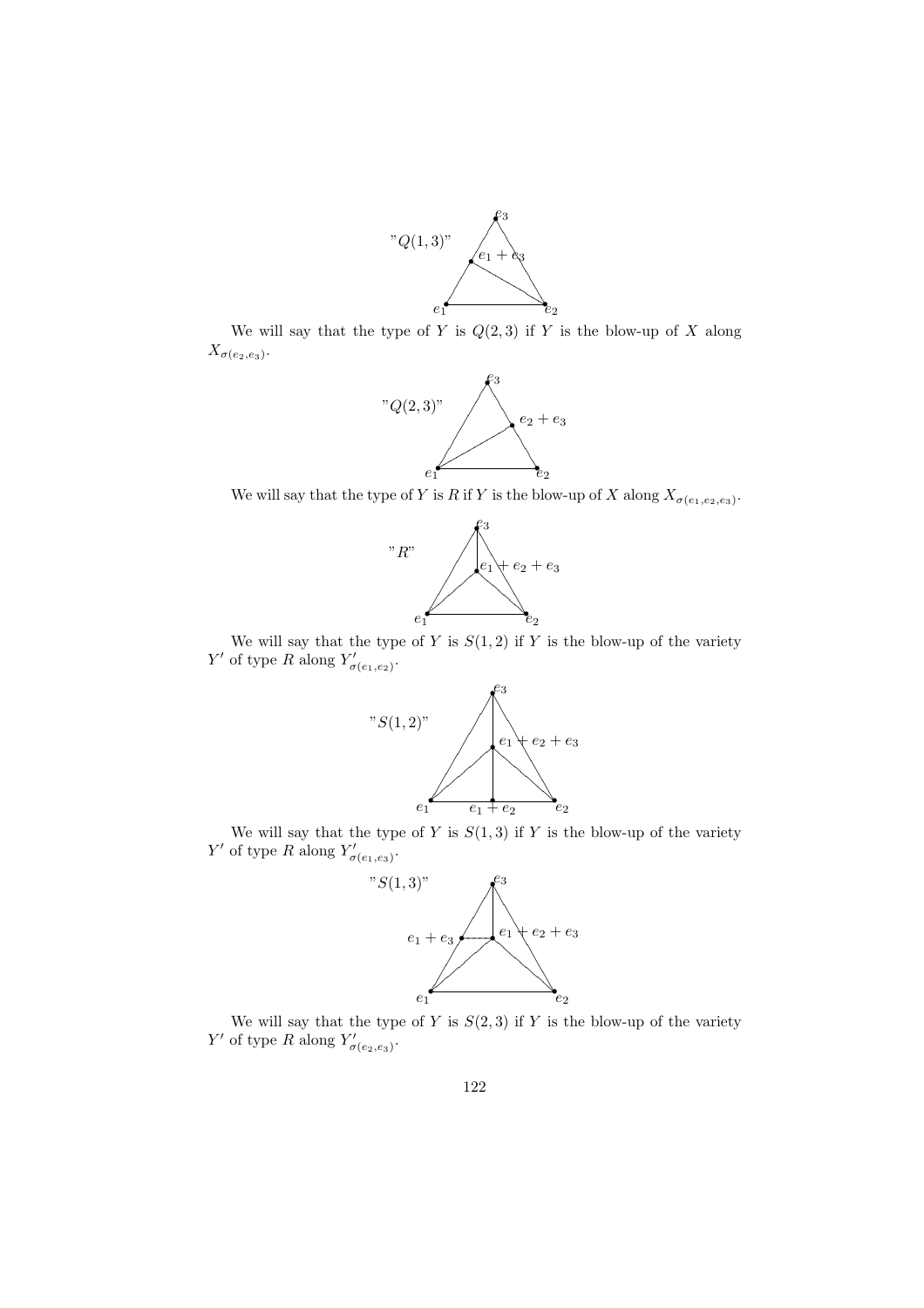

We will say that the type of Y is  $Q(2,3)$  if Y is the blow-up of X along  $X_{\sigma(e_2,e_3)}$ .



We will say that the type of Y is R if Y is the blow-up of X along  $X_{\sigma(e_1,e_2,e_3)}$ .



We will say that the type of Y is  $S(1, 2)$  if Y is the blow-up of the variety Y' of type R along  $Y'_{\sigma(e_1,e_2)}$ .



We will say that the type of Y is  $S(1,3)$  if Y is the blow-up of the variety Y' of type R along  $Y'_{\sigma(e_1,e_3)}$ .



We will say that the type of Y is  $S(2,3)$  if Y is the blow-up of the variety Y' of type R along  $Y'_{\sigma(e_2,e_3)}$ .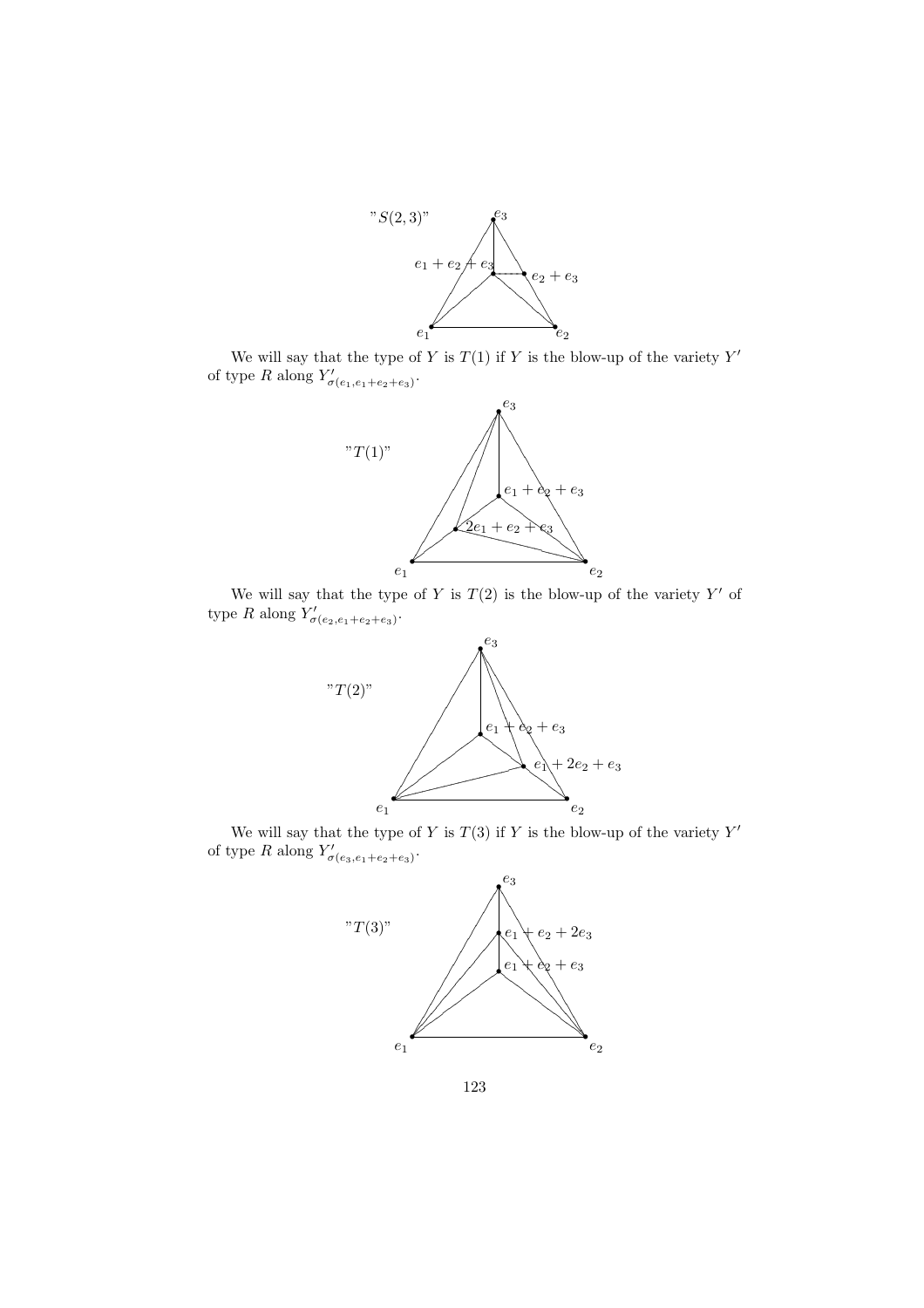

We will say that the type of Y is  $T(1)$  if Y is the blow-up of the variety  $Y'$ of type R along  $Y'_{\sigma(e_1,e_1+e_2+e_3)}$ .



We will say that the type of Y is  $T(2)$  is the blow-up of the variety Y' of type R along  $Y'_{\sigma(e_2,e_1+e_2+e_3)}$ .



We will say that the type of Y is  $T(3)$  if Y is the blow-up of the variety  $Y'$ of type R along  $Y'_{\sigma(e_3,e_1+e_2+e_3)}$ .



123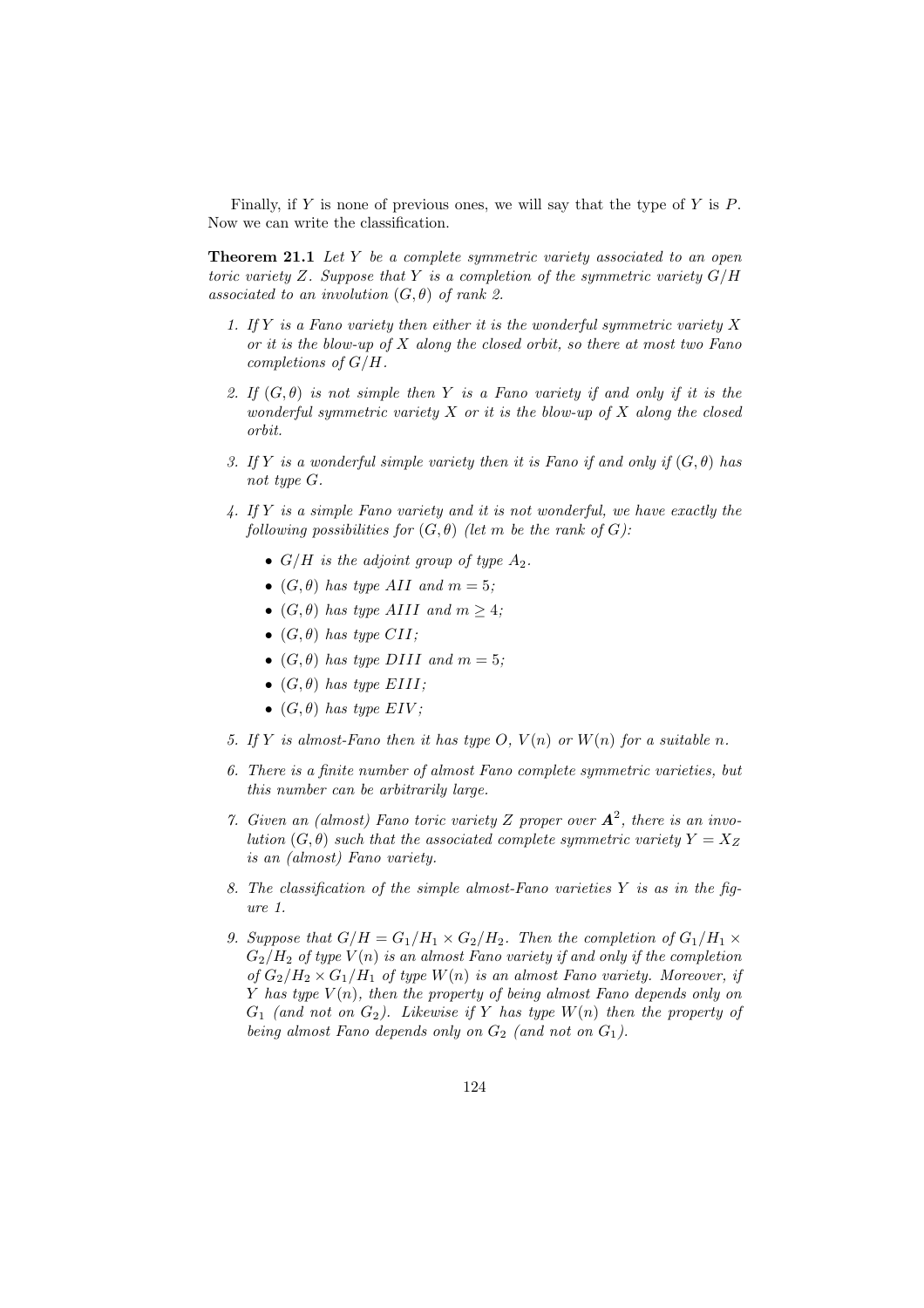Finally, if Y is none of previous ones, we will say that the type of Y is  $P$ . Now we can write the classification.

**Theorem 21.1** Let Y be a complete symmetric variety associated to an open toric variety Z. Suppose that Y is a completion of the symmetric variety  $G/H$ associated to an involution  $(G, \theta)$  of rank 2.

- 1. If Y is a Fano variety then either it is the wonderful symmetric variety X or it is the blow-up of  $X$  along the closed orbit, so there at most two Fano completions of G/H.
- 2. If  $(G, \theta)$  is not simple then Y is a Fano variety if and only if it is the wonderful symmetric variety  $X$  or it is the blow-up of  $X$  along the closed orbit.
- 3. If Y is a wonderful simple variety then it is Fano if and only if  $(G, \theta)$  has not type G.
- 4. If Y is a simple Fano variety and it is not wonderful, we have exactly the following possibilities for  $(G, \theta)$  (let m be the rank of G):
	- $G/H$  is the adjoint group of type  $A_2$ .
	- $(G, \theta)$  has type AII and  $m = 5$ ;
	- $(G, \theta)$  has type AIII and  $m \geq 4$ ;
	- $(G, \theta)$  has type CII;
	- $(G, \theta)$  has type DIII and  $m = 5$ ;
	- $(G, \theta)$  has type EIII;
	- $(G, \theta)$  has type EIV;
- 5. If Y is almost-Fano then it has type O,  $V(n)$  or  $W(n)$  for a suitable n.
- 6. There is a finite number of almost Fano complete symmetric varieties, but this number can be arbitrarily large.
- 7. Given an (almost) Fano toric variety Z proper over  $A^2$ , there is an involution  $(G, \theta)$  such that the associated complete symmetric variety  $Y = X_Z$ is an (almost) Fano variety.
- 8. The classification of the simple almost-Fano varieties  $Y$  is as in the figure 1.
- 9. Suppose that  $G/H = G_1/H_1 \times G_2/H_2$ . Then the completion of  $G_1/H_1 \times G_2/H_2$ .  $G_2/H_2$  of type  $V(n)$  is an almost Fano variety if and only if the completion of  $G_2/H_2 \times G_1/H_1$  of type  $W(n)$  is an almost Fano variety. Moreover, if Y has type  $V(n)$ , then the property of being almost Fano depends only on  $G_1$  (and not on  $G_2$ ). Likewise if Y has type  $W(n)$  then the property of being almost Fano depends only on  $G_2$  (and not on  $G_1$ ).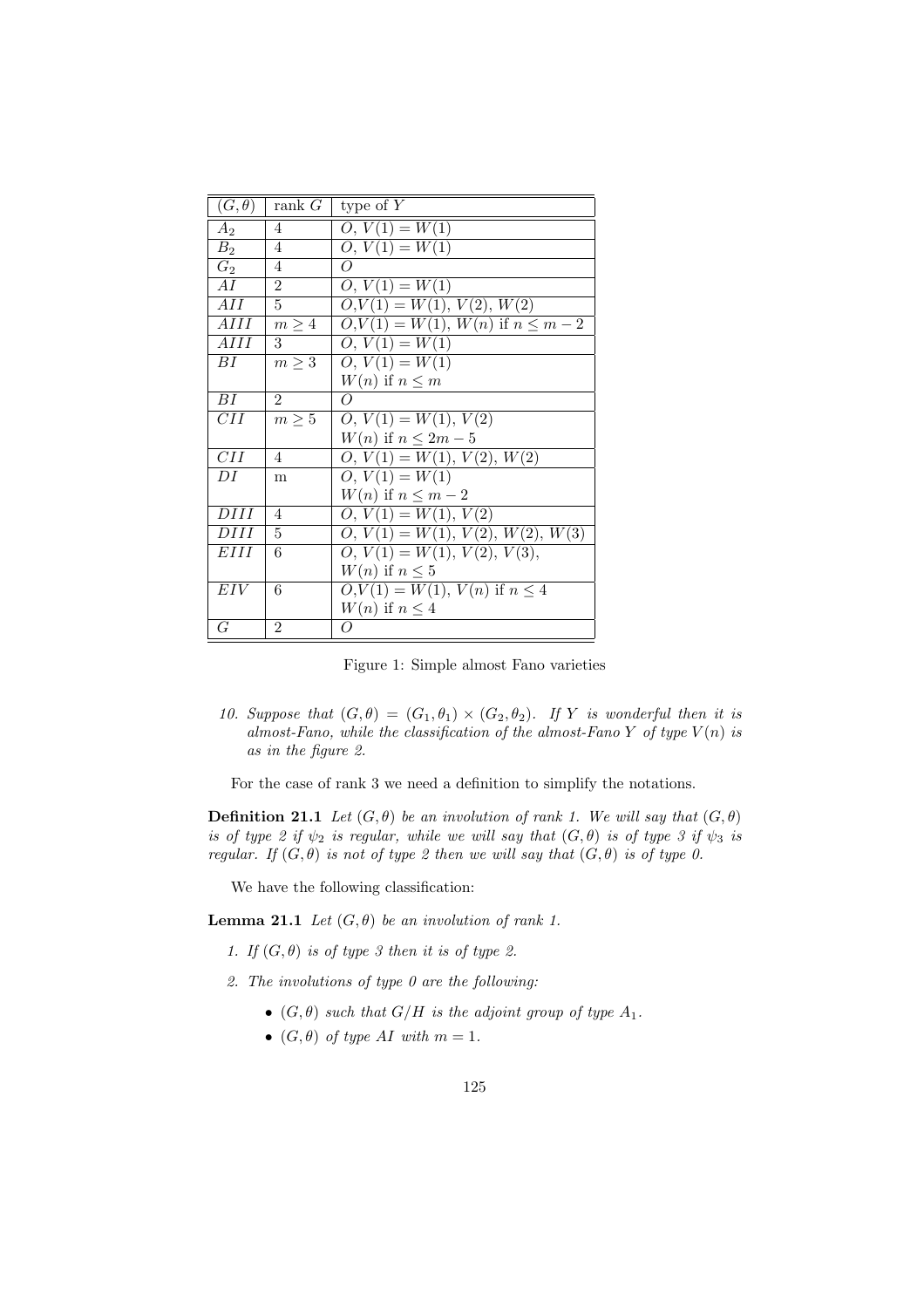| $(G, \theta)$     | rank $G$       | type of $Y$                             |
|-------------------|----------------|-----------------------------------------|
| $A_2$             | 4              | $O, V(1) = W(1)$                        |
| B <sub>2</sub>    | 4              | $O, V(1) = W(1)$                        |
| $G_2$             | 4              | $\Omega$                                |
| AI                | $\overline{2}$ | $O, V(1) = W(1)$                        |
| $\overline{A}II$  | 5              | $O, V(1) = W(1), V(2), \overline{W(2)}$ |
| $\overline{AlII}$ | $m \geq 4$     | $O, V(1) = W(1), W(n)$ if $n \leq m-2$  |
| AHI               | 3              | $O, V(1) = W(1)$                        |
| BI                | $m \geq 3$     | $O, V(1) = W(1)$                        |
|                   |                | $W(n)$ if $n \leq m$                    |
| ВI                | $\mathfrak{D}$ | O                                       |
| CН                | $m \geq 5$     | $O, V(1) = W(1), V(2)$                  |
|                   |                | $W(n)$ if $n \leq 2m-5$                 |
| CII               | 4              | $O, V(1) = W(1), V(2), W(2)$            |
| DI                | m              | $O, V(1) = W(1)$                        |
|                   |                | $W(n)$ if $n \leq m-2$                  |
| DHI               | $\overline{4}$ | $\overline{O, V(1)} = W(1), V(2)$       |
| DHI               | 5              | $O, V(1) = W(1), V(2), W(2), W(3)$      |
| EIII              | 6              | $O, V(1) = W(1), V(2), V(3),$           |
|                   |                | $W(n)$ if $n \leq 5$                    |
| EIV               | 6              | $O, V(1) = W(1), V(n)$ if $n \leq 4$    |
|                   |                | $W(n)$ if $n \leq 4$                    |
| G                 | $\mathfrak{D}$ | O                                       |

Figure 1: Simple almost Fano varieties

10. Suppose that  $(G, \theta) = (G_1, \theta_1) \times (G_2, \theta_2)$ . If Y is wonderful then it is almost-Fano, while the classification of the almost-Fano Y of type  $V(n)$  is as in the figure 2.

For the case of rank 3 we need a definition to simplify the notations.

**Definition 21.1** Let  $(G, \theta)$  be an involution of rank 1. We will say that  $(G, \theta)$ is of type 2 if  $\psi_2$  is regular, while we will say that  $(G, \theta)$  is of type 3 if  $\psi_3$  is regular. If  $(G, \theta)$  is not of type 2 then we will say that  $(G, \theta)$  is of type 0.

We have the following classification:

**Lemma 21.1** Let  $(G, \theta)$  be an involution of rank 1.

1. If  $(G, \theta)$  is of type 3 then it is of type 2.

2. The involutions of type 0 are the following:

- $(G, \theta)$  such that  $G/H$  is the adjoint group of type  $A_1$ .
- $(G, \theta)$  of type AI with  $m = 1$ .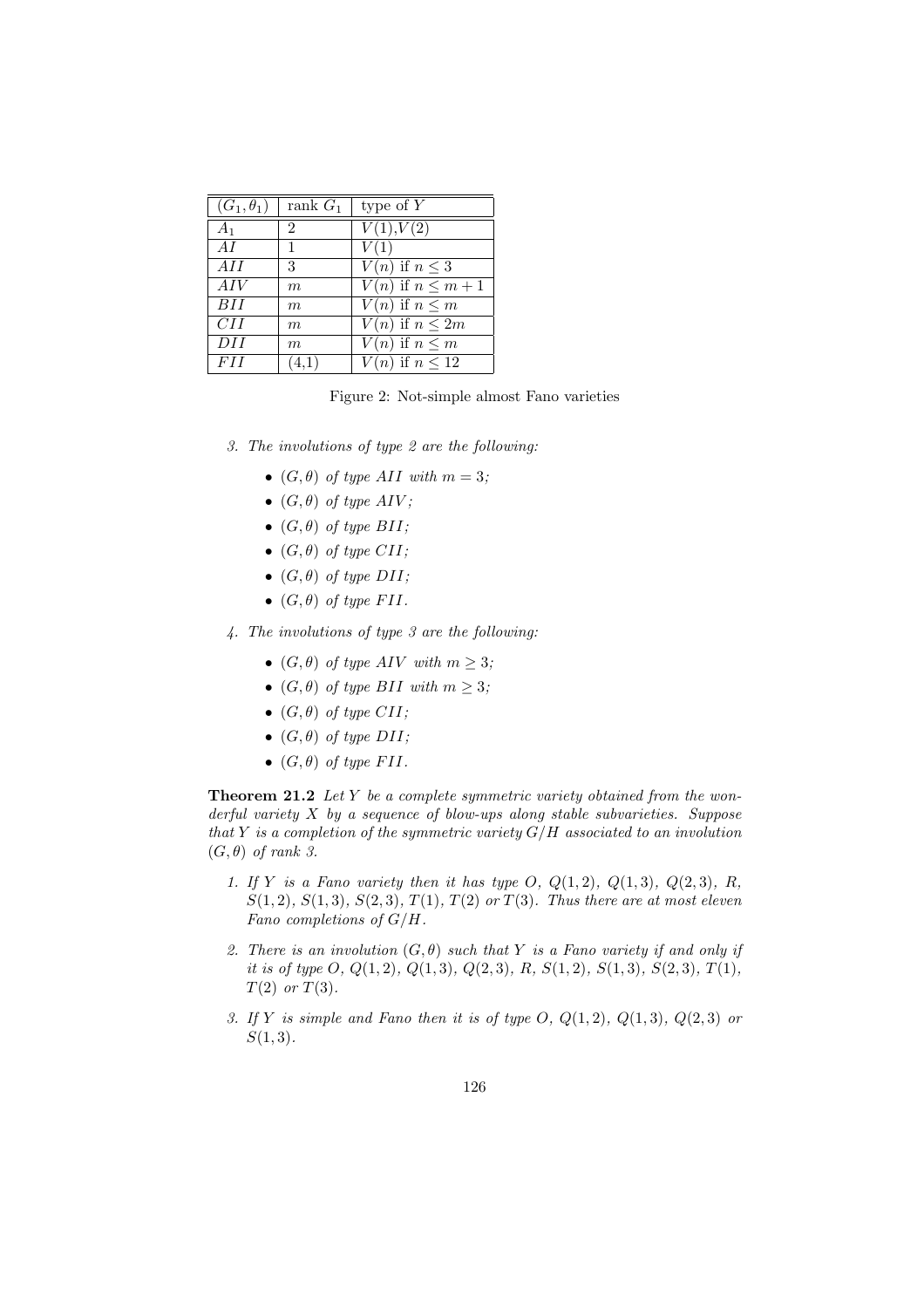| $(G_1,\theta_1)$ | rank $G_1$       | type of $Y$                       |
|------------------|------------------|-----------------------------------|
| A <sub>1</sub>   | $\overline{2}$   | $\overline{V(1)}, V(2)$           |
| AI               | 1                | V(1)                              |
| AII              | 3                | $\overline{V(n)}$ if $n \leq 3$   |
| AIV              | m                | $\overline{V(n)}$ if $n \leq m+1$ |
| BII              | $\boldsymbol{m}$ | $V(n)$ if $n \leq m$              |
| CII              | $\boldsymbol{m}$ | $\overline{V(n)}$ if $n \leq 2m$  |
| DII              | $\boldsymbol{m}$ | $\overline{V(n)}$ if $n \leq m$   |
| <i>FII</i>       | (4,1)            | $V(n)$ if $n \leq 12$             |

Figure 2: Not-simple almost Fano varieties

- 3. The involutions of type 2 are the following:
	- $(G, \theta)$  of type AII with  $m = 3$ ;
	- $(G, \theta)$  of type AIV;
	- $(G, \theta)$  of type BII;
	- $(G, \theta)$  of type CII;
	- $(G, \theta)$  of type DII;
	- $(G, \theta)$  of type FII.
- 4. The involutions of type 3 are the following:
	- $(G, \theta)$  of type AIV with  $m \geq 3$ ;
	- $(G, \theta)$  of type BII with  $m \geq 3$ ;
	- $(G, \theta)$  of type CII;
	- $(G, \theta)$  of type  $DII$ ;
	- $(G, \theta)$  of type FII.

Theorem 21.2 Let Y be a complete symmetric variety obtained from the wonderful variety  $X$  by a sequence of blow-ups along stable subvarieties. Suppose that Y is a completion of the symmetric variety  $G/H$  associated to an involution  $(G, \theta)$  of rank 3.

- 1. If Y is a Fano variety then it has type O,  $Q(1, 2)$ ,  $Q(1, 3)$ ,  $Q(2, 3)$ , R,  $S(1, 2), S(1, 3), S(2, 3), T(1), T(2)$  or  $T(3)$ . Thus there are at most eleven Fano completions of G/H.
- 2. There is an involution  $(G, \theta)$  such that Y is a Fano variety if and only if it is of type O,  $Q(1,2), Q(1,3), Q(2,3), R, S(1,2), S(1,3), S(2,3), T(1),$  $T(2)$  or  $T(3)$ .
- 3. If Y is simple and Fano then it is of type  $O, Q(1, 2), Q(1, 3), Q(2, 3)$  or  $S(1,3)$ .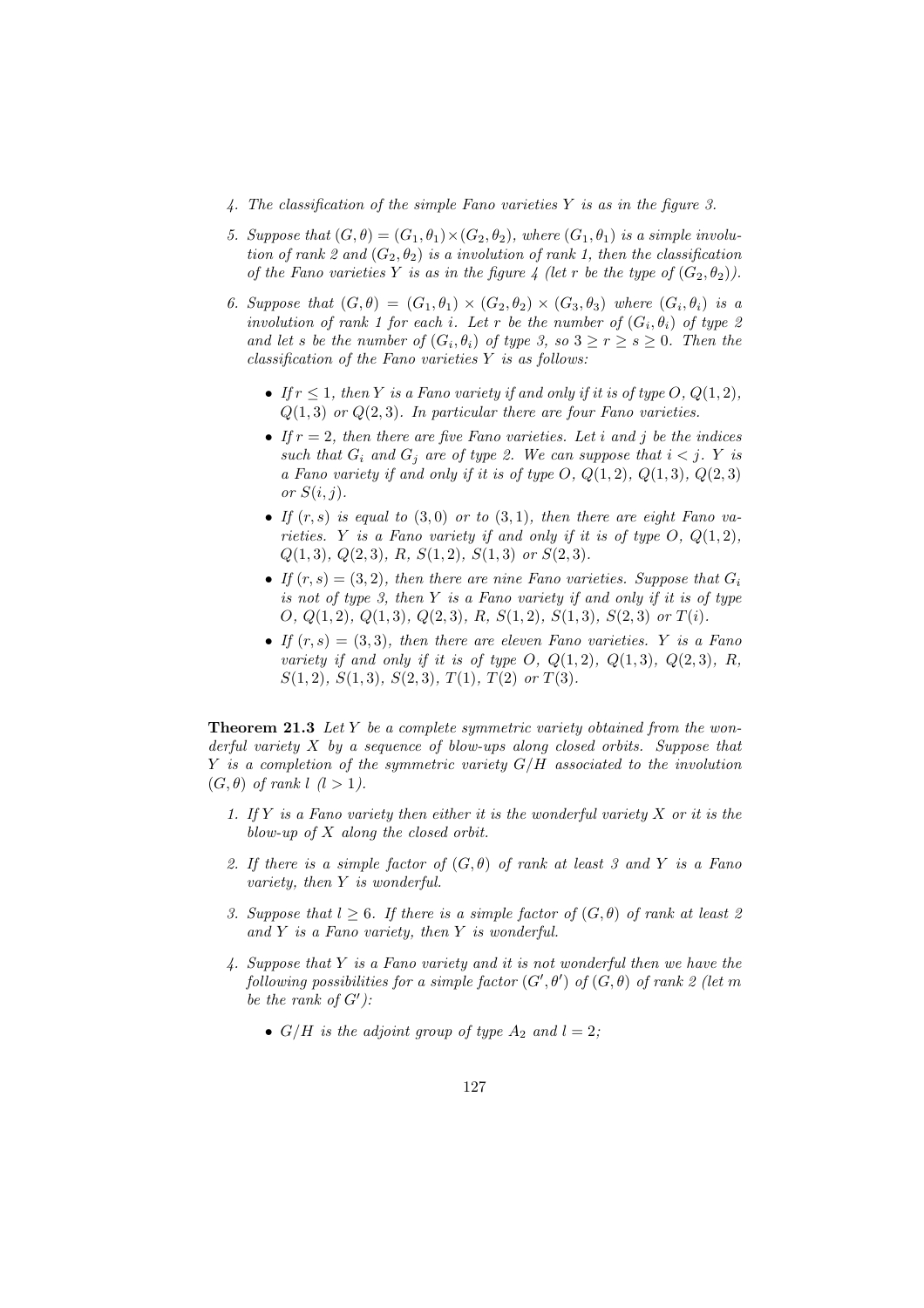- 4. The classification of the simple Fano varieties Y is as in the figure 3.
- 5. Suppose that  $(G, \theta) = (G_1, \theta_1) \times (G_2, \theta_2)$ , where  $(G_1, \theta_1)$  is a simple involution of rank 2 and  $(G_2, \theta_2)$  is a involution of rank 1, then the classification of the Fano varieties Y is as in the figure 4 (let r be the type of  $(G_2, \theta_2)$ ).
- 6. Suppose that  $(G, \theta) = (G_1, \theta_1) \times (G_2, \theta_2) \times (G_3, \theta_3)$  where  $(G_i, \theta_i)$  is a involution of rank 1 for each i. Let r be the number of  $(G_i, \theta_i)$  of type 2 and let s be the number of  $(G_i, \theta_i)$  of type 3, so  $3 \geq r \geq s \geq 0$ . Then the  $classification of the Fano varieties Y is as follows:$ 
	- If  $r \leq 1$ , then Y is a Fano variety if and only if it is of type O,  $Q(1, 2)$ ,  $Q(1,3)$  or  $Q(2,3)$ . In particular there are four Fano varieties.
	- If  $r = 2$ , then there are five Fano varieties. Let i and j be the indices such that  $G_i$  and  $G_j$  are of type 2. We can suppose that  $i < j$ . Y is a Fano variety if and only if it is of type  $O, Q(1, 2), Q(1, 3), Q(2, 3)$ or  $S(i, j)$ .
	- If  $(r, s)$  is equal to  $(3, 0)$  or to  $(3, 1)$ , then there are eight Fano varieties. Y is a Fano variety if and only if it is of type  $O, Q(1, 2)$ ,  $Q(1, 3), Q(2, 3), R, S(1, 2), S(1, 3)$  or  $S(2, 3)$ .
	- If  $(r, s) = (3, 2)$ , then there are nine Fano varieties. Suppose that  $G_i$ is not of type 3, then  $Y$  is a Fano variety if and only if it is of type O,  $Q(1, 2)$ ,  $Q(1, 3)$ ,  $Q(2, 3)$ , R,  $S(1, 2)$ ,  $S(1, 3)$ ,  $S(2, 3)$  or  $T(i)$ .
	- If  $(r, s) = (3, 3)$ , then there are eleven Fano varieties. Y is a Fano variety if and only if it is of type O,  $Q(1, 2)$ ,  $Q(1, 3)$ ,  $Q(2, 3)$ , R,  $S(1, 2), S(1, 3), S(2, 3), T(1), T(2)$  or  $T(3)$ .

**Theorem 21.3** Let Y be a complete symmetric variety obtained from the wonderful variety  $X$  by a sequence of blow-ups along closed orbits. Suppose that Y is a completion of the symmetric variety  $G/H$  associated to the involution  $(G, \theta)$  of rank  $l$   $(l > 1)$ .

- 1. If Y is a Fano variety then either it is the wonderful variety  $X$  or it is the blow-up of  $X$  along the closed orbit.
- 2. If there is a simple factor of  $(G, \theta)$  of rank at least 3 and Y is a Fano variety, then Y is wonderful.
- 3. Suppose that  $l \geq 6$ . If there is a simple factor of  $(G, \theta)$  of rank at least 2 and  $Y$  is a Fano variety, then  $Y$  is wonderful.
- 4. Suppose that Y is a Fano variety and it is not wonderful then we have the following possibilities for a simple factor  $(G', \theta')$  of  $(G, \theta)$  of rank 2 (let m be the rank of  $G'$ ):
	- $G/H$  is the adjoint group of type  $A_2$  and  $l = 2$ ;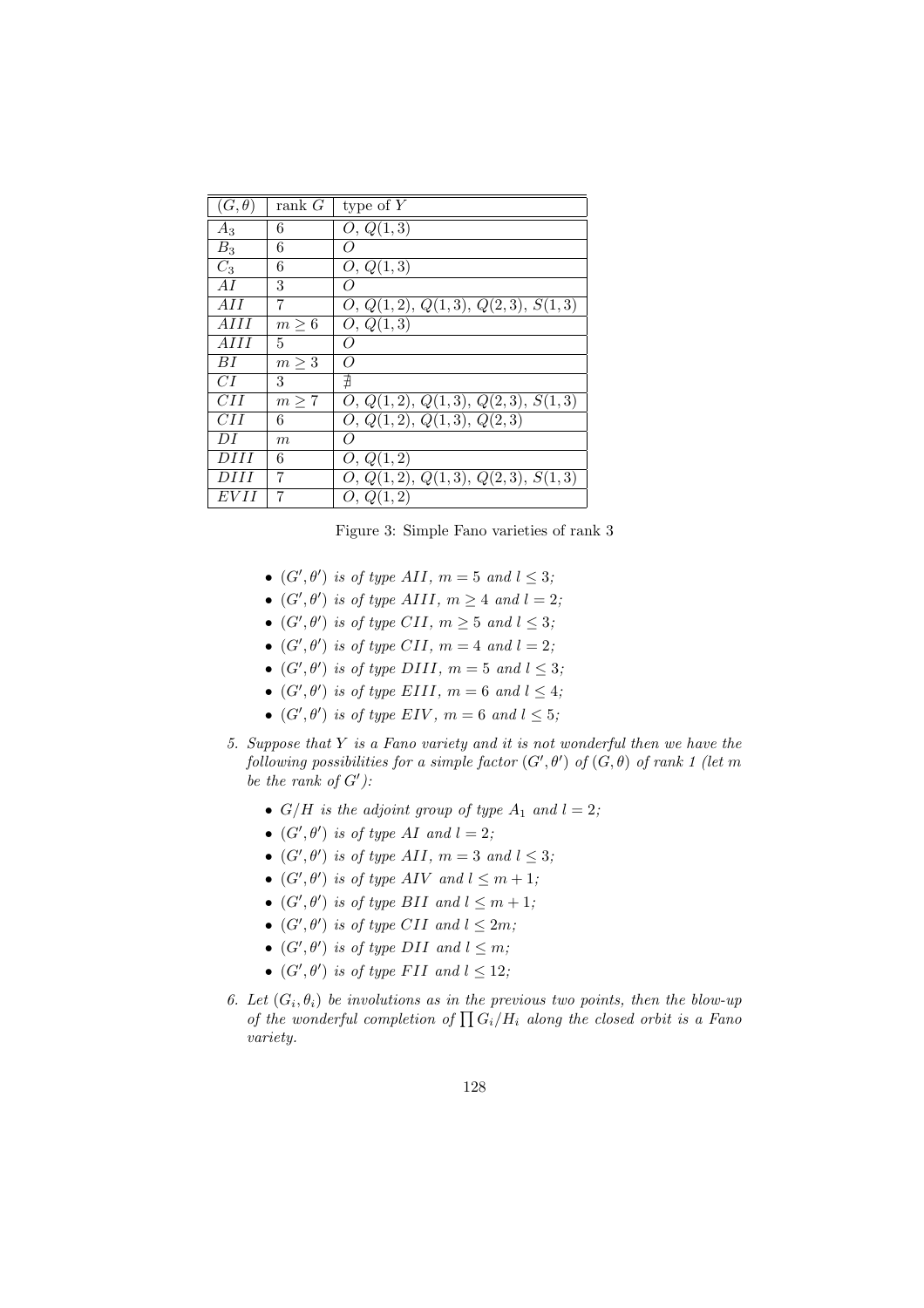| $(G, \theta)$ | rank $G$         | type of $Y$                                    |
|---------------|------------------|------------------------------------------------|
| $A_3$         | 6                | O, Q(1,3)                                      |
| $B_3$         | 6                |                                                |
| $C_3$         | 6                | O, Q(1,3)                                      |
| AI            | 3                | Ω                                              |
| AH            | 7                | $\overline{O, Q(1,2)}, Q(1,3), Q(2,3), S(1,3)$ |
| AHI           | $m \geq 6$       | O, Q(1,3)                                      |
| AHI           | 5                | Ω                                              |
| ВI            | $m\geq 3$        | Ω                                              |
| CІ            | 3                | ∄                                              |
| CII           | $m \geq 7$       | O, Q(1,2), Q(1,3), Q(2,3), S(1,3)              |
| CII           | 6                | O, Q(1,2), Q(1,3), Q(2,3)                      |
| DI            | $\boldsymbol{m}$ | Ω                                              |
| DHI           | 6                | O, Q(1,2)                                      |
| DHI           | 7                | O, Q(1,2), Q(1,3), Q(2,3), S(1,3)              |
| <b>EVII</b>   | 7                | O, Q(1,2)                                      |

Figure 3: Simple Fano varieties of rank 3

- $(G', \theta')$  is of type AII,  $m = 5$  and  $l \leq 3$ ;
- $(G', \theta')$  is of type AIII,  $m \geq 4$  and  $l = 2$ ;
- $(G', \theta')$  is of type CII,  $m \geq 5$  and  $l \leq 3$ ;
- $(G', \theta')$  is of type CII,  $m = 4$  and  $l = 2$ ;
- $(G', \theta')$  is of type DIII,  $m = 5$  and  $l \leq 3$ ;
- $(G', \theta')$  is of type EIII,  $m = 6$  and  $l \leq 4$ ;
- $(G', \theta')$  is of type EIV,  $m = 6$  and  $l \leq 5$ ;
- 5. Suppose that Y is a Fano variety and it is not wonderful then we have the following possibilities for a simple factor  $(G', \theta')$  of  $(G, \theta)$  of rank 1 (let m be the rank of  $G'$ ):
	- $G/H$  is the adjoint group of type  $A_1$  and  $l = 2$ ;
	- $(G', \theta')$  is of type AI and  $l = 2$ ;
	- $(G', \theta')$  is of type AII,  $m = 3$  and  $l \leq 3$ ;
	- $(G', \theta')$  is of type AIV and  $l \leq m+1$ ;
	- $(G', \theta')$  is of type BII and  $l \leq m+1$ ;
	- $(G', \theta')$  is of type CII and  $l \leq 2m$ ;
	- $(G', \theta')$  is of type DII and  $l \leq m$ ;
	- $(G', \theta')$  is of type FII and  $l \leq 12$ ;
- 6. Let  $(G_i, \theta_i)$  be involutions as in the previous two points, then the blow-up Let  $(G_i, \sigma_i)$  be involutions as in the previous two points, then the blow-up<br>of the wonderful completion of  $\prod G_i/H_i$  along the closed orbit is a Fano variety.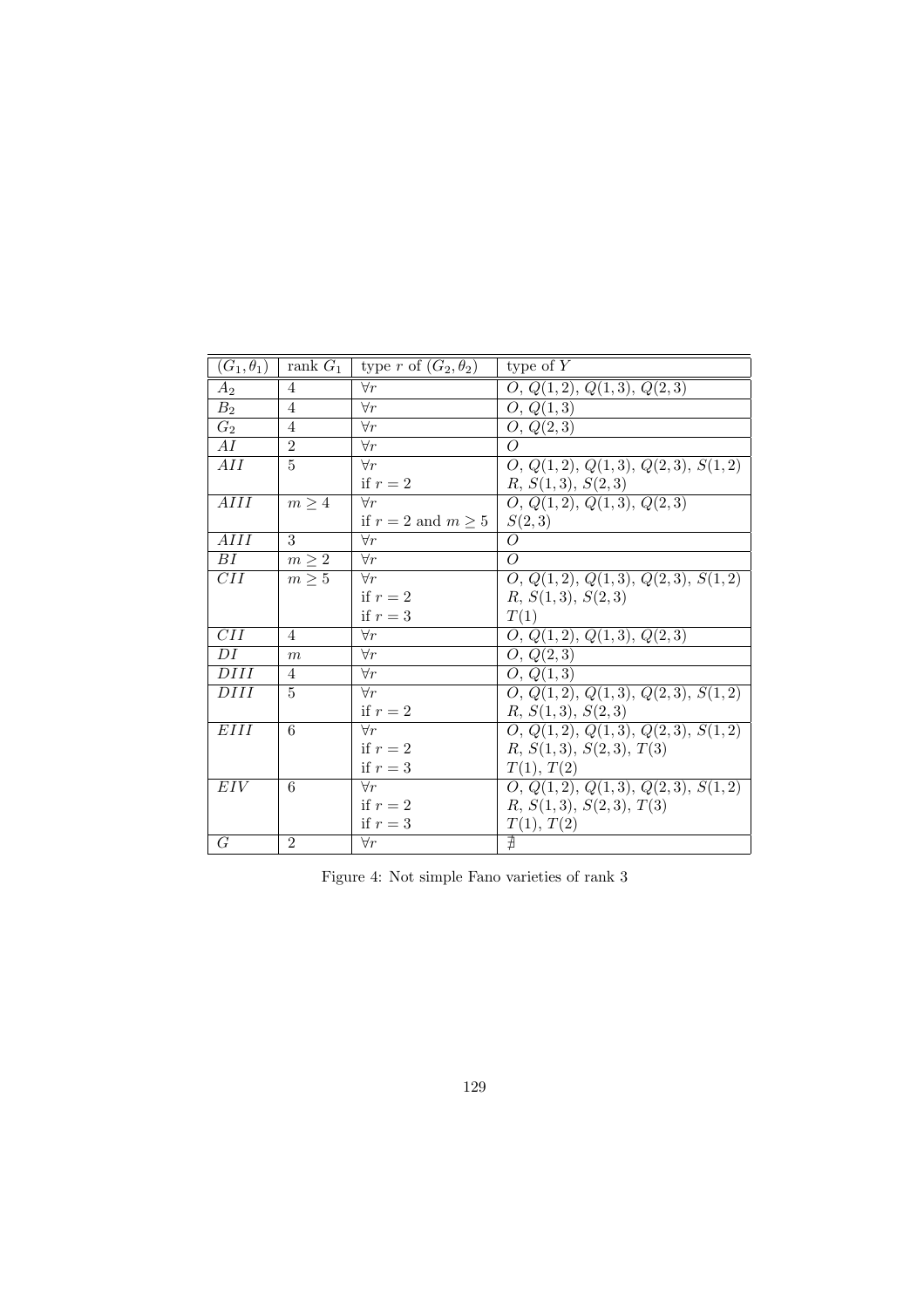| $(G_1,\theta_1)$ | rank $G_1$     | type r of $(G_2, \theta_2)$ | type of $Y$                       |
|------------------|----------------|-----------------------------|-----------------------------------|
| $A_2$            | $\overline{4}$ | $\forall r$                 | O, Q(1,2), Q(1,3), Q(2,3)         |
| B <sub>2</sub>   | $\overline{4}$ | $\forall r$                 | O, Q(1,3)                         |
| $\overline{G_2}$ | $\overline{4}$ | $\forall r$                 | $\overline{O}$ , $Q(2,3)$         |
| AI               | $\overline{2}$ | $\forall r$                 | $\overline{O}$                    |
| AII              | $\overline{5}$ | $\forall r$                 | O, Q(1,2), Q(1,3), Q(2,3), S(1,2) |
|                  |                | if $r=2$                    | R, S(1,3), S(2,3)                 |
| AHI              | $m \geq 4$     | $\forall r$                 | O, Q(1,2), Q(1,3), Q(2,3)         |
|                  |                | if $r = 2$ and $m \geq 5$   | S(2,3)                            |
| AIII             | 3              | $\forall r$                 | $\overline{O}$                    |
| $\overline{BI}$  | $m \geq 2$     | $\forall r$                 | $\overline{O}$                    |
| $\overline{CII}$ | $m \geq 5$     | $\forall r$                 | Q, Q(1,2), Q(1,3), Q(2,3), S(1,2) |
|                  |                | if $r=2$                    | R, S(1,3), S(2,3)                 |
|                  |                | if $r=3$                    | T(1)                              |
| $\overline{CII}$ | $\overline{4}$ | $\forall r$                 | O, Q(1,2), Q(1,3), Q(2,3)         |
| DI               | m              | $\overline{\forall r}$      | $\overline{O, Q(2,3)}$            |
| DHI              | $\overline{4}$ | $\overline{\forall r}$      | O, Q(1,3)                         |
| <b>DIII</b>      | $\overline{5}$ | $\forall r$                 | Q, Q(1,2), Q(1,3), Q(2,3), S(1,2) |
|                  |                | if $r=2$                    | R, S(1,3), S(2,3)                 |
| EIII             | 6              | $\forall r$                 | O, Q(1,2), Q(1,3), Q(2,3), S(1,2) |
|                  |                | if $r=2$                    | R, S(1,3), S(2,3), T(3)           |
|                  |                | if $r=3$                    | T(1), T(2)                        |
| EIV              | 6              | $\forall r$                 | Q, Q(1,2), Q(1,3), Q(2,3), S(1,2) |
|                  |                | if $r=2$                    | R, S(1,3), S(2,3), T(3)           |
|                  |                | if $r=3$                    | T(1), T(2)                        |
| G                | $\overline{2}$ | $\forall r$                 | ∄                                 |

Figure 4: Not simple Fano varieties of rank 3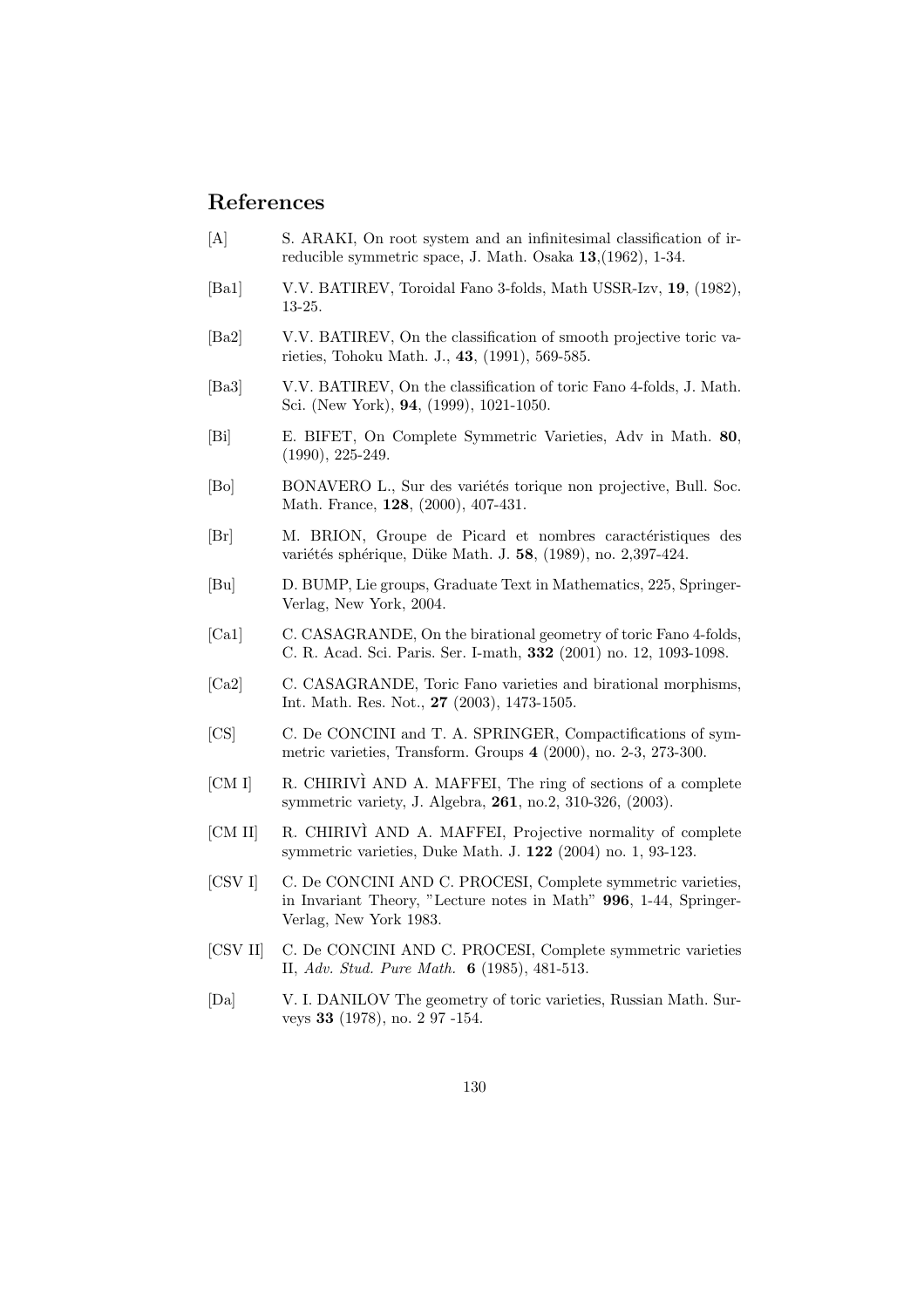## References

- [A] S. ARAKI, On root system and an infinitesimal classification of irreducible symmetric space, J. Math. Osaka 13,(1962), 1-34.
- [Ba1] V.V. BATIREV, Toroidal Fano 3-folds, Math USSR-Izv, 19, (1982), 13-25.
- [Ba2] V.V. BATIREV, On the classification of smooth projective toric varieties, Tohoku Math. J., 43, (1991), 569-585.
- [Ba3] V.V. BATIREV, On the classification of toric Fano 4-folds, J. Math. Sci. (New York), 94, (1999), 1021-1050.
- [Bi] E. BIFET, On Complete Symmetric Varieties, Adv in Math. 80, (1990), 225-249.
- [Bo] BONAVERO L., Sur des variétés torique non projective, Bull. Soc. Math. France, 128, (2000), 407-431.
- [Br] M. BRION, Groupe de Picard et nombres caractéristiques des variétés sphérique, Düke Math. J. 58, (1989), no. 2,397-424.
- [Bu] D. BUMP, Lie groups, Graduate Text in Mathematics, 225, Springer-Verlag, New York, 2004.
- [Ca1] C. CASAGRANDE, On the birational geometry of toric Fano 4-folds, C. R. Acad. Sci. Paris. Ser. I-math, 332 (2001) no. 12, 1093-1098.
- [Ca2] C. CASAGRANDE, Toric Fano varieties and birational morphisms, Int. Math. Res. Not., 27 (2003), 1473-1505.
- [CS] C. De CONCINI and T. A. SPRINGER, Compactifications of symmetric varieties, Transform. Groups 4 (2000), no. 2-3, 273-300.
- [CM I] R. CHIRIVÌ AND A. MAFFEI, The ring of sections of a complete symmetric variety, J. Algebra, 261, no.2, 310-326, (2003).
- [CM II] R. CHIRIVI AND A. MAFFEI, Projective normality of complete symmetric varieties, Duke Math. J. 122 (2004) no. 1, 93-123.
- [CSV I] C. De CONCINI AND C. PROCESI, Complete symmetric varieties, in Invariant Theory, "Lecture notes in Math" 996, 1-44, Springer-Verlag, New York 1983.
- [CSV II] C. De CONCINI AND C. PROCESI, Complete symmetric varieties II, Adv. Stud. Pure Math. 6 (1985), 481-513.
- [Da] V. I. DANILOV The geometry of toric varieties, Russian Math. Surveys 33 (1978), no. 2 97 -154.